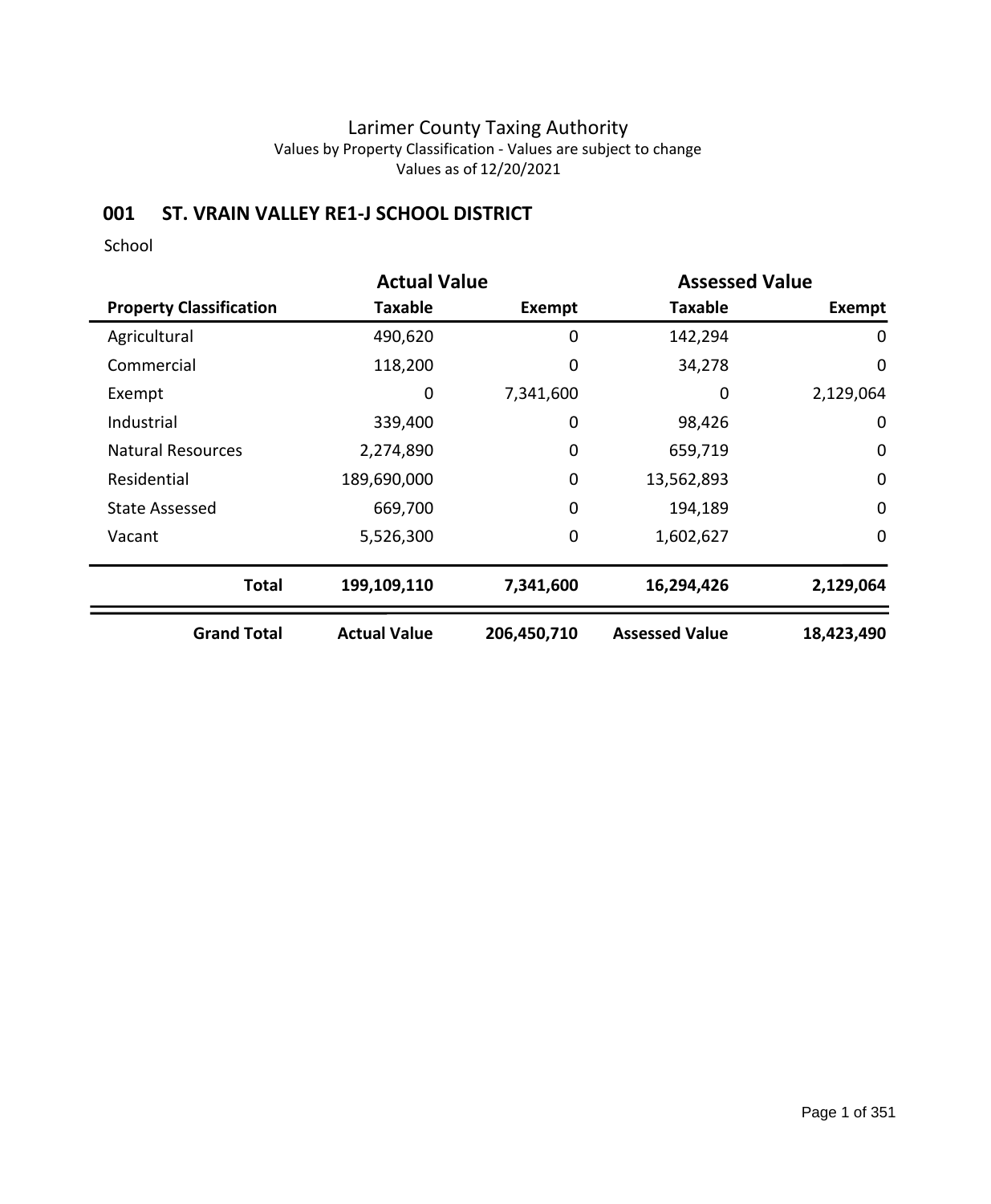## **001 ST. VRAIN VALLEY RE1-J SCHOOL DISTRICT**

|                                | <b>Actual Value</b> | <b>Assessed Value</b> |                       |             |  |
|--------------------------------|---------------------|-----------------------|-----------------------|-------------|--|
| <b>Property Classification</b> | Taxable             | <b>Exempt</b>         | <b>Taxable</b>        | Exempt      |  |
| Agricultural                   | 490,620             | 0                     | 142,294               | 0           |  |
| Commercial                     | 118,200             | 0                     | 34,278                | $\mathbf 0$ |  |
| Exempt                         | 0                   | 7,341,600             | 0                     | 2,129,064   |  |
| Industrial                     | 339,400             | 0                     | 98,426                | $\mathbf 0$ |  |
| <b>Natural Resources</b>       | 2,274,890           | 0                     | 659,719               | $\mathbf 0$ |  |
| Residential                    | 189,690,000         | $\mathbf 0$           | 13,562,893            | $\mathbf 0$ |  |
| <b>State Assessed</b>          | 669,700             | $\mathbf 0$           | 194,189               | $\mathbf 0$ |  |
| Vacant                         | 5,526,300           | 0                     | 1,602,627             | 0           |  |
| <b>Total</b>                   | 199,109,110         | 7,341,600             | 16,294,426            | 2,129,064   |  |
| <b>Grand Total</b>             | <b>Actual Value</b> | 206,450,710           | <b>Assessed Value</b> | 18,423,490  |  |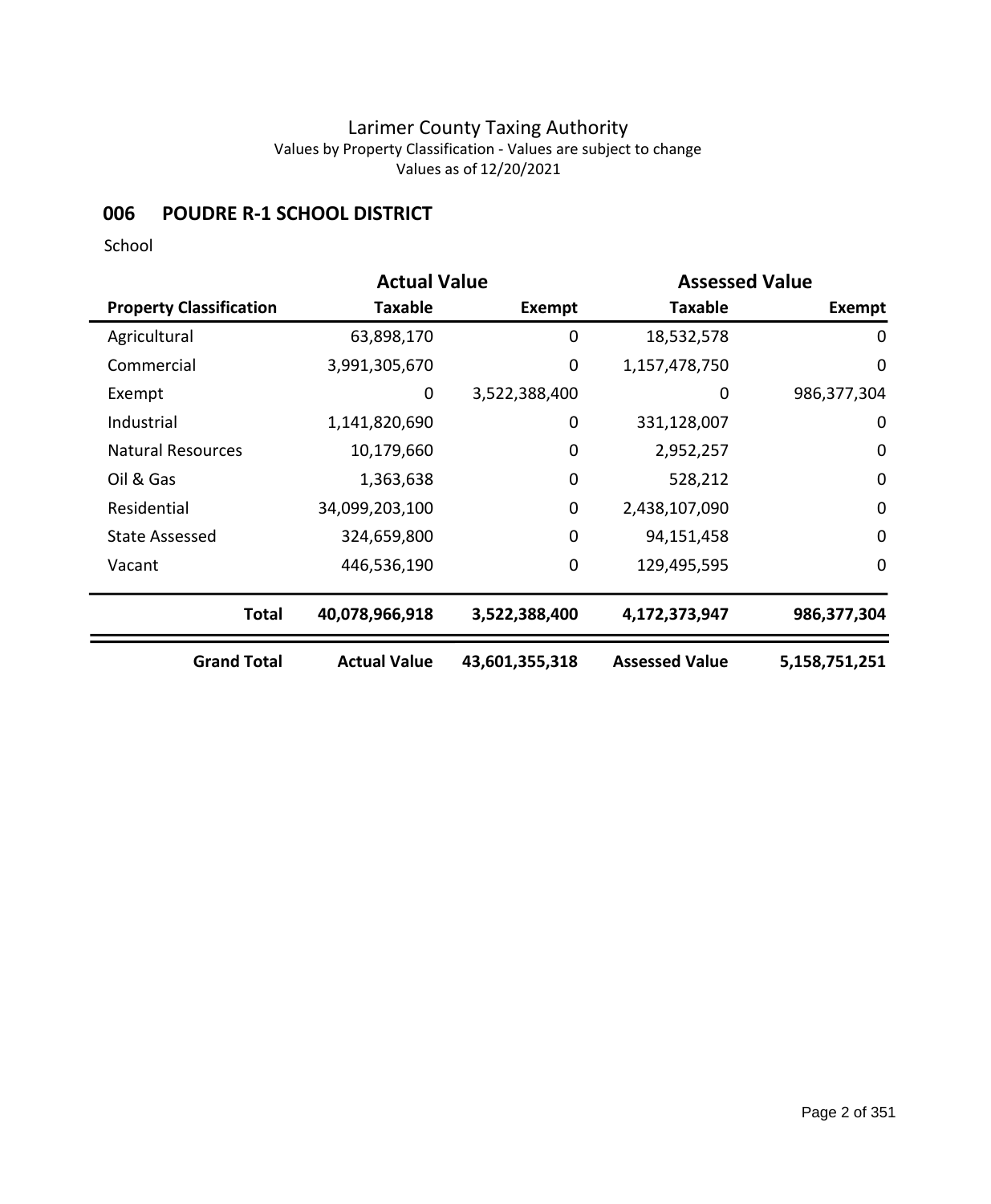## **006 POUDRE R-1 SCHOOL DISTRICT**

|                                | <b>Actual Value</b> |                | <b>Assessed Value</b> |                  |
|--------------------------------|---------------------|----------------|-----------------------|------------------|
| <b>Property Classification</b> | Taxable             | Exempt         | <b>Taxable</b>        | <b>Exempt</b>    |
| Agricultural                   | 63,898,170          | 0              | 18,532,578            | 0                |
| Commercial                     | 3,991,305,670       | 0              | 1,157,478,750         | $\mathbf 0$      |
| Exempt                         | 0                   | 3,522,388,400  | 0                     | 986,377,304      |
| Industrial                     | 1,141,820,690       | 0              | 331,128,007           | $\mathbf 0$      |
| <b>Natural Resources</b>       | 10,179,660          | $\mathbf 0$    | 2,952,257             | $\boldsymbol{0}$ |
| Oil & Gas                      | 1,363,638           | 0              | 528,212               | $\mathbf 0$      |
| Residential                    | 34,099,203,100      | $\mathbf 0$    | 2,438,107,090         | $\mathbf 0$      |
| <b>State Assessed</b>          | 324,659,800         | $\mathbf 0$    | 94,151,458            | $\mathbf 0$      |
| Vacant                         | 446,536,190         | $\mathbf 0$    | 129,495,595           | $\mathbf 0$      |
| <b>Total</b>                   | 40,078,966,918      | 3,522,388,400  | 4,172,373,947         | 986,377,304      |
| <b>Grand Total</b>             | <b>Actual Value</b> | 43,601,355,318 | <b>Assessed Value</b> | 5,158,751,251    |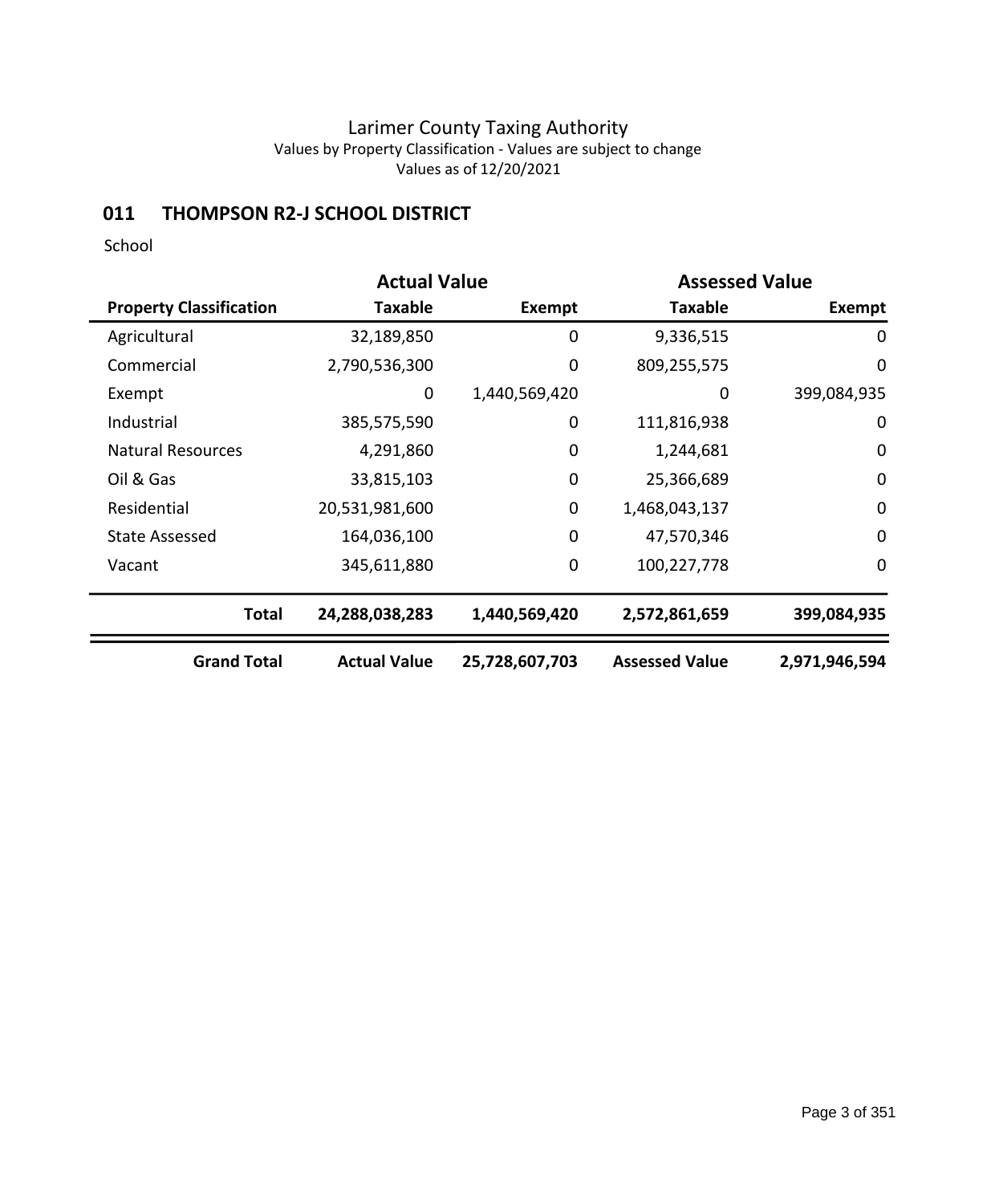## **011 THOMPSON R2-J SCHOOL DISTRICT**

|                                |                     | <b>Actual Value</b><br><b>Assessed Value</b> |                       |               |
|--------------------------------|---------------------|----------------------------------------------|-----------------------|---------------|
| <b>Property Classification</b> | <b>Taxable</b>      | Exempt                                       | <b>Taxable</b>        | <b>Exempt</b> |
| Agricultural                   | 32,189,850          | 0                                            | 9,336,515             | 0             |
| Commercial                     | 2,790,536,300       | 0                                            | 809,255,575           | $\mathbf 0$   |
| Exempt                         | 0                   | 1,440,569,420                                | 0                     | 399,084,935   |
| Industrial                     | 385,575,590         | 0                                            | 111,816,938           | 0             |
| <b>Natural Resources</b>       | 4,291,860           | $\mathbf 0$                                  | 1,244,681             | $\mathbf 0$   |
| Oil & Gas                      | 33,815,103          | $\mathbf 0$                                  | 25,366,689            | $\mathbf 0$   |
| Residential                    | 20,531,981,600      | $\mathbf 0$                                  | 1,468,043,137         | $\mathbf 0$   |
| <b>State Assessed</b>          | 164,036,100         | $\mathbf 0$                                  | 47,570,346            | $\mathbf 0$   |
| Vacant                         | 345,611,880         | $\mathbf 0$                                  | 100,227,778           | $\mathbf 0$   |
| <b>Total</b>                   | 24,288,038,283      | 1,440,569,420                                | 2,572,861,659         | 399,084,935   |
| <b>Grand Total</b>             | <b>Actual Value</b> | 25,728,607,703                               | <b>Assessed Value</b> | 2,971,946,594 |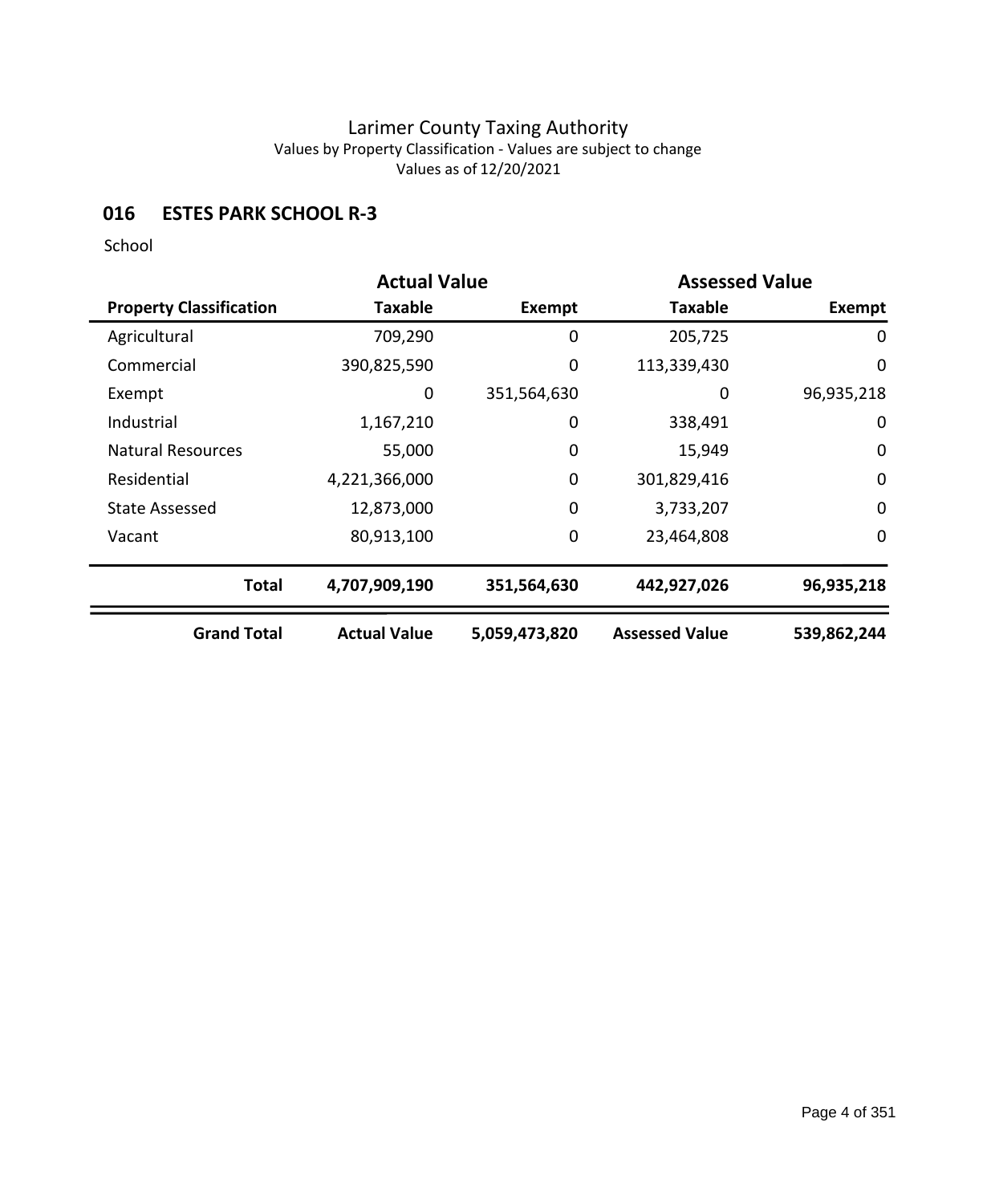## **016 ESTES PARK SCHOOL R-3**

|                                | <b>Actual Value</b> |               | <b>Assessed Value</b> |               |
|--------------------------------|---------------------|---------------|-----------------------|---------------|
| <b>Property Classification</b> | Taxable             | <b>Exempt</b> | <b>Taxable</b>        | <b>Exempt</b> |
| Agricultural                   | 709,290             | 0             | 205,725               | 0             |
| Commercial                     | 390,825,590         | 0             | 113,339,430           | $\mathbf 0$   |
| Exempt                         | 0                   | 351,564,630   | 0                     | 96,935,218    |
| Industrial                     | 1,167,210           | 0             | 338,491               | 0             |
| <b>Natural Resources</b>       | 55,000              | 0             | 15,949                | $\mathbf 0$   |
| Residential                    | 4,221,366,000       | $\mathbf 0$   | 301,829,416           | $\mathbf 0$   |
| <b>State Assessed</b>          | 12,873,000          | 0             | 3,733,207             | $\mathbf 0$   |
| Vacant                         | 80,913,100          | 0             | 23,464,808            | $\mathbf 0$   |
| <b>Total</b>                   | 4,707,909,190       | 351,564,630   | 442,927,026           | 96,935,218    |
| <b>Grand Total</b>             | <b>Actual Value</b> | 5,059,473,820 | <b>Assessed Value</b> | 539,862,244   |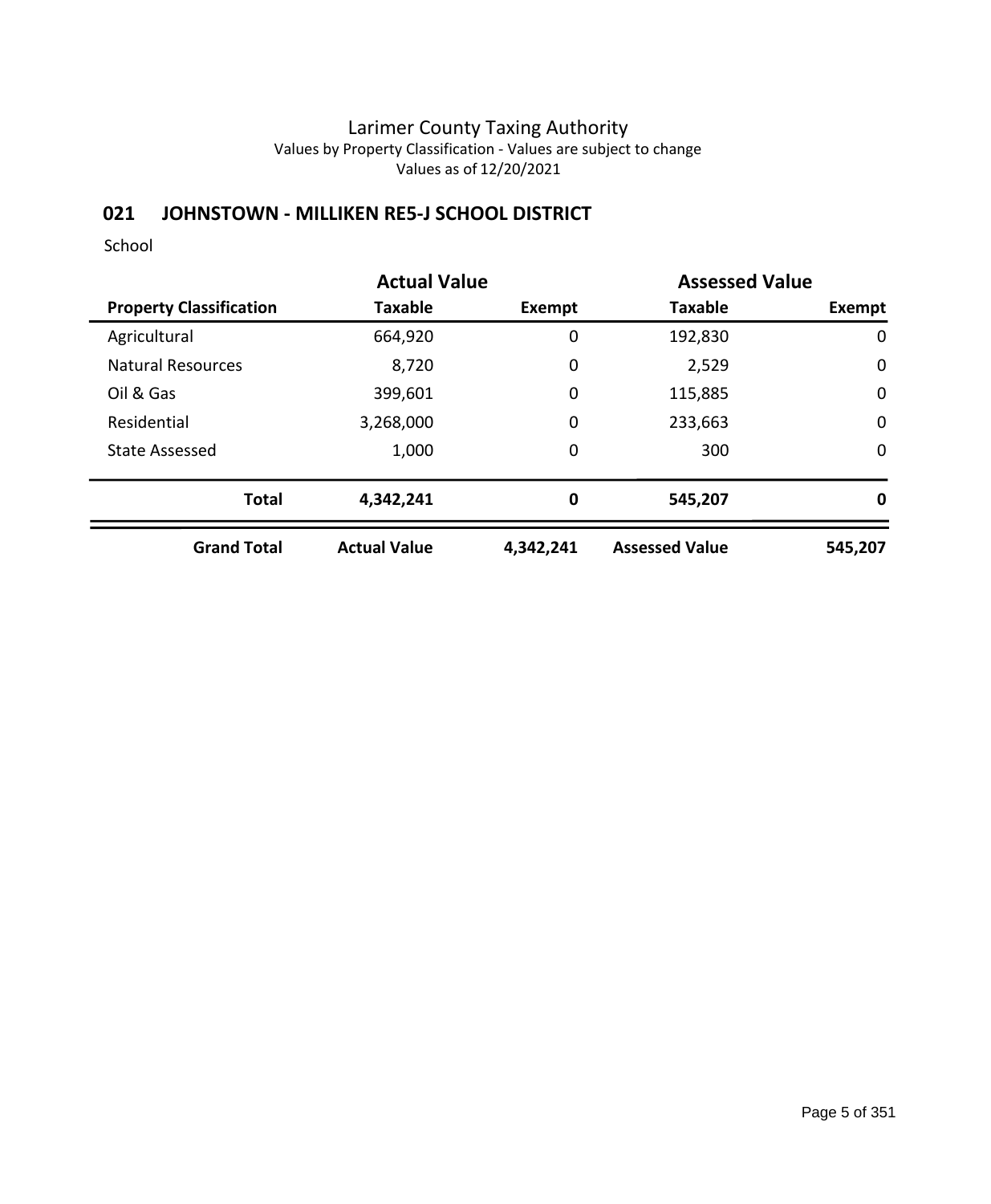# **021 JOHNSTOWN - MILLIKEN RE5-J SCHOOL DISTRICT**

|                                | <b>Actual Value</b> |               | <b>Assessed Value</b> |             |
|--------------------------------|---------------------|---------------|-----------------------|-------------|
| <b>Property Classification</b> | Taxable             | <b>Exempt</b> | <b>Taxable</b>        | Exempt      |
| Agricultural                   | 664,920             | 0             | 192,830               | 0           |
| <b>Natural Resources</b>       | 8,720               | 0             | 2,529                 | $\mathbf 0$ |
| Oil & Gas                      | 399,601             | 0             | 115,885               | $\mathbf 0$ |
| Residential                    | 3,268,000           | 0             | 233,663               | $\mathbf 0$ |
| <b>State Assessed</b>          | 1,000               | 0             | 300                   | 0           |
| <b>Total</b>                   | 4,342,241           | 0             | 545,207               | 0           |
| <b>Grand Total</b>             | <b>Actual Value</b> | 4,342,241     | <b>Assessed Value</b> | 545,207     |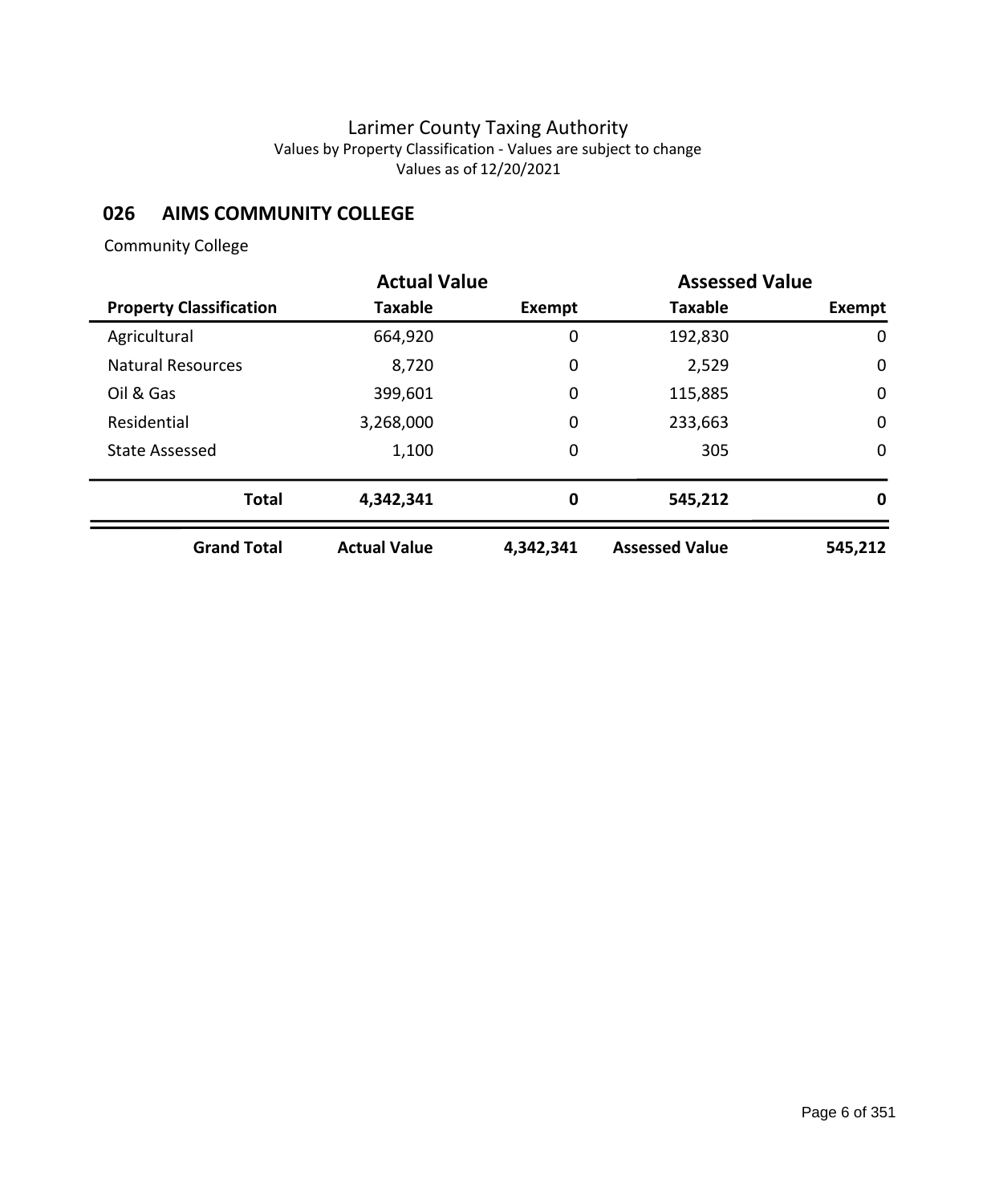## **026 AIMS COMMUNITY COLLEGE**

## Community College

|                                | <b>Actual Value</b> |           | <b>Assessed Value</b> |             |
|--------------------------------|---------------------|-----------|-----------------------|-------------|
| <b>Property Classification</b> | <b>Taxable</b>      | Exempt    | <b>Taxable</b>        | Exempt      |
| Agricultural                   | 664,920             | 0         | 192,830               | 0           |
| <b>Natural Resources</b>       | 8,720               | 0         | 2,529                 | $\mathbf 0$ |
| Oil & Gas                      | 399,601             | 0         | 115,885               | $\mathbf 0$ |
| Residential                    | 3,268,000           | 0         | 233,663               | $\mathbf 0$ |
| <b>State Assessed</b>          | 1,100               | 0         | 305                   | $\mathbf 0$ |
| <b>Total</b>                   | 4,342,341           | 0         | 545,212               | 0           |
| <b>Grand Total</b>             | <b>Actual Value</b> | 4,342,341 | <b>Assessed Value</b> | 545,212     |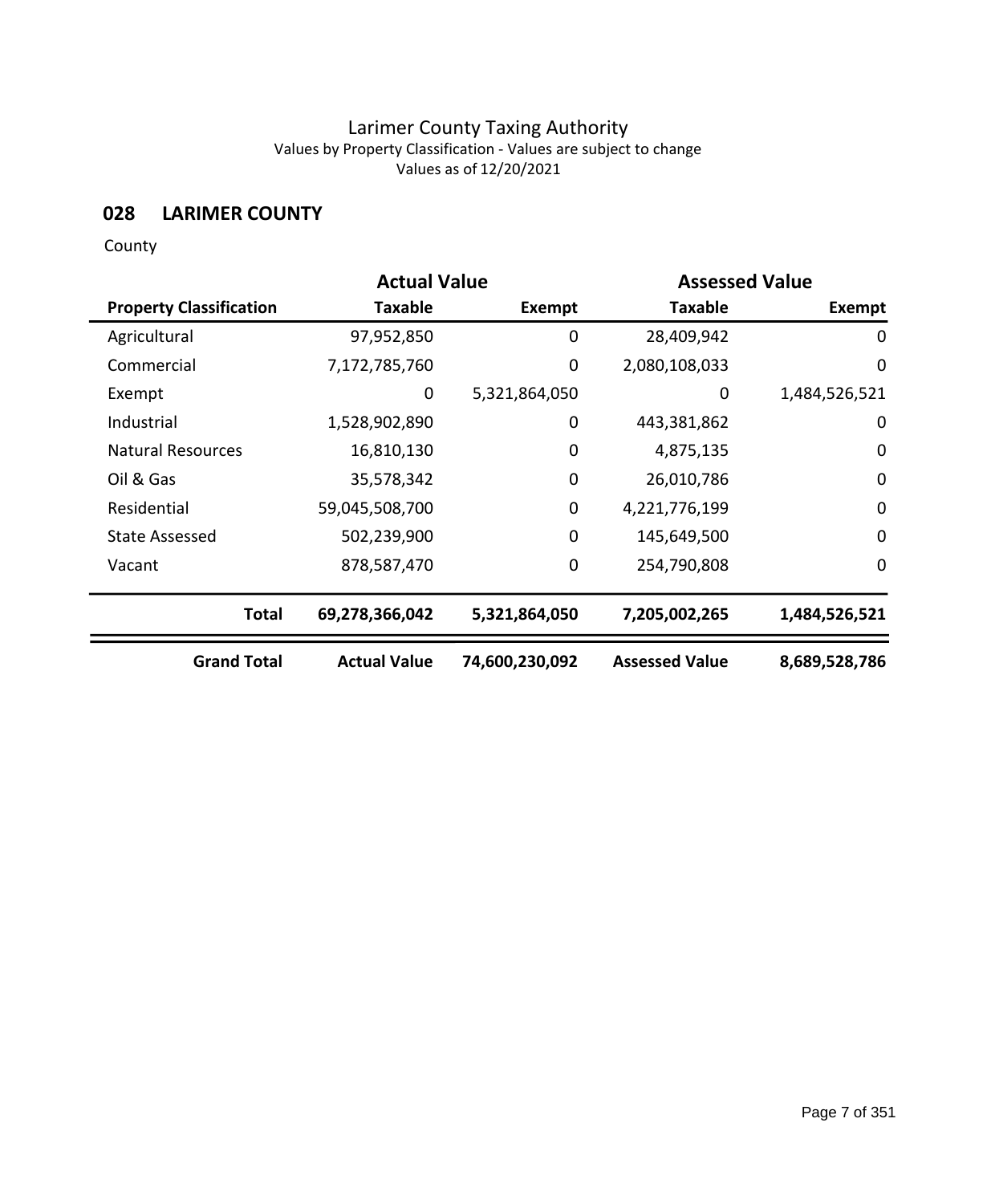# **028 LARIMER COUNTY**

County

|                                | <b>Actual Value</b> |                |                       | <b>Assessed Value</b> |  |
|--------------------------------|---------------------|----------------|-----------------------|-----------------------|--|
| <b>Property Classification</b> | <b>Taxable</b>      | Exempt         | <b>Taxable</b>        | Exempt                |  |
| Agricultural                   | 97,952,850          | $\mathbf 0$    | 28,409,942            | 0                     |  |
| Commercial                     | 7,172,785,760       | $\mathbf 0$    | 2,080,108,033         | 0                     |  |
| Exempt                         | 0                   | 5,321,864,050  | 0                     | 1,484,526,521         |  |
| Industrial                     | 1,528,902,890       | 0              | 443,381,862           | $\mathbf 0$           |  |
| <b>Natural Resources</b>       | 16,810,130          | 0              | 4,875,135             | 0                     |  |
| Oil & Gas                      | 35,578,342          | $\mathbf 0$    | 26,010,786            | $\mathbf 0$           |  |
| Residential                    | 59,045,508,700      | 0              | 4,221,776,199         | $\mathbf 0$           |  |
| <b>State Assessed</b>          | 502,239,900         | $\mathbf 0$    | 145,649,500           | 0                     |  |
| Vacant                         | 878,587,470         | $\mathbf 0$    | 254,790,808           | 0                     |  |
| <b>Total</b>                   | 69,278,366,042      | 5,321,864,050  | 7,205,002,265         | 1,484,526,521         |  |
| <b>Grand Total</b>             | <b>Actual Value</b> | 74,600,230,092 | <b>Assessed Value</b> | 8,689,528,786         |  |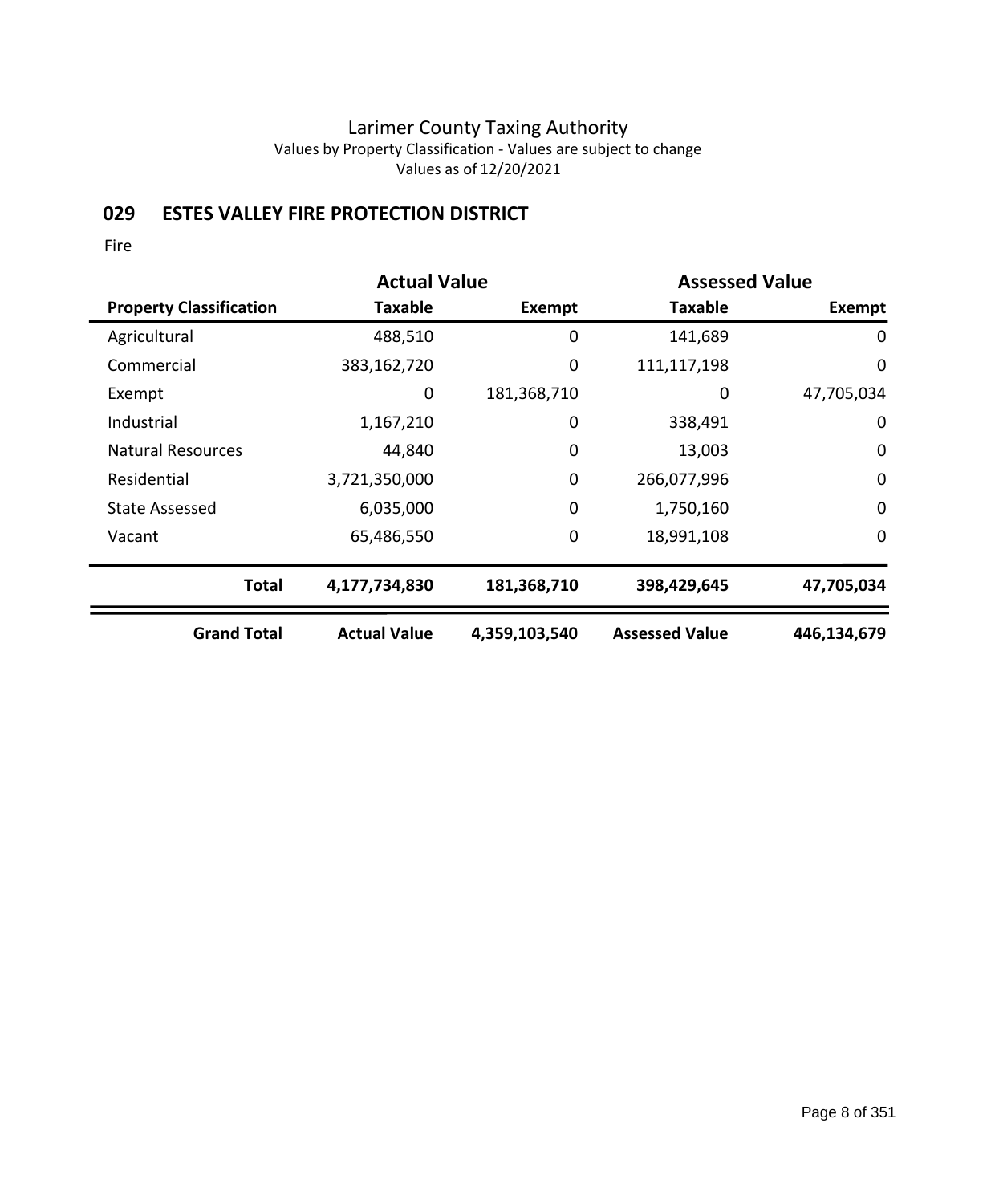# **029 ESTES VALLEY FIRE PROTECTION DISTRICT**

|                                | <b>Actual Value</b> |               |                       | <b>Assessed Value</b> |  |
|--------------------------------|---------------------|---------------|-----------------------|-----------------------|--|
| <b>Property Classification</b> | <b>Taxable</b>      | Exempt        | <b>Taxable</b>        | Exempt                |  |
| Agricultural                   | 488,510             | 0             | 141,689               | 0                     |  |
| Commercial                     | 383,162,720         | 0             | 111,117,198           | 0                     |  |
| Exempt                         | 0                   | 181,368,710   | 0                     | 47,705,034            |  |
| Industrial                     | 1,167,210           | 0             | 338,491               | 0                     |  |
| <b>Natural Resources</b>       | 44,840              | 0             | 13,003                | $\mathbf 0$           |  |
| Residential                    | 3,721,350,000       | 0             | 266,077,996           | $\mathbf 0$           |  |
| State Assessed                 | 6,035,000           | 0             | 1,750,160             | 0                     |  |
| Vacant                         | 65,486,550          | 0             | 18,991,108            | 0                     |  |
| <b>Total</b>                   | 4,177,734,830       | 181,368,710   | 398,429,645           | 47,705,034            |  |
| <b>Grand Total</b>             | <b>Actual Value</b> | 4,359,103,540 | <b>Assessed Value</b> | 446,134,679           |  |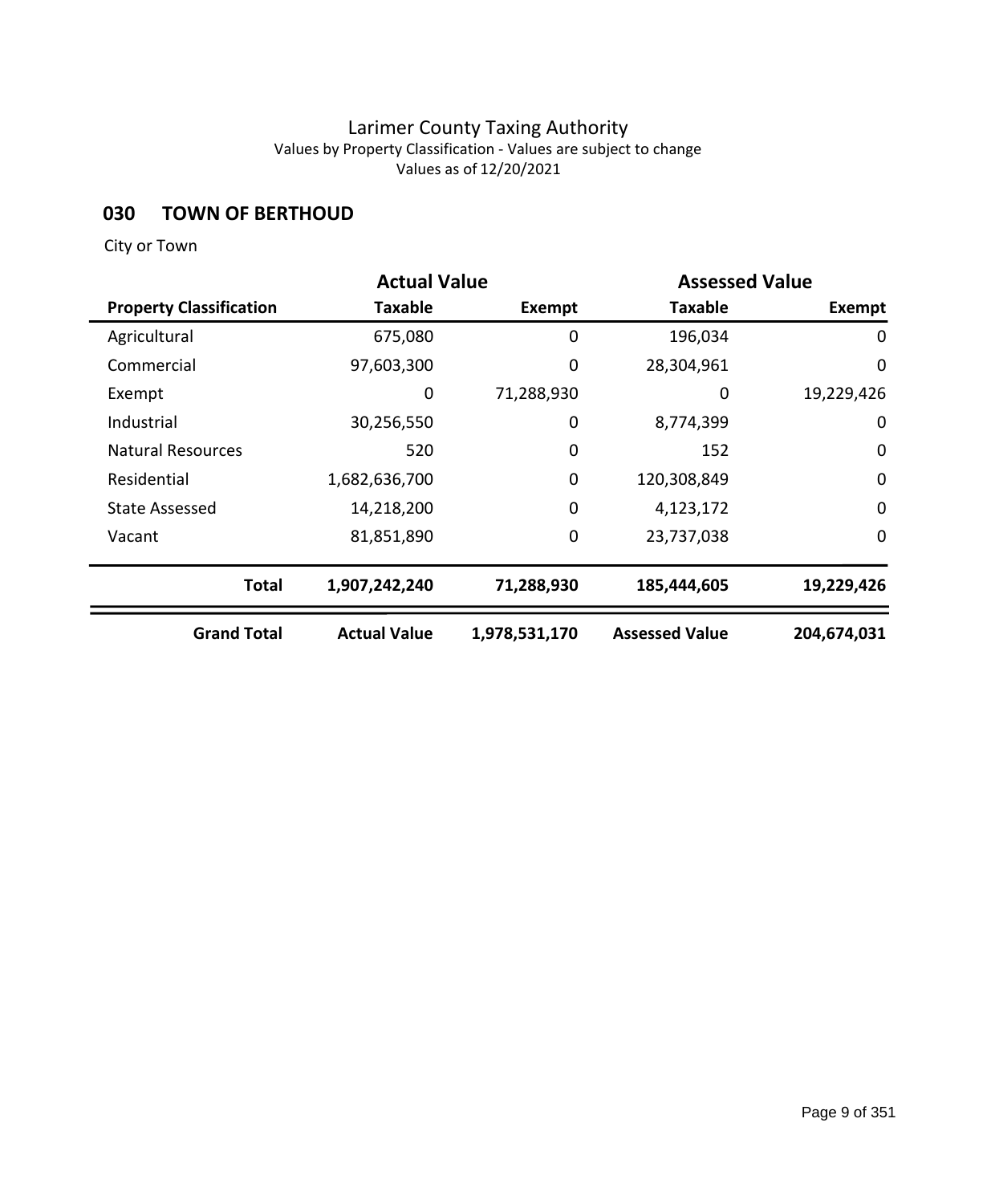## **030 TOWN OF BERTHOUD**

|                                | <b>Actual Value</b> |               | <b>Assessed Value</b> |               |
|--------------------------------|---------------------|---------------|-----------------------|---------------|
| <b>Property Classification</b> | Taxable             | <b>Exempt</b> | <b>Taxable</b>        | <b>Exempt</b> |
| Agricultural                   | 675,080             | 0             | 196,034               | 0             |
| Commercial                     | 97,603,300          | 0             | 28,304,961            | $\mathbf 0$   |
| Exempt                         | 0                   | 71,288,930    | 0                     | 19,229,426    |
| Industrial                     | 30,256,550          | 0             | 8,774,399             | 0             |
| <b>Natural Resources</b>       | 520                 | 0             | 152                   | $\mathbf 0$   |
| Residential                    | 1,682,636,700       | $\mathbf 0$   | 120,308,849           | $\mathbf 0$   |
| <b>State Assessed</b>          | 14,218,200          | $\mathbf 0$   | 4,123,172             | $\mathbf 0$   |
| Vacant                         | 81,851,890          | 0             | 23,737,038            | $\mathbf 0$   |
| <b>Total</b>                   | 1,907,242,240       | 71,288,930    | 185,444,605           | 19,229,426    |
| <b>Grand Total</b>             | <b>Actual Value</b> | 1,978,531,170 | <b>Assessed Value</b> | 204,674,031   |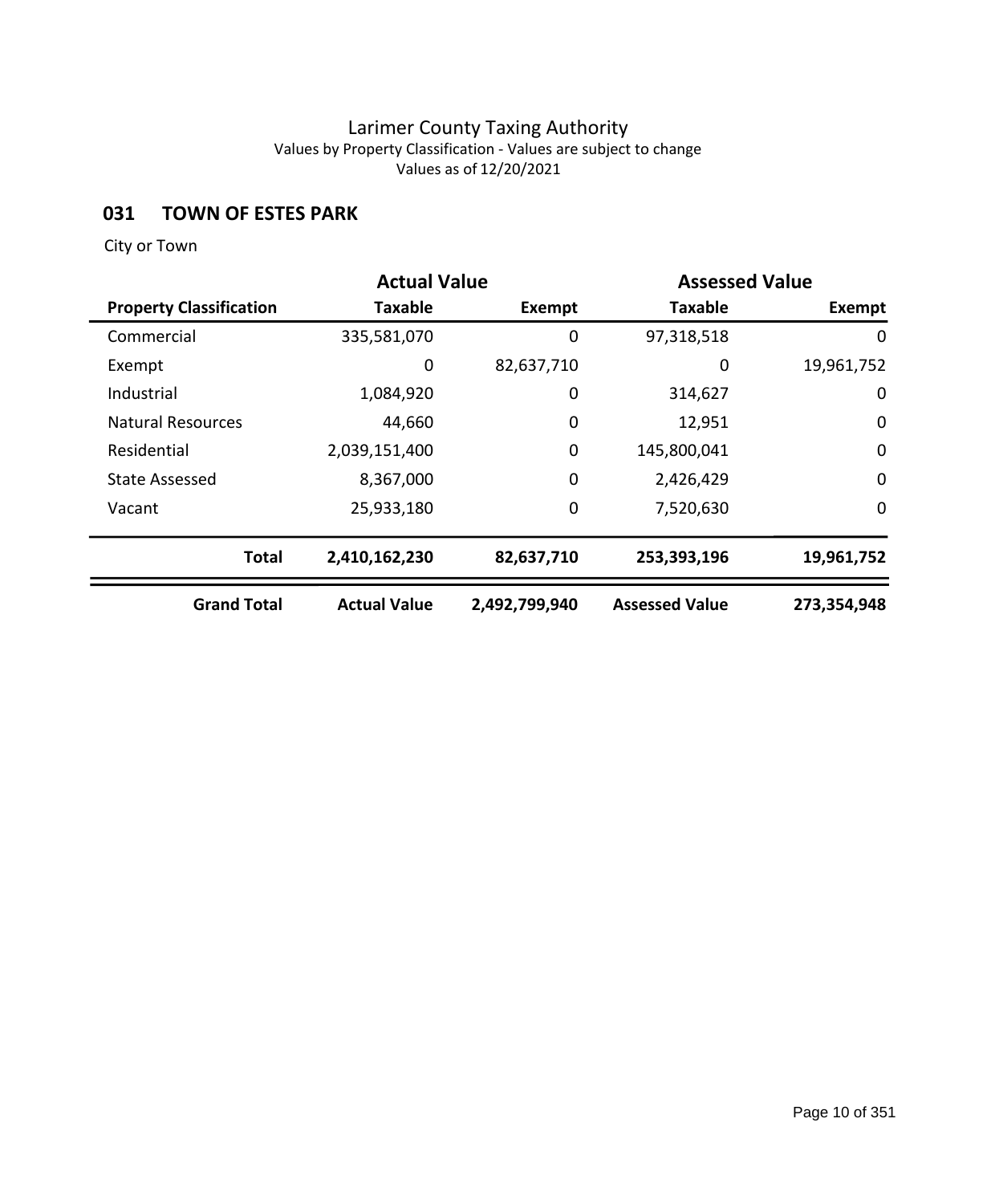## **031 TOWN OF ESTES PARK**

|                                |                     | <b>Actual Value</b><br><b>Assessed Value</b> |                       |             |
|--------------------------------|---------------------|----------------------------------------------|-----------------------|-------------|
| <b>Property Classification</b> | <b>Taxable</b>      | Exempt                                       | Taxable               | Exempt      |
| Commercial                     | 335,581,070         | 0                                            | 97,318,518            | 0           |
| Exempt                         | 0                   | 82,637,710                                   | 0                     | 19,961,752  |
| Industrial                     | 1,084,920           | 0                                            | 314,627               | 0           |
| <b>Natural Resources</b>       | 44,660              | 0                                            | 12,951                | $\mathbf 0$ |
| Residential                    | 2,039,151,400       | 0                                            | 145,800,041           | $\mathbf 0$ |
| <b>State Assessed</b>          | 8,367,000           | 0                                            | 2,426,429             | $\mathbf 0$ |
| Vacant                         | 25,933,180          | $\mathbf 0$                                  | 7,520,630             | $\mathbf 0$ |
| <b>Total</b>                   | 2,410,162,230       | 82,637,710                                   | 253,393,196           | 19,961,752  |
| <b>Grand Total</b>             | <b>Actual Value</b> | 2,492,799,940                                | <b>Assessed Value</b> | 273,354,948 |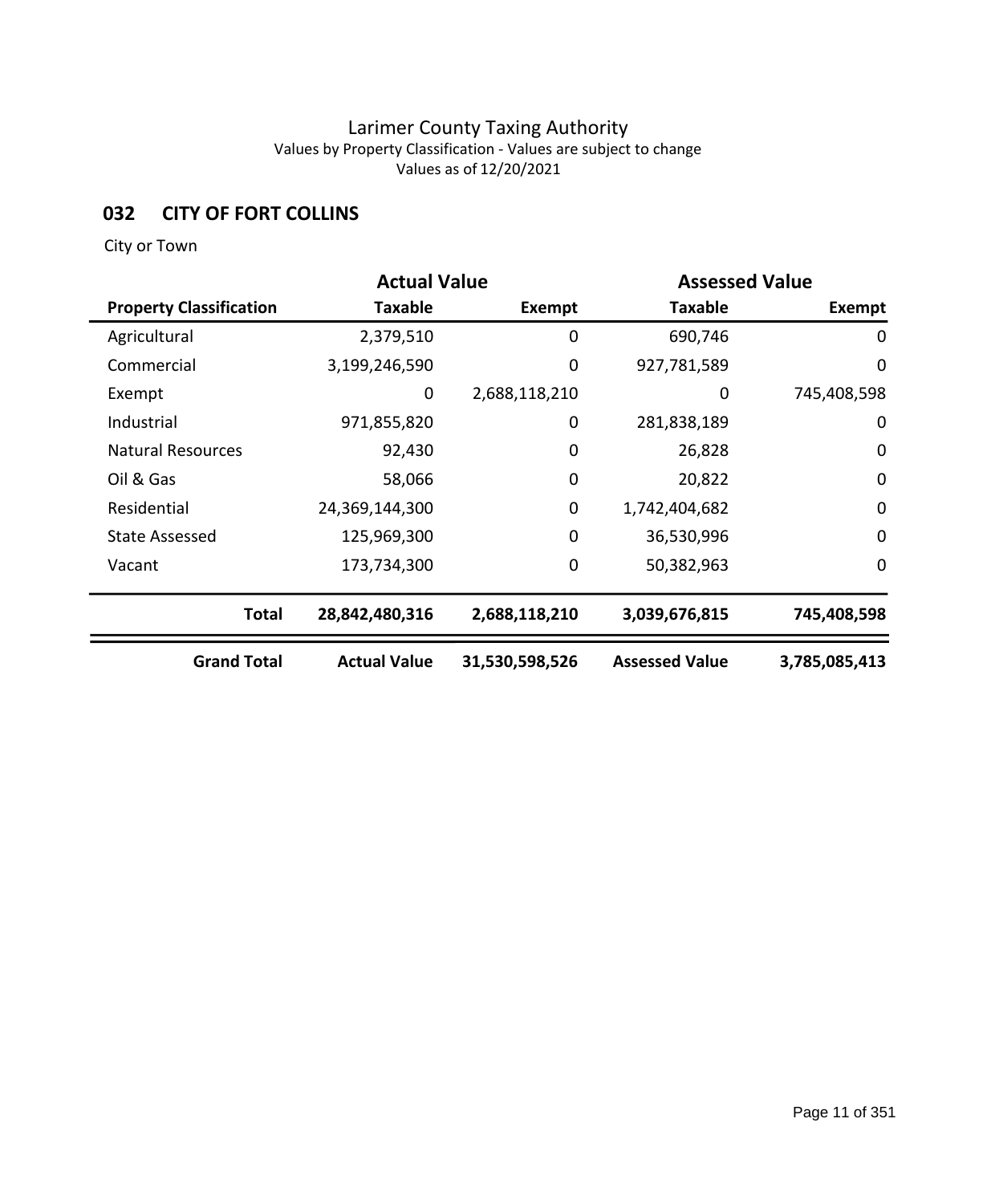## **032 CITY OF FORT COLLINS**

|                                | <b>Actual Value</b> |                | <b>Assessed Value</b> |               |
|--------------------------------|---------------------|----------------|-----------------------|---------------|
| <b>Property Classification</b> | <b>Taxable</b>      | Exempt         | <b>Taxable</b>        | <b>Exempt</b> |
| Agricultural                   | 2,379,510           | 0              | 690,746               | 0             |
| Commercial                     | 3,199,246,590       | $\mathbf 0$    | 927,781,589           | 0             |
| Exempt                         | 0                   | 2,688,118,210  | 0                     | 745,408,598   |
| Industrial                     | 971,855,820         | $\mathbf 0$    | 281,838,189           | 0             |
| <b>Natural Resources</b>       | 92,430              | 0              | 26,828                | 0             |
| Oil & Gas                      | 58,066              | $\mathbf 0$    | 20,822                | $\mathbf 0$   |
| Residential                    | 24,369,144,300      | 0              | 1,742,404,682         | $\mathbf 0$   |
| <b>State Assessed</b>          | 125,969,300         | $\mathbf 0$    | 36,530,996            | 0             |
| Vacant                         | 173,734,300         | $\mathbf 0$    | 50,382,963            | 0             |
| <b>Total</b>                   | 28,842,480,316      | 2,688,118,210  | 3,039,676,815         | 745,408,598   |
| <b>Grand Total</b>             | <b>Actual Value</b> | 31,530,598,526 | <b>Assessed Value</b> | 3,785,085,413 |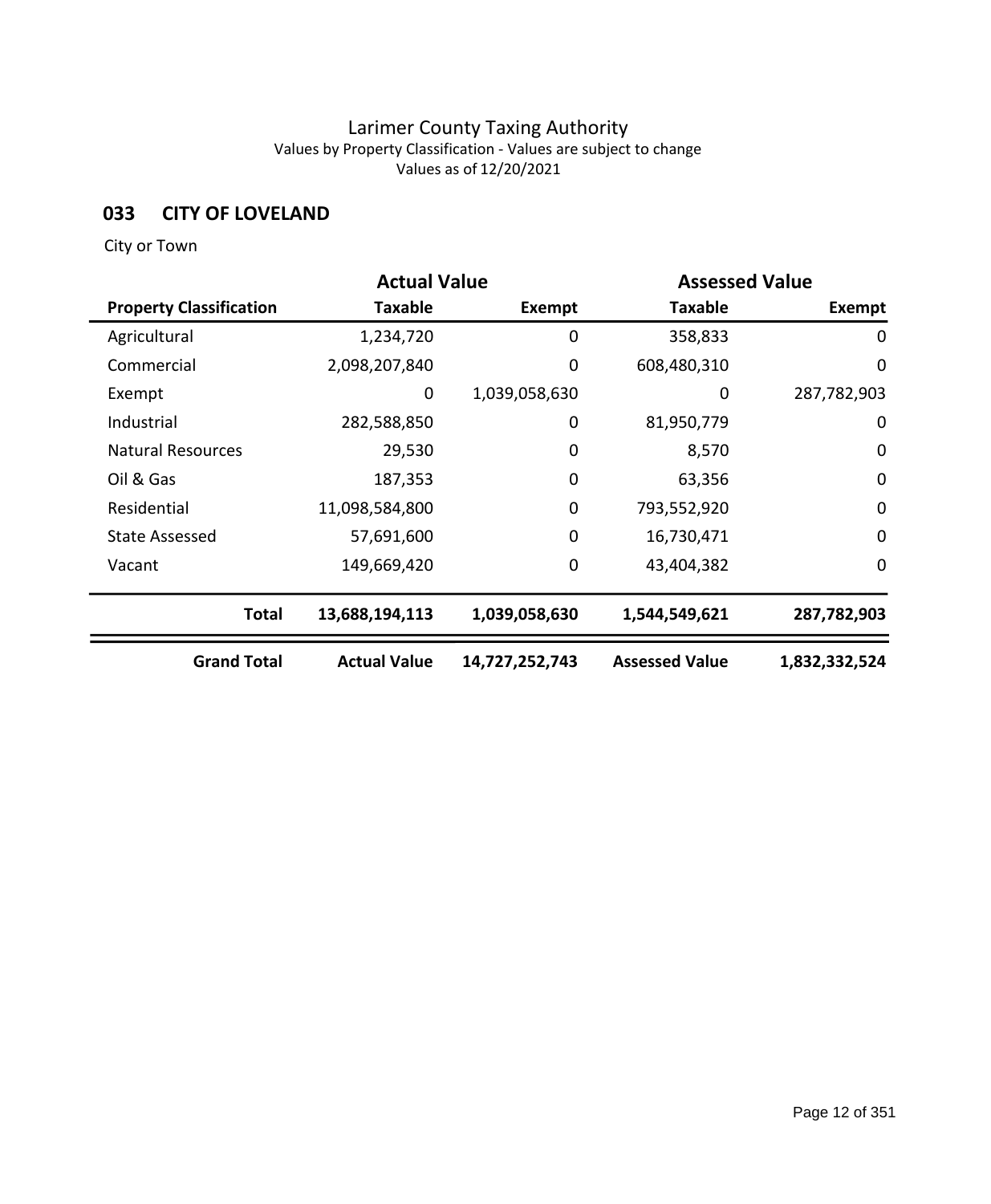## **033 CITY OF LOVELAND**

|                                |                     | <b>Actual Value</b><br><b>Assessed Value</b> |                       |               |
|--------------------------------|---------------------|----------------------------------------------|-----------------------|---------------|
| <b>Property Classification</b> | <b>Taxable</b>      | Exempt                                       | <b>Taxable</b>        | Exempt        |
| Agricultural                   | 1,234,720           | 0                                            | 358,833               | 0             |
| Commercial                     | 2,098,207,840       | 0                                            | 608,480,310           | $\mathbf 0$   |
| Exempt                         | 0                   | 1,039,058,630                                | 0                     | 287,782,903   |
| Industrial                     | 282,588,850         | $\mathbf 0$                                  | 81,950,779            | 0             |
| <b>Natural Resources</b>       | 29,530              | 0                                            | 8,570                 | 0             |
| Oil & Gas                      | 187,353             | $\mathbf 0$                                  | 63,356                | $\mathbf 0$   |
| Residential                    | 11,098,584,800      | $\mathbf 0$                                  | 793,552,920           | $\mathbf 0$   |
| <b>State Assessed</b>          | 57,691,600          | $\mathbf 0$                                  | 16,730,471            | 0             |
| Vacant                         | 149,669,420         | 0                                            | 43,404,382            | 0             |
| <b>Total</b>                   | 13,688,194,113      | 1,039,058,630                                | 1,544,549,621         | 287,782,903   |
| <b>Grand Total</b>             | <b>Actual Value</b> | 14,727,252,743                               | <b>Assessed Value</b> | 1,832,332,524 |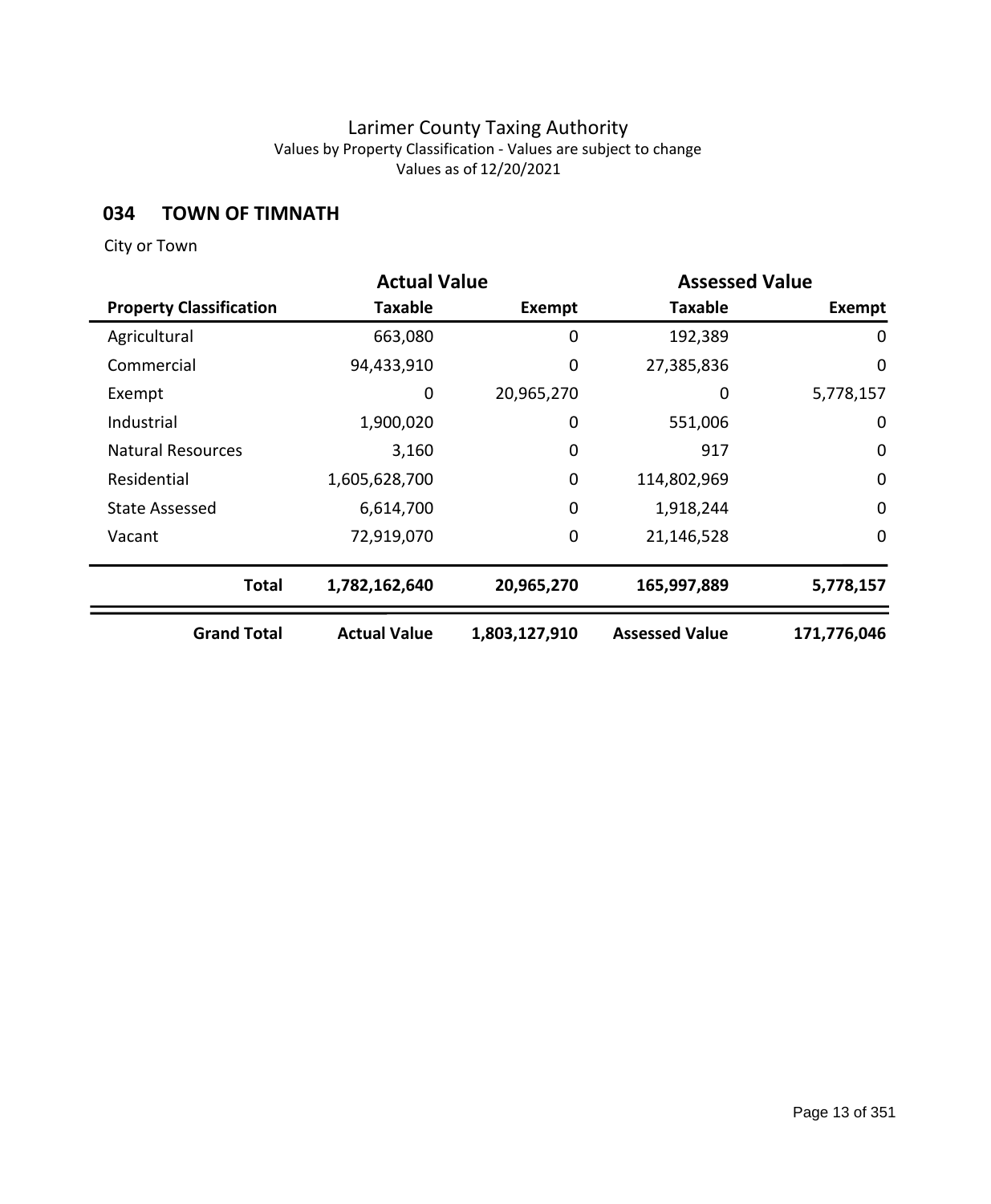# **034 TOWN OF TIMNATH**

|                                | <b>Actual Value</b> |               | <b>Assessed Value</b> |             |
|--------------------------------|---------------------|---------------|-----------------------|-------------|
| <b>Property Classification</b> | Taxable             | Exempt        | Taxable               | Exempt      |
| Agricultural                   | 663,080             | 0             | 192,389               | 0           |
| Commercial                     | 94,433,910          | 0             | 27,385,836            | $\mathbf 0$ |
| Exempt                         | 0                   | 20,965,270    | 0                     | 5,778,157   |
| Industrial                     | 1,900,020           | 0             | 551,006               | 0           |
| <b>Natural Resources</b>       | 3,160               | 0             | 917                   | $\mathbf 0$ |
| Residential                    | 1,605,628,700       | $\mathbf 0$   | 114,802,969           | $\mathbf 0$ |
| State Assessed                 | 6,614,700           | $\mathbf 0$   | 1,918,244             | $\mathbf 0$ |
| Vacant                         | 72,919,070          | 0             | 21,146,528            | $\mathbf 0$ |
| <b>Total</b>                   | 1,782,162,640       | 20,965,270    | 165,997,889           | 5,778,157   |
| <b>Grand Total</b>             | <b>Actual Value</b> | 1,803,127,910 | <b>Assessed Value</b> | 171,776,046 |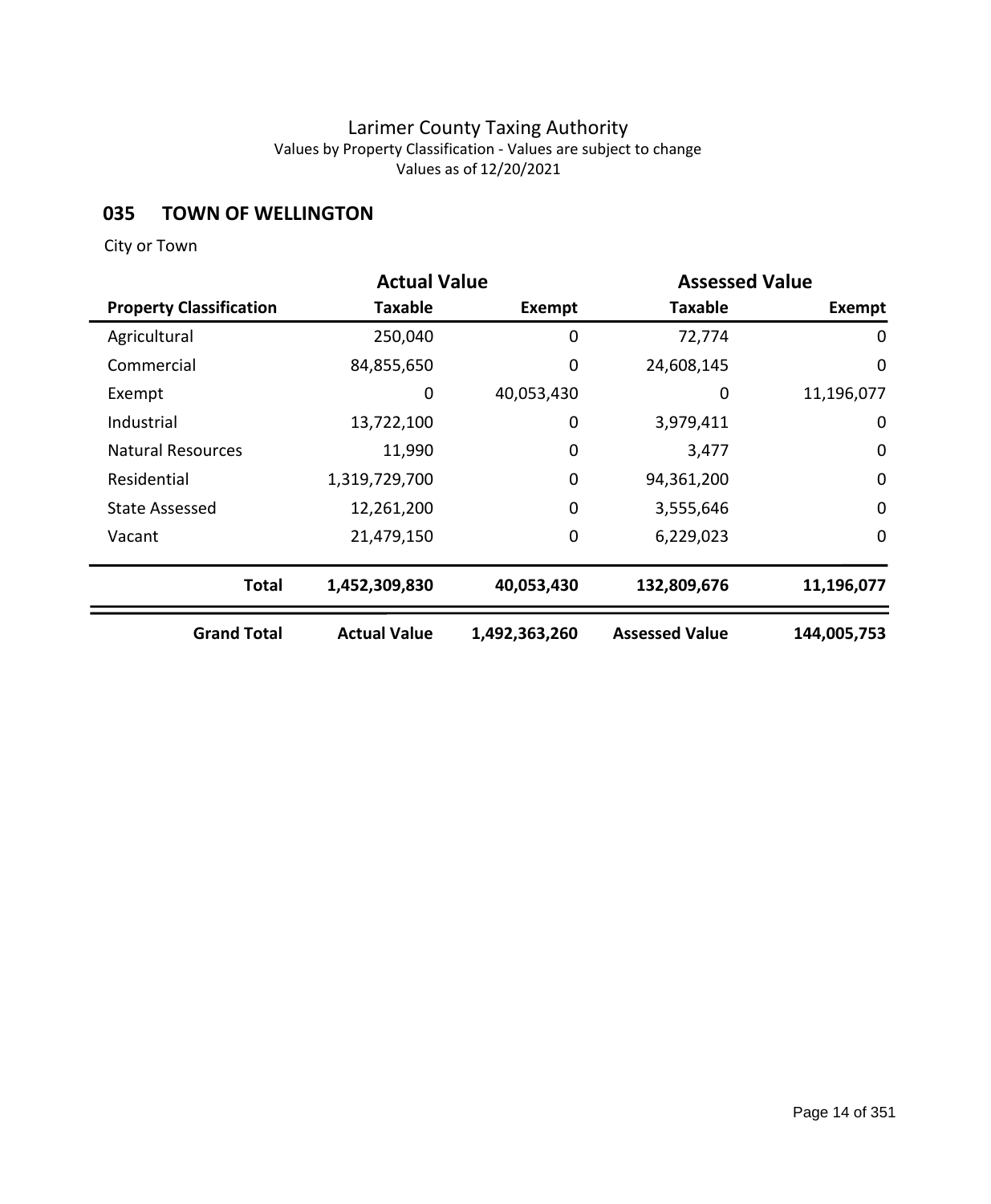# **035 TOWN OF WELLINGTON**

|                                | <b>Actual Value</b> |               |                       | <b>Assessed Value</b> |  |
|--------------------------------|---------------------|---------------|-----------------------|-----------------------|--|
| <b>Property Classification</b> | Taxable             | <b>Exempt</b> | <b>Taxable</b>        | <b>Exempt</b>         |  |
| Agricultural                   | 250,040             | 0             | 72,774                | 0                     |  |
| Commercial                     | 84,855,650          | 0             | 24,608,145            | $\mathbf 0$           |  |
| Exempt                         | 0                   | 40,053,430    | 0                     | 11,196,077            |  |
| Industrial                     | 13,722,100          | 0             | 3,979,411             | 0                     |  |
| <b>Natural Resources</b>       | 11,990              | 0             | 3,477                 | $\mathbf 0$           |  |
| Residential                    | 1,319,729,700       | $\mathbf 0$   | 94,361,200            | $\mathbf 0$           |  |
| <b>State Assessed</b>          | 12,261,200          | $\mathbf 0$   | 3,555,646             | $\mathbf 0$           |  |
| Vacant                         | 21,479,150          | 0             | 6,229,023             | $\mathbf 0$           |  |
| <b>Total</b>                   | 1,452,309,830       | 40,053,430    | 132,809,676           | 11,196,077            |  |
| <b>Grand Total</b>             | <b>Actual Value</b> | 1,492,363,260 | <b>Assessed Value</b> | 144,005,753           |  |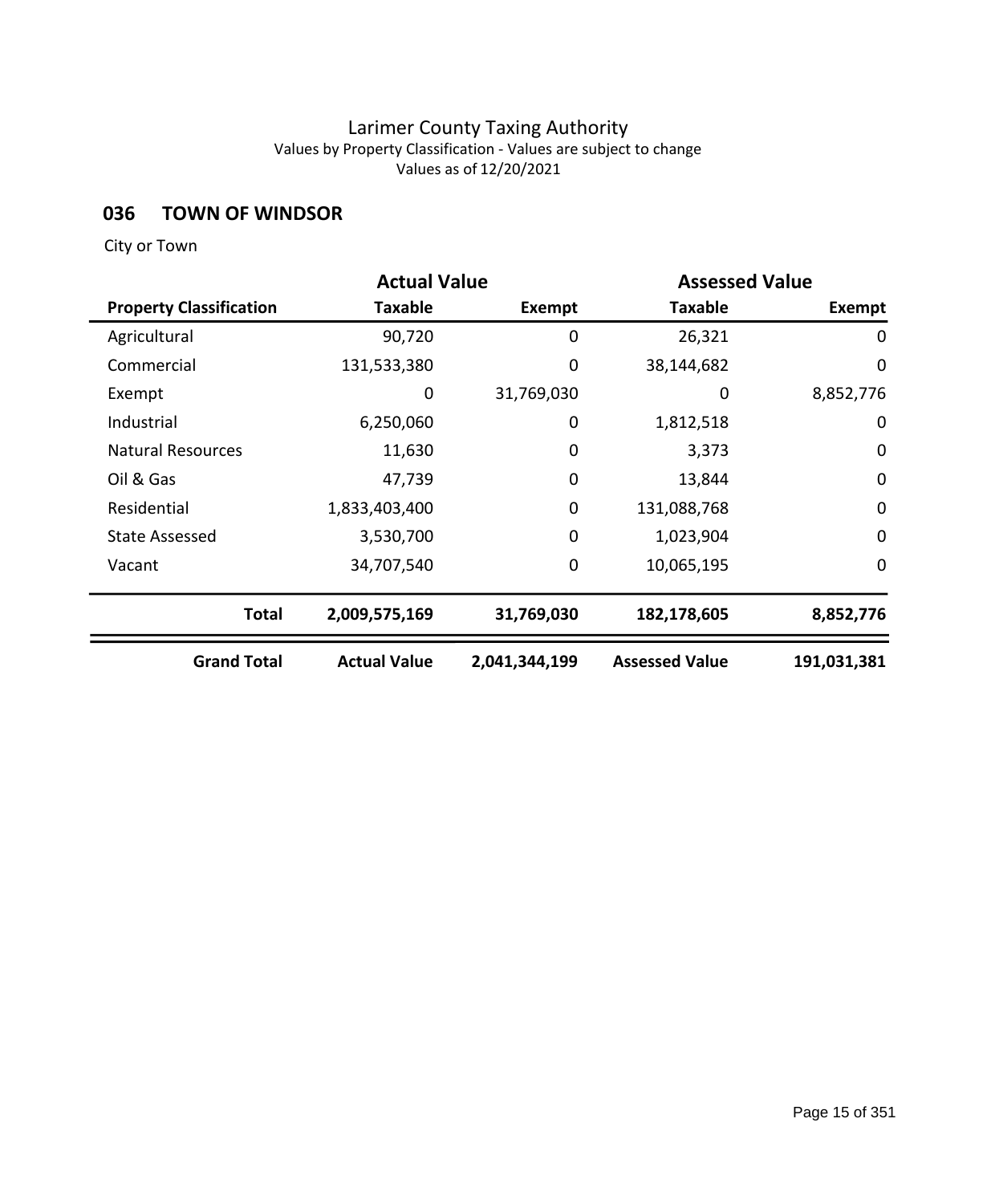## **036 TOWN OF WINDSOR**

|                                | <b>Actual Value</b> |               | <b>Assessed Value</b> |               |
|--------------------------------|---------------------|---------------|-----------------------|---------------|
| <b>Property Classification</b> | <b>Taxable</b>      | Exempt        | <b>Taxable</b>        | <b>Exempt</b> |
| Agricultural                   | 90,720              | 0             | 26,321                | 0             |
| Commercial                     | 131,533,380         | 0             | 38,144,682            | $\mathbf 0$   |
| Exempt                         | 0                   | 31,769,030    | 0                     | 8,852,776     |
| Industrial                     | 6,250,060           | 0             | 1,812,518             | $\mathbf 0$   |
| <b>Natural Resources</b>       | 11,630              | $\mathbf 0$   | 3,373                 | 0             |
| Oil & Gas                      | 47,739              | $\mathbf 0$   | 13,844                | $\mathbf 0$   |
| Residential                    | 1,833,403,400       | $\mathbf 0$   | 131,088,768           | $\mathbf 0$   |
| <b>State Assessed</b>          | 3,530,700           | $\mathbf 0$   | 1,023,904             | 0             |
| Vacant                         | 34,707,540          | $\mathbf 0$   | 10,065,195            | $\mathbf 0$   |
| <b>Total</b>                   | 2,009,575,169       | 31,769,030    | 182,178,605           | 8,852,776     |
| <b>Grand Total</b>             | <b>Actual Value</b> | 2,041,344,199 | <b>Assessed Value</b> | 191,031,381   |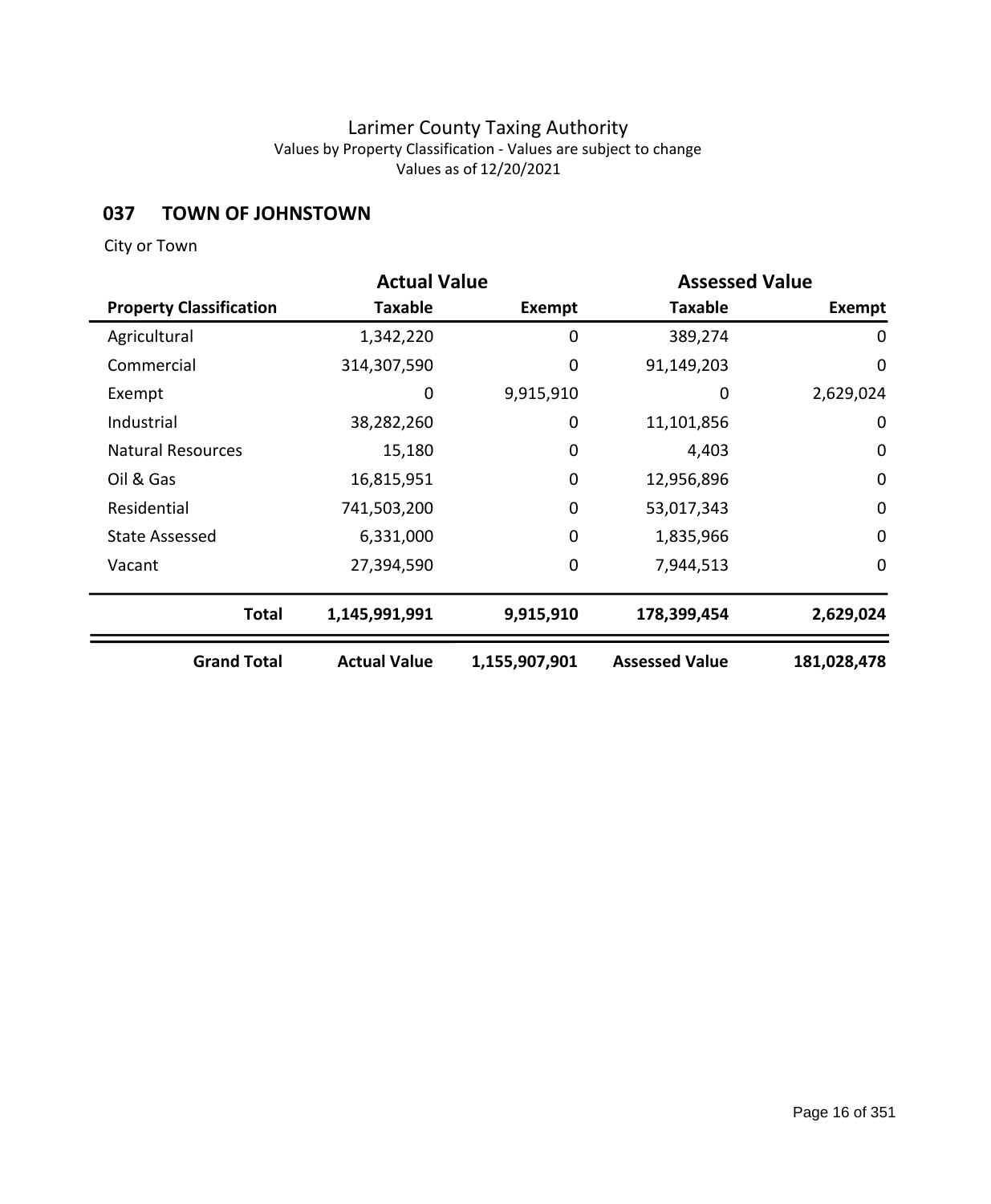## **037 TOWN OF JOHNSTOWN**

|                                | <b>Actual Value</b> |               | <b>Assessed Value</b> |               |
|--------------------------------|---------------------|---------------|-----------------------|---------------|
| <b>Property Classification</b> | <b>Taxable</b>      | Exempt        | <b>Taxable</b>        | <b>Exempt</b> |
| Agricultural                   | 1,342,220           | 0             | 389,274               | $\mathbf 0$   |
| Commercial                     | 314,307,590         | 0             | 91,149,203            | $\mathbf 0$   |
| Exempt                         | 0                   | 9,915,910     | 0                     | 2,629,024     |
| Industrial                     | 38,282,260          | 0             | 11,101,856            | $\mathbf 0$   |
| <b>Natural Resources</b>       | 15,180              | $\mathbf 0$   | 4,403                 | $\mathbf 0$   |
| Oil & Gas                      | 16,815,951          | $\mathbf 0$   | 12,956,896            | $\mathbf 0$   |
| Residential                    | 741,503,200         | 0             | 53,017,343            | $\mathbf 0$   |
| <b>State Assessed</b>          | 6,331,000           | $\mathbf 0$   | 1,835,966             | $\mathbf 0$   |
| Vacant                         | 27,394,590          | 0             | 7,944,513             | $\mathbf 0$   |
| <b>Total</b>                   | 1,145,991,991       | 9,915,910     | 178,399,454           | 2,629,024     |
| <b>Grand Total</b>             | <b>Actual Value</b> | 1,155,907,901 | <b>Assessed Value</b> | 181,028,478   |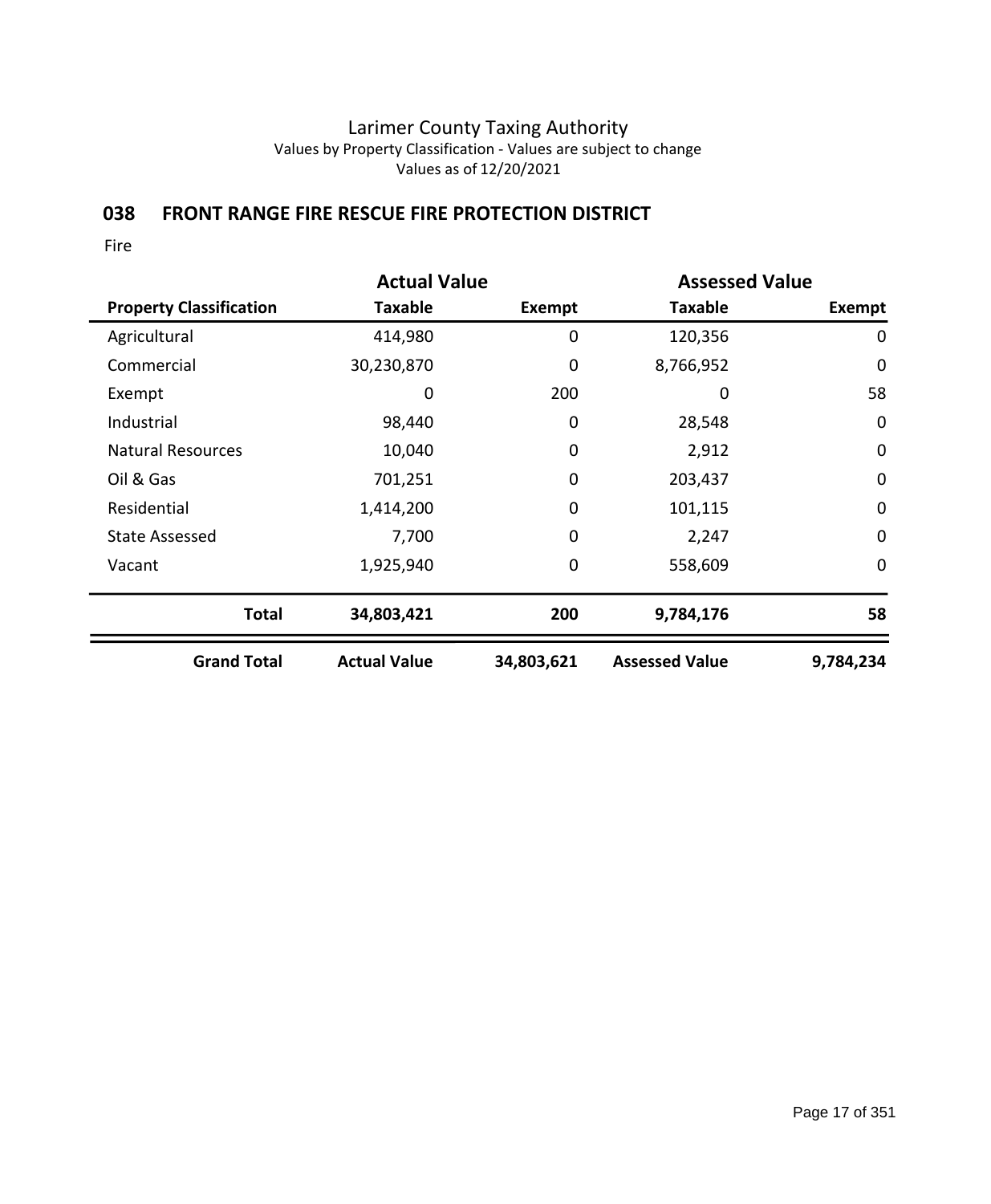# **038 FRONT RANGE FIRE RESCUE FIRE PROTECTION DISTRICT**

|                                | <b>Actual Value</b> |             | <b>Assessed Value</b> |               |
|--------------------------------|---------------------|-------------|-----------------------|---------------|
| <b>Property Classification</b> | Taxable             | Exempt      | <b>Taxable</b>        | <b>Exempt</b> |
| Agricultural                   | 414,980             | 0           | 120,356               | $\mathbf 0$   |
| Commercial                     | 30,230,870          | 0           | 8,766,952             | $\mathbf 0$   |
| Exempt                         | 0                   | 200         | 0                     | 58            |
| Industrial                     | 98,440              | 0           | 28,548                | $\mathbf 0$   |
| <b>Natural Resources</b>       | 10,040              | 0           | 2,912                 | $\mathbf 0$   |
| Oil & Gas                      | 701,251             | $\mathbf 0$ | 203,437               | $\mathbf 0$   |
| Residential                    | 1,414,200           | 0           | 101,115               | $\mathbf 0$   |
| <b>State Assessed</b>          | 7,700               | 0           | 2,247                 | $\mathbf 0$   |
| Vacant                         | 1,925,940           | 0           | 558,609               | 0             |
| <b>Total</b>                   | 34,803,421          | 200         | 9,784,176             | 58            |
| <b>Grand Total</b>             | <b>Actual Value</b> | 34,803,621  | <b>Assessed Value</b> | 9,784,234     |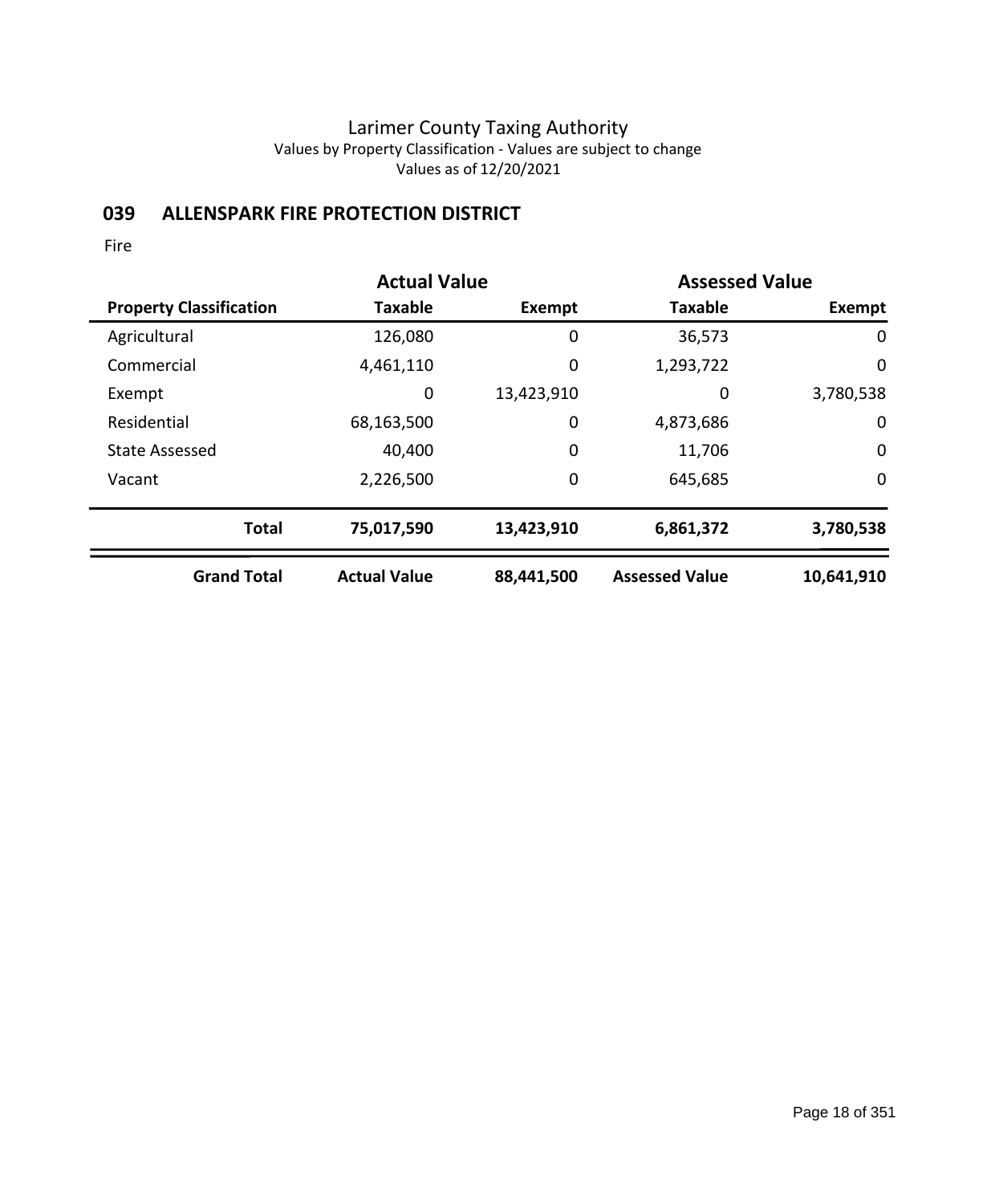# **039 ALLENSPARK FIRE PROTECTION DISTRICT**

|                                | <b>Actual Value</b> |               | <b>Assessed Value</b> |             |
|--------------------------------|---------------------|---------------|-----------------------|-------------|
| <b>Property Classification</b> | <b>Taxable</b>      | <b>Exempt</b> | <b>Taxable</b>        | Exempt      |
| Agricultural                   | 126,080             | $\mathbf 0$   | 36,573                | 0           |
| Commercial                     | 4,461,110           | $\mathbf 0$   | 1,293,722             | 0           |
| Exempt                         | 0                   | 13,423,910    | 0                     | 3,780,538   |
| Residential                    | 68,163,500          | $\mathbf 0$   | 4,873,686             | 0           |
| <b>State Assessed</b>          | 40,400              | $\mathbf 0$   | 11,706                | $\mathbf 0$ |
| Vacant                         | 2,226,500           | $\mathbf 0$   | 645,685               | $\mathbf 0$ |
| <b>Total</b>                   | 75,017,590          | 13,423,910    | 6,861,372             | 3,780,538   |
| <b>Grand Total</b>             | <b>Actual Value</b> | 88,441,500    | <b>Assessed Value</b> | 10,641,910  |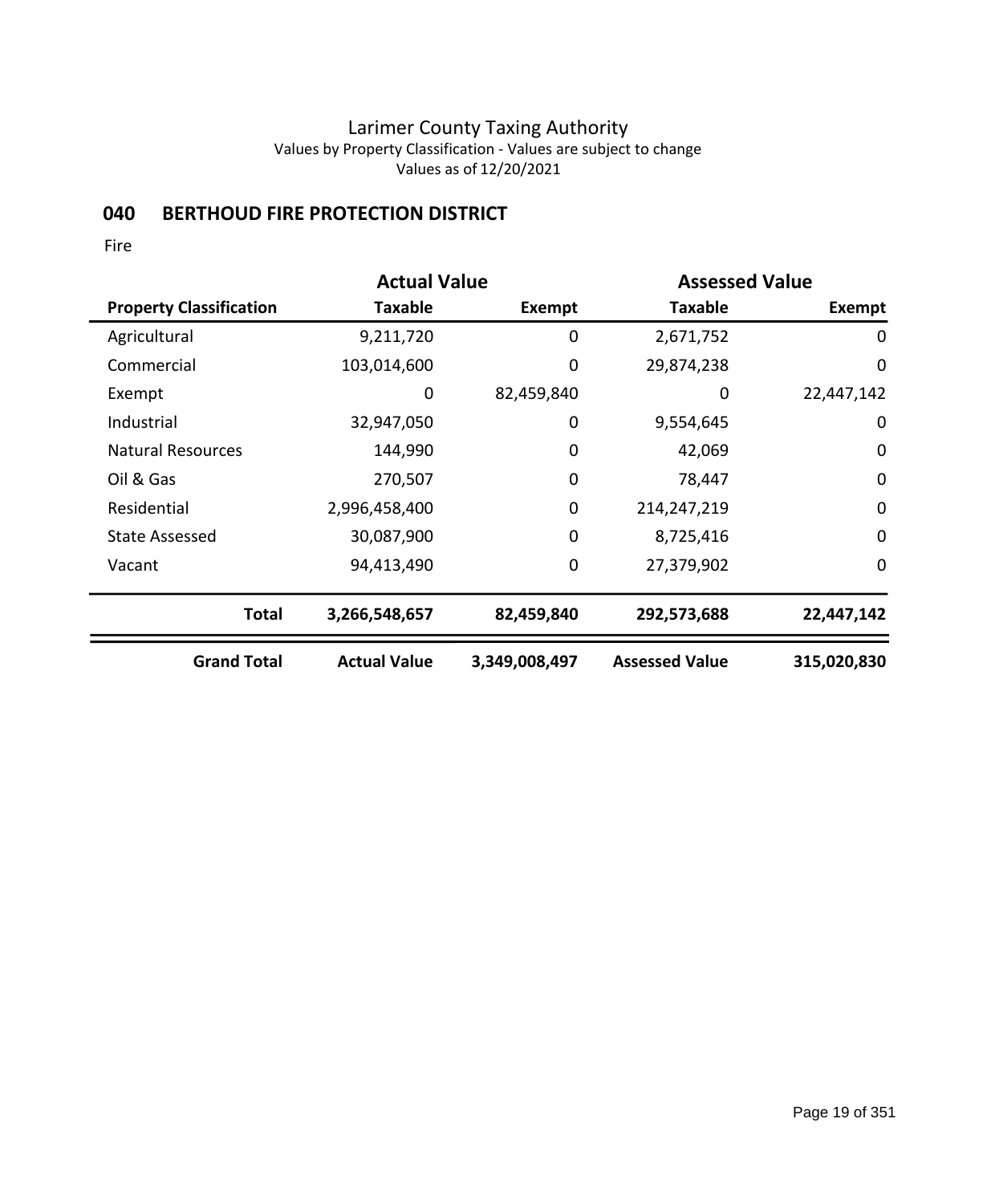# **040 BERTHOUD FIRE PROTECTION DISTRICT**

|                                | <b>Actual Value</b> |               |                       | <b>Assessed Value</b> |  |
|--------------------------------|---------------------|---------------|-----------------------|-----------------------|--|
| <b>Property Classification</b> | Taxable             | Exempt        | <b>Taxable</b>        | Exempt                |  |
| Agricultural                   | 9,211,720           | 0             | 2,671,752             | 0                     |  |
| Commercial                     | 103,014,600         | 0             | 29,874,238            | $\mathbf 0$           |  |
| Exempt                         | 0                   | 82,459,840    | 0                     | 22,447,142            |  |
| Industrial                     | 32,947,050          | 0             | 9,554,645             | $\mathbf 0$           |  |
| <b>Natural Resources</b>       | 144,990             | 0             | 42,069                | $\mathbf 0$           |  |
| Oil & Gas                      | 270,507             | $\mathbf 0$   | 78,447                | $\mathbf 0$           |  |
| Residential                    | 2,996,458,400       | $\mathbf 0$   | 214,247,219           | $\mathbf 0$           |  |
| <b>State Assessed</b>          | 30,087,900          | $\mathbf 0$   | 8,725,416             | $\mathbf 0$           |  |
| Vacant                         | 94,413,490          | 0             | 27,379,902            | $\mathbf 0$           |  |
| <b>Total</b>                   | 3,266,548,657       | 82,459,840    | 292,573,688           | 22,447,142            |  |
| <b>Grand Total</b>             | <b>Actual Value</b> | 3,349,008,497 | <b>Assessed Value</b> | 315,020,830           |  |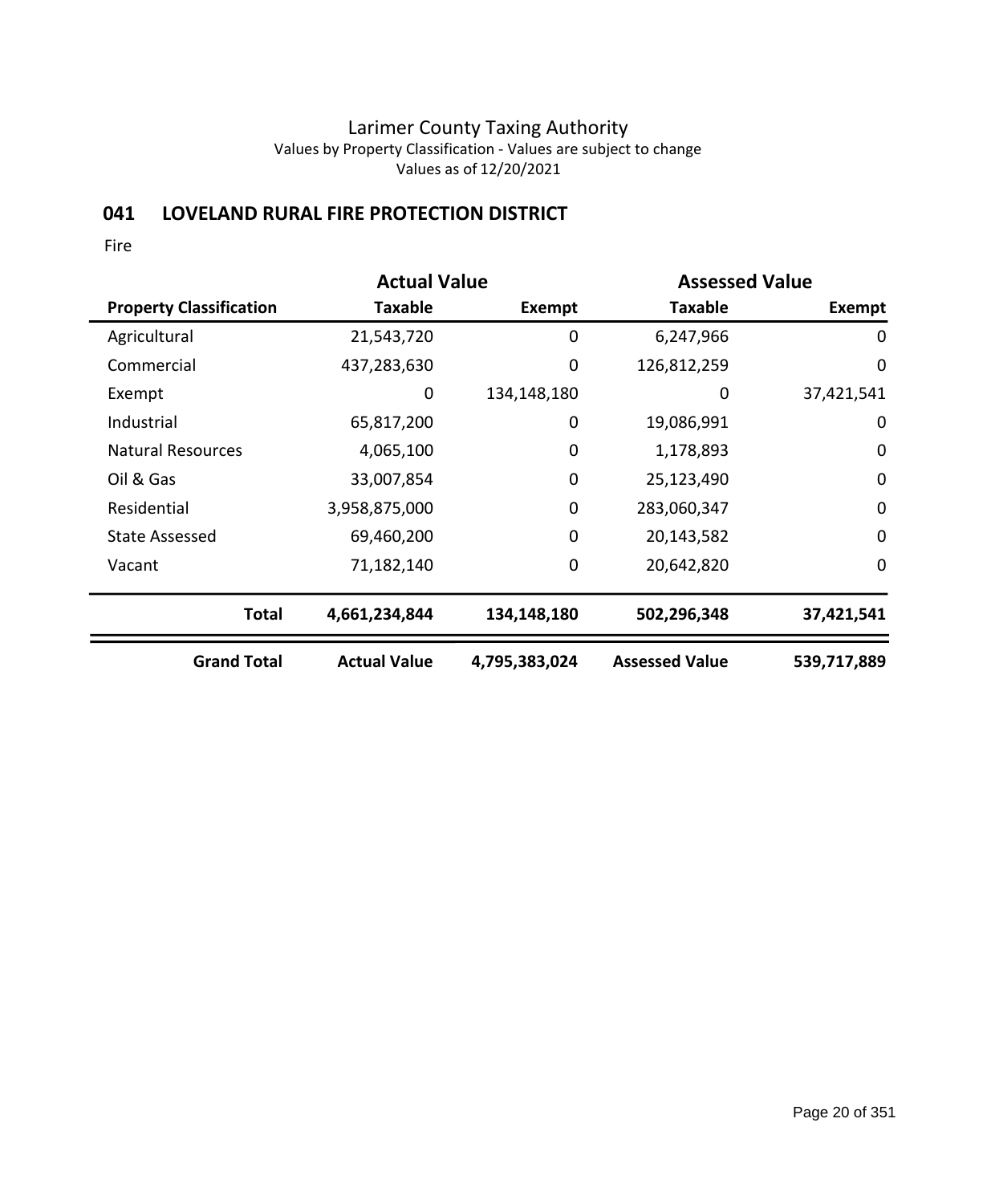# **041 LOVELAND RURAL FIRE PROTECTION DISTRICT**

|                                | <b>Actual Value</b> |               |                       | <b>Assessed Value</b> |  |
|--------------------------------|---------------------|---------------|-----------------------|-----------------------|--|
| <b>Property Classification</b> | Taxable             | Exempt        | <b>Taxable</b>        | <b>Exempt</b>         |  |
| Agricultural                   | 21,543,720          | 0             | 6,247,966             | 0                     |  |
| Commercial                     | 437,283,630         | 0             | 126,812,259           | $\mathbf 0$           |  |
| Exempt                         | 0                   | 134,148,180   | 0                     | 37,421,541            |  |
| Industrial                     | 65,817,200          | 0             | 19,086,991            | $\mathbf 0$           |  |
| <b>Natural Resources</b>       | 4,065,100           | $\mathbf 0$   | 1,178,893             | $\mathbf 0$           |  |
| Oil & Gas                      | 33,007,854          | $\mathbf 0$   | 25,123,490            | $\mathbf 0$           |  |
| Residential                    | 3,958,875,000       | 0             | 283,060,347           | $\mathbf 0$           |  |
| <b>State Assessed</b>          | 69,460,200          | $\mathbf 0$   | 20,143,582            | $\mathbf 0$           |  |
| Vacant                         | 71,182,140          | 0             | 20,642,820            | $\mathbf 0$           |  |
| <b>Total</b>                   | 4,661,234,844       | 134,148,180   | 502,296,348           | 37,421,541            |  |
| <b>Grand Total</b>             | <b>Actual Value</b> | 4,795,383,024 | <b>Assessed Value</b> | 539,717,889           |  |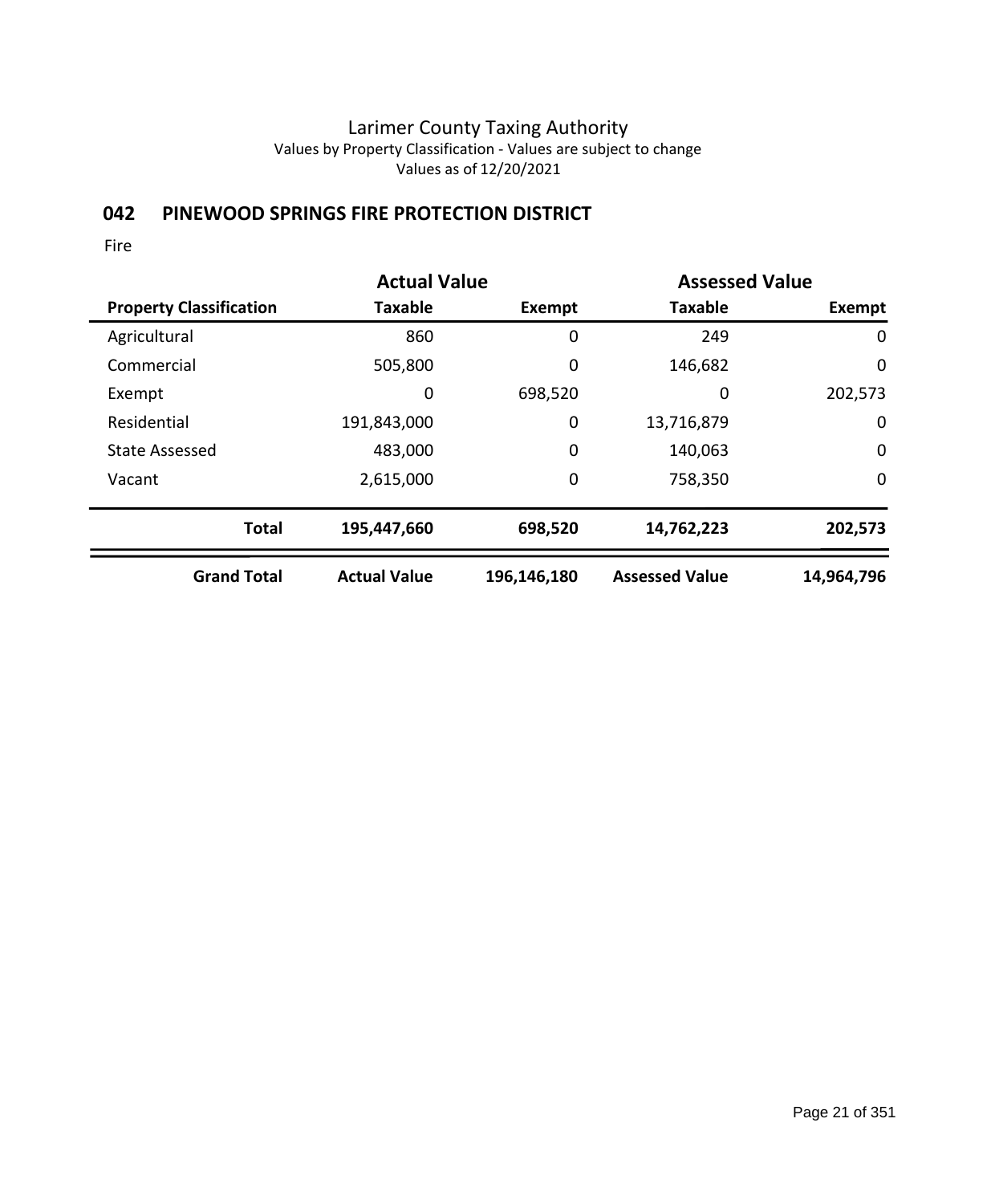# **042 PINEWOOD SPRINGS FIRE PROTECTION DISTRICT**

|                                | <b>Actual Value</b> |               | <b>Assessed Value</b> |             |
|--------------------------------|---------------------|---------------|-----------------------|-------------|
| <b>Property Classification</b> | <b>Taxable</b>      | <b>Exempt</b> | <b>Taxable</b>        | Exempt      |
| Agricultural                   | 860                 | 0             | 249                   | 0           |
| Commercial                     | 505,800             | 0             | 146,682               | 0           |
| Exempt                         | 0                   | 698,520       | 0                     | 202,573     |
| Residential                    | 191,843,000         | 0             | 13,716,879            | 0           |
| <b>State Assessed</b>          | 483,000             | $\mathbf 0$   | 140,063               | $\mathbf 0$ |
| Vacant                         | 2,615,000           | 0             | 758,350               | 0           |
| <b>Total</b>                   | 195,447,660         | 698,520       | 14,762,223            | 202,573     |
| <b>Grand Total</b>             | <b>Actual Value</b> | 196,146,180   | <b>Assessed Value</b> | 14,964,796  |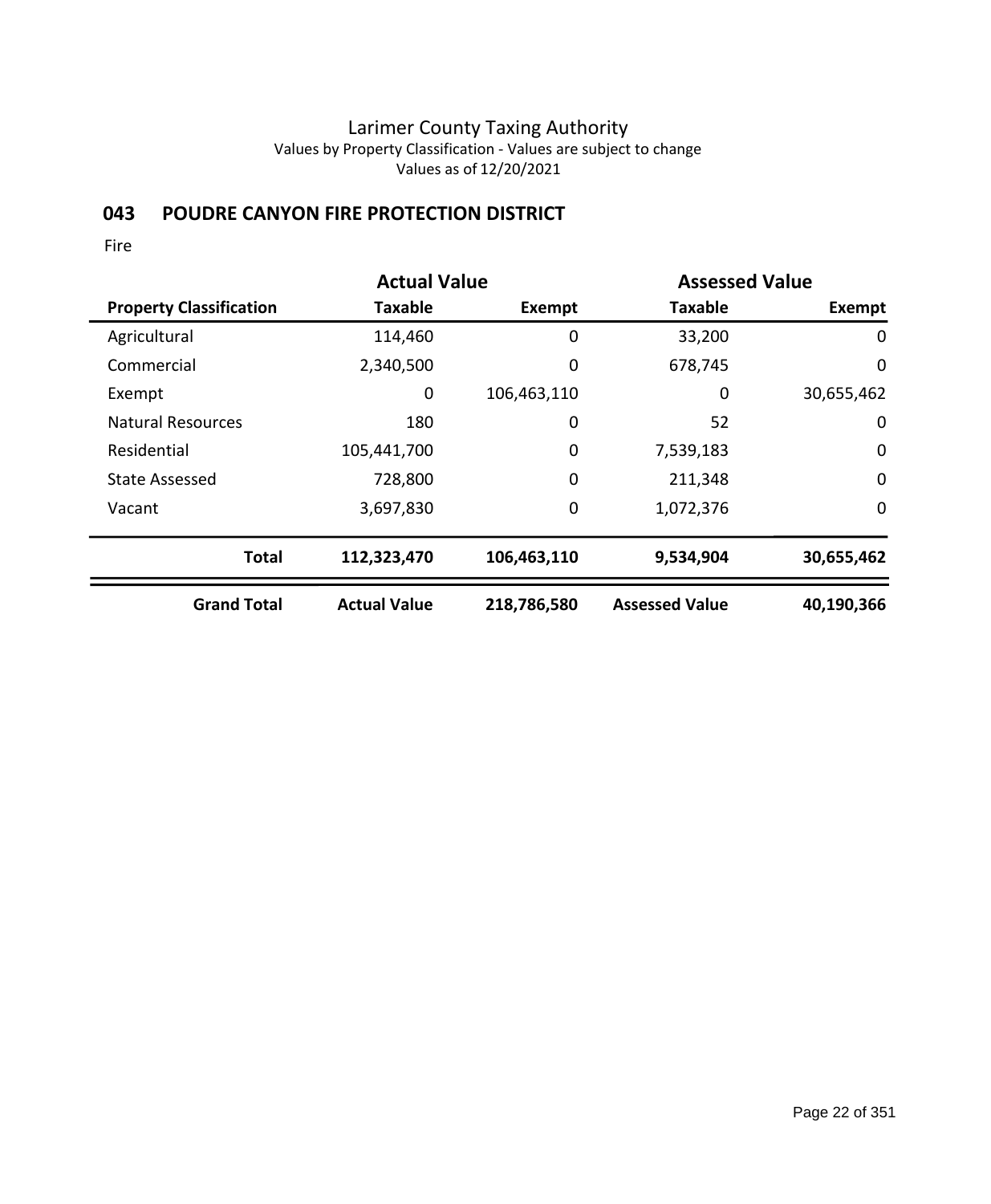# **043 POUDRE CANYON FIRE PROTECTION DISTRICT**

|                                | <b>Actual Value</b> |             | <b>Assessed Value</b> |               |
|--------------------------------|---------------------|-------------|-----------------------|---------------|
| <b>Property Classification</b> | <b>Taxable</b>      | Exempt      | <b>Taxable</b>        | <b>Exempt</b> |
| Agricultural                   | 114,460             | 0           | 33,200                | 0             |
| Commercial                     | 2,340,500           | 0           | 678,745               | 0             |
| Exempt                         | 0                   | 106,463,110 | 0                     | 30,655,462    |
| <b>Natural Resources</b>       | 180                 | 0           | 52                    | $\mathbf 0$   |
| Residential                    | 105,441,700         | 0           | 7,539,183             | $\mathbf 0$   |
| <b>State Assessed</b>          | 728,800             | $\mathbf 0$ | 211,348               | $\mathbf 0$   |
| Vacant                         | 3,697,830           | $\mathbf 0$ | 1,072,376             | 0             |
| <b>Total</b>                   | 112,323,470         | 106,463,110 | 9,534,904             | 30,655,462    |
| <b>Grand Total</b>             | <b>Actual Value</b> | 218,786,580 | <b>Assessed Value</b> | 40,190,366    |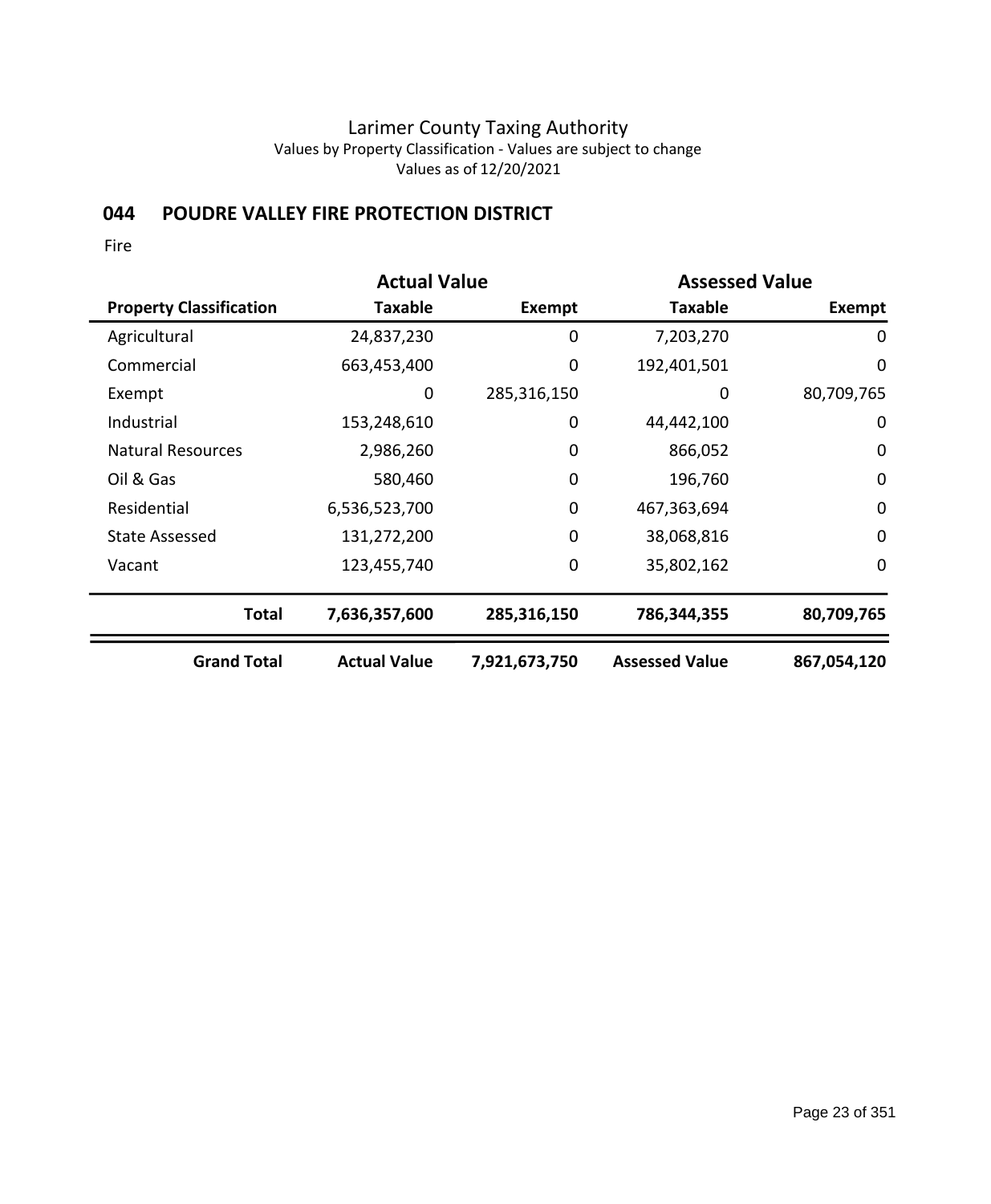## **044 POUDRE VALLEY FIRE PROTECTION DISTRICT**

|                                | <b>Actual Value</b> |               |                       | <b>Assessed Value</b> |  |
|--------------------------------|---------------------|---------------|-----------------------|-----------------------|--|
| <b>Property Classification</b> | Taxable             | Exempt        | <b>Taxable</b>        | <b>Exempt</b>         |  |
| Agricultural                   | 24,837,230          | 0             | 7,203,270             | 0                     |  |
| Commercial                     | 663,453,400         | 0             | 192,401,501           | $\mathbf 0$           |  |
| Exempt                         | 0                   | 285,316,150   | 0                     | 80,709,765            |  |
| Industrial                     | 153,248,610         | $\mathbf 0$   | 44,442,100            | $\mathbf 0$           |  |
| <b>Natural Resources</b>       | 2,986,260           | 0             | 866,052               | $\mathbf 0$           |  |
| Oil & Gas                      | 580,460             | $\mathbf 0$   | 196,760               | $\mathbf 0$           |  |
| Residential                    | 6,536,523,700       | 0             | 467,363,694           | $\mathbf 0$           |  |
| <b>State Assessed</b>          | 131,272,200         | $\mathbf 0$   | 38,068,816            | $\mathbf 0$           |  |
| Vacant                         | 123,455,740         | 0             | 35,802,162            | $\mathbf 0$           |  |
| <b>Total</b>                   | 7,636,357,600       | 285,316,150   | 786,344,355           | 80,709,765            |  |
| <b>Grand Total</b>             | <b>Actual Value</b> | 7,921,673,750 | <b>Assessed Value</b> | 867,054,120           |  |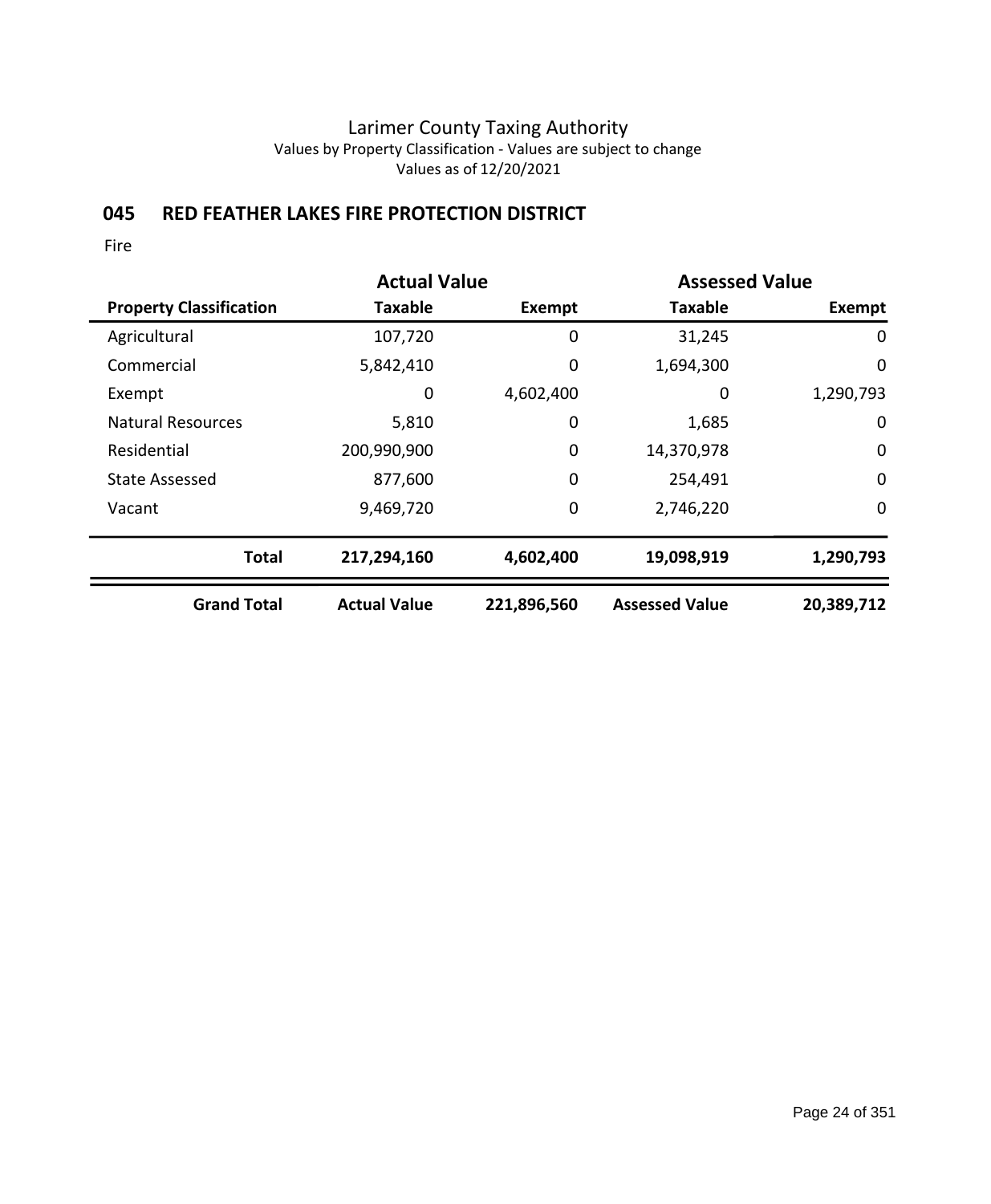# **045 RED FEATHER LAKES FIRE PROTECTION DISTRICT**

|                                | <b>Actual Value</b> |             | <b>Assessed Value</b> |             |
|--------------------------------|---------------------|-------------|-----------------------|-------------|
| <b>Property Classification</b> | <b>Taxable</b>      | Exempt      | <b>Taxable</b>        | Exempt      |
| Agricultural                   | 107,720             | 0           | 31,245                | 0           |
| Commercial                     | 5,842,410           | 0           | 1,694,300             | 0           |
| Exempt                         | 0                   | 4,602,400   | 0                     | 1,290,793   |
| <b>Natural Resources</b>       | 5,810               | 0           | 1,685                 | 0           |
| Residential                    | 200,990,900         | 0           | 14,370,978            | $\mathbf 0$ |
| <b>State Assessed</b>          | 877,600             | 0           | 254,491               | $\mathbf 0$ |
| Vacant                         | 9,469,720           | 0           | 2,746,220             | $\mathbf 0$ |
| <b>Total</b>                   | 217,294,160         | 4,602,400   | 19,098,919            | 1,290,793   |
| <b>Grand Total</b>             | <b>Actual Value</b> | 221,896,560 | <b>Assessed Value</b> | 20,389,712  |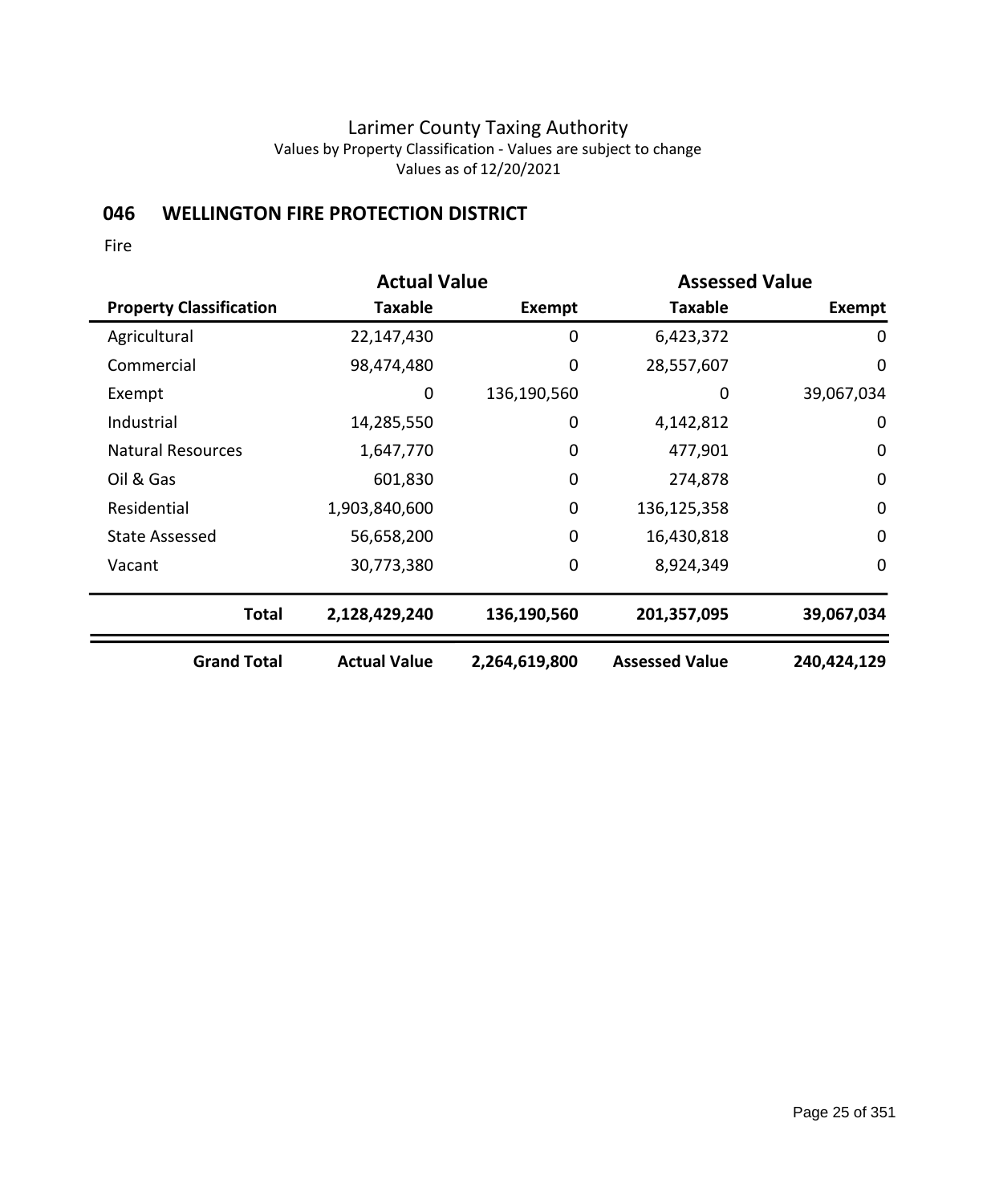# **046 WELLINGTON FIRE PROTECTION DISTRICT**

|                                | <b>Actual Value</b> |               | <b>Assessed Value</b> |             |
|--------------------------------|---------------------|---------------|-----------------------|-------------|
| <b>Property Classification</b> | Taxable             | Exempt        | <b>Taxable</b>        | Exempt      |
| Agricultural                   | 22,147,430          | 0             | 6,423,372             | 0           |
| Commercial                     | 98,474,480          | 0             | 28,557,607            | $\mathbf 0$ |
| Exempt                         | 0                   | 136,190,560   | 0                     | 39,067,034  |
| Industrial                     | 14,285,550          | $\mathbf 0$   | 4,142,812             | $\mathbf 0$ |
| <b>Natural Resources</b>       | 1,647,770           | 0             | 477,901               | $\mathbf 0$ |
| Oil & Gas                      | 601,830             | $\mathbf 0$   | 274,878               | $\mathbf 0$ |
| Residential                    | 1,903,840,600       | 0             | 136,125,358           | $\mathbf 0$ |
| <b>State Assessed</b>          | 56,658,200          | $\mathbf 0$   | 16,430,818            | $\mathbf 0$ |
| Vacant                         | 30,773,380          | 0             | 8,924,349             | $\mathbf 0$ |
| <b>Total</b>                   | 2,128,429,240       | 136,190,560   | 201,357,095           | 39,067,034  |
| <b>Grand Total</b>             | <b>Actual Value</b> | 2,264,619,800 | <b>Assessed Value</b> | 240,424,129 |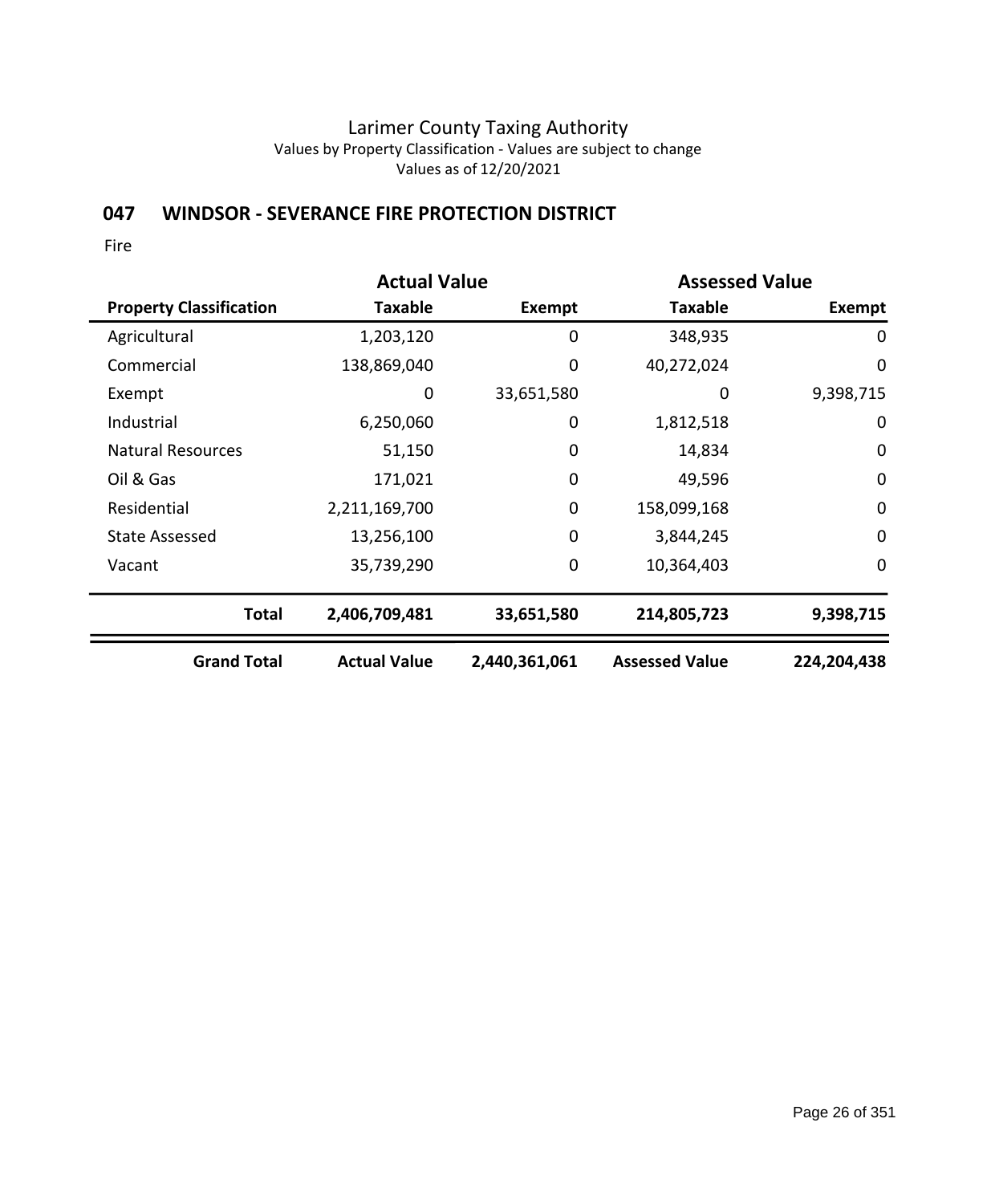## **047 WINDSOR - SEVERANCE FIRE PROTECTION DISTRICT**

|                                | <b>Actual Value</b> |               | <b>Assessed Value</b> |             |
|--------------------------------|---------------------|---------------|-----------------------|-------------|
| <b>Property Classification</b> | Taxable             | Exempt        | <b>Taxable</b>        | Exempt      |
| Agricultural                   | 1,203,120           | 0             | 348,935               | 0           |
| Commercial                     | 138,869,040         | 0             | 40,272,024            | $\mathbf 0$ |
| Exempt                         | 0                   | 33,651,580    | 0                     | 9,398,715   |
| Industrial                     | 6,250,060           | 0             | 1,812,518             | $\mathbf 0$ |
| <b>Natural Resources</b>       | 51,150              | 0             | 14,834                | $\mathbf 0$ |
| Oil & Gas                      | 171,021             | $\mathbf 0$   | 49,596                | $\mathbf 0$ |
| Residential                    | 2,211,169,700       | $\mathbf 0$   | 158,099,168           | $\mathbf 0$ |
| <b>State Assessed</b>          | 13,256,100          | $\mathbf 0$   | 3,844,245             | $\mathbf 0$ |
| Vacant                         | 35,739,290          | 0             | 10,364,403            | $\mathbf 0$ |
| <b>Total</b>                   | 2,406,709,481       | 33,651,580    | 214,805,723           | 9,398,715   |
| <b>Grand Total</b>             | <b>Actual Value</b> | 2,440,361,061 | <b>Assessed Value</b> | 224,204,438 |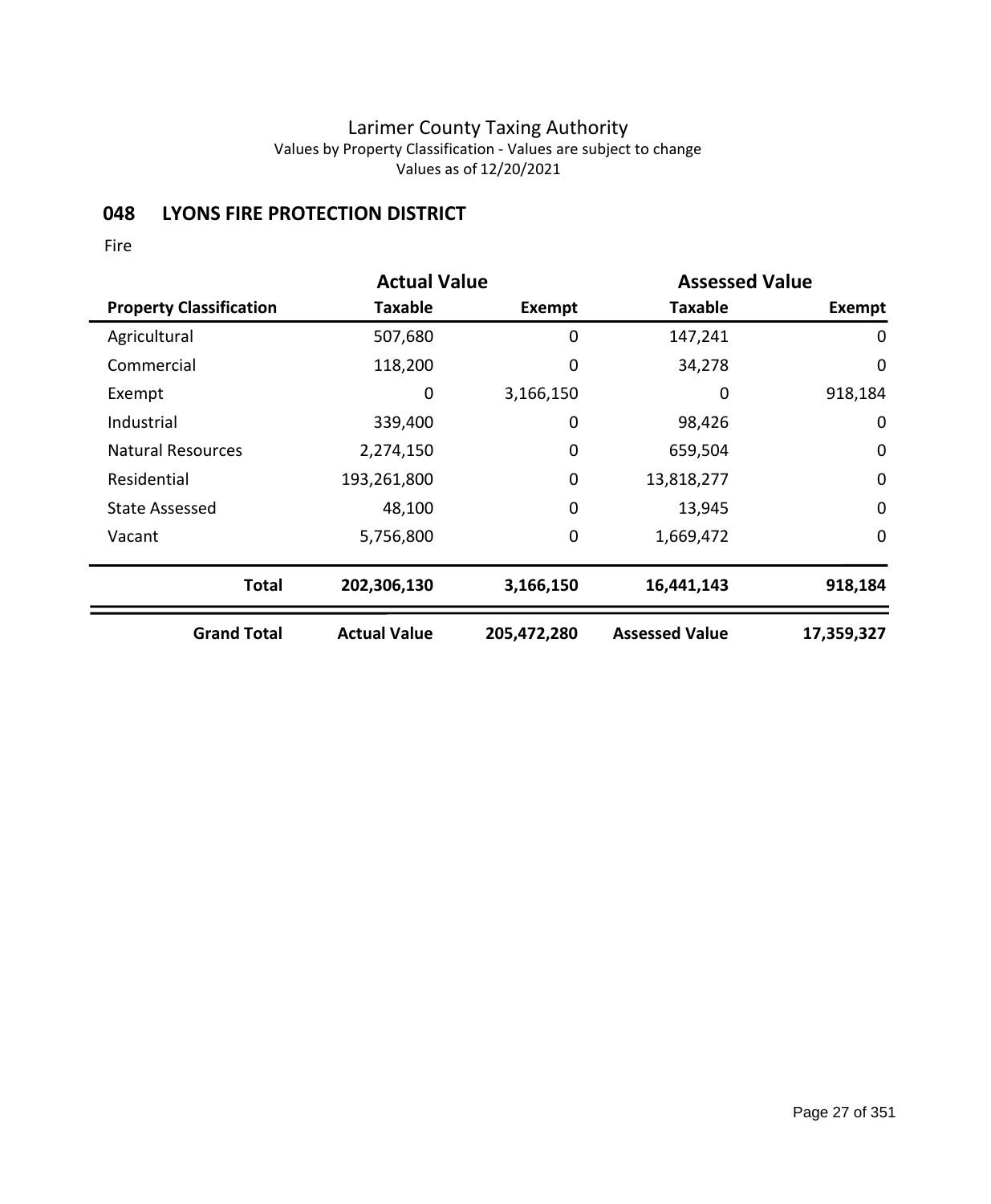# **048 LYONS FIRE PROTECTION DISTRICT**

|                                | <b>Actual Value</b> |             |                       | <b>Assessed Value</b> |  |
|--------------------------------|---------------------|-------------|-----------------------|-----------------------|--|
| <b>Property Classification</b> | Taxable             | Exempt      | <b>Taxable</b>        | <b>Exempt</b>         |  |
| Agricultural                   | 507,680             | 0           | 147,241               | 0                     |  |
| Commercial                     | 118,200             | 0           | 34,278                | 0                     |  |
| Exempt                         | 0                   | 3,166,150   | 0                     | 918,184               |  |
| Industrial                     | 339,400             | 0           | 98,426                | $\mathbf 0$           |  |
| <b>Natural Resources</b>       | 2,274,150           | 0           | 659,504               | $\mathbf 0$           |  |
| Residential                    | 193,261,800         | $\mathbf 0$ | 13,818,277            | $\mathbf 0$           |  |
| State Assessed                 | 48,100              | $\mathbf 0$ | 13,945                | $\mathbf 0$           |  |
| Vacant                         | 5,756,800           | $\mathbf 0$ | 1,669,472             | $\mathbf 0$           |  |
| <b>Total</b>                   | 202,306,130         | 3,166,150   | 16,441,143            | 918,184               |  |
| <b>Grand Total</b>             | <b>Actual Value</b> | 205,472,280 | <b>Assessed Value</b> | 17,359,327            |  |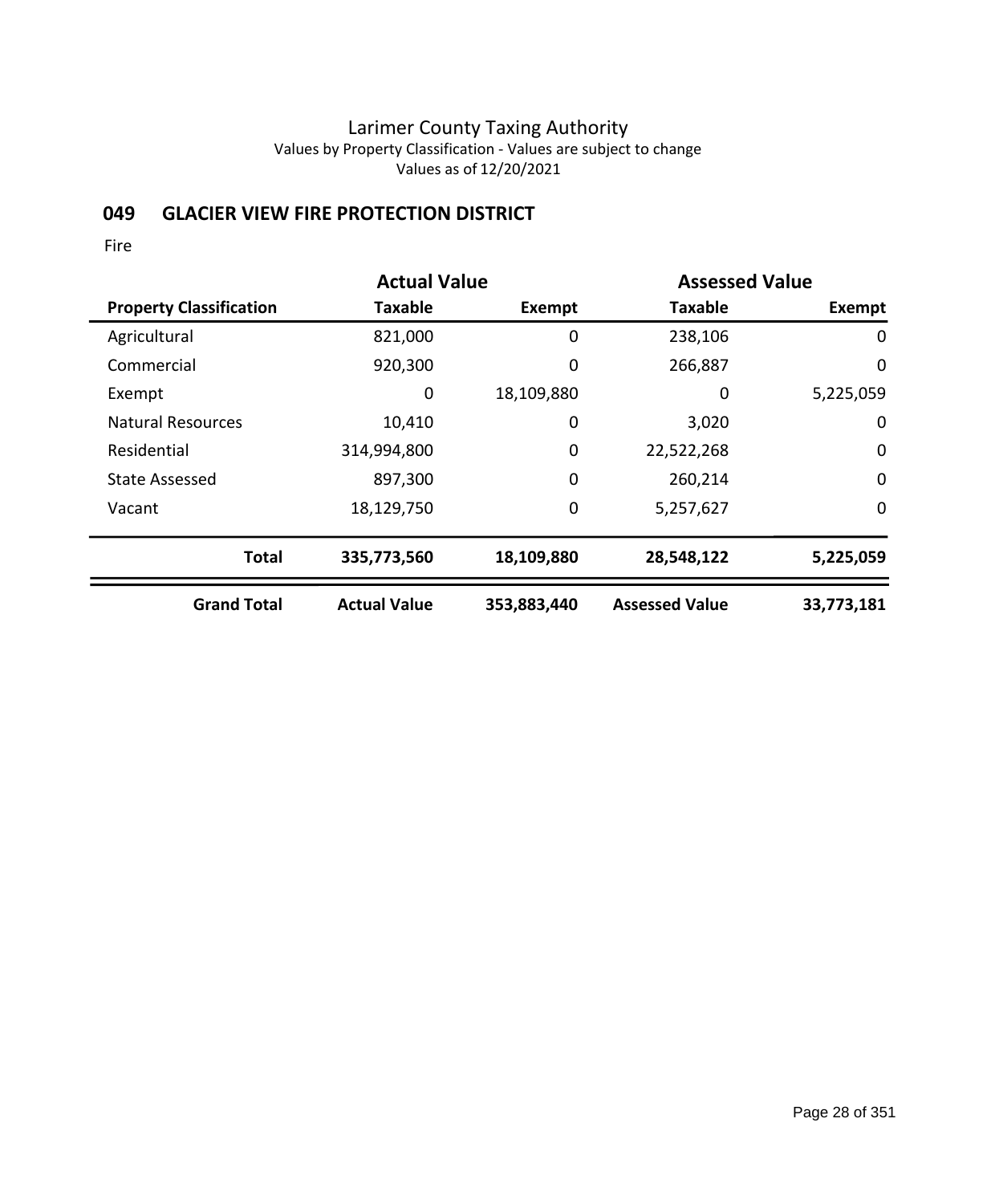## **049 GLACIER VIEW FIRE PROTECTION DISTRICT**

|                                | <b>Actual Value</b> |               |                       | <b>Assessed Value</b> |  |
|--------------------------------|---------------------|---------------|-----------------------|-----------------------|--|
| <b>Property Classification</b> | <b>Taxable</b>      | <b>Exempt</b> | <b>Taxable</b>        | Exempt                |  |
| Agricultural                   | 821,000             | 0             | 238,106               | $\mathbf 0$           |  |
| Commercial                     | 920,300             | 0             | 266,887               | 0                     |  |
| Exempt                         | 0                   | 18,109,880    | 0                     | 5,225,059             |  |
| <b>Natural Resources</b>       | 10,410              | 0             | 3,020                 | 0                     |  |
| Residential                    | 314,994,800         | 0             | 22,522,268            | $\mathbf 0$           |  |
| <b>State Assessed</b>          | 897,300             | 0             | 260,214               | $\mathbf 0$           |  |
| Vacant                         | 18,129,750          | 0             | 5,257,627             | $\mathbf 0$           |  |
| <b>Total</b>                   | 335,773,560         | 18,109,880    | 28,548,122            | 5,225,059             |  |
| <b>Grand Total</b>             | <b>Actual Value</b> | 353,883,440   | <b>Assessed Value</b> | 33,773,181            |  |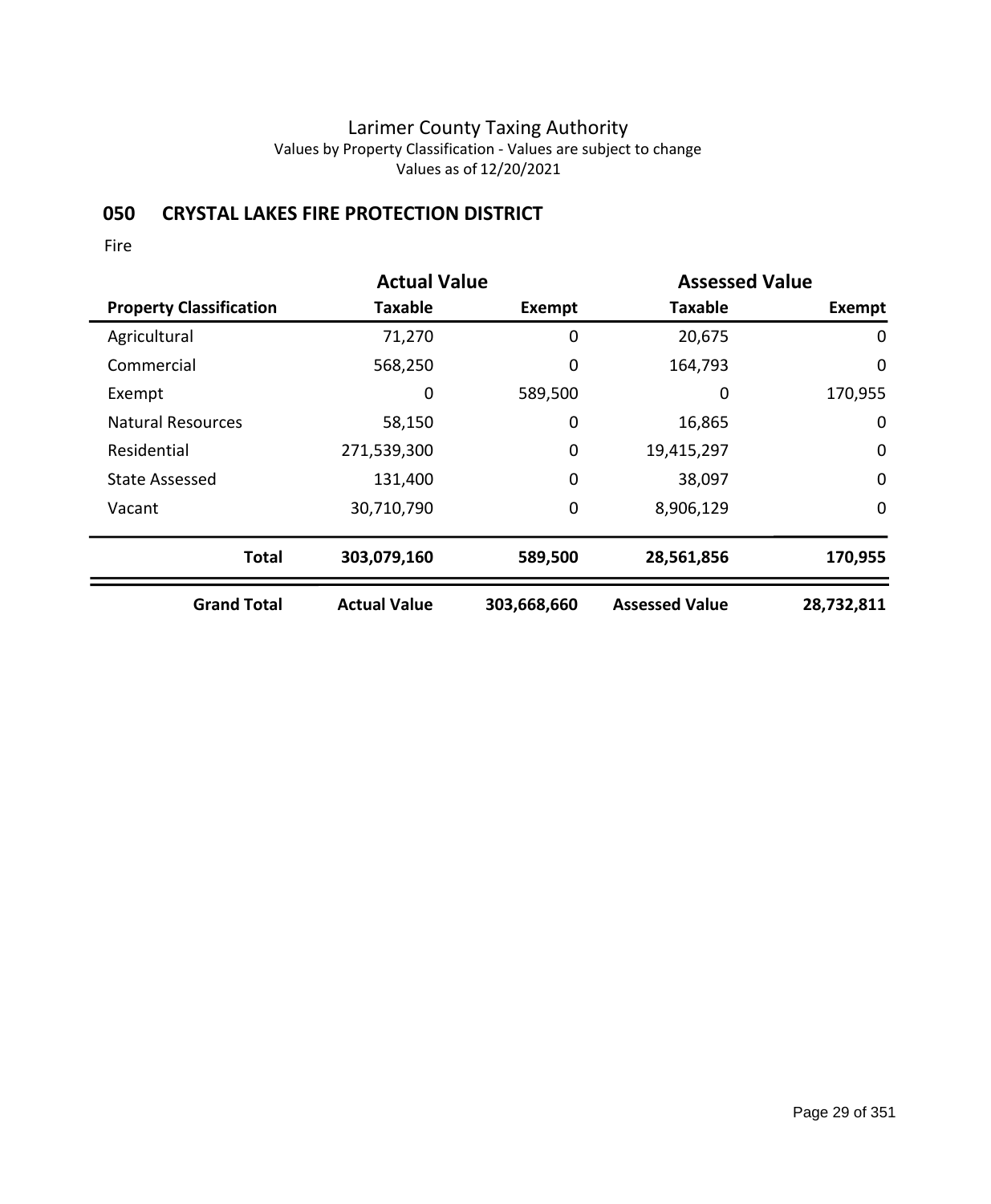## **050 CRYSTAL LAKES FIRE PROTECTION DISTRICT**

|                                | <b>Actual Value</b> |             |                       | <b>Assessed Value</b> |  |
|--------------------------------|---------------------|-------------|-----------------------|-----------------------|--|
| <b>Property Classification</b> | <b>Taxable</b>      | Exempt      | <b>Taxable</b>        | Exempt                |  |
| Agricultural                   | 71,270              | 0           | 20,675                | 0                     |  |
| Commercial                     | 568,250             | 0           | 164,793               | 0                     |  |
| Exempt                         | 0                   | 589,500     | 0                     | 170,955               |  |
| <b>Natural Resources</b>       | 58,150              | 0           | 16,865                | 0                     |  |
| Residential                    | 271,539,300         | 0           | 19,415,297            | 0                     |  |
| <b>State Assessed</b>          | 131,400             | 0           | 38,097                | $\mathbf 0$           |  |
| Vacant                         | 30,710,790          | 0           | 8,906,129             | $\mathbf 0$           |  |
| <b>Total</b>                   | 303,079,160         | 589,500     | 28,561,856            | 170,955               |  |
| <b>Grand Total</b>             | <b>Actual Value</b> | 303,668,660 | <b>Assessed Value</b> | 28,732,811            |  |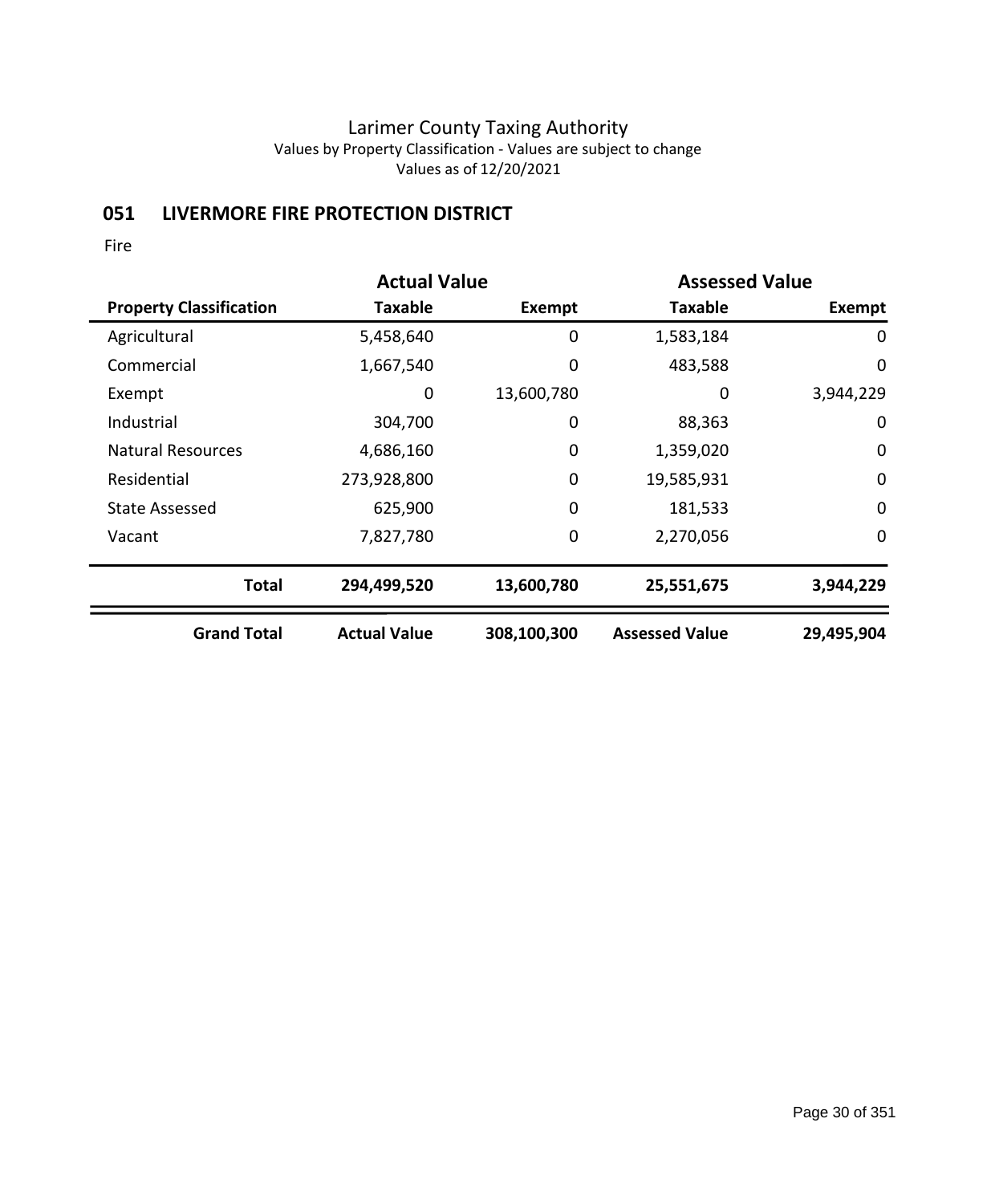# **051 LIVERMORE FIRE PROTECTION DISTRICT**

|                                | <b>Actual Value</b> |             | <b>Assessed Value</b> |             |
|--------------------------------|---------------------|-------------|-----------------------|-------------|
| <b>Property Classification</b> | Taxable             | Exempt      | <b>Taxable</b>        | Exempt      |
| Agricultural                   | 5,458,640           | 0           | 1,583,184             | 0           |
| Commercial                     | 1,667,540           | 0           | 483,588               | $\mathbf 0$ |
| Exempt                         | 0                   | 13,600,780  | 0                     | 3,944,229   |
| Industrial                     | 304,700             | 0           | 88,363                | 0           |
| <b>Natural Resources</b>       | 4,686,160           | 0           | 1,359,020             | $\mathbf 0$ |
| Residential                    | 273,928,800         | 0           | 19,585,931            | $\mathbf 0$ |
| State Assessed                 | 625,900             | 0           | 181,533               | $\mathbf 0$ |
| Vacant                         | 7,827,780           | 0           | 2,270,056             | 0           |
| <b>Total</b>                   | 294,499,520         | 13,600,780  | 25,551,675            | 3,944,229   |
| <b>Grand Total</b>             | <b>Actual Value</b> | 308,100,300 | <b>Assessed Value</b> | 29,495,904  |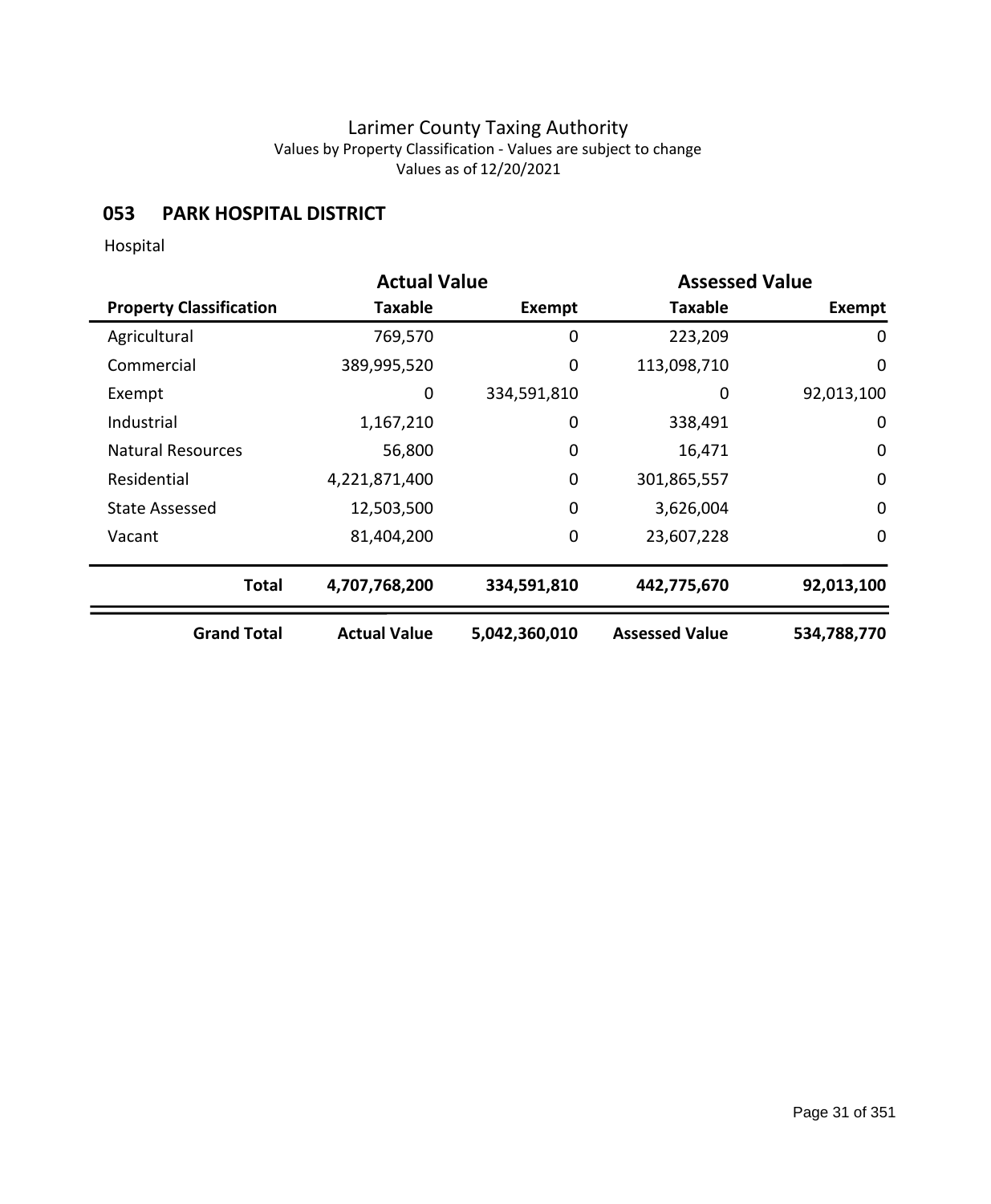## **053 PARK HOSPITAL DISTRICT**

Hospital

|                                | <b>Actual Value</b> |               | <b>Assessed Value</b> |                  |
|--------------------------------|---------------------|---------------|-----------------------|------------------|
| <b>Property Classification</b> | Taxable             | <b>Exempt</b> | <b>Taxable</b>        | <b>Exempt</b>    |
| Agricultural                   | 769,570             | 0             | 223,209               | 0                |
| Commercial                     | 389,995,520         | 0             | 113,098,710           | 0                |
| Exempt                         | 0                   | 334,591,810   | 0                     | 92,013,100       |
| Industrial                     | 1,167,210           | 0             | 338,491               | 0                |
| <b>Natural Resources</b>       | 56,800              | 0             | 16,471                | $\mathbf 0$      |
| Residential                    | 4,221,871,400       | $\mathbf 0$   | 301,865,557           | $\mathbf 0$      |
| <b>State Assessed</b>          | 12,503,500          | 0             | 3,626,004             | $\boldsymbol{0}$ |
| Vacant                         | 81,404,200          | 0             | 23,607,228            | $\mathbf 0$      |
| <b>Total</b>                   | 4,707,768,200       | 334,591,810   | 442,775,670           | 92,013,100       |
| <b>Grand Total</b>             | <b>Actual Value</b> | 5,042,360,010 | <b>Assessed Value</b> | 534,788,770      |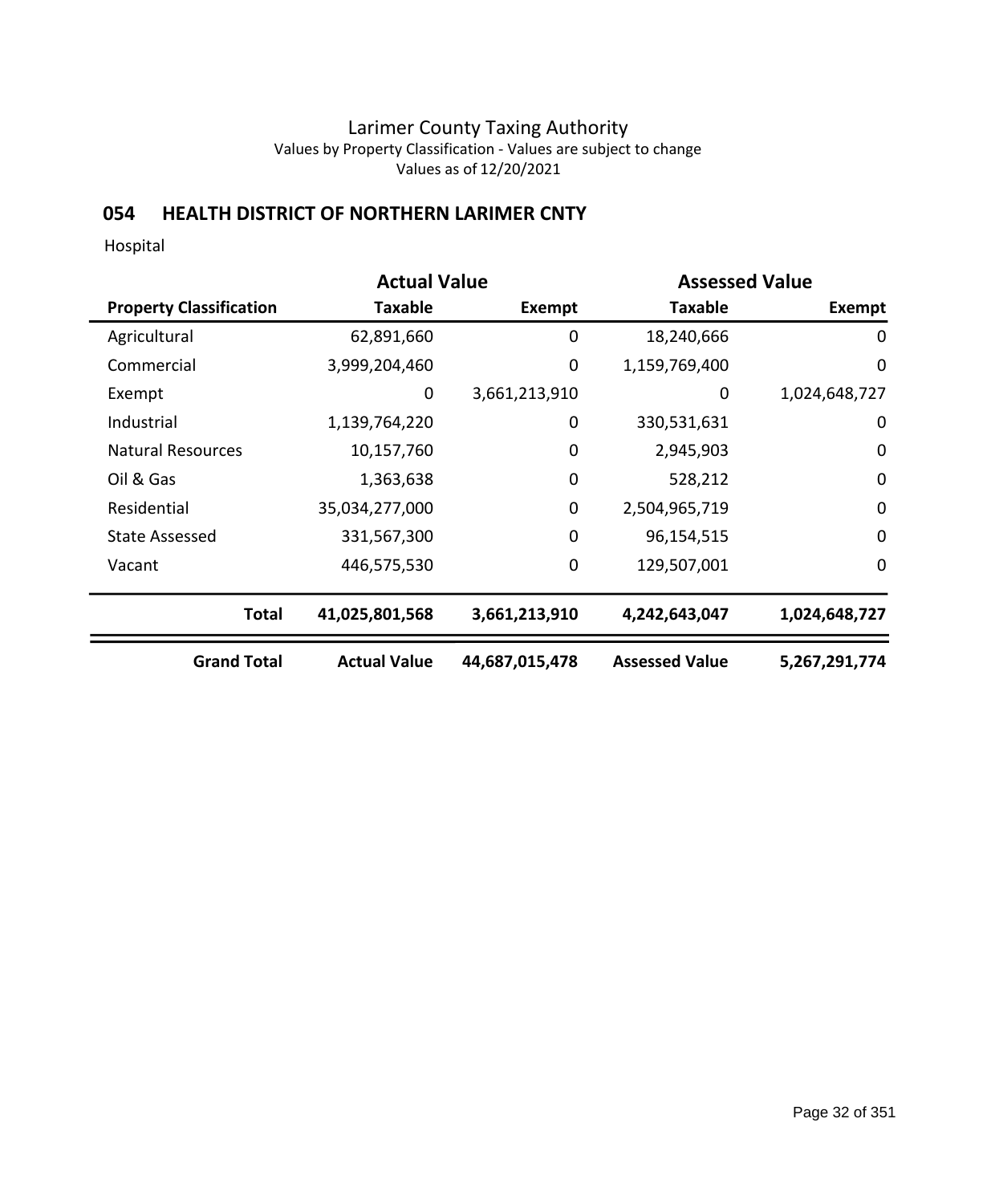# **054 HEALTH DISTRICT OF NORTHERN LARIMER CNTY**

Hospital

|                                |                     | <b>Actual Value</b><br><b>Assessed Value</b> |                       |               |
|--------------------------------|---------------------|----------------------------------------------|-----------------------|---------------|
| <b>Property Classification</b> | <b>Taxable</b>      | Exempt                                       | <b>Taxable</b>        | <b>Exempt</b> |
| Agricultural                   | 62,891,660          | 0                                            | 18,240,666            | 0             |
| Commercial                     | 3,999,204,460       | $\mathbf 0$                                  | 1,159,769,400         | $\mathbf 0$   |
| Exempt                         | 0                   | 3,661,213,910                                | 0                     | 1,024,648,727 |
| Industrial                     | 1,139,764,220       | 0                                            | 330,531,631           | $\mathbf 0$   |
| <b>Natural Resources</b>       | 10,157,760          | $\mathbf 0$                                  | 2,945,903             | 0             |
| Oil & Gas                      | 1,363,638           | $\mathbf 0$                                  | 528,212               | $\mathbf 0$   |
| Residential                    | 35,034,277,000      | 0                                            | 2,504,965,719         | $\mathbf 0$   |
| <b>State Assessed</b>          | 331,567,300         | $\mathbf 0$                                  | 96,154,515            | $\mathbf 0$   |
| Vacant                         | 446,575,530         | $\mathbf 0$                                  | 129,507,001           | 0             |
| <b>Total</b>                   | 41,025,801,568      | 3,661,213,910                                | 4,242,643,047         | 1,024,648,727 |
| <b>Grand Total</b>             | <b>Actual Value</b> | 44,687,015,478                               | <b>Assessed Value</b> | 5,267,291,774 |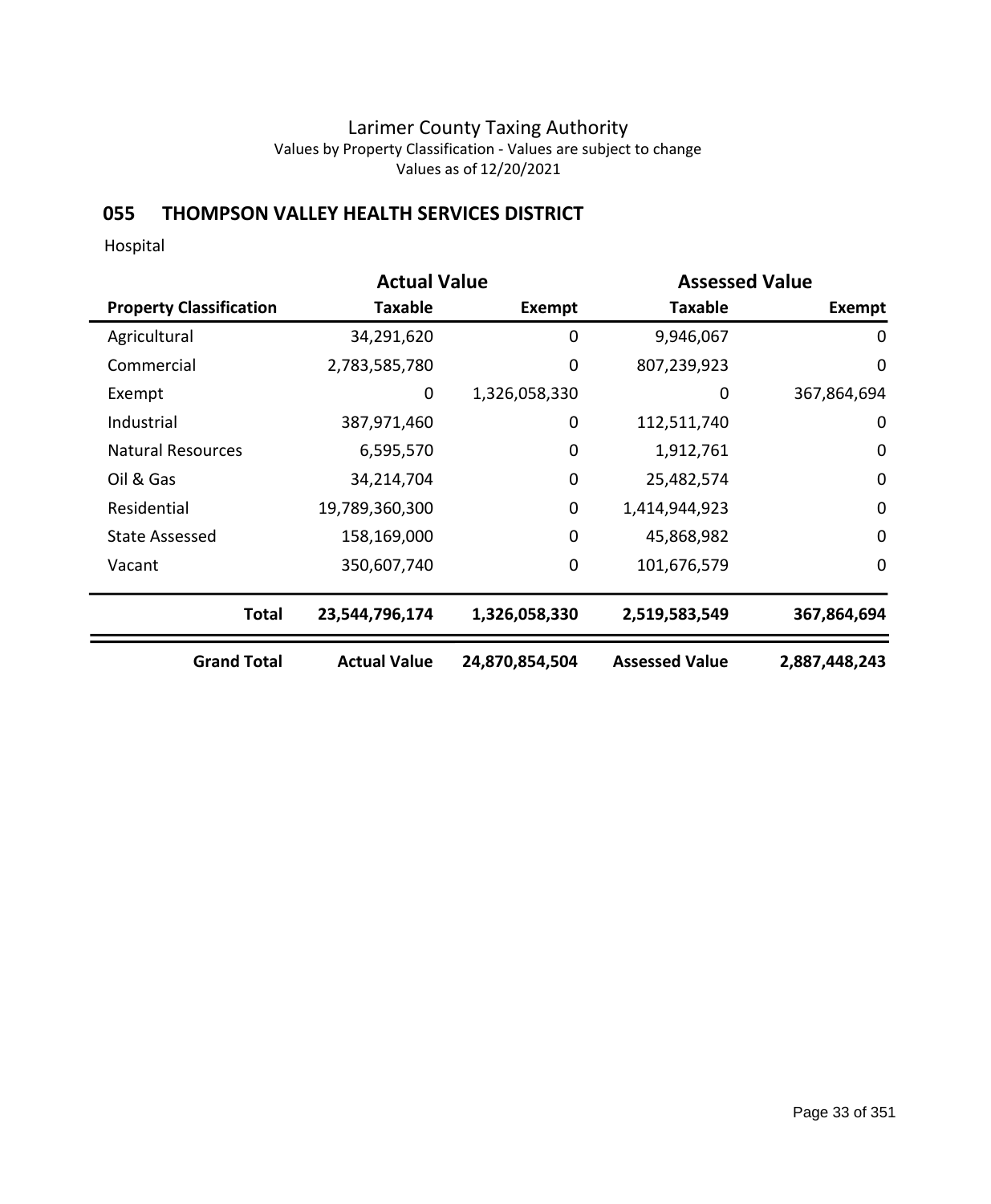# **055 THOMPSON VALLEY HEALTH SERVICES DISTRICT**

Hospital

|                                |                     | <b>Actual Value</b><br><b>Assessed Value</b> |                       |               |
|--------------------------------|---------------------|----------------------------------------------|-----------------------|---------------|
| <b>Property Classification</b> | <b>Taxable</b>      | Exempt                                       | <b>Taxable</b>        | <b>Exempt</b> |
| Agricultural                   | 34,291,620          | 0                                            | 9,946,067             | 0             |
| Commercial                     | 2,783,585,780       | $\mathbf 0$                                  | 807,239,923           | $\mathbf 0$   |
| Exempt                         | 0                   | 1,326,058,330                                | 0                     | 367,864,694   |
| Industrial                     | 387,971,460         | 0                                            | 112,511,740           | $\mathbf 0$   |
| <b>Natural Resources</b>       | 6,595,570           | $\mathbf 0$                                  | 1,912,761             | 0             |
| Oil & Gas                      | 34,214,704          | $\mathbf 0$                                  | 25,482,574            | $\mathbf 0$   |
| Residential                    | 19,789,360,300      | 0                                            | 1,414,944,923         | $\mathbf 0$   |
| <b>State Assessed</b>          | 158,169,000         | $\mathbf 0$                                  | 45,868,982            | $\mathbf 0$   |
| Vacant                         | 350,607,740         | $\mathbf 0$                                  | 101,676,579           | 0             |
| <b>Total</b>                   | 23,544,796,174      | 1,326,058,330                                | 2,519,583,549         | 367,864,694   |
| <b>Grand Total</b>             | <b>Actual Value</b> | 24,870,854,504                               | <b>Assessed Value</b> | 2,887,448,243 |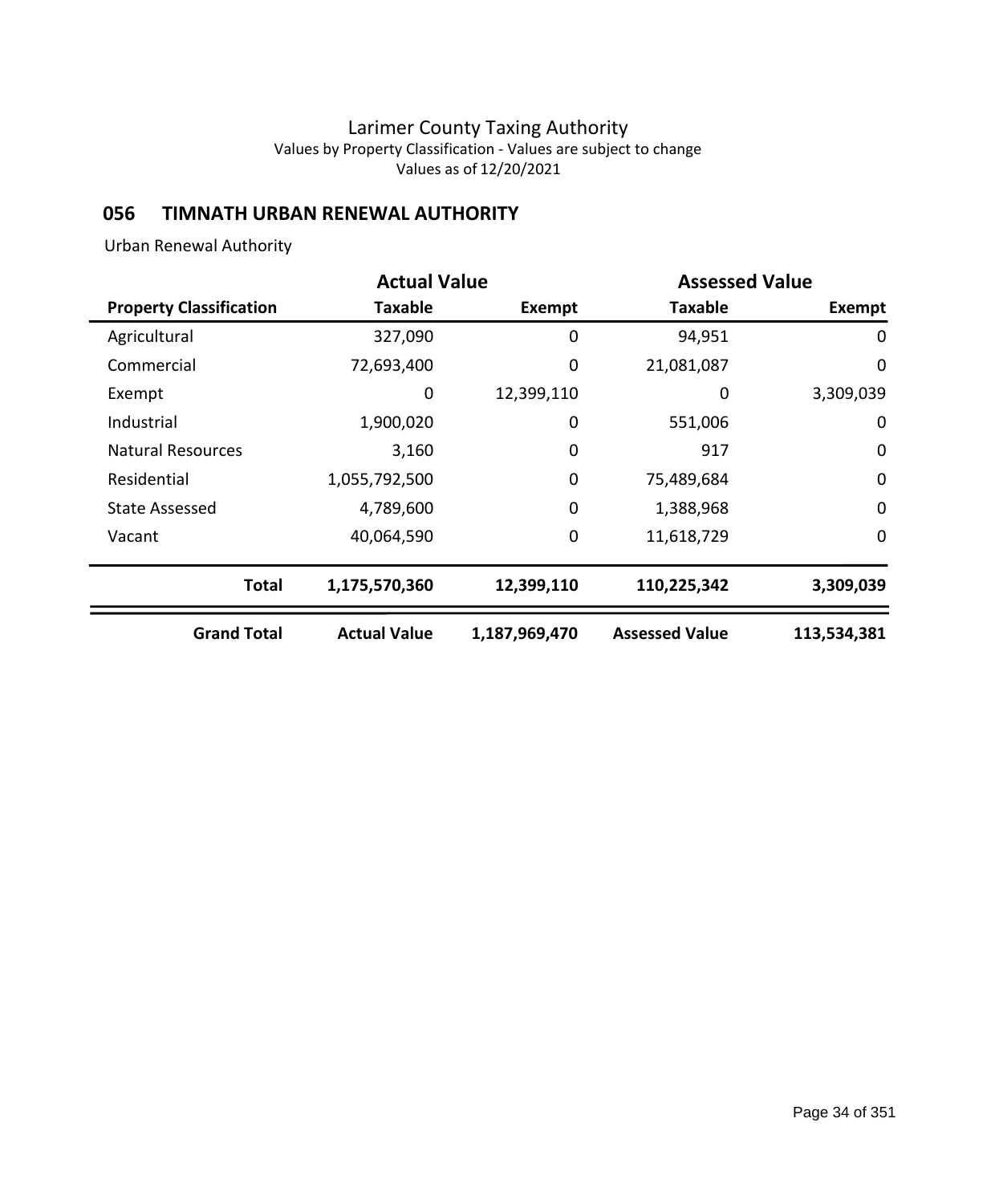# **056 TIMNATH URBAN RENEWAL AUTHORITY**

Urban Renewal Authority

|                                | <b>Actual Value</b> |               | <b>Assessed Value</b> |             |
|--------------------------------|---------------------|---------------|-----------------------|-------------|
| <b>Property Classification</b> | Taxable             | Exempt        | Taxable               | Exempt      |
| Agricultural                   | 327,090             | 0             | 94,951                | 0           |
| Commercial                     | 72,693,400          | 0             | 21,081,087            | $\mathbf 0$ |
| Exempt                         | 0                   | 12,399,110    | 0                     | 3,309,039   |
| Industrial                     | 1,900,020           | 0             | 551,006               | $\mathbf 0$ |
| <b>Natural Resources</b>       | 3,160               | 0             | 917                   | $\mathbf 0$ |
| Residential                    | 1,055,792,500       | $\mathbf 0$   | 75,489,684            | $\mathbf 0$ |
| State Assessed                 | 4,789,600           | $\mathbf 0$   | 1,388,968             | $\mathbf 0$ |
| Vacant                         | 40,064,590          | 0             | 11,618,729            | $\mathbf 0$ |
| <b>Total</b>                   | 1,175,570,360       | 12,399,110    | 110,225,342           | 3,309,039   |
| <b>Grand Total</b>             | <b>Actual Value</b> | 1,187,969,470 | <b>Assessed Value</b> | 113,534,381 |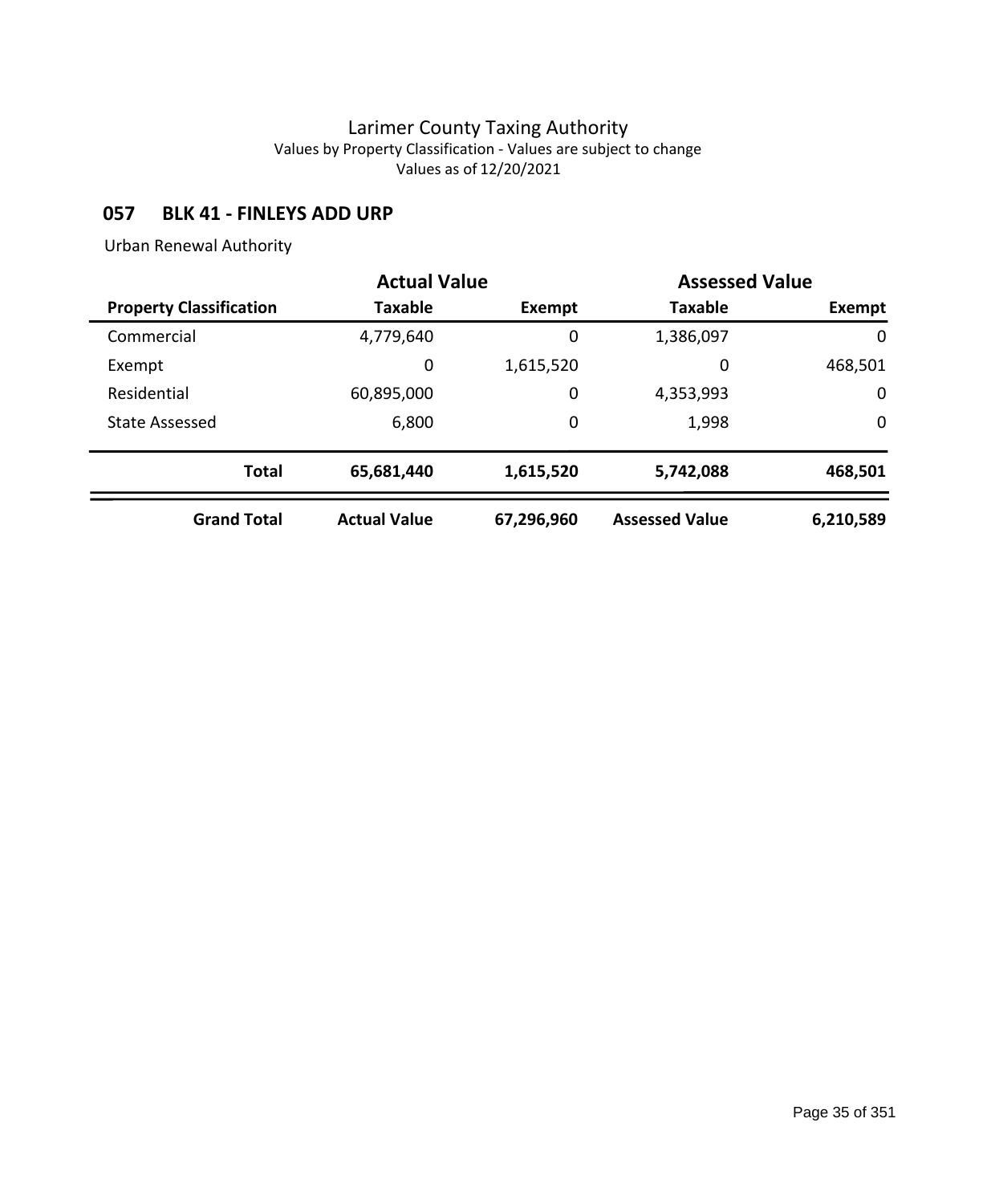## **057 BLK 41 - FINLEYS ADD URP**

Urban Renewal Authority

|                                | <b>Actual Value</b> |               | <b>Assessed Value</b> |              |
|--------------------------------|---------------------|---------------|-----------------------|--------------|
| <b>Property Classification</b> | <b>Taxable</b>      | <b>Exempt</b> | <b>Taxable</b>        | Exempt       |
| Commercial                     | 4,779,640           | 0             | 1,386,097             | $\mathbf{0}$ |
| Exempt                         | 0                   | 1,615,520     | 0                     | 468,501      |
| Residential                    | 60,895,000          | 0             | 4,353,993             | 0            |
| <b>State Assessed</b>          | 6,800               | 0             | 1,998                 | 0            |
| <b>Total</b>                   | 65,681,440          | 1,615,520     | 5,742,088             | 468,501      |
| <b>Grand Total</b>             | <b>Actual Value</b> | 67,296,960    | <b>Assessed Value</b> | 6,210,589    |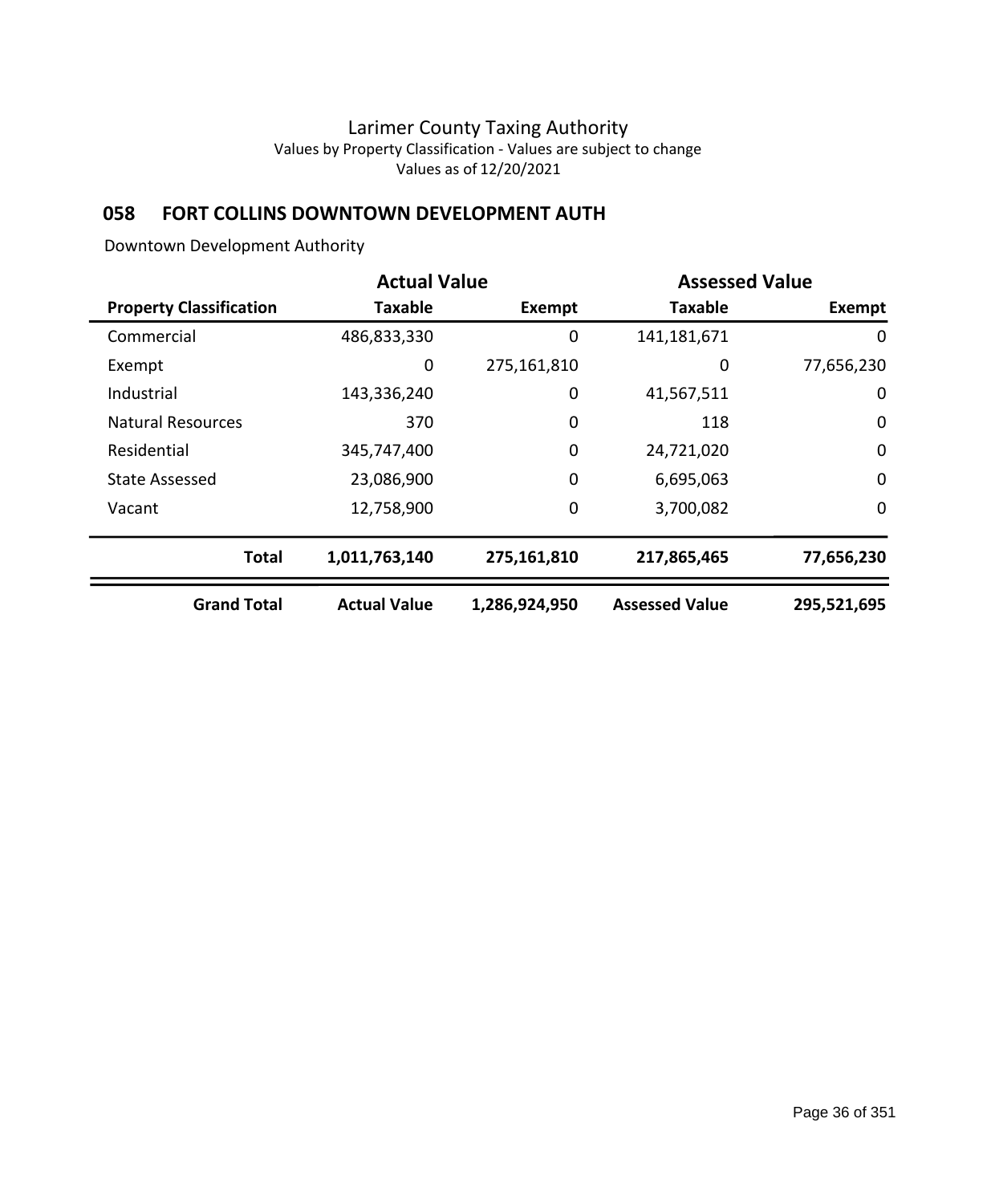# **058 FORT COLLINS DOWNTOWN DEVELOPMENT AUTH**

Downtown Development Authority

|                                | <b>Actual Value</b> |               | <b>Assessed Value</b> |             |  |
|--------------------------------|---------------------|---------------|-----------------------|-------------|--|
| <b>Property Classification</b> | <b>Taxable</b>      | <b>Exempt</b> | <b>Taxable</b>        | Exempt      |  |
| Commercial                     | 486,833,330         | 0             | 141,181,671           | 0           |  |
| Exempt                         | 0                   | 275,161,810   | 0                     | 77,656,230  |  |
| Industrial                     | 143,336,240         | 0             | 41,567,511            | 0           |  |
| <b>Natural Resources</b>       | 370                 | 0             | 118                   | $\mathbf 0$ |  |
| Residential                    | 345,747,400         | 0             | 24,721,020            | $\mathbf 0$ |  |
| State Assessed                 | 23,086,900          | $\mathbf 0$   | 6,695,063             | $\mathbf 0$ |  |
| Vacant                         | 12,758,900          | $\mathbf 0$   | 3,700,082             | 0           |  |
| <b>Total</b>                   | 1,011,763,140       | 275,161,810   | 217,865,465           | 77,656,230  |  |
| <b>Grand Total</b>             | <b>Actual Value</b> | 1,286,924,950 | <b>Assessed Value</b> | 295,521,695 |  |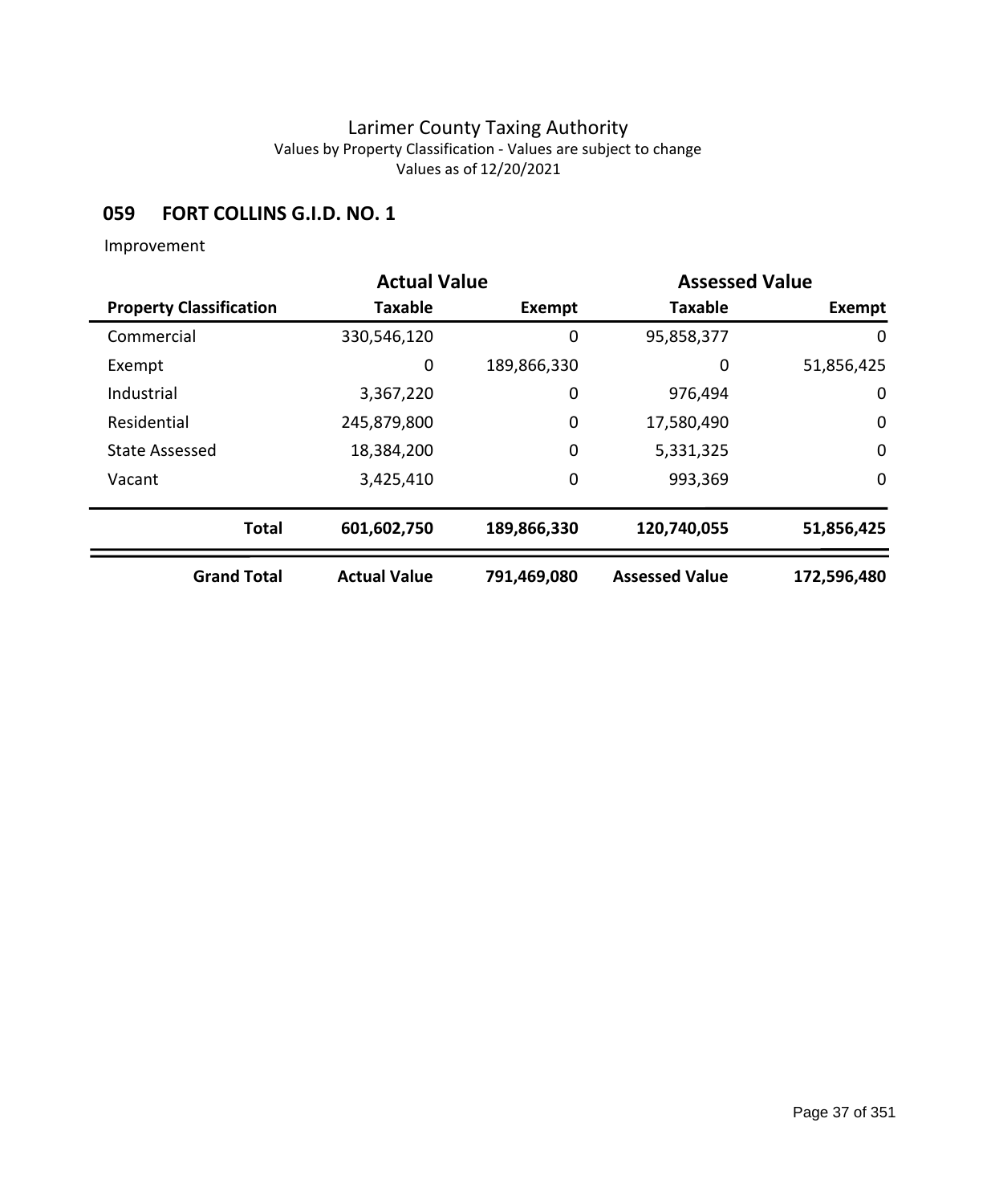### **059 FORT COLLINS G.I.D. NO. 1**

|                                | <b>Actual Value</b> |             | <b>Assessed Value</b> |             |
|--------------------------------|---------------------|-------------|-----------------------|-------------|
| <b>Property Classification</b> | <b>Taxable</b>      | Exempt      | <b>Taxable</b>        | Exempt      |
| Commercial                     | 330,546,120         | 0           | 95,858,377            | 0           |
| Exempt                         | 0                   | 189,866,330 | 0                     | 51,856,425  |
| Industrial                     | 3,367,220           | 0           | 976,494               | 0           |
| Residential                    | 245,879,800         | 0           | 17,580,490            | $\mathbf 0$ |
| <b>State Assessed</b>          | 18,384,200          | 0           | 5,331,325             | $\mathbf 0$ |
| Vacant                         | 3,425,410           | 0           | 993,369               | $\mathbf 0$ |
| <b>Total</b>                   | 601,602,750         | 189,866,330 | 120,740,055           | 51,856,425  |
| <b>Grand Total</b>             | <b>Actual Value</b> | 791,469,080 | <b>Assessed Value</b> | 172,596,480 |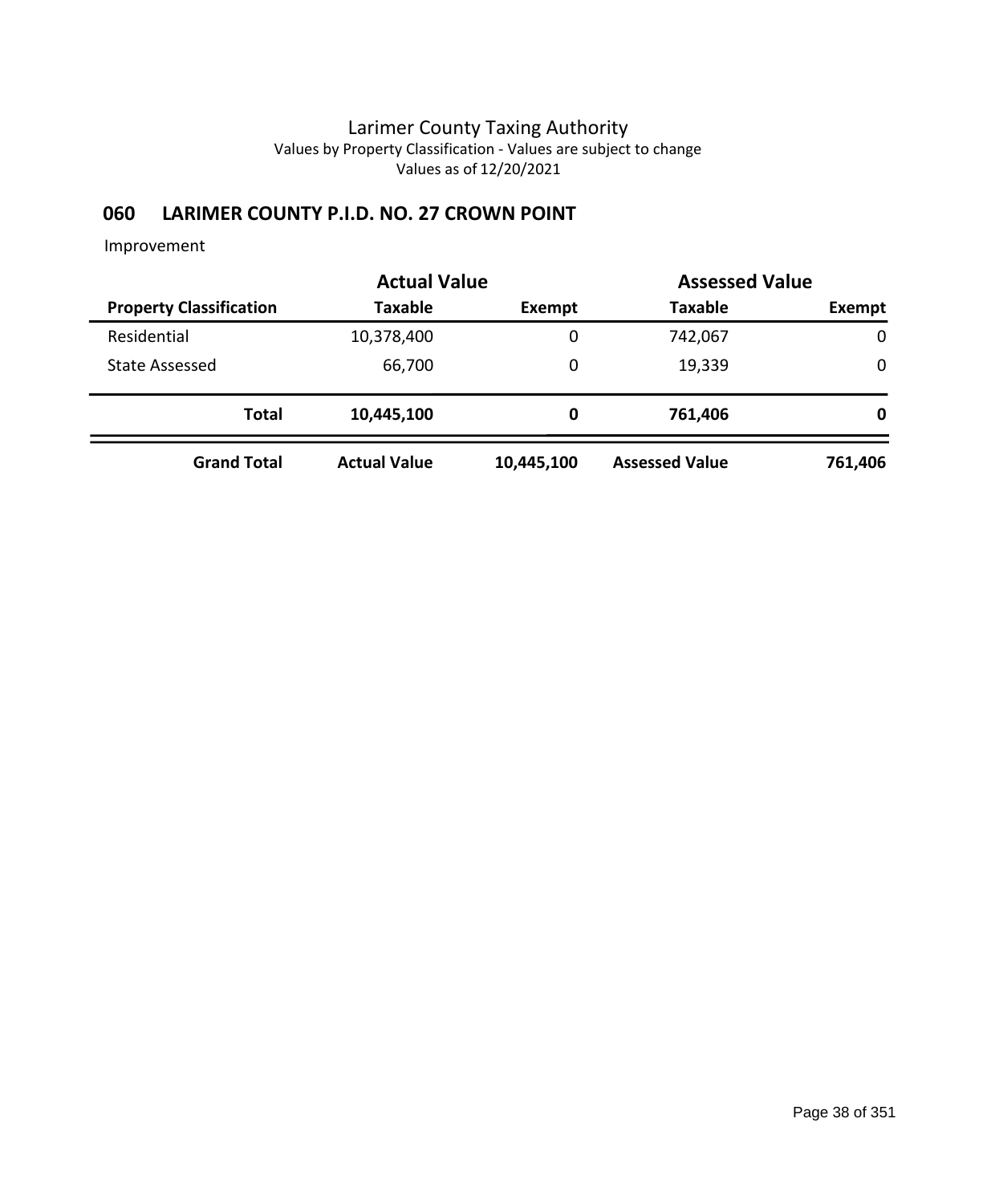## **060 LARIMER COUNTY P.I.D. NO. 27 CROWN POINT**

|                                | <b>Actual Value</b> | <b>Assessed Value</b> |                       |             |
|--------------------------------|---------------------|-----------------------|-----------------------|-------------|
| <b>Property Classification</b> | <b>Taxable</b>      | Exempt                | <b>Taxable</b>        | Exempt      |
| Residential                    | 10,378,400          | 0                     | 742,067               | $\mathbf 0$ |
| <b>State Assessed</b>          | 66,700              | 0                     | 19,339                | $\mathbf 0$ |
| <b>Total</b>                   | 10,445,100          | 0                     | 761,406               | 0           |
| <b>Grand Total</b>             | <b>Actual Value</b> | 10,445,100            | <b>Assessed Value</b> | 761,406     |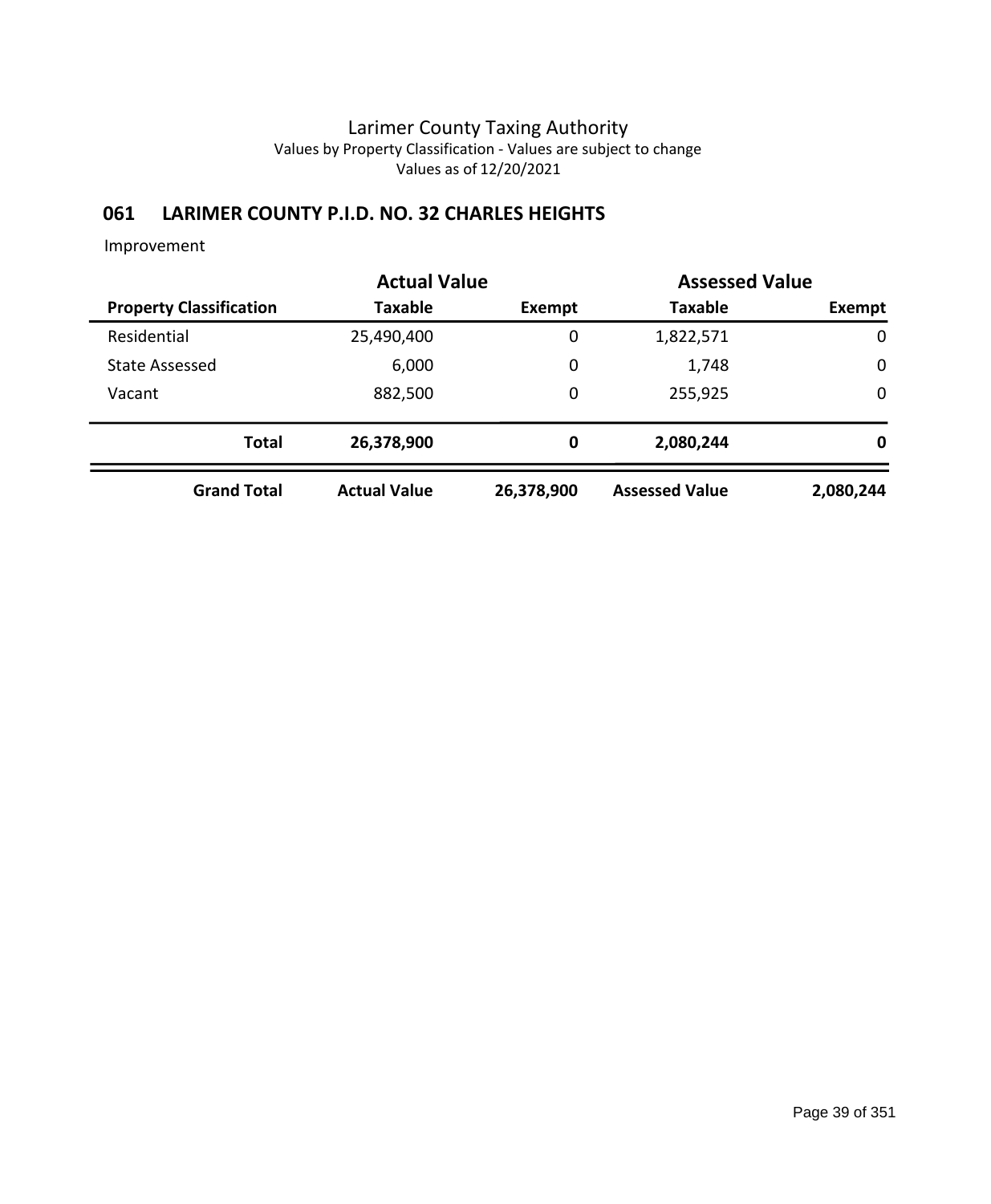## **061 LARIMER COUNTY P.I.D. NO. 32 CHARLES HEIGHTS**

|                                | <b>Actual Value</b> |               | <b>Assessed Value</b> |             |
|--------------------------------|---------------------|---------------|-----------------------|-------------|
| <b>Property Classification</b> | <b>Taxable</b>      | <b>Exempt</b> | <b>Taxable</b>        | Exempt      |
| Residential                    | 25,490,400          | 0             | 1,822,571             | $\mathbf 0$ |
| <b>State Assessed</b>          | 6,000               | 0             | 1,748                 | $\mathbf 0$ |
| Vacant                         | 882,500             | 0             | 255,925               | $\mathbf 0$ |
| <b>Total</b>                   | 26,378,900          | 0             | 2,080,244             | 0           |
| <b>Grand Total</b>             | <b>Actual Value</b> | 26,378,900    | <b>Assessed Value</b> | 2,080,244   |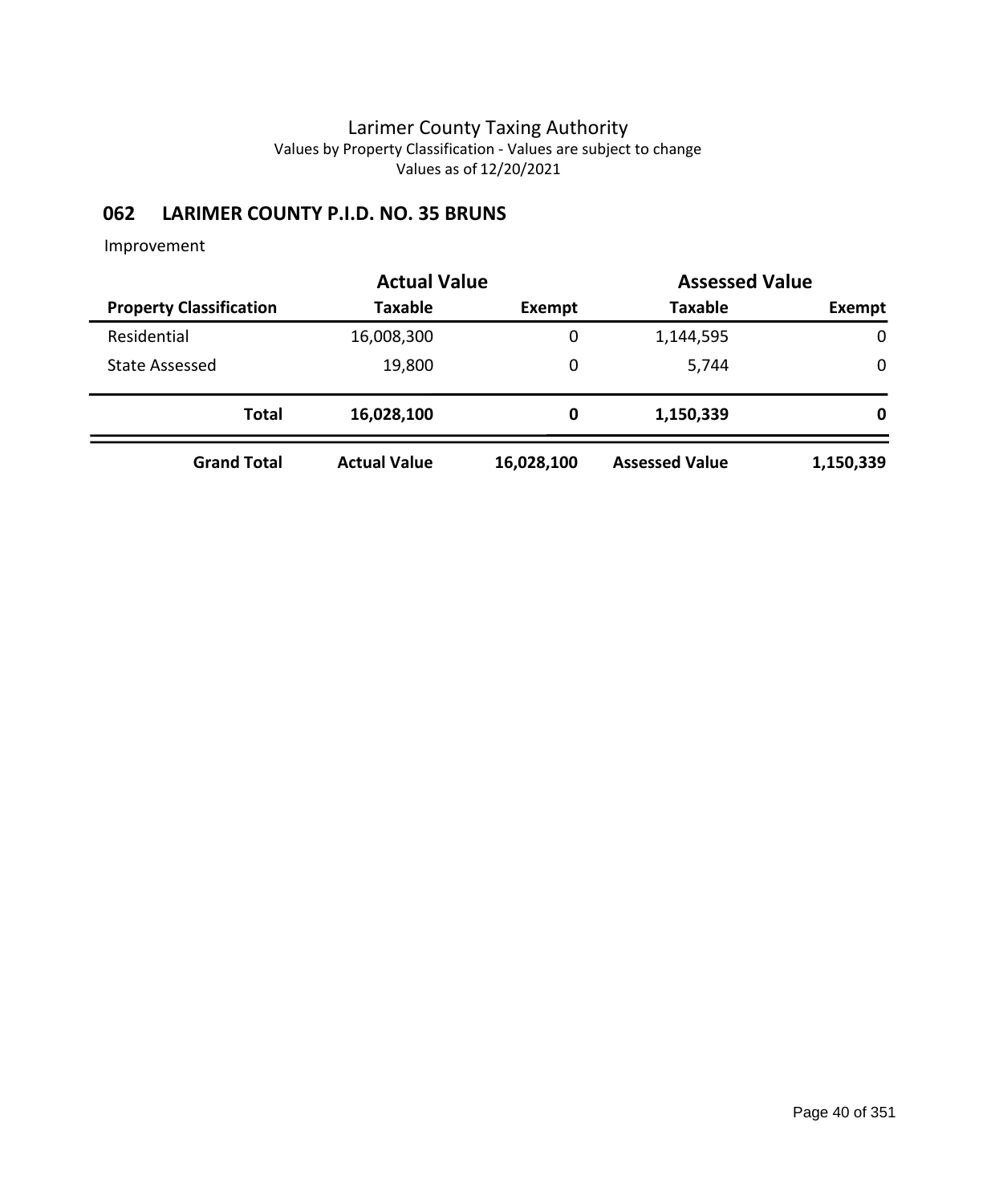## **062 LARIMER COUNTY P.I.D. NO. 35 BRUNS**

|                                | <b>Actual Value</b> | <b>Assessed Value</b> |                       |           |
|--------------------------------|---------------------|-----------------------|-----------------------|-----------|
| <b>Property Classification</b> | <b>Taxable</b>      | Exempt                | <b>Taxable</b>        | Exempt    |
| Residential                    | 16,008,300          | 0                     | 1,144,595             | 0         |
| State Assessed                 | 19,800              | 0                     | 5,744                 | 0         |
| <b>Total</b>                   | 16,028,100          | 0                     | 1,150,339             | 0         |
| <b>Grand Total</b>             | <b>Actual Value</b> | 16,028,100            | <b>Assessed Value</b> | 1,150,339 |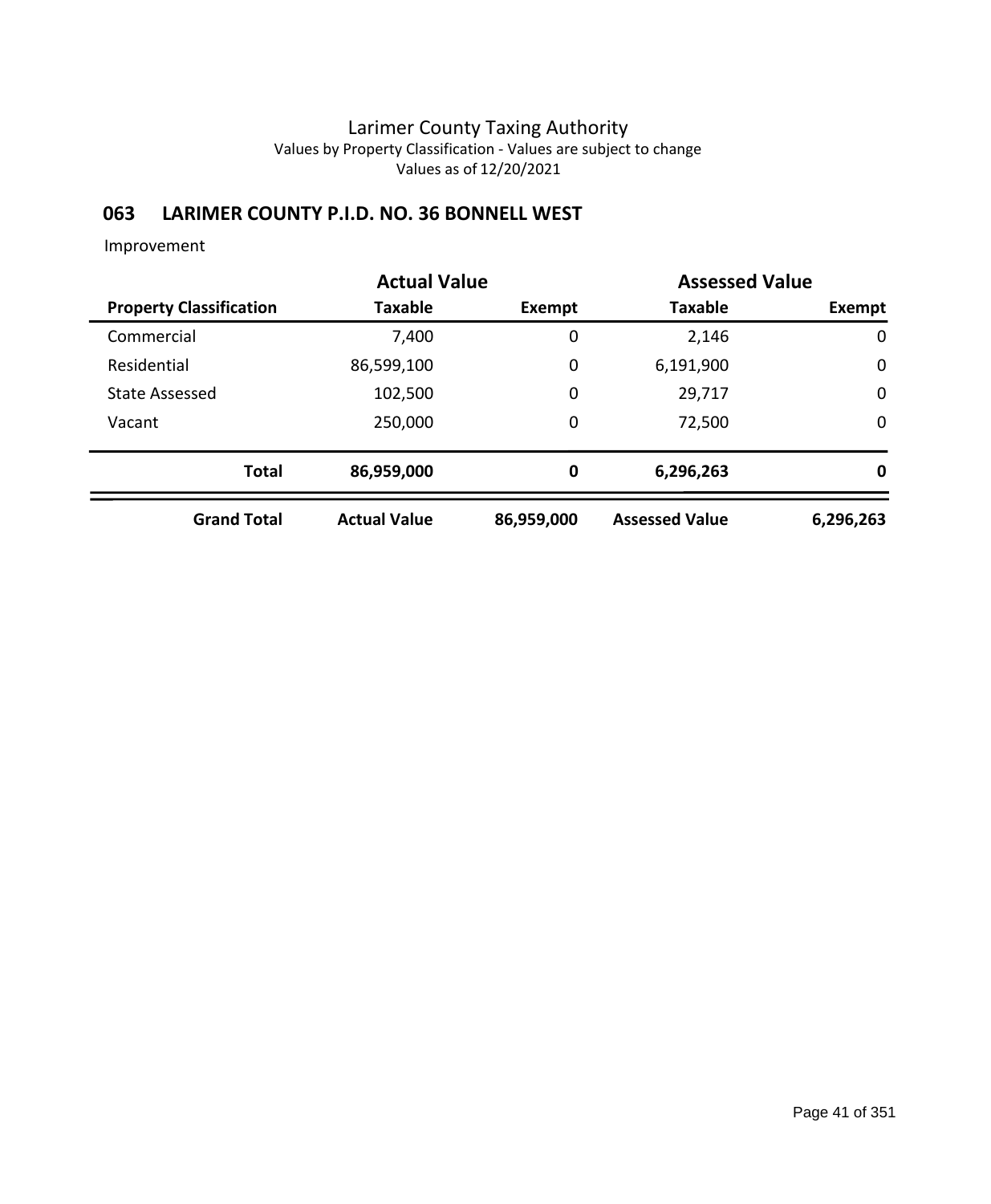## **063 LARIMER COUNTY P.I.D. NO. 36 BONNELL WEST**

|                                | <b>Actual Value</b> |            | <b>Assessed Value</b> |             |
|--------------------------------|---------------------|------------|-----------------------|-------------|
| <b>Property Classification</b> | Taxable             | Exempt     | <b>Taxable</b>        | Exempt      |
| Commercial                     | 7,400               | 0          | 2,146                 | 0           |
| Residential                    | 86,599,100          | 0          | 6,191,900             | $\mathbf 0$ |
| <b>State Assessed</b>          | 102,500             | 0          | 29,717                | $\mathbf 0$ |
| Vacant                         | 250,000             | 0          | 72,500                | $\mathbf 0$ |
| <b>Total</b>                   | 86,959,000          | 0          | 6,296,263             | 0           |
| <b>Grand Total</b>             | <b>Actual Value</b> | 86,959,000 | <b>Assessed Value</b> | 6,296,263   |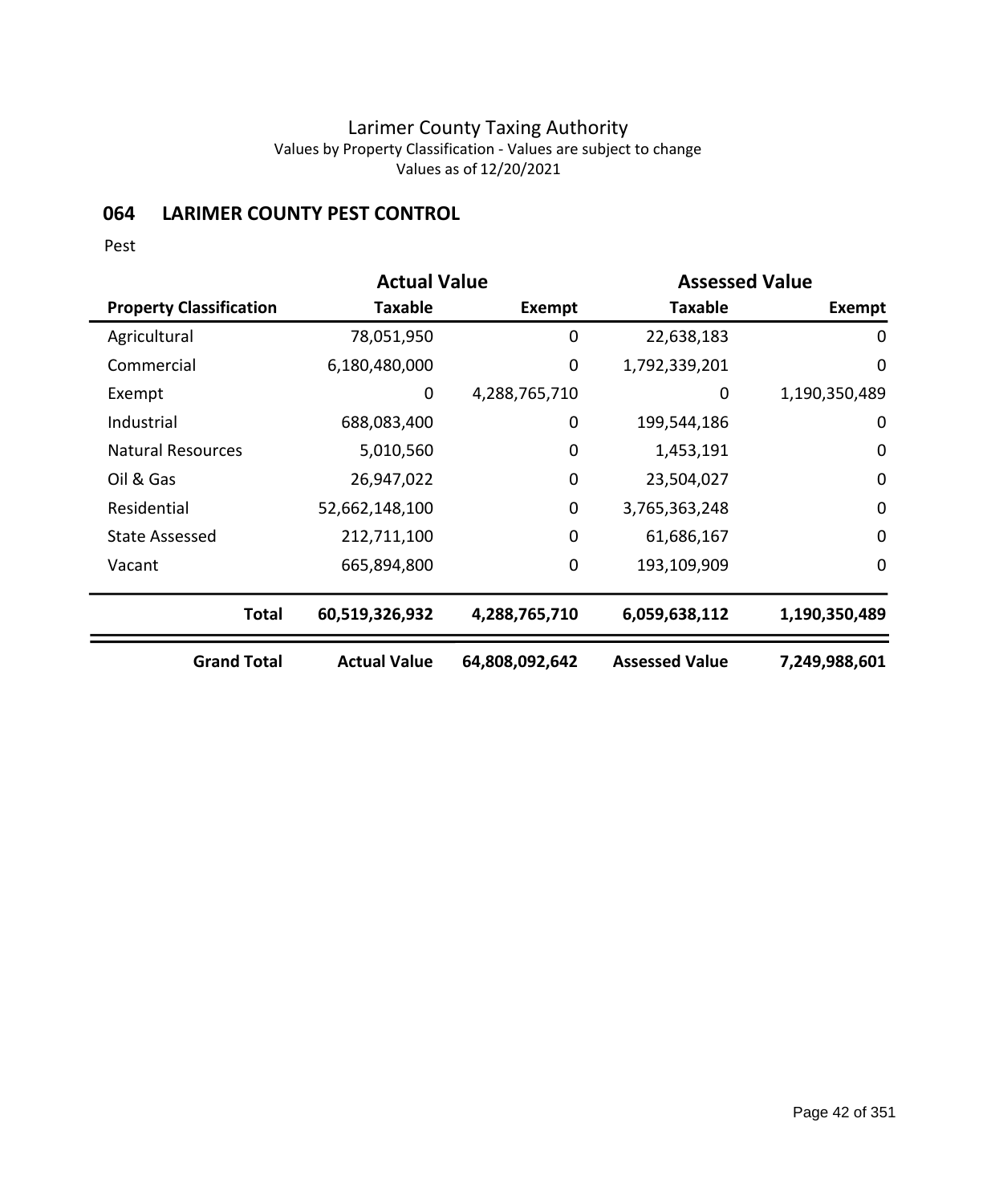## **064 LARIMER COUNTY PEST CONTROL**

Pest

|                                | <b>Actual Value</b> |                | <b>Assessed Value</b> |               |
|--------------------------------|---------------------|----------------|-----------------------|---------------|
| <b>Property Classification</b> | Taxable             | Exempt         | <b>Taxable</b>        | Exempt        |
| Agricultural                   | 78,051,950          | 0              | 22,638,183            | 0             |
| Commercial                     | 6,180,480,000       | 0              | 1,792,339,201         | $\mathbf 0$   |
| Exempt                         | 0                   | 4,288,765,710  | 0                     | 1,190,350,489 |
| Industrial                     | 688,083,400         | 0              | 199,544,186           | 0             |
| <b>Natural Resources</b>       | 5,010,560           | 0              | 1,453,191             | $\mathbf 0$   |
| Oil & Gas                      | 26,947,022          | 0              | 23,504,027            | $\mathbf 0$   |
| Residential                    | 52,662,148,100      | $\mathbf 0$    | 3,765,363,248         | $\mathbf 0$   |
| <b>State Assessed</b>          | 212,711,100         | 0              | 61,686,167            | $\mathbf 0$   |
| Vacant                         | 665,894,800         | 0              | 193,109,909           | $\mathbf 0$   |
| <b>Total</b>                   | 60,519,326,932      | 4,288,765,710  | 6,059,638,112         | 1,190,350,489 |
| <b>Grand Total</b>             | <b>Actual Value</b> | 64,808,092,642 | <b>Assessed Value</b> | 7,249,988,601 |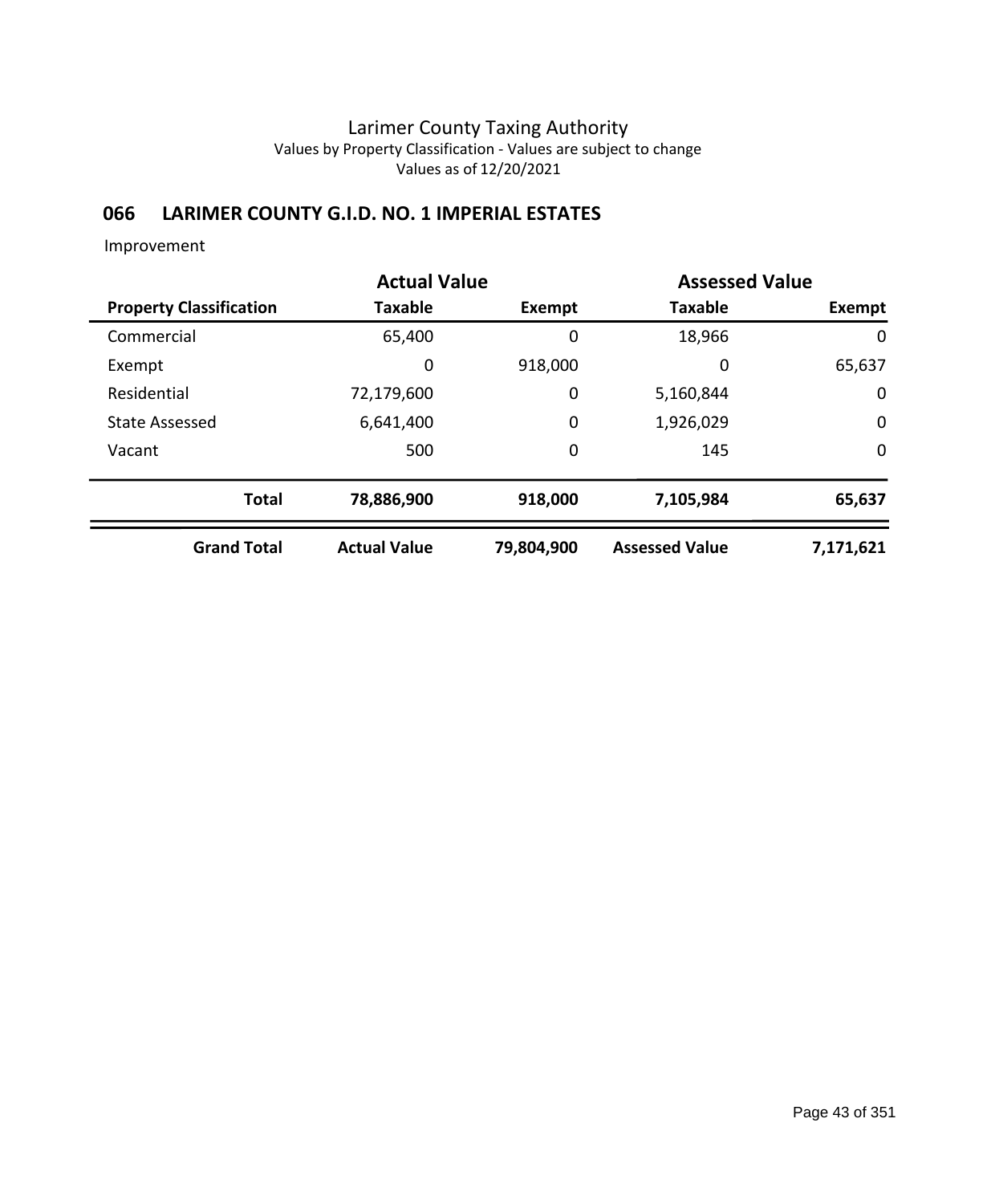## **066 LARIMER COUNTY G.I.D. NO. 1 IMPERIAL ESTATES**

| <b>Actual Value</b>            |                     |             | <b>Assessed Value</b> |             |
|--------------------------------|---------------------|-------------|-----------------------|-------------|
| <b>Property Classification</b> | <b>Taxable</b>      | Exempt      | <b>Taxable</b>        | Exempt      |
| Commercial                     | 65,400              | 0           | 18,966                | 0           |
| Exempt                         | 0                   | 918,000     | 0                     | 65,637      |
| Residential                    | 72,179,600          | $\mathbf 0$ | 5,160,844             | 0           |
| <b>State Assessed</b>          | 6,641,400           | $\mathbf 0$ | 1,926,029             | $\mathbf 0$ |
| Vacant                         | 500                 | $\mathbf 0$ | 145                   | $\mathbf 0$ |
| <b>Total</b>                   | 78,886,900          | 918,000     | 7,105,984             | 65,637      |
| <b>Grand Total</b>             | <b>Actual Value</b> | 79,804,900  | <b>Assessed Value</b> | 7,171,621   |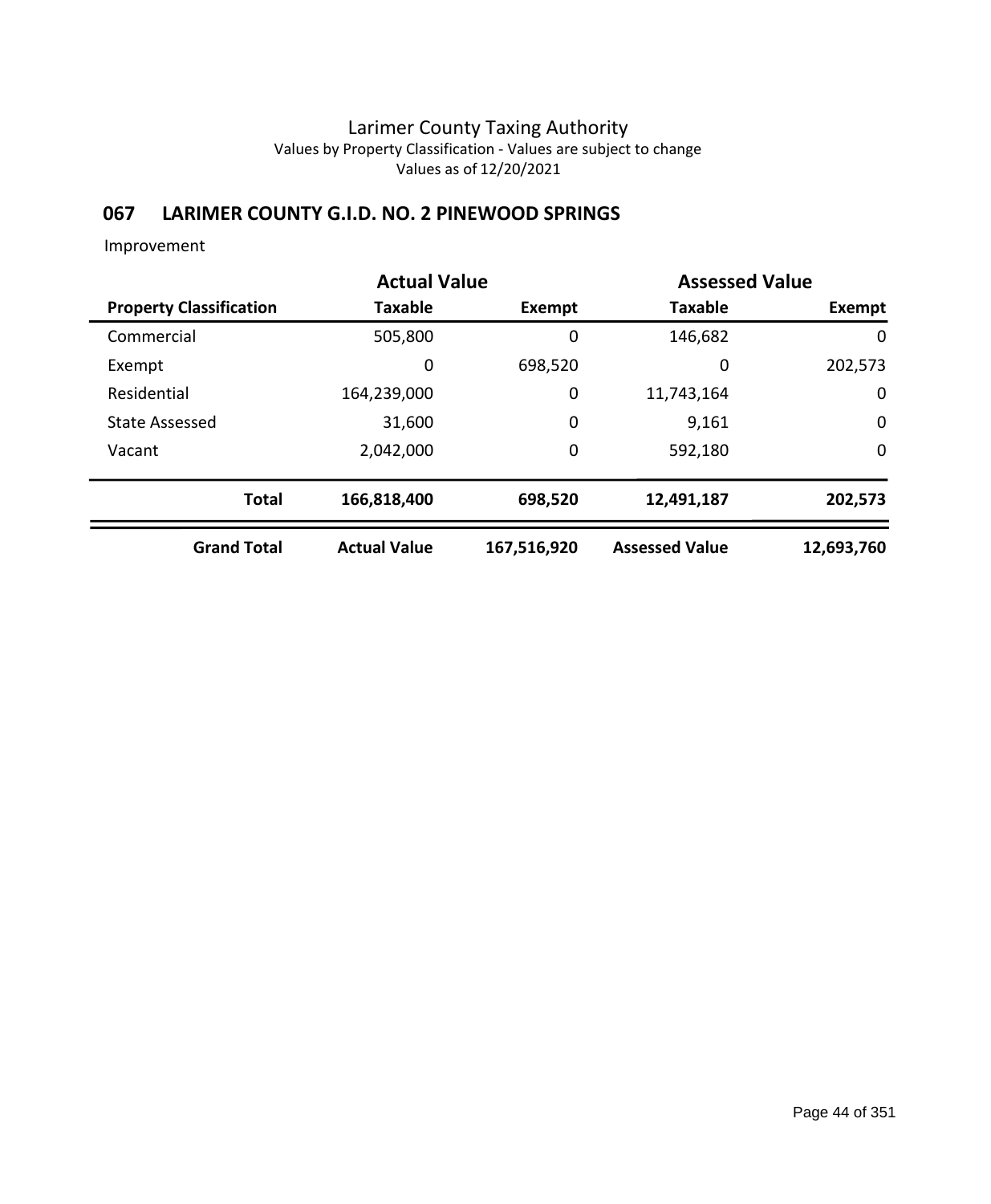## **067 LARIMER COUNTY G.I.D. NO. 2 PINEWOOD SPRINGS**

|                                | <b>Actual Value</b> |             | <b>Assessed Value</b> |             |
|--------------------------------|---------------------|-------------|-----------------------|-------------|
| <b>Property Classification</b> | <b>Taxable</b>      | Exempt      | <b>Taxable</b>        | Exempt      |
| Commercial                     | 505,800             | 0           | 146,682               | 0           |
| Exempt                         | 0                   | 698,520     | 0                     | 202,573     |
| Residential                    | 164,239,000         | 0           | 11,743,164            | 0           |
| <b>State Assessed</b>          | 31,600              | 0           | 9,161                 | $\mathbf 0$ |
| Vacant                         | 2,042,000           | 0           | 592,180               | $\mathbf 0$ |
| <b>Total</b>                   | 166,818,400         | 698,520     | 12,491,187            | 202,573     |
| <b>Grand Total</b>             | <b>Actual Value</b> | 167,516,920 | <b>Assessed Value</b> | 12,693,760  |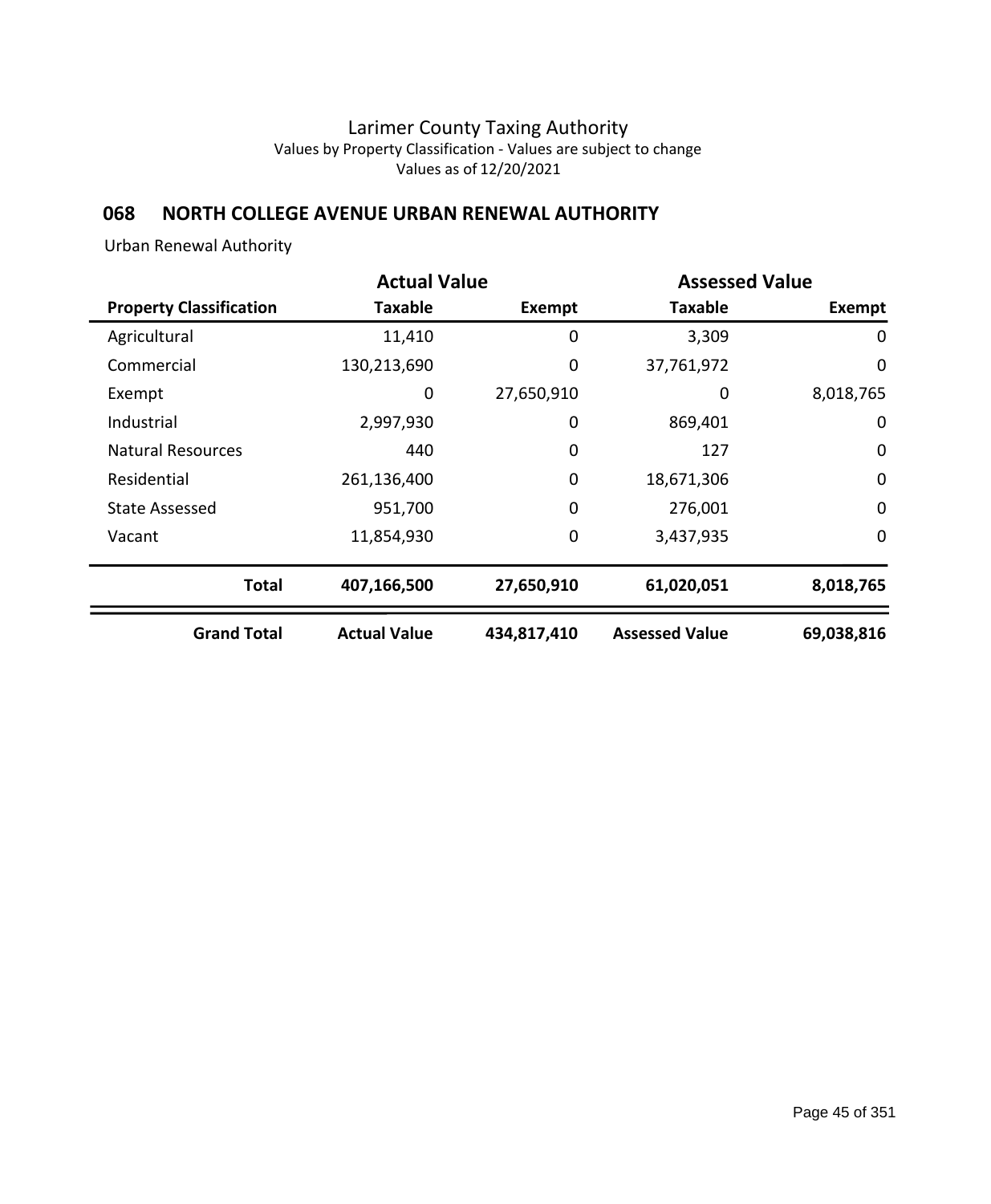## **068 NORTH COLLEGE AVENUE URBAN RENEWAL AUTHORITY**

Urban Renewal Authority

|                                | <b>Actual Value</b> | <b>Assessed Value</b> |                       |             |  |
|--------------------------------|---------------------|-----------------------|-----------------------|-------------|--|
| <b>Property Classification</b> | Taxable             | <b>Exempt</b>         | <b>Taxable</b>        | Exempt      |  |
| Agricultural                   | 11,410              | 0                     | 3,309                 | 0           |  |
| Commercial                     | 130,213,690         | 0                     | 37,761,972            | $\mathbf 0$ |  |
| Exempt                         | 0                   | 27,650,910            | 0                     | 8,018,765   |  |
| Industrial                     | 2,997,930           | 0                     | 869,401               | 0           |  |
| <b>Natural Resources</b>       | 440                 | 0                     | 127                   | $\mathbf 0$ |  |
| Residential                    | 261,136,400         | 0                     | 18,671,306            | $\mathbf 0$ |  |
| <b>State Assessed</b>          | 951,700             | 0                     | 276,001               | $\mathbf 0$ |  |
| Vacant                         | 11,854,930          | 0                     | 3,437,935             | 0           |  |
| <b>Total</b>                   | 407,166,500         | 27,650,910            | 61,020,051            | 8,018,765   |  |
| <b>Grand Total</b>             | <b>Actual Value</b> | 434,817,410           | <b>Assessed Value</b> | 69,038,816  |  |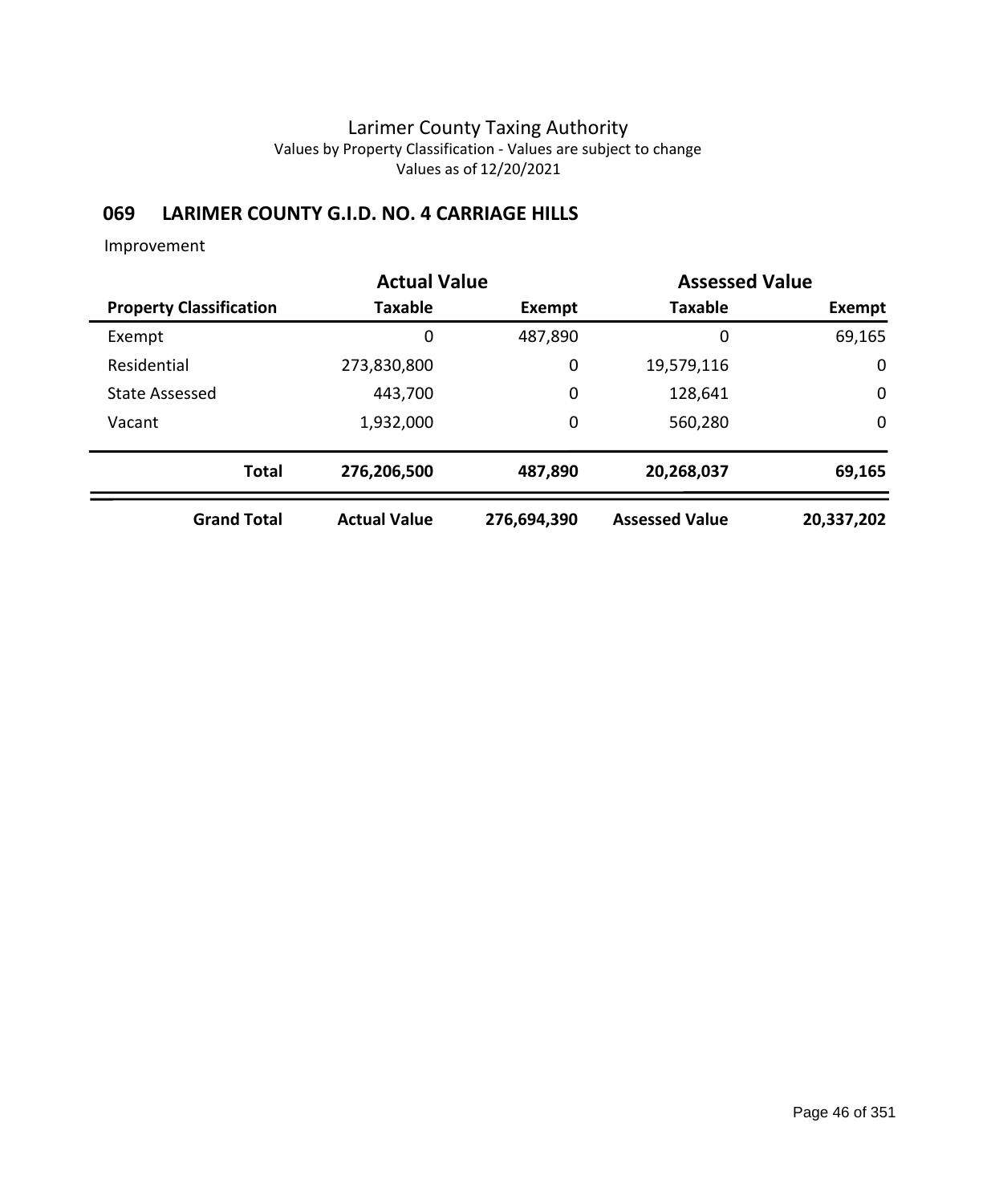### **069 LARIMER COUNTY G.I.D. NO. 4 CARRIAGE HILLS**

|                                |                     | <b>Assessed Value</b><br><b>Actual Value</b> |                       |             |
|--------------------------------|---------------------|----------------------------------------------|-----------------------|-------------|
| <b>Property Classification</b> | Taxable             | Exempt                                       | <b>Taxable</b>        | Exempt      |
| Exempt                         | 0                   | 487,890                                      | 0                     | 69,165      |
| Residential                    | 273,830,800         | 0                                            | 19,579,116            | $\mathbf 0$ |
| <b>State Assessed</b>          | 443,700             | 0                                            | 128,641               | 0           |
| Vacant                         | 1,932,000           | 0                                            | 560,280               | $\mathbf 0$ |
| <b>Total</b>                   | 276,206,500         | 487,890                                      | 20,268,037            | 69,165      |
| <b>Grand Total</b>             | <b>Actual Value</b> | 276,694,390                                  | <b>Assessed Value</b> | 20,337,202  |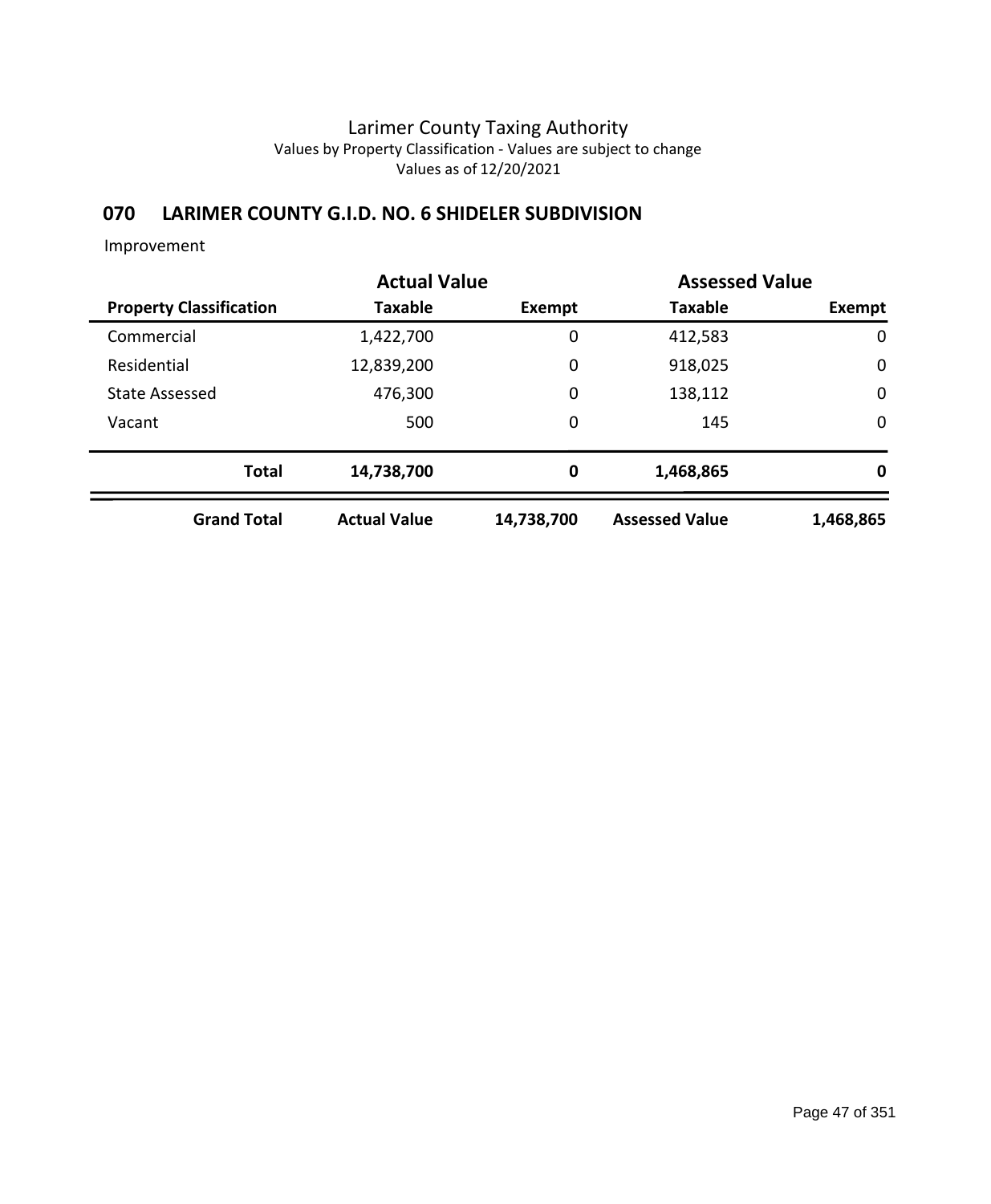## **070 LARIMER COUNTY G.I.D. NO. 6 SHIDELER SUBDIVISION**

|                                | <b>Actual Value</b> |             | <b>Assessed Value</b> |             |
|--------------------------------|---------------------|-------------|-----------------------|-------------|
| <b>Property Classification</b> | <b>Taxable</b>      | Exempt      | <b>Taxable</b>        | Exempt      |
| Commercial                     | 1,422,700           | 0           | 412,583               | $\mathbf 0$ |
| Residential                    | 12,839,200          | $\mathbf 0$ | 918,025               | 0           |
| <b>State Assessed</b>          | 476,300             | $\mathbf 0$ | 138,112               | $\mathbf 0$ |
| Vacant                         | 500                 | $\mathbf 0$ | 145                   | $\mathbf 0$ |
| <b>Total</b>                   | 14,738,700          | 0           | 1,468,865             | 0           |
| <b>Grand Total</b>             | <b>Actual Value</b> | 14,738,700  | <b>Assessed Value</b> | 1,468,865   |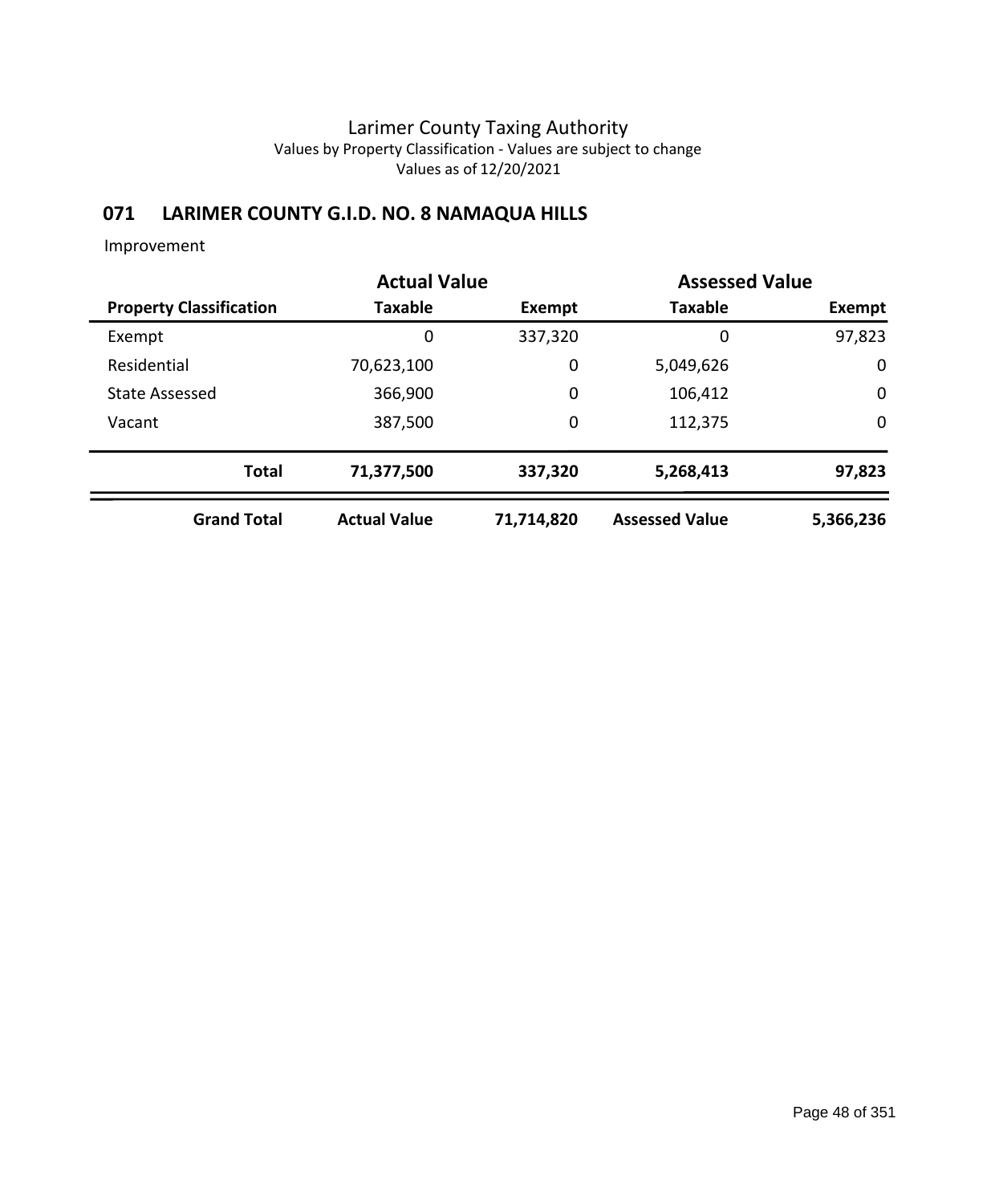### **071 LARIMER COUNTY G.I.D. NO. 8 NAMAQUA HILLS**

|                                | <b>Actual Value</b> |            | <b>Assessed Value</b> |             |
|--------------------------------|---------------------|------------|-----------------------|-------------|
| <b>Property Classification</b> | <b>Taxable</b>      | Exempt     | <b>Taxable</b>        | Exempt      |
| Exempt                         | 0                   | 337,320    | 0                     | 97,823      |
| Residential                    | 70,623,100          | 0          | 5,049,626             | $\mathbf 0$ |
| <b>State Assessed</b>          | 366,900             | 0          | 106,412               | $\mathbf 0$ |
| Vacant                         | 387,500             | 0          | 112,375               | $\mathbf 0$ |
| <b>Total</b>                   | 71,377,500          | 337,320    | 5,268,413             | 97,823      |
| <b>Grand Total</b>             | <b>Actual Value</b> | 71,714,820 | <b>Assessed Value</b> | 5,366,236   |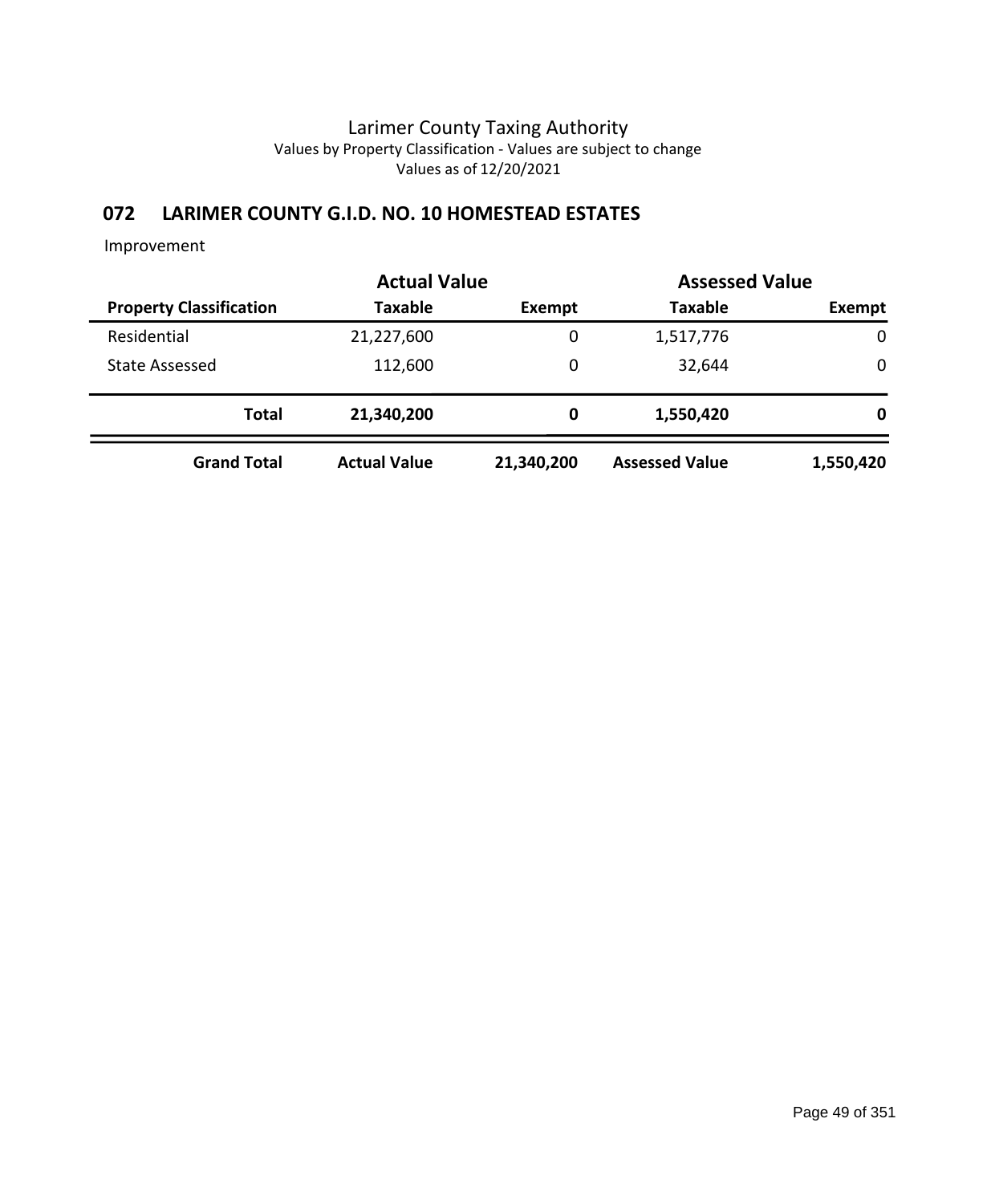## **072 LARIMER COUNTY G.I.D. NO. 10 HOMESTEAD ESTATES**

|                                | <b>Actual Value</b> | <b>Assessed Value</b> |                       |             |
|--------------------------------|---------------------|-----------------------|-----------------------|-------------|
| <b>Property Classification</b> | <b>Taxable</b>      | Exempt                | <b>Taxable</b>        | Exempt      |
| Residential                    | 21,227,600          | 0                     | 1,517,776             | $\mathbf 0$ |
| <b>State Assessed</b>          | 112,600             | 0                     | 32,644                | 0           |
| <b>Total</b>                   | 21,340,200          | 0                     | 1,550,420             | 0           |
| <b>Grand Total</b>             | <b>Actual Value</b> | 21,340,200            | <b>Assessed Value</b> | 1,550,420   |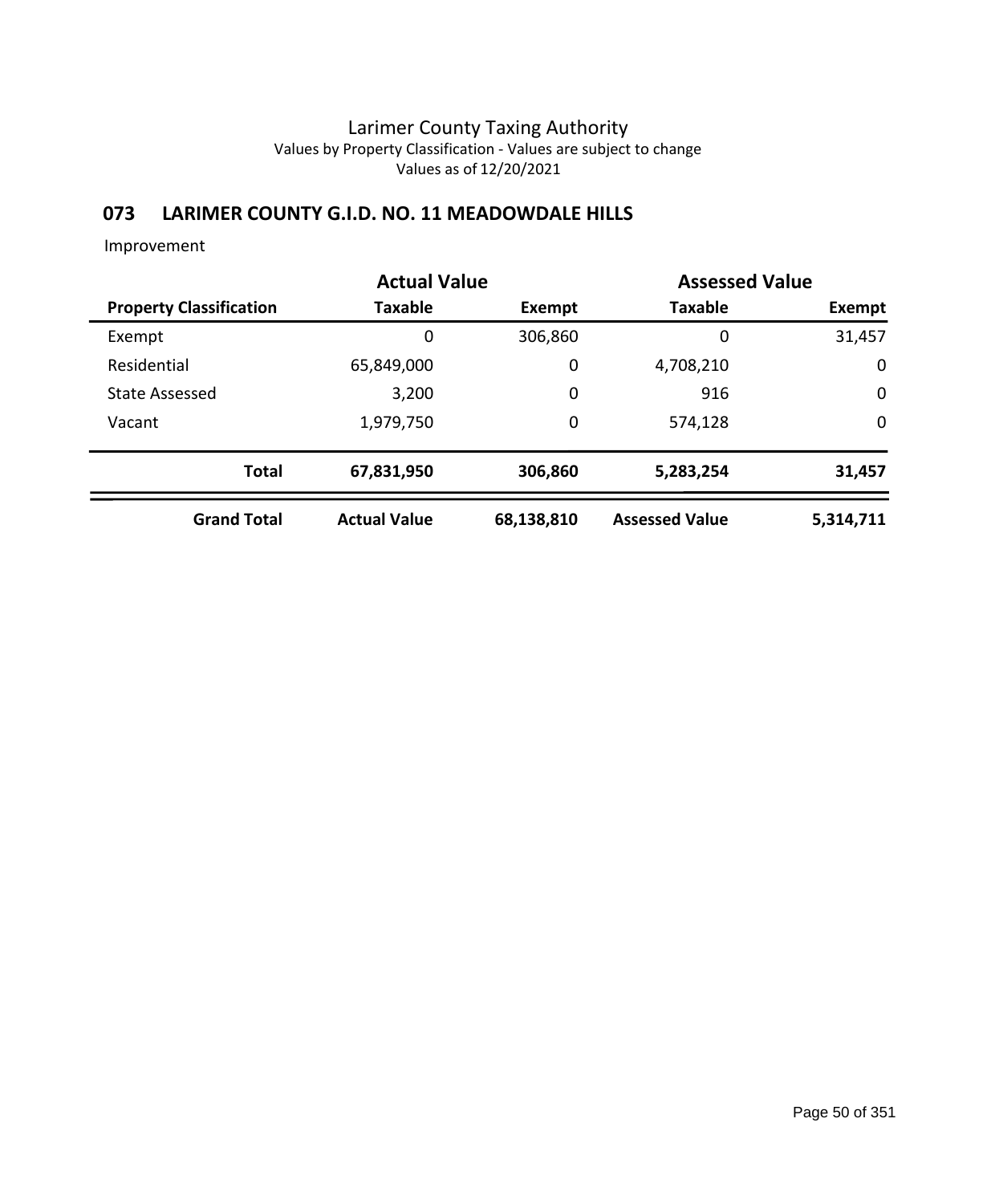### **073 LARIMER COUNTY G.I.D. NO. 11 MEADOWDALE HILLS**

|                                | <b>Actual Value</b> |               |                       | <b>Assessed Value</b> |
|--------------------------------|---------------------|---------------|-----------------------|-----------------------|
| <b>Property Classification</b> | <b>Taxable</b>      | <b>Exempt</b> | <b>Taxable</b>        | Exempt                |
| Exempt                         | 0                   | 306,860       | 0                     | 31,457                |
| Residential                    | 65,849,000          | 0             | 4,708,210             | $\mathbf 0$           |
| <b>State Assessed</b>          | 3,200               | 0             | 916                   | $\mathbf 0$           |
| Vacant                         | 1,979,750           | 0             | 574,128               | $\mathbf 0$           |
| <b>Total</b>                   | 67,831,950          | 306,860       | 5,283,254             | 31,457                |
| <b>Grand Total</b>             | <b>Actual Value</b> | 68,138,810    | <b>Assessed Value</b> | 5,314,711             |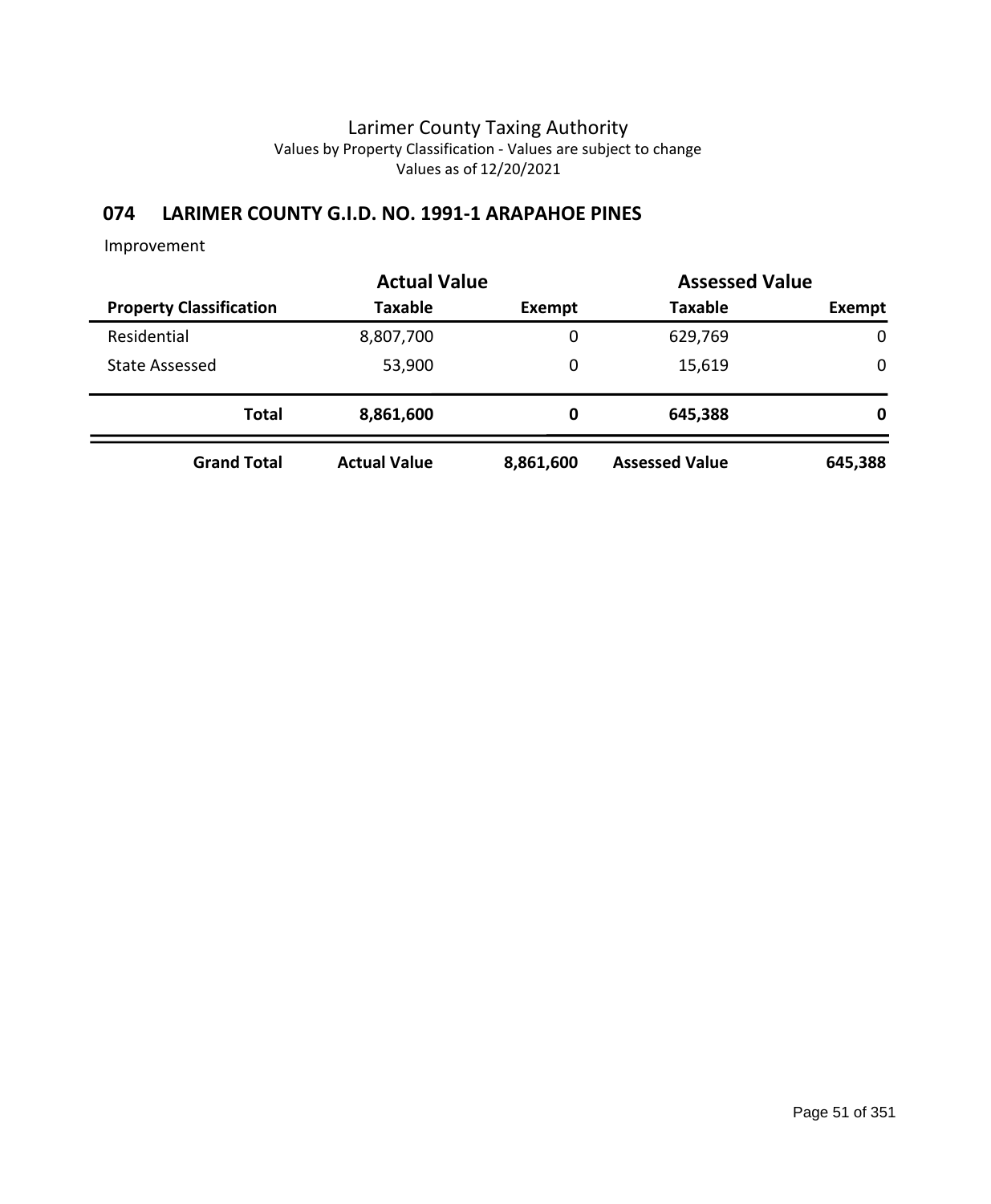## **074 LARIMER COUNTY G.I.D. NO. 1991-1 ARAPAHOE PINES**

|                                | <b>Actual Value</b> | <b>Assessed Value</b> |                       |         |  |
|--------------------------------|---------------------|-----------------------|-----------------------|---------|--|
| <b>Property Classification</b> | <b>Taxable</b>      | Exempt                | <b>Taxable</b>        | Exempt  |  |
| Residential                    | 8,807,700           | 0                     | 629,769               | 0       |  |
| State Assessed                 | 53,900              | 0                     | 15,619                | 0       |  |
| <b>Total</b>                   | 8,861,600           | 0                     | 645,388               | 0       |  |
| <b>Grand Total</b>             | <b>Actual Value</b> | 8,861,600             | <b>Assessed Value</b> | 645,388 |  |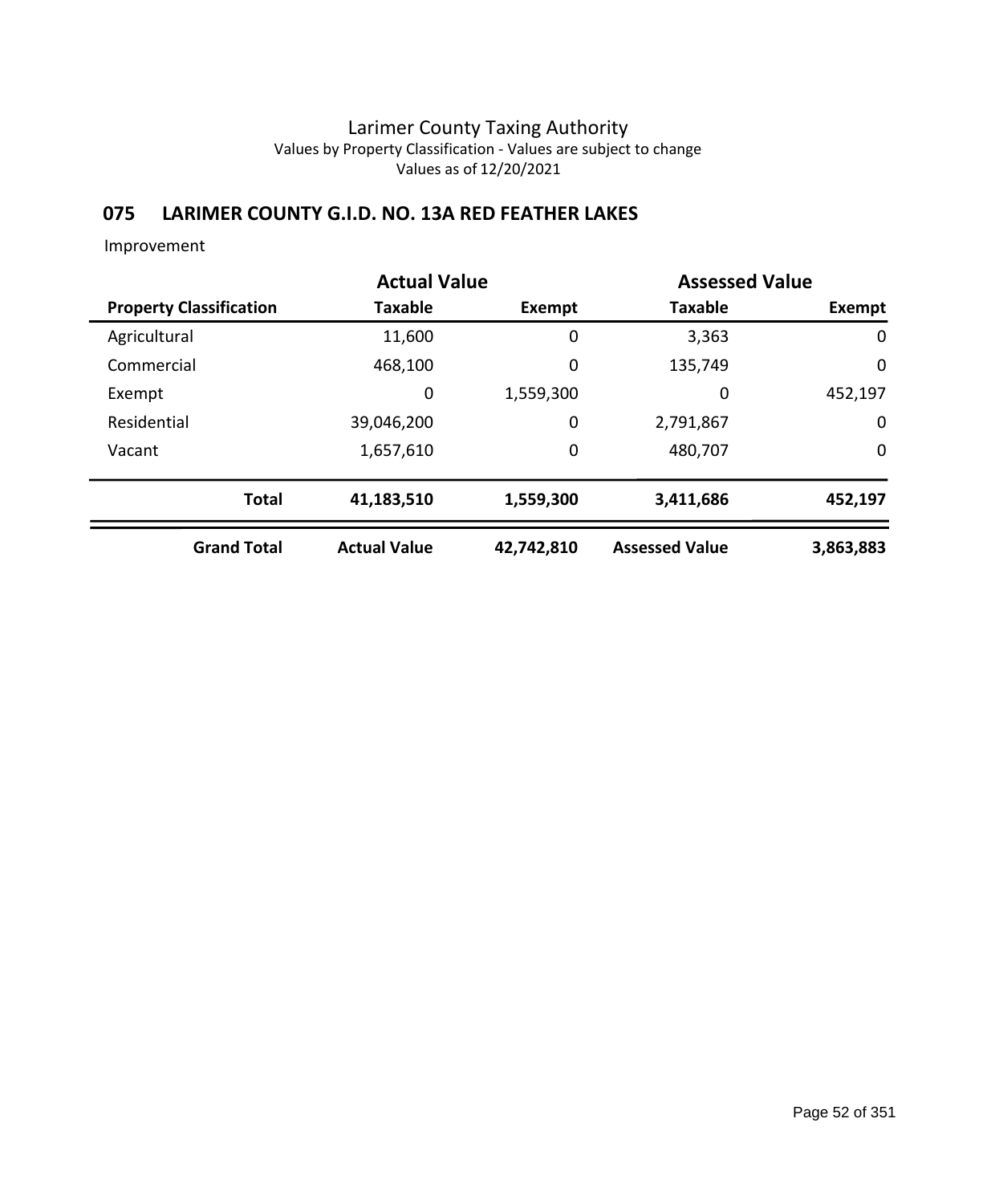## **075 LARIMER COUNTY G.I.D. NO. 13A RED FEATHER LAKES**

|                                | <b>Actual Value</b> |               | <b>Assessed Value</b> |             |
|--------------------------------|---------------------|---------------|-----------------------|-------------|
| <b>Property Classification</b> | <b>Taxable</b>      | <b>Exempt</b> | <b>Taxable</b>        | Exempt      |
| Agricultural                   | 11,600              | 0             | 3,363                 | 0           |
| Commercial                     | 468,100             | 0             | 135,749               | 0           |
| Exempt                         | 0                   | 1,559,300     | 0                     | 452,197     |
| Residential                    | 39,046,200          | 0             | 2,791,867             | $\mathbf 0$ |
| Vacant                         | 1,657,610           | 0             | 480,707               | $\mathbf 0$ |
| <b>Total</b>                   | 41,183,510          | 1,559,300     | 3,411,686             | 452,197     |
| <b>Grand Total</b>             | <b>Actual Value</b> | 42,742,810    | <b>Assessed Value</b> | 3,863,883   |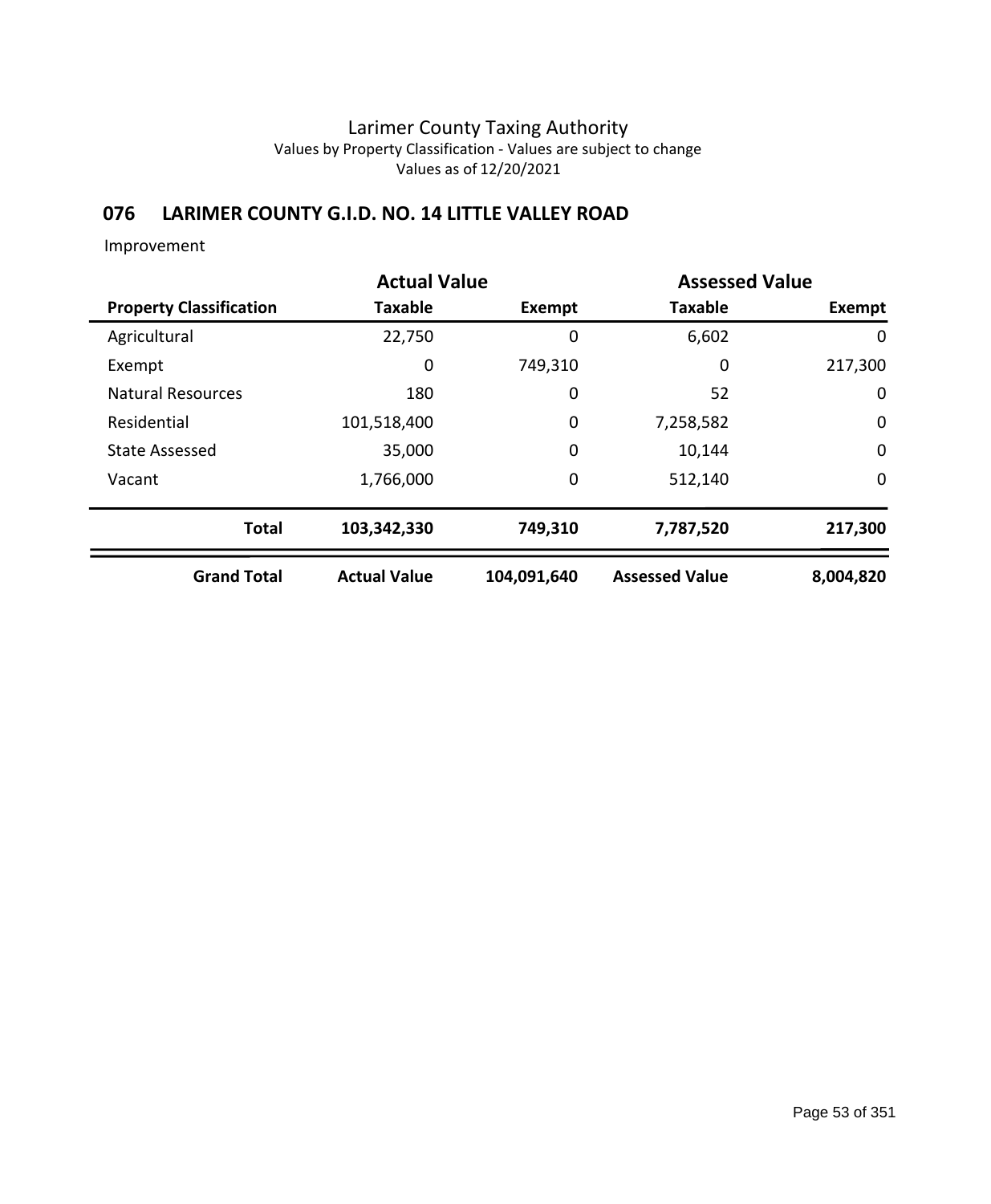## **076 LARIMER COUNTY G.I.D. NO. 14 LITTLE VALLEY ROAD**

|                                | <b>Actual Value</b> | <b>Assessed Value</b> |                       |             |  |
|--------------------------------|---------------------|-----------------------|-----------------------|-------------|--|
| <b>Property Classification</b> | <b>Taxable</b>      | Exempt                | <b>Taxable</b>        | Exempt      |  |
| Agricultural                   | 22,750              | 0                     | 6,602                 | 0           |  |
| Exempt                         | 0                   | 749,310               | 0                     | 217,300     |  |
| <b>Natural Resources</b>       | 180                 | 0                     | 52                    | $\mathbf 0$ |  |
| Residential                    | 101,518,400         | $\mathbf 0$           | 7,258,582             | $\mathbf 0$ |  |
| <b>State Assessed</b>          | 35,000              | $\mathbf 0$           | 10,144                | $\mathbf 0$ |  |
| Vacant                         | 1,766,000           | 0                     | 512,140               | 0           |  |
| <b>Total</b>                   | 103,342,330         | 749,310               | 7,787,520             | 217,300     |  |
| <b>Grand Total</b>             | <b>Actual Value</b> | 104,091,640           | <b>Assessed Value</b> | 8,004,820   |  |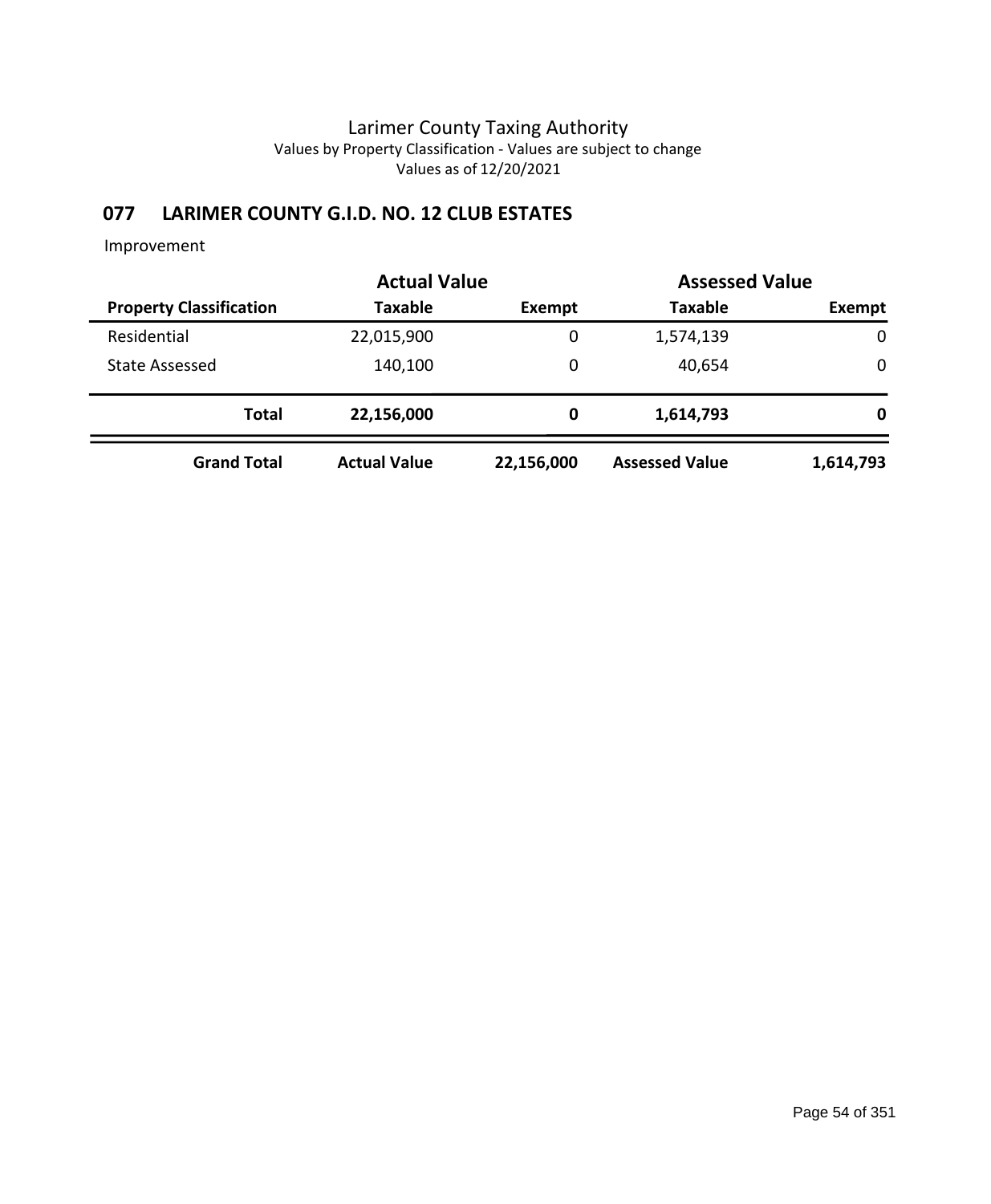## **077 LARIMER COUNTY G.I.D. NO. 12 CLUB ESTATES**

|                                | <b>Actual Value</b> | <b>Assessed Value</b> |                       |           |
|--------------------------------|---------------------|-----------------------|-----------------------|-----------|
| <b>Property Classification</b> | <b>Taxable</b>      | Exempt                | <b>Taxable</b>        | Exempt    |
| Residential                    | 22,015,900          | 0                     | 1,574,139             | 0         |
| <b>State Assessed</b>          | 140,100             | 0                     | 40,654                | 0         |
| <b>Total</b>                   | 22,156,000          | 0                     | 1,614,793             | 0         |
| <b>Grand Total</b>             | <b>Actual Value</b> | 22,156,000            | <b>Assessed Value</b> | 1,614,793 |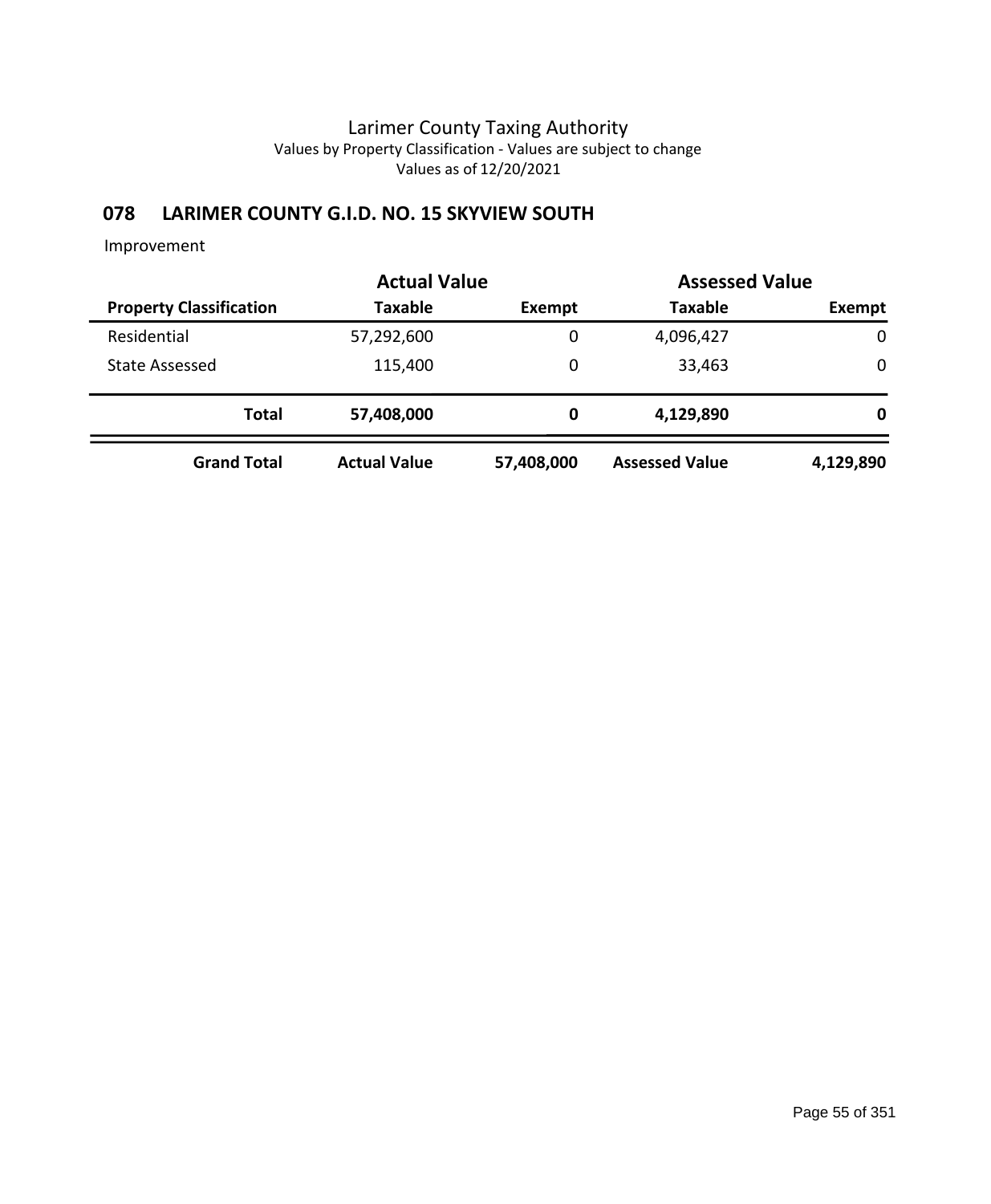## **078 LARIMER COUNTY G.I.D. NO. 15 SKYVIEW SOUTH**

|                                | <b>Actual Value</b> | <b>Assessed Value</b> |                       |           |  |
|--------------------------------|---------------------|-----------------------|-----------------------|-----------|--|
| <b>Property Classification</b> | <b>Taxable</b>      | Exempt                | <b>Taxable</b>        | Exempt    |  |
| Residential                    | 57,292,600          | 0                     | 4,096,427             | 0         |  |
| State Assessed                 | 115,400             | 0                     | 33,463                | 0         |  |
| <b>Total</b>                   | 57,408,000          | 0                     | 4,129,890             | 0         |  |
| <b>Grand Total</b>             | <b>Actual Value</b> | 57,408,000            | <b>Assessed Value</b> | 4,129,890 |  |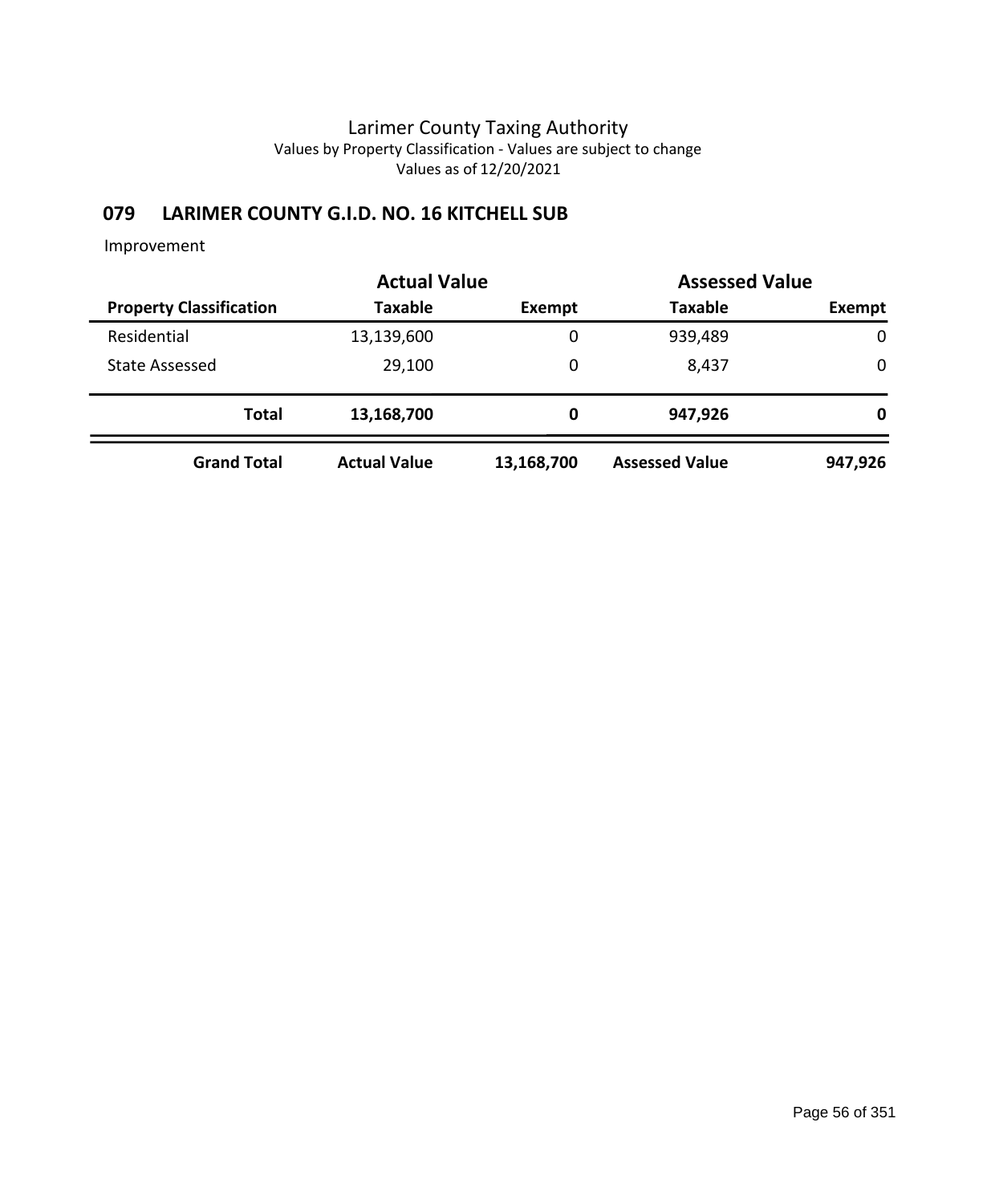## **079 LARIMER COUNTY G.I.D. NO. 16 KITCHELL SUB**

|                                | <b>Actual Value</b> | <b>Assessed Value</b> |                       |             |  |
|--------------------------------|---------------------|-----------------------|-----------------------|-------------|--|
| <b>Property Classification</b> | <b>Taxable</b>      | Exempt                | <b>Taxable</b>        | Exempt      |  |
| Residential                    | 13,139,600          | 0                     | 939,489               | $\mathbf 0$ |  |
| <b>State Assessed</b>          | 29,100              | 0                     | 8,437                 | 0           |  |
| <b>Total</b>                   | 13,168,700          | 0                     | 947,926               | 0           |  |
| <b>Grand Total</b>             | <b>Actual Value</b> | 13,168,700            | <b>Assessed Value</b> | 947,926     |  |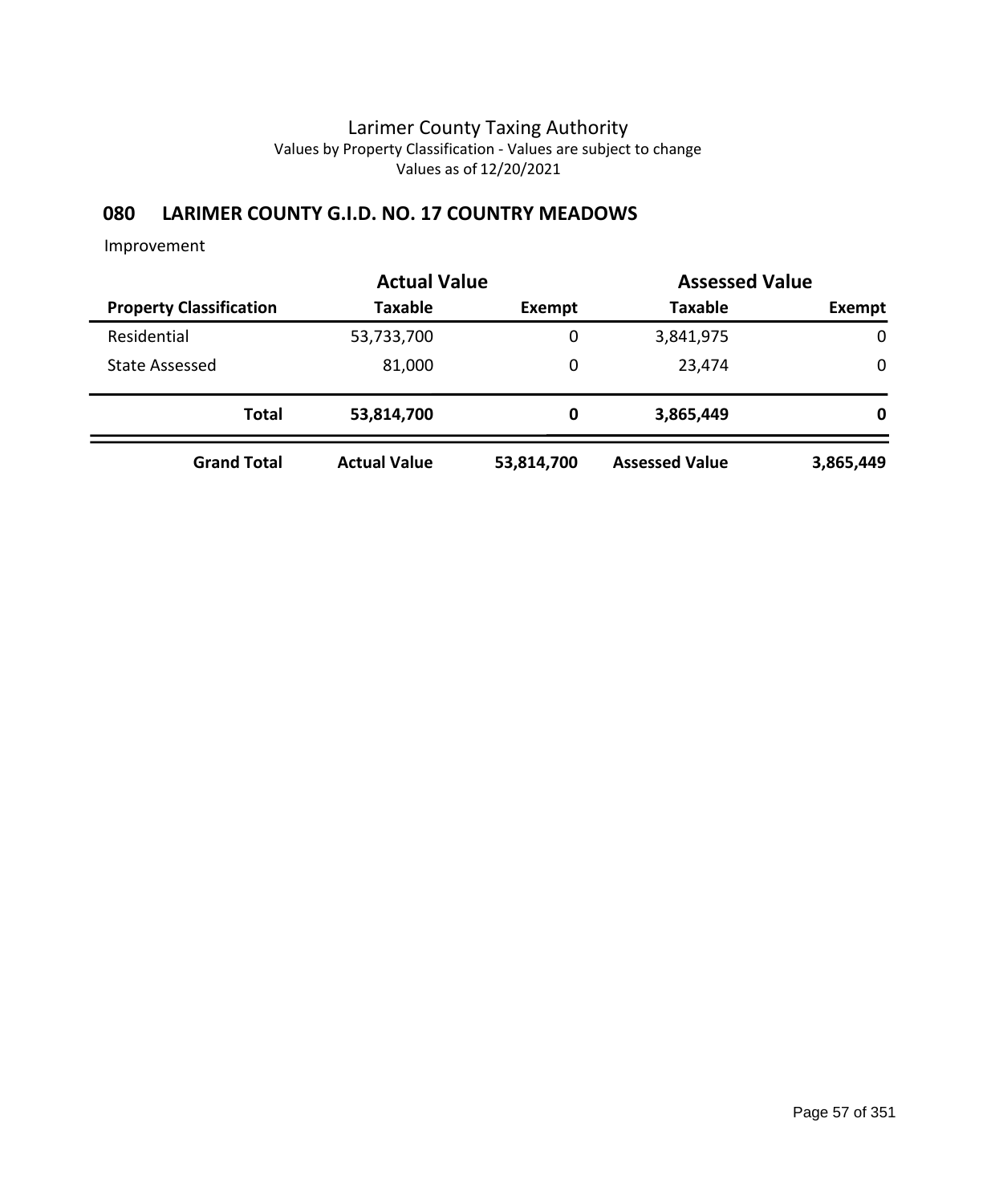## **080 LARIMER COUNTY G.I.D. NO. 17 COUNTRY MEADOWS**

|                                | <b>Actual Value</b> |            |                       | <b>Assessed Value</b> |  |
|--------------------------------|---------------------|------------|-----------------------|-----------------------|--|
| <b>Property Classification</b> | <b>Taxable</b>      | Exempt     | <b>Taxable</b>        | Exempt                |  |
| Residential                    | 53,733,700          | 0          | 3,841,975             | $\mathbf 0$           |  |
| <b>State Assessed</b>          | 81,000              | 0          | 23,474                | 0                     |  |
| <b>Total</b>                   | 53,814,700          | 0          | 3,865,449             | 0                     |  |
| <b>Grand Total</b>             | <b>Actual Value</b> | 53,814,700 | <b>Assessed Value</b> | 3,865,449             |  |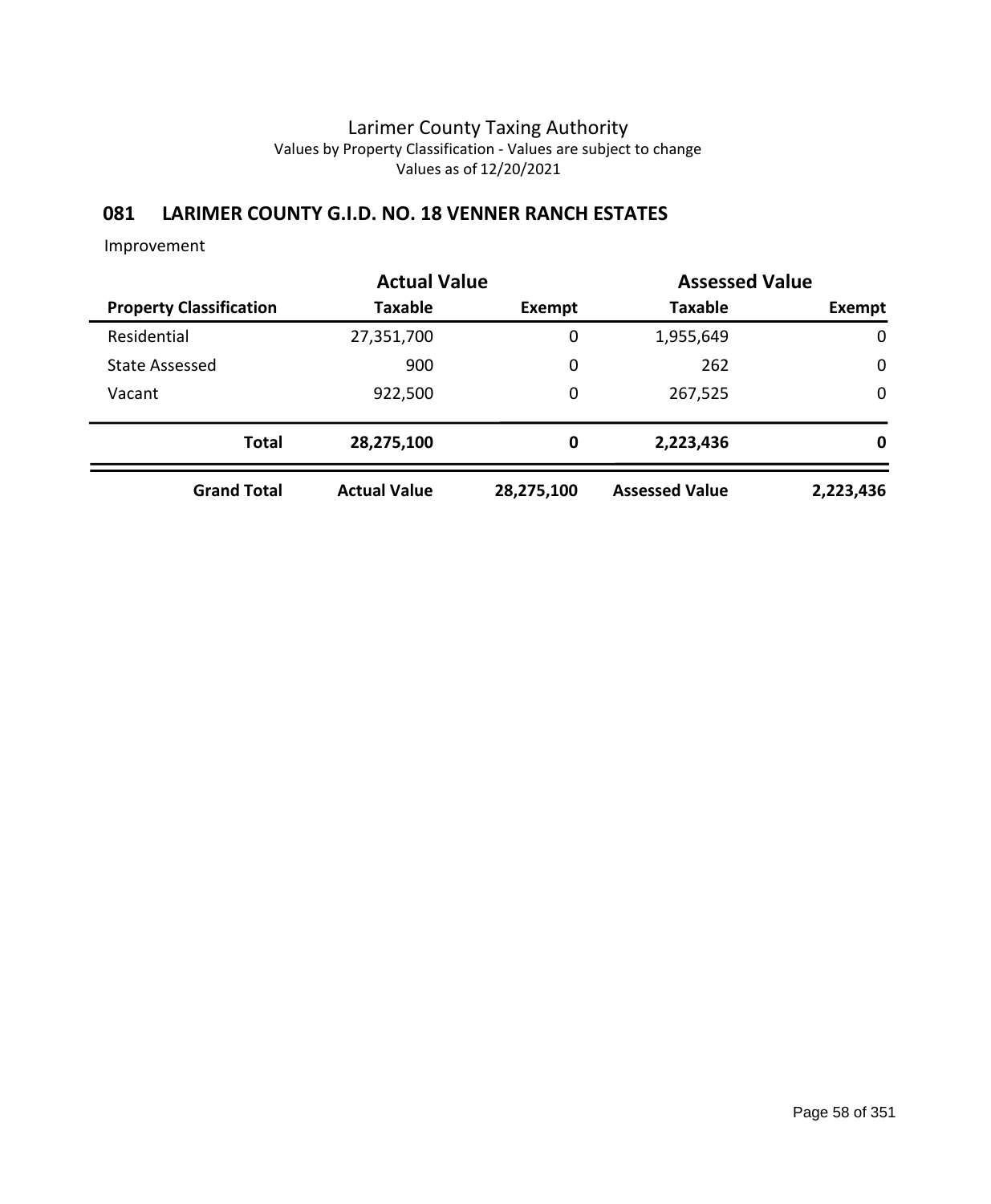## **081 LARIMER COUNTY G.I.D. NO. 18 VENNER RANCH ESTATES**

|                                | <b>Actual Value</b> |            | <b>Assessed Value</b> |             |
|--------------------------------|---------------------|------------|-----------------------|-------------|
| <b>Property Classification</b> | Taxable             | Exempt     | <b>Taxable</b>        | Exempt      |
| Residential                    | 27,351,700          | 0          | 1,955,649             | $\mathbf 0$ |
| <b>State Assessed</b>          | 900                 | 0          | 262                   | $\mathbf 0$ |
| Vacant                         | 922,500             | 0          | 267,525               | $\mathbf 0$ |
| <b>Total</b>                   | 28,275,100          | 0          | 2,223,436             | 0           |
| <b>Grand Total</b>             | <b>Actual Value</b> | 28,275,100 | <b>Assessed Value</b> | 2,223,436   |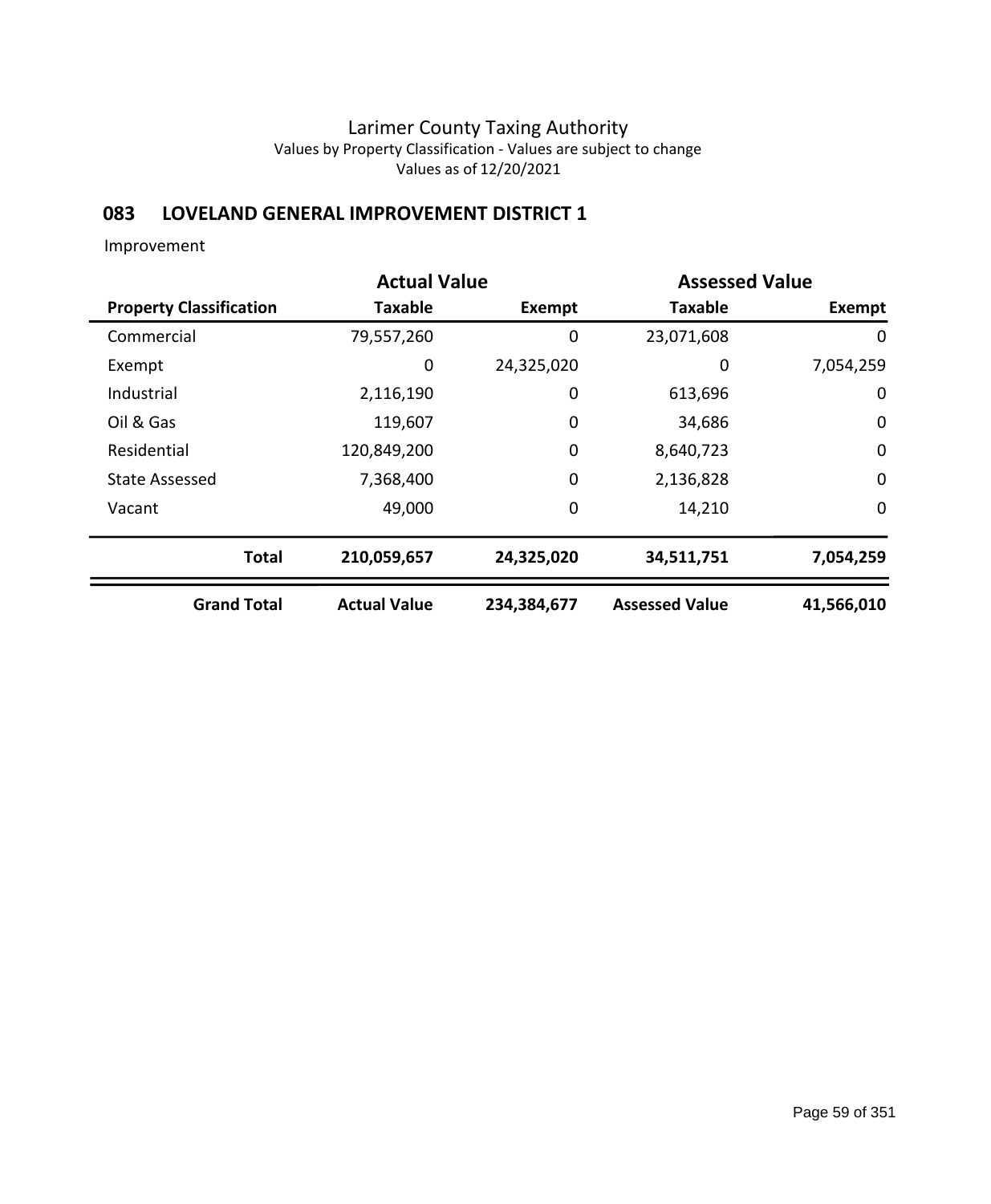## **083 LOVELAND GENERAL IMPROVEMENT DISTRICT 1**

|                                |                     | <b>Actual Value</b><br><b>Assessed Value</b> |                       |               |
|--------------------------------|---------------------|----------------------------------------------|-----------------------|---------------|
| <b>Property Classification</b> | <b>Taxable</b>      | Exempt                                       | <b>Taxable</b>        | <b>Exempt</b> |
| Commercial                     | 79,557,260          | 0                                            | 23,071,608            | 0             |
| Exempt                         | 0                   | 24,325,020                                   | 0                     | 7,054,259     |
| Industrial                     | 2,116,190           | 0                                            | 613,696               | 0             |
| Oil & Gas                      | 119,607             | 0                                            | 34,686                | $\mathbf 0$   |
| Residential                    | 120,849,200         | 0                                            | 8,640,723             | $\mathbf 0$   |
| <b>State Assessed</b>          | 7,368,400           | $\mathbf 0$                                  | 2,136,828             | $\mathbf 0$   |
| Vacant                         | 49,000              | 0                                            | 14,210                | 0             |
| <b>Total</b>                   | 210,059,657         | 24,325,020                                   | 34,511,751            | 7,054,259     |
| <b>Grand Total</b>             | <b>Actual Value</b> | 234,384,677                                  | <b>Assessed Value</b> | 41,566,010    |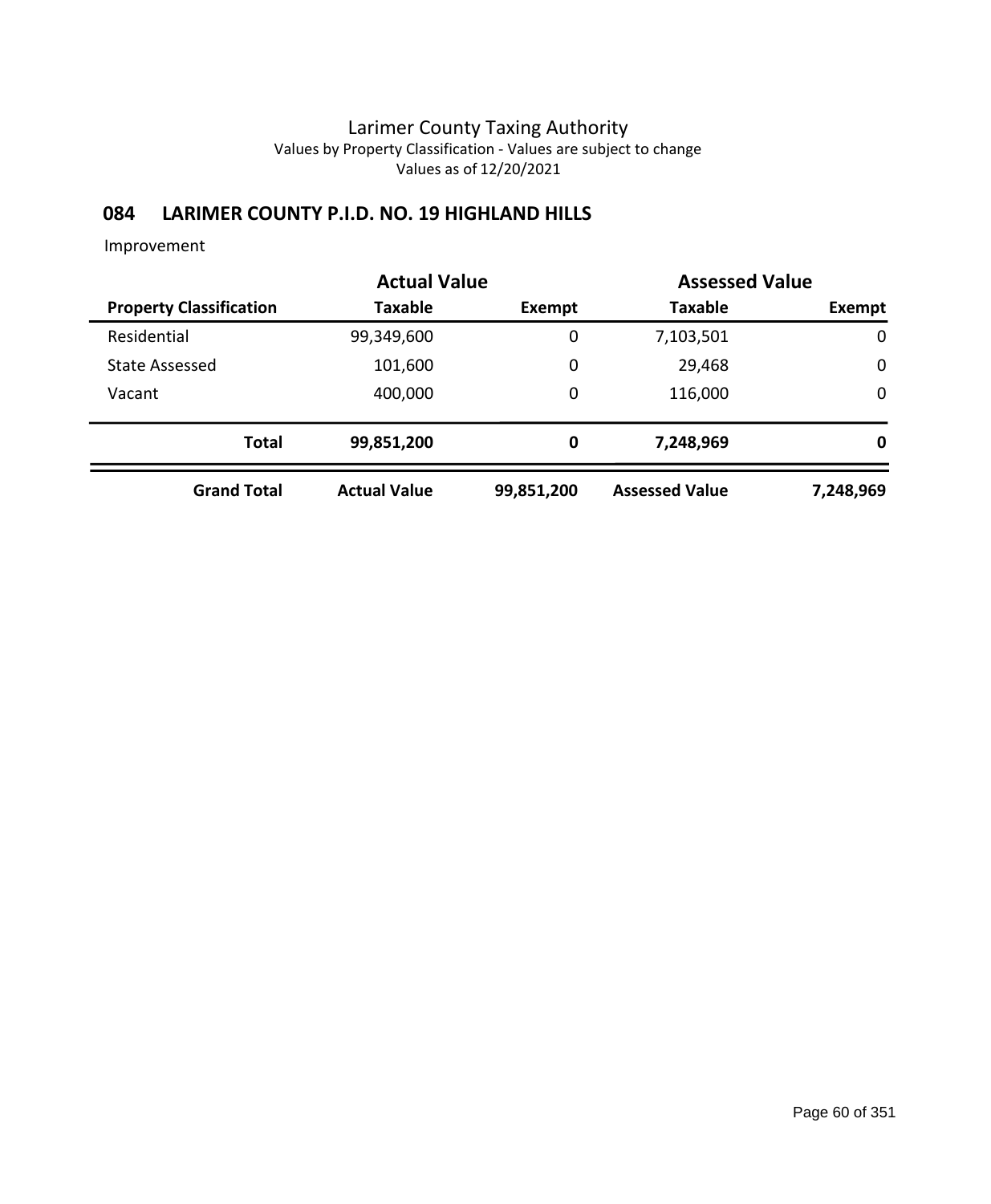## **084 LARIMER COUNTY P.I.D. NO. 19 HIGHLAND HILLS**

|                                | <b>Actual Value</b> |            | <b>Assessed Value</b> |             |
|--------------------------------|---------------------|------------|-----------------------|-------------|
| <b>Property Classification</b> | Taxable             | Exempt     | <b>Taxable</b>        | Exempt      |
| Residential                    | 99,349,600          | 0          | 7,103,501             | $\mathbf 0$ |
| <b>State Assessed</b>          | 101,600             | 0          | 29,468                | $\mathbf 0$ |
| Vacant                         | 400,000             | 0          | 116,000               | $\mathbf 0$ |
| <b>Total</b>                   | 99,851,200          | 0          | 7,248,969             | 0           |
| <b>Grand Total</b>             | <b>Actual Value</b> | 99,851,200 | <b>Assessed Value</b> | 7,248,969   |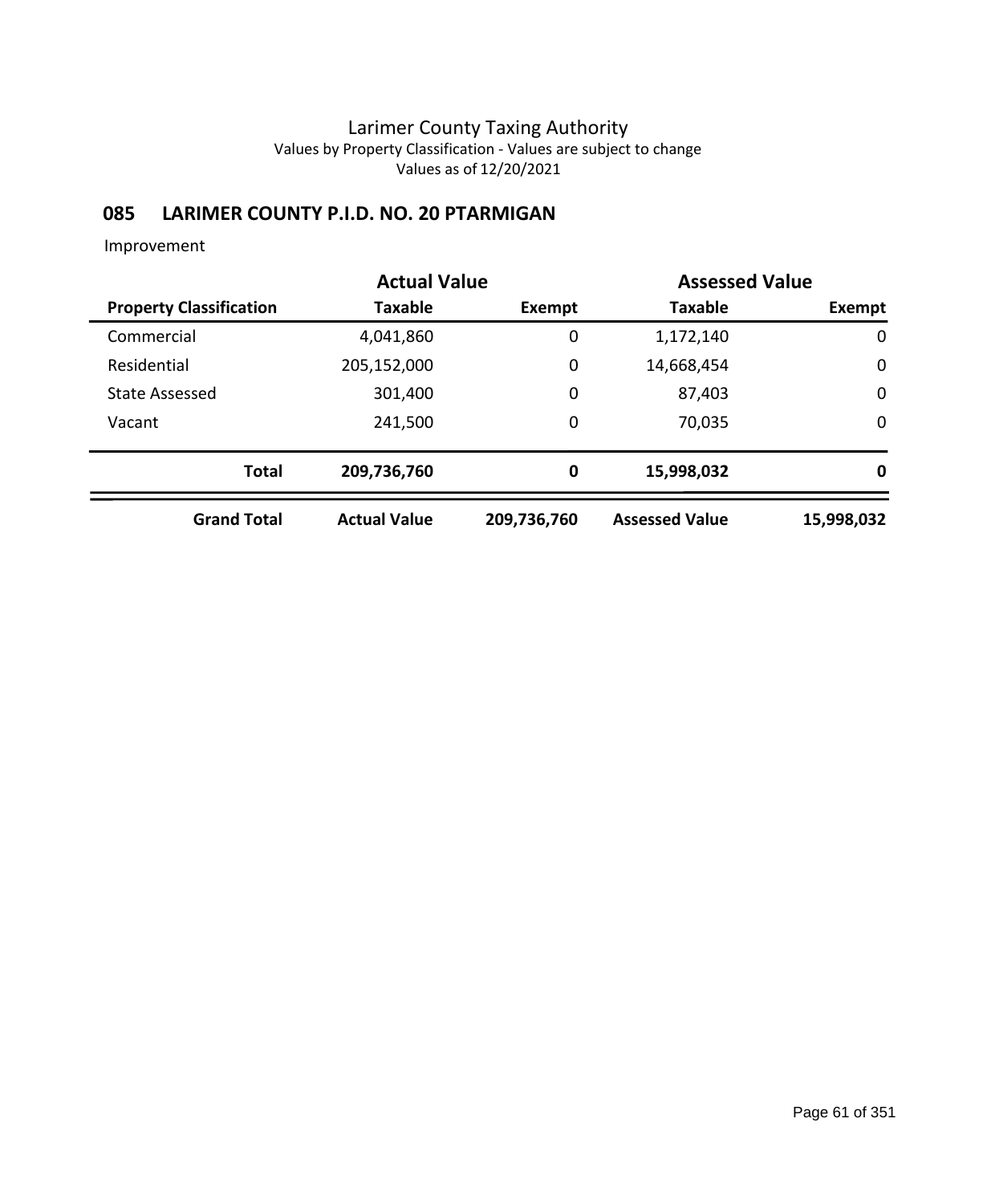## **085 LARIMER COUNTY P.I.D. NO. 20 PTARMIGAN**

|                                |                     | <b>Actual Value</b> |                       | <b>Assessed Value</b> |  |
|--------------------------------|---------------------|---------------------|-----------------------|-----------------------|--|
| <b>Property Classification</b> | <b>Taxable</b>      | Exempt              | <b>Taxable</b>        | Exempt                |  |
| Commercial                     | 4,041,860           | 0                   | 1,172,140             | $\mathbf 0$           |  |
| Residential                    | 205,152,000         | $\mathbf 0$         | 14,668,454            | $\mathbf 0$           |  |
| <b>State Assessed</b>          | 301,400             | 0                   | 87,403                | $\mathbf 0$           |  |
| Vacant                         | 241,500             | 0                   | 70,035                | $\mathbf 0$           |  |
| <b>Total</b>                   | 209,736,760         | $\bf{0}$            | 15,998,032            | 0                     |  |
| <b>Grand Total</b>             | <b>Actual Value</b> | 209,736,760         | <b>Assessed Value</b> | 15,998,032            |  |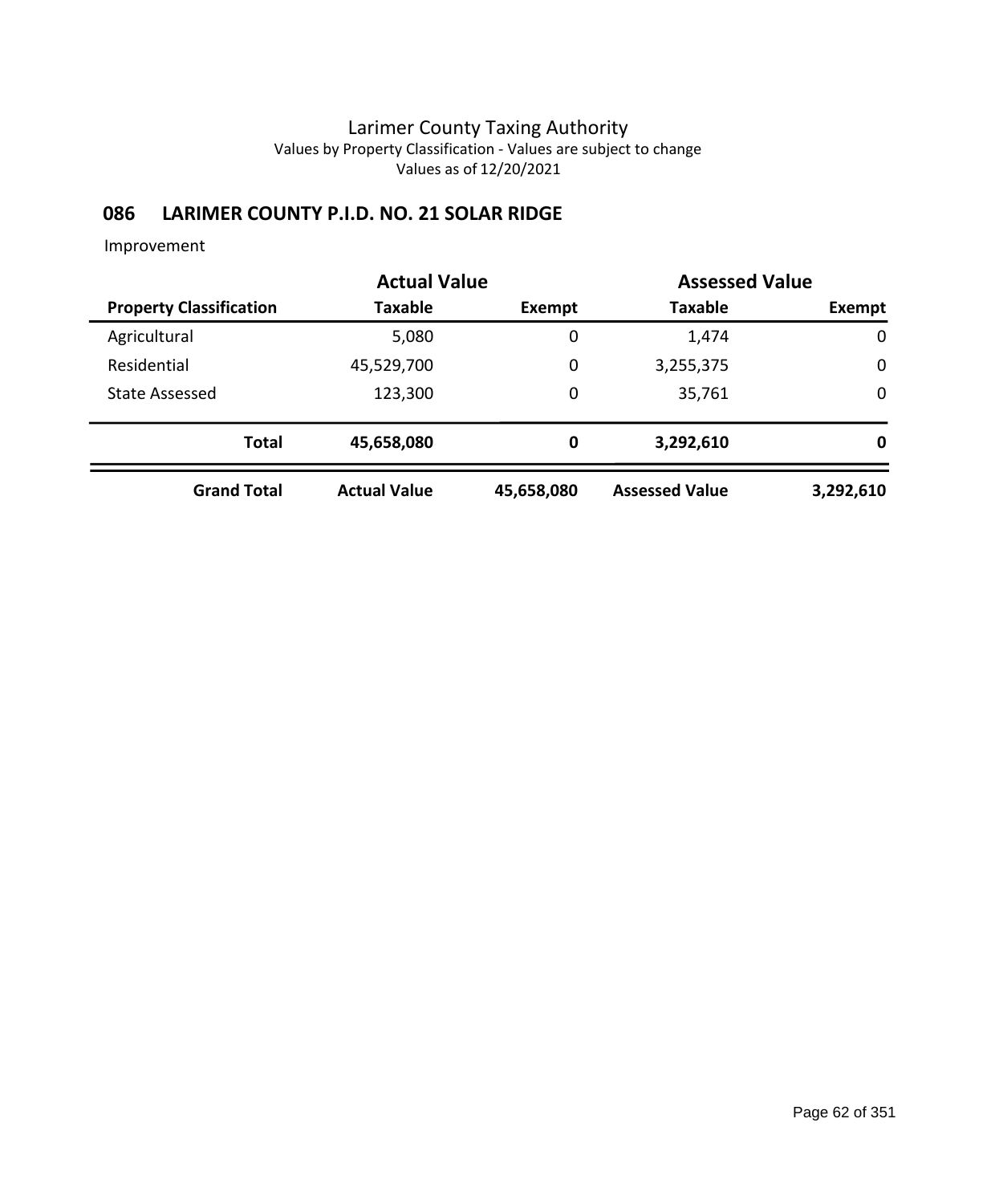## **086 LARIMER COUNTY P.I.D. NO. 21 SOLAR RIDGE**

|                                | <b>Actual Value</b> |            |                       | <b>Assessed Value</b> |  |
|--------------------------------|---------------------|------------|-----------------------|-----------------------|--|
| <b>Property Classification</b> | Taxable             | Exempt     | <b>Taxable</b>        | Exempt                |  |
| Agricultural                   | 5,080               | 0          | 1,474                 | $\mathbf 0$           |  |
| Residential                    | 45,529,700          | 0          | 3,255,375             | $\mathbf 0$           |  |
| <b>State Assessed</b>          | 123,300             | 0          | 35,761                | $\mathbf 0$           |  |
| <b>Total</b>                   | 45,658,080          | 0          | 3,292,610             | 0                     |  |
| <b>Grand Total</b>             | <b>Actual Value</b> | 45,658,080 | <b>Assessed Value</b> | 3,292,610             |  |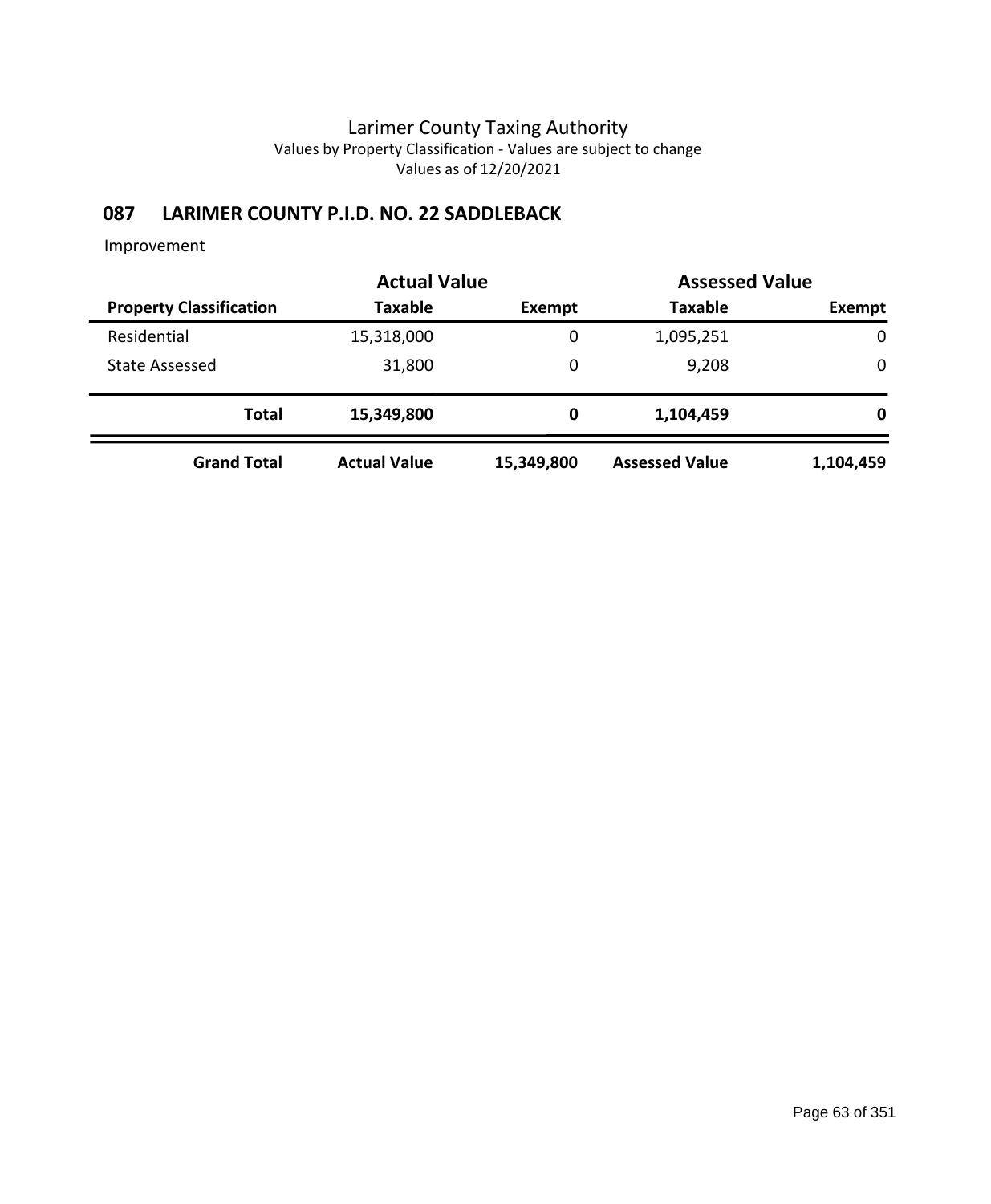## **087 LARIMER COUNTY P.I.D. NO. 22 SADDLEBACK**

|                                | <b>Actual Value</b> |            | <b>Assessed Value</b> |             |
|--------------------------------|---------------------|------------|-----------------------|-------------|
| <b>Property Classification</b> | <b>Taxable</b>      | Exempt     | <b>Taxable</b>        | Exempt      |
| Residential                    | 15,318,000          | 0          | 1,095,251             | $\mathbf 0$ |
| <b>State Assessed</b>          | 31,800              | 0          | 9,208                 | $\mathbf 0$ |
| <b>Total</b>                   | 15,349,800          | 0          | 1,104,459             | 0           |
| <b>Grand Total</b>             | <b>Actual Value</b> | 15,349,800 | <b>Assessed Value</b> | 1,104,459   |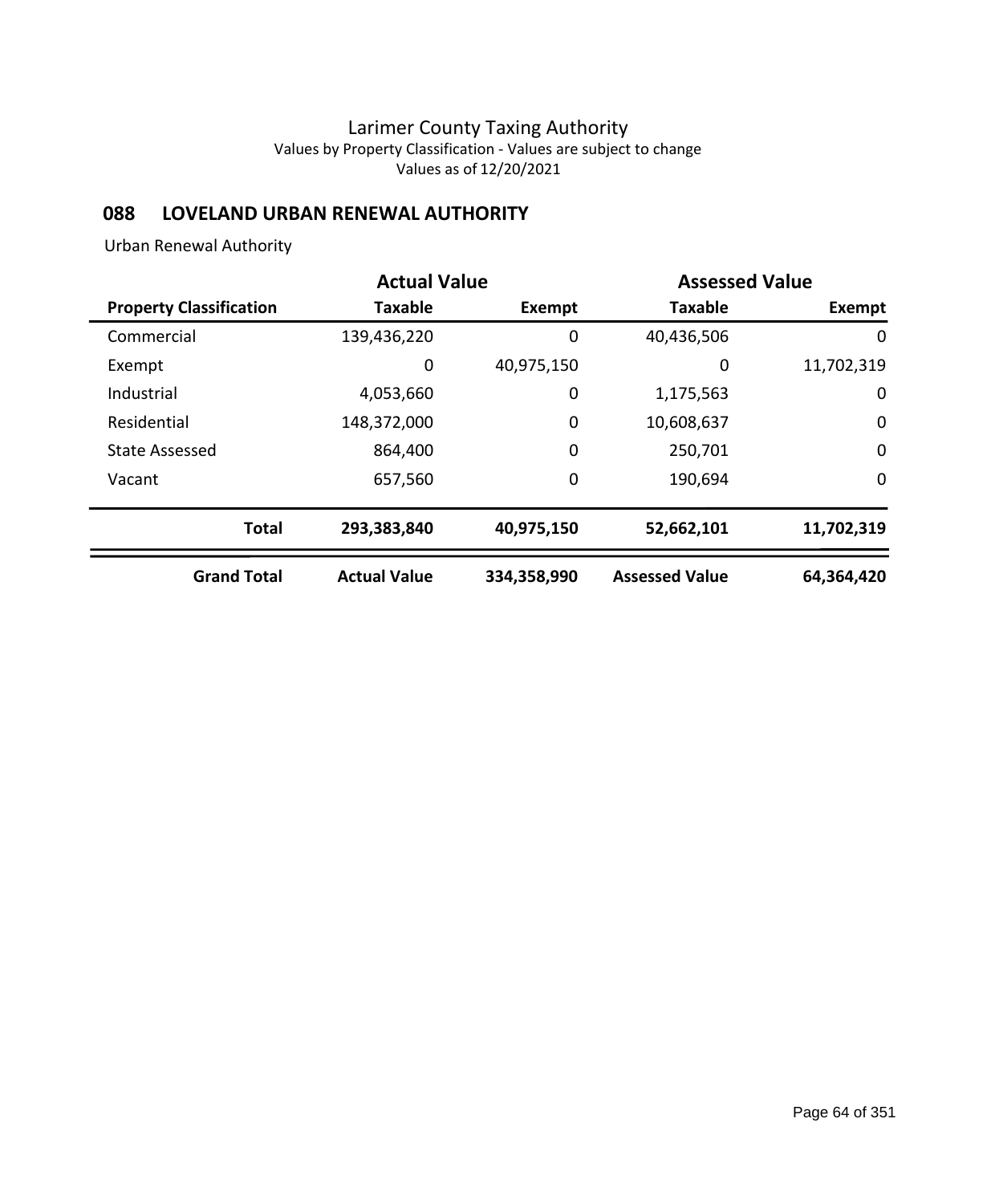## **088 LOVELAND URBAN RENEWAL AUTHORITY**

Urban Renewal Authority

|                                | <b>Actual Value</b> |               | <b>Assessed Value</b> |             |
|--------------------------------|---------------------|---------------|-----------------------|-------------|
| <b>Property Classification</b> | <b>Taxable</b>      | <b>Exempt</b> | <b>Taxable</b>        | Exempt      |
| Commercial                     | 139,436,220         | 0             | 40,436,506            | 0           |
| Exempt                         | 0                   | 40,975,150    | 0                     | 11,702,319  |
| Industrial                     | 4,053,660           | 0             | 1,175,563             | 0           |
| Residential                    | 148,372,000         | $\mathbf 0$   | 10,608,637            | $\mathbf 0$ |
| <b>State Assessed</b>          | 864,400             | 0             | 250,701               | $\mathbf 0$ |
| Vacant                         | 657,560             | 0             | 190,694               | $\mathbf 0$ |
| <b>Total</b>                   | 293,383,840         | 40,975,150    | 52,662,101            | 11,702,319  |
| <b>Grand Total</b>             | <b>Actual Value</b> | 334,358,990   | <b>Assessed Value</b> | 64,364,420  |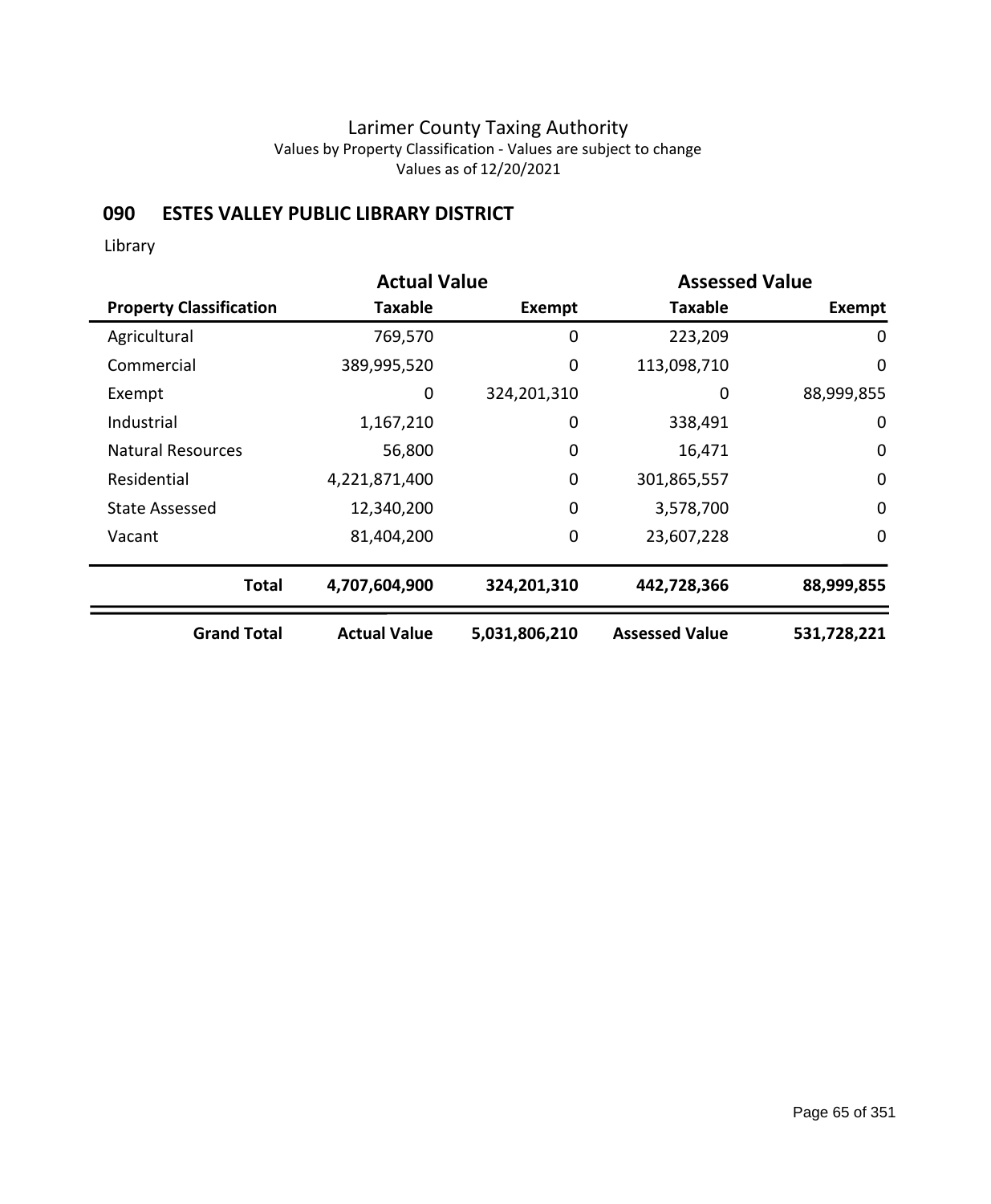## **090 ESTES VALLEY PUBLIC LIBRARY DISTRICT**

Library

|                                | <b>Actual Value</b> |               | <b>Assessed Value</b> |                  |
|--------------------------------|---------------------|---------------|-----------------------|------------------|
| <b>Property Classification</b> | Taxable             | <b>Exempt</b> | Taxable               | Exempt           |
| Agricultural                   | 769,570             | 0             | 223,209               | 0                |
| Commercial                     | 389,995,520         | 0             | 113,098,710           | $\mathbf 0$      |
| Exempt                         | 0                   | 324,201,310   | 0                     | 88,999,855       |
| Industrial                     | 1,167,210           | 0             | 338,491               | $\mathbf 0$      |
| <b>Natural Resources</b>       | 56,800              | 0             | 16,471                | $\mathbf 0$      |
| Residential                    | 4,221,871,400       | 0             | 301,865,557           | $\mathbf 0$      |
| State Assessed                 | 12,340,200          | $\mathbf 0$   | 3,578,700             | $\boldsymbol{0}$ |
| Vacant                         | 81,404,200          | 0             | 23,607,228            | $\mathbf 0$      |
| <b>Total</b>                   | 4,707,604,900       | 324,201,310   | 442,728,366           | 88,999,855       |
| <b>Grand Total</b>             | <b>Actual Value</b> | 5,031,806,210 | <b>Assessed Value</b> | 531,728,221      |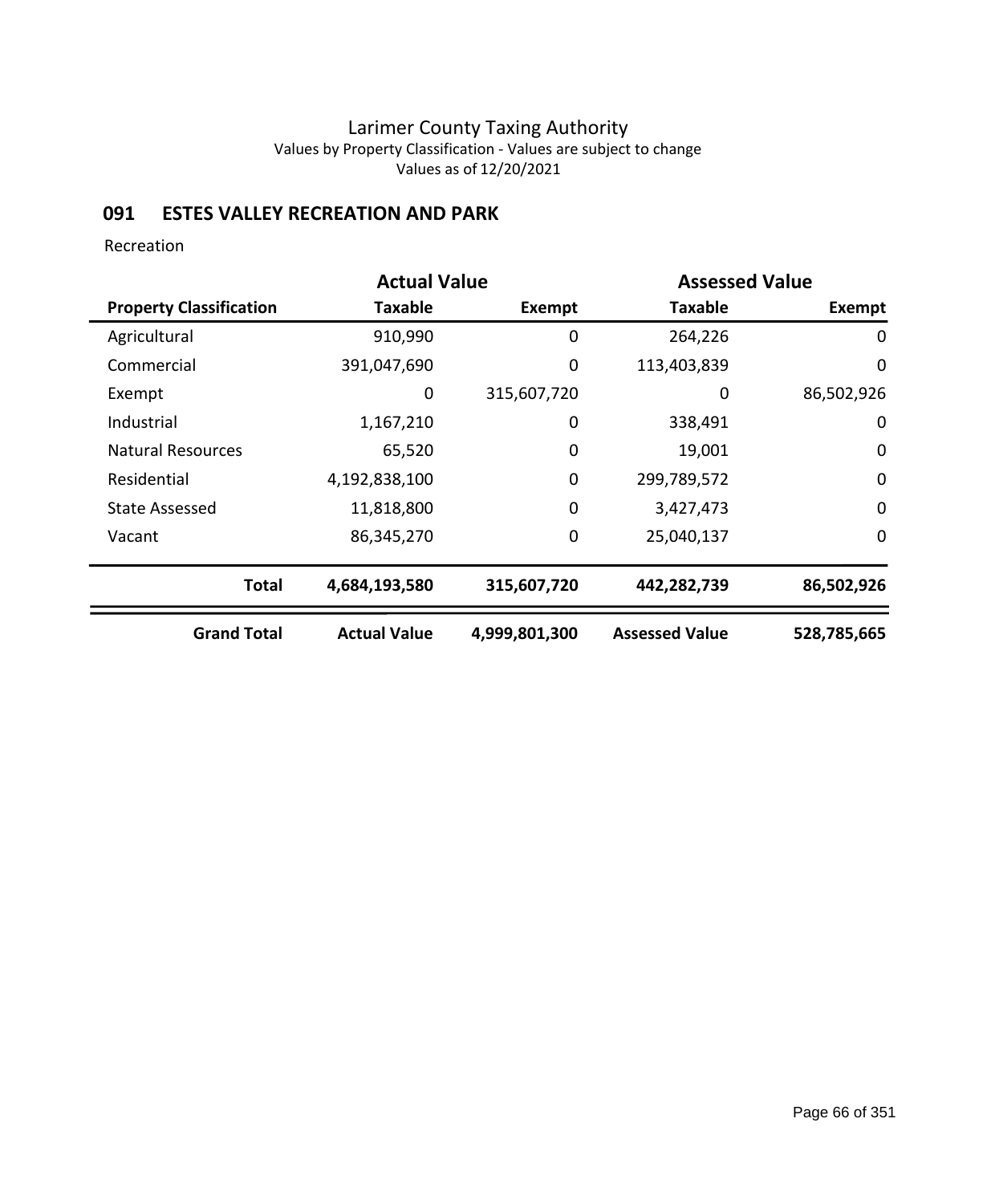## **091 ESTES VALLEY RECREATION AND PARK**

Recreation

|                                | <b>Actual Value</b> |               | <b>Assessed Value</b> |                  |  |  |
|--------------------------------|---------------------|---------------|-----------------------|------------------|--|--|
| <b>Property Classification</b> | Taxable             | <b>Exempt</b> | <b>Taxable</b>        | <b>Exempt</b>    |  |  |
| Agricultural                   | 910,990             | 0             | 264,226               | 0                |  |  |
| Commercial                     | 391,047,690         | 0             | 113,403,839           | $\mathbf 0$      |  |  |
| Exempt                         | 0                   | 315,607,720   | 0                     | 86,502,926       |  |  |
| Industrial                     | 1,167,210           | 0             | 338,491               | $\mathbf 0$      |  |  |
| <b>Natural Resources</b>       | 65,520              | 0             | 19,001                | $\mathbf 0$      |  |  |
| Residential                    | 4,192,838,100       | $\mathbf 0$   | 299,789,572           | $\mathbf 0$      |  |  |
| <b>State Assessed</b>          | 11,818,800          | $\mathbf 0$   | 3,427,473             | $\boldsymbol{0}$ |  |  |
| Vacant                         | 86,345,270          | 0             | 25,040,137            | $\mathbf 0$      |  |  |
| <b>Total</b>                   | 4,684,193,580       | 315,607,720   | 442,282,739           | 86,502,926       |  |  |
| <b>Grand Total</b>             | <b>Actual Value</b> | 4,999,801,300 | <b>Assessed Value</b> | 528,785,665      |  |  |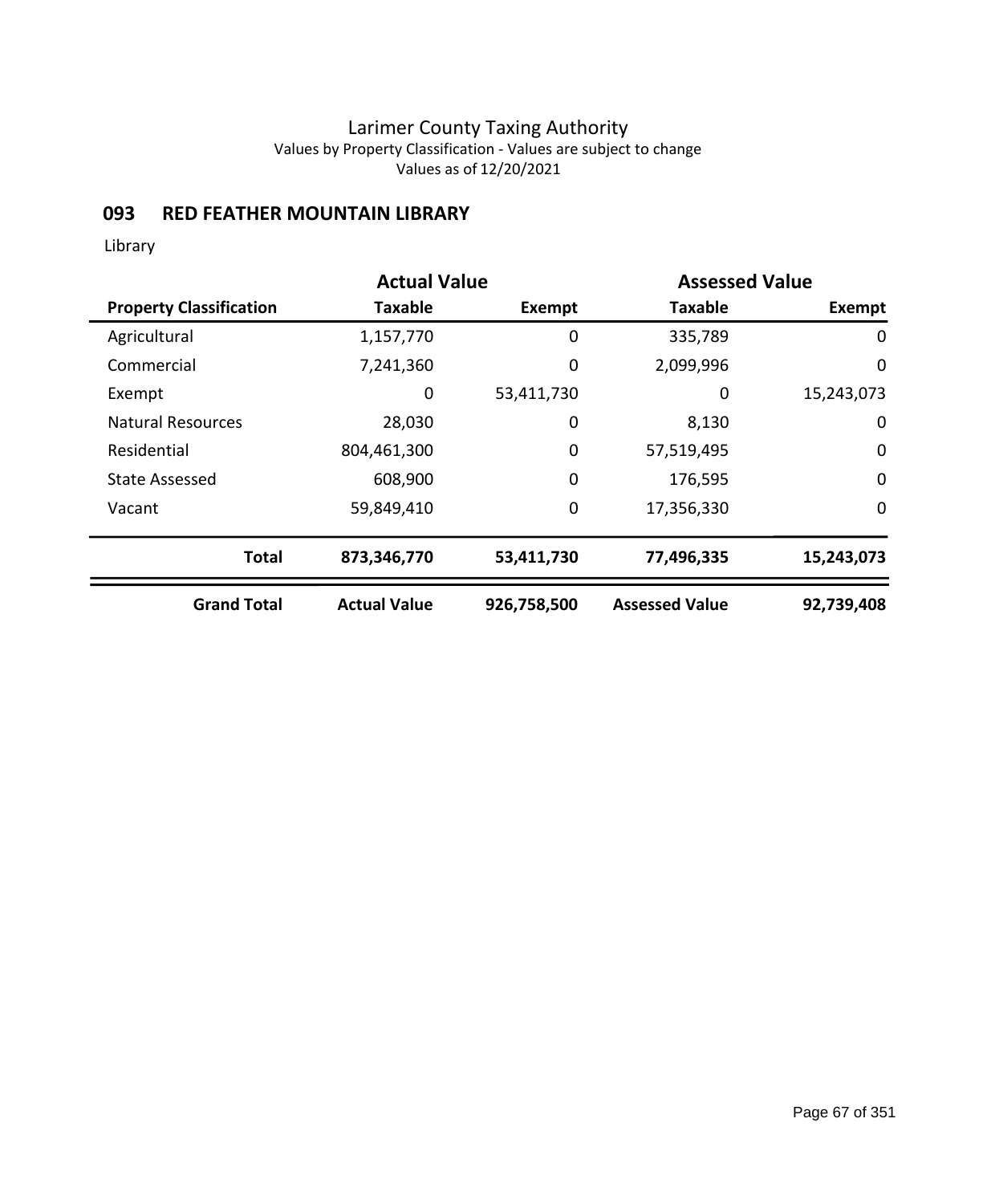### **093 RED FEATHER MOUNTAIN LIBRARY**

Library

|                                | <b>Actual Value</b> |               | <b>Assessed Value</b> |               |
|--------------------------------|---------------------|---------------|-----------------------|---------------|
| <b>Property Classification</b> | <b>Taxable</b>      | <b>Exempt</b> | Taxable               | <b>Exempt</b> |
| Agricultural                   | 1,157,770           | 0             | 335,789               | 0             |
| Commercial                     | 7,241,360           | 0             | 2,099,996             | 0             |
| Exempt                         | 0                   | 53,411,730    | 0                     | 15,243,073    |
| <b>Natural Resources</b>       | 28,030              | 0             | 8,130                 | 0             |
| Residential                    | 804,461,300         | 0             | 57,519,495            | $\mathbf 0$   |
| <b>State Assessed</b>          | 608,900             | 0             | 176,595               | $\mathbf 0$   |
| Vacant                         | 59,849,410          | $\mathbf 0$   | 17,356,330            | $\mathbf 0$   |
| <b>Total</b>                   | 873,346,770         | 53,411,730    | 77,496,335            | 15,243,073    |
| <b>Grand Total</b>             | <b>Actual Value</b> | 926,758,500   | <b>Assessed Value</b> | 92,739,408    |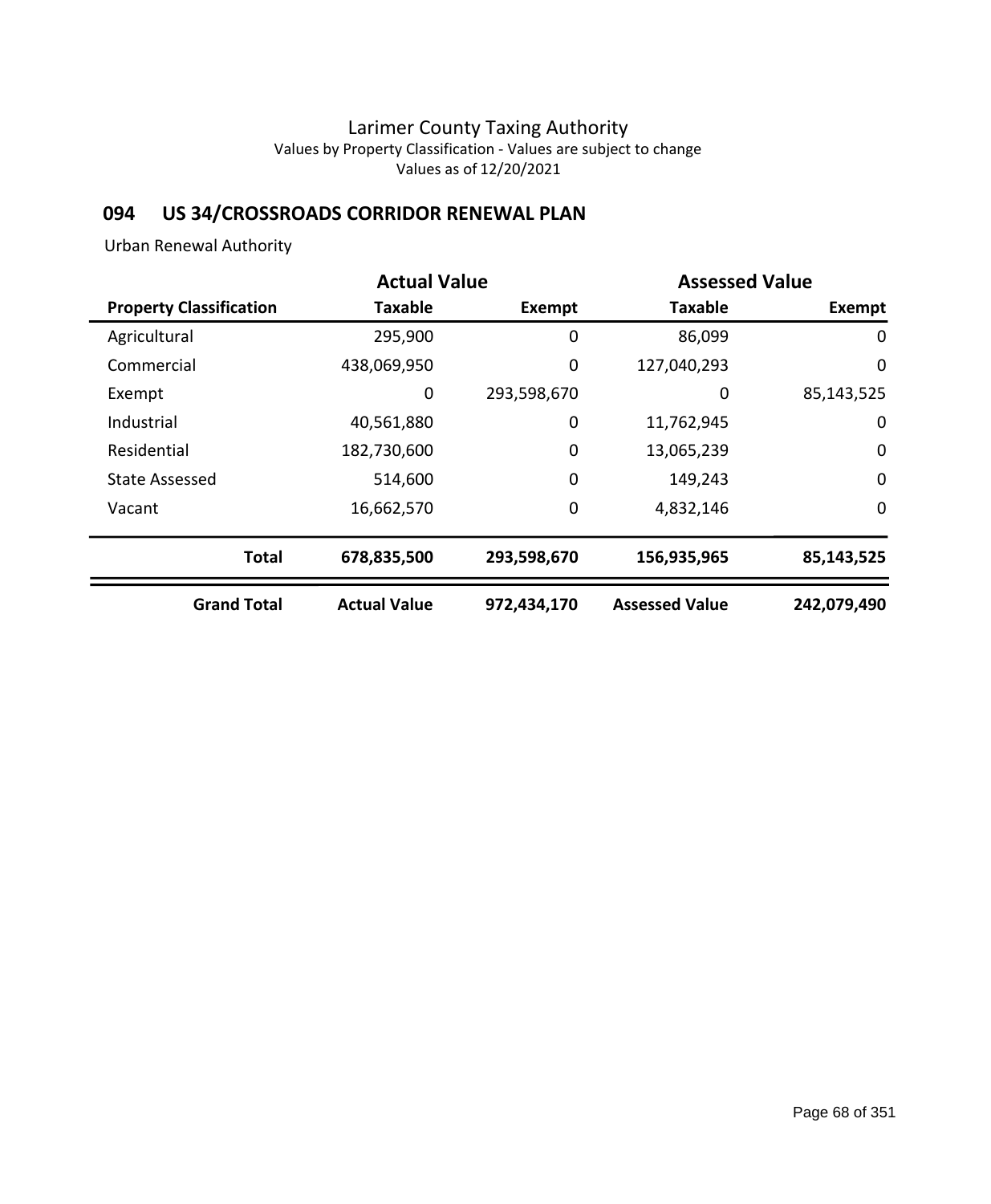# **094 US 34/CROSSROADS CORRIDOR RENEWAL PLAN**

Urban Renewal Authority

|                                | <b>Actual Value</b> |             | <b>Assessed Value</b> |             |
|--------------------------------|---------------------|-------------|-----------------------|-------------|
| <b>Property Classification</b> | <b>Taxable</b>      | Exempt      | <b>Taxable</b>        | Exempt      |
| Agricultural                   | 295,900             | 0           | 86,099                | 0           |
| Commercial                     | 438,069,950         | 0           | 127,040,293           | 0           |
| Exempt                         | 0                   | 293,598,670 | 0                     | 85,143,525  |
| Industrial                     | 40,561,880          | 0           | 11,762,945            | 0           |
| Residential                    | 182,730,600         | 0           | 13,065,239            | $\mathbf 0$ |
| <b>State Assessed</b>          | 514,600             | $\mathbf 0$ | 149,243               | $\mathbf 0$ |
| Vacant                         | 16,662,570          | 0           | 4,832,146             | $\mathbf 0$ |
| <b>Total</b>                   | 678,835,500         | 293,598,670 | 156,935,965           | 85,143,525  |
| <b>Grand Total</b>             | <b>Actual Value</b> | 972,434,170 | <b>Assessed Value</b> | 242,079,490 |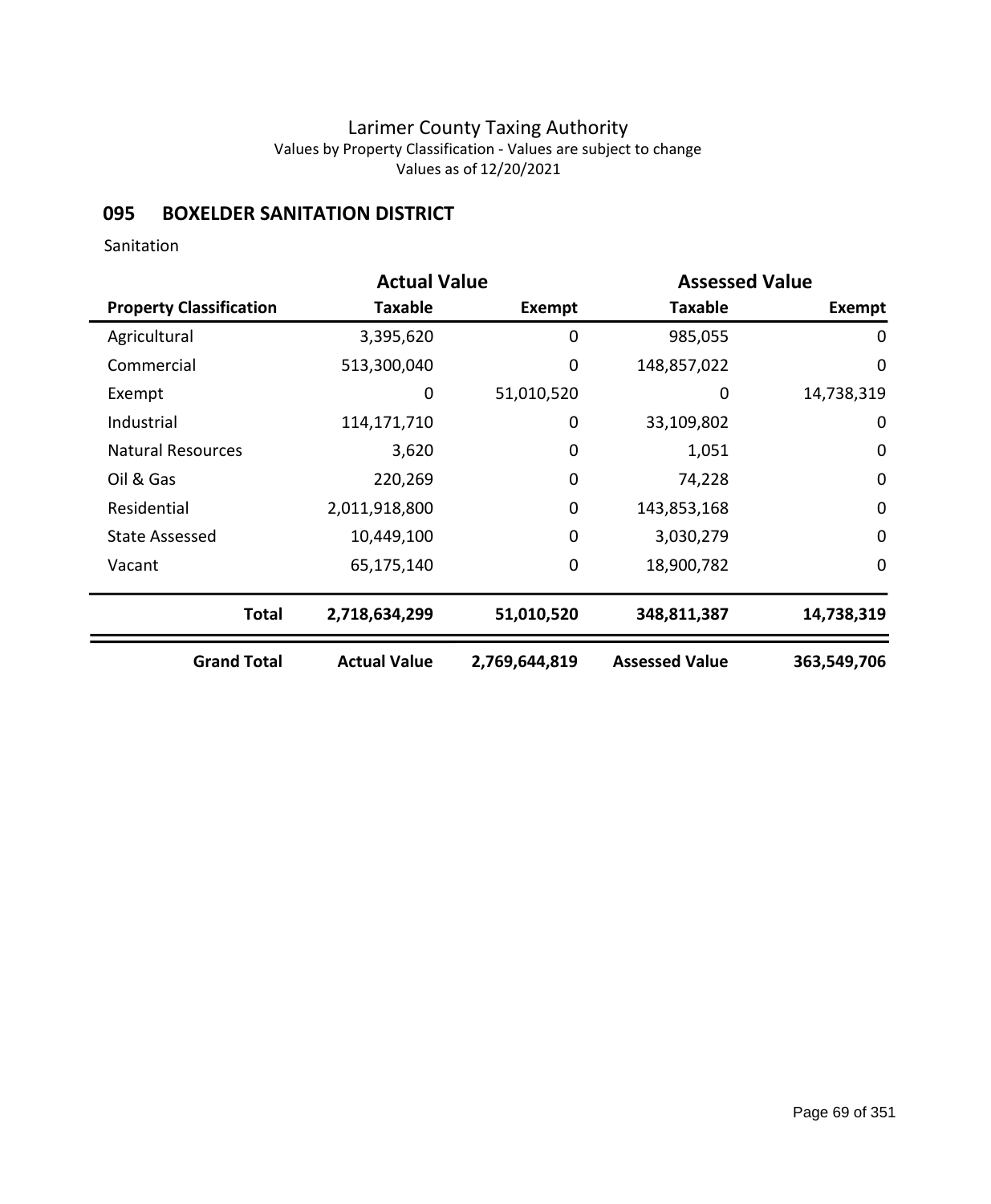## **095 BOXELDER SANITATION DISTRICT**

Sanitation

|                                |                     | <b>Actual Value</b><br><b>Assessed Value</b> |                       |                  |
|--------------------------------|---------------------|----------------------------------------------|-----------------------|------------------|
| <b>Property Classification</b> | Taxable             | Exempt                                       | <b>Taxable</b>        | <b>Exempt</b>    |
| Agricultural                   | 3,395,620           | 0                                            | 985,055               | $\mathbf 0$      |
| Commercial                     | 513,300,040         | $\mathbf 0$                                  | 148,857,022           | $\mathbf 0$      |
| Exempt                         | 0                   | 51,010,520                                   | 0                     | 14,738,319       |
| Industrial                     | 114,171,710         | 0                                            | 33,109,802            | 0                |
| <b>Natural Resources</b>       | 3,620               | $\mathbf 0$                                  | 1,051                 | $\boldsymbol{0}$ |
| Oil & Gas                      | 220,269             | $\mathbf 0$                                  | 74,228                | $\mathbf 0$      |
| Residential                    | 2,011,918,800       | 0                                            | 143,853,168           | $\boldsymbol{0}$ |
| <b>State Assessed</b>          | 10,449,100          | $\mathbf 0$                                  | 3,030,279             | $\mathbf 0$      |
| Vacant                         | 65,175,140          | 0                                            | 18,900,782            | $\mathbf 0$      |
| <b>Total</b>                   | 2,718,634,299       | 51,010,520                                   | 348,811,387           | 14,738,319       |
| <b>Grand Total</b>             | <b>Actual Value</b> | 2,769,644,819                                | <b>Assessed Value</b> | 363,549,706      |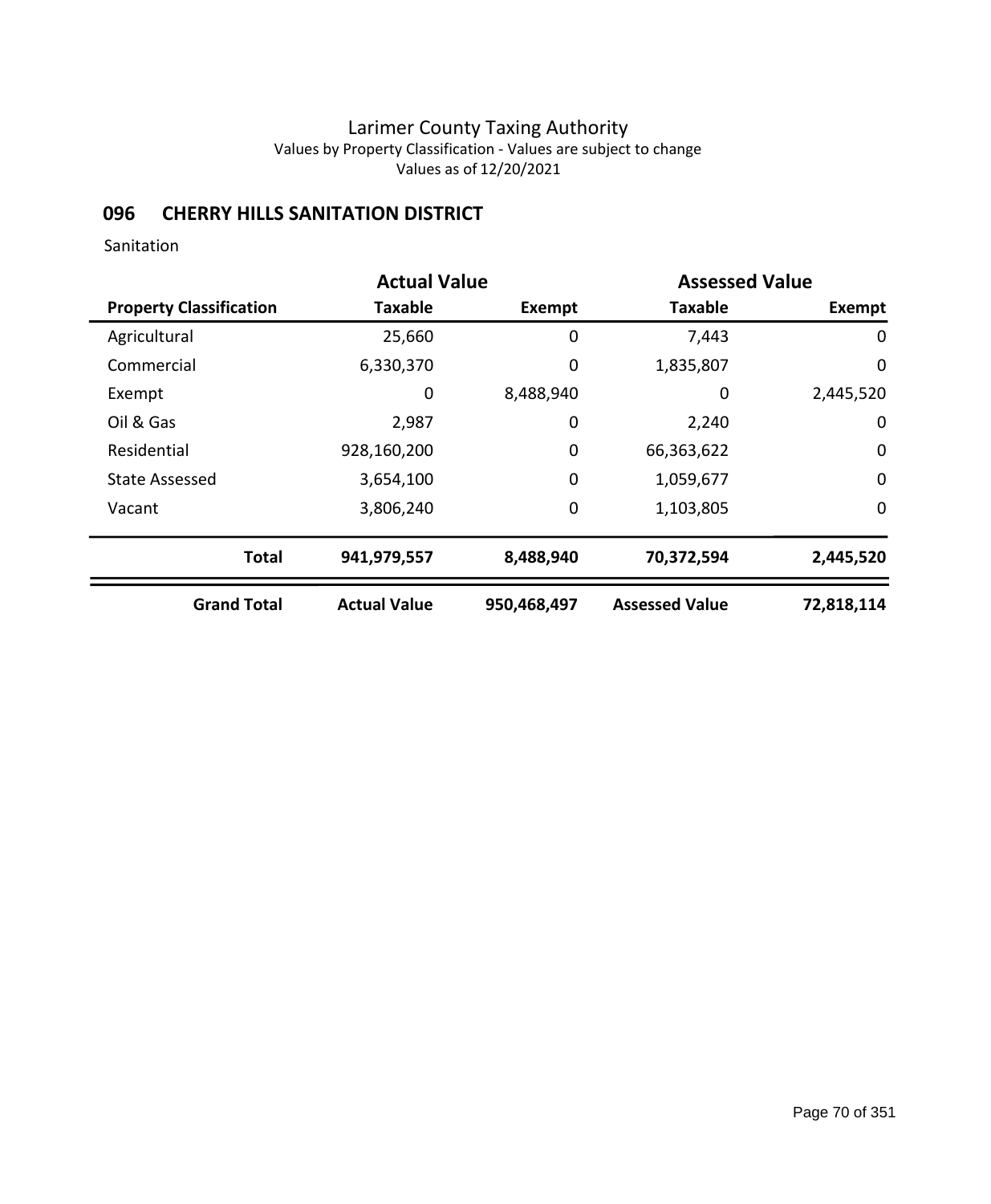## **096 CHERRY HILLS SANITATION DISTRICT**

Sanitation

|                                |                     | <b>Actual Value</b><br><b>Assessed Value</b> |                       |             |
|--------------------------------|---------------------|----------------------------------------------|-----------------------|-------------|
| <b>Property Classification</b> | <b>Taxable</b>      | <b>Exempt</b>                                | <b>Taxable</b>        | Exempt      |
| Agricultural                   | 25,660              | 0                                            | 7,443                 | 0           |
| Commercial                     | 6,330,370           | 0                                            | 1,835,807             | 0           |
| Exempt                         | $\mathbf 0$         | 8,488,940                                    | 0                     | 2,445,520   |
| Oil & Gas                      | 2,987               | 0                                            | 2,240                 | $\mathbf 0$ |
| Residential                    | 928,160,200         | 0                                            | 66,363,622            | $\mathbf 0$ |
| <b>State Assessed</b>          | 3,654,100           | 0                                            | 1,059,677             | $\mathbf 0$ |
| Vacant                         | 3,806,240           | 0                                            | 1,103,805             | $\mathbf 0$ |
| <b>Total</b>                   | 941,979,557         | 8,488,940                                    | 70,372,594            | 2,445,520   |
| <b>Grand Total</b>             | <b>Actual Value</b> | 950,468,497                                  | <b>Assessed Value</b> | 72,818,114  |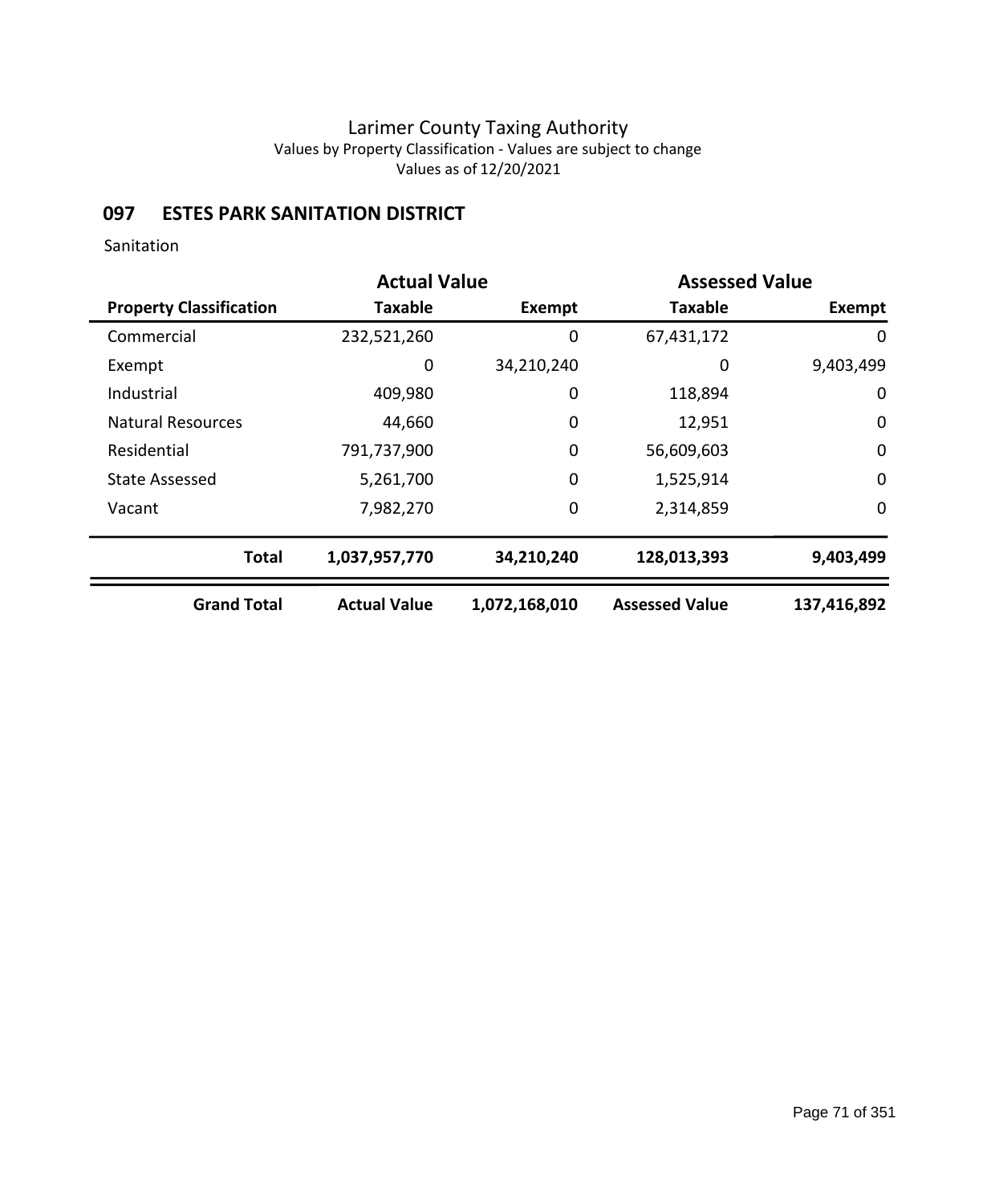## **097 ESTES PARK SANITATION DISTRICT**

Sanitation

|                                | <b>Actual Value</b> |               | <b>Assessed Value</b> |             |
|--------------------------------|---------------------|---------------|-----------------------|-------------|
| <b>Property Classification</b> | <b>Taxable</b>      | <b>Exempt</b> | <b>Taxable</b>        | Exempt      |
| Commercial                     | 232,521,260         | 0             | 67,431,172            | 0           |
| Exempt                         | 0                   | 34,210,240    | 0                     | 9,403,499   |
| Industrial                     | 409,980             | 0             | 118,894               | 0           |
| <b>Natural Resources</b>       | 44,660              | 0             | 12,951                | $\mathbf 0$ |
| Residential                    | 791,737,900         | 0             | 56,609,603            | $\mathbf 0$ |
| State Assessed                 | 5,261,700           | 0             | 1,525,914             | $\mathbf 0$ |
| Vacant                         | 7,982,270           | $\mathbf 0$   | 2,314,859             | 0           |
| <b>Total</b>                   | 1,037,957,770       | 34,210,240    | 128,013,393           | 9,403,499   |
| <b>Grand Total</b>             | <b>Actual Value</b> | 1,072,168,010 | <b>Assessed Value</b> | 137,416,892 |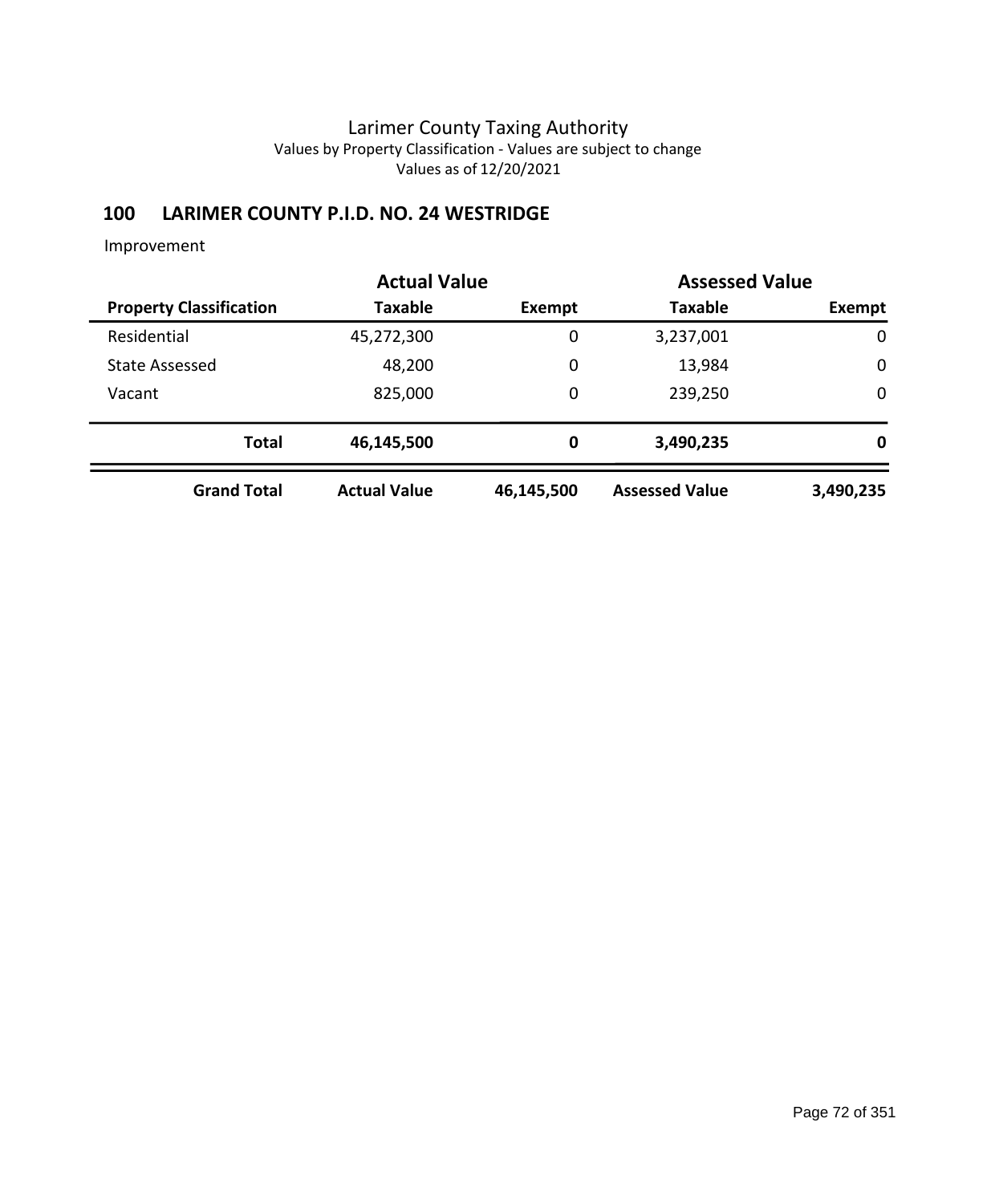## **100 LARIMER COUNTY P.I.D. NO. 24 WESTRIDGE**

|                                | <b>Actual Value</b> |            | <b>Assessed Value</b> |             |
|--------------------------------|---------------------|------------|-----------------------|-------------|
| <b>Property Classification</b> | Taxable             | Exempt     | <b>Taxable</b>        | Exempt      |
| Residential                    | 45,272,300          | 0          | 3,237,001             | $\mathbf 0$ |
| <b>State Assessed</b>          | 48,200              | 0          | 13,984                | $\mathbf 0$ |
| Vacant                         | 825,000             | 0          | 239,250               | $\mathbf 0$ |
| <b>Total</b>                   | 46,145,500          | 0          | 3,490,235             | 0           |
| <b>Grand Total</b>             | <b>Actual Value</b> | 46,145,500 | <b>Assessed Value</b> | 3,490,235   |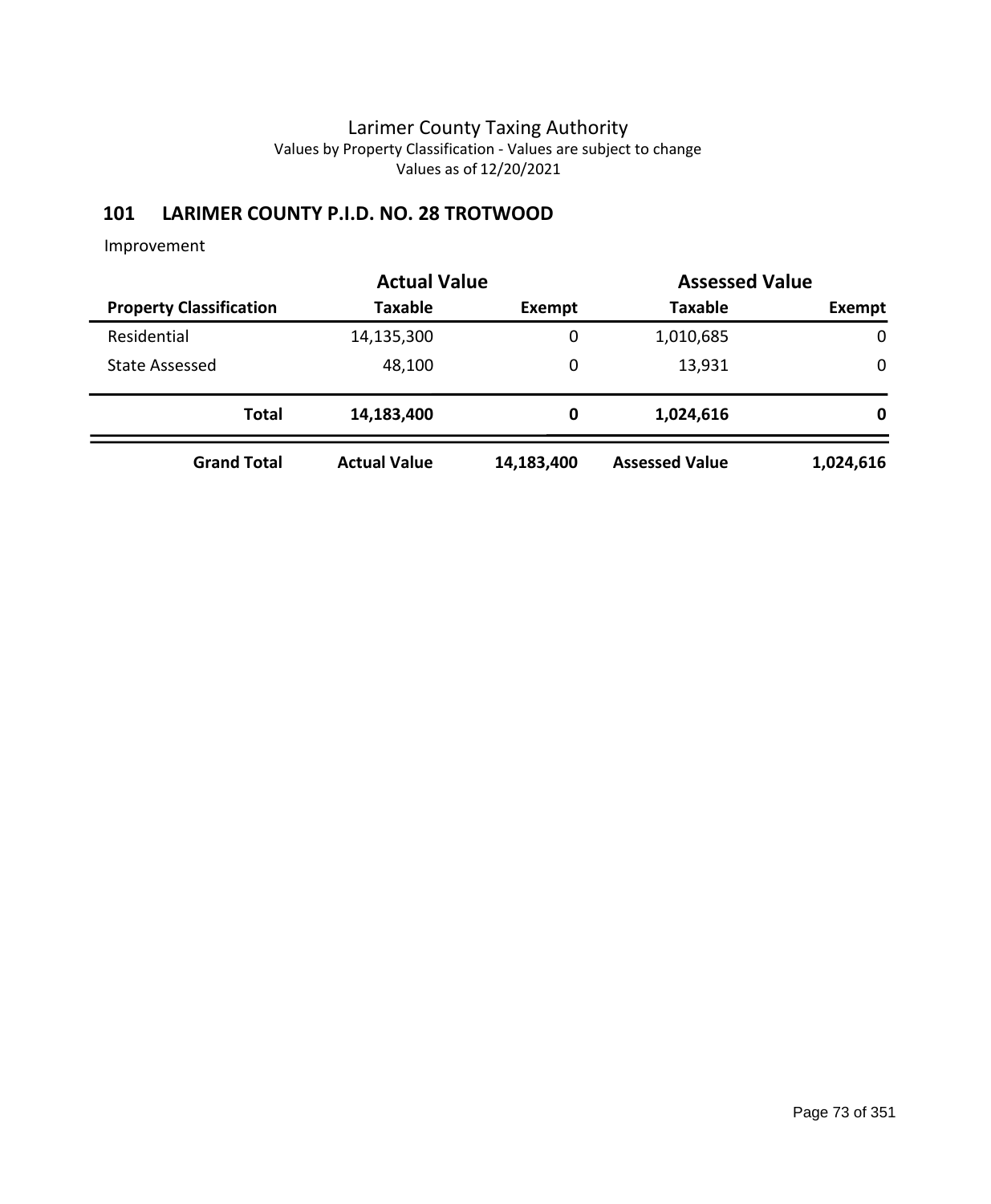# **101 LARIMER COUNTY P.I.D. NO. 28 TROTWOOD**

Improvement

|                                | <b>Actual Value</b> | <b>Assessed Value</b> |                       |             |
|--------------------------------|---------------------|-----------------------|-----------------------|-------------|
| <b>Property Classification</b> | <b>Taxable</b>      | Exempt                | <b>Taxable</b>        | Exempt      |
| Residential                    | 14,135,300          | 0                     | 1,010,685             | $\mathbf 0$ |
| <b>State Assessed</b>          | 48,100              | 0                     | 13,931                | 0           |
| <b>Total</b>                   | 14,183,400          | 0                     | 1,024,616             | 0           |
| <b>Grand Total</b>             | <b>Actual Value</b> | 14,183,400            | <b>Assessed Value</b> | 1,024,616   |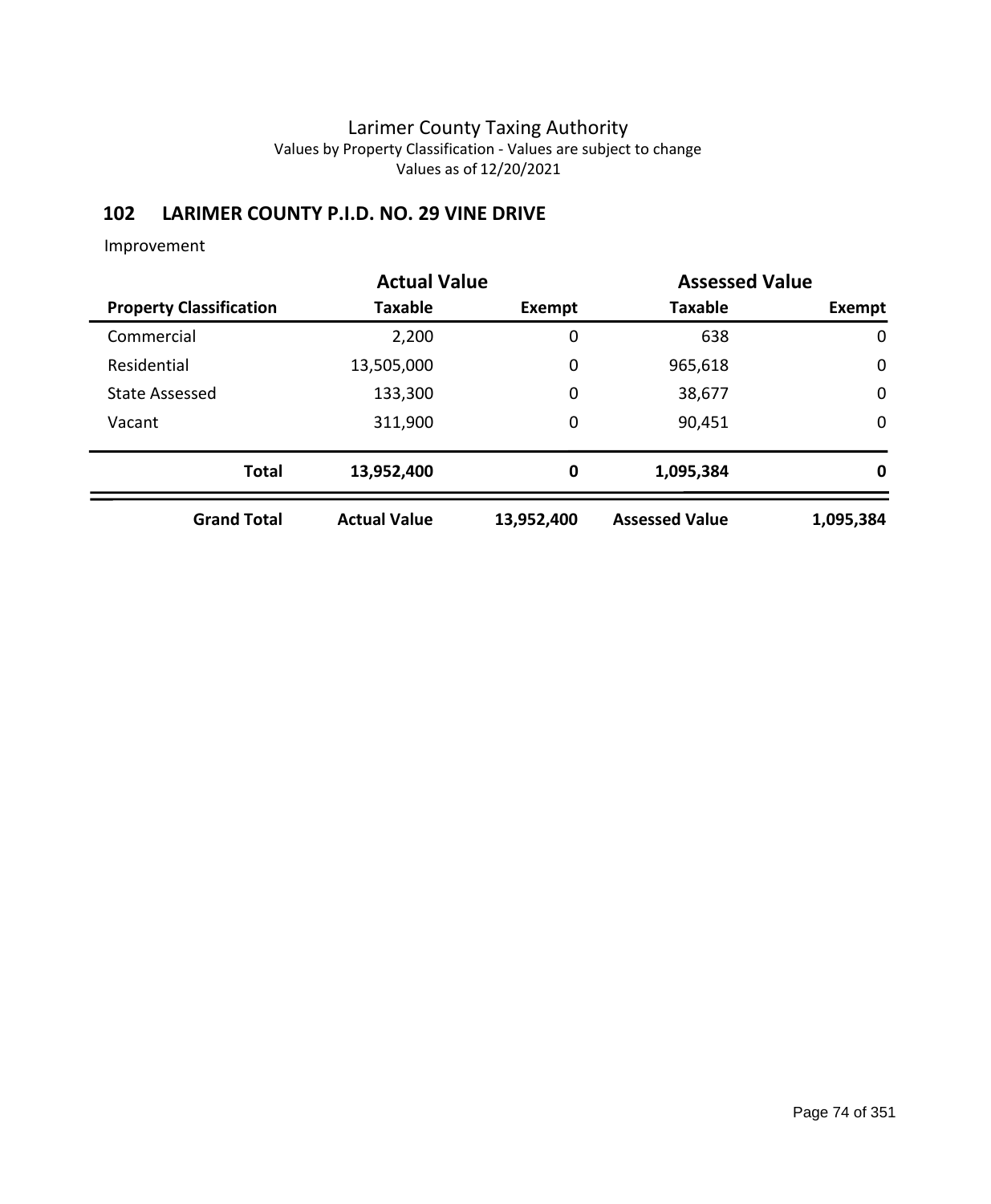# **102 LARIMER COUNTY P.I.D. NO. 29 VINE DRIVE**

#### Improvement

|                                | <b>Actual Value</b> |            | <b>Assessed Value</b> |             |
|--------------------------------|---------------------|------------|-----------------------|-------------|
| <b>Property Classification</b> | <b>Taxable</b>      | Exempt     | <b>Taxable</b>        | Exempt      |
| Commercial                     | 2,200               | 0          | 638                   | $\mathbf 0$ |
| Residential                    | 13,505,000          | 0          | 965,618               | $\mathbf 0$ |
| <b>State Assessed</b>          | 133,300             | 0          | 38,677                | $\mathbf 0$ |
| Vacant                         | 311,900             | 0          | 90,451                | $\mathbf 0$ |
| <b>Total</b>                   | 13,952,400          | 0          | 1,095,384             | 0           |
| <b>Grand Total</b>             | <b>Actual Value</b> | 13,952,400 | <b>Assessed Value</b> | 1,095,384   |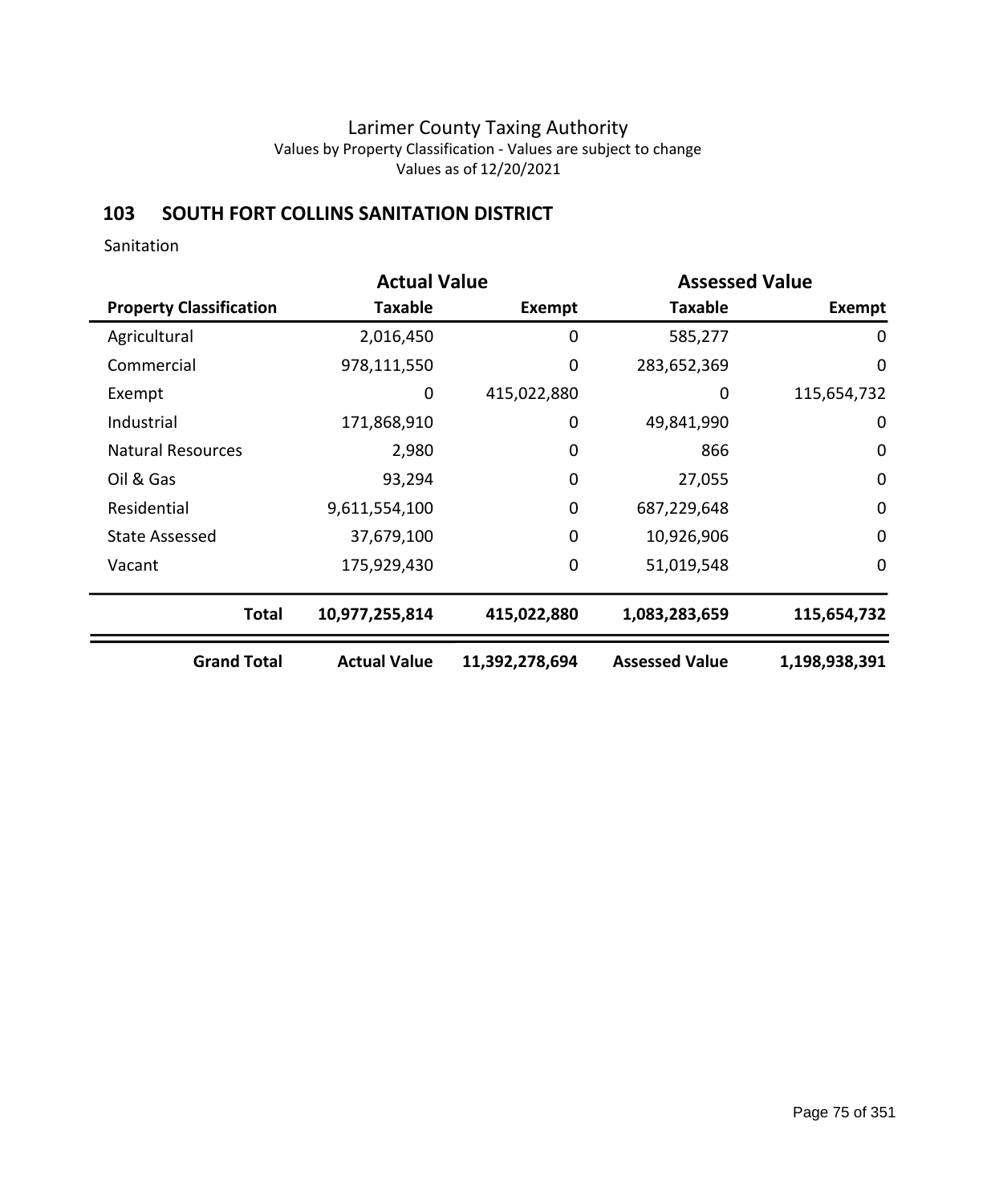### **103 SOUTH FORT COLLINS SANITATION DISTRICT**

Sanitation

|                                | <b>Actual Value</b> |                | <b>Assessed Value</b> |               |  |
|--------------------------------|---------------------|----------------|-----------------------|---------------|--|
| <b>Property Classification</b> | <b>Taxable</b>      | Exempt         | <b>Taxable</b>        | Exempt        |  |
| Agricultural                   | 2,016,450           | 0              | 585,277               | 0             |  |
| Commercial                     | 978,111,550         | 0              | 283,652,369           | $\mathbf 0$   |  |
| Exempt                         | 0                   | 415,022,880    | 0                     | 115,654,732   |  |
| Industrial                     | 171,868,910         | 0              | 49,841,990            | 0             |  |
| <b>Natural Resources</b>       | 2,980               | 0              | 866                   | 0             |  |
| Oil & Gas                      | 93,294              | $\mathbf 0$    | 27,055                | $\mathbf 0$   |  |
| Residential                    | 9,611,554,100       | 0              | 687,229,648           | $\mathbf 0$   |  |
| <b>State Assessed</b>          | 37,679,100          | $\mathbf 0$    | 10,926,906            | 0             |  |
| Vacant                         | 175,929,430         | $\mathbf 0$    | 51,019,548            | $\mathbf 0$   |  |
| <b>Total</b>                   | 10,977,255,814      | 415,022,880    | 1,083,283,659         | 115,654,732   |  |
| <b>Grand Total</b>             | <b>Actual Value</b> | 11,392,278,694 | <b>Assessed Value</b> | 1,198,938,391 |  |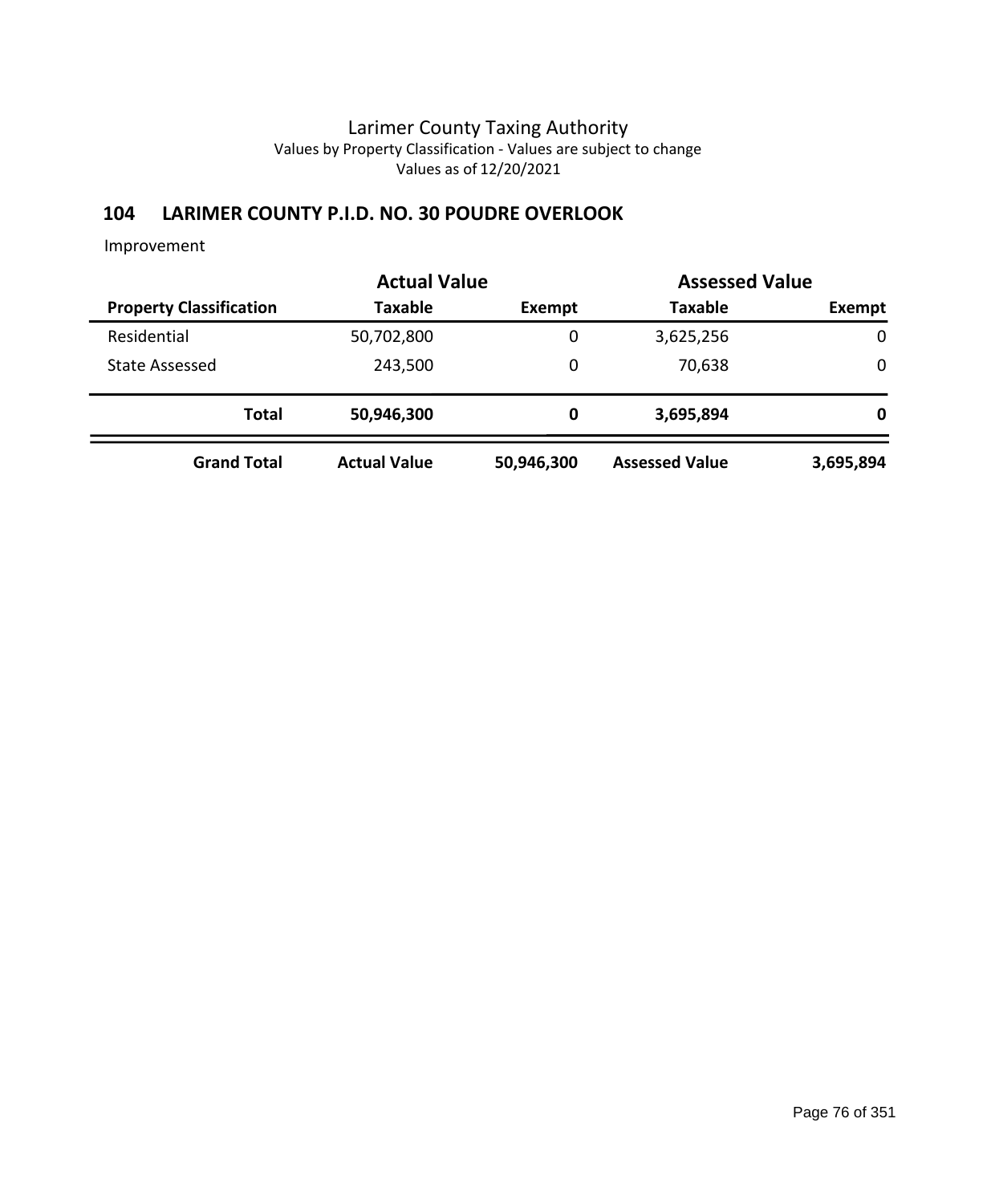### **104 LARIMER COUNTY P.I.D. NO. 30 POUDRE OVERLOOK**

Improvement

|                                | <b>Actual Value</b> | <b>Assessed Value</b> |                       |             |
|--------------------------------|---------------------|-----------------------|-----------------------|-------------|
| <b>Property Classification</b> | <b>Taxable</b>      | Exempt                | <b>Taxable</b>        | Exempt      |
| Residential                    | 50,702,800          | 0                     | 3,625,256             | $\mathbf 0$ |
| <b>State Assessed</b>          | 243,500             | 0                     | 70,638                | 0           |
| <b>Total</b>                   | 50,946,300          | 0                     | 3,695,894             | 0           |
| <b>Grand Total</b>             | <b>Actual Value</b> | 50,946,300            | <b>Assessed Value</b> | 3,695,894   |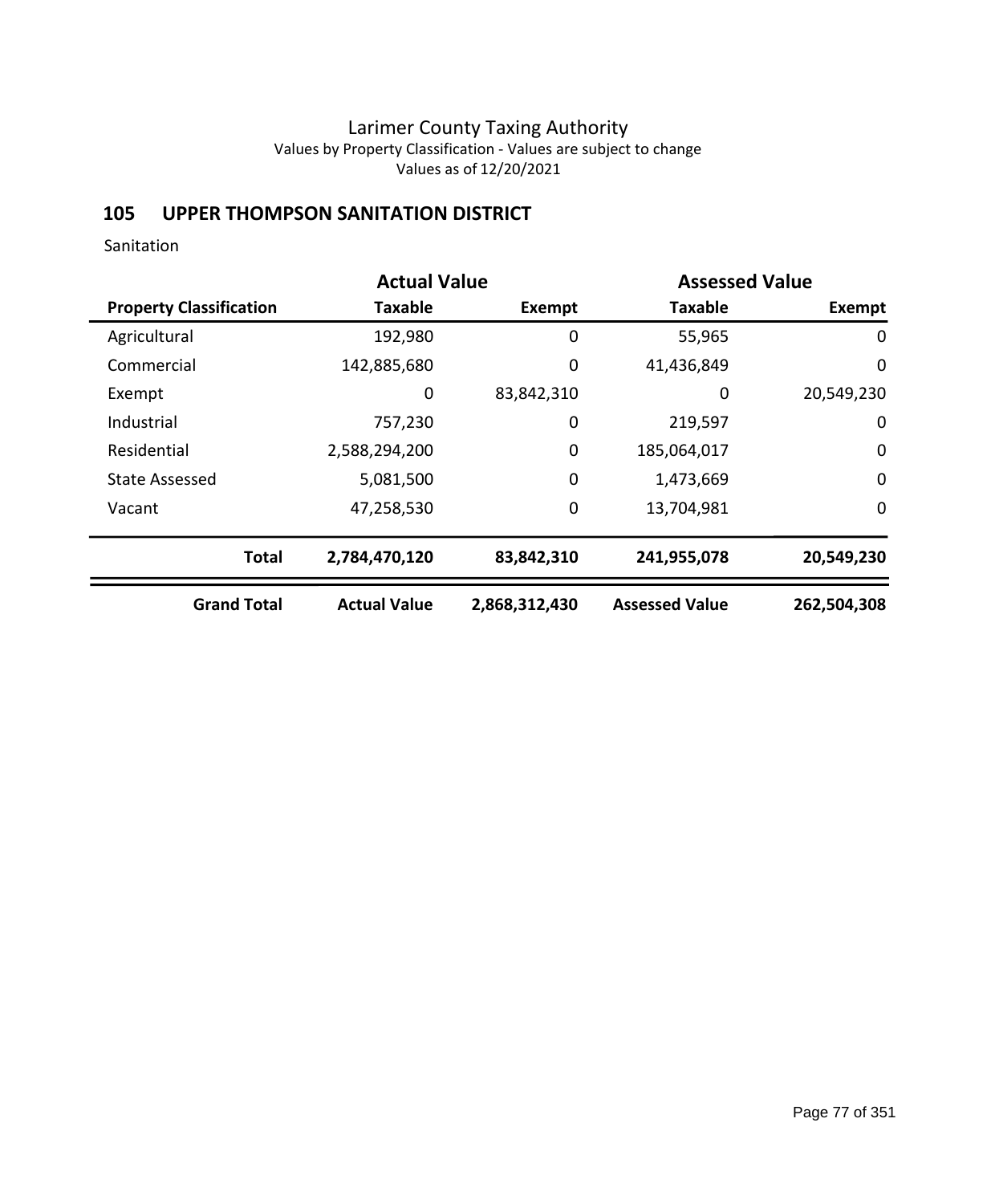# **105 UPPER THOMPSON SANITATION DISTRICT**

Sanitation

|                                | <b>Actual Value</b> |               | <b>Assessed Value</b> |             |  |
|--------------------------------|---------------------|---------------|-----------------------|-------------|--|
| <b>Property Classification</b> | <b>Taxable</b>      | Exempt        | <b>Taxable</b>        | Exempt      |  |
| Agricultural                   | 192,980             | 0             | 55,965                | 0           |  |
| Commercial                     | 142,885,680         | 0             | 41,436,849            | $\mathbf 0$ |  |
| Exempt                         | 0                   | 83,842,310    | 0                     | 20,549,230  |  |
| Industrial                     | 757,230             | 0             | 219,597               | 0           |  |
| Residential                    | 2,588,294,200       | 0             | 185,064,017           | $\mathbf 0$ |  |
| <b>State Assessed</b>          | 5,081,500           | 0             | 1,473,669             | $\mathbf 0$ |  |
| Vacant                         | 47,258,530          | 0             | 13,704,981            | 0           |  |
| <b>Total</b>                   | 2,784,470,120       | 83,842,310    | 241,955,078           | 20,549,230  |  |
| <b>Grand Total</b>             | <b>Actual Value</b> | 2,868,312,430 | <b>Assessed Value</b> | 262,504,308 |  |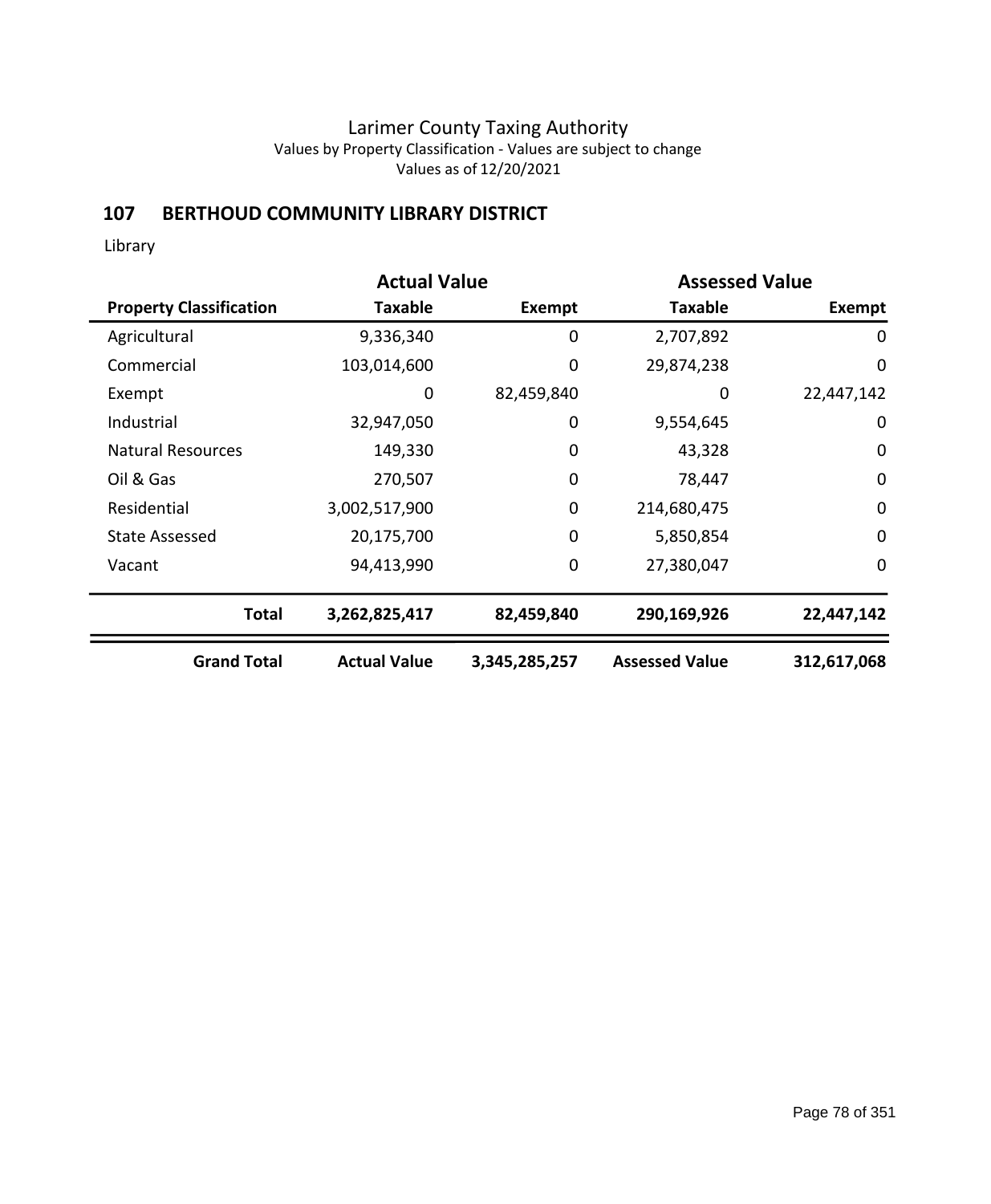## **107 BERTHOUD COMMUNITY LIBRARY DISTRICT**

Library

|                                |                     | <b>Actual Value</b><br><b>Assessed Value</b> |                       |             |
|--------------------------------|---------------------|----------------------------------------------|-----------------------|-------------|
| <b>Property Classification</b> | <b>Taxable</b>      | Exempt                                       | <b>Taxable</b>        | Exempt      |
| Agricultural                   | 9,336,340           | 0                                            | 2,707,892             | 0           |
| Commercial                     | 103,014,600         | 0                                            | 29,874,238            | $\mathbf 0$ |
| Exempt                         | 0                   | 82,459,840                                   | 0                     | 22,447,142  |
| Industrial                     | 32,947,050          | 0                                            | 9,554,645             | 0           |
| <b>Natural Resources</b>       | 149,330             | 0                                            | 43,328                | 0           |
| Oil & Gas                      | 270,507             | 0                                            | 78,447                | $\mathbf 0$ |
| Residential                    | 3,002,517,900       | $\mathbf 0$                                  | 214,680,475           | $\mathbf 0$ |
| <b>State Assessed</b>          | 20,175,700          | $\mathbf 0$                                  | 5,850,854             | 0           |
| Vacant                         | 94,413,990          | $\mathbf 0$                                  | 27,380,047            | $\mathbf 0$ |
| <b>Total</b>                   | 3,262,825,417       | 82,459,840                                   | 290,169,926           | 22,447,142  |
| <b>Grand Total</b>             | <b>Actual Value</b> | 3,345,285,257                                | <b>Assessed Value</b> | 312,617,068 |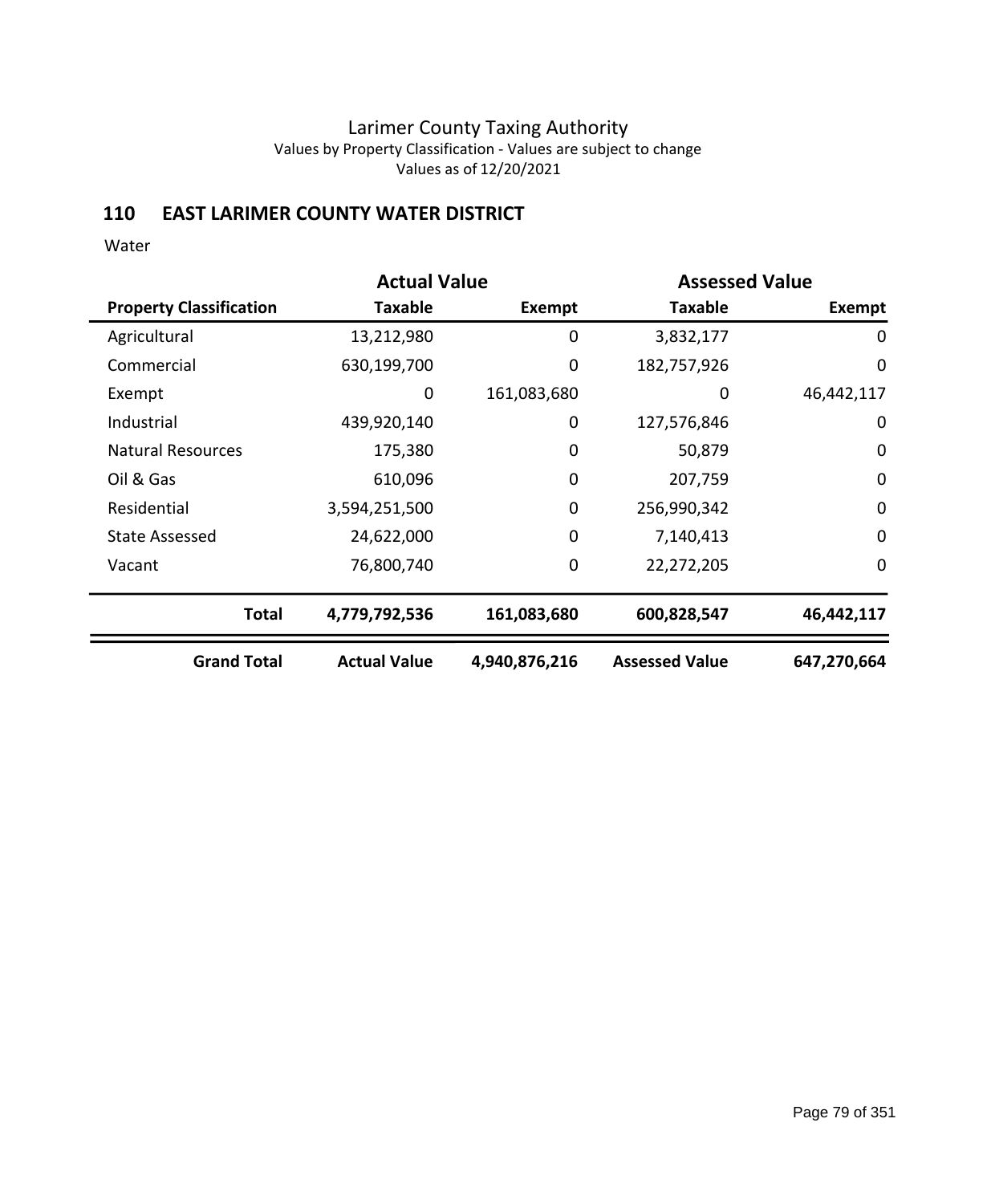### **110 EAST LARIMER COUNTY WATER DISTRICT**

|                                |                     | <b>Actual Value</b><br><b>Assessed Value</b> |                       |               |
|--------------------------------|---------------------|----------------------------------------------|-----------------------|---------------|
| <b>Property Classification</b> | Taxable             | Exempt                                       | <b>Taxable</b>        | <b>Exempt</b> |
| Agricultural                   | 13,212,980          | 0                                            | 3,832,177             | 0             |
| Commercial                     | 630,199,700         | 0                                            | 182,757,926           | $\mathbf 0$   |
| Exempt                         | 0                   | 161,083,680                                  | 0                     | 46,442,117    |
| Industrial                     | 439,920,140         | 0                                            | 127,576,846           | 0             |
| <b>Natural Resources</b>       | 175,380             | 0                                            | 50,879                | $\mathbf 0$   |
| Oil & Gas                      | 610,096             | 0                                            | 207,759               | $\mathbf 0$   |
| Residential                    | 3,594,251,500       | 0                                            | 256,990,342           | $\mathbf 0$   |
| <b>State Assessed</b>          | 24,622,000          | 0                                            | 7,140,413             | $\mathbf 0$   |
| Vacant                         | 76,800,740          | 0                                            | 22,272,205            | $\mathbf 0$   |
| <b>Total</b>                   | 4,779,792,536       | 161,083,680                                  | 600,828,547           | 46,442,117    |
| <b>Grand Total</b>             | <b>Actual Value</b> | 4,940,876,216                                | <b>Assessed Value</b> | 647,270,664   |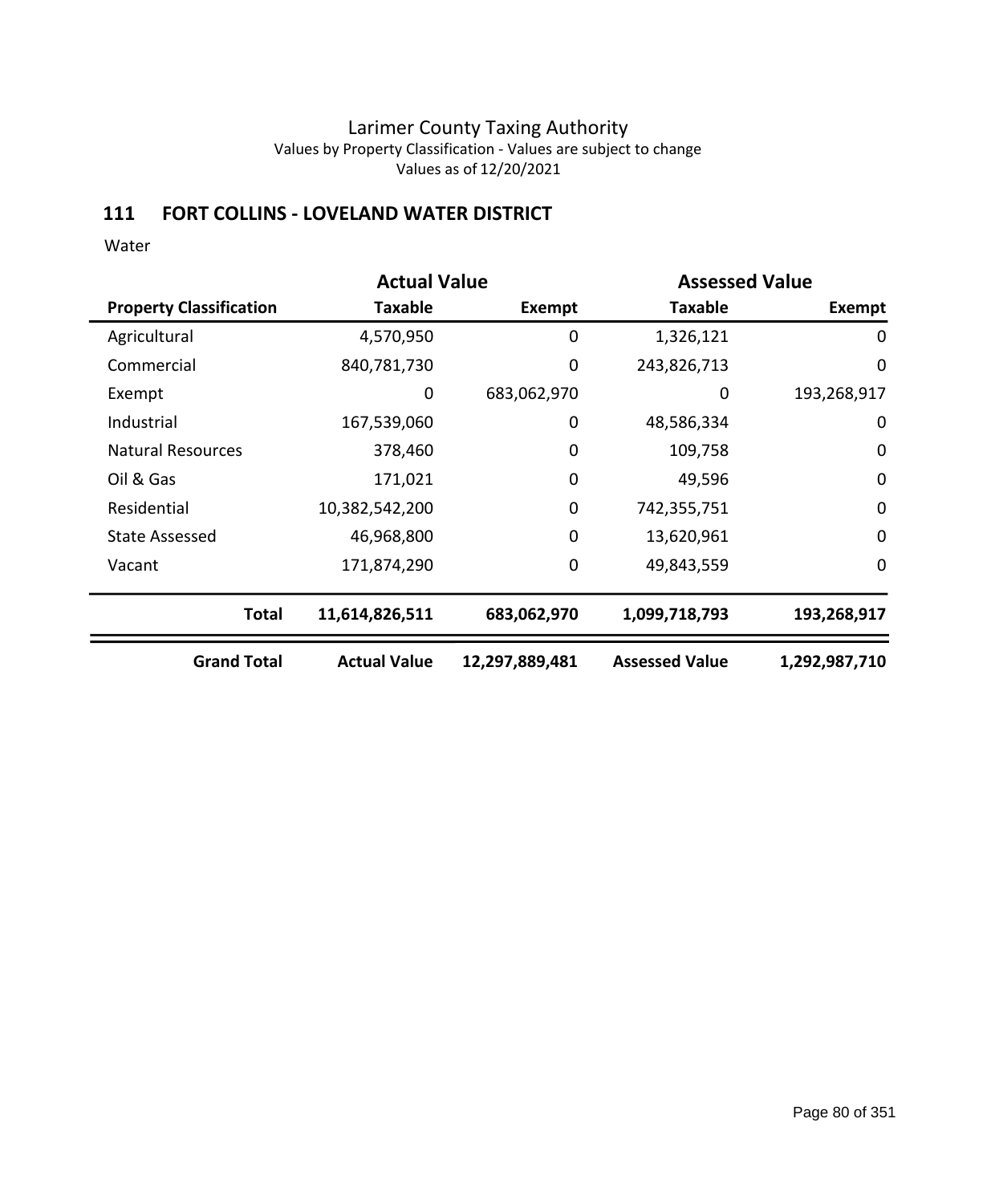### **111 FORT COLLINS - LOVELAND WATER DISTRICT**

|                                | <b>Actual Value</b> |                | <b>Assessed Value</b> |               |  |
|--------------------------------|---------------------|----------------|-----------------------|---------------|--|
| <b>Property Classification</b> | Taxable             | Exempt         | <b>Taxable</b>        | Exempt        |  |
| Agricultural                   | 4,570,950           | 0              | 1,326,121             | 0             |  |
| Commercial                     | 840,781,730         | 0              | 243,826,713           | 0             |  |
| Exempt                         | 0                   | 683,062,970    | 0                     | 193,268,917   |  |
| Industrial                     | 167,539,060         | 0              | 48,586,334            | 0             |  |
| <b>Natural Resources</b>       | 378,460             | 0              | 109,758               | $\mathbf 0$   |  |
| Oil & Gas                      | 171,021             | 0              | 49,596                | $\mathbf 0$   |  |
| Residential                    | 10,382,542,200      | 0              | 742,355,751           | $\mathbf 0$   |  |
| State Assessed                 | 46,968,800          | 0              | 13,620,961            | $\mathbf 0$   |  |
| Vacant                         | 171,874,290         | 0              | 49,843,559            | $\mathbf 0$   |  |
| <b>Total</b>                   | 11,614,826,511      | 683,062,970    | 1,099,718,793         | 193,268,917   |  |
| <b>Grand Total</b>             | <b>Actual Value</b> | 12,297,889,481 | <b>Assessed Value</b> | 1,292,987,710 |  |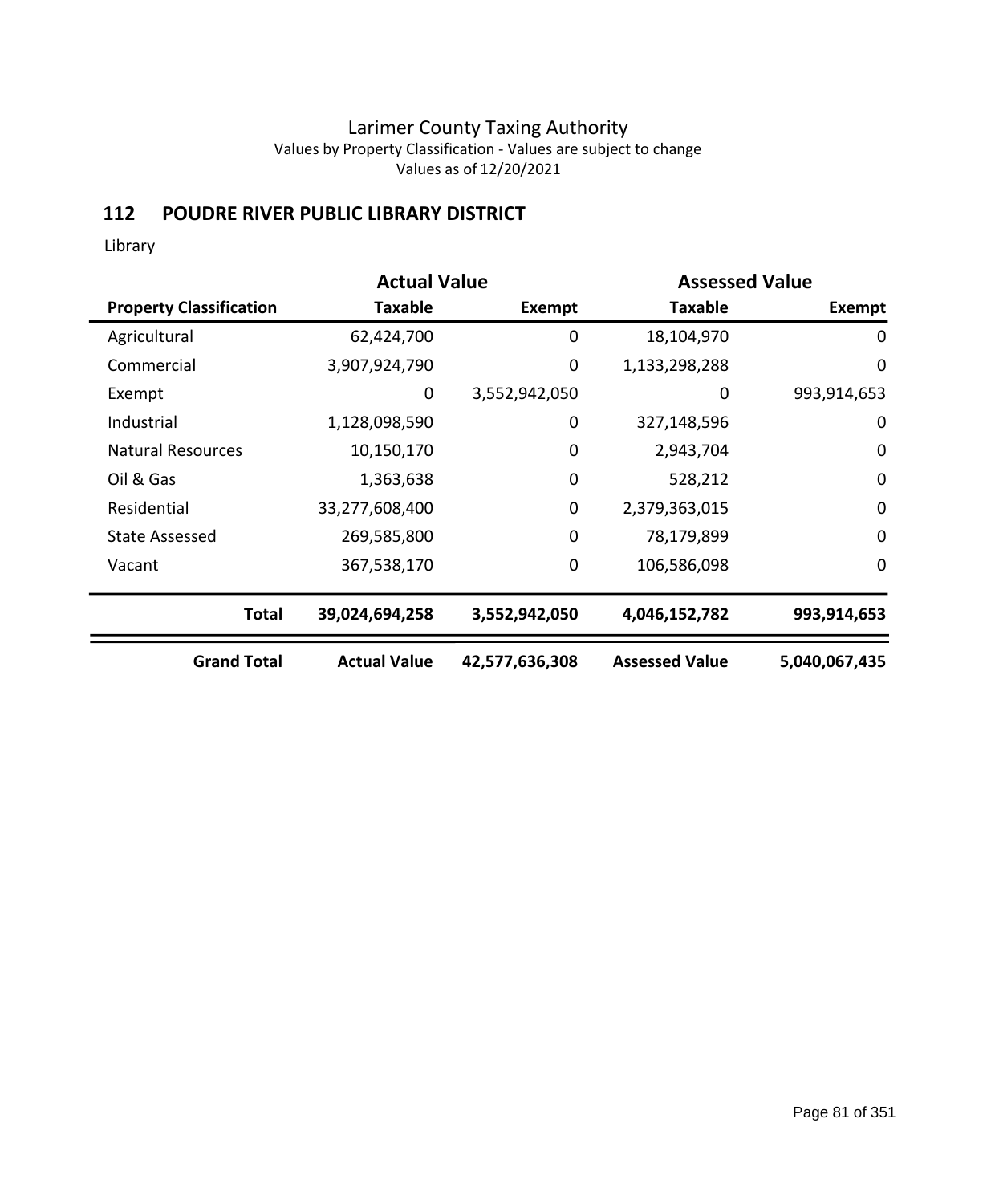### **112 POUDRE RIVER PUBLIC LIBRARY DISTRICT**

Library

|                                |                     | <b>Assessed Value</b> |                       |                  | <b>Actual Value</b> |  |  |
|--------------------------------|---------------------|-----------------------|-----------------------|------------------|---------------------|--|--|
| <b>Property Classification</b> | Taxable             | Exempt                | <b>Taxable</b>        | Exempt           |                     |  |  |
| Agricultural                   | 62,424,700          | 0                     | 18,104,970            | 0                |                     |  |  |
| Commercial                     | 3,907,924,790       | 0                     | 1,133,298,288         | $\mathbf 0$      |                     |  |  |
| Exempt                         | 0                   | 3,552,942,050         | 0                     | 993,914,653      |                     |  |  |
| Industrial                     | 1,128,098,590       | 0                     | 327,148,596           | $\mathbf 0$      |                     |  |  |
| <b>Natural Resources</b>       | 10,150,170          | $\mathbf 0$           | 2,943,704             | $\boldsymbol{0}$ |                     |  |  |
| Oil & Gas                      | 1,363,638           | $\mathbf 0$           | 528,212               | $\mathbf 0$      |                     |  |  |
| Residential                    | 33,277,608,400      | $\mathbf 0$           | 2,379,363,015         | $\mathbf 0$      |                     |  |  |
| <b>State Assessed</b>          | 269,585,800         | $\mathbf 0$           | 78,179,899            | $\mathbf 0$      |                     |  |  |
| Vacant                         | 367,538,170         | $\mathbf 0$           | 106,586,098           | $\boldsymbol{0}$ |                     |  |  |
| <b>Total</b>                   | 39,024,694,258      | 3,552,942,050         | 4,046,152,782         | 993,914,653      |                     |  |  |
| <b>Grand Total</b>             | <b>Actual Value</b> | 42,577,636,308        | <b>Assessed Value</b> | 5,040,067,435    |                     |  |  |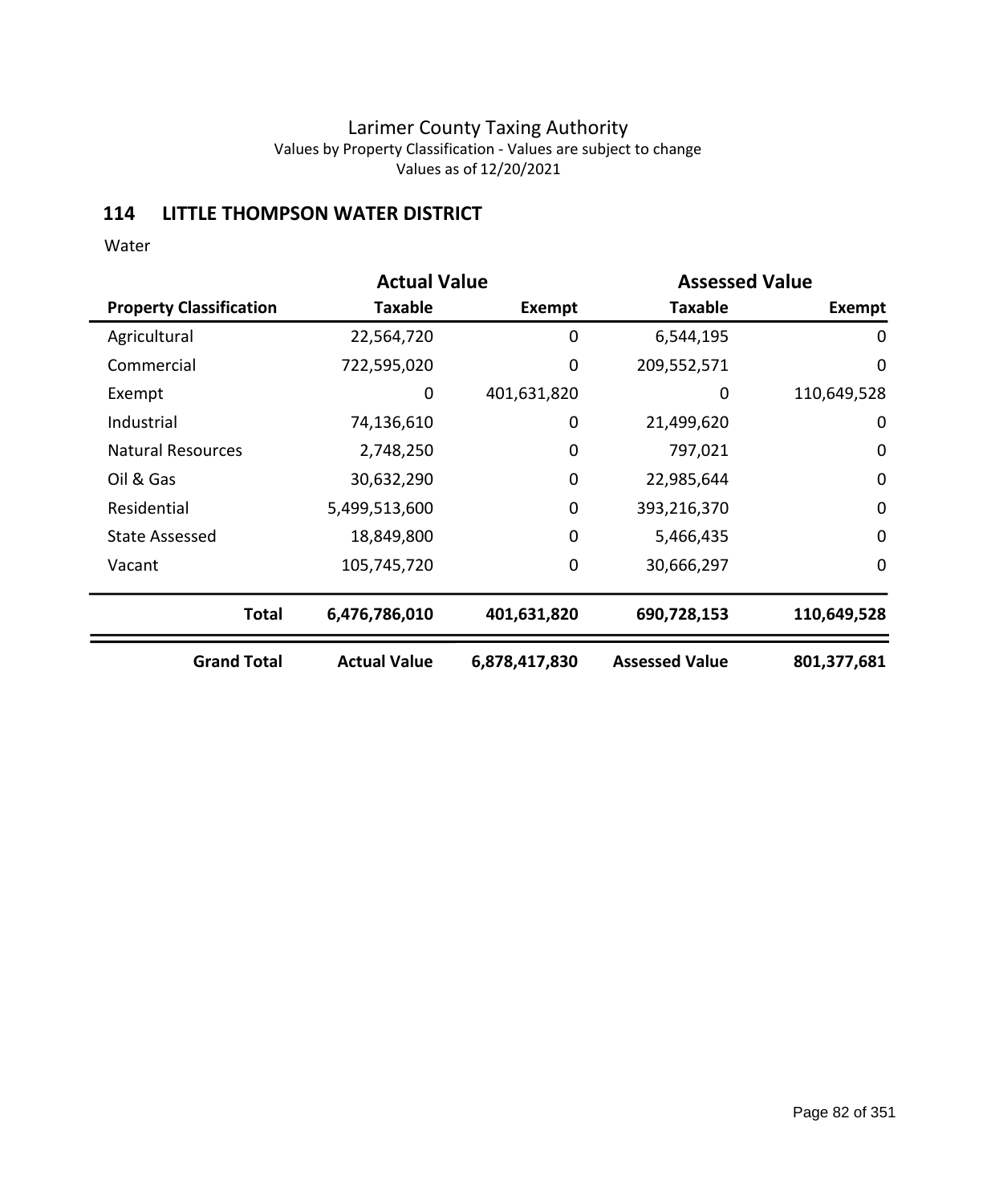## **114 LITTLE THOMPSON WATER DISTRICT**

|                                | <b>Actual Value</b> |               | <b>Assessed Value</b> |               |
|--------------------------------|---------------------|---------------|-----------------------|---------------|
| <b>Property Classification</b> | Taxable             | Exempt        | <b>Taxable</b>        | <b>Exempt</b> |
| Agricultural                   | 22,564,720          | 0             | 6,544,195             | $\mathbf 0$   |
| Commercial                     | 722,595,020         | 0             | 209,552,571           | $\mathbf 0$   |
| Exempt                         | 0                   | 401,631,820   | 0                     | 110,649,528   |
| Industrial                     | 74,136,610          | 0             | 21,499,620            | 0             |
| <b>Natural Resources</b>       | 2,748,250           | $\mathbf 0$   | 797,021               | $\mathbf 0$   |
| Oil & Gas                      | 30,632,290          | $\mathbf 0$   | 22,985,644            | $\mathbf 0$   |
| Residential                    | 5,499,513,600       | 0             | 393,216,370           | $\mathbf 0$   |
| <b>State Assessed</b>          | 18,849,800          | $\mathbf 0$   | 5,466,435             | $\mathbf 0$   |
| Vacant                         | 105,745,720         | 0             | 30,666,297            | $\mathbf 0$   |
| <b>Total</b>                   | 6,476,786,010       | 401,631,820   | 690,728,153           | 110,649,528   |
| <b>Grand Total</b>             | <b>Actual Value</b> | 6,878,417,830 | <b>Assessed Value</b> | 801,377,681   |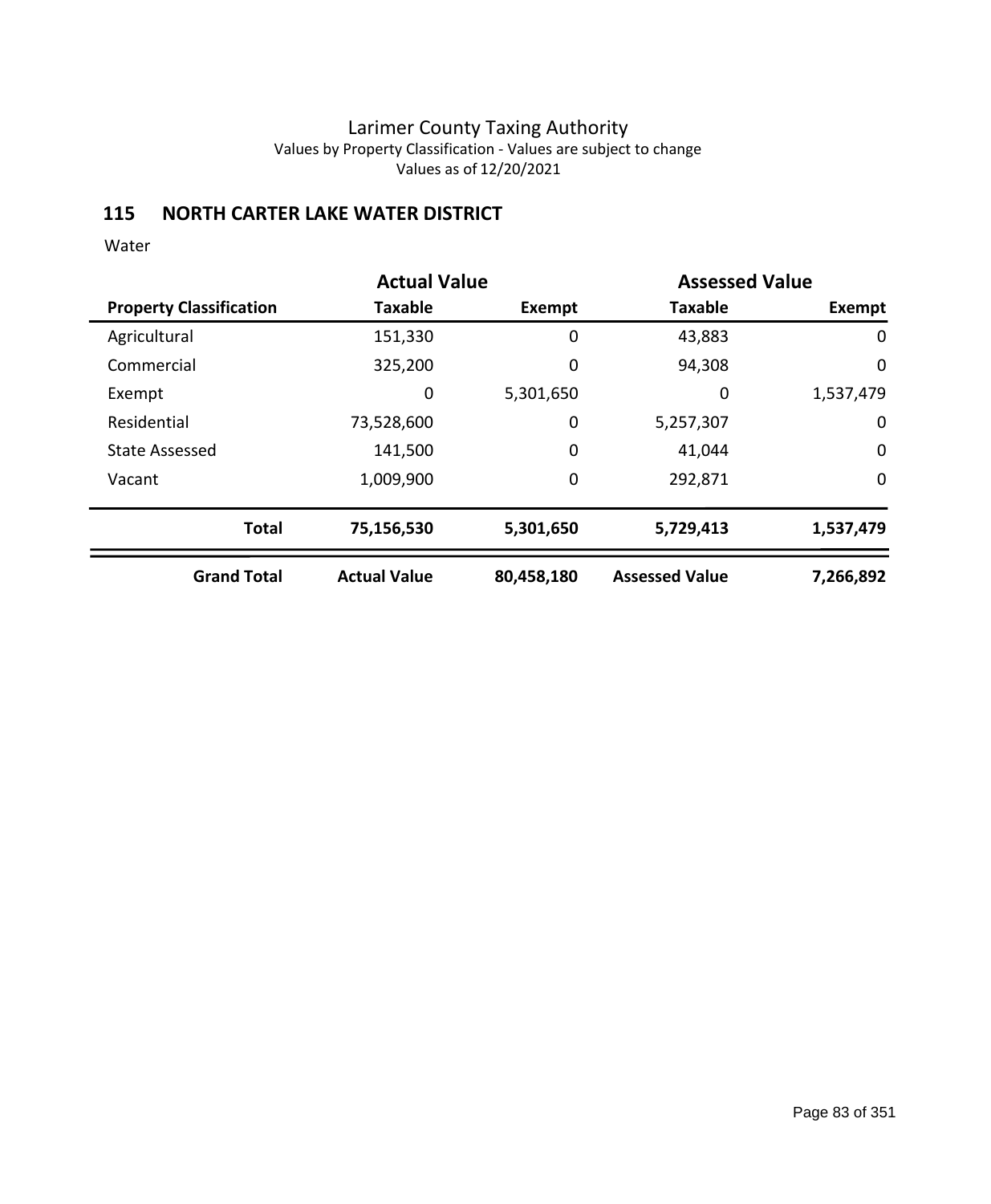## **115 NORTH CARTER LAKE WATER DISTRICT**

|                                | <b>Actual Value</b> |             | <b>Assessed Value</b> |             |
|--------------------------------|---------------------|-------------|-----------------------|-------------|
| <b>Property Classification</b> | <b>Taxable</b>      | Exempt      | <b>Taxable</b>        | Exempt      |
| Agricultural                   | 151,330             | 0           | 43,883                | 0           |
| Commercial                     | 325,200             | 0           | 94,308                | $\mathbf 0$ |
| Exempt                         | 0                   | 5,301,650   | 0                     | 1,537,479   |
| Residential                    | 73,528,600          | 0           | 5,257,307             | 0           |
| <b>State Assessed</b>          | 141,500             | $\mathbf 0$ | 41,044                | $\mathbf 0$ |
| Vacant                         | 1,009,900           | 0           | 292,871               | $\mathbf 0$ |
| <b>Total</b>                   | 75,156,530          | 5,301,650   | 5,729,413             | 1,537,479   |
| <b>Grand Total</b>             | <b>Actual Value</b> | 80,458,180  | <b>Assessed Value</b> | 7,266,892   |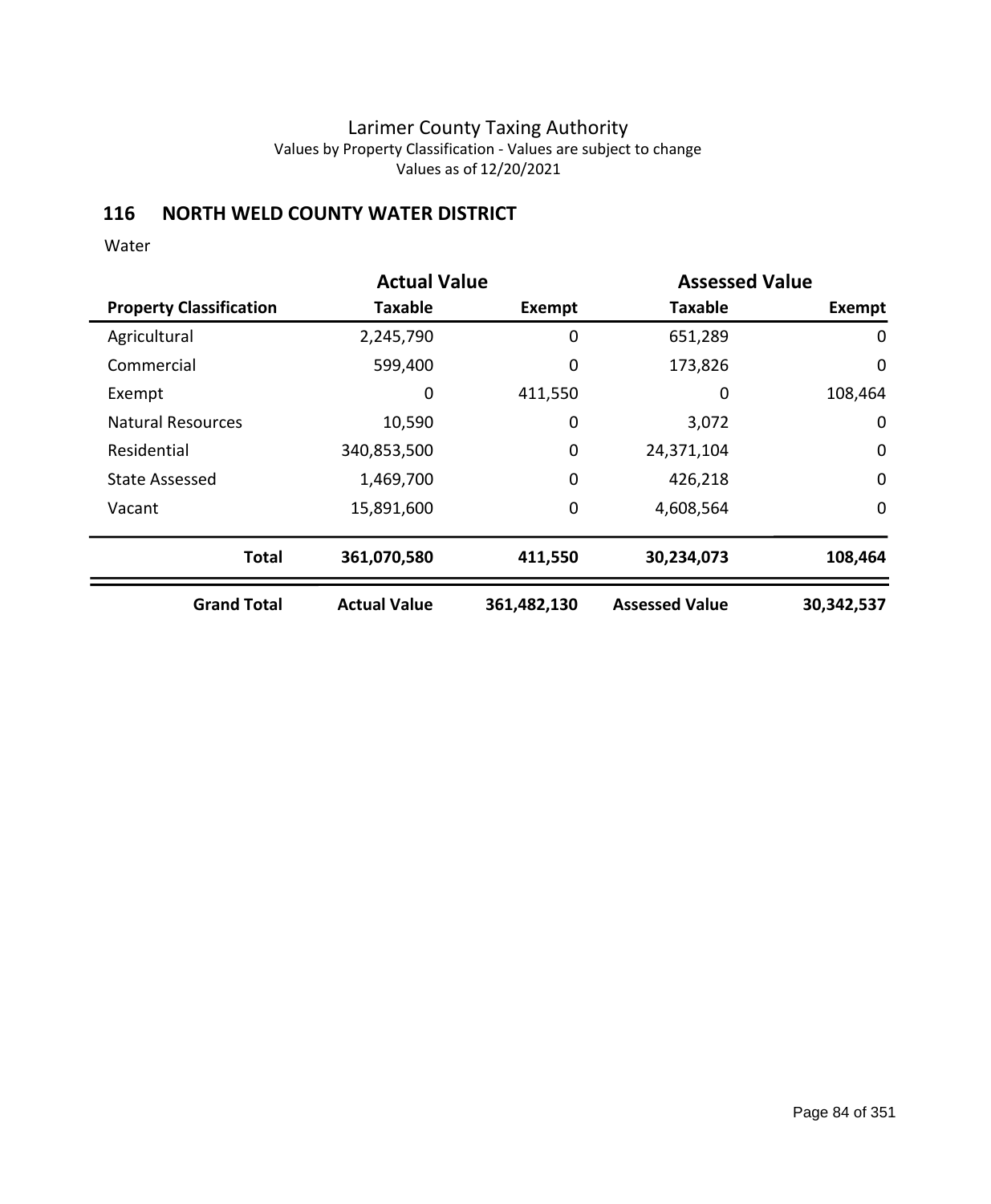### **116 NORTH WELD COUNTY WATER DISTRICT**

|                                | <b>Actual Value</b> |             | <b>Assessed Value</b> |             |
|--------------------------------|---------------------|-------------|-----------------------|-------------|
| <b>Property Classification</b> | <b>Taxable</b>      | Exempt      | <b>Taxable</b>        | Exempt      |
| Agricultural                   | 2,245,790           | 0           | 651,289               | 0           |
| Commercial                     | 599,400             | 0           | 173,826               | 0           |
| Exempt                         | 0                   | 411,550     | 0                     | 108,464     |
| <b>Natural Resources</b>       | 10,590              | 0           | 3,072                 | $\mathbf 0$ |
| Residential                    | 340,853,500         | 0           | 24,371,104            | $\mathbf 0$ |
| <b>State Assessed</b>          | 1,469,700           | 0           | 426,218               | $\mathbf 0$ |
| Vacant                         | 15,891,600          | 0           | 4,608,564             | 0           |
| <b>Total</b>                   | 361,070,580         | 411,550     | 30,234,073            | 108,464     |
| <b>Grand Total</b>             | <b>Actual Value</b> | 361,482,130 | <b>Assessed Value</b> | 30,342,537  |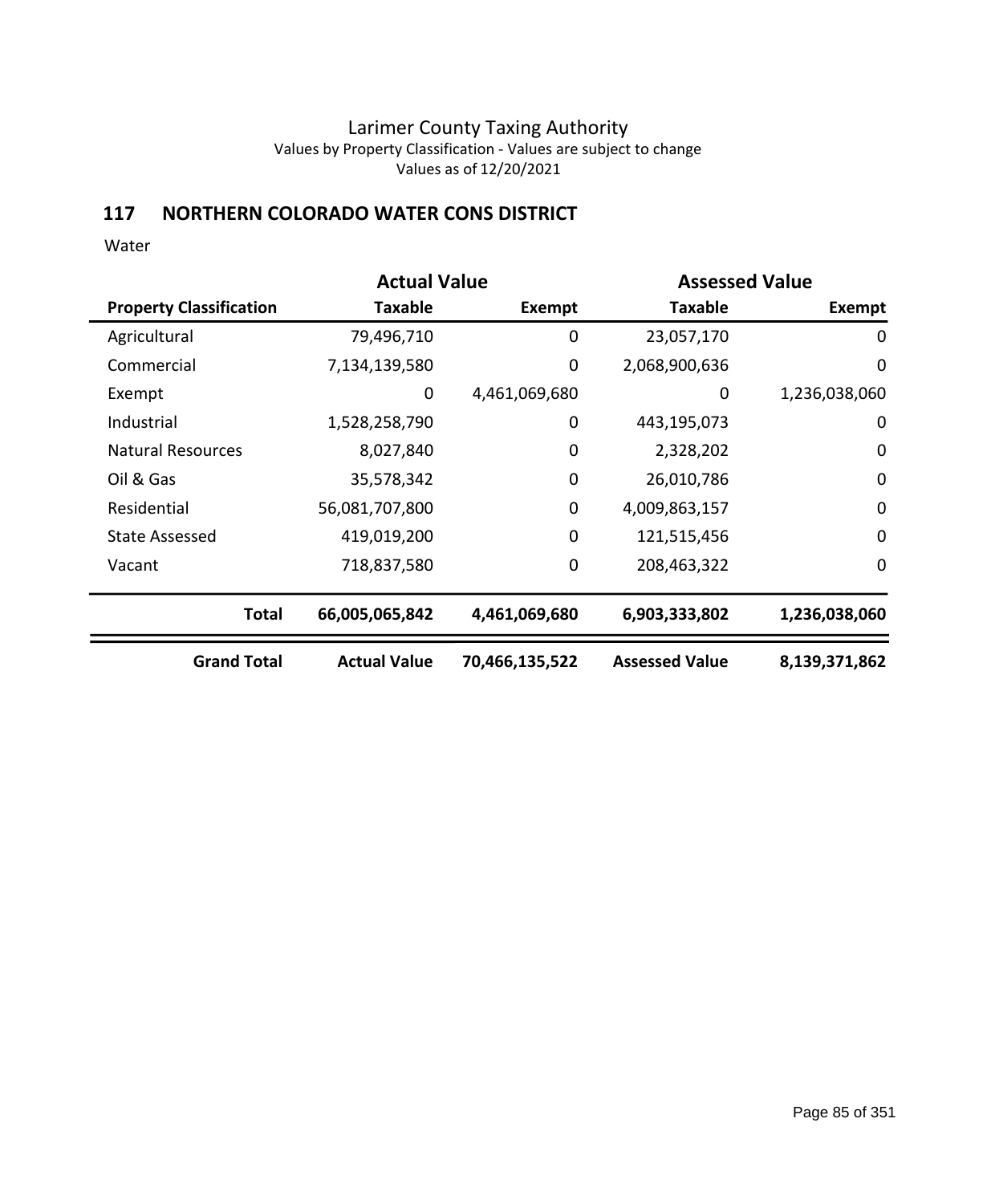## **117 NORTHERN COLORADO WATER CONS DISTRICT**

|                                | <b>Actual Value</b> |                | <b>Assessed Value</b> |                  |
|--------------------------------|---------------------|----------------|-----------------------|------------------|
| <b>Property Classification</b> | Taxable             | Exempt         | <b>Taxable</b>        | <b>Exempt</b>    |
| Agricultural                   | 79,496,710          | 0              | 23,057,170            | 0                |
| Commercial                     | 7,134,139,580       | 0              | 2,068,900,636         | $\mathbf 0$      |
| Exempt                         | 0                   | 4,461,069,680  | 0                     | 1,236,038,060    |
| Industrial                     | 1,528,258,790       | 0              | 443,195,073           | $\mathbf 0$      |
| <b>Natural Resources</b>       | 8,027,840           | $\mathbf 0$    | 2,328,202             | $\boldsymbol{0}$ |
| Oil & Gas                      | 35,578,342          | 0              | 26,010,786            | $\mathbf 0$      |
| Residential                    | 56,081,707,800      | $\mathbf 0$    | 4,009,863,157         | $\mathbf 0$      |
| <b>State Assessed</b>          | 419,019,200         | $\mathbf 0$    | 121,515,456           | $\mathbf 0$      |
| Vacant                         | 718,837,580         | $\mathbf 0$    | 208,463,322           | $\mathbf 0$      |
| <b>Total</b>                   | 66,005,065,842      | 4,461,069,680  | 6,903,333,802         | 1,236,038,060    |
| <b>Grand Total</b>             | <b>Actual Value</b> | 70,466,135,522 | <b>Assessed Value</b> | 8,139,371,862    |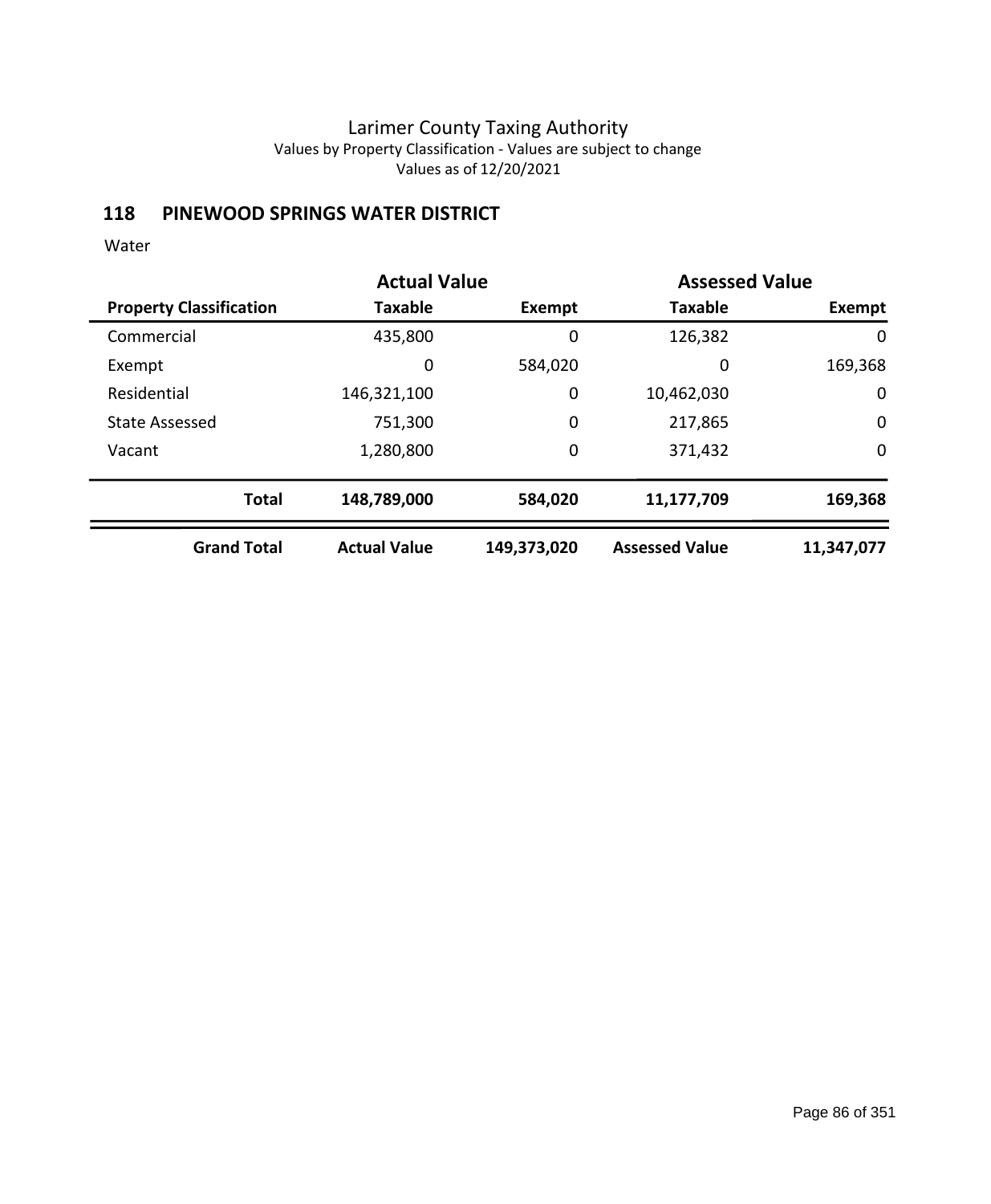## **118 PINEWOOD SPRINGS WATER DISTRICT**

|                                | <b>Actual Value</b> |             |                       | <b>Assessed Value</b> |
|--------------------------------|---------------------|-------------|-----------------------|-----------------------|
| <b>Property Classification</b> | Taxable             | Exempt      | <b>Taxable</b>        | <b>Exempt</b>         |
| Commercial                     | 435,800             | 0           | 126,382               | 0                     |
| Exempt                         | 0                   | 584,020     | 0                     | 169,368               |
| Residential                    | 146,321,100         | 0           | 10,462,030            | 0                     |
| <b>State Assessed</b>          | 751,300             | 0           | 217,865               | $\mathbf 0$           |
| Vacant                         | 1,280,800           | 0           | 371,432               | $\mathbf 0$           |
| <b>Total</b>                   | 148,789,000         | 584,020     | 11,177,709            | 169,368               |
| <b>Grand Total</b>             | <b>Actual Value</b> | 149,373,020 | <b>Assessed Value</b> | 11,347,077            |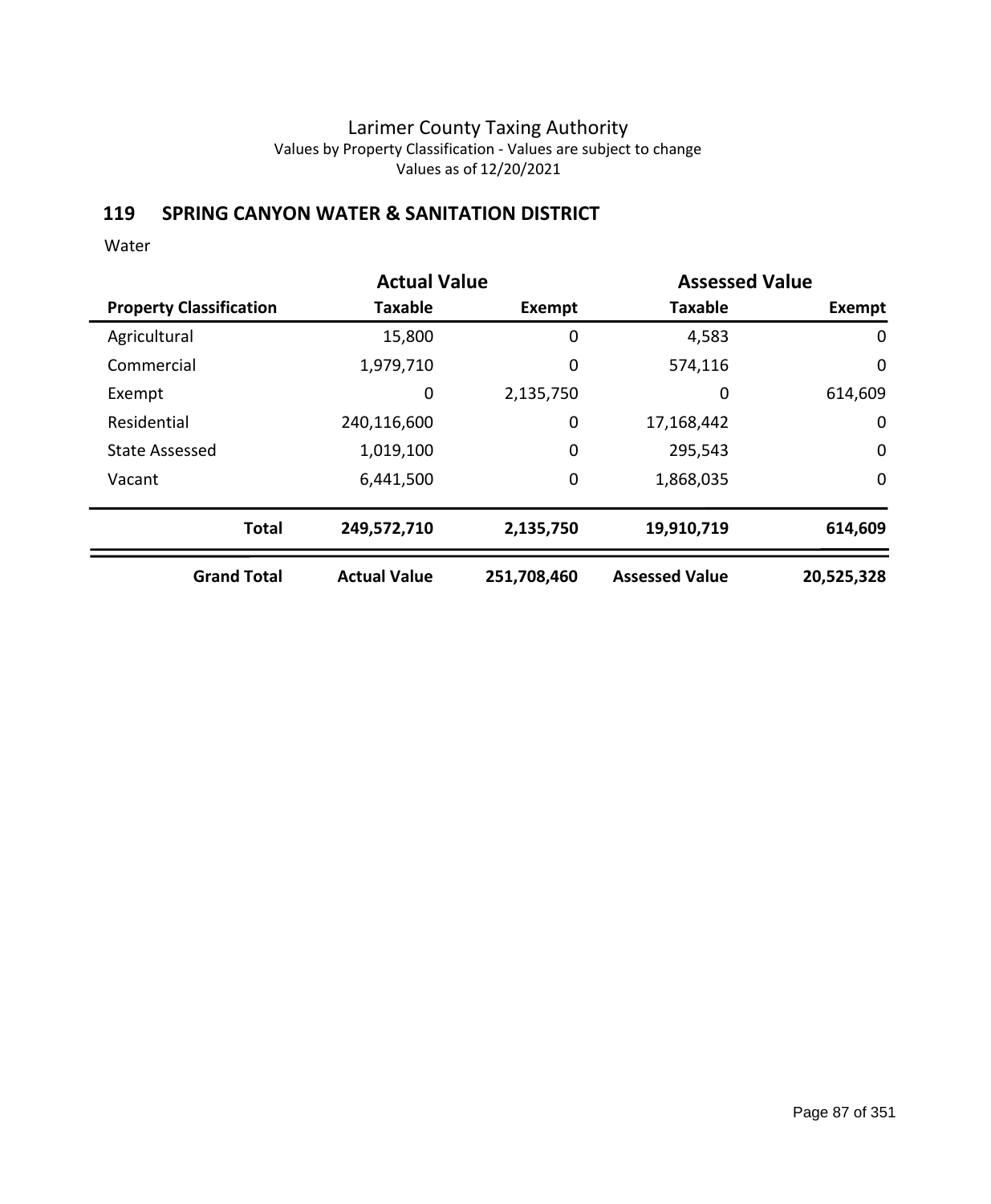## **119 SPRING CANYON WATER & SANITATION DISTRICT**

|                                | <b>Actual Value</b> |             | <b>Assessed Value</b> |             |
|--------------------------------|---------------------|-------------|-----------------------|-------------|
| <b>Property Classification</b> | <b>Taxable</b>      | Exempt      | <b>Taxable</b>        | Exempt      |
| Agricultural                   | 15,800              | 0           | 4,583                 | 0           |
| Commercial                     | 1,979,710           | 0           | 574,116               | 0           |
| Exempt                         | 0                   | 2,135,750   | 0                     | 614,609     |
| Residential                    | 240,116,600         | 0           | 17,168,442            | 0           |
| <b>State Assessed</b>          | 1,019,100           | 0           | 295,543               | $\mathbf 0$ |
| Vacant                         | 6,441,500           | 0           | 1,868,035             | $\mathbf 0$ |
| <b>Total</b>                   | 249,572,710         | 2,135,750   | 19,910,719            | 614,609     |
| <b>Grand Total</b>             | <b>Actual Value</b> | 251,708,460 | <b>Assessed Value</b> | 20,525,328  |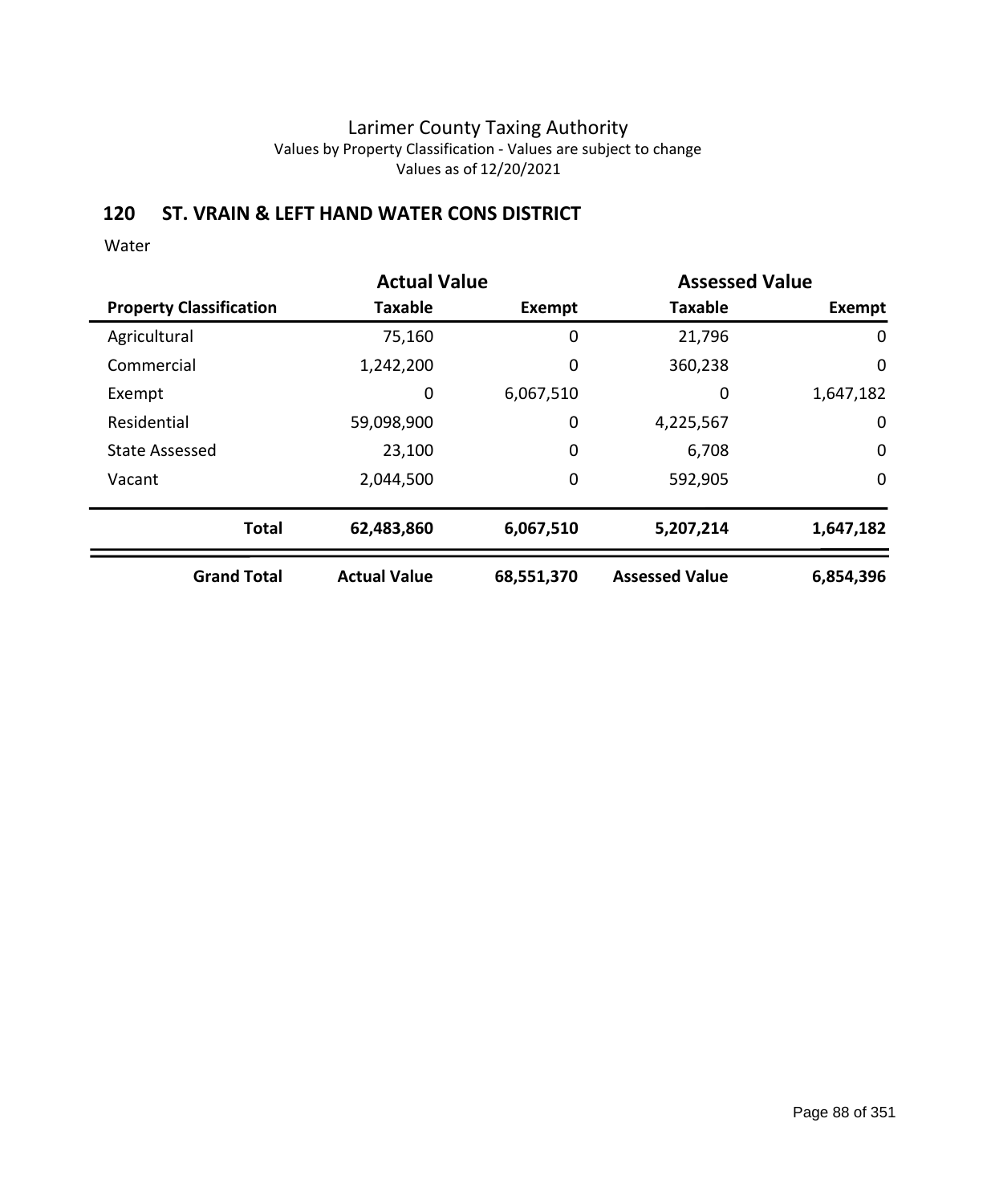### **120 ST. VRAIN & LEFT HAND WATER CONS DISTRICT**

|                                | <b>Actual Value</b> |            | <b>Assessed Value</b> |             |
|--------------------------------|---------------------|------------|-----------------------|-------------|
| <b>Property Classification</b> | <b>Taxable</b>      | Exempt     | <b>Taxable</b>        | Exempt      |
| Agricultural                   | 75,160              | 0          | 21,796                | 0           |
| Commercial                     | 1,242,200           | 0          | 360,238               | 0           |
| Exempt                         | 0                   | 6,067,510  | 0                     | 1,647,182   |
| Residential                    | 59,098,900          | 0          | 4,225,567             | 0           |
| <b>State Assessed</b>          | 23,100              | 0          | 6,708                 | $\mathbf 0$ |
| Vacant                         | 2,044,500           | 0          | 592,905               | $\mathbf 0$ |
| <b>Total</b>                   | 62,483,860          | 6,067,510  | 5,207,214             | 1,647,182   |
| <b>Grand Total</b>             | <b>Actual Value</b> | 68,551,370 | <b>Assessed Value</b> | 6,854,396   |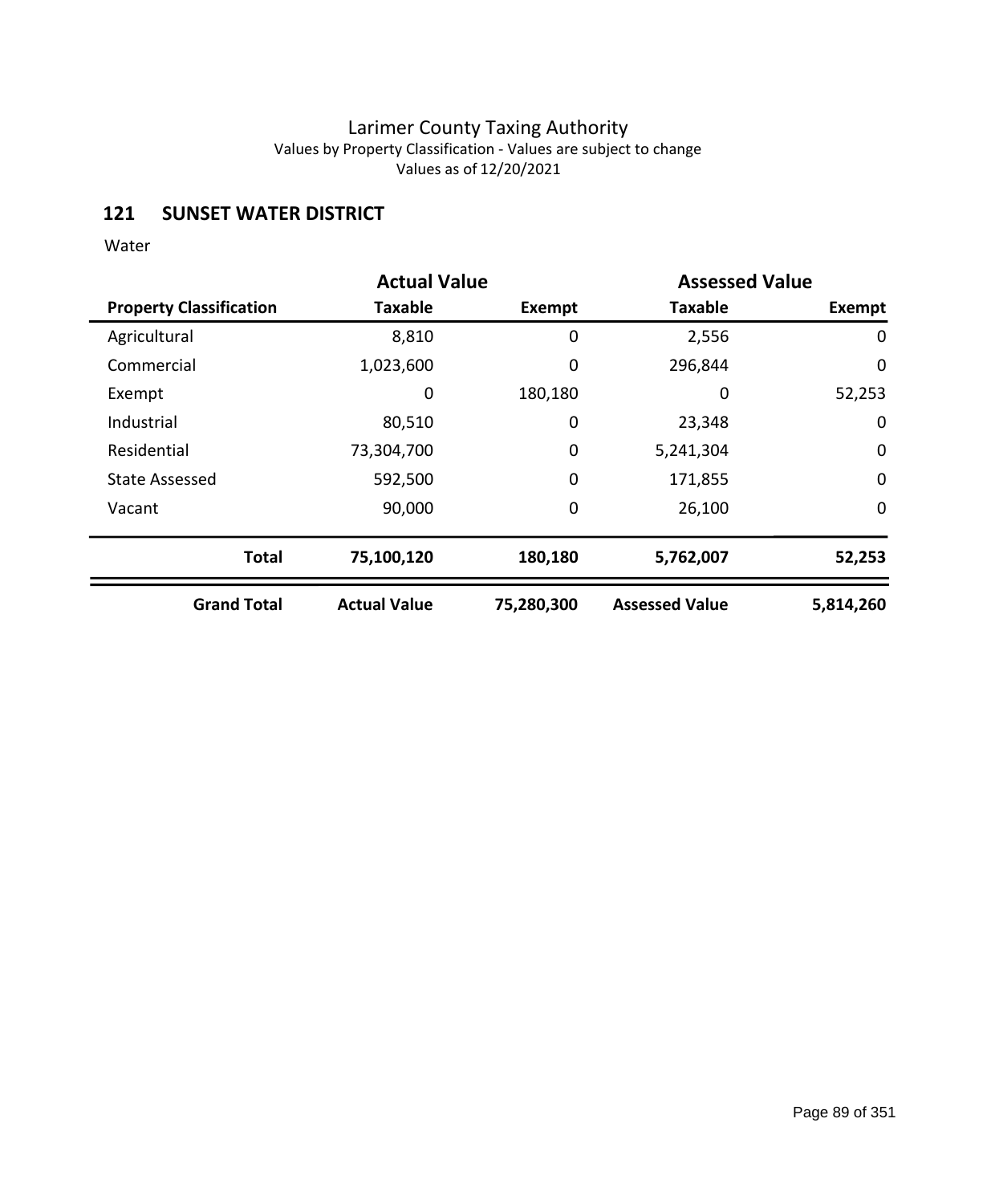## **121 SUNSET WATER DISTRICT**

|                                | <b>Actual Value</b> |            | <b>Assessed Value</b> |             |
|--------------------------------|---------------------|------------|-----------------------|-------------|
| <b>Property Classification</b> | <b>Taxable</b>      | Exempt     | <b>Taxable</b>        | Exempt      |
| Agricultural                   | 8,810               | 0          | 2,556                 | 0           |
| Commercial                     | 1,023,600           | 0          | 296,844               | 0           |
| Exempt                         | 0                   | 180,180    | 0                     | 52,253      |
| Industrial                     | 80,510              | 0          | 23,348                | $\mathbf 0$ |
| Residential                    | 73,304,700          | 0          | 5,241,304             | $\mathbf 0$ |
| <b>State Assessed</b>          | 592,500             | 0          | 171,855               | $\mathbf 0$ |
| Vacant                         | 90,000              | 0          | 26,100                | $\mathbf 0$ |
| <b>Total</b>                   | 75,100,120          | 180,180    | 5,762,007             | 52,253      |
| <b>Grand Total</b>             | <b>Actual Value</b> | 75,280,300 | <b>Assessed Value</b> | 5,814,260   |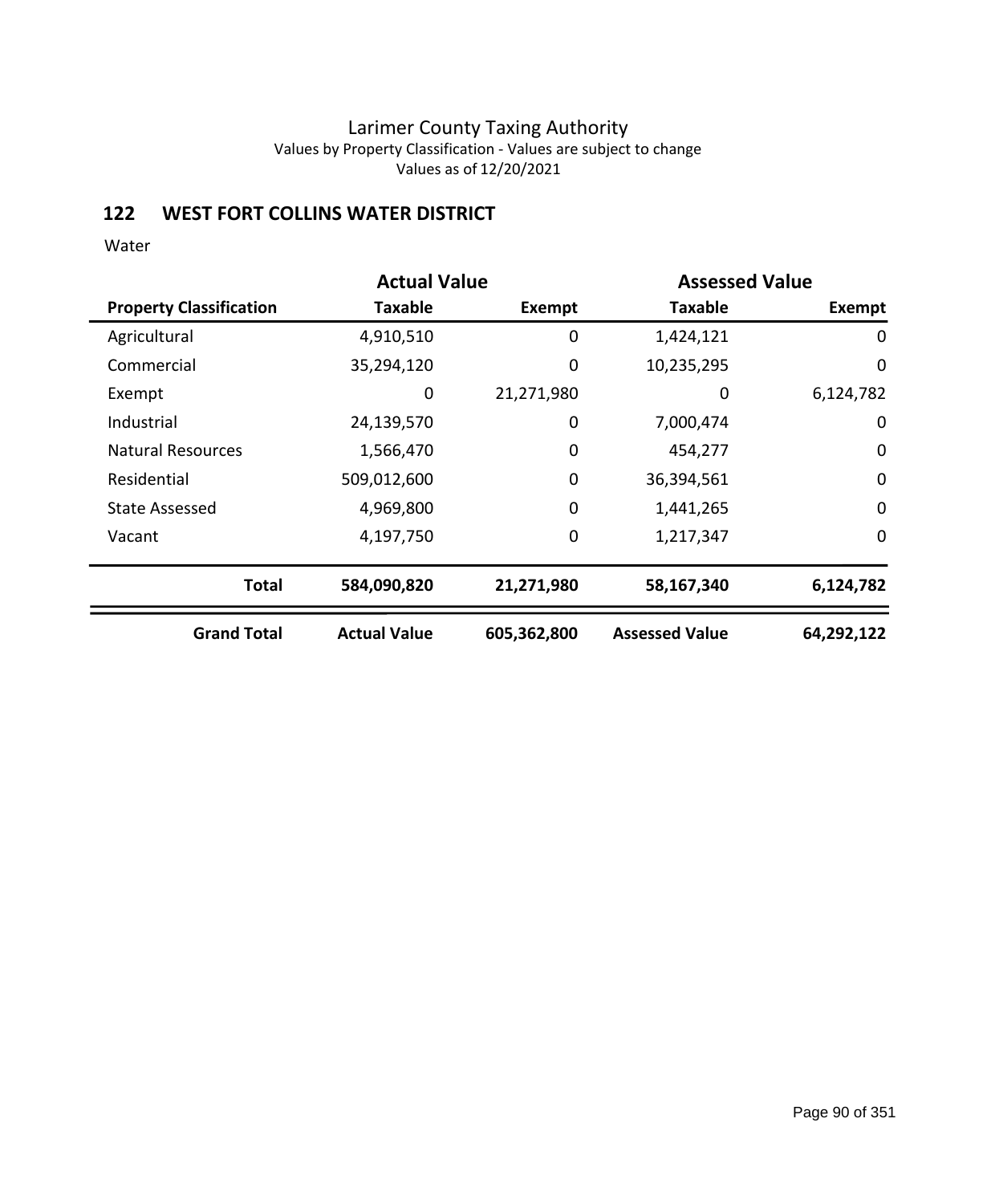## **122 WEST FORT COLLINS WATER DISTRICT**

|                                | <b>Actual Value</b> |               | <b>Assessed Value</b> |             |
|--------------------------------|---------------------|---------------|-----------------------|-------------|
| <b>Property Classification</b> | Taxable             | <b>Exempt</b> | <b>Taxable</b>        | Exempt      |
| Agricultural                   | 4,910,510           | 0             | 1,424,121             | 0           |
| Commercial                     | 35,294,120          | 0             | 10,235,295            | $\mathbf 0$ |
| Exempt                         | 0                   | 21,271,980    | 0                     | 6,124,782   |
| Industrial                     | 24,139,570          | 0             | 7,000,474             | $\mathbf 0$ |
| <b>Natural Resources</b>       | 1,566,470           | 0             | 454,277               | $\mathbf 0$ |
| Residential                    | 509,012,600         | $\mathbf 0$   | 36,394,561            | $\mathbf 0$ |
| <b>State Assessed</b>          | 4,969,800           | $\mathbf 0$   | 1,441,265             | $\mathbf 0$ |
| Vacant                         | 4,197,750           | 0             | 1,217,347             | 0           |
| <b>Total</b>                   | 584,090,820         | 21,271,980    | 58,167,340            | 6,124,782   |
| <b>Grand Total</b>             | <b>Actual Value</b> | 605,362,800   | <b>Assessed Value</b> | 64,292,122  |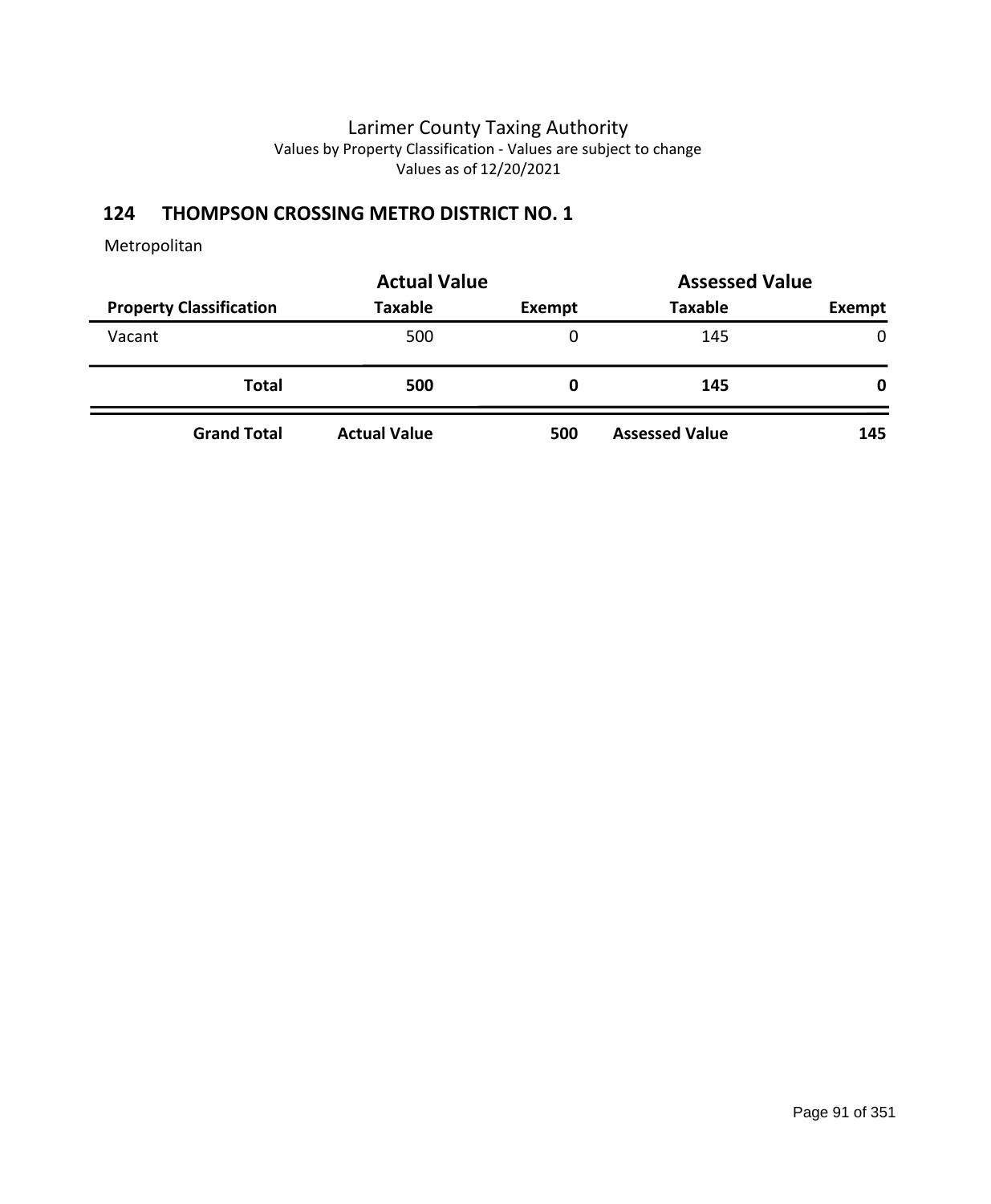# **124 THOMPSON CROSSING METRO DISTRICT NO. 1**

|                                | <b>Actual Value</b> |        | <b>Assessed Value</b> |        |
|--------------------------------|---------------------|--------|-----------------------|--------|
| <b>Property Classification</b> | <b>Taxable</b>      | Exempt | <b>Taxable</b>        | Exempt |
| Vacant                         | 500                 | 0      | 145                   | 0      |
| <b>Total</b>                   | 500                 | 0      | 145                   | 0      |
| <b>Grand Total</b>             | <b>Actual Value</b> | 500    | <b>Assessed Value</b> | 145    |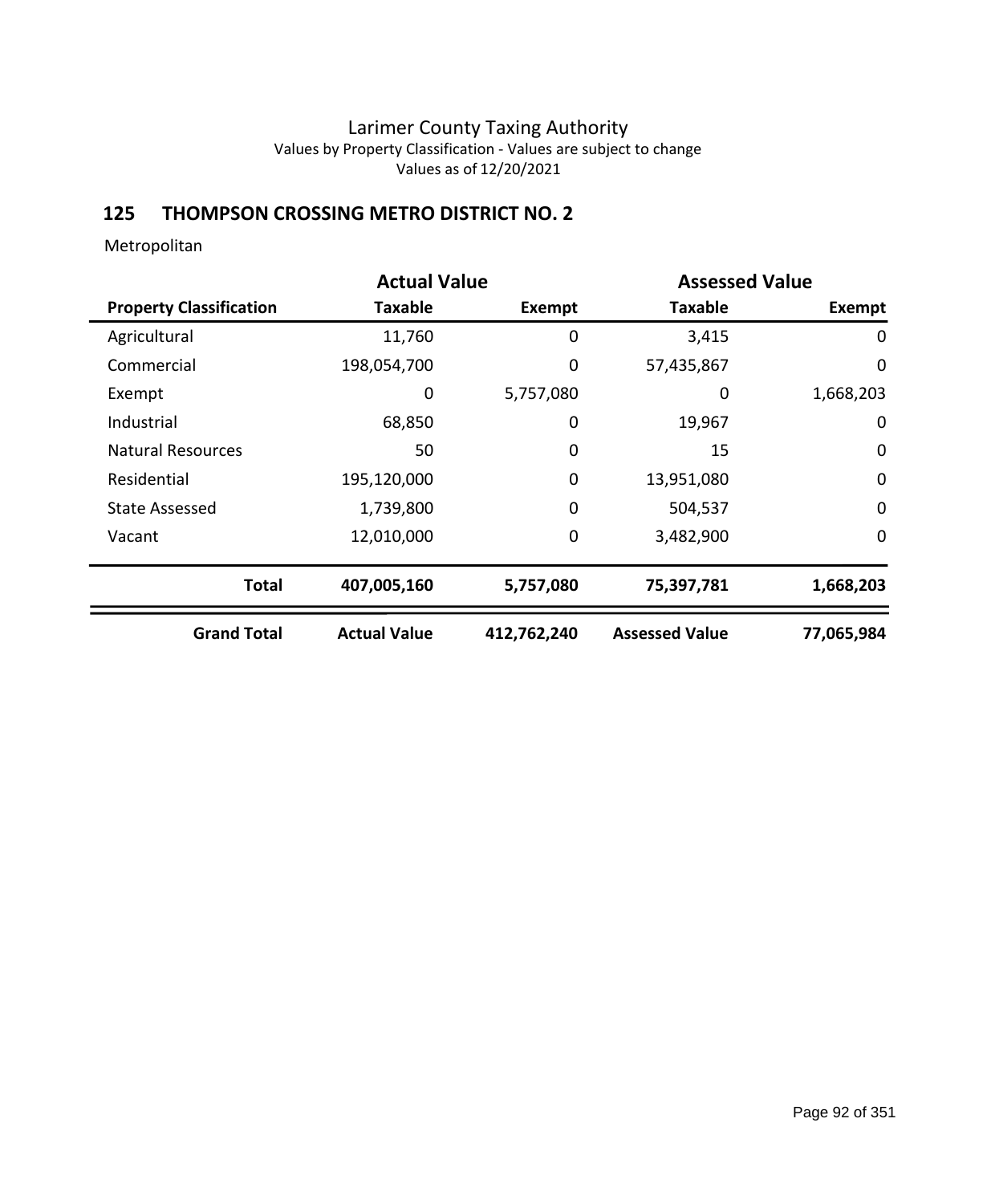# **125 THOMPSON CROSSING METRO DISTRICT NO. 2**

|                                | <b>Actual Value</b> |               | <b>Assessed Value</b> |             |
|--------------------------------|---------------------|---------------|-----------------------|-------------|
| <b>Property Classification</b> | Taxable             | <b>Exempt</b> | <b>Taxable</b>        | Exempt      |
| Agricultural                   | 11,760              | 0             | 3,415                 | 0           |
| Commercial                     | 198,054,700         | 0             | 57,435,867            | $\mathbf 0$ |
| Exempt                         | 0                   | 5,757,080     | 0                     | 1,668,203   |
| Industrial                     | 68,850              | 0             | 19,967                | $\mathbf 0$ |
| <b>Natural Resources</b>       | 50                  | 0             | 15                    | $\mathbf 0$ |
| Residential                    | 195,120,000         | $\mathbf 0$   | 13,951,080            | $\mathbf 0$ |
| <b>State Assessed</b>          | 1,739,800           | $\mathbf 0$   | 504,537               | $\mathbf 0$ |
| Vacant                         | 12,010,000          | 0             | 3,482,900             | $\mathbf 0$ |
| <b>Total</b>                   | 407,005,160         | 5,757,080     | 75,397,781            | 1,668,203   |
| <b>Grand Total</b>             | <b>Actual Value</b> | 412,762,240   | <b>Assessed Value</b> | 77,065,984  |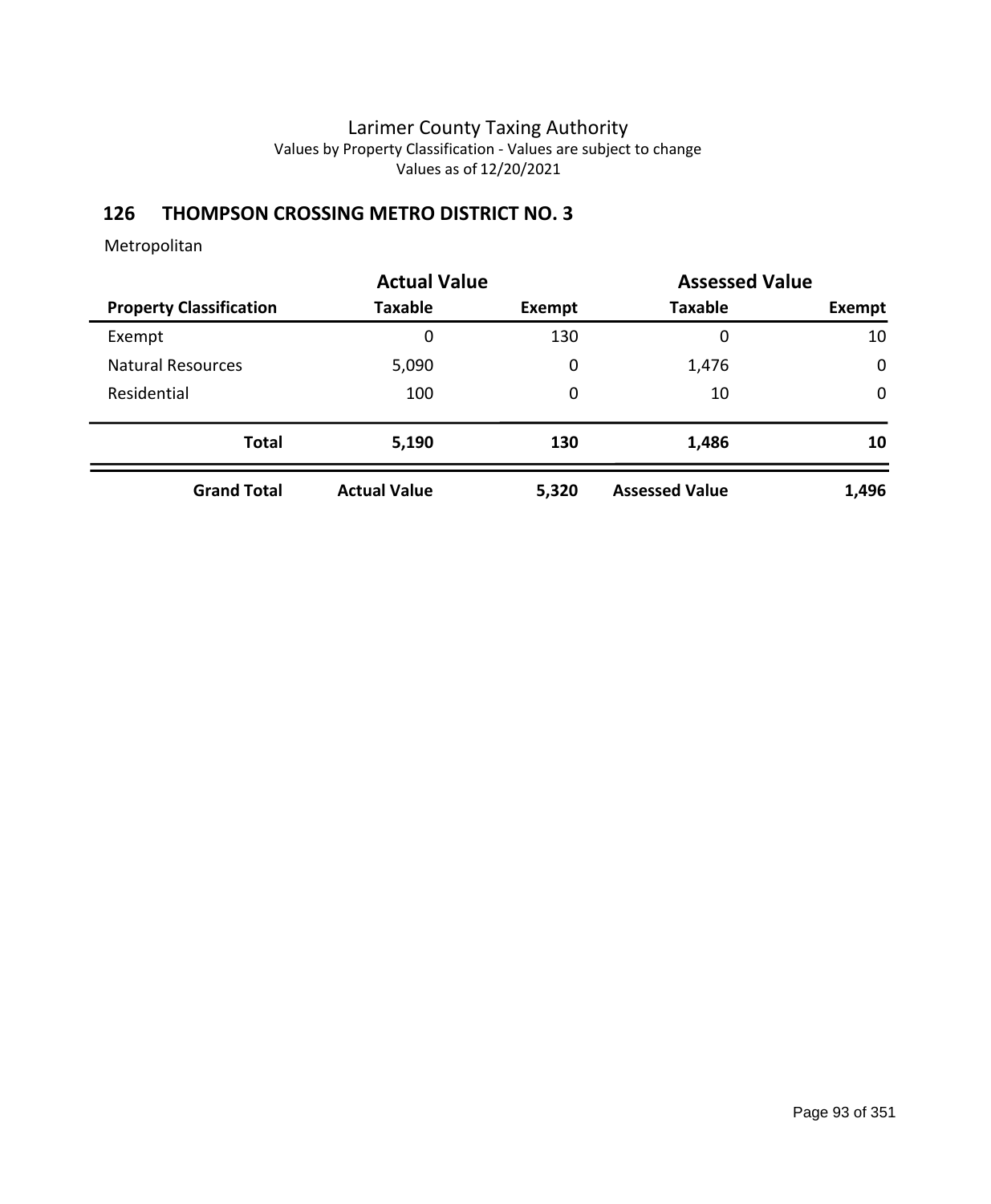# **126 THOMPSON CROSSING METRO DISTRICT NO. 3**

|                                | <b>Actual Value</b> | <b>Assessed Value</b> |                       |             |
|--------------------------------|---------------------|-----------------------|-----------------------|-------------|
| <b>Property Classification</b> | <b>Taxable</b>      | Exempt                | <b>Taxable</b>        | Exempt      |
| Exempt                         | 0                   | 130                   | 0                     | 10          |
| <b>Natural Resources</b>       | 5,090               | 0                     | 1,476                 | $\mathbf 0$ |
| Residential                    | 100                 | 0                     | 10                    | $\mathbf 0$ |
| <b>Total</b>                   | 5,190               | 130                   | 1,486                 | 10          |
| <b>Grand Total</b>             | <b>Actual Value</b> | 5,320                 | <b>Assessed Value</b> | 1,496       |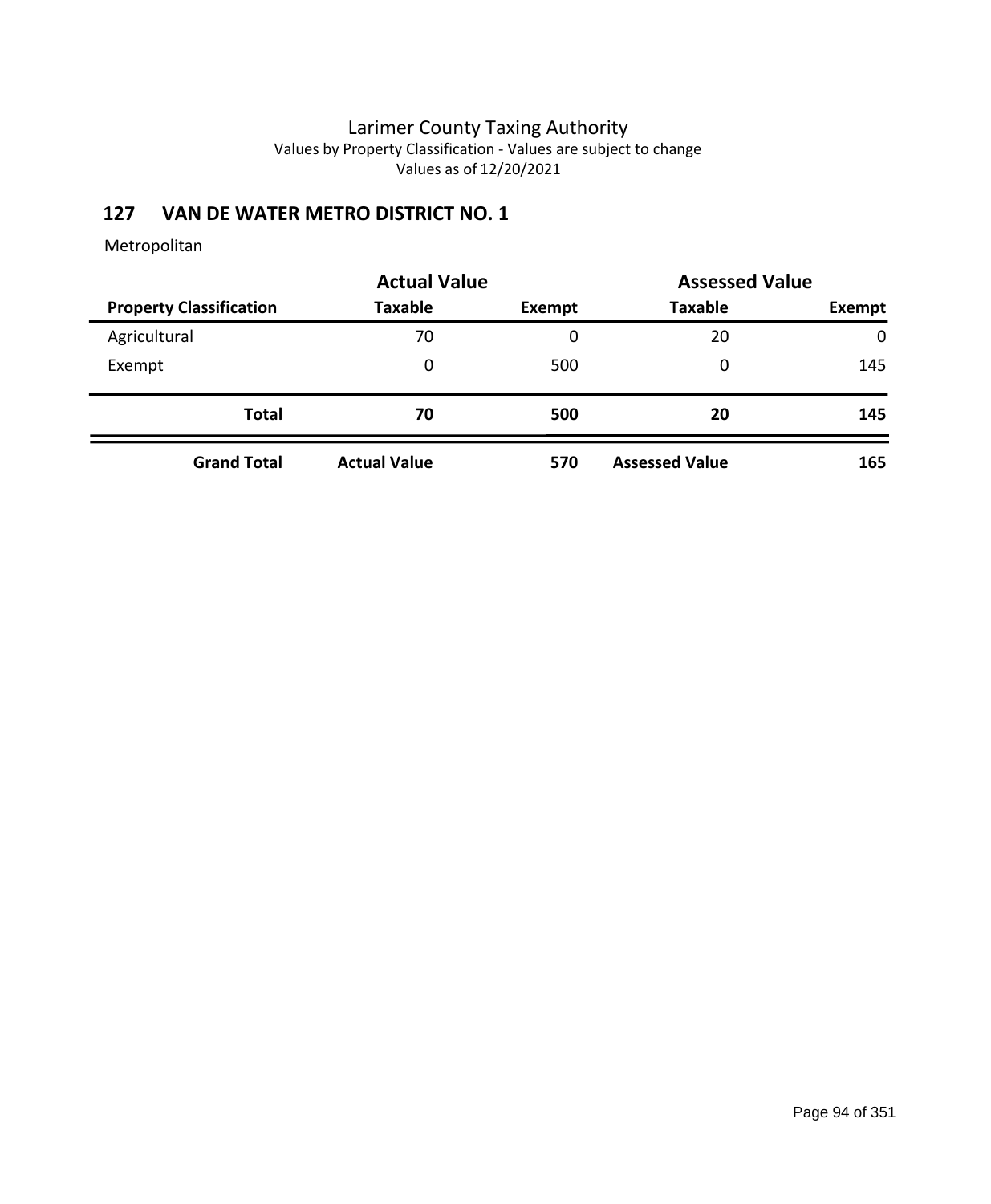# **127 VAN DE WATER METRO DISTRICT NO. 1**

|                                | <b>Actual Value</b> |        | <b>Assessed Value</b> |        |
|--------------------------------|---------------------|--------|-----------------------|--------|
| <b>Property Classification</b> | <b>Taxable</b>      | Exempt | <b>Taxable</b>        | Exempt |
| Agricultural                   | 70                  | 0      | 20                    | 0      |
| Exempt                         | 0                   | 500    | 0                     | 145    |
| <b>Total</b>                   | 70                  | 500    | 20                    | 145    |
| <b>Grand Total</b>             | <b>Actual Value</b> | 570    | <b>Assessed Value</b> | 165    |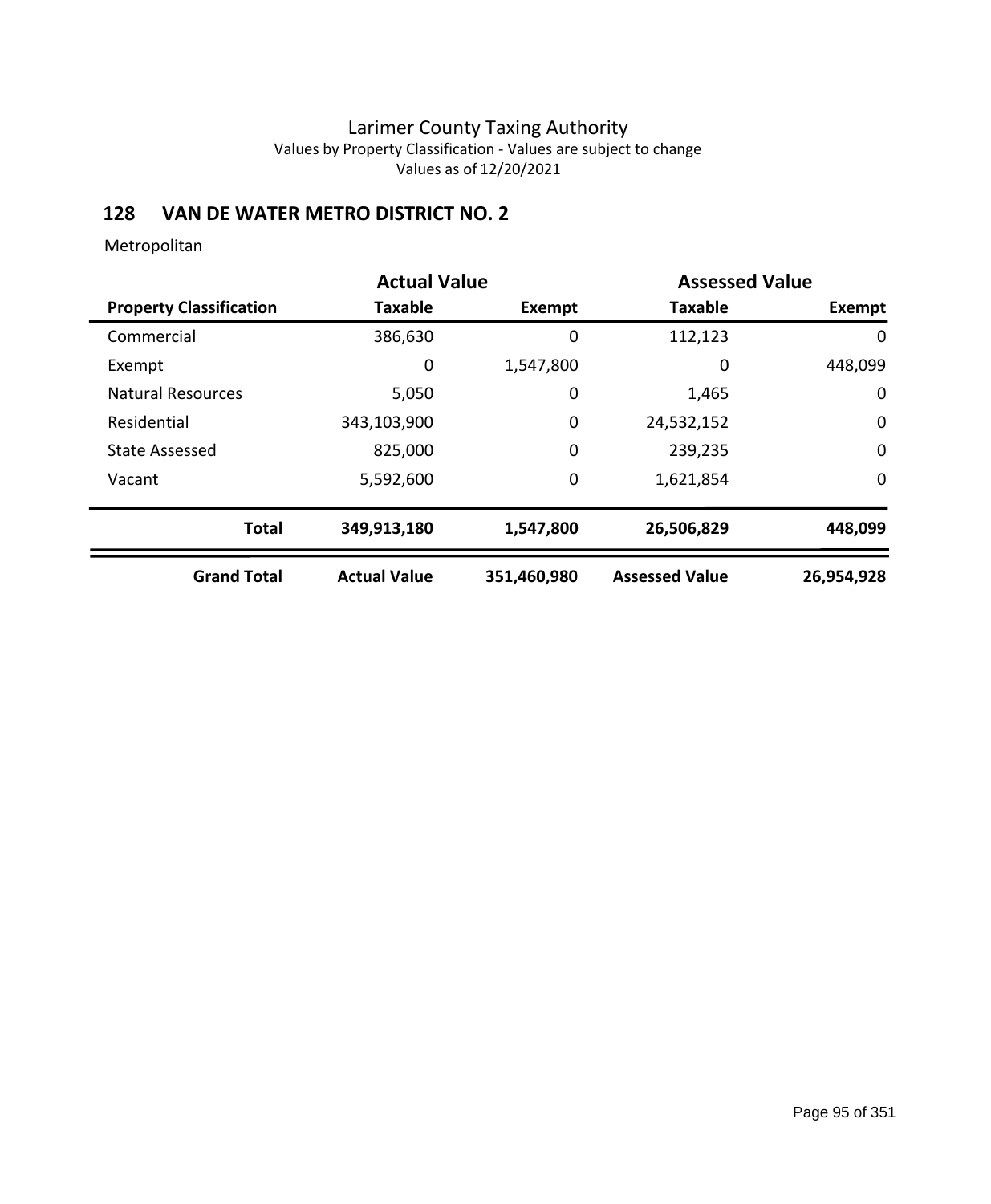# **128 VAN DE WATER METRO DISTRICT NO. 2**

|                                | <b>Actual Value</b> |               |                       | <b>Assessed Value</b> |  |
|--------------------------------|---------------------|---------------|-----------------------|-----------------------|--|
| <b>Property Classification</b> | <b>Taxable</b>      | <b>Exempt</b> | <b>Taxable</b>        | Exempt                |  |
| Commercial                     | 386,630             | 0             | 112,123               | 0                     |  |
| Exempt                         | 0                   | 1,547,800     | 0                     | 448,099               |  |
| <b>Natural Resources</b>       | 5,050               | 0             | 1,465                 | 0                     |  |
| Residential                    | 343,103,900         | $\mathbf 0$   | 24,532,152            | $\mathbf 0$           |  |
| <b>State Assessed</b>          | 825,000             | $\mathbf 0$   | 239,235               | $\mathbf 0$           |  |
| Vacant                         | 5,592,600           | $\mathbf 0$   | 1,621,854             | 0                     |  |
| <b>Total</b>                   | 349,913,180         | 1,547,800     | 26,506,829            | 448,099               |  |
| <b>Grand Total</b>             | <b>Actual Value</b> | 351,460,980   | <b>Assessed Value</b> | 26,954,928            |  |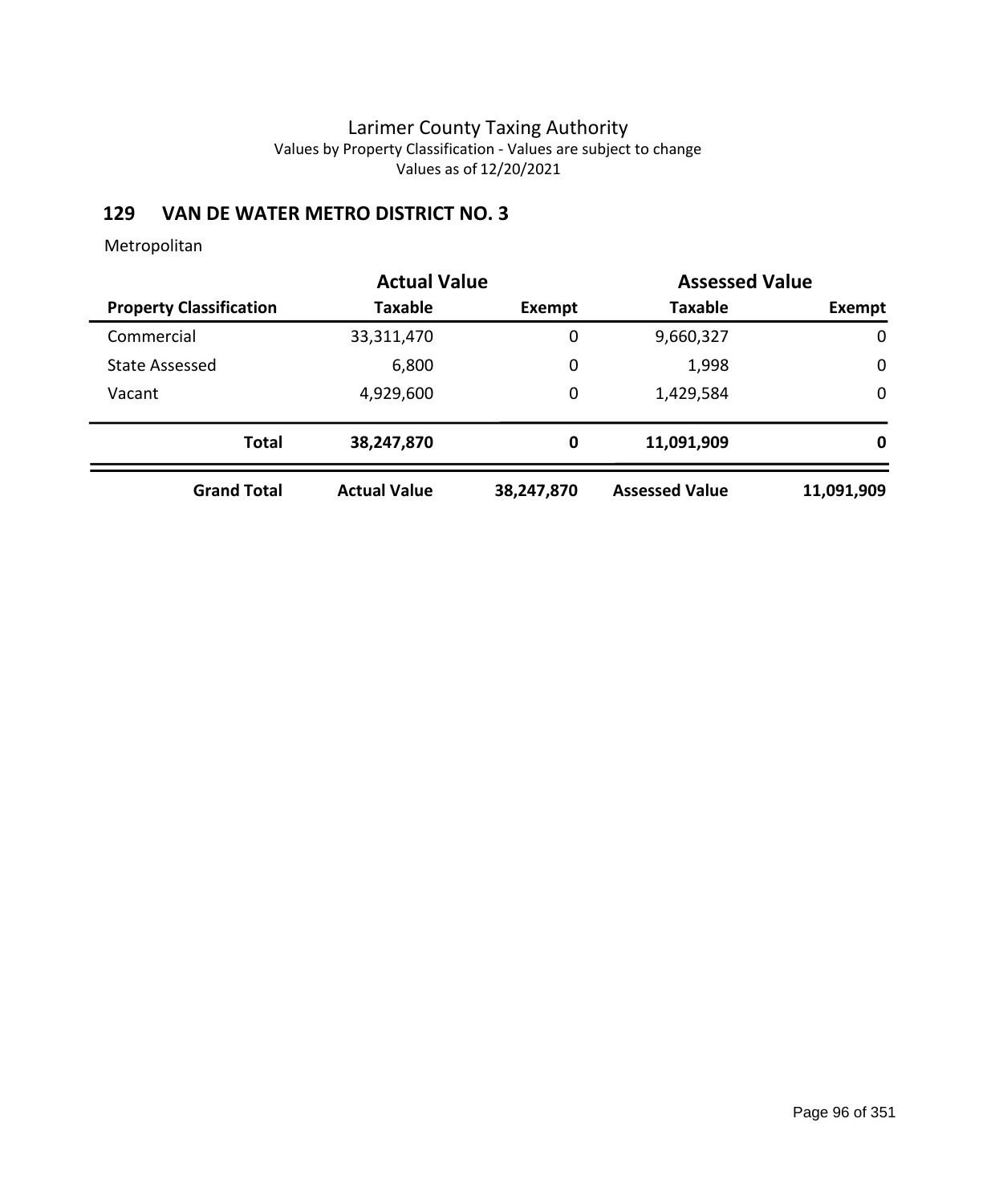# **129 VAN DE WATER METRO DISTRICT NO. 3**

|                                | <b>Actual Value</b> |             | <b>Assessed Value</b> |             |
|--------------------------------|---------------------|-------------|-----------------------|-------------|
| <b>Property Classification</b> | <b>Taxable</b>      | Exempt      | <b>Taxable</b>        | Exempt      |
| Commercial                     | 33,311,470          | 0           | 9,660,327             | $\mathbf 0$ |
| <b>State Assessed</b>          | 6,800               | 0           | 1,998                 | $\mathbf 0$ |
| Vacant                         | 4,929,600           | $\mathbf 0$ | 1,429,584             | $\mathbf 0$ |
| <b>Total</b>                   | 38,247,870          | 0           | 11,091,909            | 0           |
| <b>Grand Total</b>             | <b>Actual Value</b> | 38,247,870  | <b>Assessed Value</b> | 11,091,909  |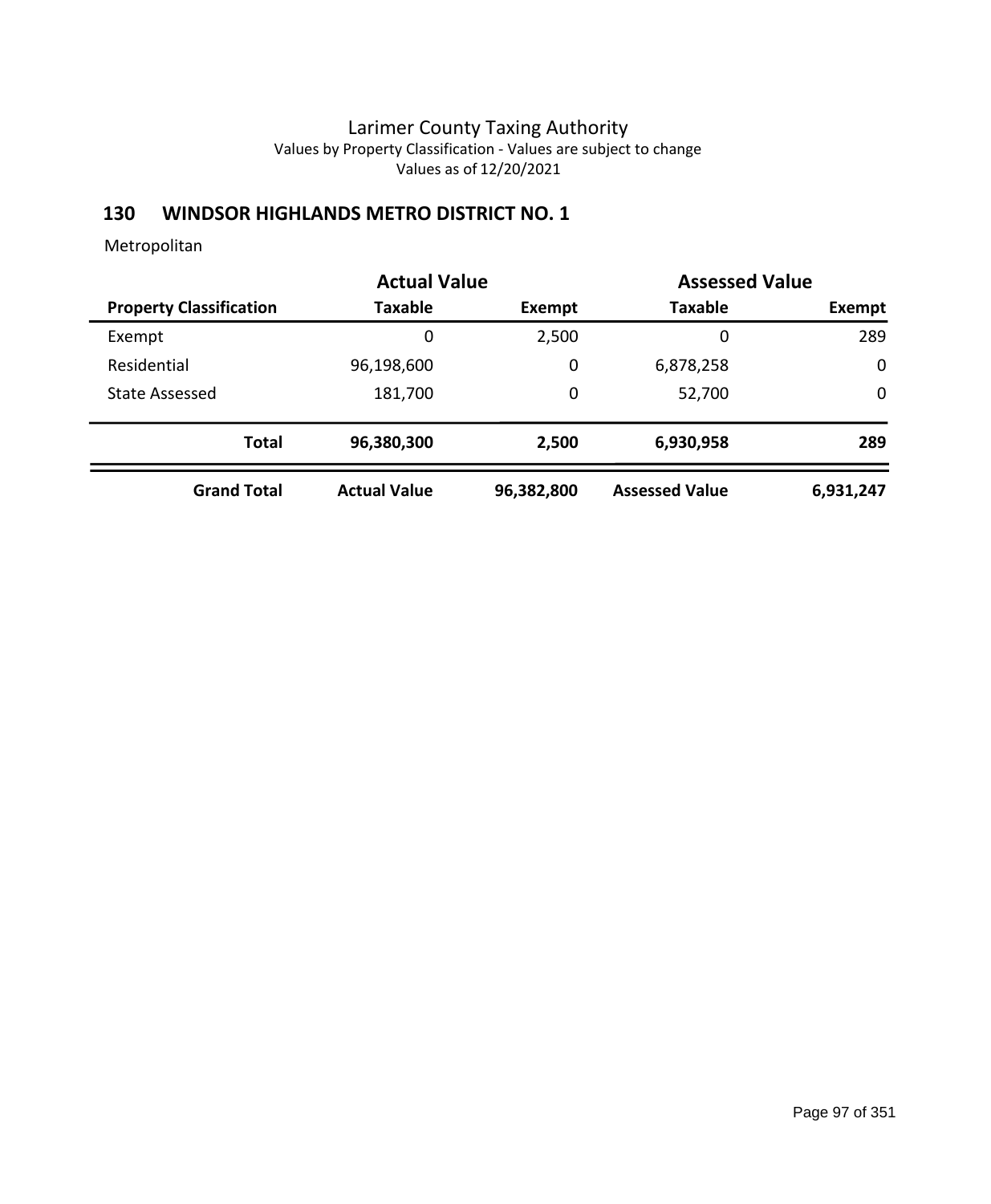### **130 WINDSOR HIGHLANDS METRO DISTRICT NO. 1**

|                                | <b>Actual Value</b> |             | <b>Assessed Value</b> |             |
|--------------------------------|---------------------|-------------|-----------------------|-------------|
| <b>Property Classification</b> | <b>Taxable</b>      | Exempt      | <b>Taxable</b>        | Exempt      |
| Exempt                         | 0                   | 2,500       | 0                     | 289         |
| Residential                    | 96,198,600          | $\mathbf 0$ | 6,878,258             | $\mathbf 0$ |
| <b>State Assessed</b>          | 181,700             | 0           | 52,700                | $\mathbf 0$ |
| <b>Total</b>                   | 96,380,300          | 2,500       | 6,930,958             | 289         |
| <b>Grand Total</b>             | <b>Actual Value</b> | 96,382,800  | <b>Assessed Value</b> | 6,931,247   |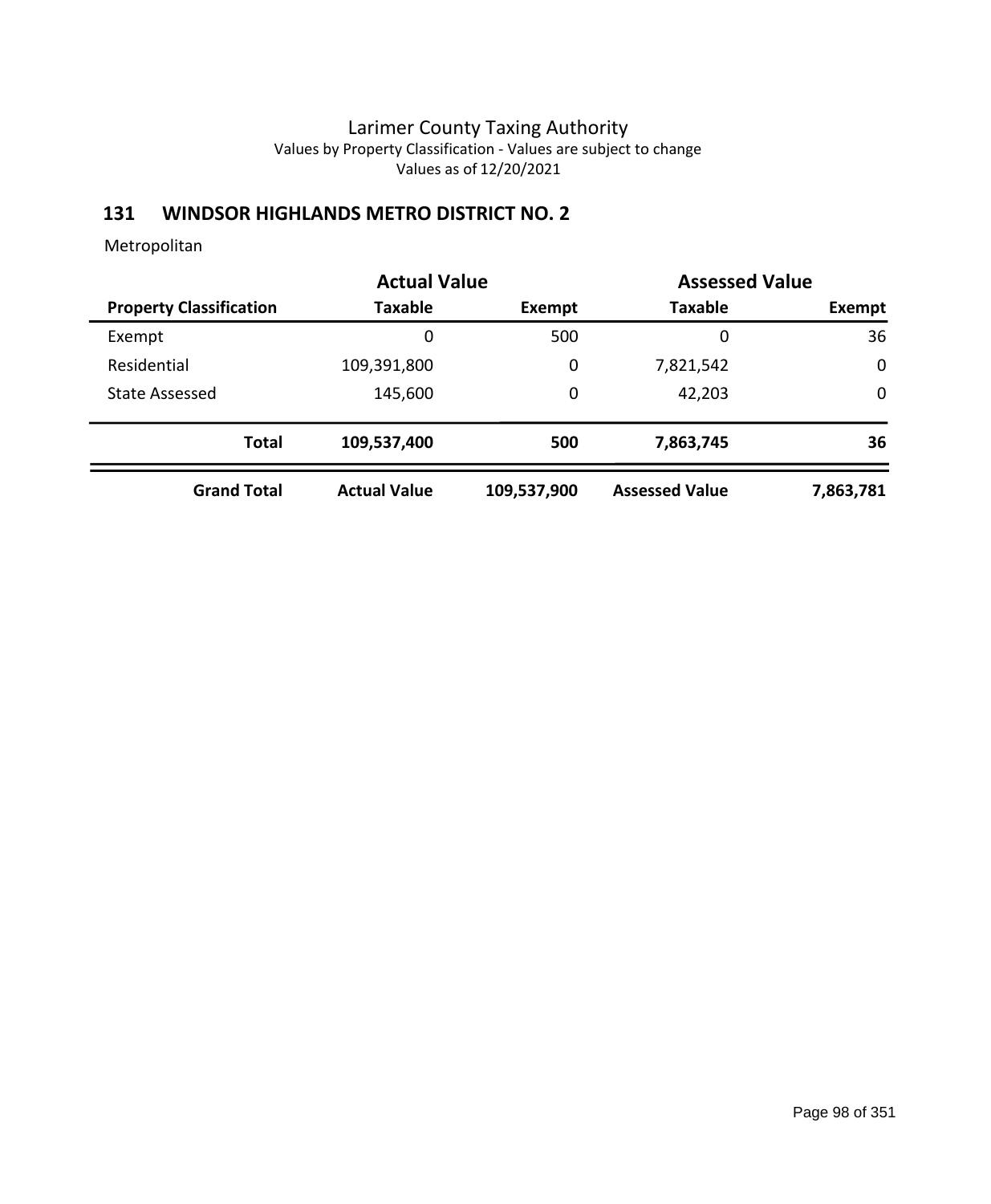### **131 WINDSOR HIGHLANDS METRO DISTRICT NO. 2**

|                                | <b>Actual Value</b> |             | <b>Assessed Value</b> |             |
|--------------------------------|---------------------|-------------|-----------------------|-------------|
| <b>Property Classification</b> | Taxable             | Exempt      | <b>Taxable</b>        | Exempt      |
| Exempt                         | 0                   | 500         | 0                     | 36          |
| Residential                    | 109,391,800         | 0           | 7,821,542             | $\mathbf 0$ |
| <b>State Assessed</b>          | 145,600             | 0           | 42,203                | $\mathbf 0$ |
| <b>Total</b>                   | 109,537,400         | 500         | 7,863,745             | 36          |
| <b>Grand Total</b>             | <b>Actual Value</b> | 109,537,900 | <b>Assessed Value</b> | 7,863,781   |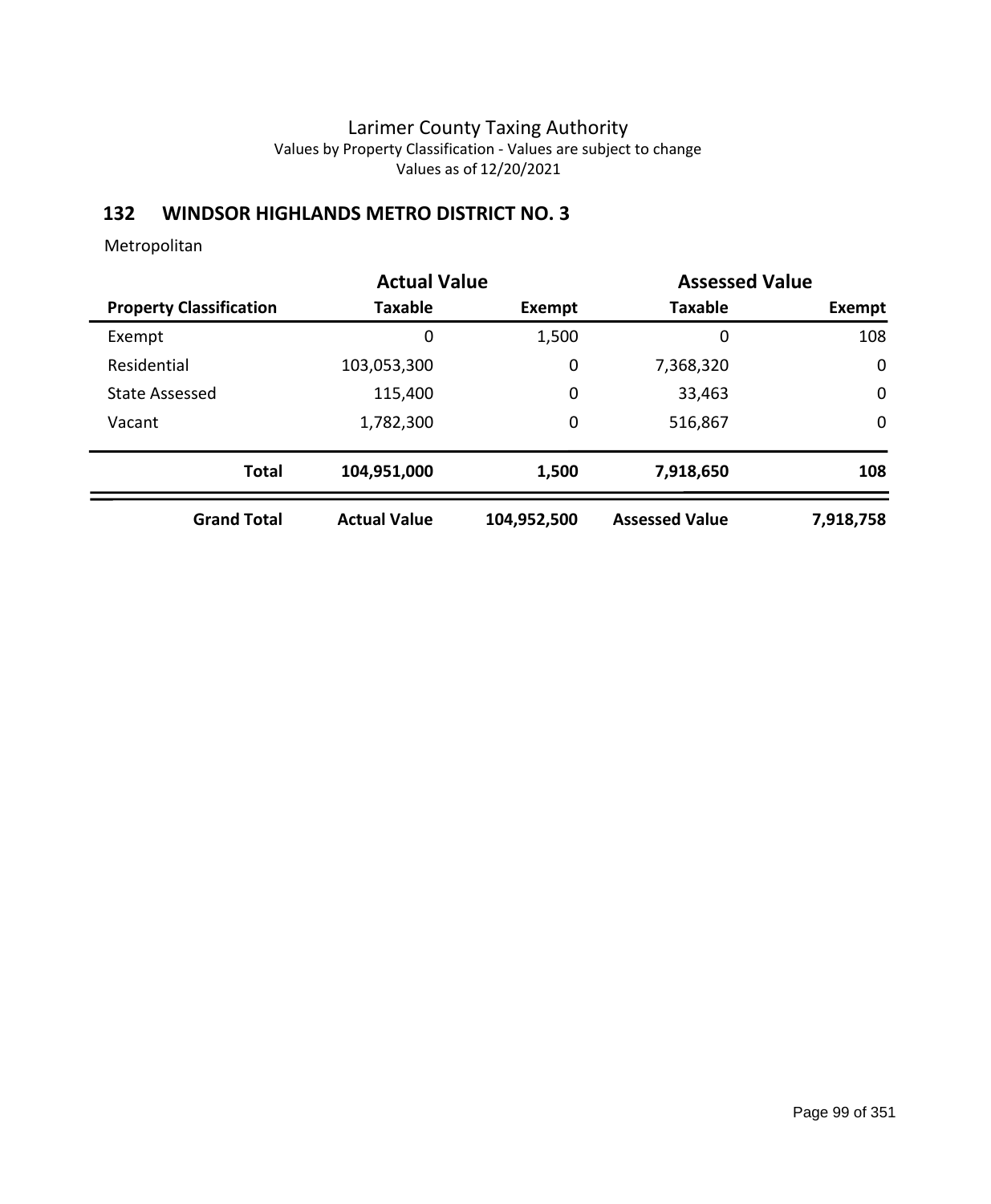### **132 WINDSOR HIGHLANDS METRO DISTRICT NO. 3**

|                                | <b>Actual Value</b> |             | <b>Assessed Value</b> |             |
|--------------------------------|---------------------|-------------|-----------------------|-------------|
| <b>Property Classification</b> | Taxable             | Exempt      | <b>Taxable</b>        | Exempt      |
| Exempt                         | 0                   | 1,500       | 0                     | 108         |
| Residential                    | 103,053,300         | 0           | 7,368,320             | $\mathbf 0$ |
| <b>State Assessed</b>          | 115,400             | 0           | 33,463                | $\mathbf 0$ |
| Vacant                         | 1,782,300           | 0           | 516,867               | $\mathbf 0$ |
| <b>Total</b>                   | 104,951,000         | 1,500       | 7,918,650             | 108         |
| <b>Grand Total</b>             | <b>Actual Value</b> | 104,952,500 | <b>Assessed Value</b> | 7,918,758   |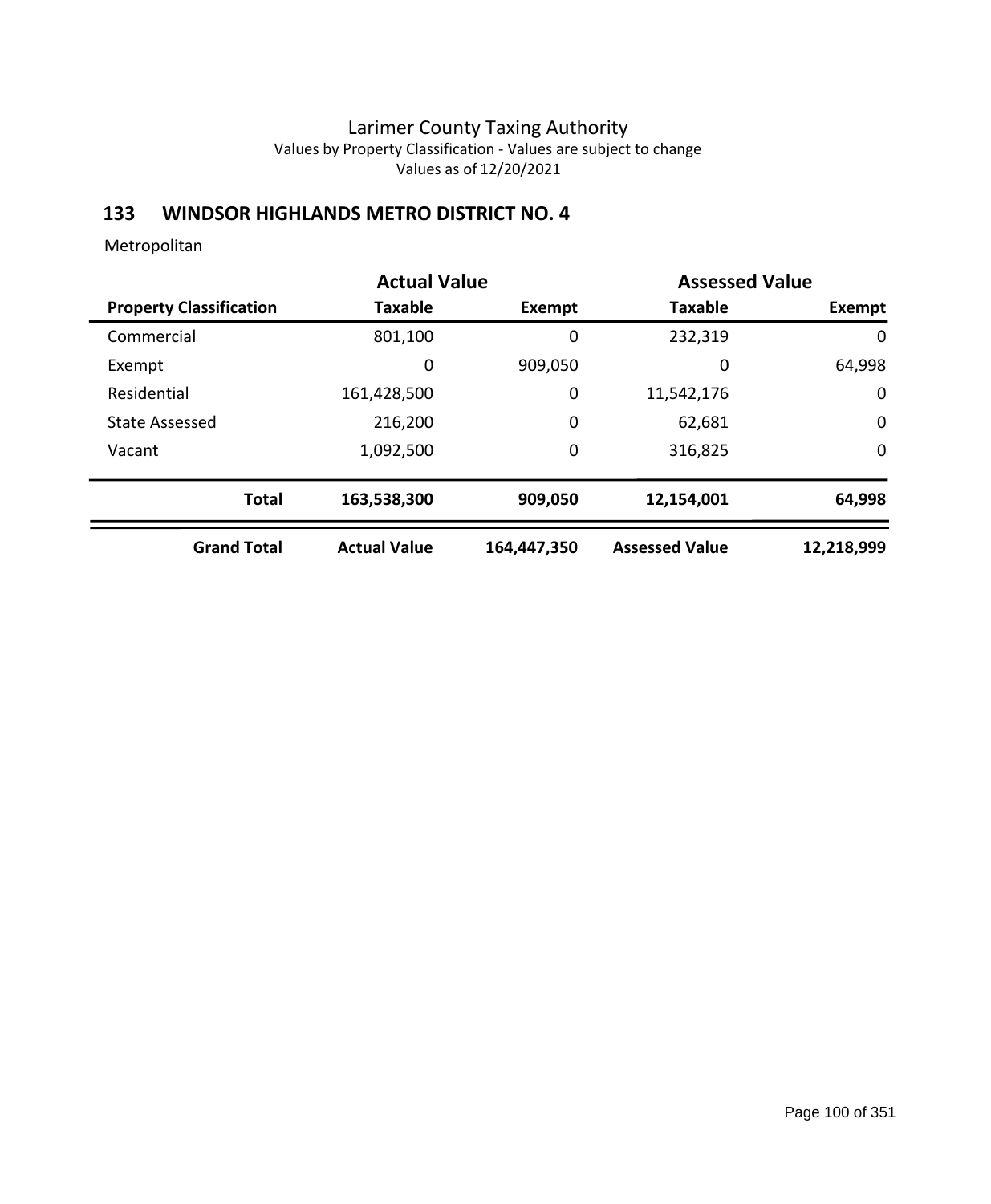### **133 WINDSOR HIGHLANDS METRO DISTRICT NO. 4**

|                                | <b>Actual Value</b> |               | <b>Assessed Value</b> |             |
|--------------------------------|---------------------|---------------|-----------------------|-------------|
| <b>Property Classification</b> | <b>Taxable</b>      | <b>Exempt</b> | <b>Taxable</b>        | Exempt      |
| Commercial                     | 801,100             | 0             | 232,319               | 0           |
| Exempt                         | 0                   | 909,050       | 0                     | 64,998      |
| Residential                    | 161,428,500         | 0             | 11,542,176            | 0           |
| <b>State Assessed</b>          | 216,200             | 0             | 62,681                | $\mathbf 0$ |
| Vacant                         | 1,092,500           | 0             | 316,825               | $\mathbf 0$ |
| <b>Total</b>                   | 163,538,300         | 909,050       | 12,154,001            | 64,998      |
| <b>Grand Total</b>             | <b>Actual Value</b> | 164,447,350   | <b>Assessed Value</b> | 12,218,999  |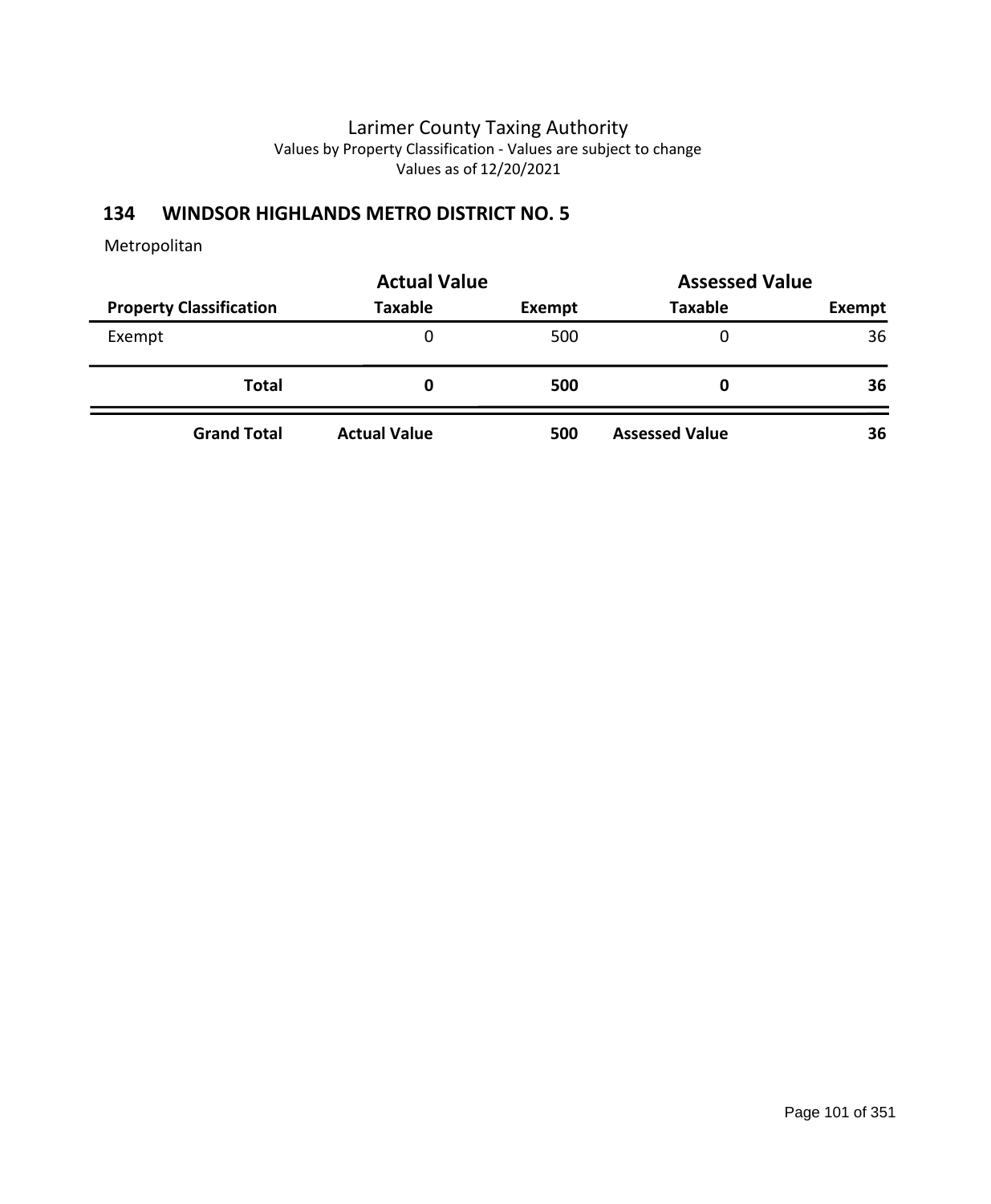### **134 WINDSOR HIGHLANDS METRO DISTRICT NO. 5**

|                                | <b>Actual Value</b> | <b>Assessed Value</b> |                       |        |  |
|--------------------------------|---------------------|-----------------------|-----------------------|--------|--|
| <b>Property Classification</b> | <b>Taxable</b>      | Exempt                | <b>Taxable</b>        | Exempt |  |
| Exempt                         | 0                   | 500                   |                       | 36     |  |
| <b>Total</b>                   | 0                   | 500                   |                       | 36     |  |
| <b>Grand Total</b>             | <b>Actual Value</b> | 500                   | <b>Assessed Value</b> | 36     |  |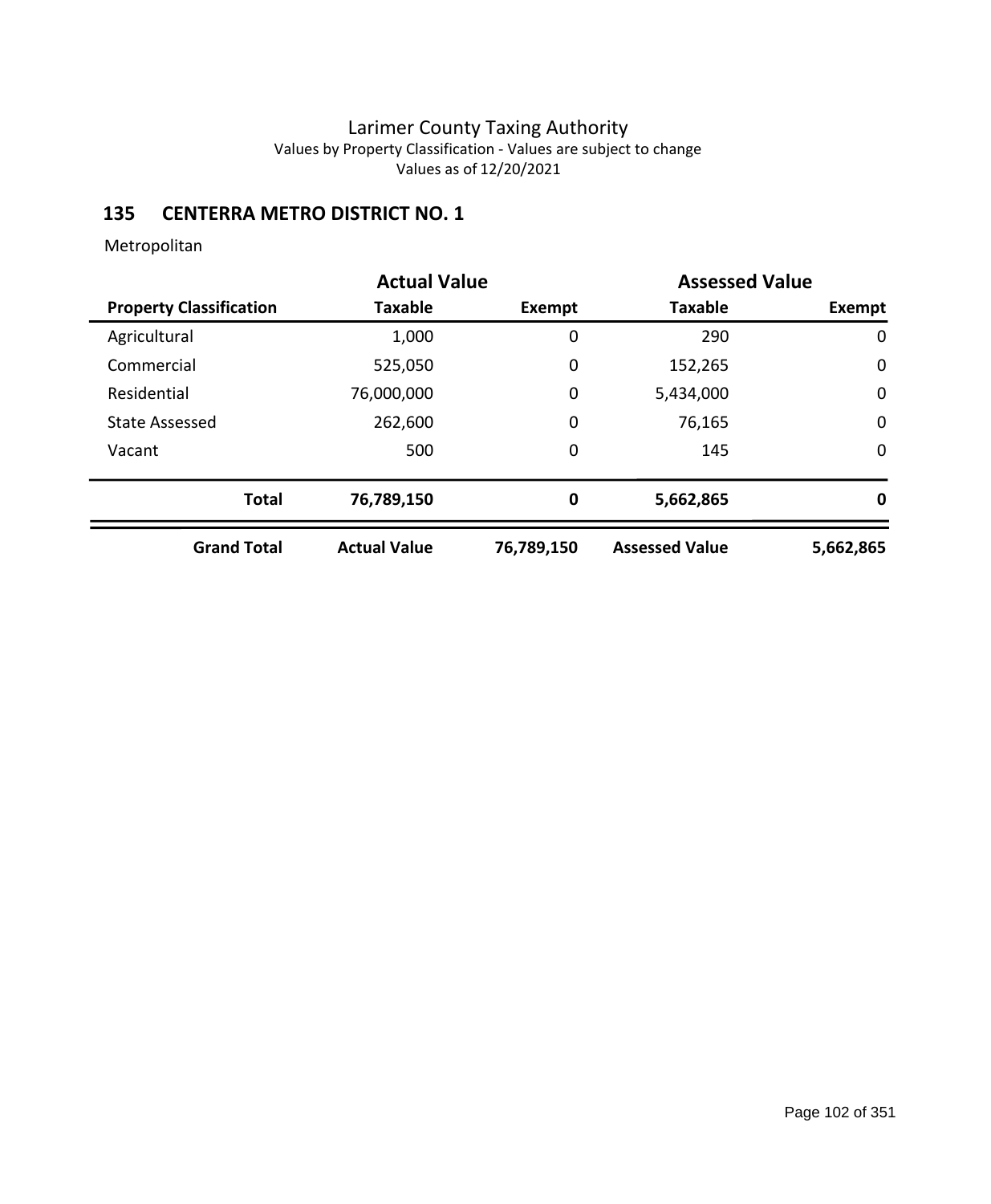# **135 CENTERRA METRO DISTRICT NO. 1**

|                                | <b>Actual Value</b> |               | <b>Assessed Value</b> |               |
|--------------------------------|---------------------|---------------|-----------------------|---------------|
| <b>Property Classification</b> | Taxable             | <b>Exempt</b> | <b>Taxable</b>        | <b>Exempt</b> |
| Agricultural                   | 1,000               | 0             | 290                   | 0             |
| Commercial                     | 525,050             | 0             | 152,265               | $\mathbf 0$   |
| Residential                    | 76,000,000          | 0             | 5,434,000             | $\mathbf 0$   |
| <b>State Assessed</b>          | 262,600             | 0             | 76,165                | $\mathbf 0$   |
| Vacant                         | 500                 | 0             | 145                   | $\mathbf 0$   |
| <b>Total</b>                   | 76,789,150          | 0             | 5,662,865             | 0             |
| <b>Grand Total</b>             | <b>Actual Value</b> | 76,789,150    | <b>Assessed Value</b> | 5,662,865     |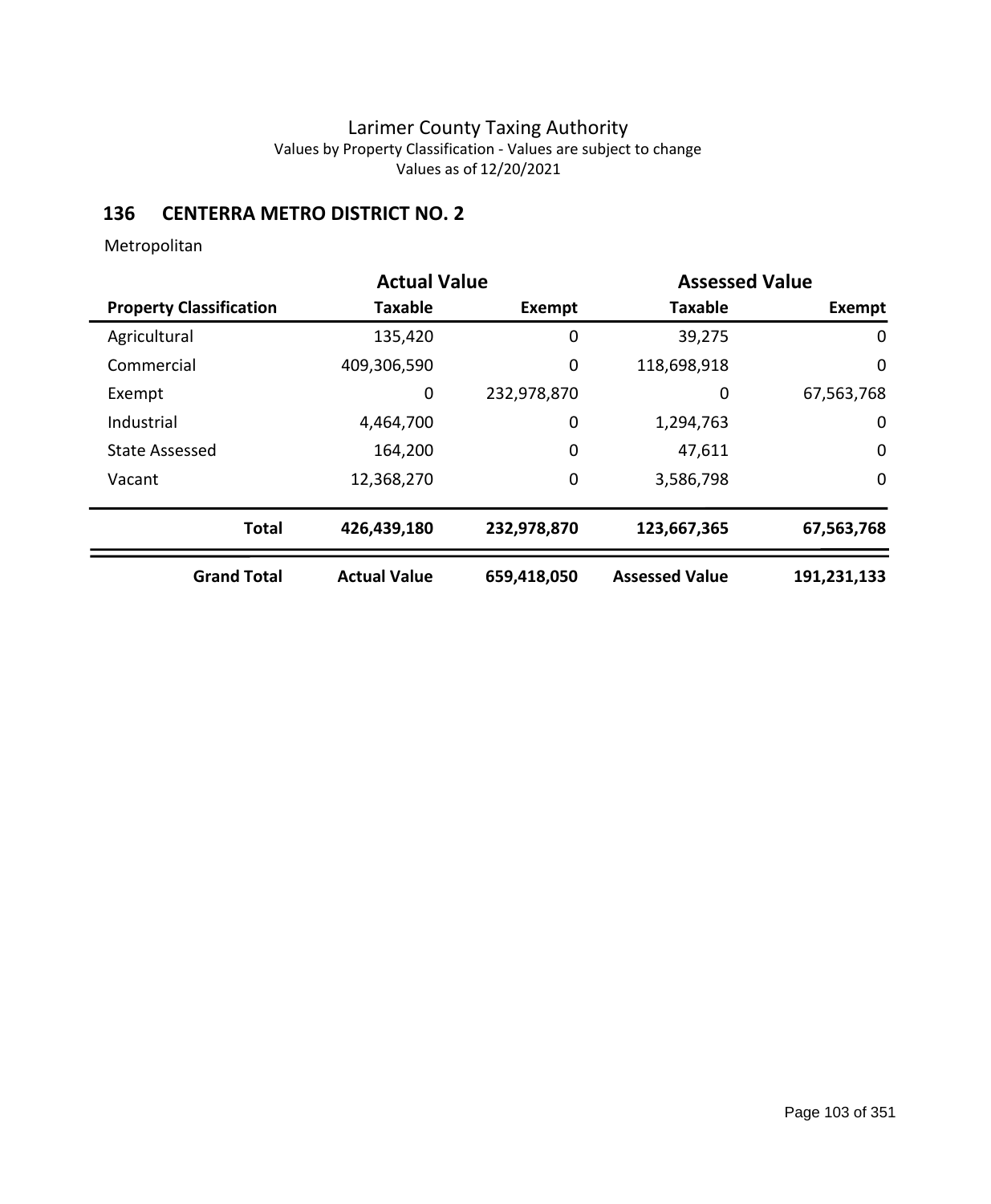# **136 CENTERRA METRO DISTRICT NO. 2**

|                                | <b>Actual Value</b> |             | <b>Assessed Value</b> |             |
|--------------------------------|---------------------|-------------|-----------------------|-------------|
| <b>Property Classification</b> | <b>Taxable</b>      | Exempt      | <b>Taxable</b>        | Exempt      |
| Agricultural                   | 135,420             | 0           | 39,275                | 0           |
| Commercial                     | 409,306,590         | 0           | 118,698,918           | $\mathbf 0$ |
| Exempt                         | 0                   | 232,978,870 | 0                     | 67,563,768  |
| Industrial                     | 4,464,700           | 0           | 1,294,763             | 0           |
| <b>State Assessed</b>          | 164,200             | 0           | 47,611                | $\mathbf 0$ |
| Vacant                         | 12,368,270          | 0           | 3,586,798             | $\mathbf 0$ |
| <b>Total</b>                   | 426,439,180         | 232,978,870 | 123,667,365           | 67,563,768  |
| <b>Grand Total</b>             | <b>Actual Value</b> | 659,418,050 | <b>Assessed Value</b> | 191,231,133 |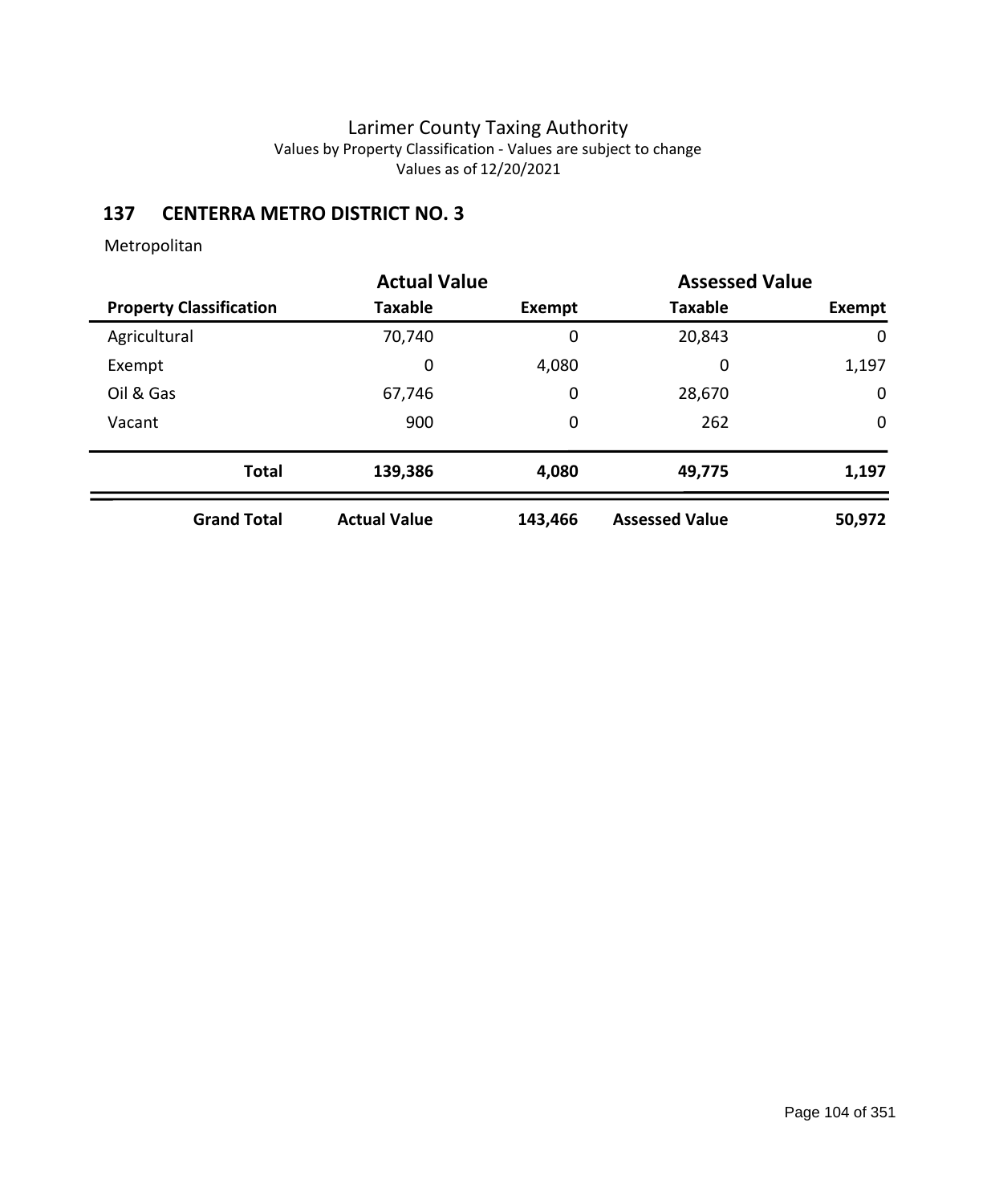## **137 CENTERRA METRO DISTRICT NO. 3**

| <b>Actual Value</b>            |              |                     | <b>Assessed Value</b> |                       |               |
|--------------------------------|--------------|---------------------|-----------------------|-----------------------|---------------|
| <b>Property Classification</b> |              | <b>Taxable</b>      | Exempt                | <b>Taxable</b>        | <b>Exempt</b> |
| Agricultural                   |              | 70,740              | 0                     | 20,843                | 0             |
| Exempt                         |              | 0                   | 4,080                 | 0                     | 1,197         |
| Oil & Gas                      |              | 67,746              | 0                     | 28,670                | $\mathbf 0$   |
| Vacant                         |              | 900                 | 0                     | 262                   | $\mathbf 0$   |
|                                | <b>Total</b> | 139,386             | 4,080                 | 49,775                | 1,197         |
| <b>Grand Total</b>             |              | <b>Actual Value</b> | 143,466               | <b>Assessed Value</b> | 50,972        |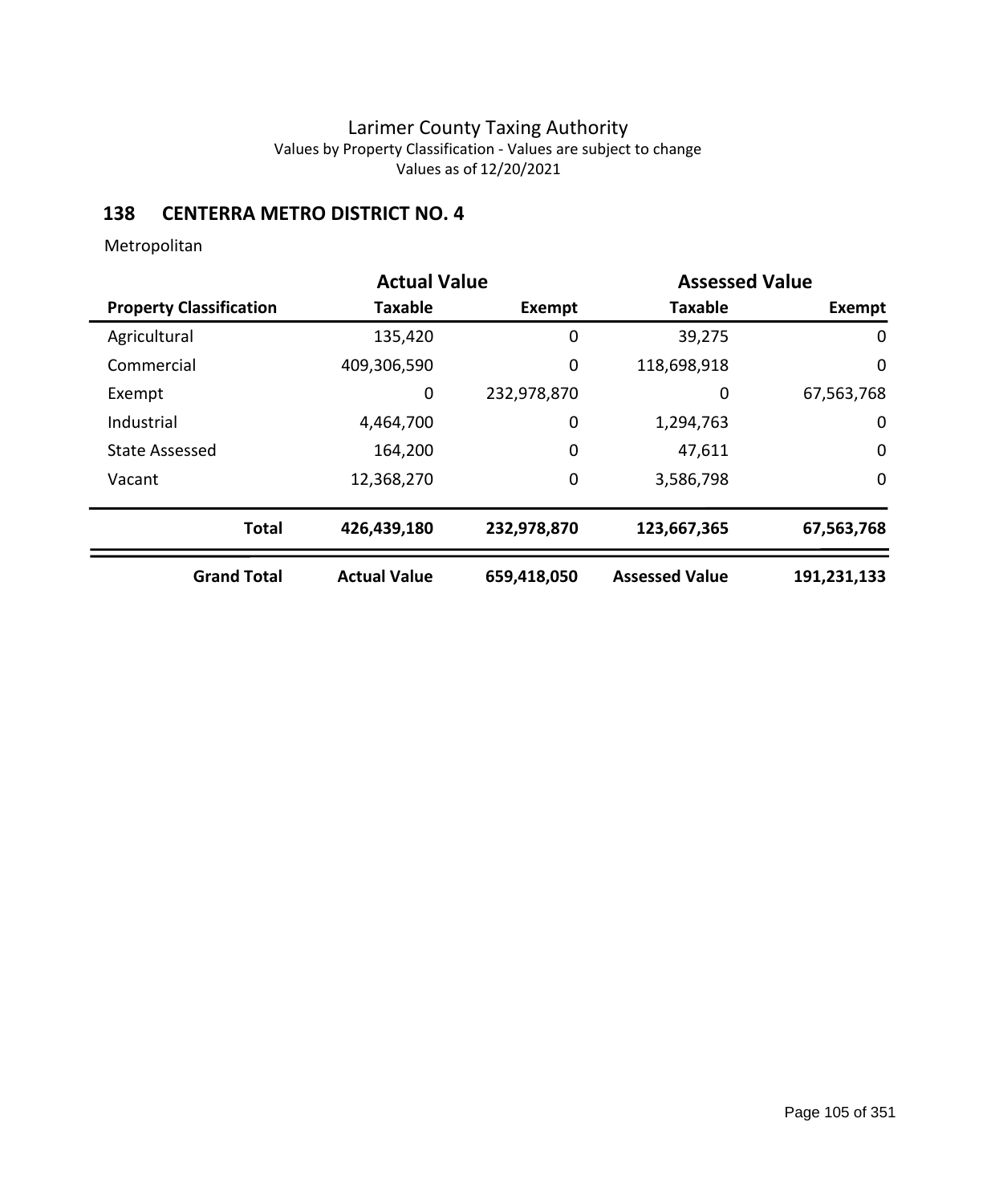# **138 CENTERRA METRO DISTRICT NO. 4**

|                                | <b>Actual Value</b> |             | <b>Assessed Value</b> |             |
|--------------------------------|---------------------|-------------|-----------------------|-------------|
| <b>Property Classification</b> | <b>Taxable</b>      | Exempt      | <b>Taxable</b>        | Exempt      |
| Agricultural                   | 135,420             | 0           | 39,275                | 0           |
| Commercial                     | 409,306,590         | 0           | 118,698,918           | 0           |
| Exempt                         | $\mathbf 0$         | 232,978,870 | 0                     | 67,563,768  |
| Industrial                     | 4,464,700           | 0           | 1,294,763             | 0           |
| <b>State Assessed</b>          | 164,200             | 0           | 47,611                | $\mathbf 0$ |
| Vacant                         | 12,368,270          | 0           | 3,586,798             | $\mathbf 0$ |
| <b>Total</b>                   | 426,439,180         | 232,978,870 | 123,667,365           | 67,563,768  |
| <b>Grand Total</b>             | <b>Actual Value</b> | 659,418,050 | <b>Assessed Value</b> | 191,231,133 |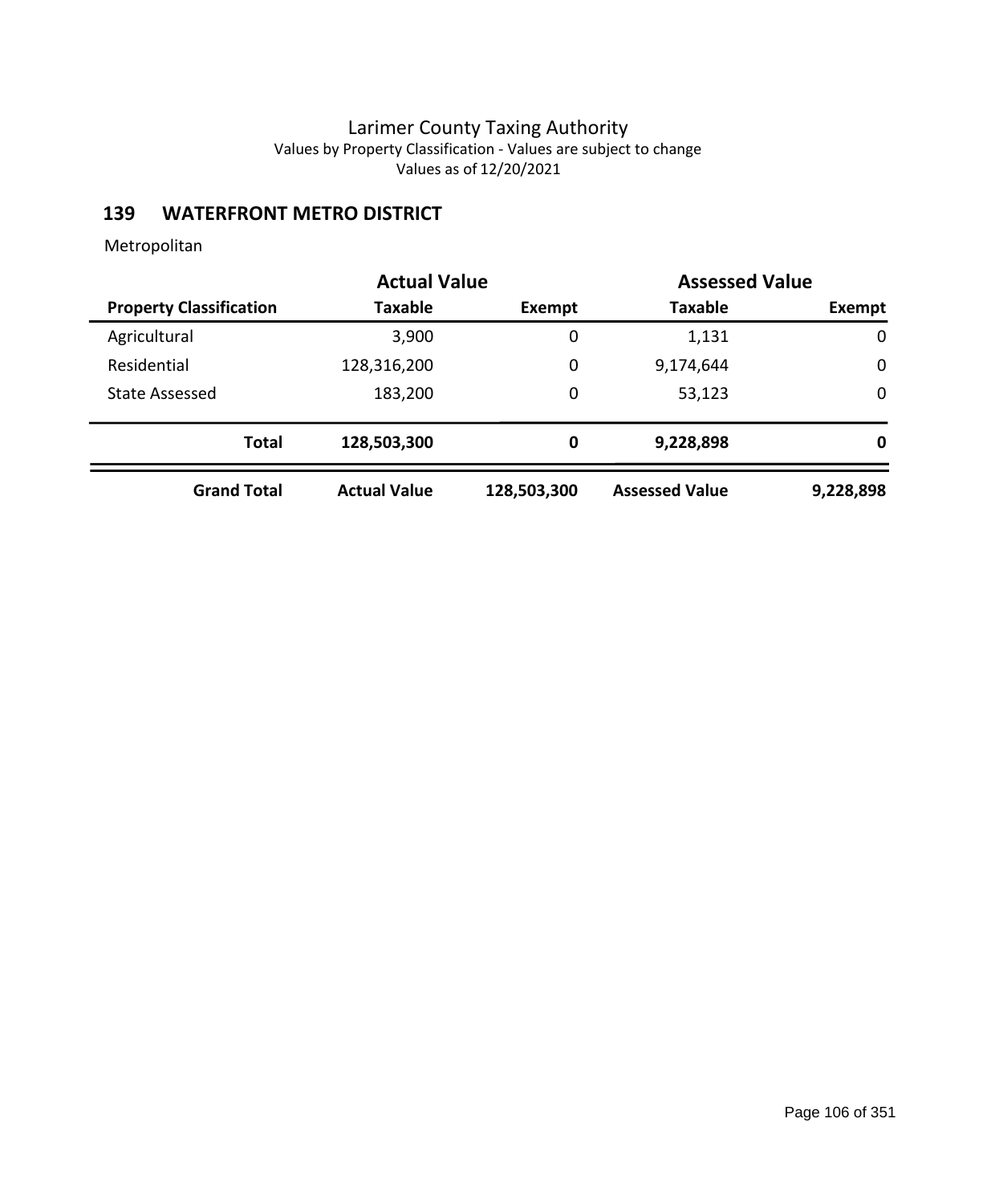# **139 WATERFRONT METRO DISTRICT**

|                                | <b>Actual Value</b> |             | <b>Assessed Value</b> |           |
|--------------------------------|---------------------|-------------|-----------------------|-----------|
| <b>Property Classification</b> | <b>Taxable</b>      | Exempt      | <b>Taxable</b>        | Exempt    |
| Agricultural                   | 3,900               | 0           | 1,131                 | 0         |
| Residential                    | 128,316,200         | 0           | 9,174,644             | 0         |
| <b>State Assessed</b>          | 183,200             | 0           | 53,123                | 0         |
| <b>Total</b>                   | 128,503,300         | 0           | 9,228,898             | 0         |
| <b>Grand Total</b>             | <b>Actual Value</b> | 128,503,300 | <b>Assessed Value</b> | 9,228,898 |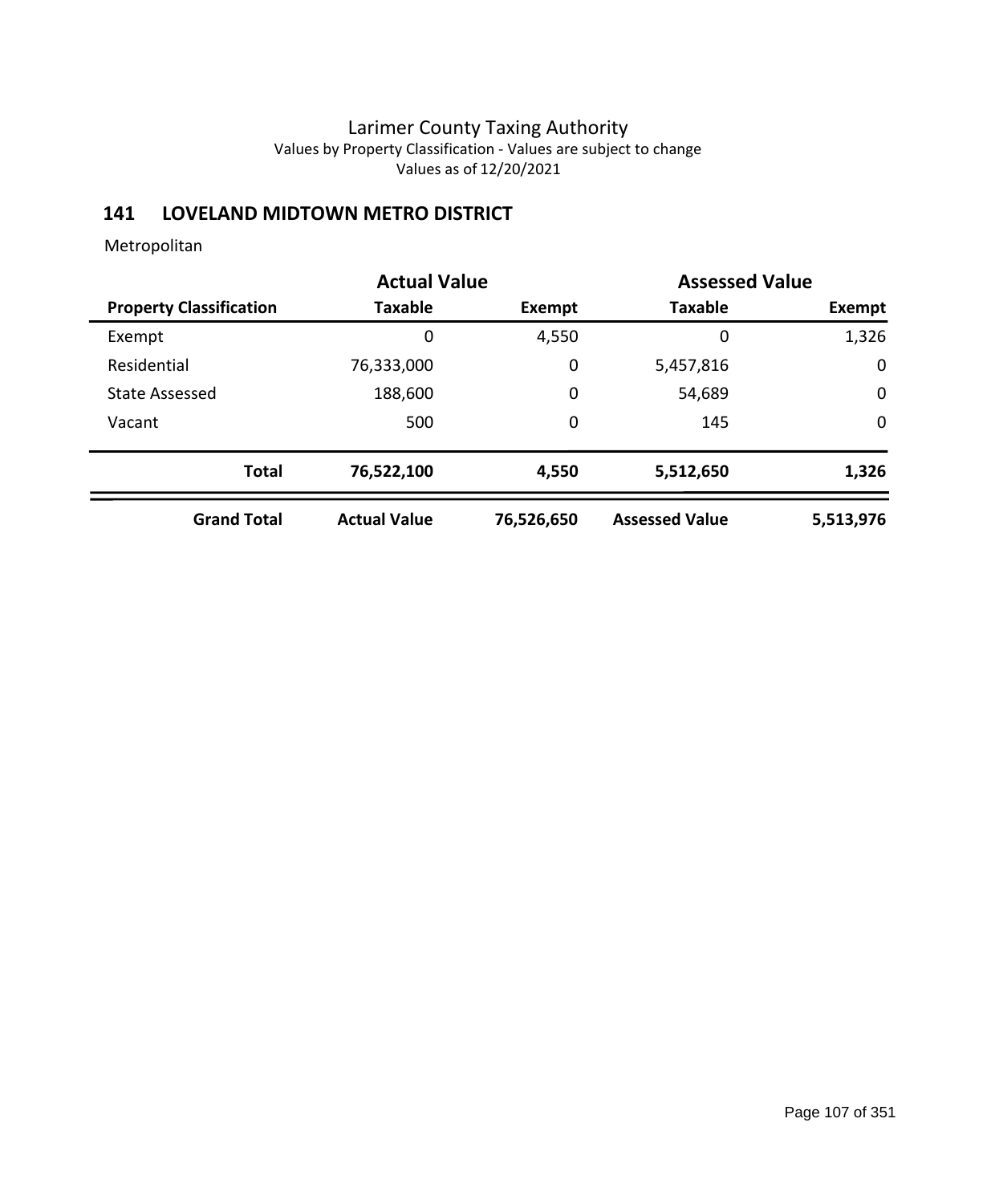### **141 LOVELAND MIDTOWN METRO DISTRICT**

|                                | <b>Actual Value</b> |            | <b>Assessed Value</b> |             |
|--------------------------------|---------------------|------------|-----------------------|-------------|
| <b>Property Classification</b> | <b>Taxable</b>      | Exempt     | <b>Taxable</b>        | Exempt      |
| Exempt                         | 0                   | 4,550      | 0                     | 1,326       |
| Residential                    | 76,333,000          | 0          | 5,457,816             | $\mathbf 0$ |
| <b>State Assessed</b>          | 188,600             | 0          | 54,689                | $\mathbf 0$ |
| Vacant                         | 500                 | 0          | 145                   | $\mathbf 0$ |
| <b>Total</b>                   | 76,522,100          | 4,550      | 5,512,650             | 1,326       |
| <b>Grand Total</b>             | <b>Actual Value</b> | 76,526,650 | <b>Assessed Value</b> | 5,513,976   |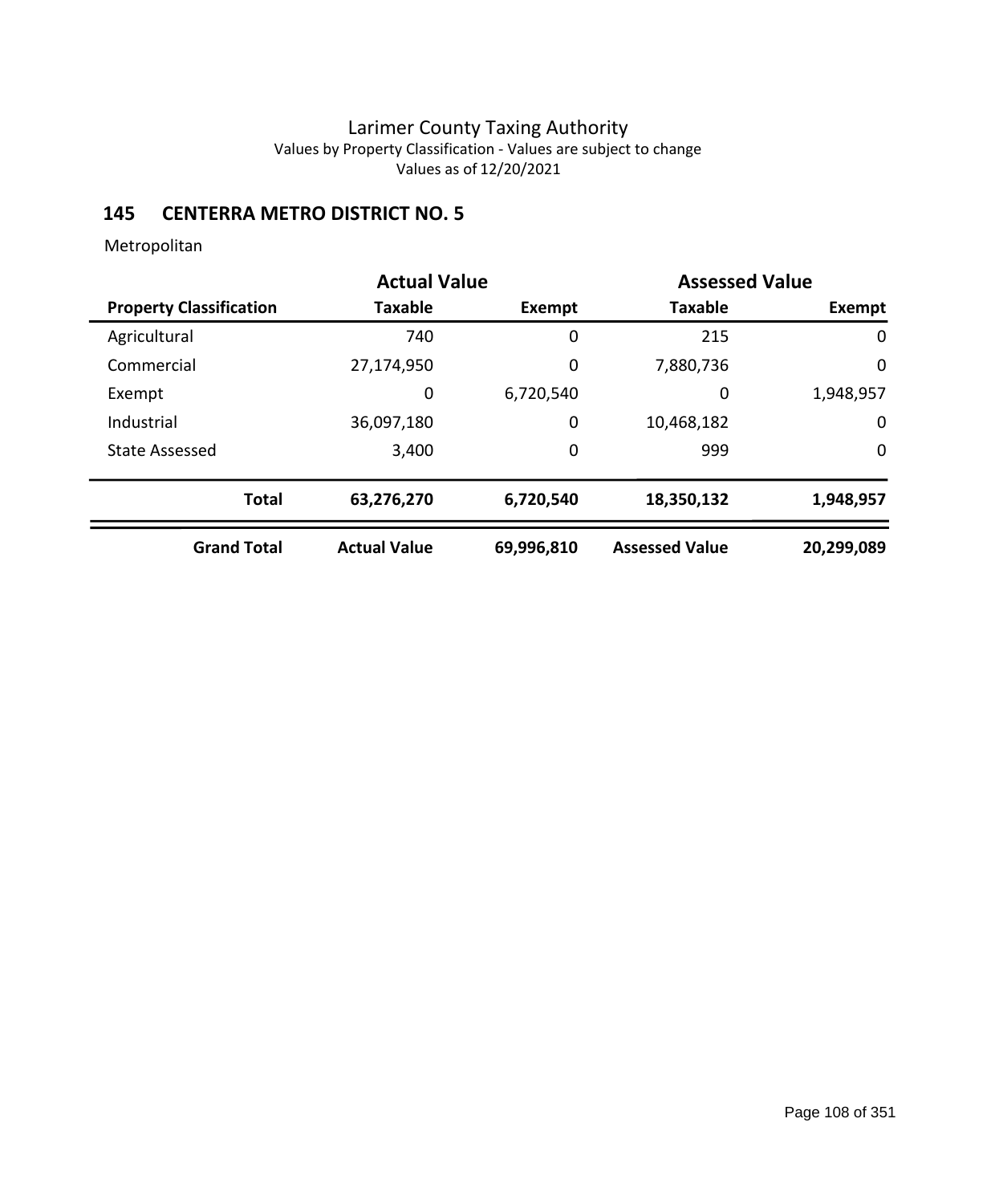## **145 CENTERRA METRO DISTRICT NO. 5**

|                                | <b>Actual Value</b> |            | <b>Assessed Value</b> |             |
|--------------------------------|---------------------|------------|-----------------------|-------------|
| <b>Property Classification</b> | <b>Taxable</b>      | Exempt     | <b>Taxable</b>        | Exempt      |
| Agricultural                   | 740                 | 0          | 215                   | 0           |
| Commercial                     | 27,174,950          | 0          | 7,880,736             | $\mathbf 0$ |
| Exempt                         | 0                   | 6,720,540  | 0                     | 1,948,957   |
| Industrial                     | 36,097,180          | 0          | 10,468,182            | 0           |
| <b>State Assessed</b>          | 3,400               | 0          | 999                   | 0           |
| <b>Total</b>                   | 63,276,270          | 6,720,540  | 18,350,132            | 1,948,957   |
| <b>Grand Total</b>             | <b>Actual Value</b> | 69,996,810 | <b>Assessed Value</b> | 20,299,089  |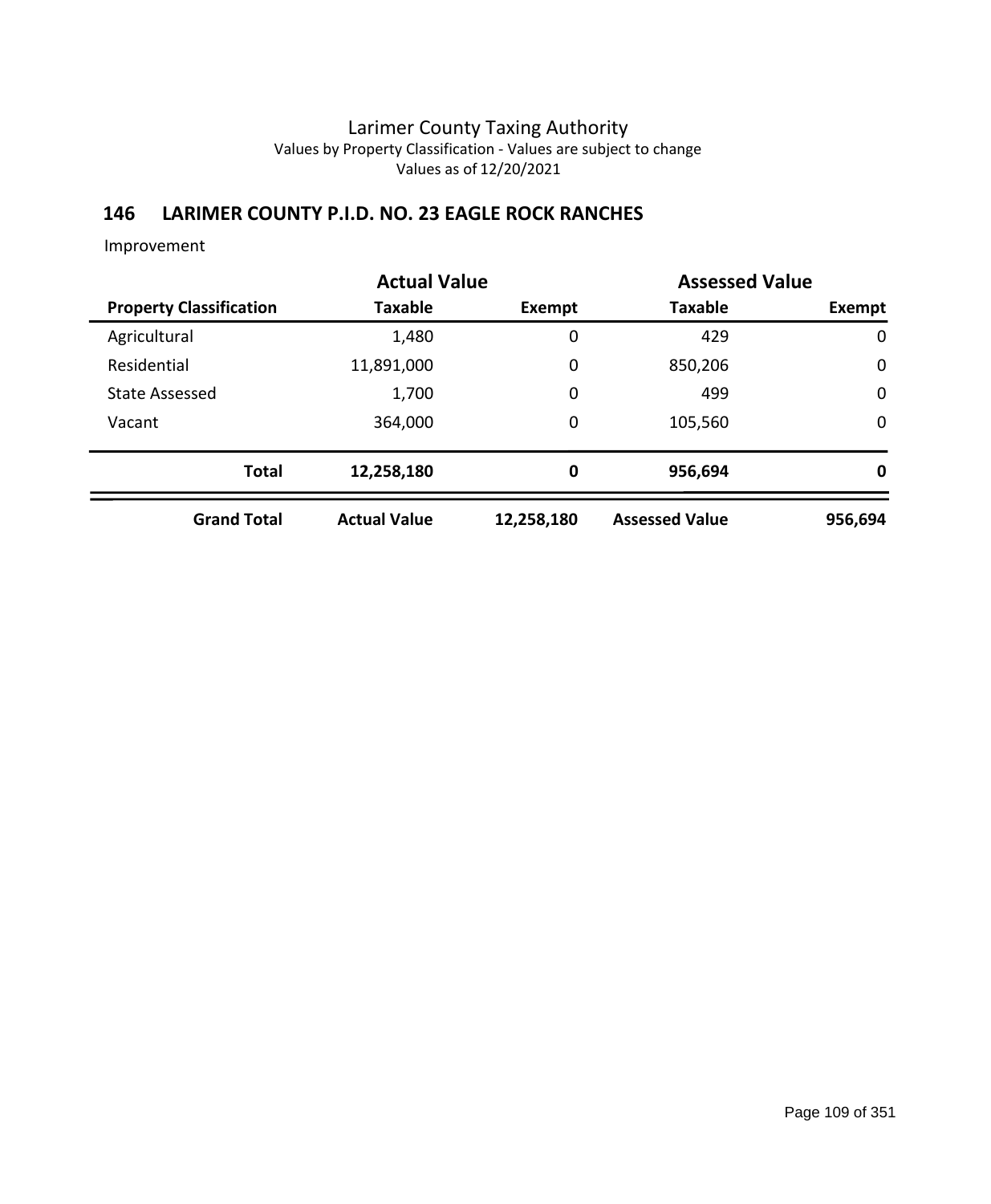## **146 LARIMER COUNTY P.I.D. NO. 23 EAGLE ROCK RANCHES**

|                                | <b>Actual Value</b> |               | <b>Assessed Value</b> |             |
|--------------------------------|---------------------|---------------|-----------------------|-------------|
| <b>Property Classification</b> | <b>Taxable</b>      | <b>Exempt</b> | <b>Taxable</b>        | Exempt      |
| Agricultural                   | 1,480               | 0             | 429                   | $\mathbf 0$ |
| Residential                    | 11,891,000          | $\mathbf 0$   | 850,206               | 0           |
| <b>State Assessed</b>          | 1,700               | $\mathbf 0$   | 499                   | $\mathbf 0$ |
| Vacant                         | 364,000             | $\mathbf 0$   | 105,560               | $\mathbf 0$ |
| <b>Total</b>                   | 12,258,180          | 0             | 956,694               | 0           |
| <b>Grand Total</b>             | <b>Actual Value</b> | 12,258,180    | <b>Assessed Value</b> | 956,694     |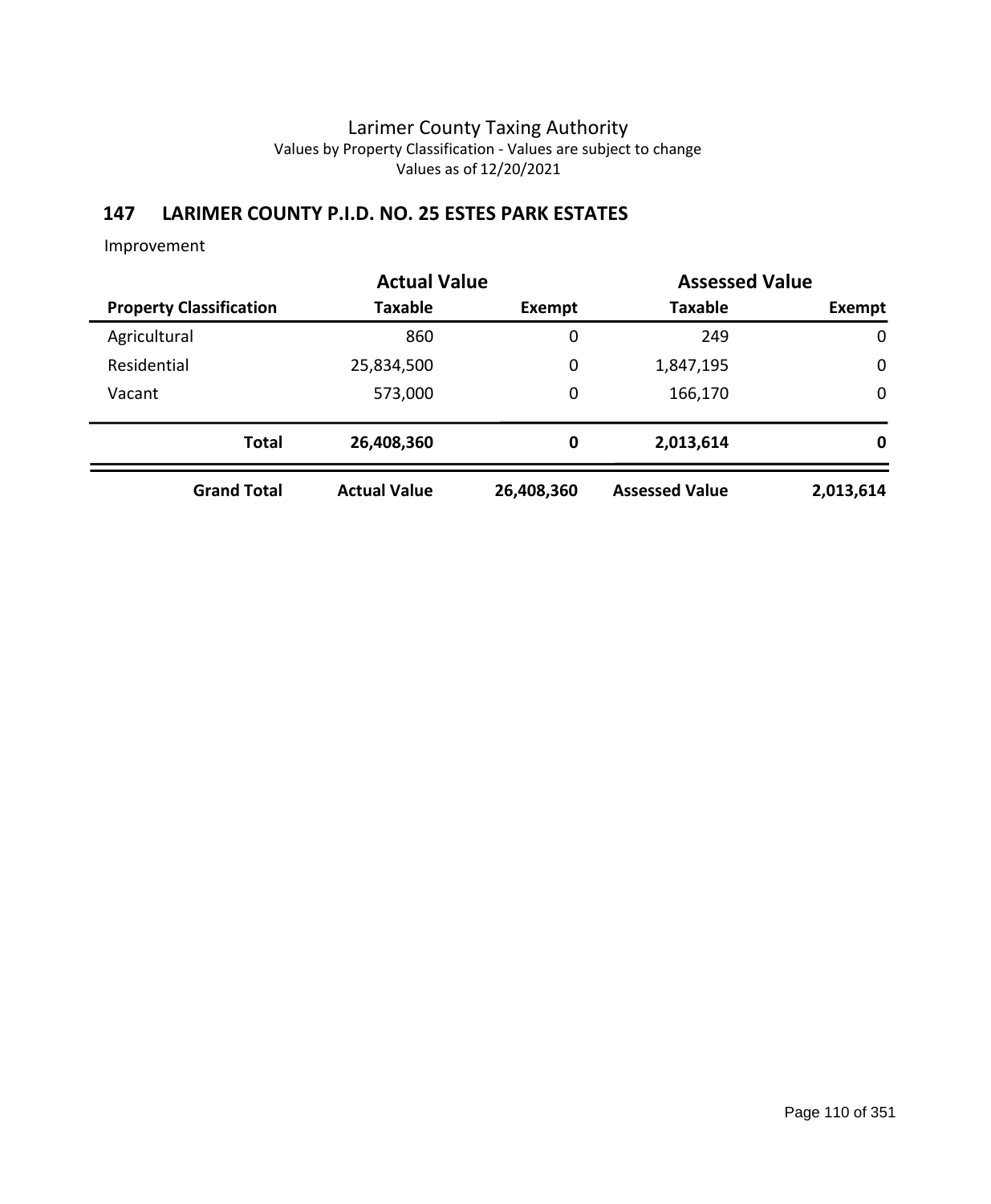# **147 LARIMER COUNTY P.I.D. NO. 25 ESTES PARK ESTATES**

|              |                                | <b>Actual Value</b> |             | <b>Assessed Value</b> |             |
|--------------|--------------------------------|---------------------|-------------|-----------------------|-------------|
|              | <b>Property Classification</b> | Taxable             | Exempt      | <b>Taxable</b>        | Exempt      |
| Agricultural |                                | 860                 | 0           | 249                   | $\mathbf 0$ |
| Residential  |                                | 25,834,500          | 0           | 1,847,195             | $\mathbf 0$ |
| Vacant       |                                | 573,000             | 0           | 166,170               | $\mathbf 0$ |
|              | <b>Total</b>                   | 26,408,360          | $\mathbf 0$ | 2,013,614             | 0           |
|              | <b>Grand Total</b>             | <b>Actual Value</b> | 26,408,360  | <b>Assessed Value</b> | 2,013,614   |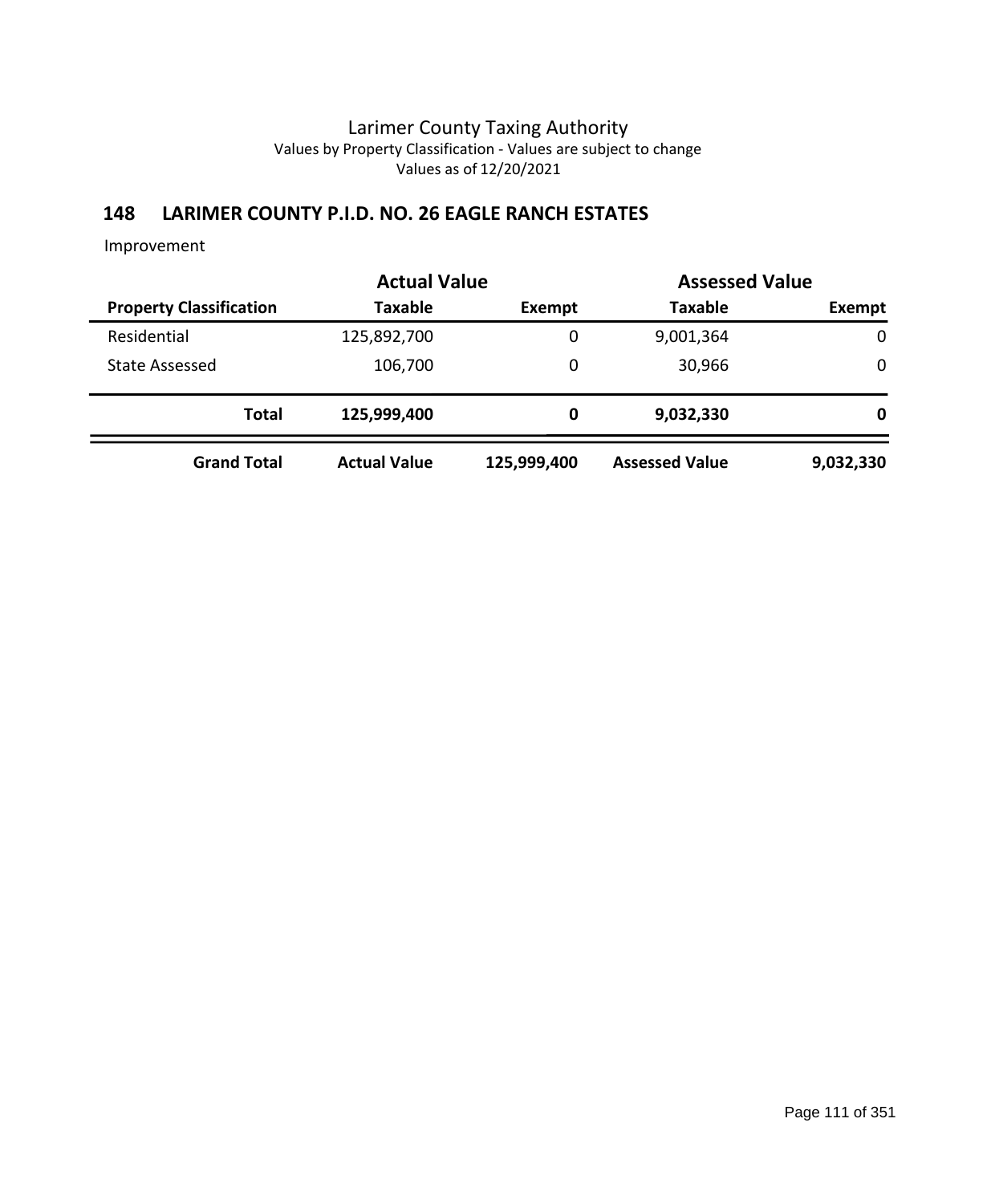## **148 LARIMER COUNTY P.I.D. NO. 26 EAGLE RANCH ESTATES**

|                                | <b>Actual Value</b> |             |                       | <b>Assessed Value</b> |  |
|--------------------------------|---------------------|-------------|-----------------------|-----------------------|--|
| <b>Property Classification</b> | <b>Taxable</b>      | Exempt      | <b>Taxable</b>        | Exempt                |  |
| Residential                    | 125,892,700         | 0           | 9,001,364             | 0                     |  |
| State Assessed                 | 106,700             | 0           | 30,966                | 0                     |  |
| <b>Total</b>                   | 125,999,400         | 0           | 9,032,330             | 0                     |  |
| <b>Grand Total</b>             | <b>Actual Value</b> | 125,999,400 | <b>Assessed Value</b> | 9,032,330             |  |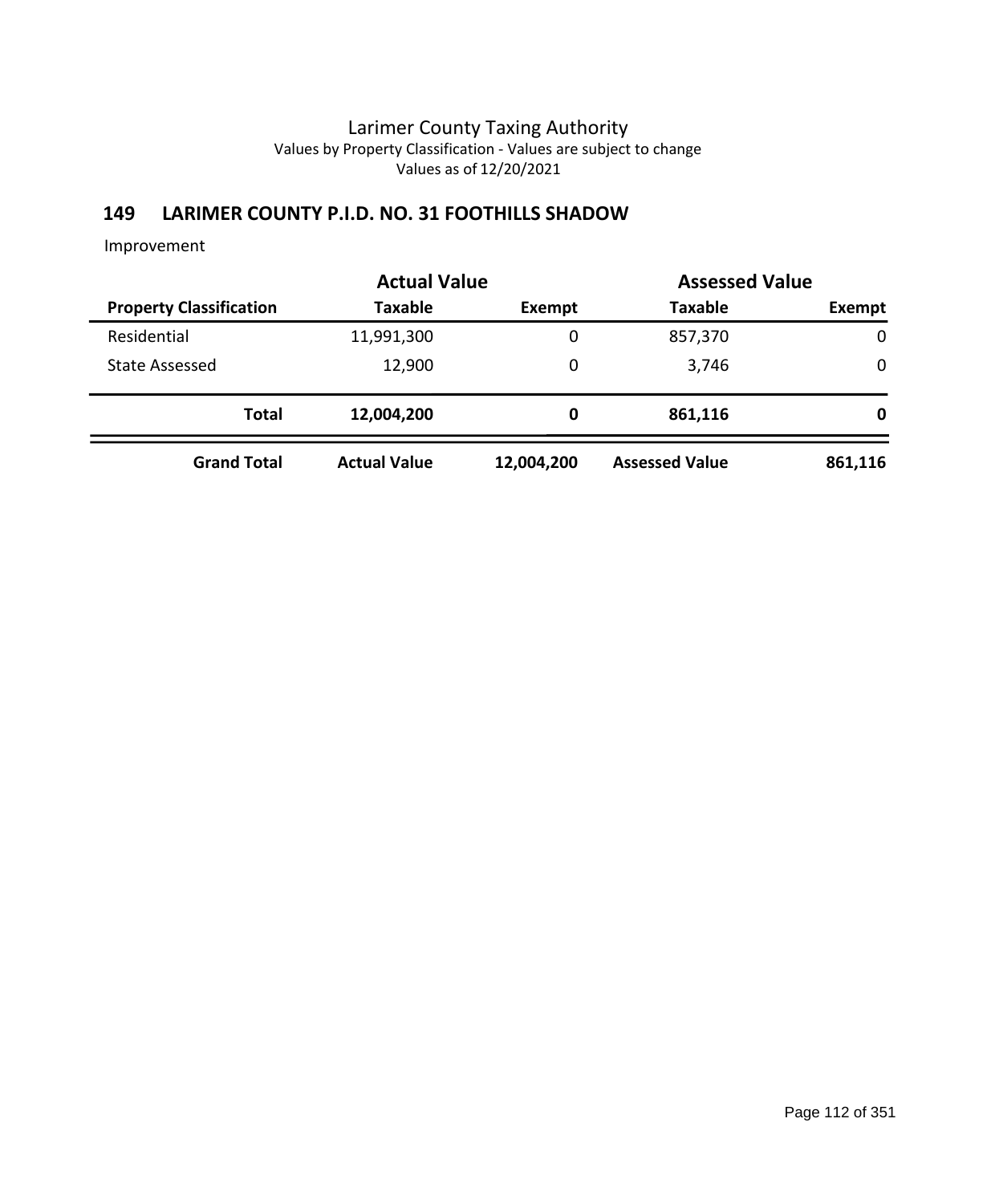## **149 LARIMER COUNTY P.I.D. NO. 31 FOOTHILLS SHADOW**

|                                |                     | <b>Actual Value</b> |                       | <b>Assessed Value</b> |  |
|--------------------------------|---------------------|---------------------|-----------------------|-----------------------|--|
| <b>Property Classification</b> | <b>Taxable</b>      | Exempt              | <b>Taxable</b>        | Exempt                |  |
| Residential                    | 11,991,300          | 0                   | 857,370               | $\mathbf 0$           |  |
| <b>State Assessed</b>          | 12,900              | 0                   | 3,746                 | 0                     |  |
| <b>Total</b>                   | 12,004,200          | 0                   | 861,116               | 0                     |  |
| <b>Grand Total</b>             | <b>Actual Value</b> | 12,004,200          | <b>Assessed Value</b> | 861,116               |  |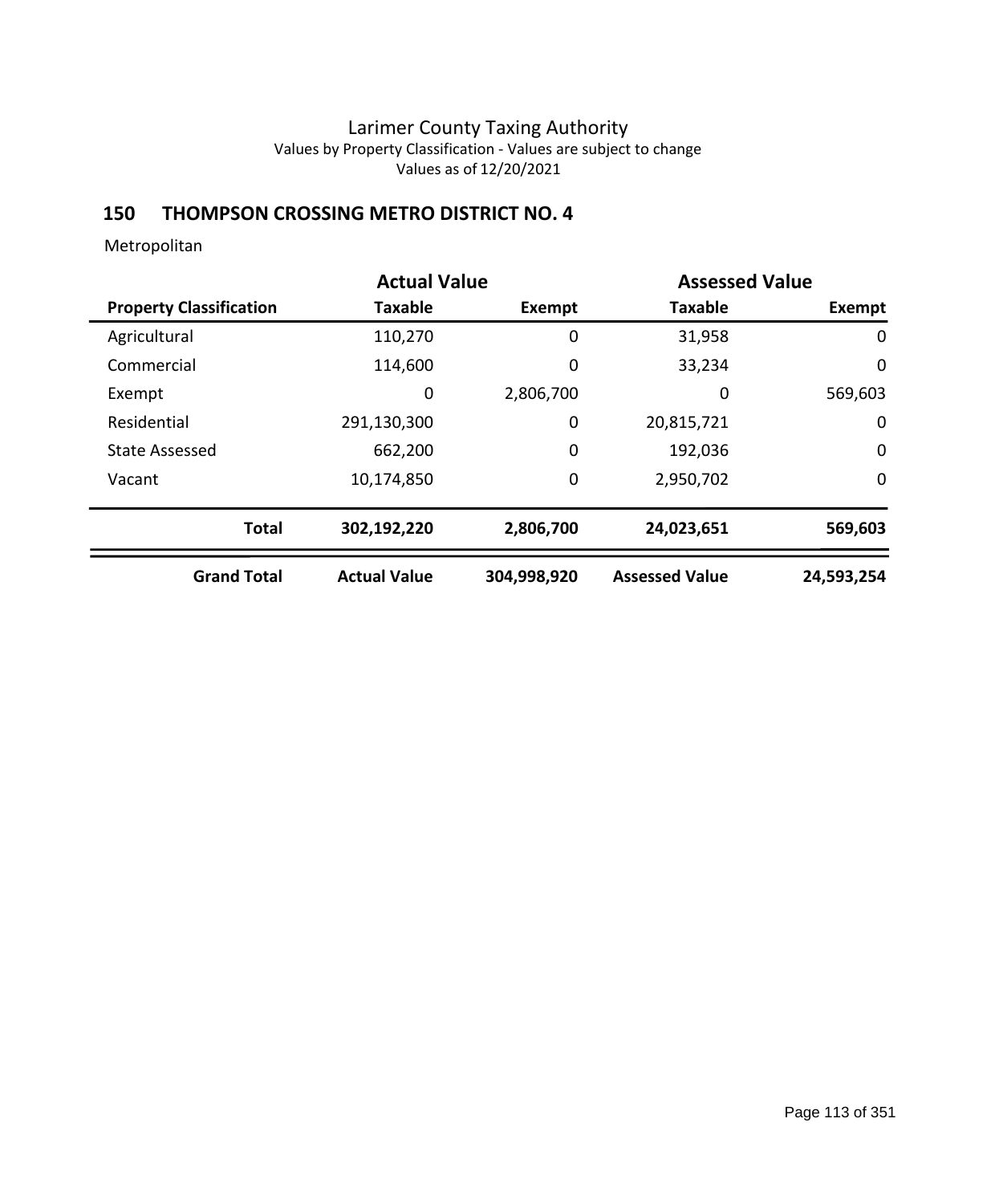## **150 THOMPSON CROSSING METRO DISTRICT NO. 4**

|                                | <b>Actual Value</b> |             | <b>Assessed Value</b> |             |
|--------------------------------|---------------------|-------------|-----------------------|-------------|
| <b>Property Classification</b> | <b>Taxable</b>      | Exempt      | <b>Taxable</b>        | Exempt      |
| Agricultural                   | 110,270             | 0           | 31,958                | 0           |
| Commercial                     | 114,600             | 0           | 33,234                | $\mathbf 0$ |
| Exempt                         | 0                   | 2,806,700   | 0                     | 569,603     |
| Residential                    | 291,130,300         | 0           | 20,815,721            | 0           |
| <b>State Assessed</b>          | 662,200             | 0           | 192,036               | $\mathbf 0$ |
| Vacant                         | 10,174,850          | 0           | 2,950,702             | $\mathbf 0$ |
| <b>Total</b>                   | 302,192,220         | 2,806,700   | 24,023,651            | 569,603     |
| <b>Grand Total</b>             | <b>Actual Value</b> | 304,998,920 | <b>Assessed Value</b> | 24,593,254  |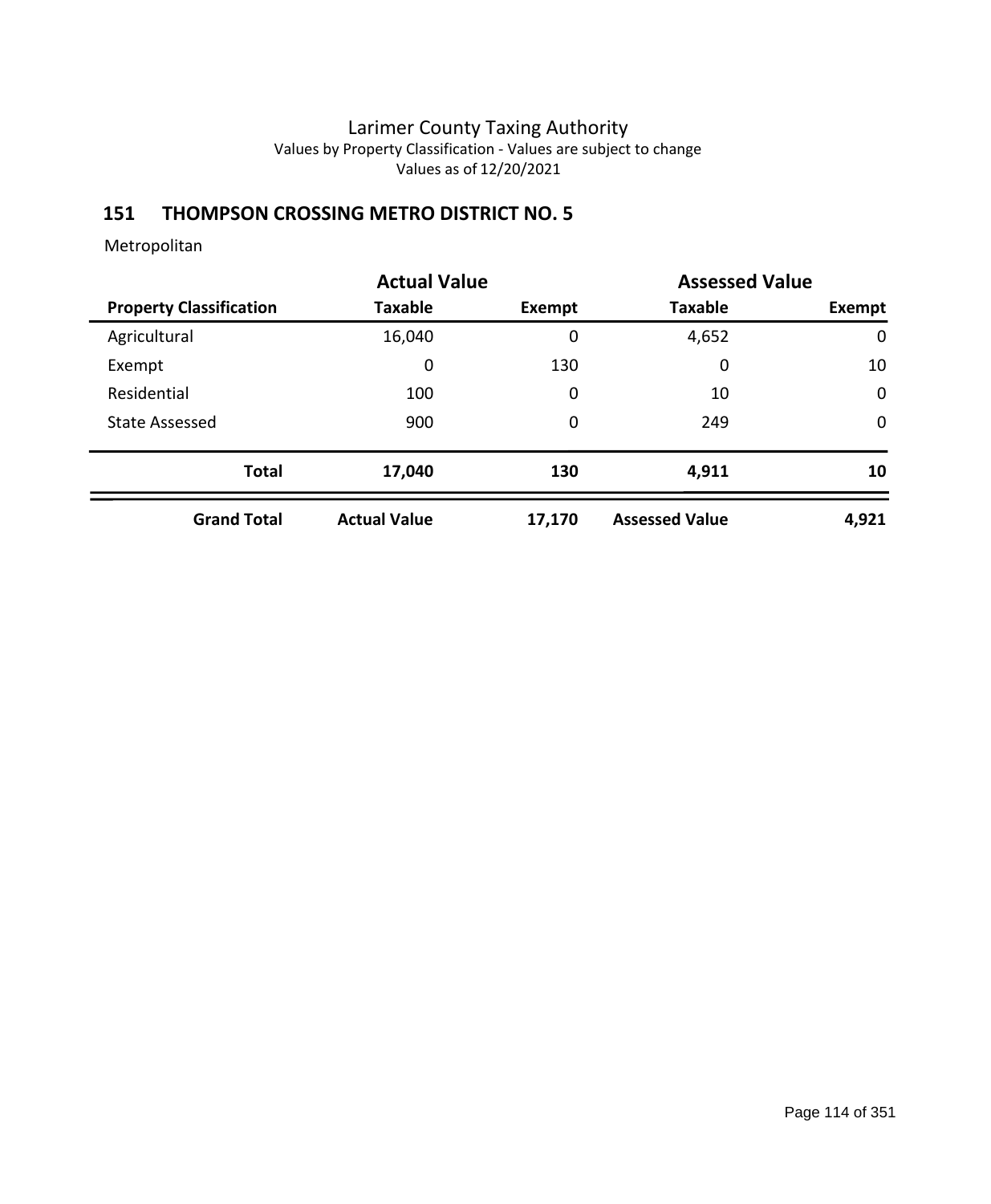# **151 THOMPSON CROSSING METRO DISTRICT NO. 5**

|                                |                     | <b>Actual Value</b> |                       | <b>Assessed Value</b> |
|--------------------------------|---------------------|---------------------|-----------------------|-----------------------|
| <b>Property Classification</b> | <b>Taxable</b>      | Exempt              | <b>Taxable</b>        | Exempt                |
| Agricultural                   | 16,040              | 0                   | 4,652                 | $\mathbf 0$           |
| Exempt                         | $\mathbf 0$         | 130                 | 0                     | 10                    |
| Residential                    | 100                 | 0                   | 10                    | $\mathbf 0$           |
| <b>State Assessed</b>          | 900                 | 0                   | 249                   | $\mathbf 0$           |
| <b>Total</b>                   | 17,040              | 130                 | 4,911                 | 10                    |
| <b>Grand Total</b>             | <b>Actual Value</b> | 17,170              | <b>Assessed Value</b> | 4,921                 |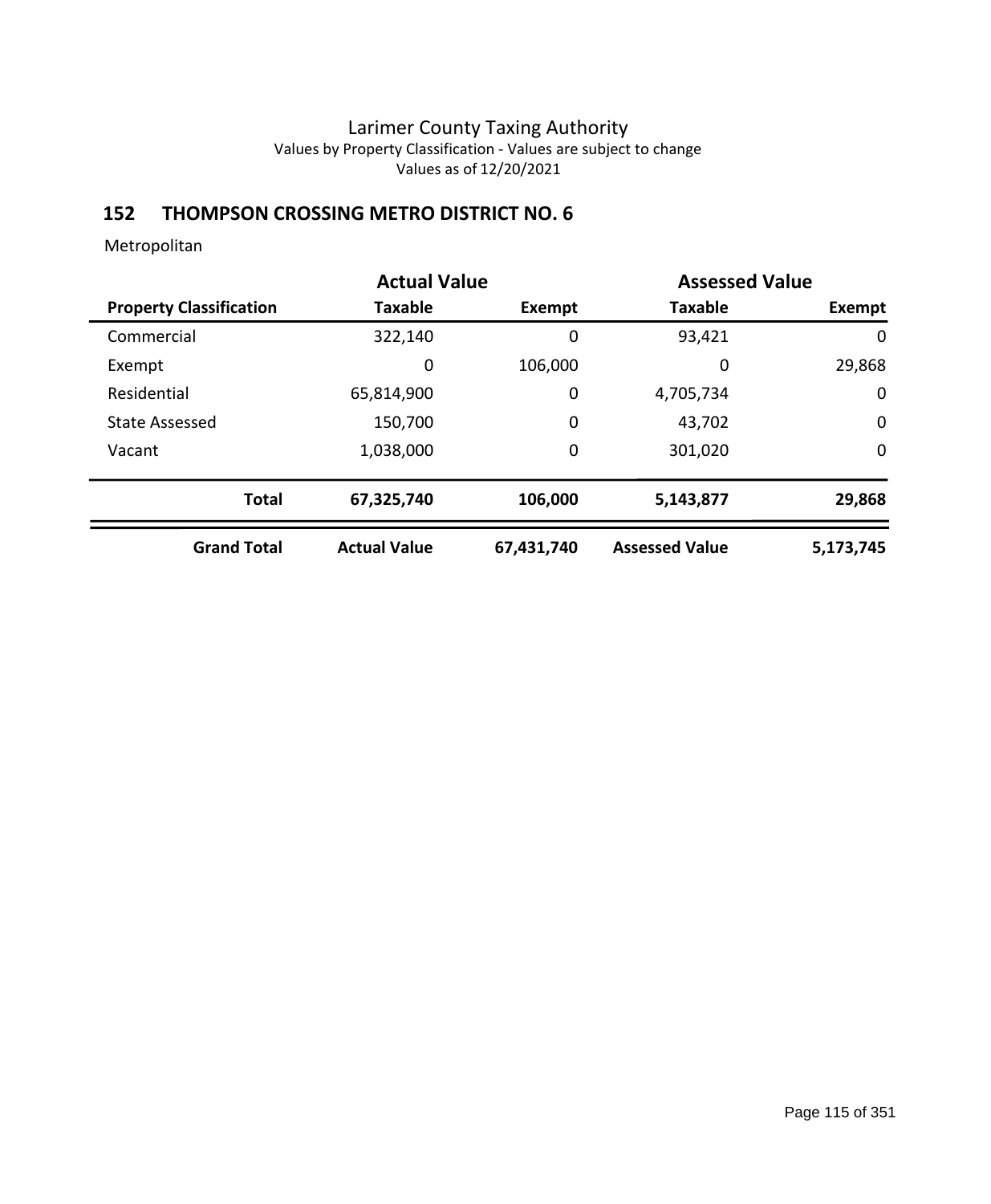# **152 THOMPSON CROSSING METRO DISTRICT NO. 6**

| <b>Actual Value</b>            |                     |             | <b>Assessed Value</b> |             |
|--------------------------------|---------------------|-------------|-----------------------|-------------|
| <b>Property Classification</b> | <b>Taxable</b>      | Exempt      | <b>Taxable</b>        | Exempt      |
| Commercial                     | 322,140             | 0           | 93,421                | 0           |
| Exempt                         | 0                   | 106,000     | 0                     | 29,868      |
| Residential                    | 65,814,900          | $\mathbf 0$ | 4,705,734             | $\mathbf 0$ |
| <b>State Assessed</b>          | 150,700             | $\mathbf 0$ | 43,702                | $\mathbf 0$ |
| Vacant                         | 1,038,000           | 0           | 301,020               | $\mathbf 0$ |
| <b>Total</b>                   | 67,325,740          | 106,000     | 5,143,877             | 29,868      |
| <b>Grand Total</b>             | <b>Actual Value</b> | 67,431,740  | <b>Assessed Value</b> | 5,173,745   |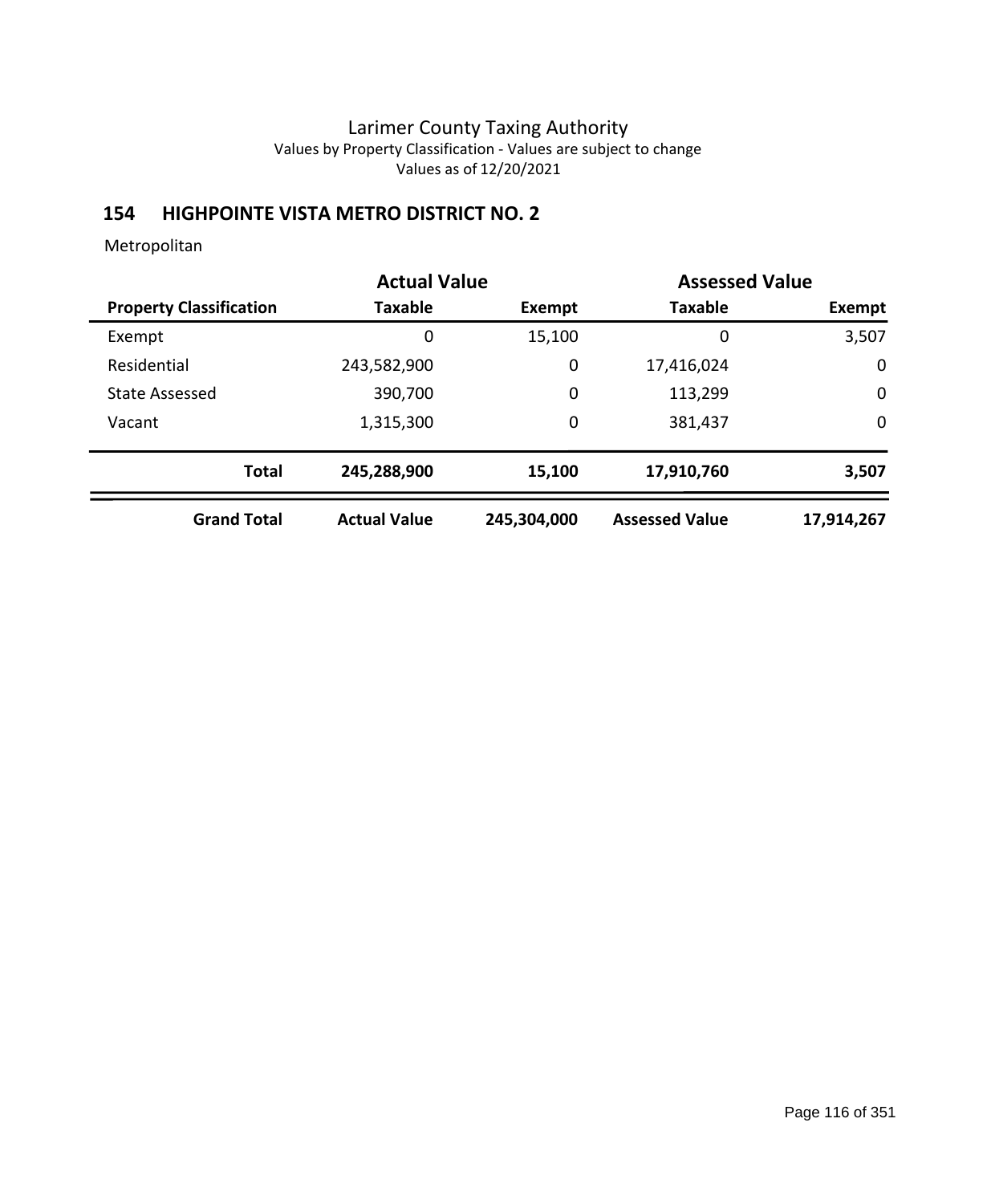# **154 HIGHPOINTE VISTA METRO DISTRICT NO. 2**

|                                |                     | <b>Actual Value</b> |                       | <b>Assessed Value</b> |
|--------------------------------|---------------------|---------------------|-----------------------|-----------------------|
| <b>Property Classification</b> | <b>Taxable</b>      | Exempt              | <b>Taxable</b>        | Exempt                |
| Exempt                         | 0                   | 15,100              | 0                     | 3,507                 |
| Residential                    | 243,582,900         | 0                   | 17,416,024            | $\mathbf 0$           |
| <b>State Assessed</b>          | 390,700             | 0                   | 113,299               | $\mathbf 0$           |
| Vacant                         | 1,315,300           | 0                   | 381,437               | $\mathbf 0$           |
| <b>Total</b>                   | 245,288,900         | 15,100              | 17,910,760            | 3,507                 |
| <b>Grand Total</b>             | <b>Actual Value</b> | 245,304,000         | <b>Assessed Value</b> | 17,914,267            |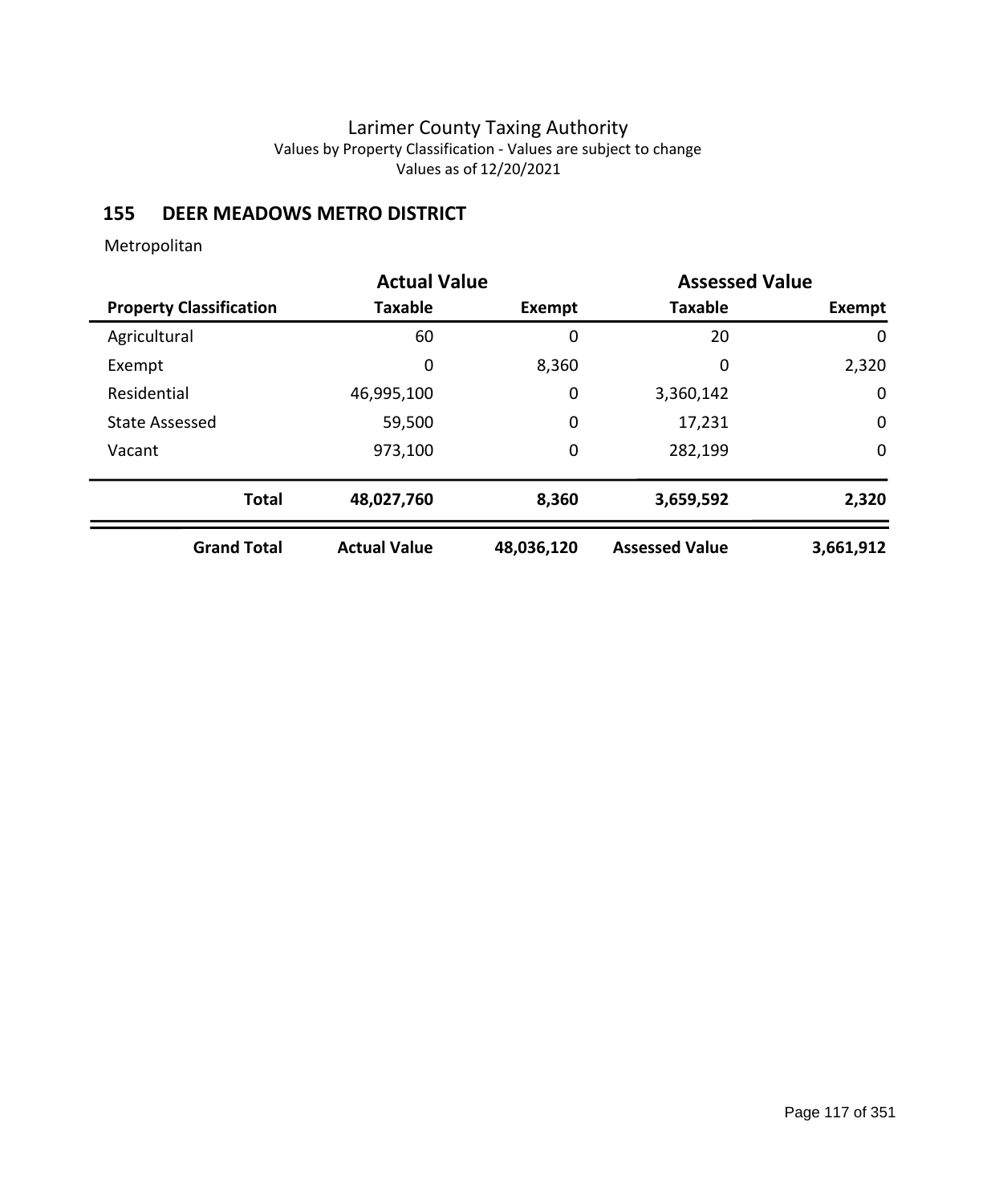## **155 DEER MEADOWS METRO DISTRICT**

|                                | <b>Actual Value</b> |             | <b>Assessed Value</b> |             |
|--------------------------------|---------------------|-------------|-----------------------|-------------|
| <b>Property Classification</b> | <b>Taxable</b>      | Exempt      | <b>Taxable</b>        | Exempt      |
| Agricultural                   | 60                  | 0           | 20                    | 0           |
| Exempt                         | 0                   | 8,360       | 0                     | 2,320       |
| Residential                    | 46,995,100          | $\mathbf 0$ | 3,360,142             | $\mathbf 0$ |
| <b>State Assessed</b>          | 59,500              | $\mathbf 0$ | 17,231                | 0           |
| Vacant                         | 973,100             | $\mathbf 0$ | 282,199               | $\mathbf 0$ |
| <b>Total</b>                   | 48,027,760          | 8,360       | 3,659,592             | 2,320       |
| <b>Grand Total</b>             | <b>Actual Value</b> | 48,036,120  | <b>Assessed Value</b> | 3,661,912   |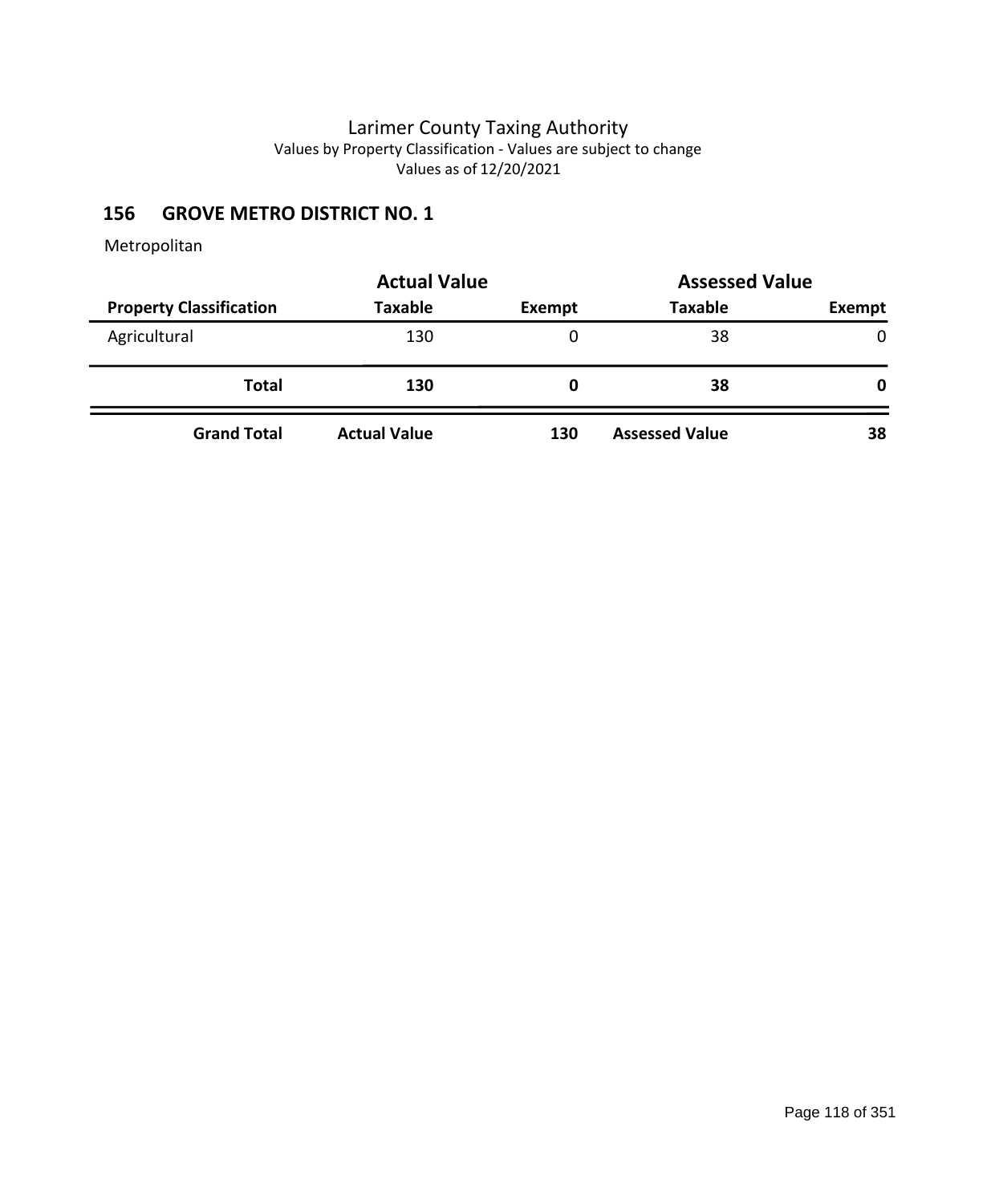# **156 GROVE METRO DISTRICT NO. 1**

|                                | <b>Actual Value</b> | <b>Assessed Value</b> |                       |               |  |
|--------------------------------|---------------------|-----------------------|-----------------------|---------------|--|
| <b>Property Classification</b> | <b>Taxable</b>      | Exempt                | <b>Taxable</b>        | <b>Exempt</b> |  |
| Agricultural                   | 130                 | 0                     | 38                    | $\mathbf{0}$  |  |
| <b>Total</b>                   | 130                 | O                     | 38                    | 0             |  |
| <b>Grand Total</b>             | <b>Actual Value</b> | 130                   | <b>Assessed Value</b> | 38            |  |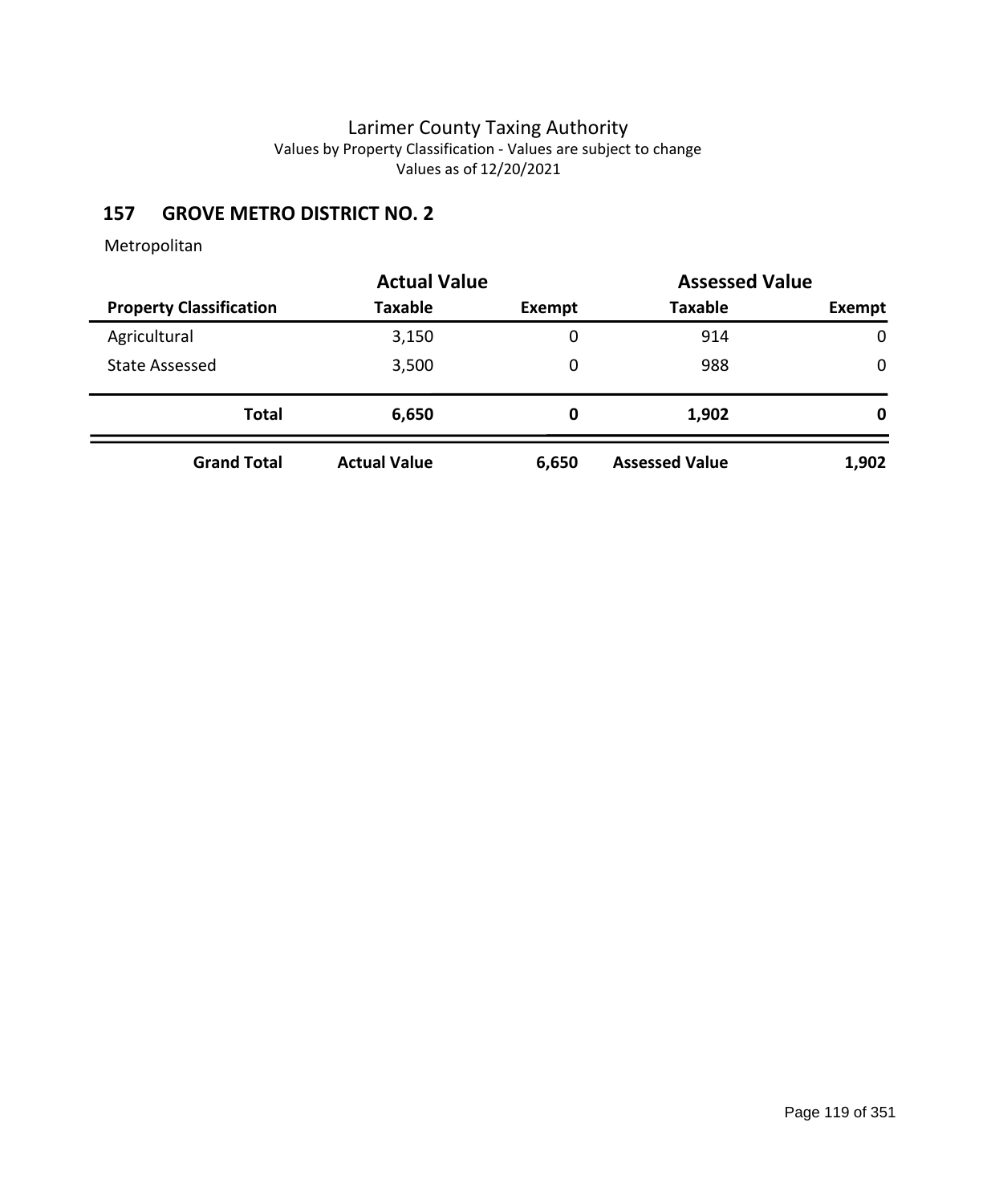# **157 GROVE METRO DISTRICT NO. 2**

|                                | <b>Actual Value</b> |        | <b>Assessed Value</b> |             |
|--------------------------------|---------------------|--------|-----------------------|-------------|
| <b>Property Classification</b> | <b>Taxable</b>      | Exempt | <b>Taxable</b>        | Exempt      |
| Agricultural                   | 3,150               | 0      | 914                   | $\mathbf 0$ |
| State Assessed                 | 3,500               | 0      | 988                   | 0           |
| <b>Total</b>                   | 6,650               | 0      | 1,902                 | 0           |
| <b>Grand Total</b>             | <b>Actual Value</b> | 6,650  | <b>Assessed Value</b> | 1,902       |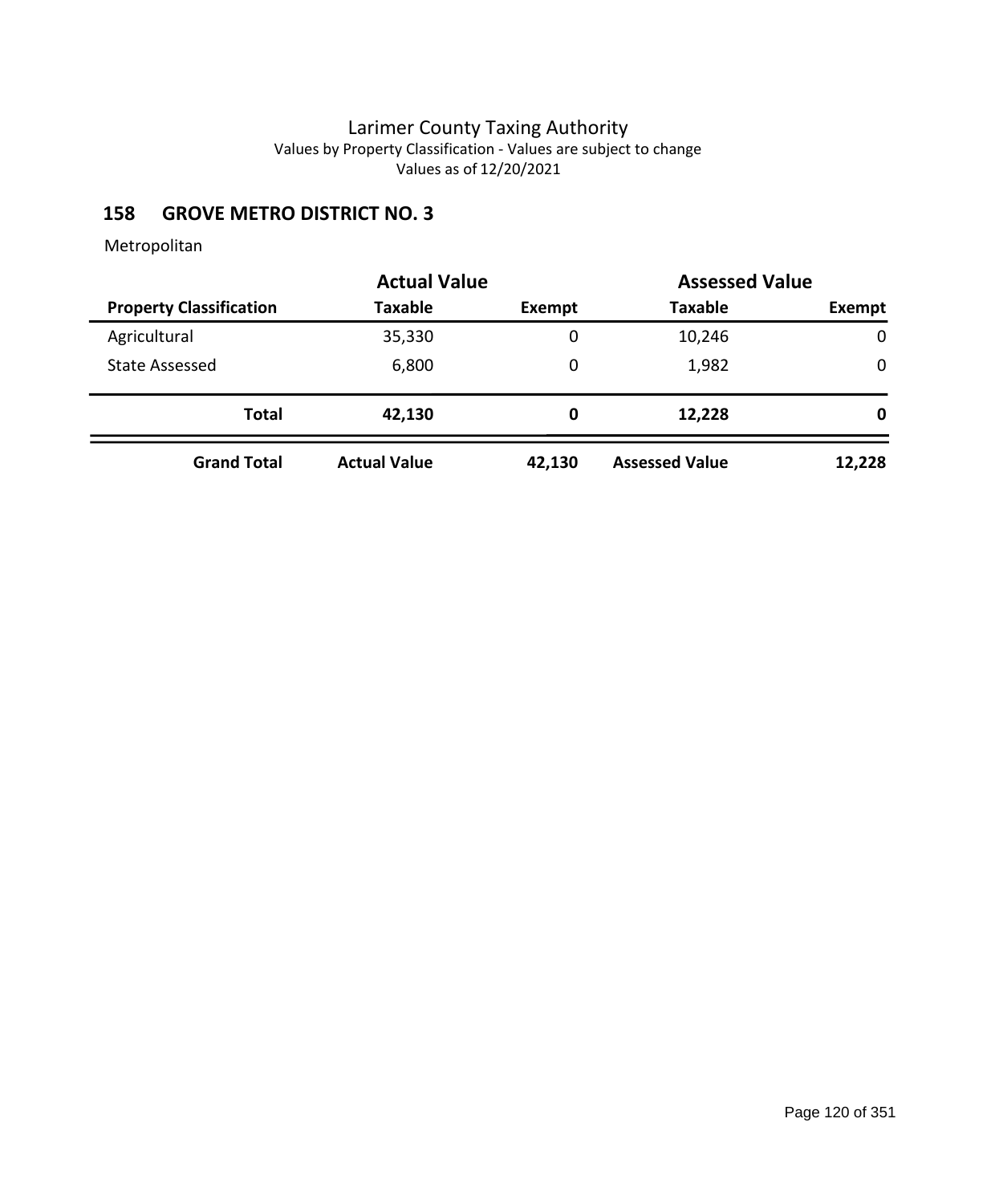# **158 GROVE METRO DISTRICT NO. 3**

|                                | <b>Actual Value</b> |        | <b>Assessed Value</b> |        |
|--------------------------------|---------------------|--------|-----------------------|--------|
| <b>Property Classification</b> | Taxable             | Exempt | <b>Taxable</b>        | Exempt |
| Agricultural                   | 35,330              | 0      | 10,246                | 0      |
| <b>State Assessed</b>          | 6,800               | 0      | 1,982                 | 0      |
| <b>Total</b>                   | 42,130              | 0      | 12,228                | 0      |
| <b>Grand Total</b>             | <b>Actual Value</b> | 42,130 | <b>Assessed Value</b> | 12,228 |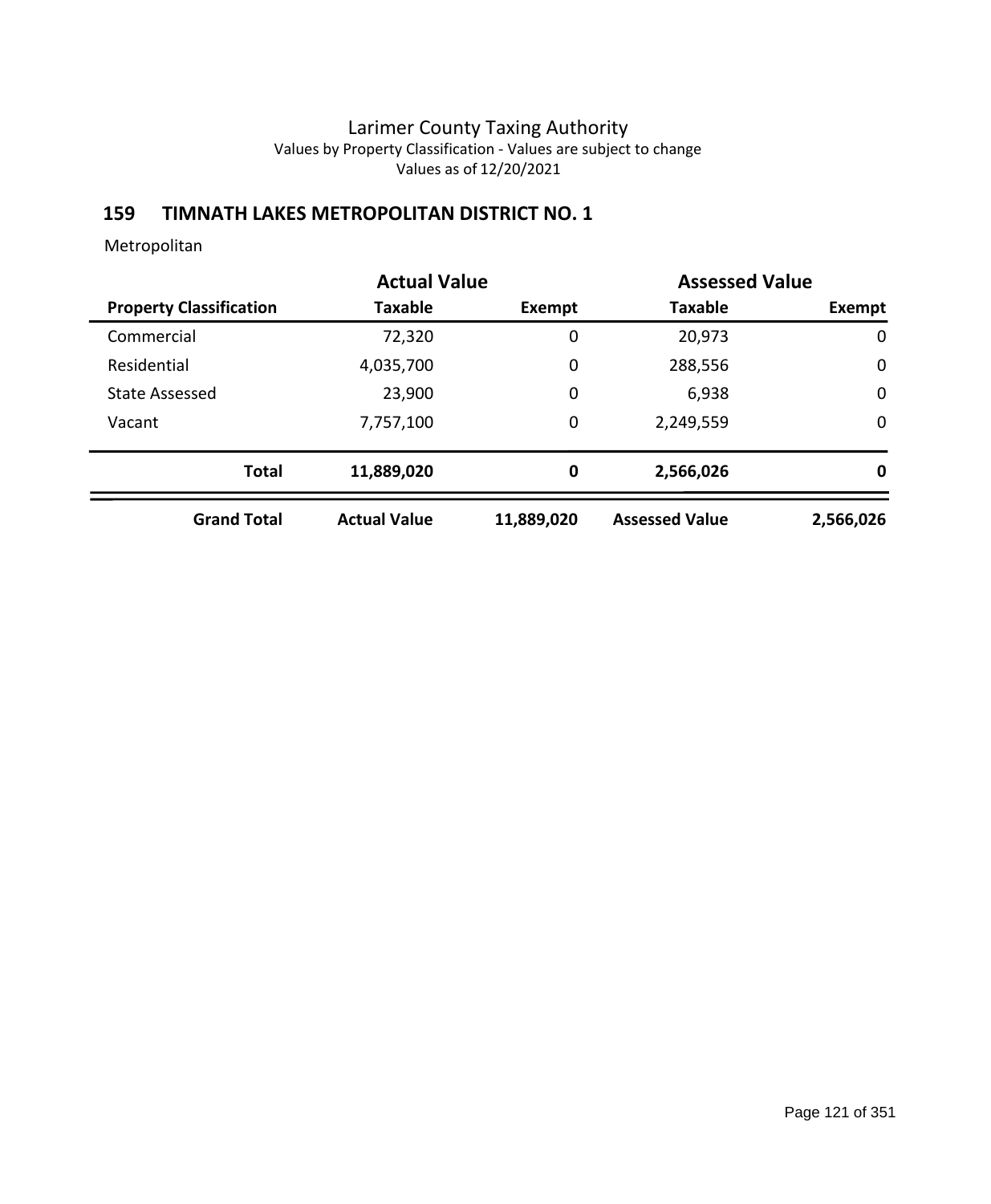# **159 TIMNATH LAKES METROPOLITAN DISTRICT NO. 1**

|                                | <b>Actual Value</b> |            | <b>Assessed Value</b> |             |
|--------------------------------|---------------------|------------|-----------------------|-------------|
| <b>Property Classification</b> | Taxable             | Exempt     | <b>Taxable</b>        | Exempt      |
| Commercial                     | 72,320              | 0          | 20,973                | $\mathbf 0$ |
| Residential                    | 4,035,700           | 0          | 288,556               | $\mathbf 0$ |
| <b>State Assessed</b>          | 23,900              | 0          | 6,938                 | $\mathbf 0$ |
| Vacant                         | 7,757,100           | 0          | 2,249,559             | 0           |
| <b>Total</b>                   | 11,889,020          | 0          | 2,566,026             | 0           |
| <b>Grand Total</b>             | <b>Actual Value</b> | 11,889,020 | <b>Assessed Value</b> | 2,566,026   |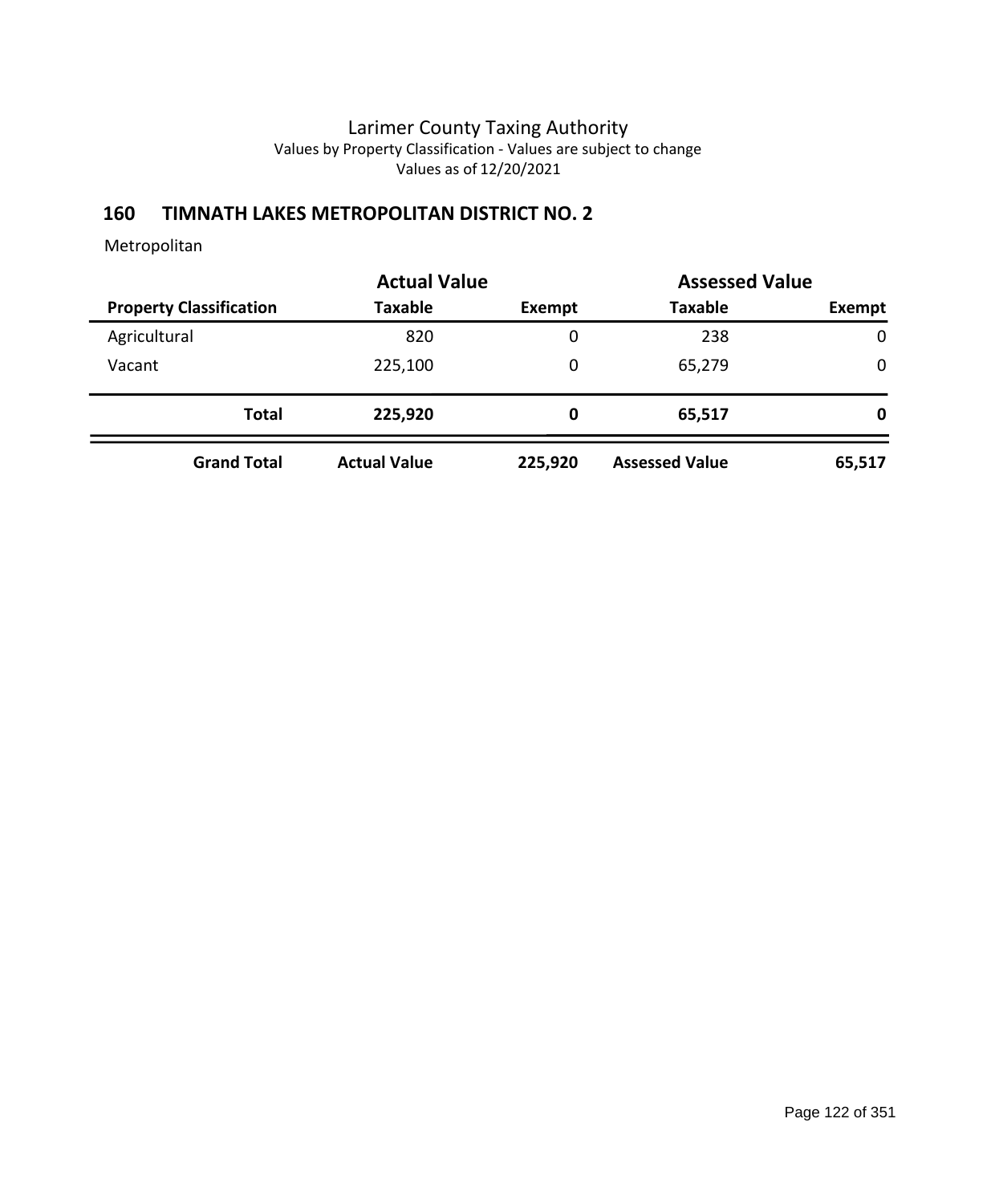## **160 TIMNATH LAKES METROPOLITAN DISTRICT NO. 2**

|                                |                     | <b>Actual Value</b> |                       | <b>Assessed Value</b> |
|--------------------------------|---------------------|---------------------|-----------------------|-----------------------|
| <b>Property Classification</b> | <b>Taxable</b>      | <b>Exempt</b>       | <b>Taxable</b>        | Exempt                |
| Agricultural                   | 820                 | 0                   | 238                   | $\mathbf 0$           |
| Vacant                         | 225,100             | 0                   | 65,279                | $\mathbf 0$           |
| <b>Total</b>                   | 225,920             | 0                   | 65,517                | 0                     |
| <b>Grand Total</b>             | <b>Actual Value</b> | 225,920             | <b>Assessed Value</b> | 65,517                |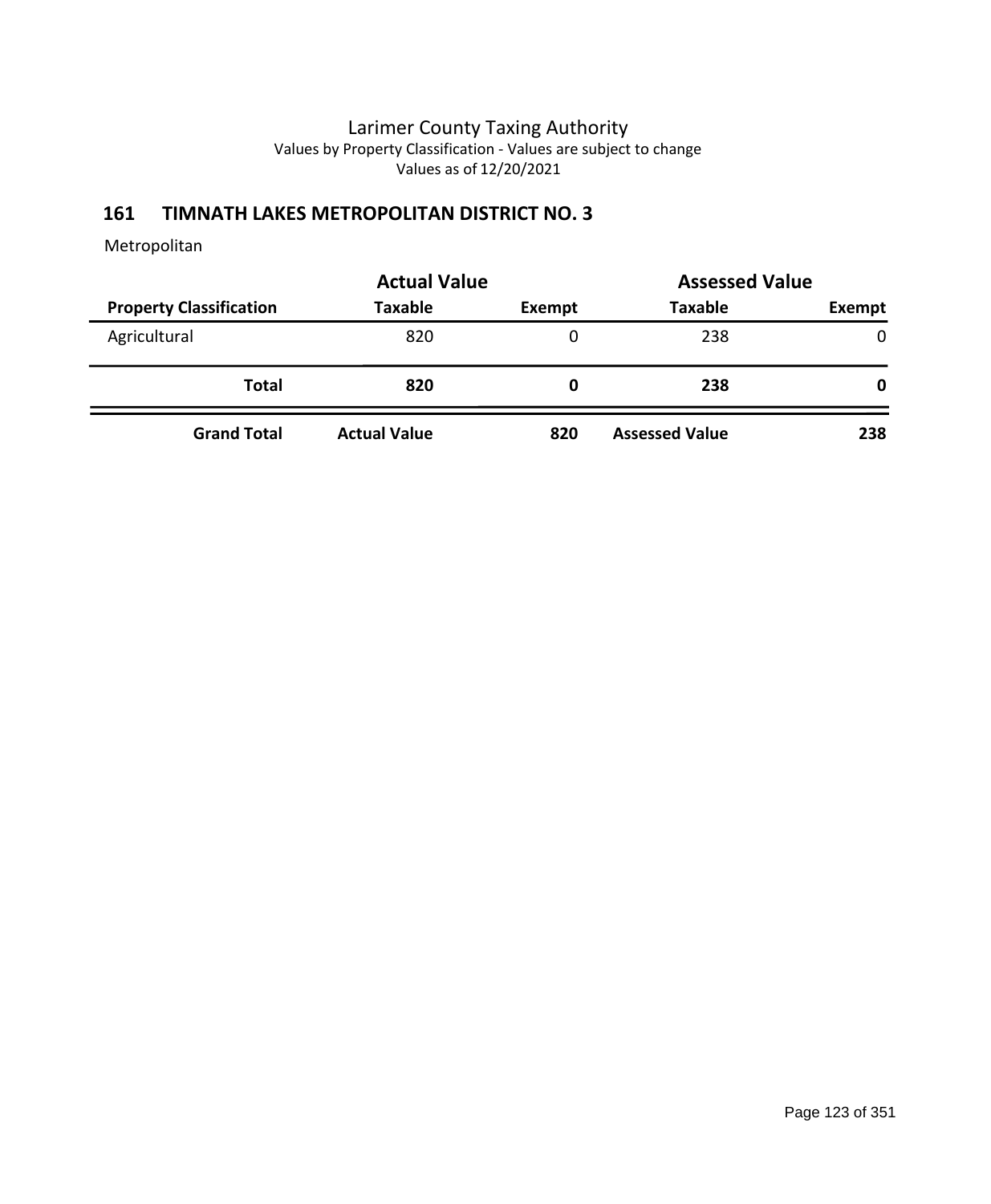## **161 TIMNATH LAKES METROPOLITAN DISTRICT NO. 3**

|                                | <b>Actual Value</b> | <b>Assessed Value</b> |                       |        |
|--------------------------------|---------------------|-----------------------|-----------------------|--------|
| <b>Property Classification</b> | <b>Taxable</b>      | Exempt                | <b>Taxable</b>        | Exempt |
| Agricultural                   | 820                 | 0                     | 238                   | 0      |
| <b>Total</b>                   | 820                 | 0                     | 238                   | 0      |
| <b>Grand Total</b>             | <b>Actual Value</b> | 820                   | <b>Assessed Value</b> | 238    |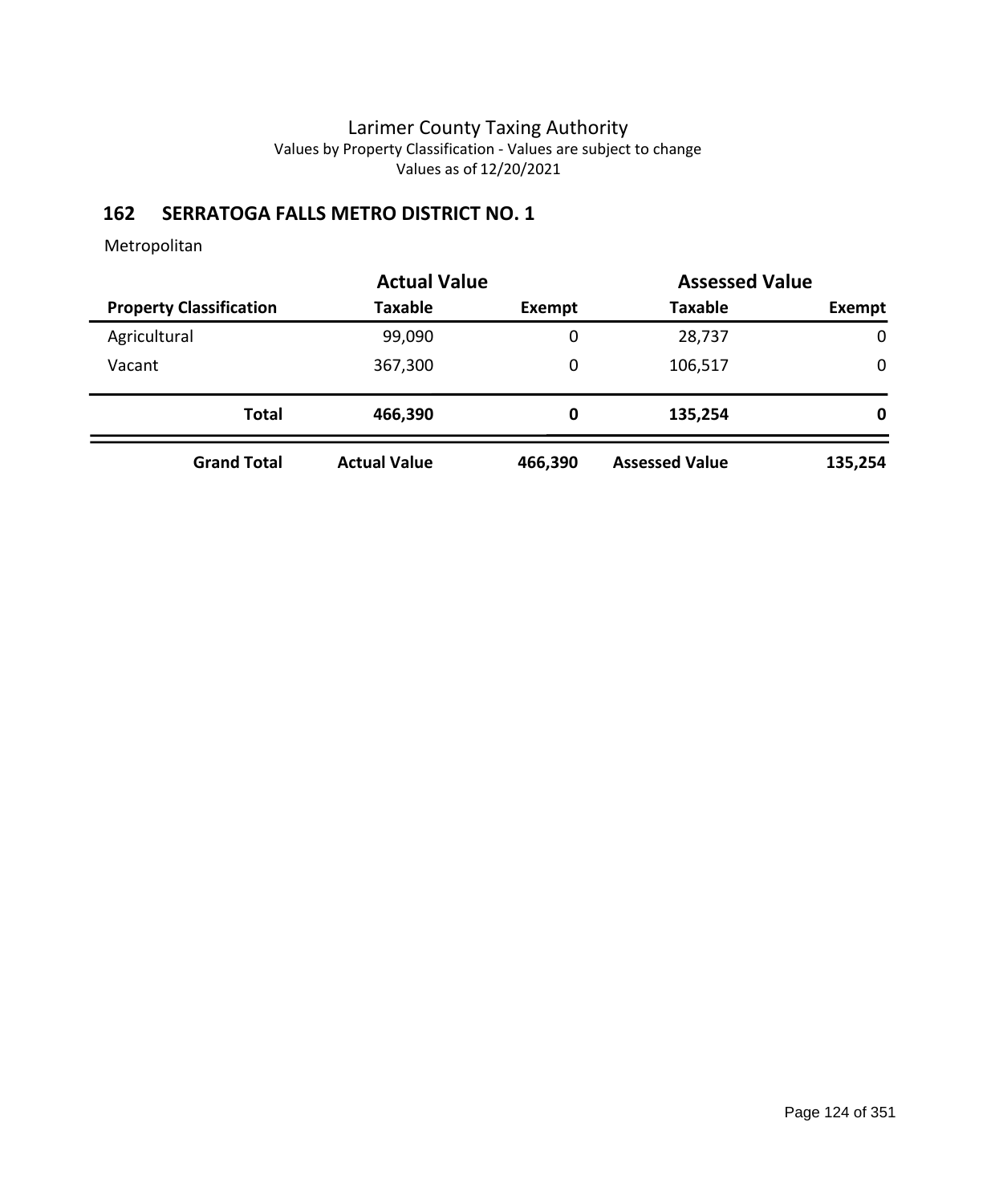# **162 SERRATOGA FALLS METRO DISTRICT NO. 1**

|                                | <b>Actual Value</b> |         | <b>Assessed Value</b> |             |
|--------------------------------|---------------------|---------|-----------------------|-------------|
| <b>Property Classification</b> | <b>Taxable</b>      | Exempt  | <b>Taxable</b>        | Exempt      |
| Agricultural                   | 99,090              | 0       | 28,737                | $\mathbf 0$ |
| Vacant                         | 367,300             | 0       | 106,517               | $\mathbf 0$ |
| <b>Total</b>                   | 466,390             | 0       | 135,254               | 0           |
| <b>Grand Total</b>             | <b>Actual Value</b> | 466,390 | <b>Assessed Value</b> | 135,254     |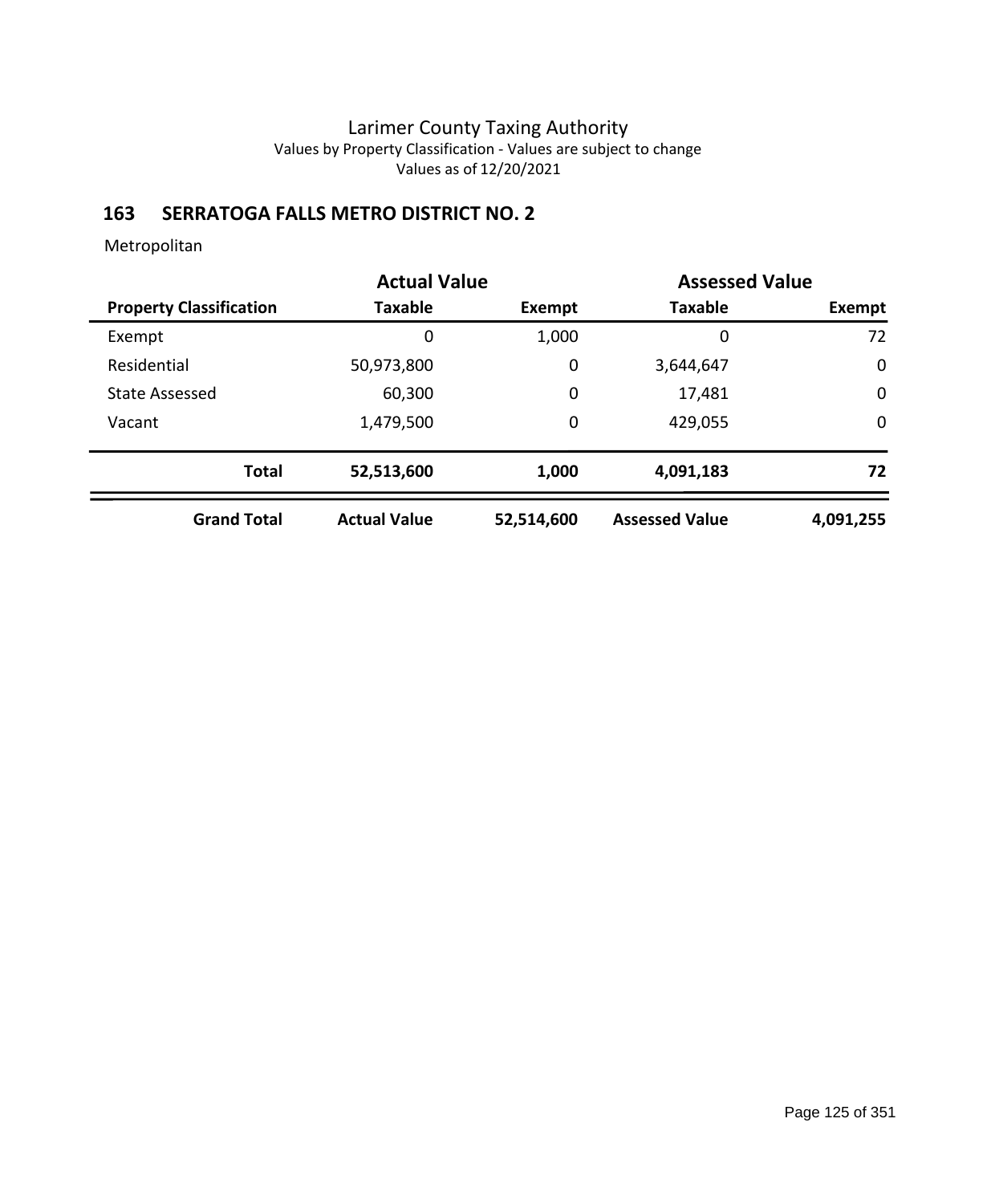# **163 SERRATOGA FALLS METRO DISTRICT NO. 2**

|                                | <b>Actual Value</b> | <b>Assessed Value</b> |                       |             |
|--------------------------------|---------------------|-----------------------|-----------------------|-------------|
| <b>Property Classification</b> | <b>Taxable</b>      | Exempt                | <b>Taxable</b>        | Exempt      |
| Exempt                         | 0                   | 1,000                 | 0                     | 72          |
| Residential                    | 50,973,800          | $\mathbf 0$           | 3,644,647             | $\mathbf 0$ |
| <b>State Assessed</b>          | 60,300              | $\mathbf 0$           | 17,481                | $\mathbf 0$ |
| Vacant                         | 1,479,500           | $\mathbf 0$           | 429,055               | $\mathbf 0$ |
| <b>Total</b>                   | 52,513,600          | 1,000                 | 4,091,183             | 72          |
| <b>Grand Total</b>             | <b>Actual Value</b> | 52,514,600            | <b>Assessed Value</b> | 4,091,255   |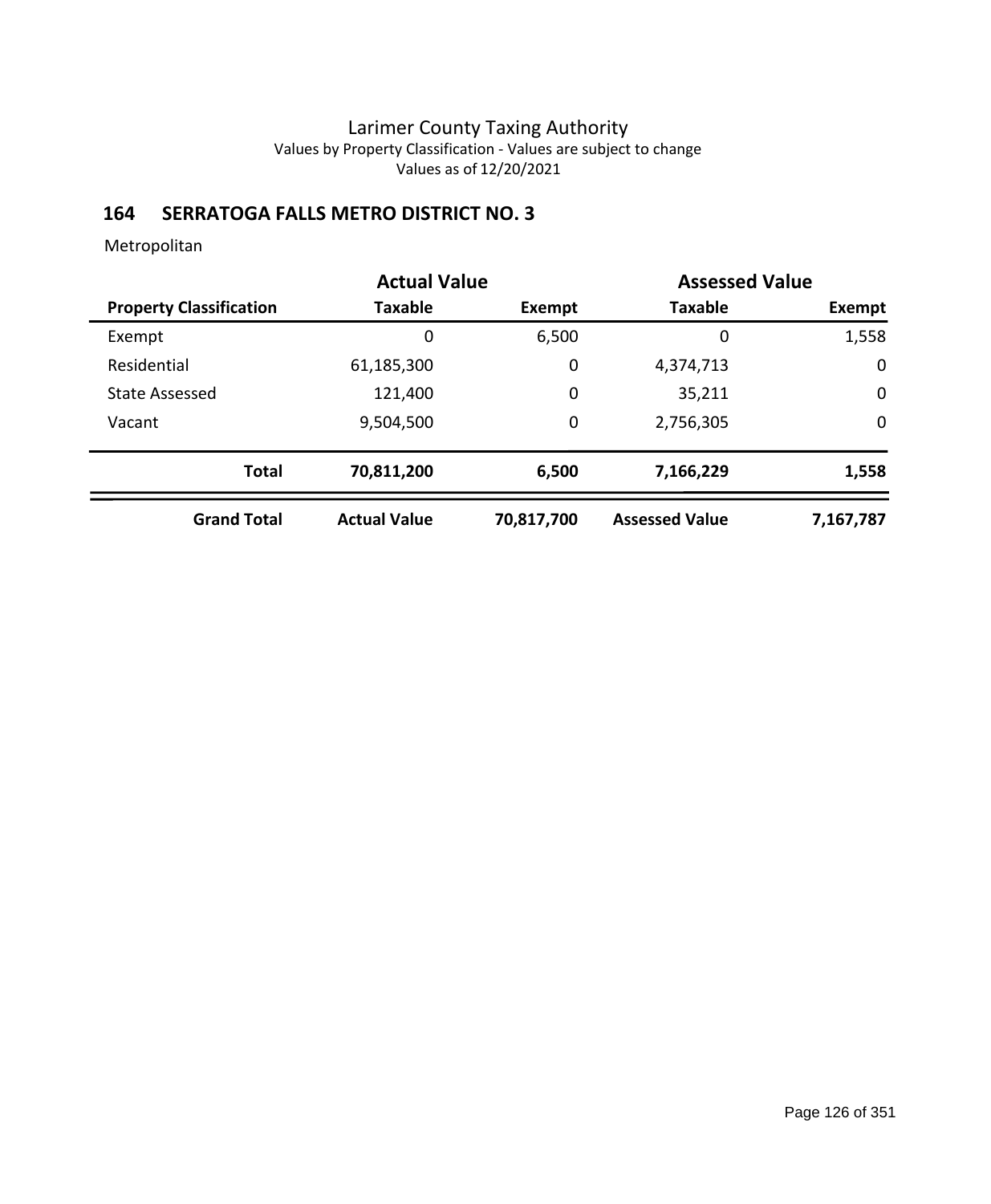# **164 SERRATOGA FALLS METRO DISTRICT NO. 3**

| <b>Actual Value</b>            |                     |             | <b>Assessed Value</b> |             |
|--------------------------------|---------------------|-------------|-----------------------|-------------|
| <b>Property Classification</b> | <b>Taxable</b>      | Exempt      | <b>Taxable</b>        | Exempt      |
| Exempt                         | 0                   | 6,500       | 0                     | 1,558       |
| Residential                    | 61,185,300          | $\mathbf 0$ | 4,374,713             | $\mathbf 0$ |
| <b>State Assessed</b>          | 121,400             | $\mathbf 0$ | 35,211                | $\mathbf 0$ |
| Vacant                         | 9,504,500           | $\mathbf 0$ | 2,756,305             | $\mathbf 0$ |
| <b>Total</b>                   | 70,811,200          | 6,500       | 7,166,229             | 1,558       |
| <b>Grand Total</b>             | <b>Actual Value</b> | 70,817,700  | <b>Assessed Value</b> | 7,167,787   |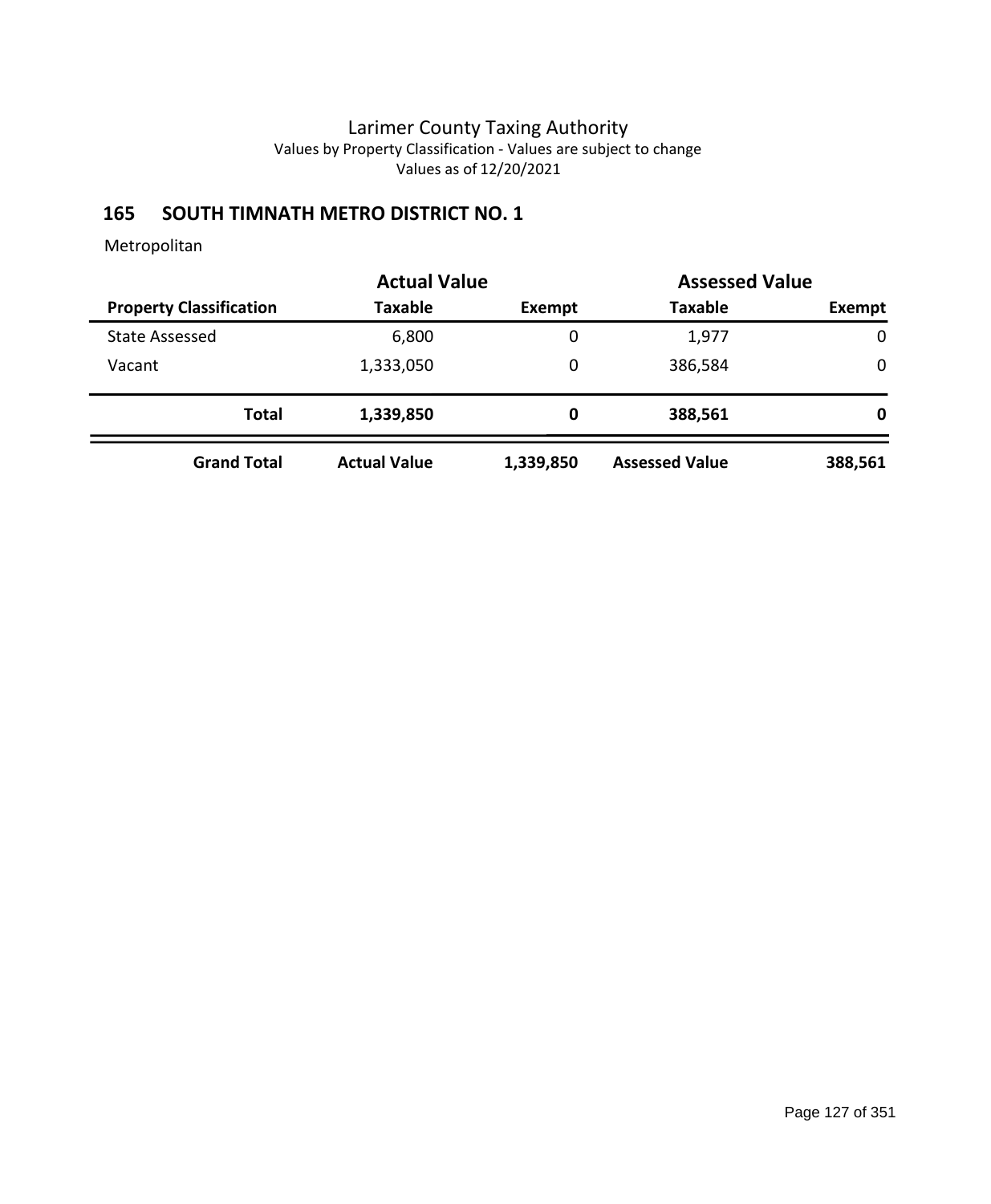# **165 SOUTH TIMNATH METRO DISTRICT NO. 1**

|                                |                     | <b>Actual Value</b><br><b>Assessed Value</b> |                       |             |  |
|--------------------------------|---------------------|----------------------------------------------|-----------------------|-------------|--|
| <b>Property Classification</b> | <b>Taxable</b>      | Exempt                                       | <b>Taxable</b>        | Exempt      |  |
| <b>State Assessed</b>          | 6,800               | 0                                            | 1,977                 | $\mathbf 0$ |  |
| Vacant                         | 1,333,050           | 0                                            | 386,584               | 0           |  |
| <b>Total</b>                   | 1,339,850           | 0                                            | 388,561               | 0           |  |
| <b>Grand Total</b>             | <b>Actual Value</b> | 1,339,850                                    | <b>Assessed Value</b> | 388,561     |  |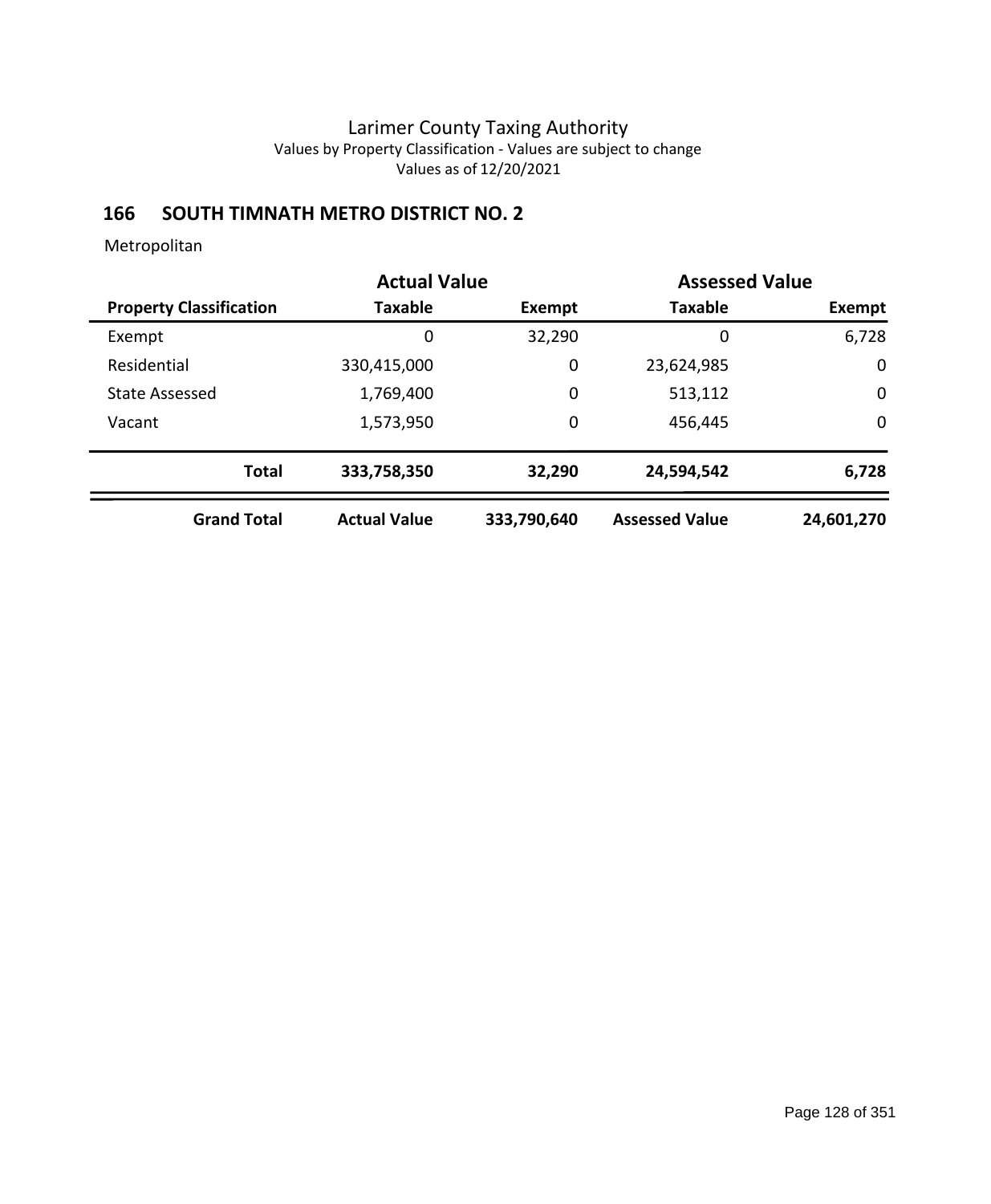# **166 SOUTH TIMNATH METRO DISTRICT NO. 2**

|                                |                     | <b>Actual Value</b> |                       | <b>Assessed Value</b> |
|--------------------------------|---------------------|---------------------|-----------------------|-----------------------|
| <b>Property Classification</b> | Taxable             | Exempt              | <b>Taxable</b>        | Exempt                |
| Exempt                         | 0                   | 32,290              | 0                     | 6,728                 |
| Residential                    | 330,415,000         | 0                   | 23,624,985            | $\mathbf 0$           |
| State Assessed                 | 1,769,400           | 0                   | 513,112               | $\mathbf 0$           |
| Vacant                         | 1,573,950           | 0                   | 456,445               | $\mathbf 0$           |
| <b>Total</b>                   | 333,758,350         | 32,290              | 24,594,542            | 6,728                 |
| <b>Grand Total</b>             | <b>Actual Value</b> | 333,790,640         | <b>Assessed Value</b> | 24,601,270            |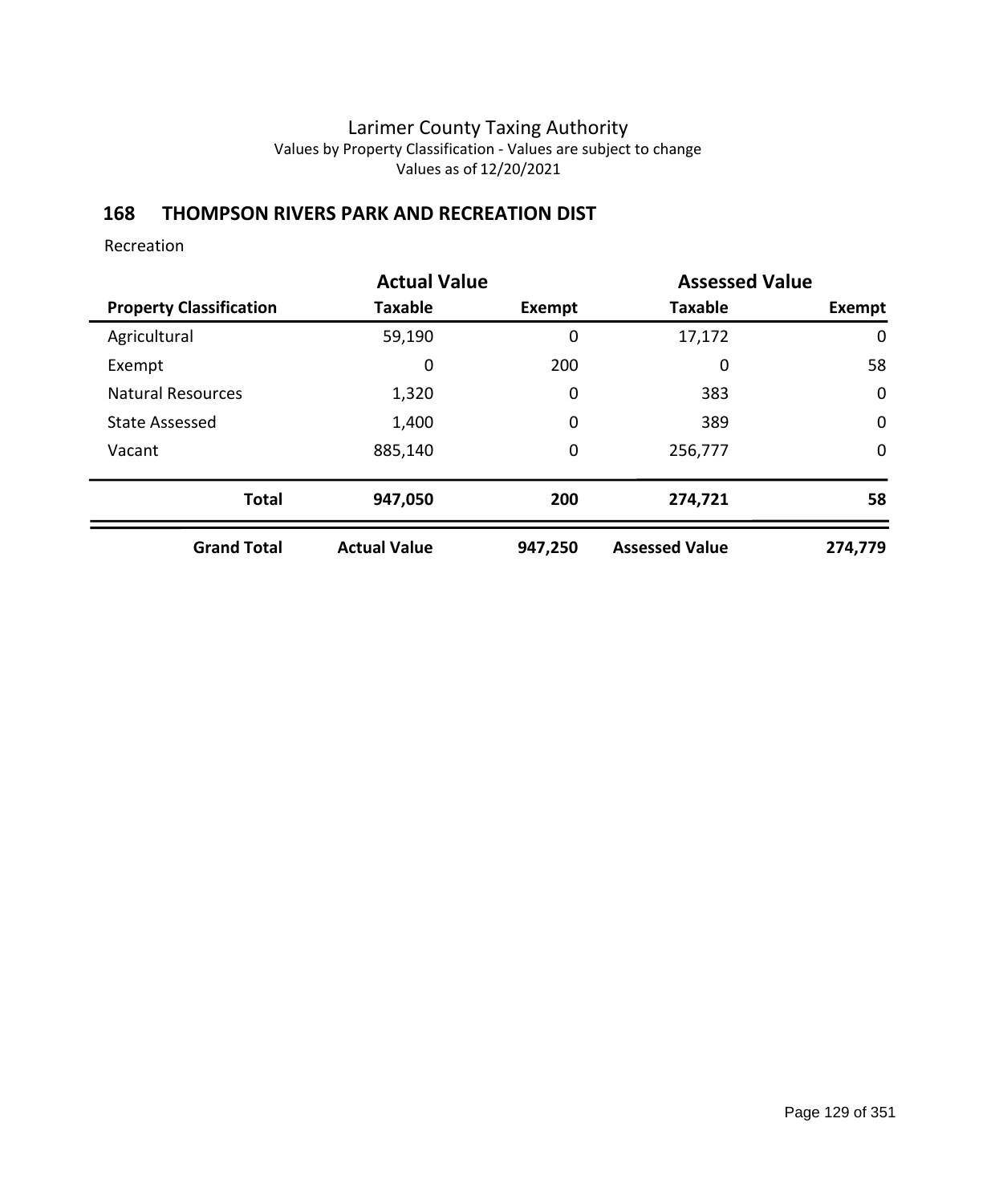### **168 THOMPSON RIVERS PARK AND RECREATION DIST**

Recreation

|                                |                     | <b>Actual Value</b> |                       | <b>Assessed Value</b> |
|--------------------------------|---------------------|---------------------|-----------------------|-----------------------|
| <b>Property Classification</b> | <b>Taxable</b>      | Exempt              | <b>Taxable</b>        | Exempt                |
| Agricultural                   | 59,190              | 0                   | 17,172                | 0                     |
| Exempt                         | 0                   | 200                 | 0                     | 58                    |
| <b>Natural Resources</b>       | 1,320               | $\mathbf 0$         | 383                   | $\mathbf 0$           |
| <b>State Assessed</b>          | 1,400               | $\mathbf 0$         | 389                   | $\mathbf 0$           |
| Vacant                         | 885,140             | $\mathbf 0$         | 256,777               | $\mathbf 0$           |
| <b>Total</b>                   | 947,050             | 200                 | 274,721               | 58                    |
| <b>Grand Total</b>             | <b>Actual Value</b> | 947,250             | <b>Assessed Value</b> | 274,779               |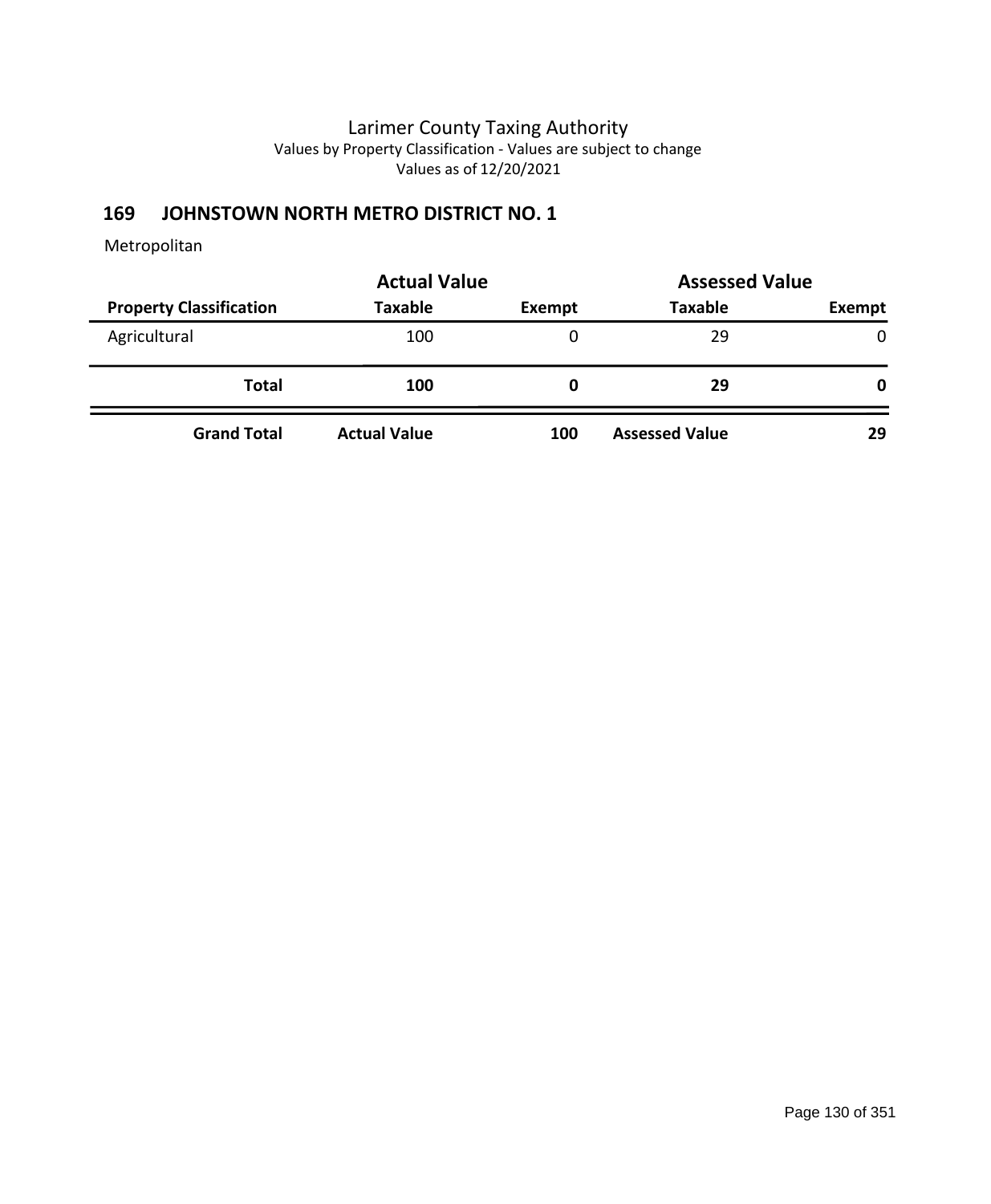# **169 JOHNSTOWN NORTH METRO DISTRICT NO. 1**

|                                | <b>Actual Value</b> | <b>Assessed Value</b> |                       |              |
|--------------------------------|---------------------|-----------------------|-----------------------|--------------|
| <b>Property Classification</b> | <b>Taxable</b>      | Exempt                | <b>Taxable</b>        | Exempt       |
| Agricultural                   | 100                 | 0                     | 29                    | $\mathbf{0}$ |
| <b>Total</b>                   | 100                 | 0                     | 29                    | 0            |
| <b>Grand Total</b>             | <b>Actual Value</b> | 100                   | <b>Assessed Value</b> | 29           |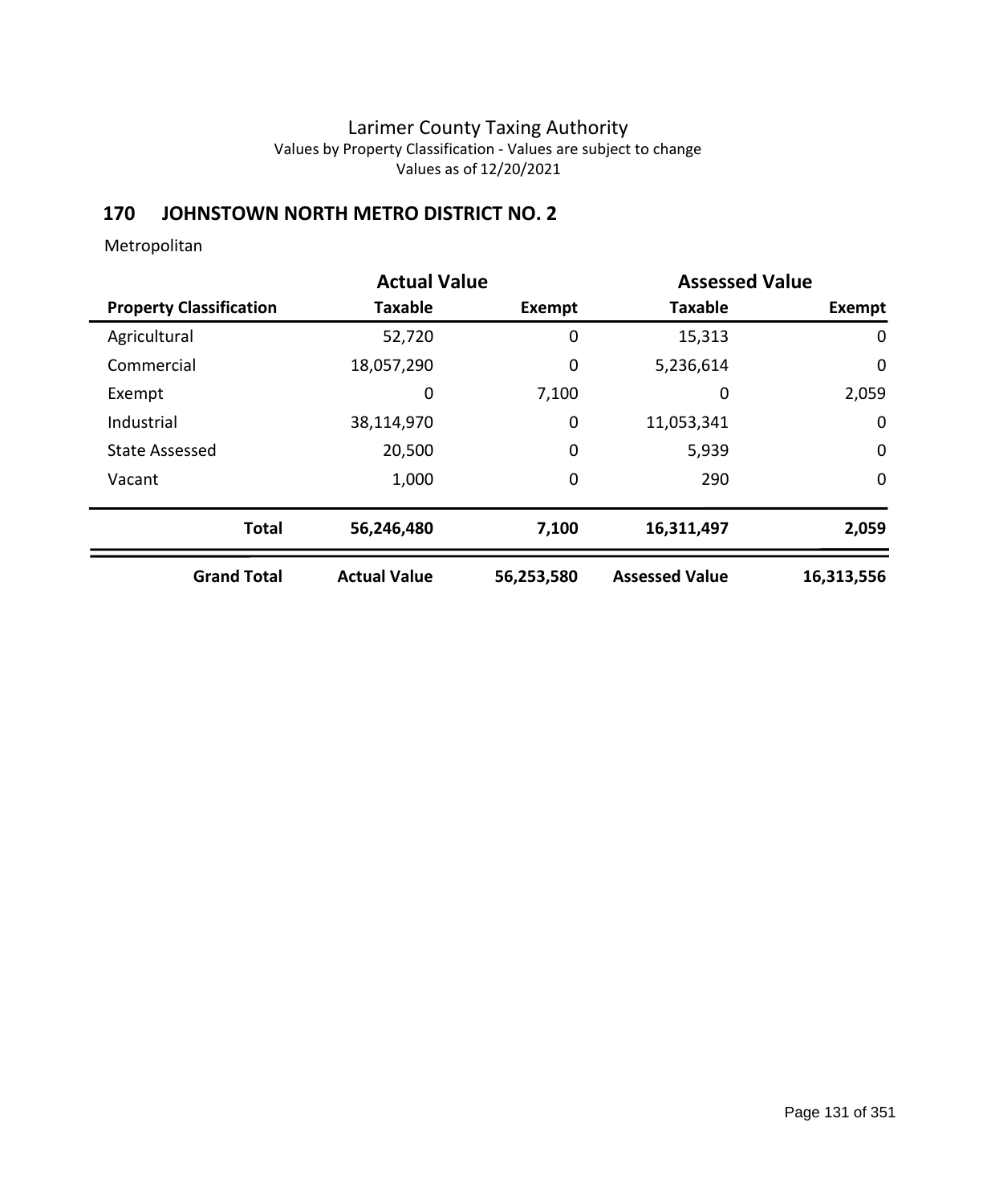# **170 JOHNSTOWN NORTH METRO DISTRICT NO. 2**

|                                | <b>Actual Value</b> |               | <b>Assessed Value</b> |               |
|--------------------------------|---------------------|---------------|-----------------------|---------------|
| <b>Property Classification</b> | <b>Taxable</b>      | <b>Exempt</b> | <b>Taxable</b>        | <b>Exempt</b> |
| Agricultural                   | 52,720              | 0             | 15,313                | $\mathbf 0$   |
| Commercial                     | 18,057,290          | 0             | 5,236,614             | $\mathbf 0$   |
| Exempt                         | 0                   | 7,100         | 0                     | 2,059         |
| Industrial                     | 38,114,970          | 0             | 11,053,341            | 0             |
| <b>State Assessed</b>          | 20,500              | 0             | 5,939                 | $\mathbf 0$   |
| Vacant                         | 1,000               | 0             | 290                   | 0             |
| <b>Total</b>                   | 56,246,480          | 7,100         | 16,311,497            | 2,059         |
| <b>Grand Total</b>             | <b>Actual Value</b> | 56,253,580    | <b>Assessed Value</b> | 16,313,556    |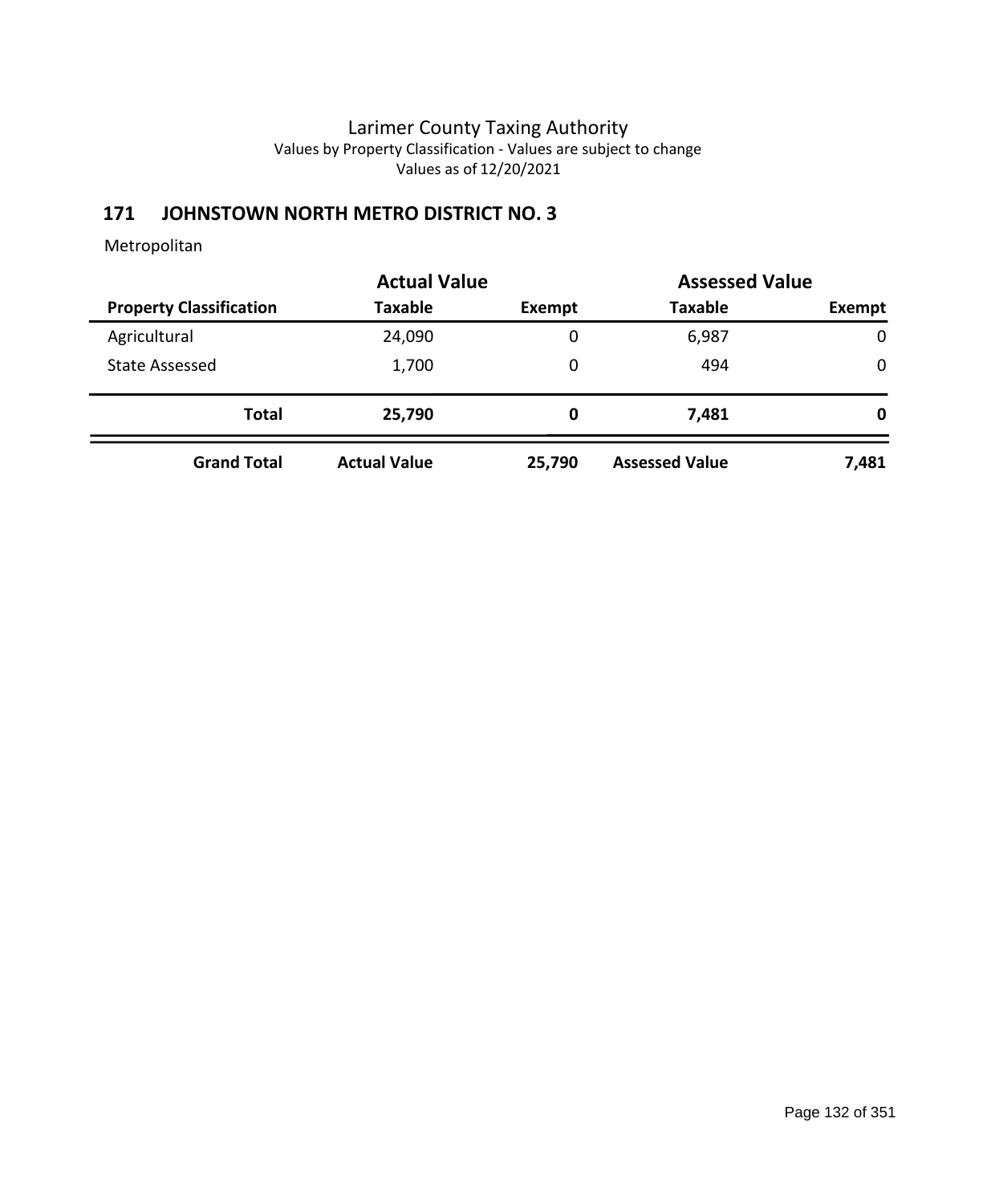# **171 JOHNSTOWN NORTH METRO DISTRICT NO. 3**

|                                | <b>Actual Value</b> |        | <b>Assessed Value</b> |             |
|--------------------------------|---------------------|--------|-----------------------|-------------|
| <b>Property Classification</b> | <b>Taxable</b>      | Exempt | <b>Taxable</b>        | Exempt      |
| Agricultural                   | 24,090              | 0      | 6,987                 | $\mathbf 0$ |
| State Assessed                 | 1,700               | 0      | 494                   | 0           |
| <b>Total</b>                   | 25,790              | 0      | 7,481                 | 0           |
| <b>Grand Total</b>             | <b>Actual Value</b> | 25,790 | <b>Assessed Value</b> | 7,481       |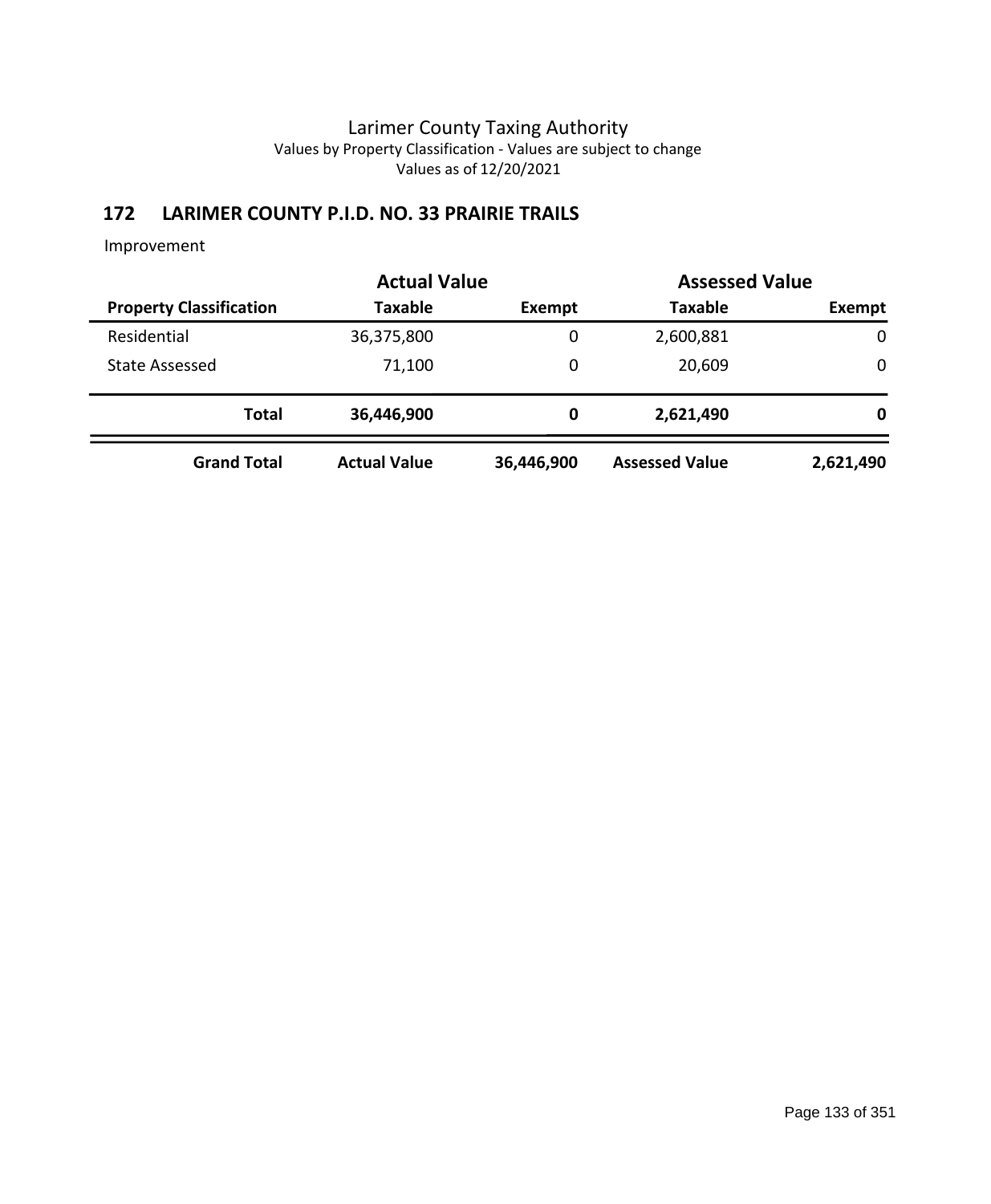# **172 LARIMER COUNTY P.I.D. NO. 33 PRAIRIE TRAILS**

|                                | <b>Actual Value</b> | <b>Assessed Value</b> |                       |           |
|--------------------------------|---------------------|-----------------------|-----------------------|-----------|
| <b>Property Classification</b> | <b>Taxable</b>      | Exempt                | <b>Taxable</b>        | Exempt    |
| Residential                    | 36,375,800          | 0                     | 2,600,881             | 0         |
| State Assessed                 | 71,100              | 0                     | 20,609                | 0         |
| <b>Total</b>                   | 36,446,900          | 0                     | 2,621,490             | 0         |
| <b>Grand Total</b>             | <b>Actual Value</b> | 36,446,900            | <b>Assessed Value</b> | 2,621,490 |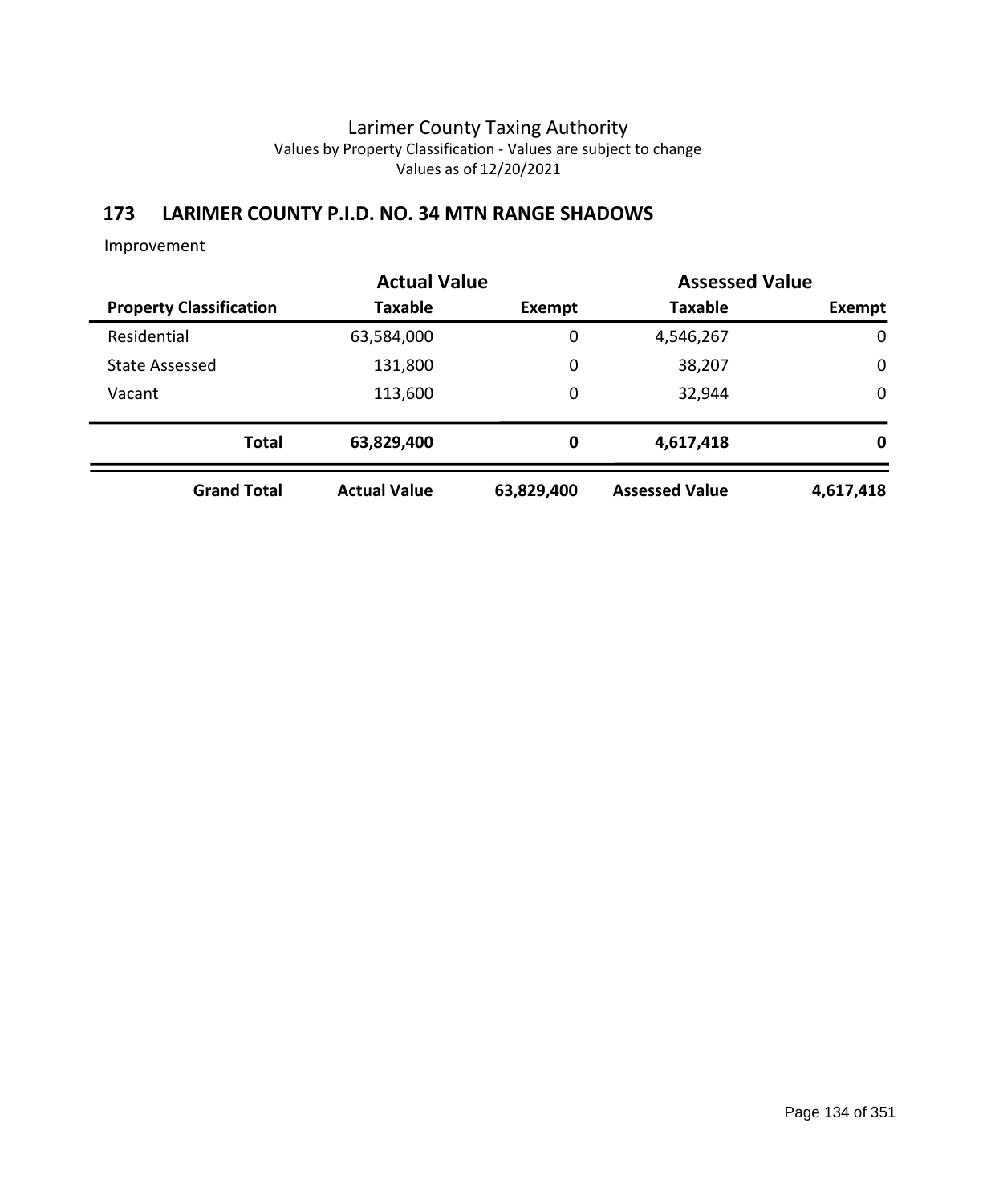## **173 LARIMER COUNTY P.I.D. NO. 34 MTN RANGE SHADOWS**

|                                | <b>Actual Value</b> |            | <b>Assessed Value</b> |             |
|--------------------------------|---------------------|------------|-----------------------|-------------|
| <b>Property Classification</b> | <b>Taxable</b>      | Exempt     | <b>Taxable</b>        | Exempt      |
| Residential                    | 63,584,000          | 0          | 4,546,267             | $\mathbf 0$ |
| <b>State Assessed</b>          | 131,800             | 0          | 38,207                | $\mathbf 0$ |
| Vacant                         | 113,600             | 0          | 32,944                | $\mathbf 0$ |
| <b>Total</b>                   | 63,829,400          | 0          | 4,617,418             | 0           |
| <b>Grand Total</b>             | <b>Actual Value</b> | 63,829,400 | <b>Assessed Value</b> | 4,617,418   |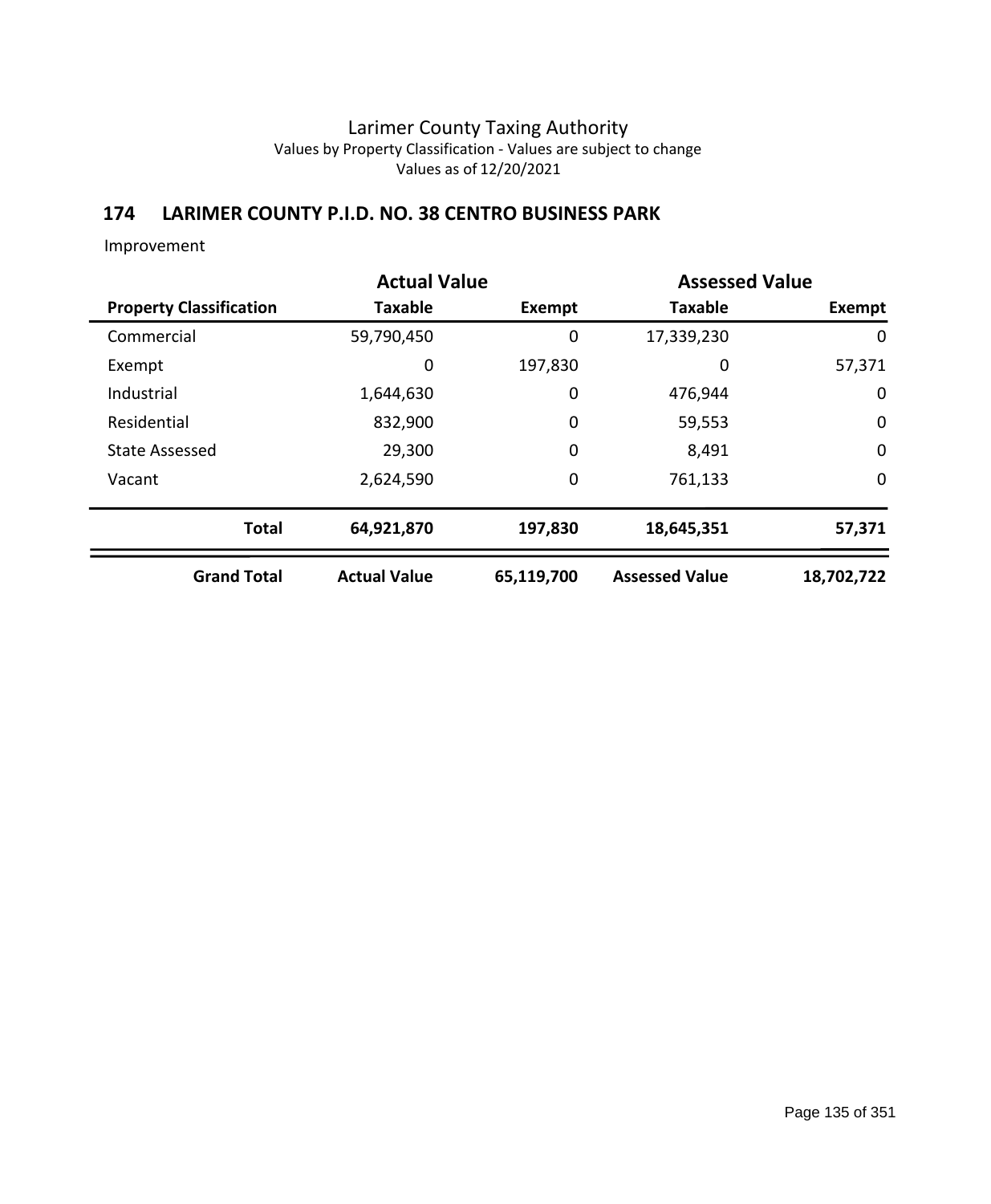# **174 LARIMER COUNTY P.I.D. NO. 38 CENTRO BUSINESS PARK**

|                                | <b>Actual Value</b> |             | <b>Assessed Value</b> |             |
|--------------------------------|---------------------|-------------|-----------------------|-------------|
| <b>Property Classification</b> | <b>Taxable</b>      | Exempt      | <b>Taxable</b>        | Exempt      |
| Commercial                     | 59,790,450          | 0           | 17,339,230            | 0           |
| Exempt                         | 0                   | 197,830     | 0                     | 57,371      |
| Industrial                     | 1,644,630           | 0           | 476,944               | 0           |
| Residential                    | 832,900             | $\mathbf 0$ | 59,553                | $\mathbf 0$ |
| <b>State Assessed</b>          | 29,300              | $\mathbf 0$ | 8,491                 | $\mathbf 0$ |
| Vacant                         | 2,624,590           | $\mathbf 0$ | 761,133               | 0           |
| <b>Total</b>                   | 64,921,870          | 197,830     | 18,645,351            | 57,371      |
| <b>Grand Total</b>             | <b>Actual Value</b> | 65,119,700  | <b>Assessed Value</b> | 18,702,722  |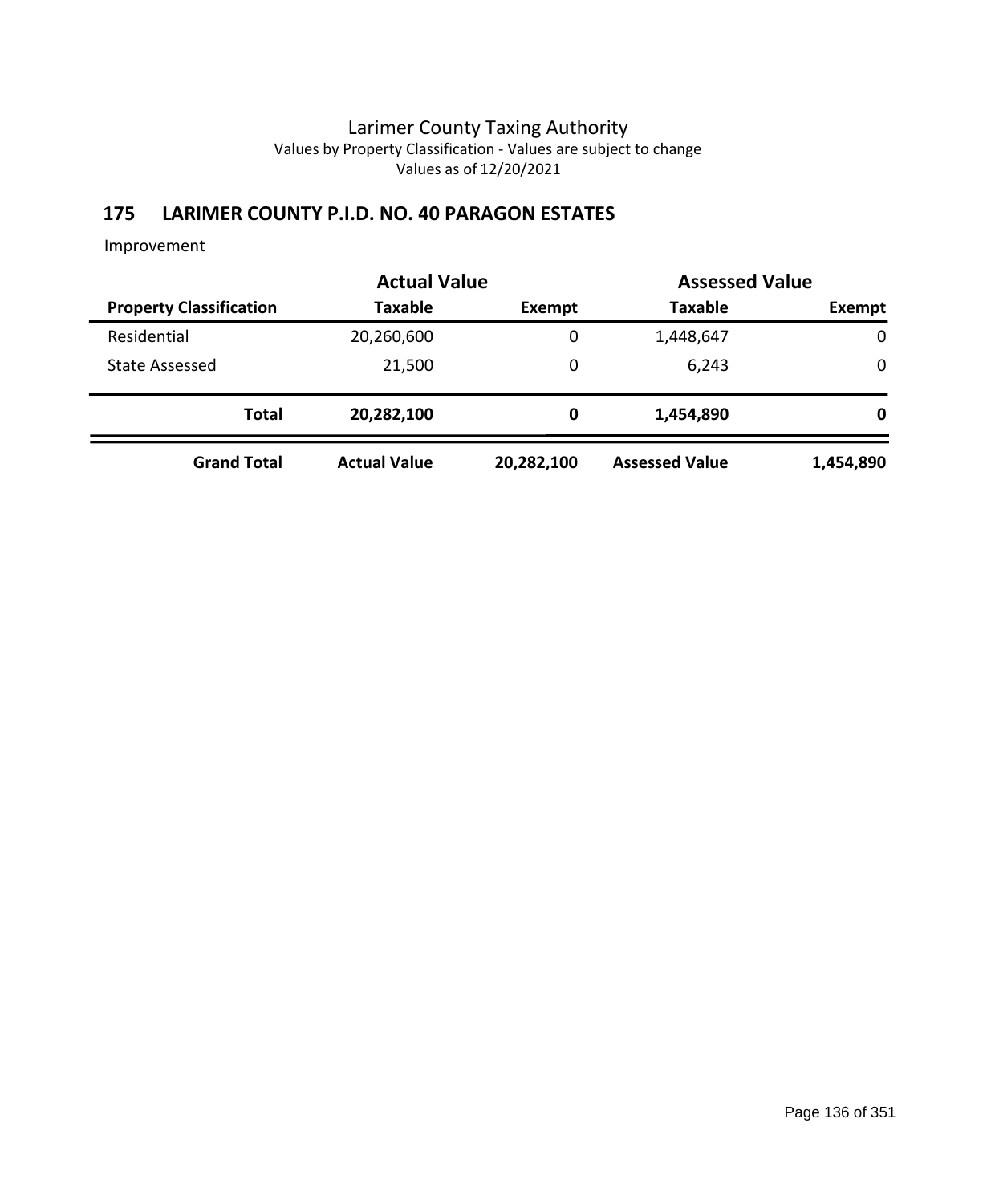## **175 LARIMER COUNTY P.I.D. NO. 40 PARAGON ESTATES**

|                                |                     | <b>Actual Value</b> |                       | <b>Assessed Value</b> |  |
|--------------------------------|---------------------|---------------------|-----------------------|-----------------------|--|
| <b>Property Classification</b> | <b>Taxable</b>      | Exempt              | <b>Taxable</b>        | Exempt                |  |
| Residential                    | 20,260,600          | 0                   | 1,448,647             | $\mathbf 0$           |  |
| <b>State Assessed</b>          | 21,500              | 0                   | 6,243                 | 0                     |  |
| <b>Total</b>                   | 20,282,100          | 0                   | 1,454,890             | 0                     |  |
| <b>Grand Total</b>             | <b>Actual Value</b> | 20,282,100          | <b>Assessed Value</b> | 1,454,890             |  |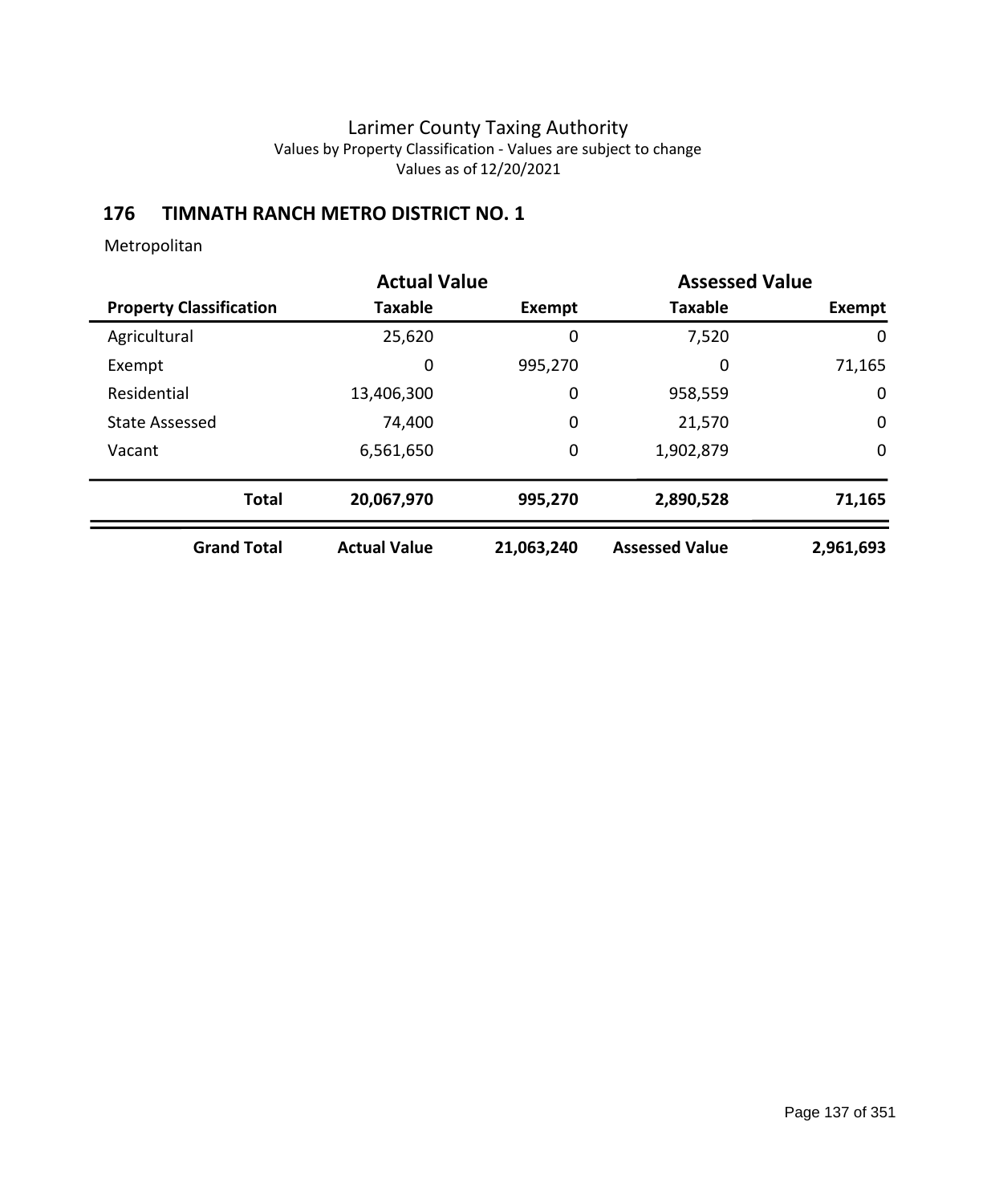# **176 TIMNATH RANCH METRO DISTRICT NO. 1**

|                                | <b>Actual Value</b> |            | <b>Assessed Value</b> |             |
|--------------------------------|---------------------|------------|-----------------------|-------------|
| <b>Property Classification</b> | <b>Taxable</b>      | Exempt     | <b>Taxable</b>        | Exempt      |
| Agricultural                   | 25,620              | 0          | 7,520                 | 0           |
| Exempt                         | 0                   | 995,270    | 0                     | 71,165      |
| Residential                    | 13,406,300          | 0          | 958,559               | $\mathbf 0$ |
| <b>State Assessed</b>          | 74,400              | 0          | 21,570                | $\mathbf 0$ |
| Vacant                         | 6,561,650           | 0          | 1,902,879             | $\mathbf 0$ |
| <b>Total</b>                   | 20,067,970          | 995,270    | 2,890,528             | 71,165      |
| <b>Grand Total</b>             | <b>Actual Value</b> | 21,063,240 | <b>Assessed Value</b> | 2,961,693   |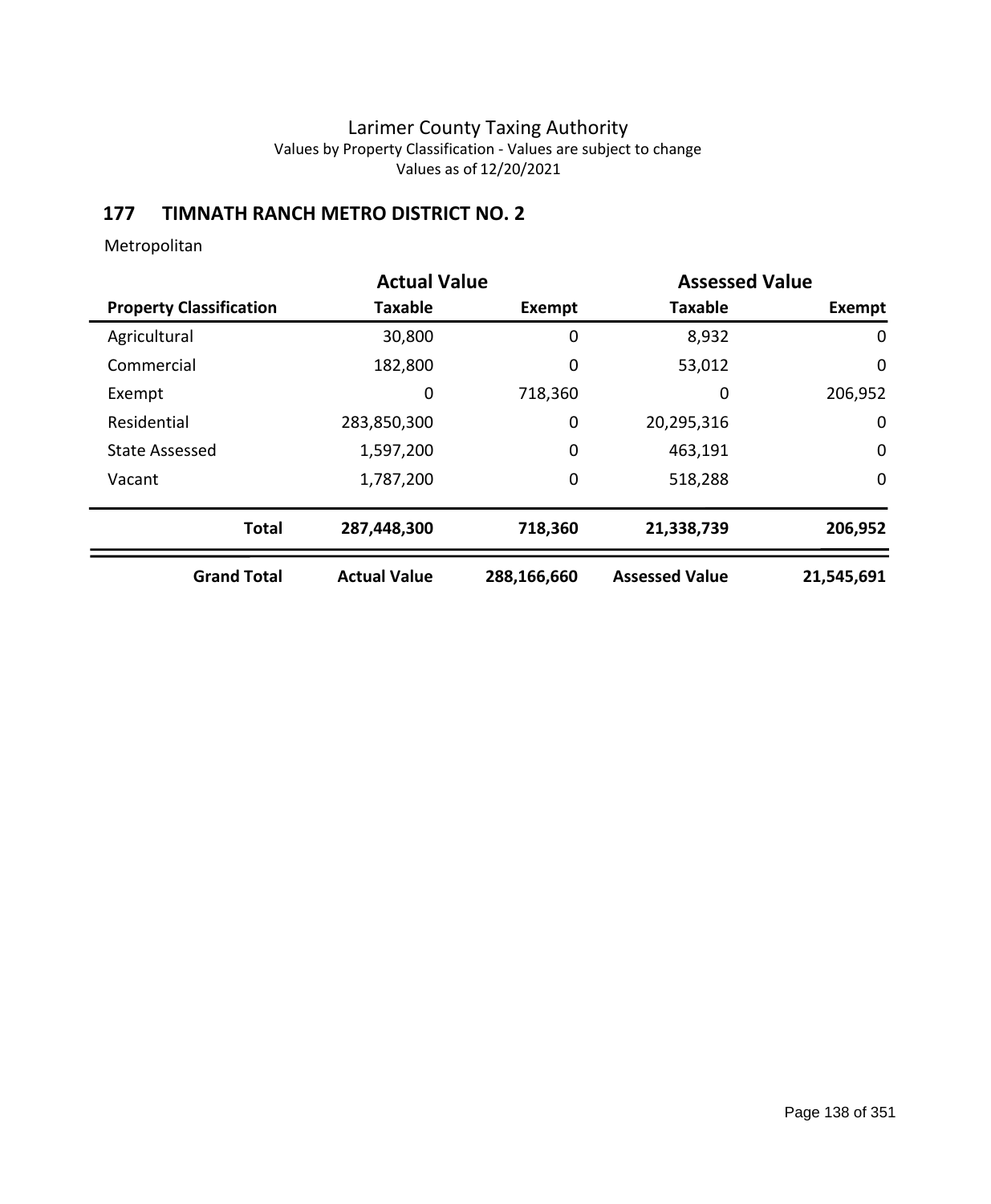# **177 TIMNATH RANCH METRO DISTRICT NO. 2**

|                                | <b>Actual Value</b> |             | <b>Assessed Value</b> |             |
|--------------------------------|---------------------|-------------|-----------------------|-------------|
| <b>Property Classification</b> | <b>Taxable</b>      | Exempt      | <b>Taxable</b>        | Exempt      |
| Agricultural                   | 30,800              | 0           | 8,932                 | 0           |
| Commercial                     | 182,800             | 0           | 53,012                | 0           |
| Exempt                         | 0                   | 718,360     | 0                     | 206,952     |
| Residential                    | 283,850,300         | 0           | 20,295,316            | 0           |
| <b>State Assessed</b>          | 1,597,200           | 0           | 463,191               | $\mathbf 0$ |
| Vacant                         | 1,787,200           | 0           | 518,288               | $\mathbf 0$ |
| <b>Total</b>                   | 287,448,300         | 718,360     | 21,338,739            | 206,952     |
| <b>Grand Total</b>             | <b>Actual Value</b> | 288,166,660 | <b>Assessed Value</b> | 21,545,691  |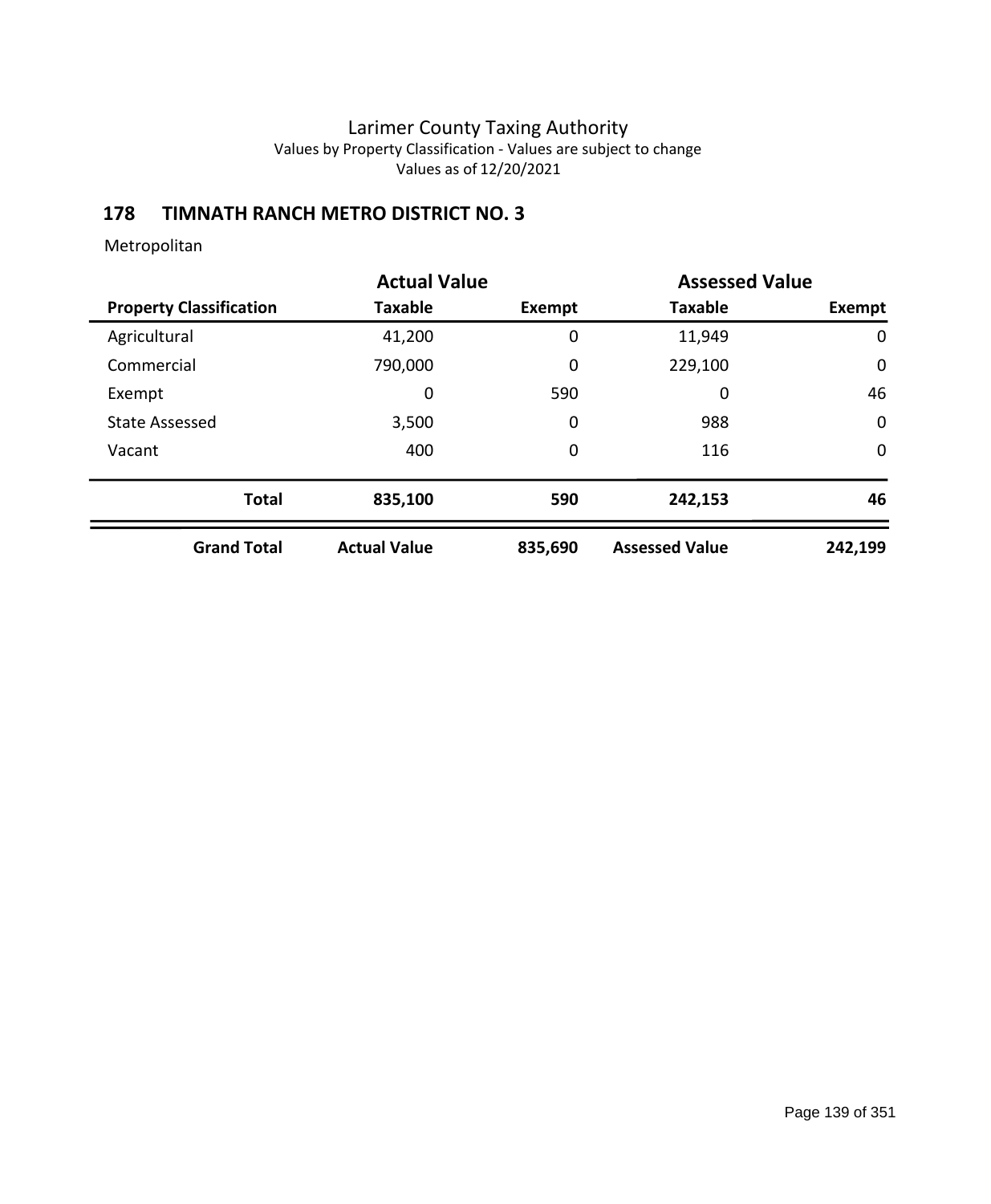# **178 TIMNATH RANCH METRO DISTRICT NO. 3**

|                                |                     | <b>Actual Value</b> |                       | <b>Assessed Value</b> |
|--------------------------------|---------------------|---------------------|-----------------------|-----------------------|
| <b>Property Classification</b> | Taxable             | Exempt              | <b>Taxable</b>        | Exempt                |
| Agricultural                   | 41,200              | 0                   | 11,949                | 0                     |
| Commercial                     | 790,000             | 0                   | 229,100               | $\mathbf 0$           |
| Exempt                         | 0                   | 590                 | 0                     | 46                    |
| <b>State Assessed</b>          | 3,500               | 0                   | 988                   | $\mathbf 0$           |
| Vacant                         | 400                 | 0                   | 116                   | $\mathbf 0$           |
| <b>Total</b>                   | 835,100             | 590                 | 242,153               | 46                    |
| <b>Grand Total</b>             | <b>Actual Value</b> | 835,690             | <b>Assessed Value</b> | 242,199               |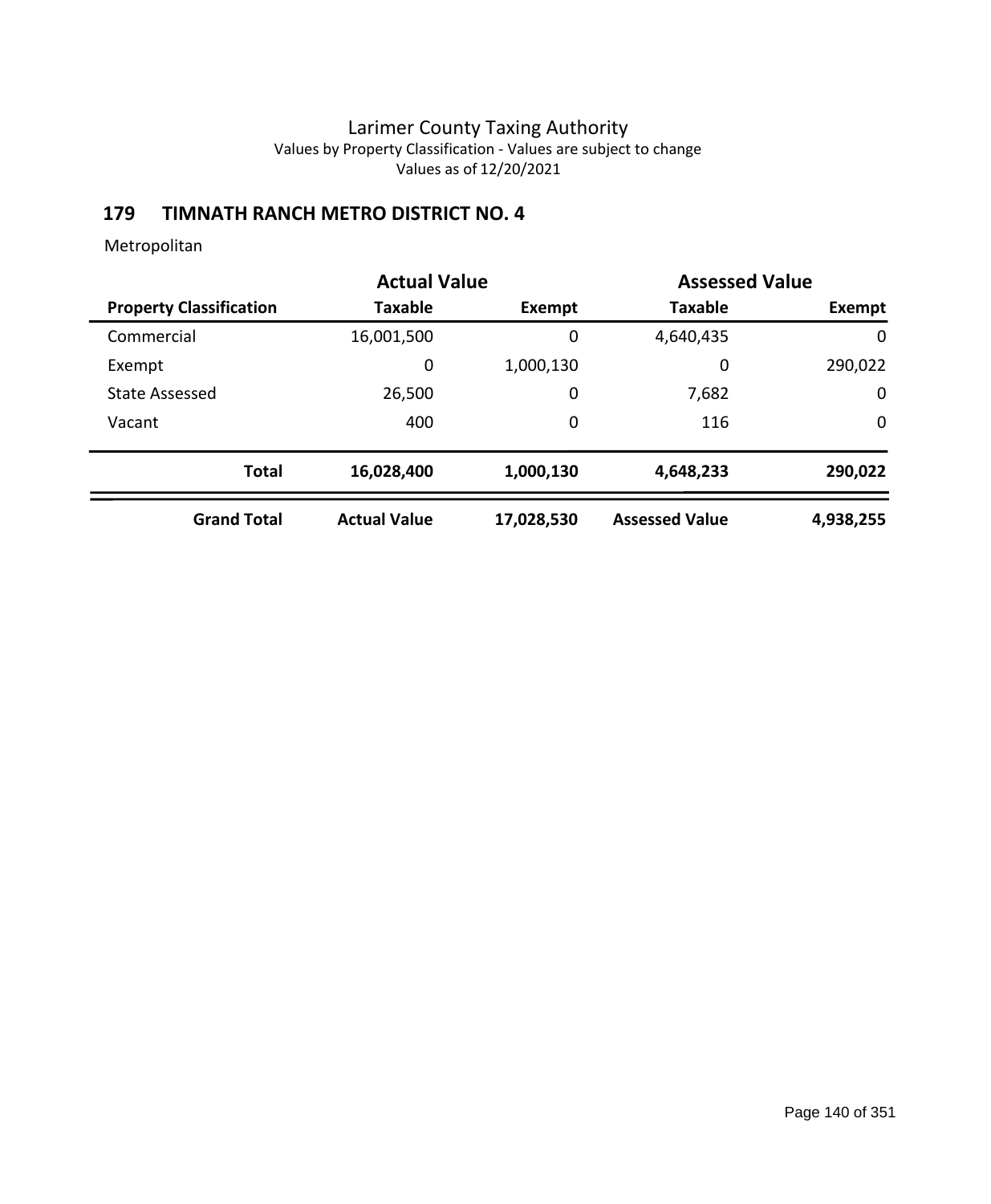# **179 TIMNATH RANCH METRO DISTRICT NO. 4**

|                                | <b>Actual Value</b> |               | <b>Assessed Value</b> |              |
|--------------------------------|---------------------|---------------|-----------------------|--------------|
| <b>Property Classification</b> | <b>Taxable</b>      | <b>Exempt</b> | <b>Taxable</b>        | Exempt       |
| Commercial                     | 16,001,500          | 0             | 4,640,435             | $\mathbf{0}$ |
| Exempt                         | 0                   | 1,000,130     | 0                     | 290,022      |
| <b>State Assessed</b>          | 26,500              | 0             | 7,682                 | 0            |
| Vacant                         | 400                 | 0             | 116                   | $\mathbf 0$  |
| <b>Total</b>                   | 16,028,400          | 1,000,130     | 4,648,233             | 290,022      |
| <b>Grand Total</b>             | <b>Actual Value</b> | 17,028,530    | <b>Assessed Value</b> | 4,938,255    |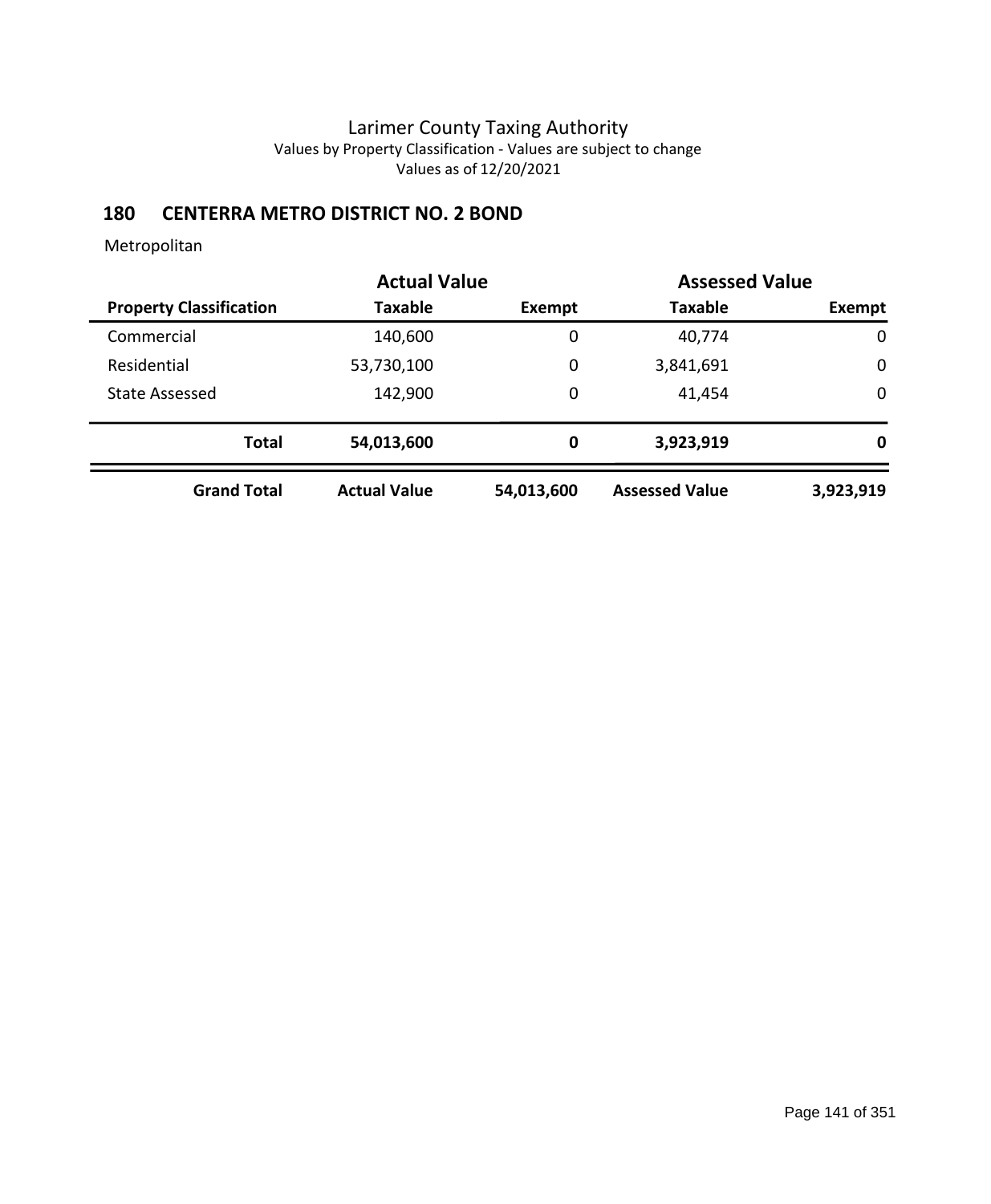# **180 CENTERRA METRO DISTRICT NO. 2 BOND**

|                                | <b>Actual Value</b> |             | <b>Assessed Value</b> |             |
|--------------------------------|---------------------|-------------|-----------------------|-------------|
| <b>Property Classification</b> | Taxable             | Exempt      | <b>Taxable</b>        | Exempt      |
| Commercial                     | 140,600             | 0           | 40,774                | $\mathbf 0$ |
| Residential                    | 53,730,100          | $\mathbf 0$ | 3,841,691             | 0           |
| <b>State Assessed</b>          | 142,900             | 0           | 41,454                | $\mathbf 0$ |
| <b>Total</b>                   | 54,013,600          | 0           | 3,923,919             | 0           |
| <b>Grand Total</b>             | <b>Actual Value</b> | 54,013,600  | <b>Assessed Value</b> | 3,923,919   |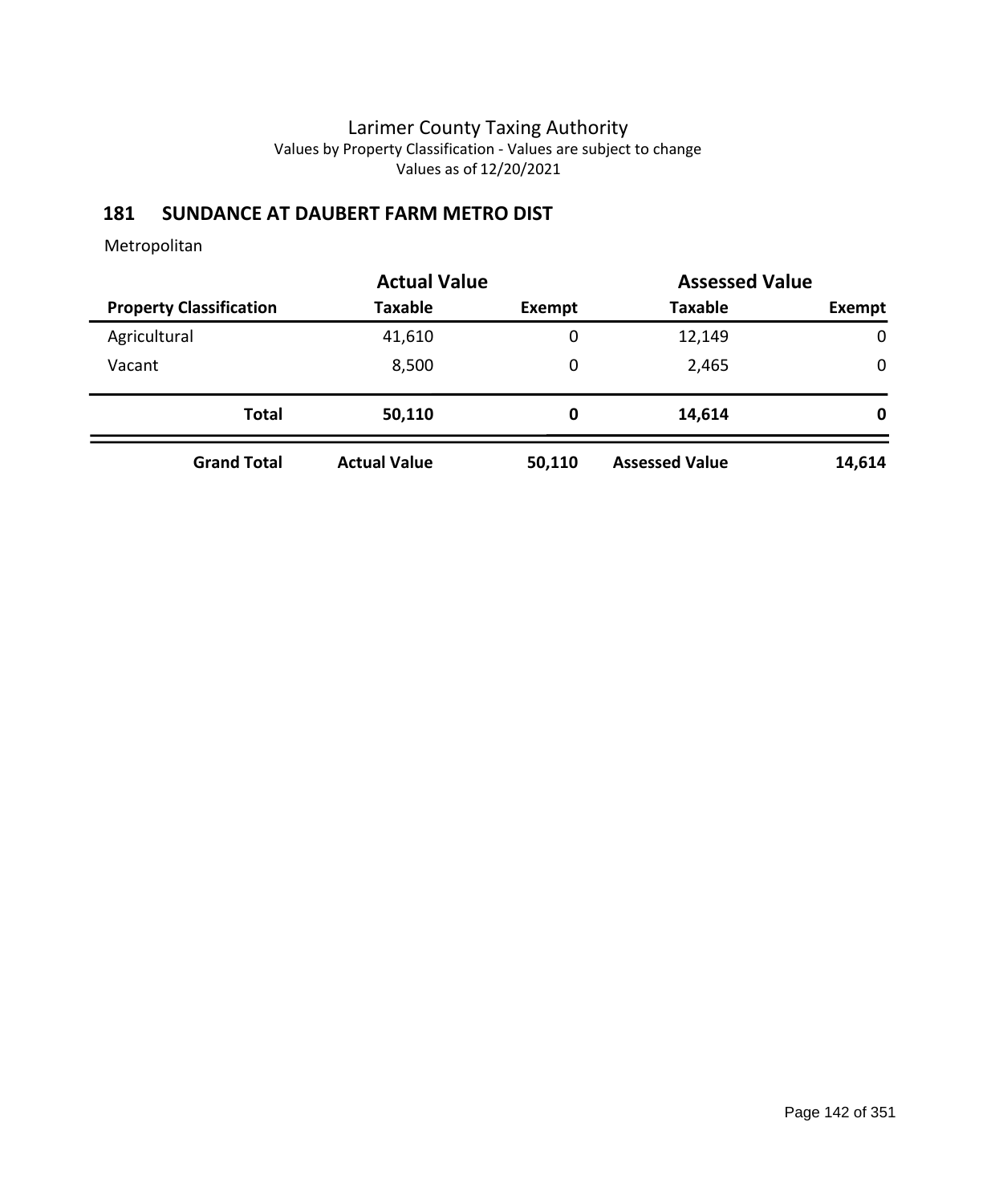# **181 SUNDANCE AT DAUBERT FARM METRO DIST**

|                                |                     | <b>Actual Value</b> |                       | <b>Assessed Value</b> |
|--------------------------------|---------------------|---------------------|-----------------------|-----------------------|
| <b>Property Classification</b> | <b>Taxable</b>      | Exempt              | <b>Taxable</b>        | Exempt                |
| Agricultural                   | 41,610              | 0                   | 12,149                | $\mathbf 0$           |
| Vacant                         | 8,500               | 0                   | 2,465                 | $\mathbf 0$           |
| <b>Total</b>                   | 50,110              | 0                   | 14,614                | 0                     |
| <b>Grand Total</b>             | <b>Actual Value</b> | 50,110              | <b>Assessed Value</b> | 14,614                |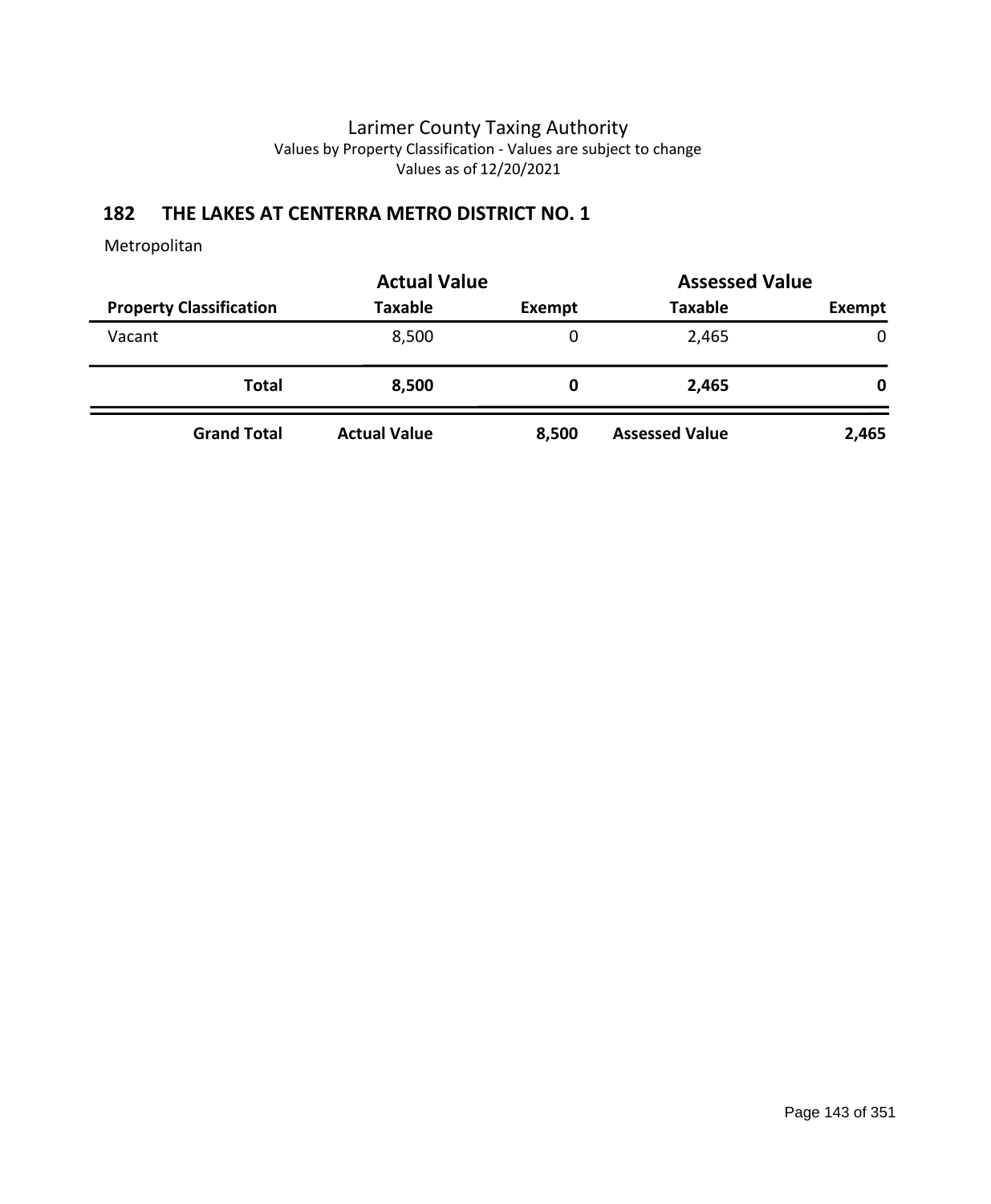## **182 THE LAKES AT CENTERRA METRO DISTRICT NO. 1**

|                                | <b>Actual Value</b> |        | <b>Assessed Value</b> |        |
|--------------------------------|---------------------|--------|-----------------------|--------|
| <b>Property Classification</b> | <b>Taxable</b>      | Exempt | <b>Taxable</b>        | Exempt |
| Vacant                         | 8,500               | 0      | 2,465                 | 0      |
| <b>Total</b>                   | 8,500               | 0      | 2,465                 | 0      |
| <b>Grand Total</b>             | <b>Actual Value</b> | 8,500  | <b>Assessed Value</b> | 2,465  |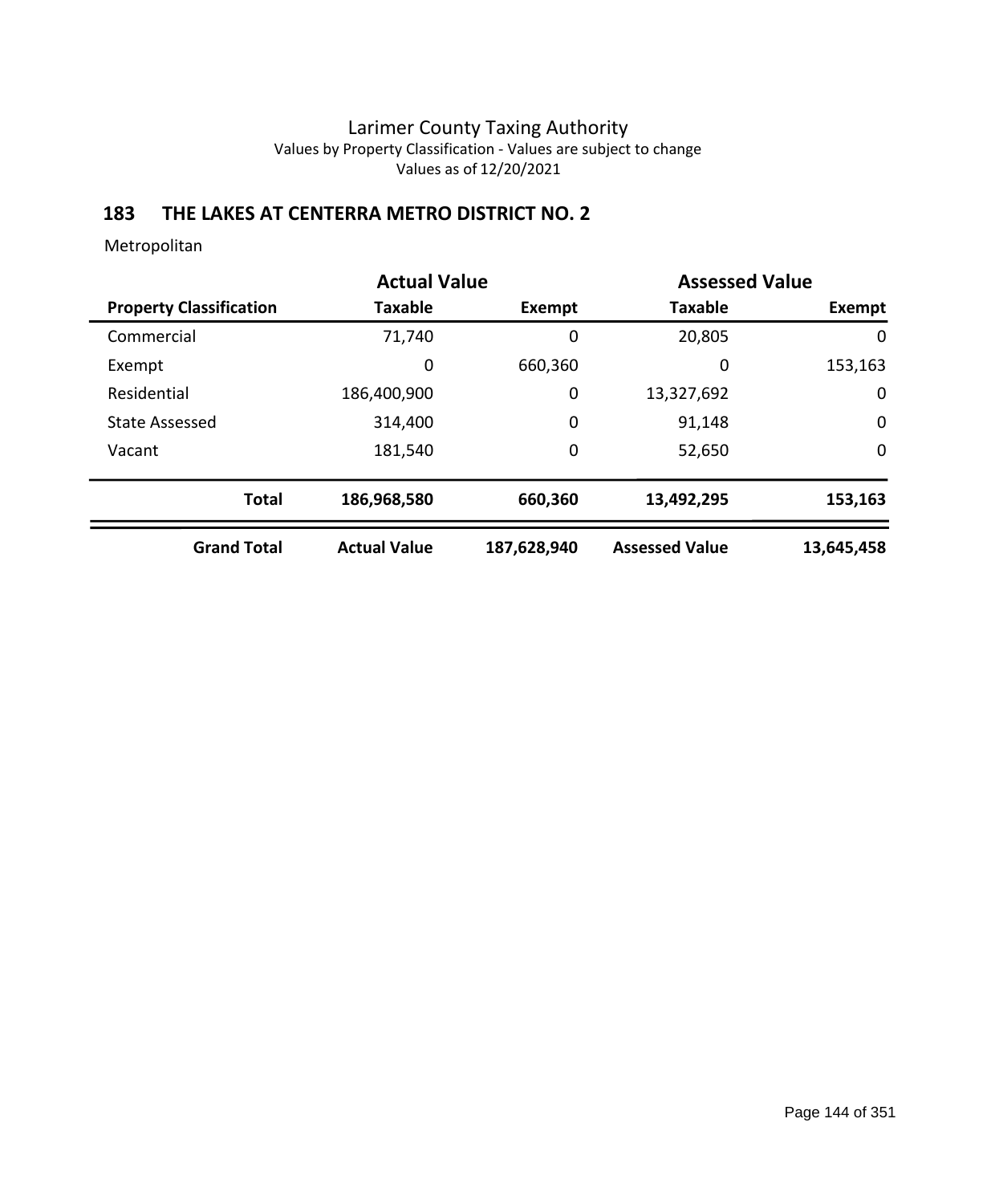## **183 THE LAKES AT CENTERRA METRO DISTRICT NO. 2**

|                                | <b>Actual Value</b> |             | <b>Assessed Value</b> |             |
|--------------------------------|---------------------|-------------|-----------------------|-------------|
| <b>Property Classification</b> | <b>Taxable</b>      | Exempt      | <b>Taxable</b>        | Exempt      |
| Commercial                     | 71,740              | 0           | 20,805                | 0           |
| Exempt                         | 0                   | 660,360     | 0                     | 153,163     |
| Residential                    | 186,400,900         | 0           | 13,327,692            | 0           |
| <b>State Assessed</b>          | 314,400             | 0           | 91,148                | $\mathbf 0$ |
| Vacant                         | 181,540             | 0           | 52,650                | $\mathbf 0$ |
| <b>Total</b>                   | 186,968,580         | 660,360     | 13,492,295            | 153,163     |
| <b>Grand Total</b>             | <b>Actual Value</b> | 187,628,940 | <b>Assessed Value</b> | 13,645,458  |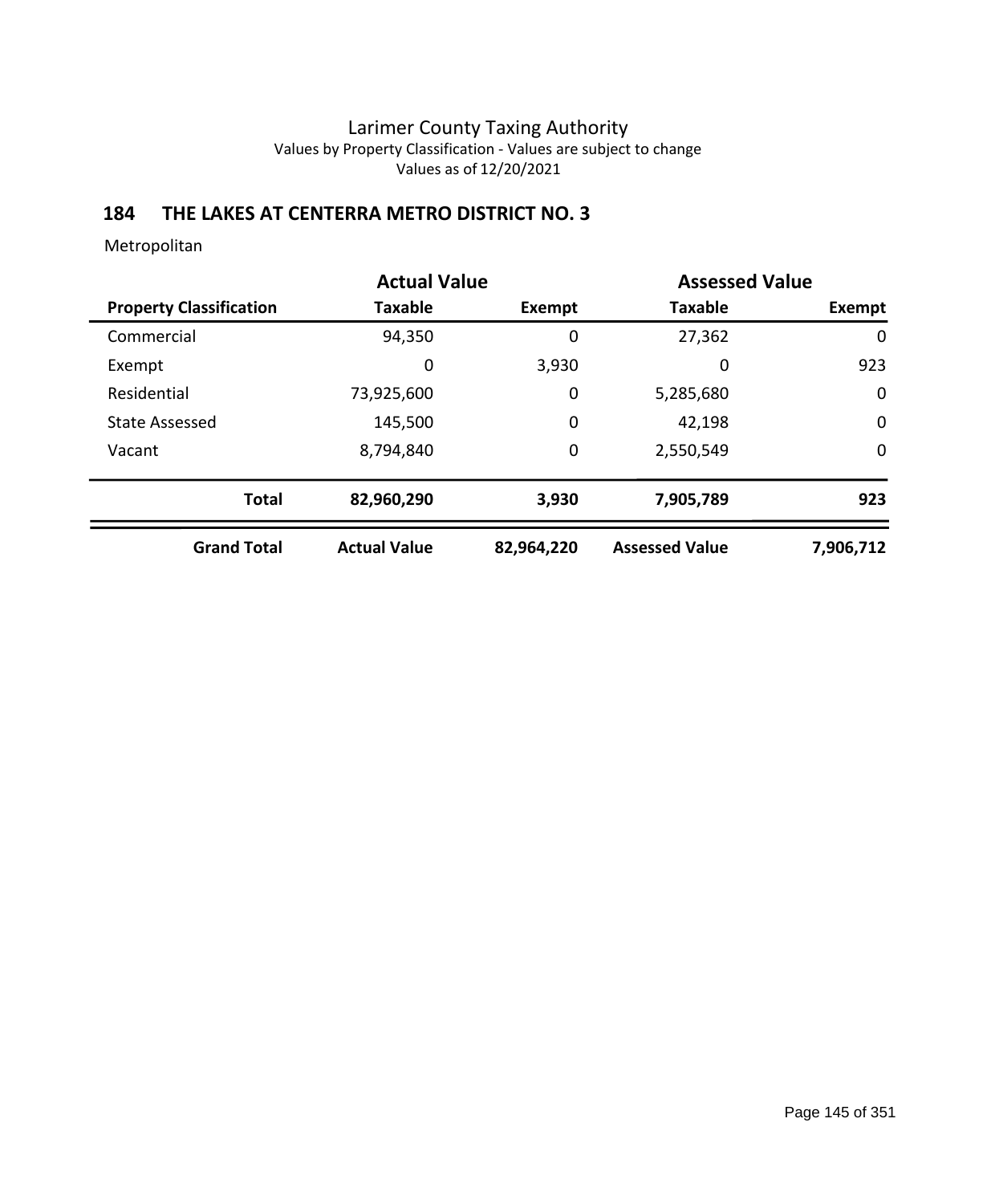## **184 THE LAKES AT CENTERRA METRO DISTRICT NO. 3**

|                                | <b>Actual Value</b> |            | <b>Assessed Value</b> |             |
|--------------------------------|---------------------|------------|-----------------------|-------------|
| <b>Property Classification</b> | <b>Taxable</b>      | Exempt     | <b>Taxable</b>        | Exempt      |
| Commercial                     | 94,350              | 0          | 27,362                | 0           |
| Exempt                         | 0                   | 3,930      | 0                     | 923         |
| Residential                    | 73,925,600          | 0          | 5,285,680             | $\mathbf 0$ |
| <b>State Assessed</b>          | 145,500             | 0          | 42,198                | $\mathbf 0$ |
| Vacant                         | 8,794,840           | 0          | 2,550,549             | $\mathbf 0$ |
| <b>Total</b>                   | 82,960,290          | 3,930      | 7,905,789             | 923         |
| <b>Grand Total</b>             | <b>Actual Value</b> | 82,964,220 | <b>Assessed Value</b> | 7,906,712   |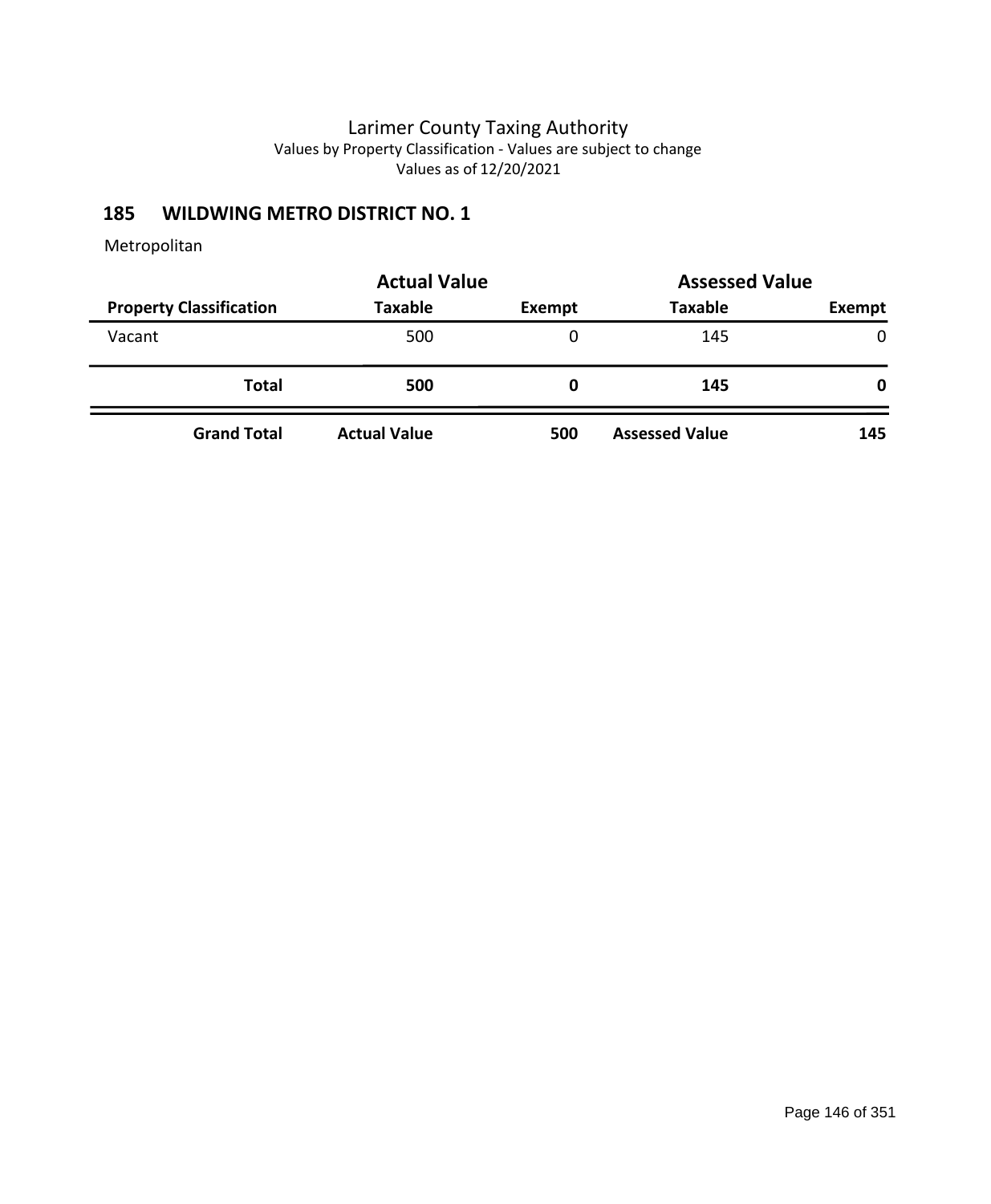## **185 WILDWING METRO DISTRICT NO. 1**

|                                | <b>Actual Value</b> |        | <b>Assessed Value</b> |               |  |
|--------------------------------|---------------------|--------|-----------------------|---------------|--|
| <b>Property Classification</b> | <b>Taxable</b>      | Exempt | <b>Taxable</b>        | <b>Exempt</b> |  |
| Vacant                         | 500                 | 0      | 145                   | $\mathbf{0}$  |  |
| <b>Total</b>                   | 500                 | 0      | 145                   | 0             |  |
| <b>Grand Total</b>             | <b>Actual Value</b> | 500    | <b>Assessed Value</b> | 145           |  |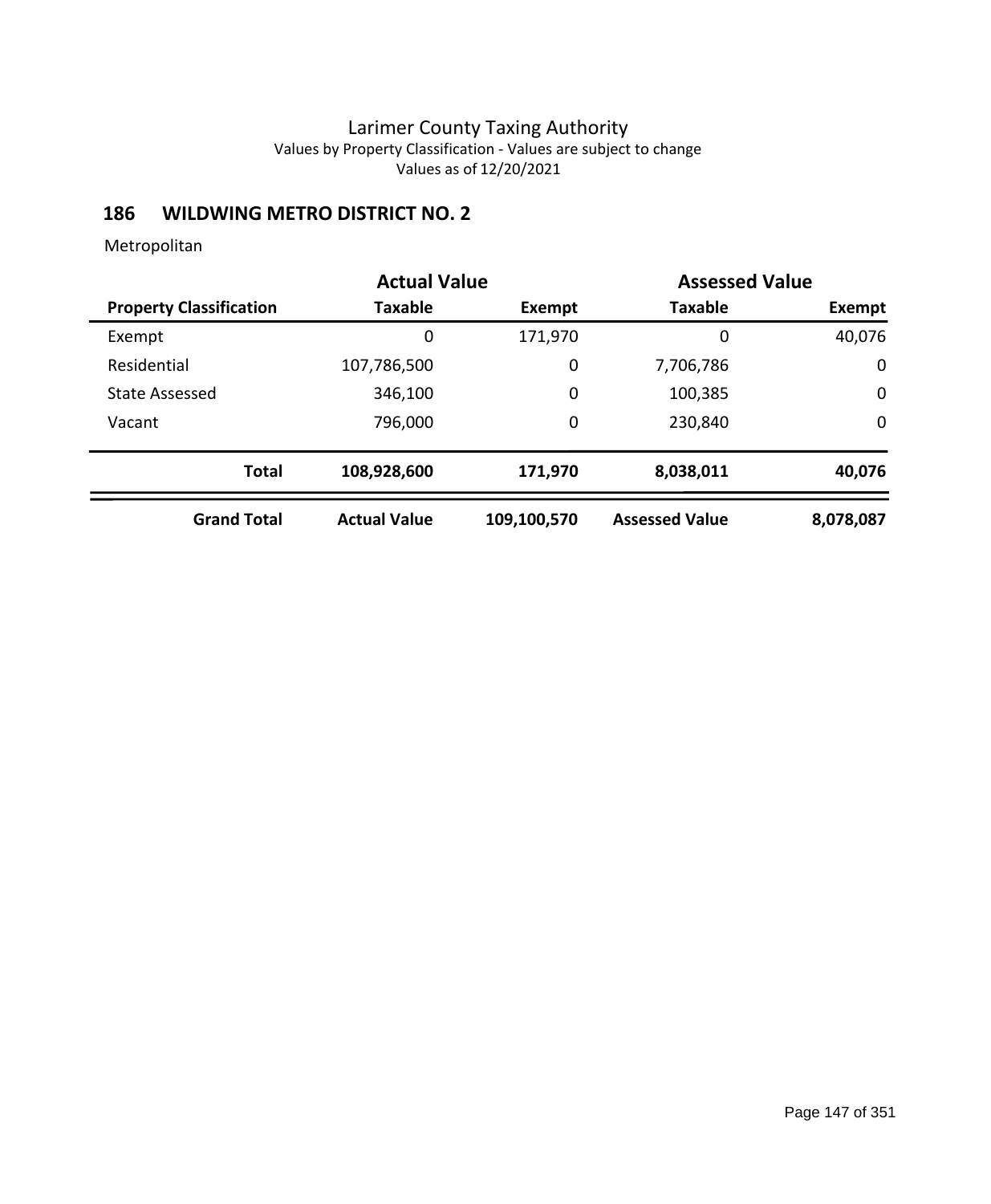# **186 WILDWING METRO DISTRICT NO. 2**

|                                |                     | <b>Actual Value</b> |                       | <b>Assessed Value</b> |  |
|--------------------------------|---------------------|---------------------|-----------------------|-----------------------|--|
| <b>Property Classification</b> | Taxable             | Exempt              | <b>Taxable</b>        | Exempt                |  |
| Exempt                         | 0                   | 171,970             | 0                     | 40,076                |  |
| Residential                    | 107,786,500         | 0                   | 7,706,786             | 0                     |  |
| <b>State Assessed</b>          | 346,100             | 0                   | 100,385               | 0                     |  |
| Vacant                         | 796,000             | 0                   | 230,840               | $\mathbf 0$           |  |
| <b>Total</b>                   | 108,928,600         | 171,970             | 8,038,011             | 40,076                |  |
| <b>Grand Total</b>             | <b>Actual Value</b> | 109,100,570         | <b>Assessed Value</b> | 8,078,087             |  |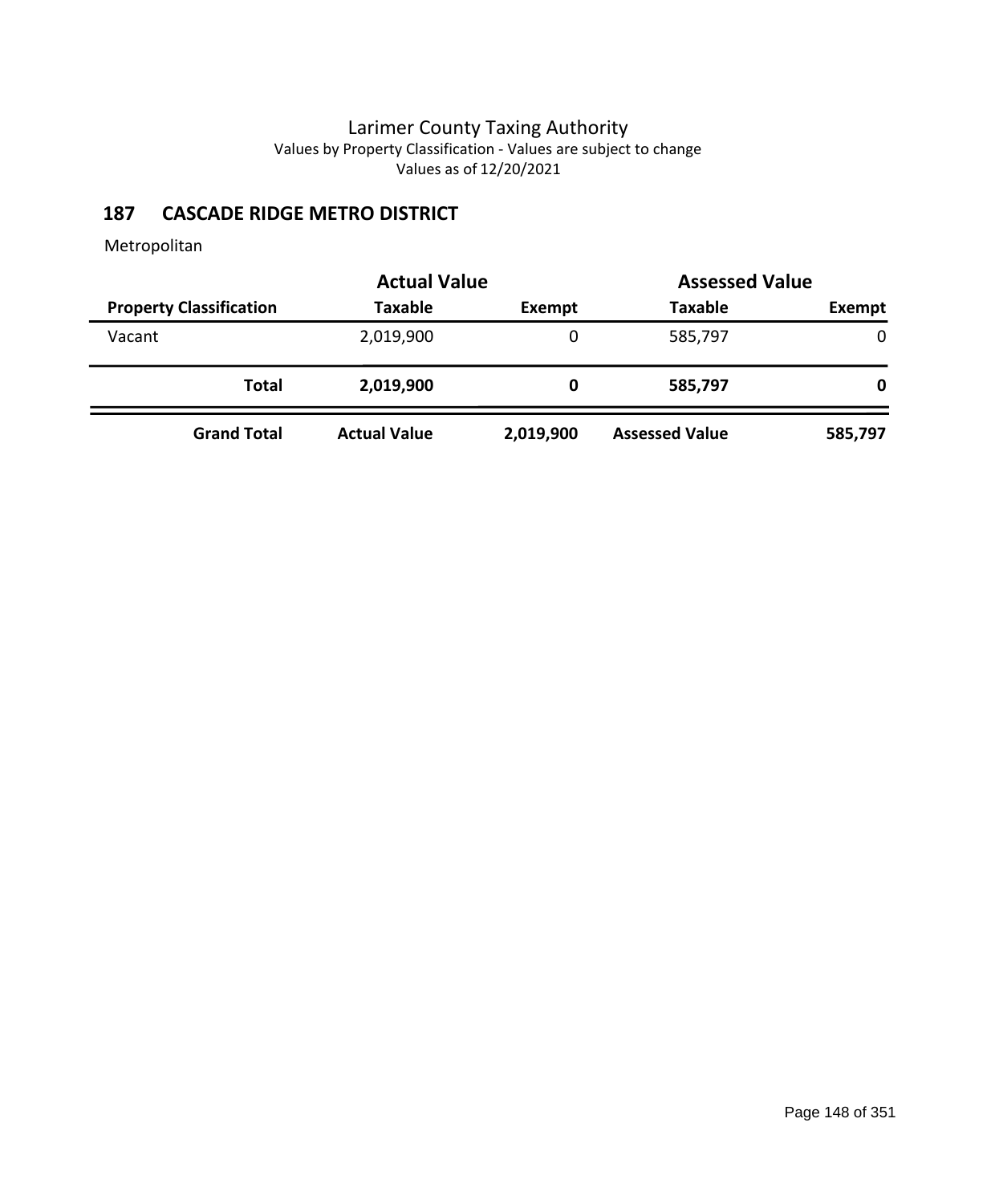# **187 CASCADE RIDGE METRO DISTRICT**

|                                | <b>Actual Value</b> |               |                       | <b>Assessed Value</b> |
|--------------------------------|---------------------|---------------|-----------------------|-----------------------|
| <b>Property Classification</b> | <b>Taxable</b>      | <b>Exempt</b> | <b>Taxable</b>        | Exempt                |
| Vacant                         | 2,019,900           | 0             | 585,797               | 0                     |
| Total                          | 2,019,900           | 0             | 585,797               | 0                     |
| <b>Grand Total</b>             | <b>Actual Value</b> | 2,019,900     | <b>Assessed Value</b> | 585,797               |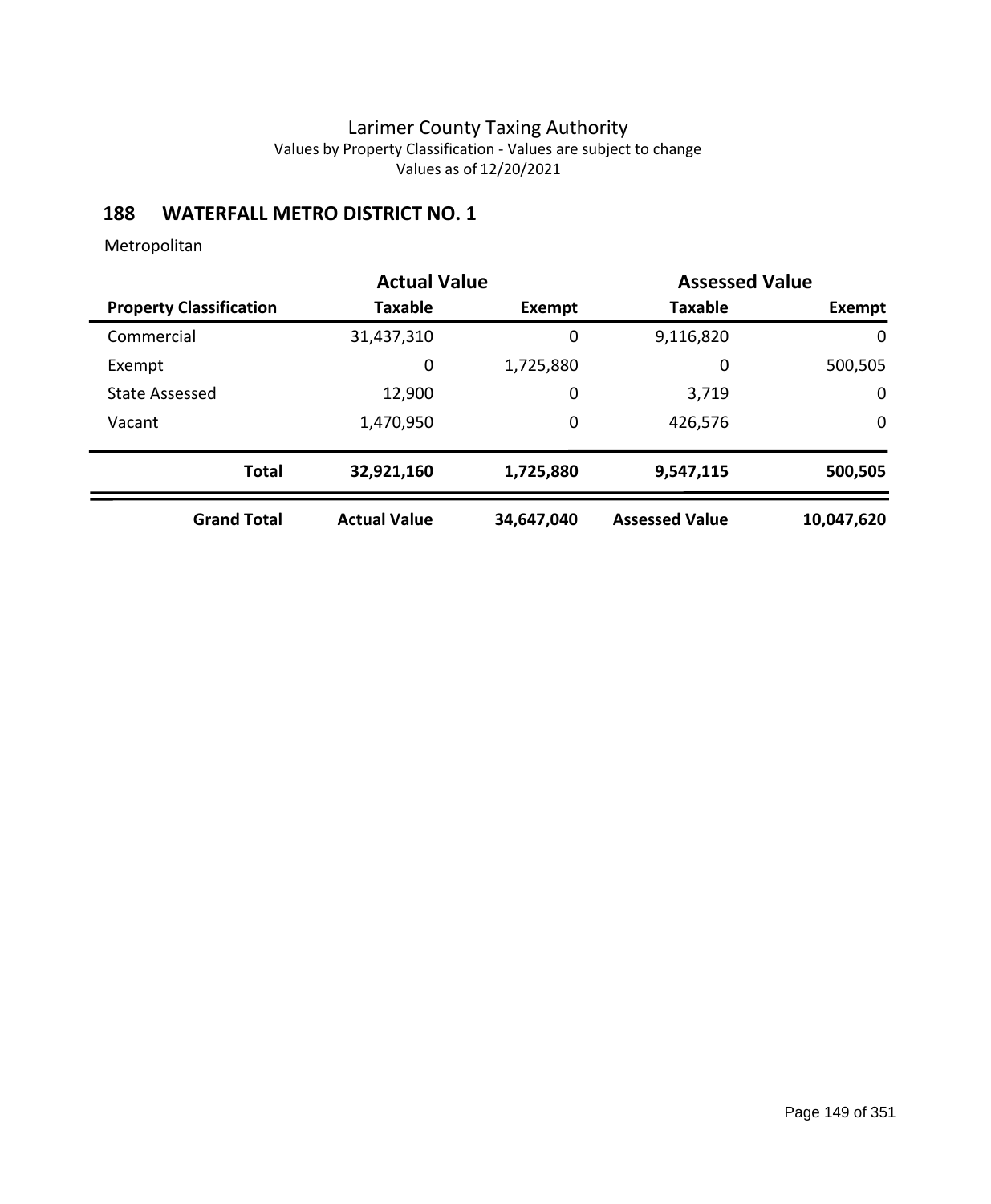# **188 WATERFALL METRO DISTRICT NO. 1**

|                                | <b>Actual Value</b> | <b>Assessed Value</b> |                       |              |
|--------------------------------|---------------------|-----------------------|-----------------------|--------------|
| <b>Property Classification</b> | <b>Taxable</b>      | <b>Exempt</b>         | <b>Taxable</b>        | Exempt       |
| Commercial                     | 31,437,310          | 0                     | 9,116,820             | $\mathbf{0}$ |
| Exempt                         | 0                   | 1,725,880             | 0                     | 500,505      |
| <b>State Assessed</b>          | 12,900              | 0                     | 3,719                 | $\mathbf 0$  |
| Vacant                         | 1,470,950           | 0                     | 426,576               | $\mathbf 0$  |
| <b>Total</b>                   | 32,921,160          | 1,725,880             | 9,547,115             | 500,505      |
| <b>Grand Total</b>             | <b>Actual Value</b> | 34,647,040            | <b>Assessed Value</b> | 10,047,620   |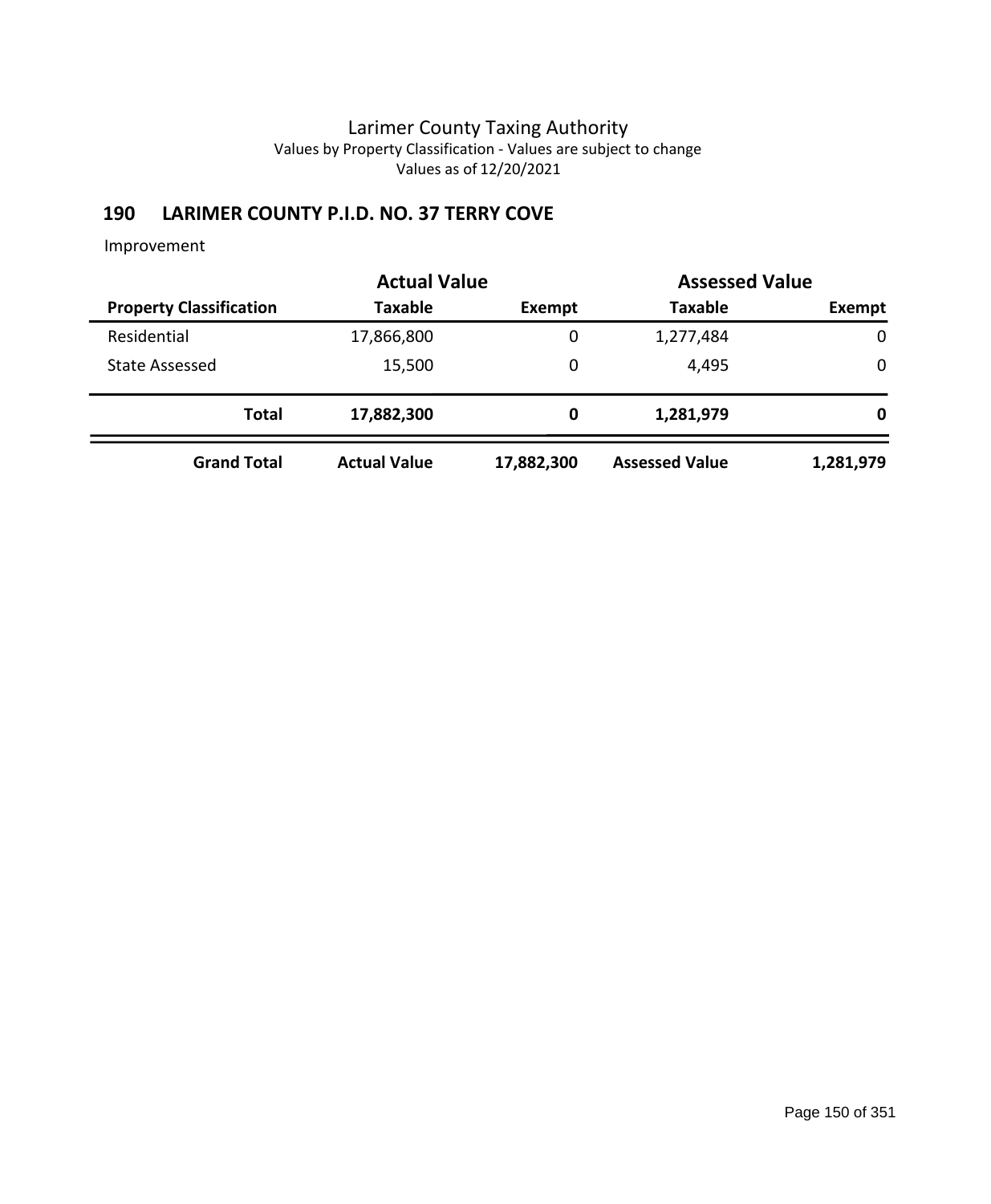# **190 LARIMER COUNTY P.I.D. NO. 37 TERRY COVE**

|                                | <b>Actual Value</b> |            | <b>Assessed Value</b> |             |
|--------------------------------|---------------------|------------|-----------------------|-------------|
| <b>Property Classification</b> | <b>Taxable</b>      | Exempt     | <b>Taxable</b>        | Exempt      |
| Residential                    | 17,866,800          | 0          | 1,277,484             | $\mathbf 0$ |
| <b>State Assessed</b>          | 15,500              | 0          | 4,495                 | $\mathbf 0$ |
| <b>Total</b>                   | 17,882,300          | 0          | 1,281,979             | 0           |
| <b>Grand Total</b>             | <b>Actual Value</b> | 17,882,300 | <b>Assessed Value</b> | 1,281,979   |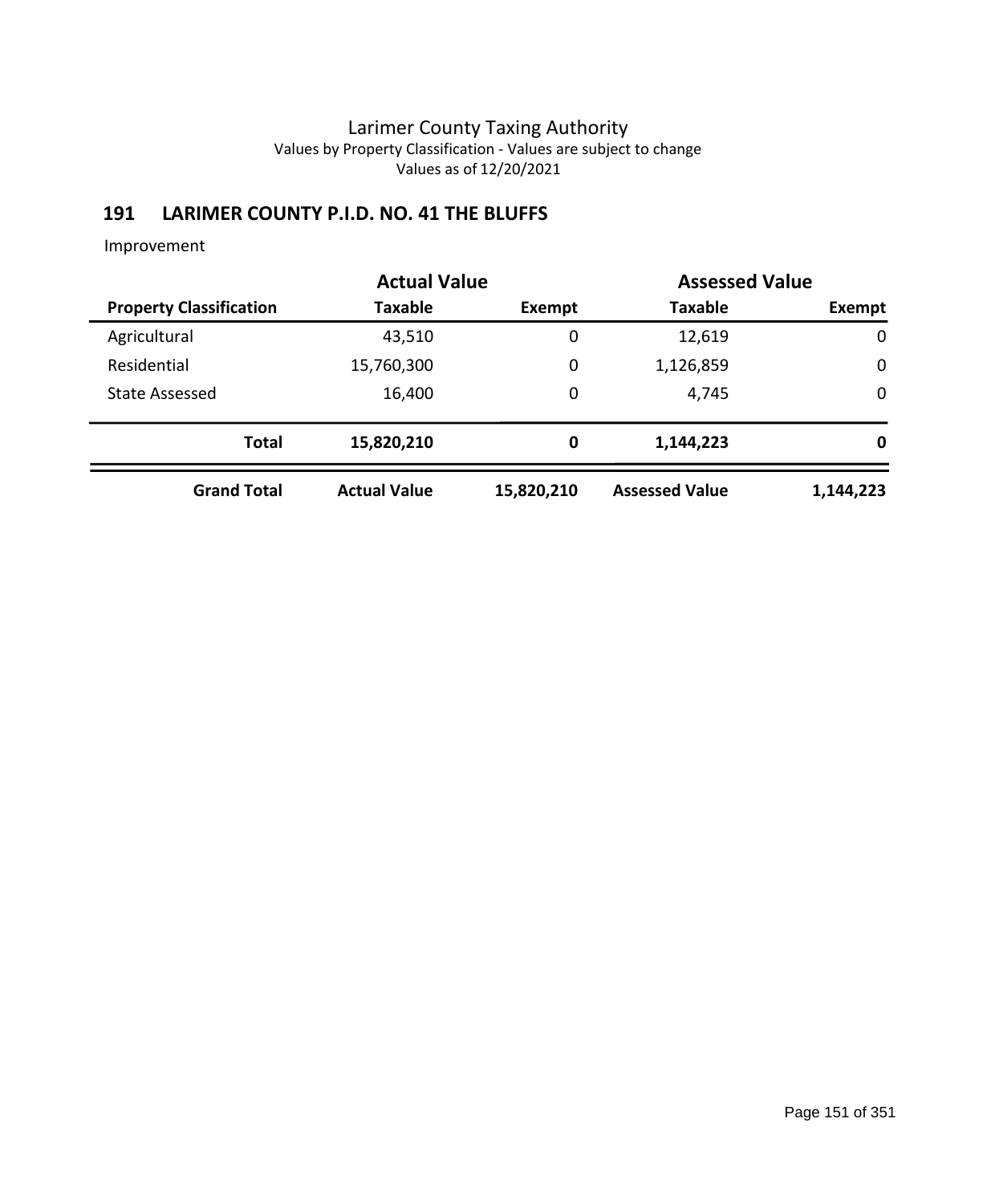# **191 LARIMER COUNTY P.I.D. NO. 41 THE BLUFFS**

|                                | <b>Actual Value</b> | <b>Assessed Value</b> |                       |             |  |
|--------------------------------|---------------------|-----------------------|-----------------------|-------------|--|
| <b>Property Classification</b> | Taxable             | Exempt                | <b>Taxable</b>        | Exempt      |  |
| Agricultural                   | 43,510              | 0                     | 12,619                | $\mathbf 0$ |  |
| Residential                    | 15,760,300          | 0                     | 1,126,859             | 0           |  |
| <b>State Assessed</b>          | 16,400              | 0                     | 4,745                 | $\mathbf 0$ |  |
| <b>Total</b>                   | 15,820,210          | 0                     | 1,144,223             | 0           |  |
| <b>Grand Total</b>             | <b>Actual Value</b> | 15,820,210            | <b>Assessed Value</b> | 1,144,223   |  |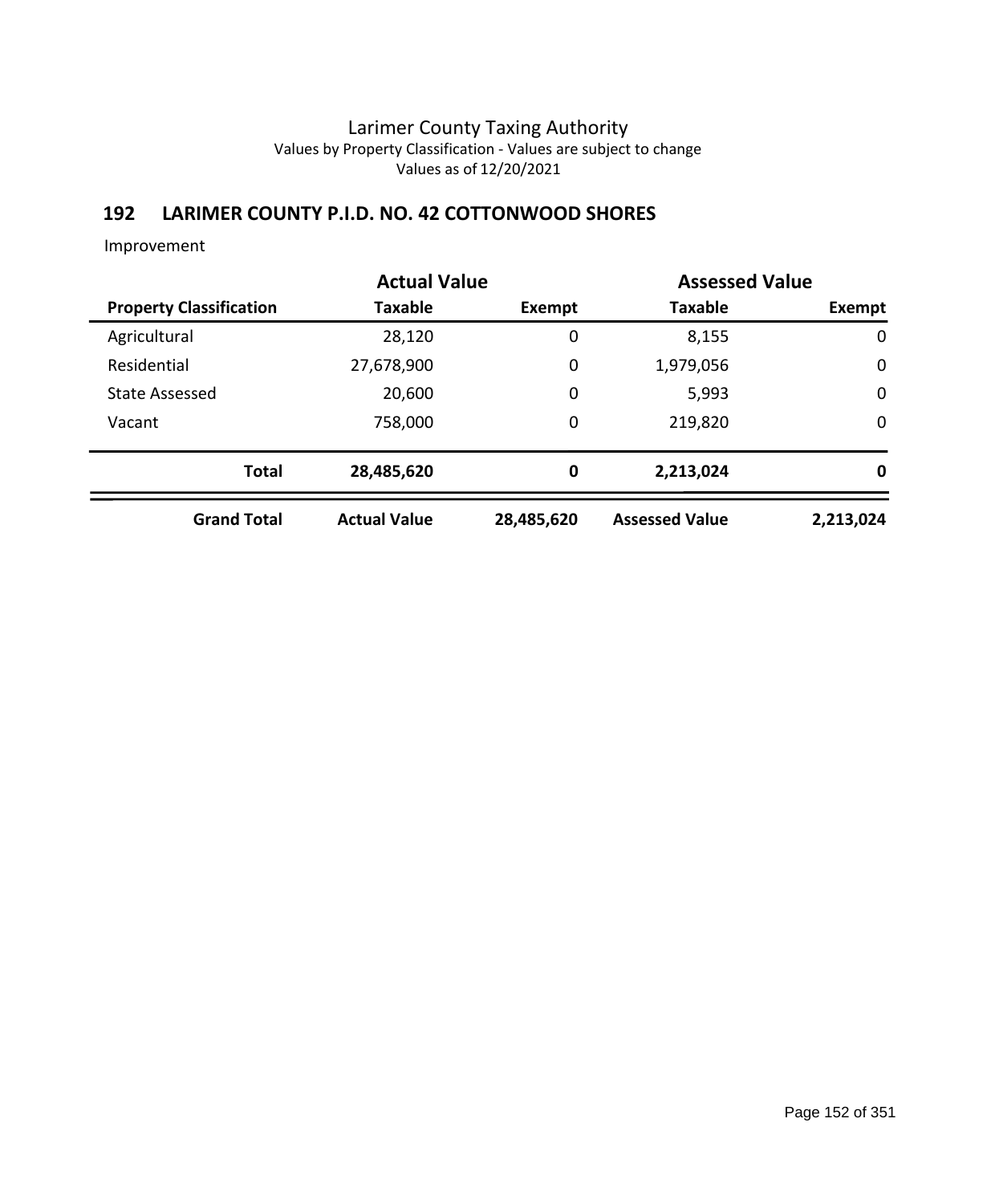## **192 LARIMER COUNTY P.I.D. NO. 42 COTTONWOOD SHORES**

|                                |                     | <b>Actual Value</b><br><b>Assessed Value</b> |                       |             |  |
|--------------------------------|---------------------|----------------------------------------------|-----------------------|-------------|--|
| <b>Property Classification</b> | Taxable             | Exempt                                       | <b>Taxable</b>        | Exempt      |  |
| Agricultural                   | 28,120              | 0                                            | 8,155                 | $\mathbf 0$ |  |
| Residential                    | 27,678,900          | 0                                            | 1,979,056             | $\mathbf 0$ |  |
| <b>State Assessed</b>          | 20,600              | 0                                            | 5,993                 | $\mathbf 0$ |  |
| Vacant                         | 758,000             | 0                                            | 219,820               | $\mathbf 0$ |  |
| <b>Total</b>                   | 28,485,620          | 0                                            | 2,213,024             | $\mathbf 0$ |  |
| <b>Grand Total</b>             | <b>Actual Value</b> | 28,485,620                                   | <b>Assessed Value</b> | 2,213,024   |  |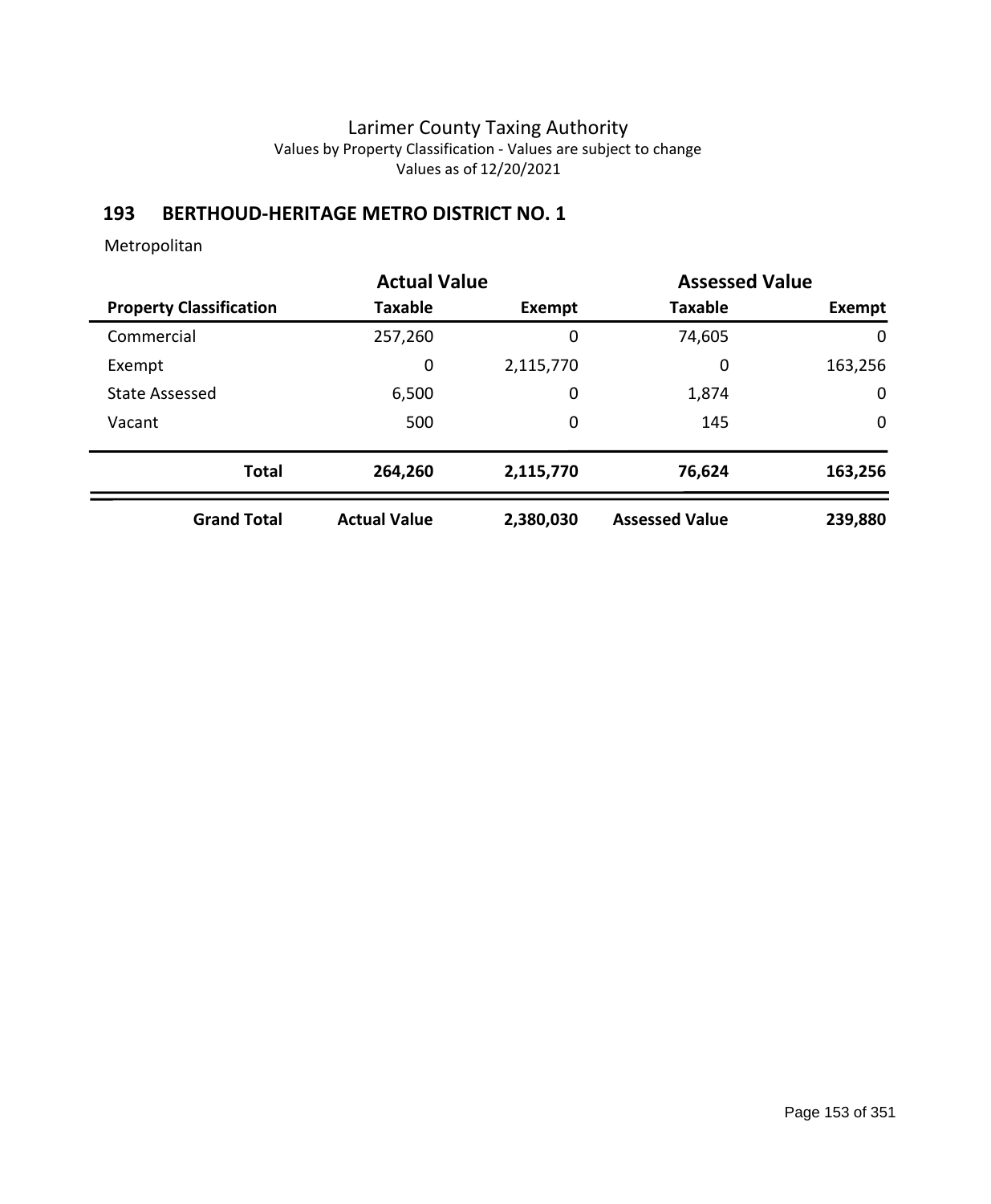## **193 BERTHOUD-HERITAGE METRO DISTRICT NO. 1**

|                                |                     | <b>Actual Value</b> |                       | <b>Assessed Value</b> |
|--------------------------------|---------------------|---------------------|-----------------------|-----------------------|
| <b>Property Classification</b> | Taxable             | <b>Exempt</b>       | <b>Taxable</b>        | Exempt                |
| Commercial                     | 257,260             | 0                   | 74,605                | $\mathbf{0}$          |
| Exempt                         | 0                   | 2,115,770           | 0                     | 163,256               |
| <b>State Assessed</b>          | 6,500               | 0                   | 1,874                 | $\mathbf 0$           |
| Vacant                         | 500                 | 0                   | 145                   | $\mathbf 0$           |
| <b>Total</b>                   | 264,260             | 2,115,770           | 76,624                | 163,256               |
| <b>Grand Total</b>             | <b>Actual Value</b> | 2,380,030           | <b>Assessed Value</b> | 239,880               |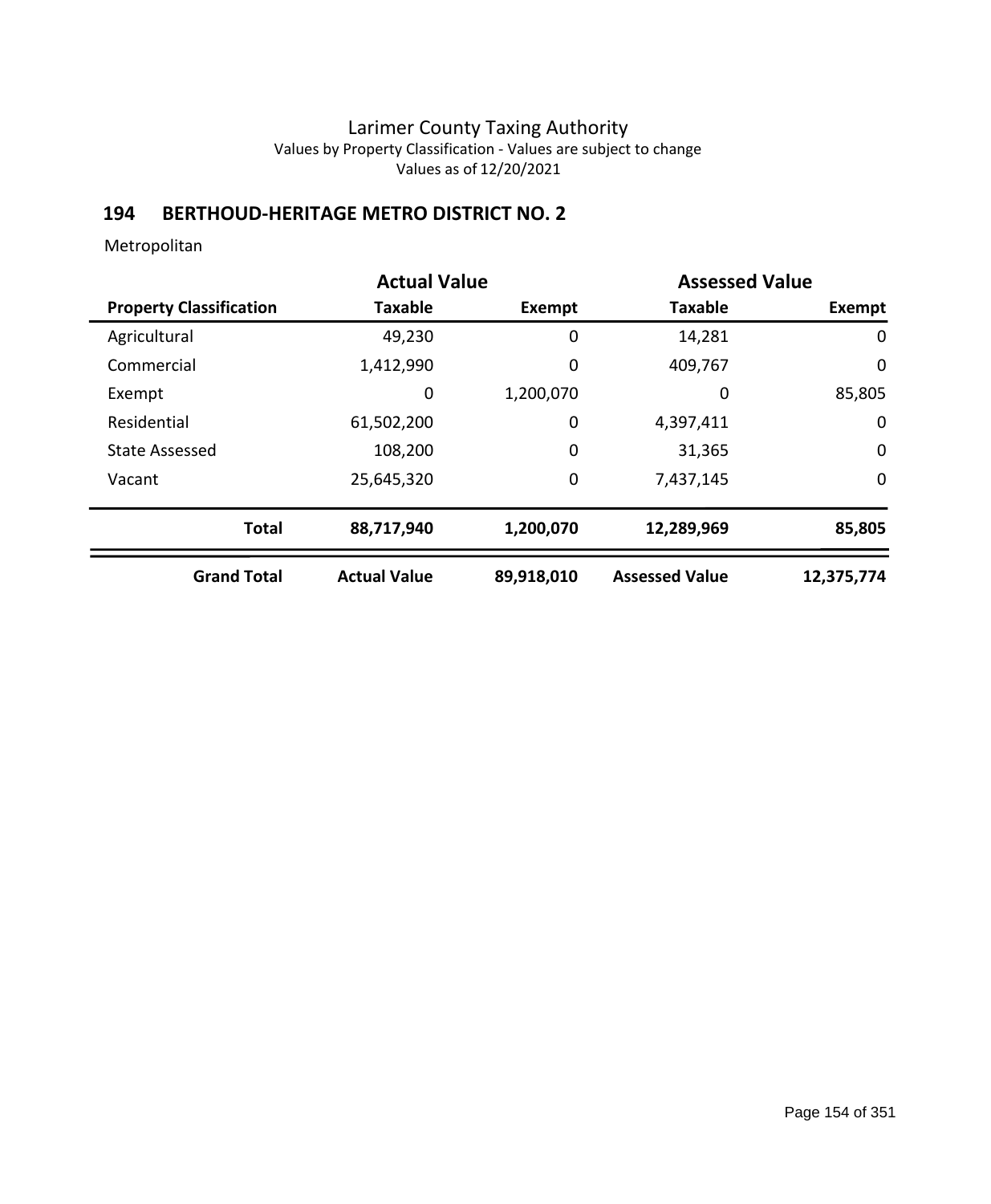# **194 BERTHOUD-HERITAGE METRO DISTRICT NO. 2**

|                                |                     | <b>Actual Value</b> |                       | <b>Assessed Value</b> |  |
|--------------------------------|---------------------|---------------------|-----------------------|-----------------------|--|
| <b>Property Classification</b> | <b>Taxable</b>      | Exempt              | <b>Taxable</b>        | Exempt                |  |
| Agricultural                   | 49,230              | 0                   | 14,281                | 0                     |  |
| Commercial                     | 1,412,990           | 0                   | 409,767               | 0                     |  |
| Exempt                         | 0                   | 1,200,070           | 0                     | 85,805                |  |
| Residential                    | 61,502,200          | 0                   | 4,397,411             | 0                     |  |
| <b>State Assessed</b>          | 108,200             | 0                   | 31,365                | $\mathbf 0$           |  |
| Vacant                         | 25,645,320          | 0                   | 7,437,145             | $\mathbf 0$           |  |
| <b>Total</b>                   | 88,717,940          | 1,200,070           | 12,289,969            | 85,805                |  |
| <b>Grand Total</b>             | <b>Actual Value</b> | 89,918,010          | <b>Assessed Value</b> | 12,375,774            |  |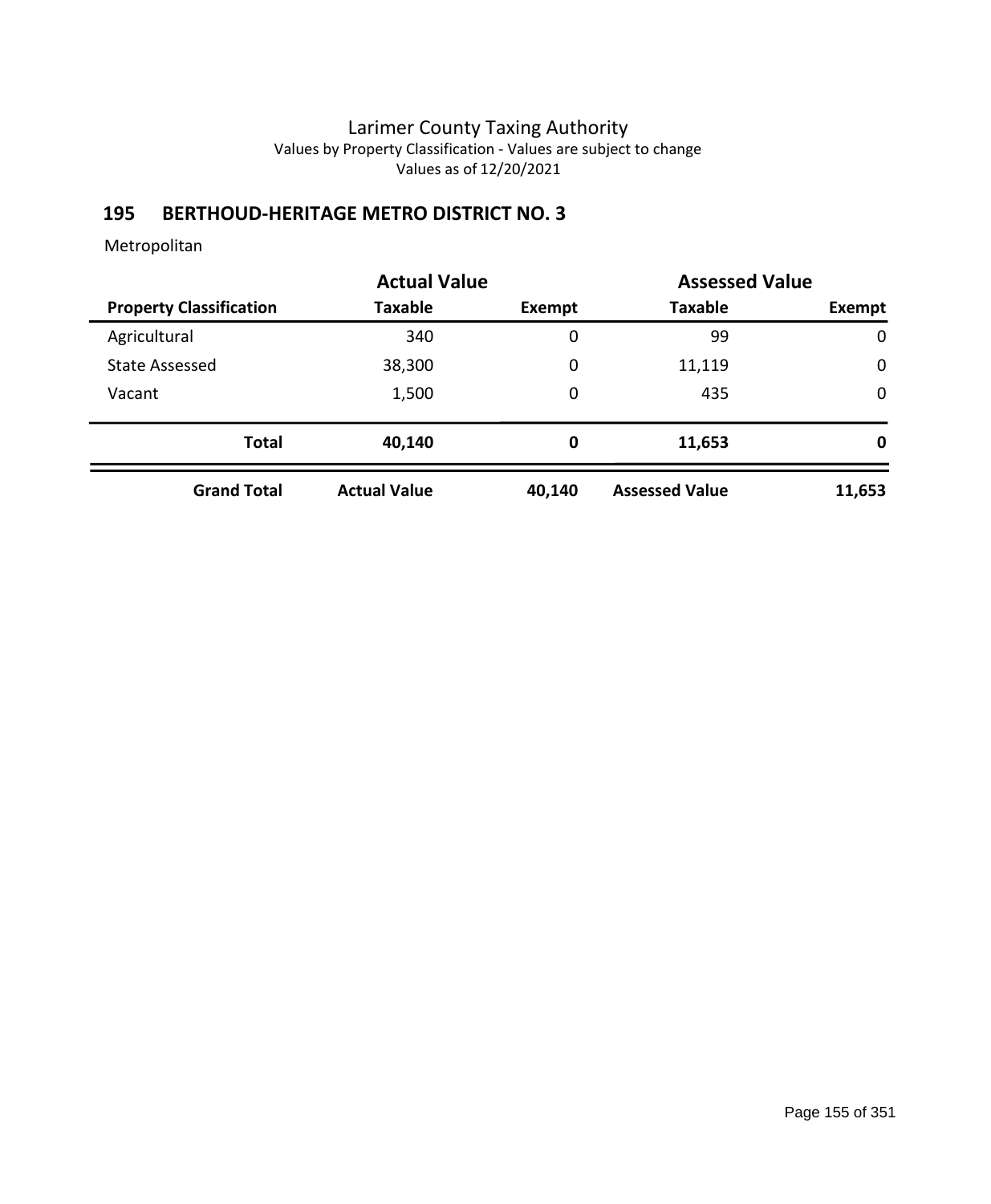# **195 BERTHOUD-HERITAGE METRO DISTRICT NO. 3**

|                                |                     | <b>Actual Value</b> |                       | <b>Assessed Value</b> |  |
|--------------------------------|---------------------|---------------------|-----------------------|-----------------------|--|
| <b>Property Classification</b> | Taxable             | Exempt              | <b>Taxable</b>        | Exempt                |  |
| Agricultural                   | 340                 | 0                   | 99                    | 0                     |  |
| <b>State Assessed</b>          | 38,300              | 0                   | 11,119                | $\mathbf 0$           |  |
| Vacant                         | 1,500               | 0                   | 435                   | $\mathbf 0$           |  |
| <b>Total</b>                   | 40,140              | 0                   | 11,653                | 0                     |  |
| <b>Grand Total</b>             | <b>Actual Value</b> | 40,140              | <b>Assessed Value</b> | 11,653                |  |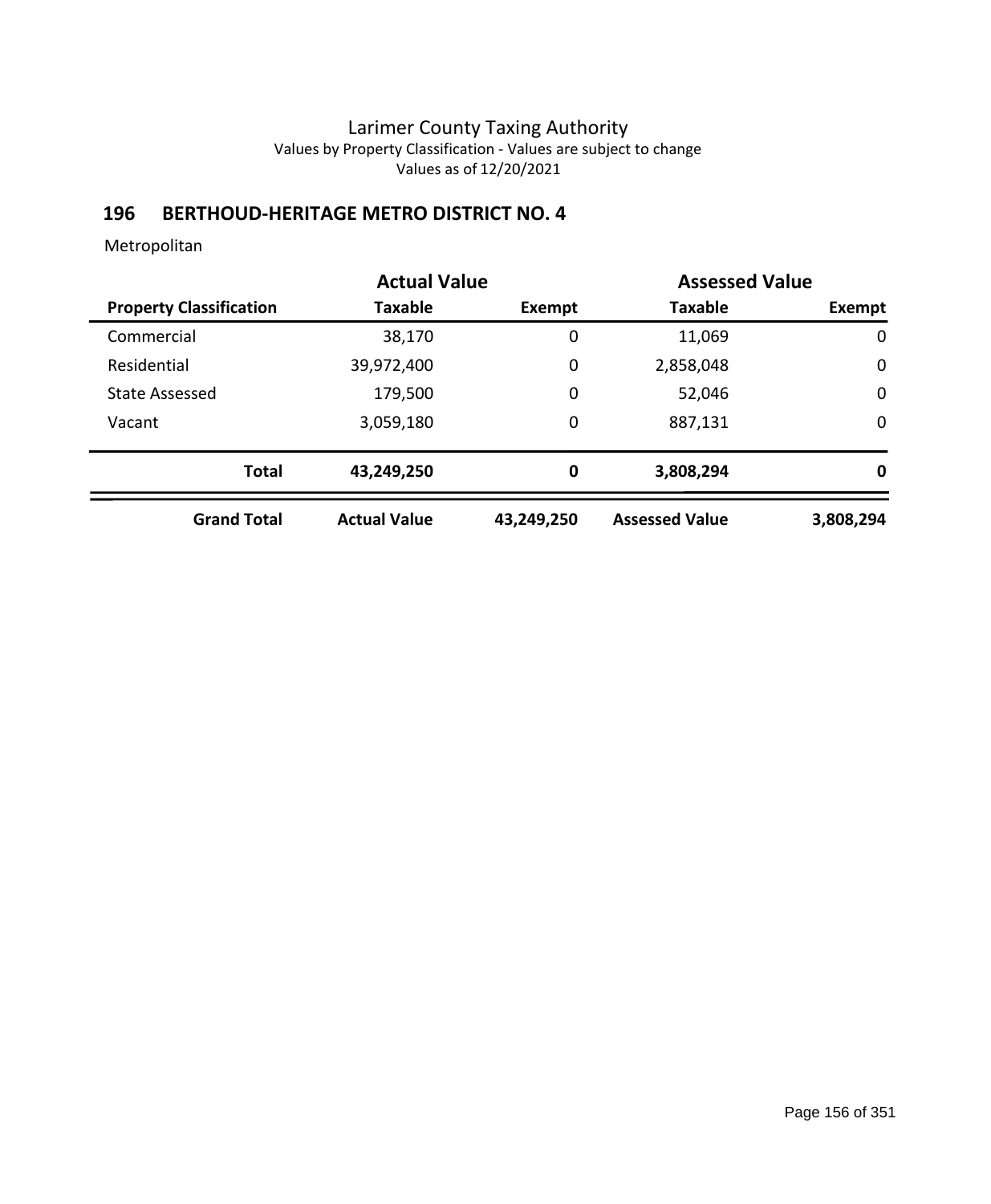# **196 BERTHOUD-HERITAGE METRO DISTRICT NO. 4**

|                                | <b>Actual Value</b> |            | <b>Assessed Value</b> |             |
|--------------------------------|---------------------|------------|-----------------------|-------------|
| <b>Property Classification</b> | Taxable             | Exempt     | <b>Taxable</b>        | Exempt      |
| Commercial                     | 38,170              | 0          | 11,069                | 0           |
| Residential                    | 39,972,400          | 0          | 2,858,048             | 0           |
| <b>State Assessed</b>          | 179,500             | 0          | 52,046                | $\mathbf 0$ |
| Vacant                         | 3,059,180           | 0          | 887,131               | $\mathbf 0$ |
| <b>Total</b>                   | 43,249,250          | 0          | 3,808,294             | 0           |
| <b>Grand Total</b>             | <b>Actual Value</b> | 43,249,250 | <b>Assessed Value</b> | 3,808,294   |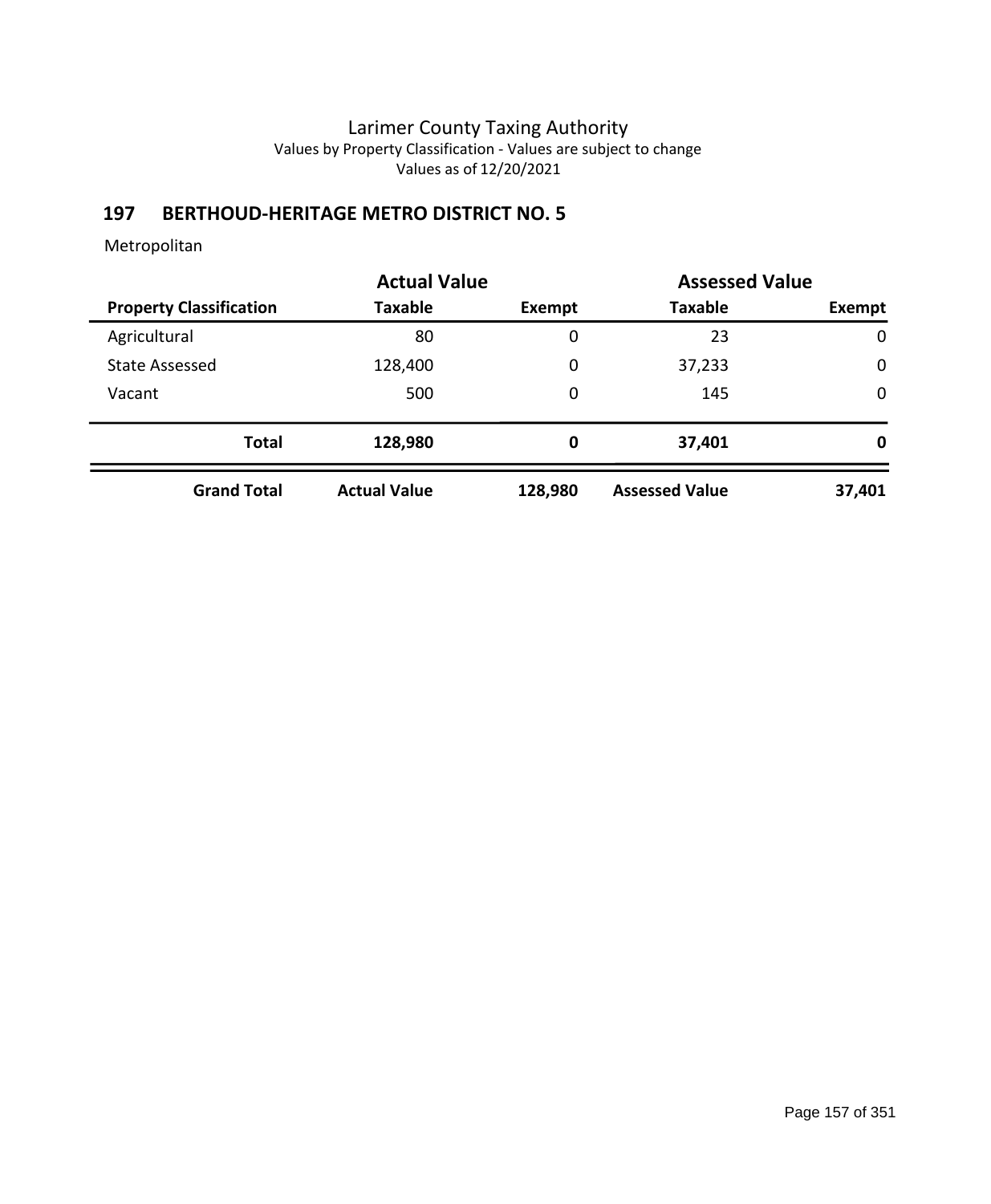# **197 BERTHOUD-HERITAGE METRO DISTRICT NO. 5**

|                                | <b>Actual Value</b> |         | <b>Assessed Value</b> |             |
|--------------------------------|---------------------|---------|-----------------------|-------------|
| <b>Property Classification</b> | <b>Taxable</b>      | Exempt  | <b>Taxable</b>        | Exempt      |
| Agricultural                   | 80                  | 0       | 23                    | $\mathbf 0$ |
| <b>State Assessed</b>          | 128,400             | 0       | 37,233                | $\mathbf 0$ |
| Vacant                         | 500                 | 0       | 145                   | $\mathbf 0$ |
| <b>Total</b>                   | 128,980             | 0       | 37,401                | 0           |
| <b>Grand Total</b>             | <b>Actual Value</b> | 128,980 | <b>Assessed Value</b> | 37,401      |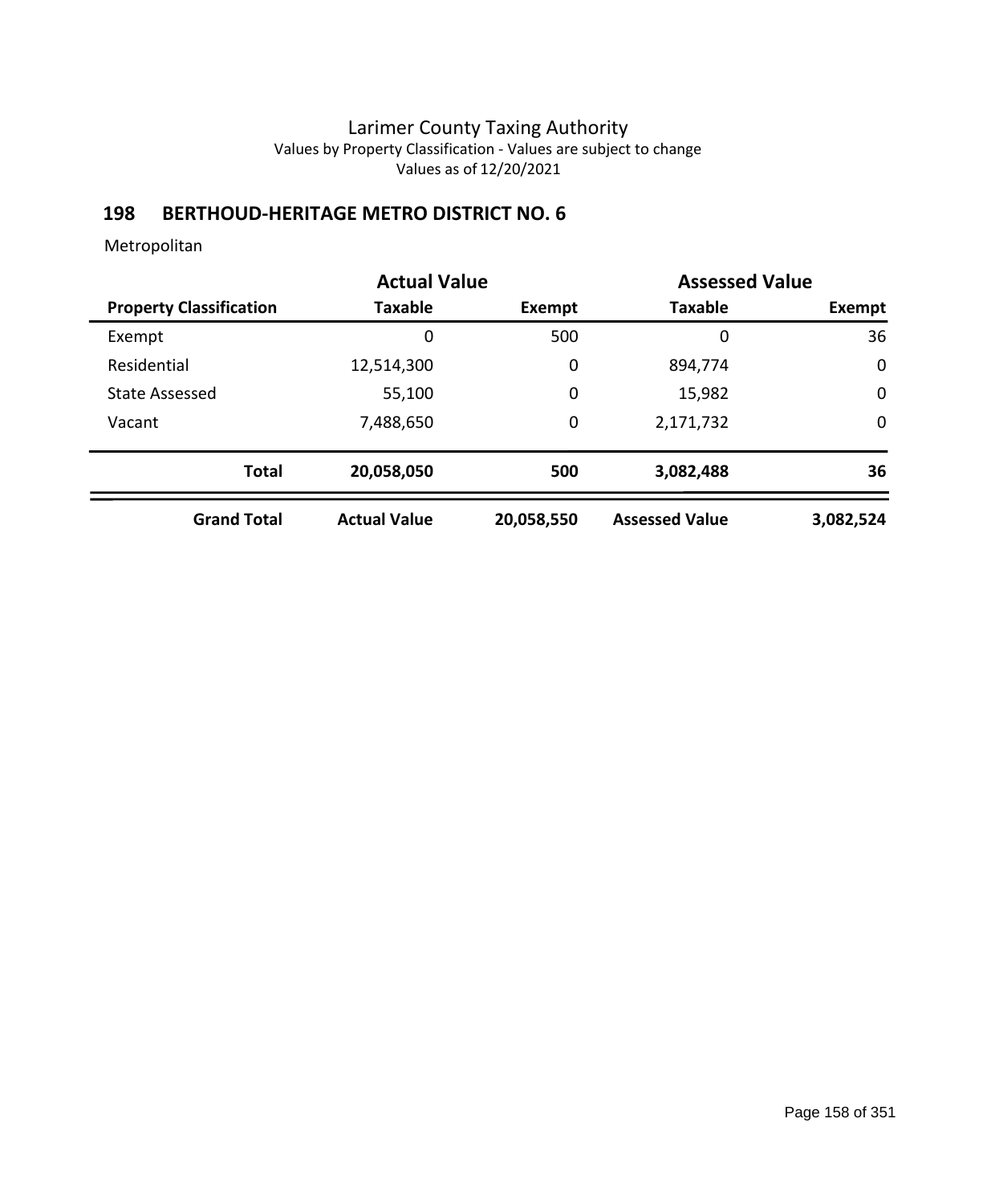## **198 BERTHOUD-HERITAGE METRO DISTRICT NO. 6**

|                                |                     | <b>Actual Value</b> |                       | <b>Assessed Value</b> |
|--------------------------------|---------------------|---------------------|-----------------------|-----------------------|
| <b>Property Classification</b> | <b>Taxable</b>      | Exempt              | <b>Taxable</b>        | Exempt                |
| Exempt                         | 0                   | 500                 | 0                     | 36                    |
| Residential                    | 12,514,300          | 0                   | 894,774               | $\mathbf 0$           |
| State Assessed                 | 55,100              | 0                   | 15,982                | $\mathbf 0$           |
| Vacant                         | 7,488,650           | 0                   | 2,171,732             | $\mathbf 0$           |
| <b>Total</b>                   | 20,058,050          | 500                 | 3,082,488             | 36                    |
| <b>Grand Total</b>             | <b>Actual Value</b> | 20,058,550          | <b>Assessed Value</b> | 3,082,524             |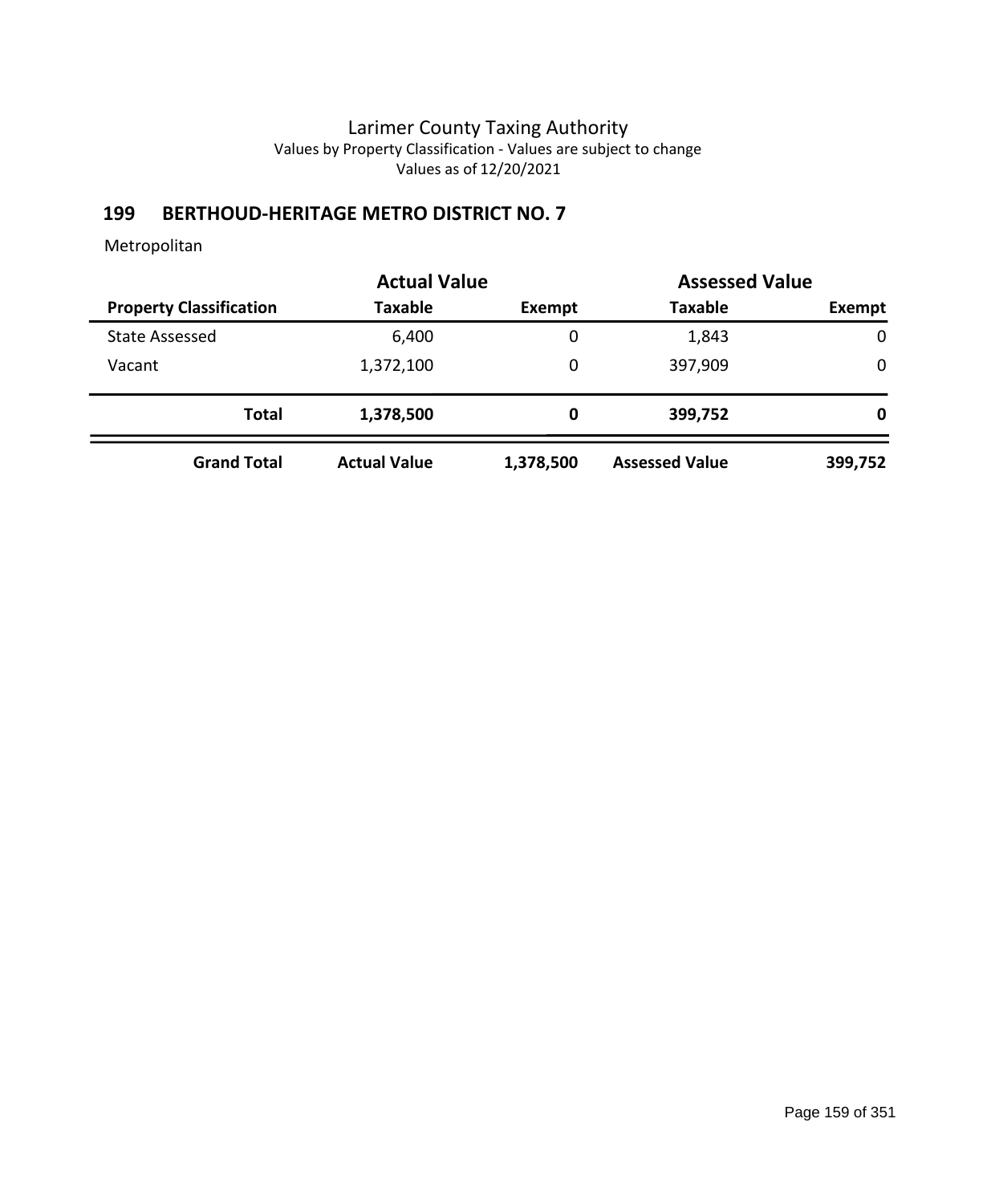# **199 BERTHOUD-HERITAGE METRO DISTRICT NO. 7**

|                                |                     | <b>Actual Value</b> |                       | <b>Assessed Value</b> |  |
|--------------------------------|---------------------|---------------------|-----------------------|-----------------------|--|
| <b>Property Classification</b> | <b>Taxable</b>      | Exempt              | <b>Taxable</b>        | Exempt                |  |
| <b>State Assessed</b>          | 6,400               | 0                   | 1,843                 | $\mathbf 0$           |  |
| Vacant                         | 1,372,100           | 0                   | 397,909               | 0                     |  |
| <b>Total</b>                   | 1,378,500           | 0                   | 399,752               | 0                     |  |
| <b>Grand Total</b>             | <b>Actual Value</b> | 1,378,500           | <b>Assessed Value</b> | 399,752               |  |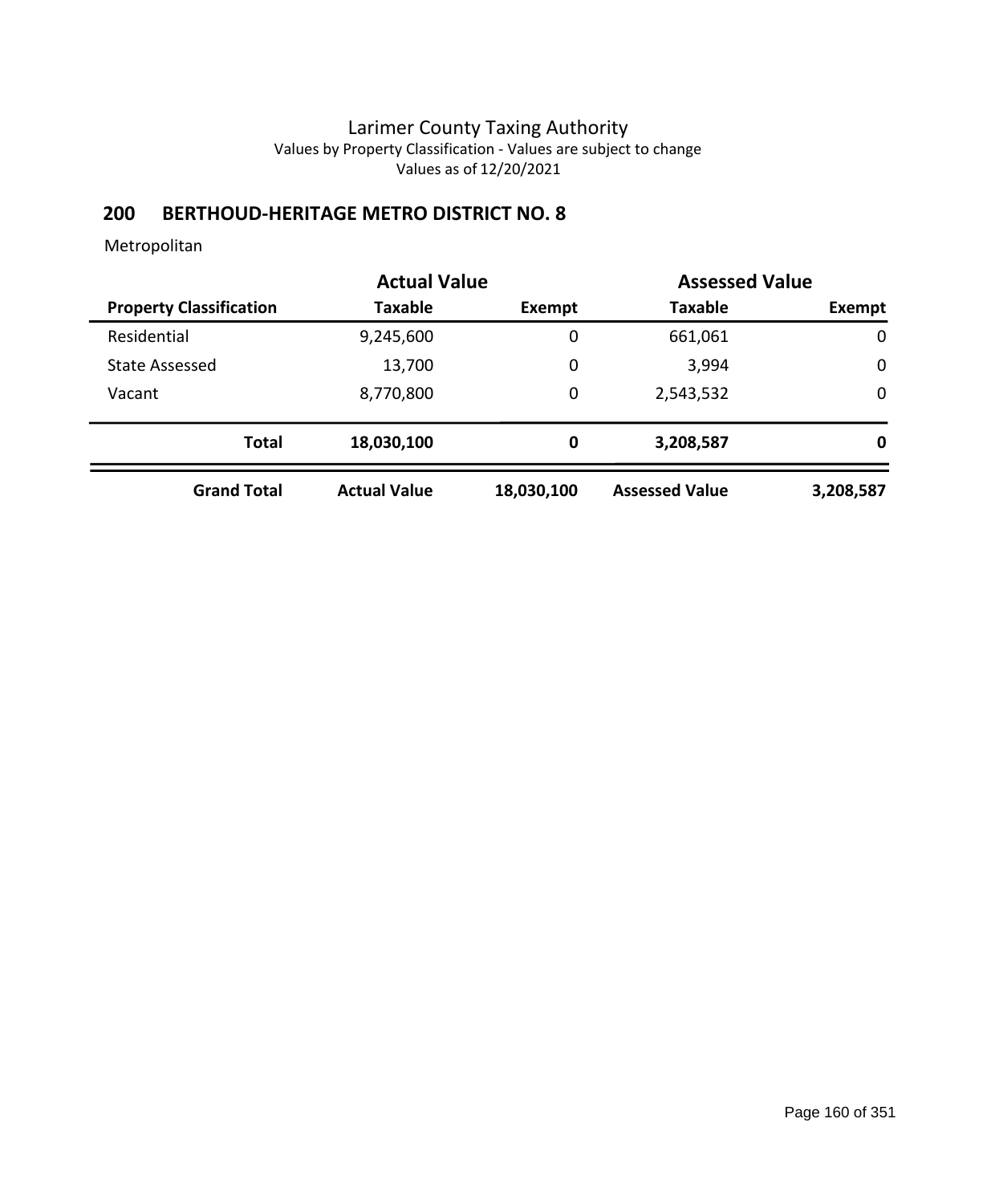## **200 BERTHOUD-HERITAGE METRO DISTRICT NO. 8**

|                                | <b>Actual Value</b> |               |                       | <b>Assessed Value</b> |  |
|--------------------------------|---------------------|---------------|-----------------------|-----------------------|--|
| <b>Property Classification</b> | <b>Taxable</b>      | <b>Exempt</b> | <b>Taxable</b>        | Exempt                |  |
| Residential                    | 9,245,600           | $\mathbf 0$   | 661,061               | $\mathbf 0$           |  |
| <b>State Assessed</b>          | 13,700              | 0             | 3,994                 | $\mathbf 0$           |  |
| Vacant                         | 8,770,800           | $\mathbf 0$   | 2,543,532             | $\mathbf 0$           |  |
| <b>Total</b>                   | 18,030,100          | 0             | 3,208,587             | 0                     |  |
| <b>Grand Total</b>             | <b>Actual Value</b> | 18,030,100    | <b>Assessed Value</b> | 3,208,587             |  |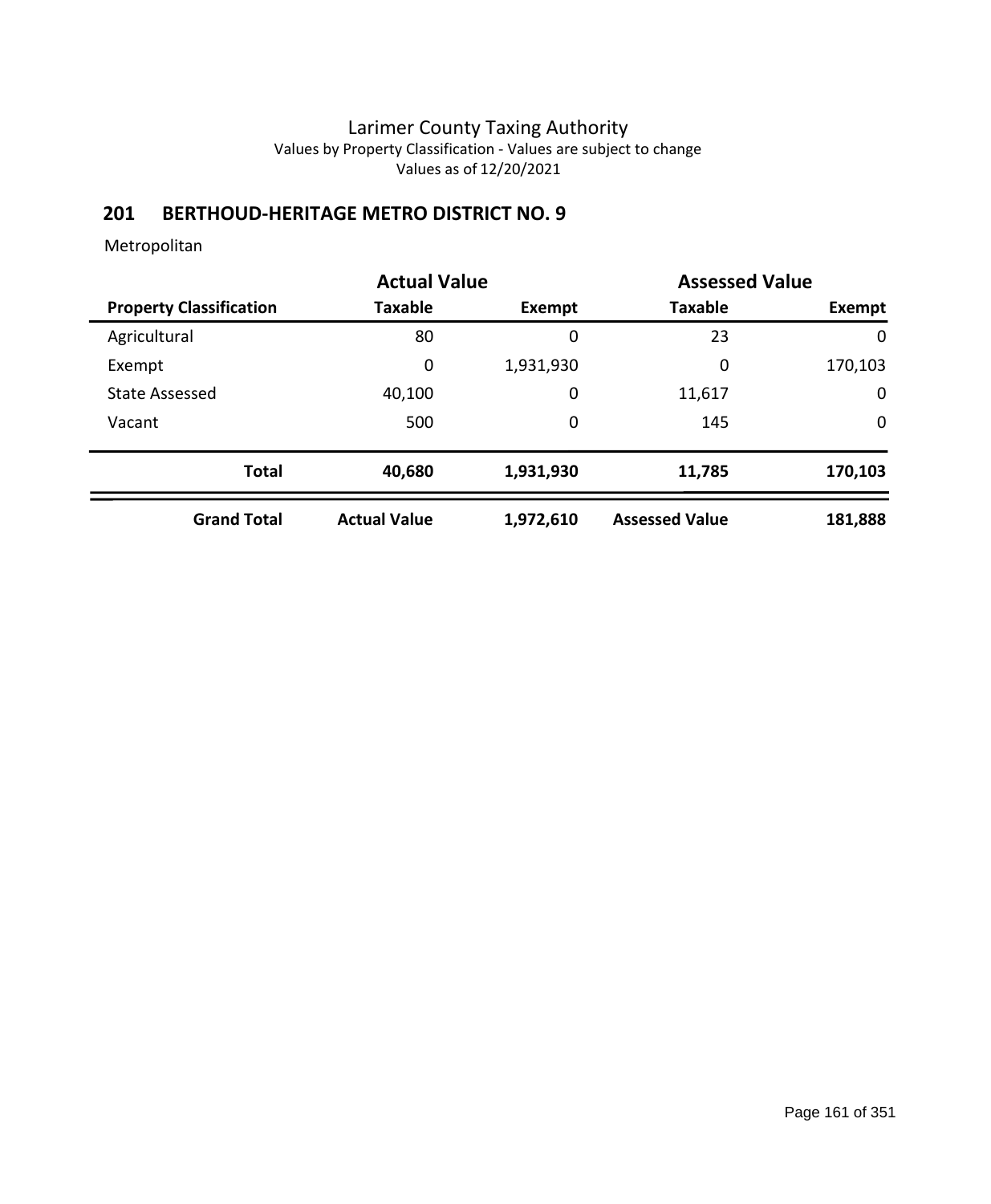# **201 BERTHOUD-HERITAGE METRO DISTRICT NO. 9**

|                                |                     | <b>Actual Value</b> |                       | <b>Assessed Value</b> |
|--------------------------------|---------------------|---------------------|-----------------------|-----------------------|
| <b>Property Classification</b> | <b>Taxable</b>      | Exempt              | <b>Taxable</b>        | Exempt                |
| Agricultural                   | 80                  | 0                   | 23                    | 0                     |
| Exempt                         | 0                   | 1,931,930           | 0                     | 170,103               |
| <b>State Assessed</b>          | 40,100              | 0                   | 11,617                | $\mathbf 0$           |
| Vacant                         | 500                 | 0                   | 145                   | $\mathbf 0$           |
| <b>Total</b>                   | 40,680              | 1,931,930           | 11,785                | 170,103               |
| <b>Grand Total</b>             | <b>Actual Value</b> | 1,972,610           | <b>Assessed Value</b> | 181,888               |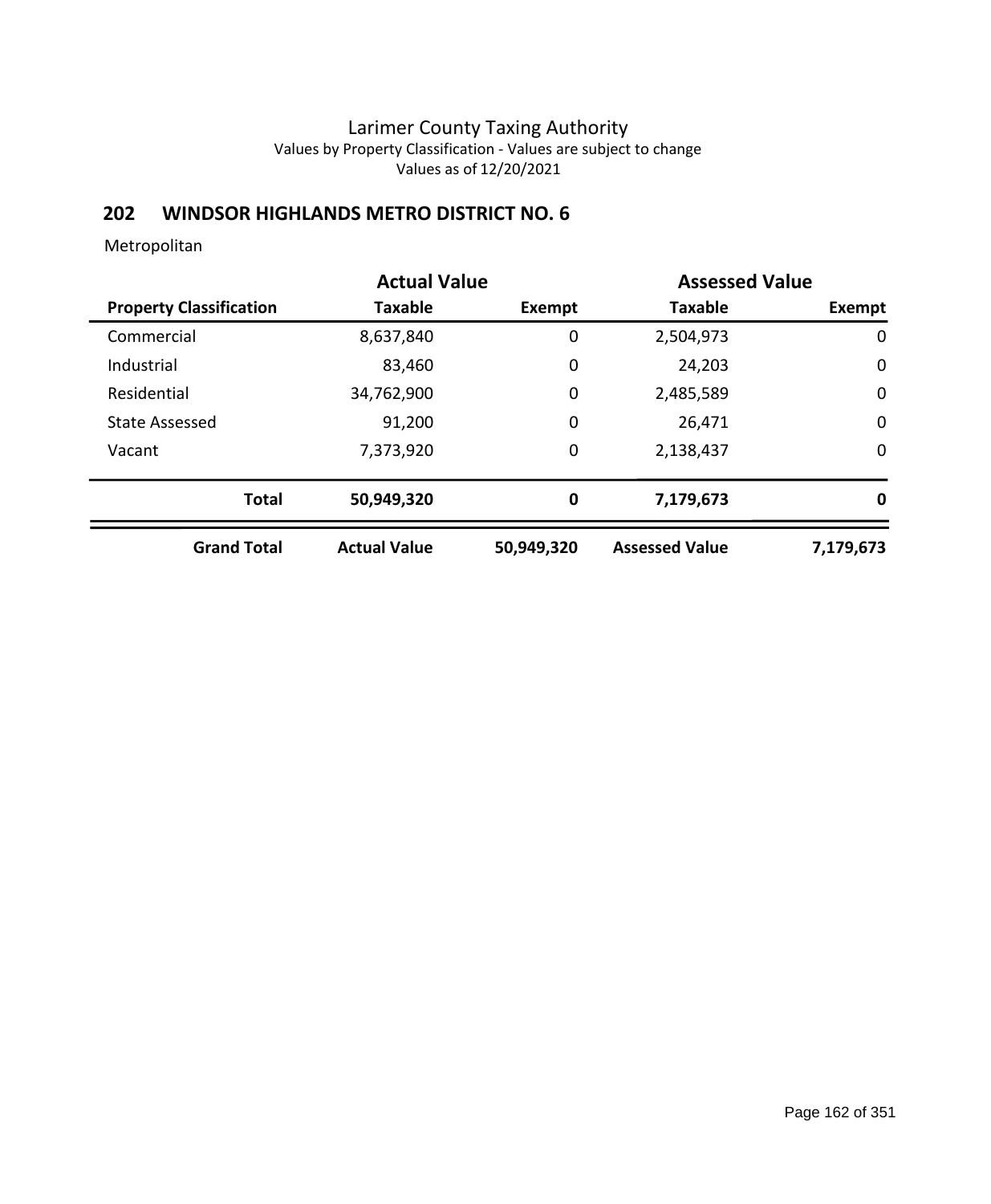## **202 WINDSOR HIGHLANDS METRO DISTRICT NO. 6**

|                                | <b>Actual Value</b> |            | <b>Assessed Value</b> |               |
|--------------------------------|---------------------|------------|-----------------------|---------------|
| <b>Property Classification</b> | <b>Taxable</b>      | Exempt     | <b>Taxable</b>        | <b>Exempt</b> |
| Commercial                     | 8,637,840           | 0          | 2,504,973             | 0             |
| Industrial                     | 83,460              | 0          | 24,203                | $\mathbf 0$   |
| Residential                    | 34,762,900          | 0          | 2,485,589             | $\mathbf 0$   |
| <b>State Assessed</b>          | 91,200              | 0          | 26,471                | $\mathbf 0$   |
| Vacant                         | 7,373,920           | 0          | 2,138,437             | 0             |
| <b>Total</b>                   | 50,949,320          | $\bf{0}$   | 7,179,673             | 0             |
| <b>Grand Total</b>             | <b>Actual Value</b> | 50,949,320 | <b>Assessed Value</b> | 7,179,673     |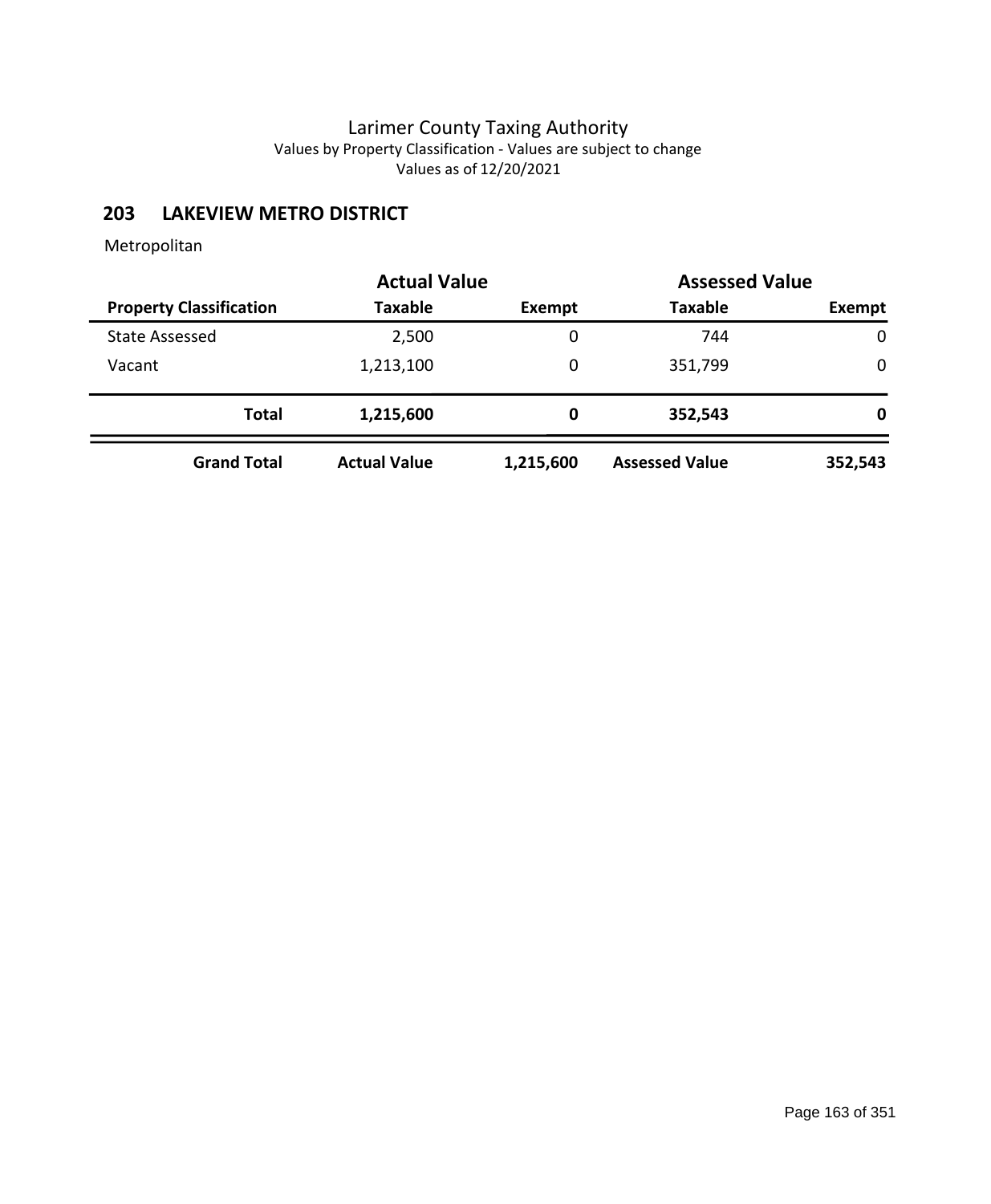## **203 LAKEVIEW METRO DISTRICT**

|                                | <b>Actual Value</b> | <b>Assessed Value</b> |                       |         |  |
|--------------------------------|---------------------|-----------------------|-----------------------|---------|--|
| <b>Property Classification</b> | <b>Taxable</b>      | Exempt                | <b>Taxable</b>        | Exempt  |  |
| <b>State Assessed</b>          | 2,500               | 0                     | 744                   | 0       |  |
| Vacant                         | 1,213,100           | 0                     | 351,799               | 0       |  |
| <b>Total</b>                   | 1,215,600           | 0                     | 352,543               | 0       |  |
| <b>Grand Total</b>             | <b>Actual Value</b> | 1,215,600             | <b>Assessed Value</b> | 352,543 |  |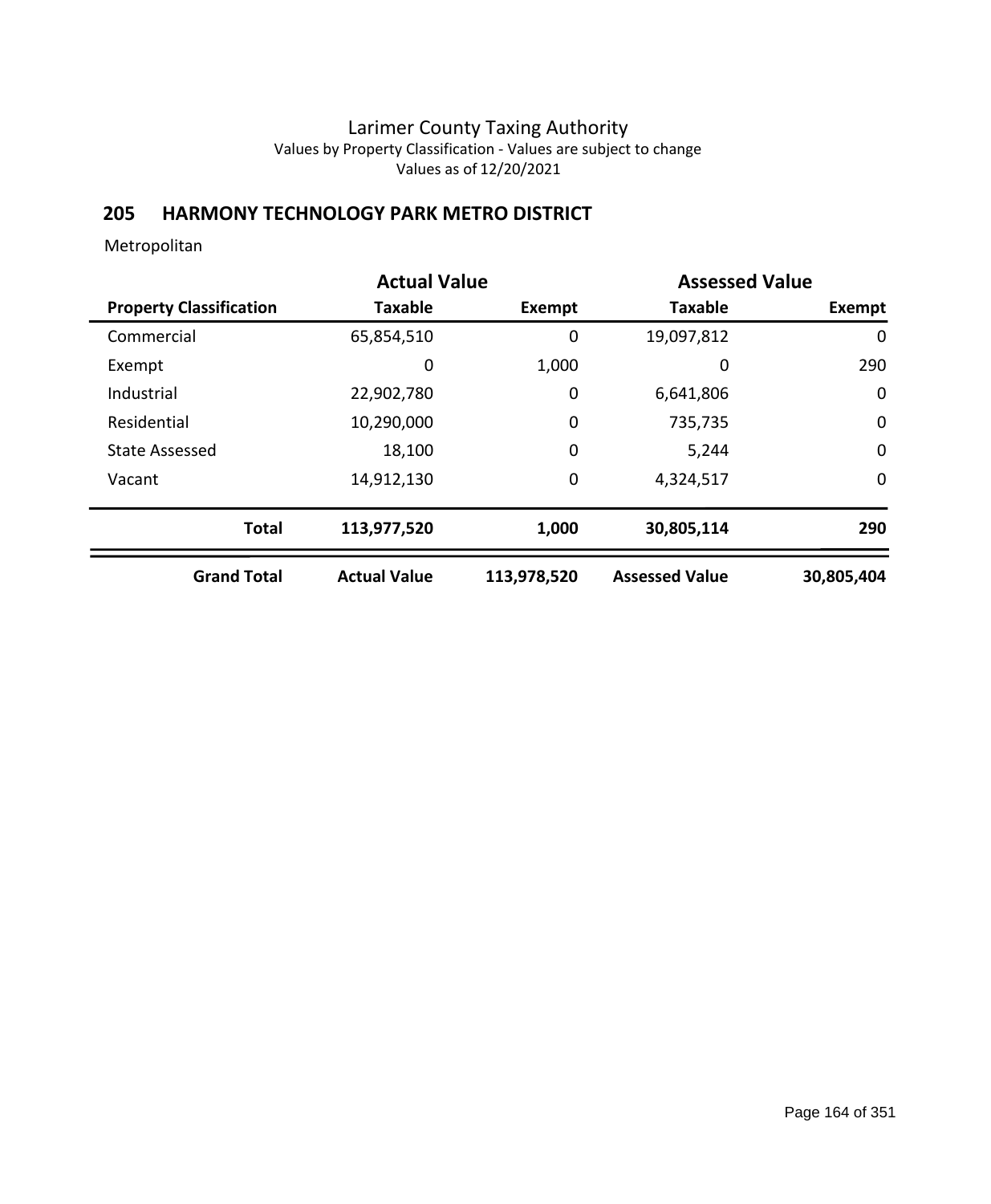## **205 HARMONY TECHNOLOGY PARK METRO DISTRICT**

|                                | <b>Actual Value</b> | <b>Assessed Value</b> |                       |               |
|--------------------------------|---------------------|-----------------------|-----------------------|---------------|
| <b>Property Classification</b> | <b>Taxable</b>      | Exempt                | <b>Taxable</b>        | <b>Exempt</b> |
| Commercial                     | 65,854,510          | 0                     | 19,097,812            | 0             |
| Exempt                         | 0                   | 1,000                 | 0                     | 290           |
| Industrial                     | 22,902,780          | 0                     | 6,641,806             | $\mathbf 0$   |
| Residential                    | 10,290,000          | 0                     | 735,735               | $\mathbf 0$   |
| <b>State Assessed</b>          | 18,100              | 0                     | 5,244                 | $\mathbf 0$   |
| Vacant                         | 14,912,130          | 0                     | 4,324,517             | $\mathbf 0$   |
| <b>Total</b>                   | 113,977,520         | 1,000                 | 30,805,114            | 290           |
| <b>Grand Total</b>             | <b>Actual Value</b> | 113,978,520           | <b>Assessed Value</b> | 30,805,404    |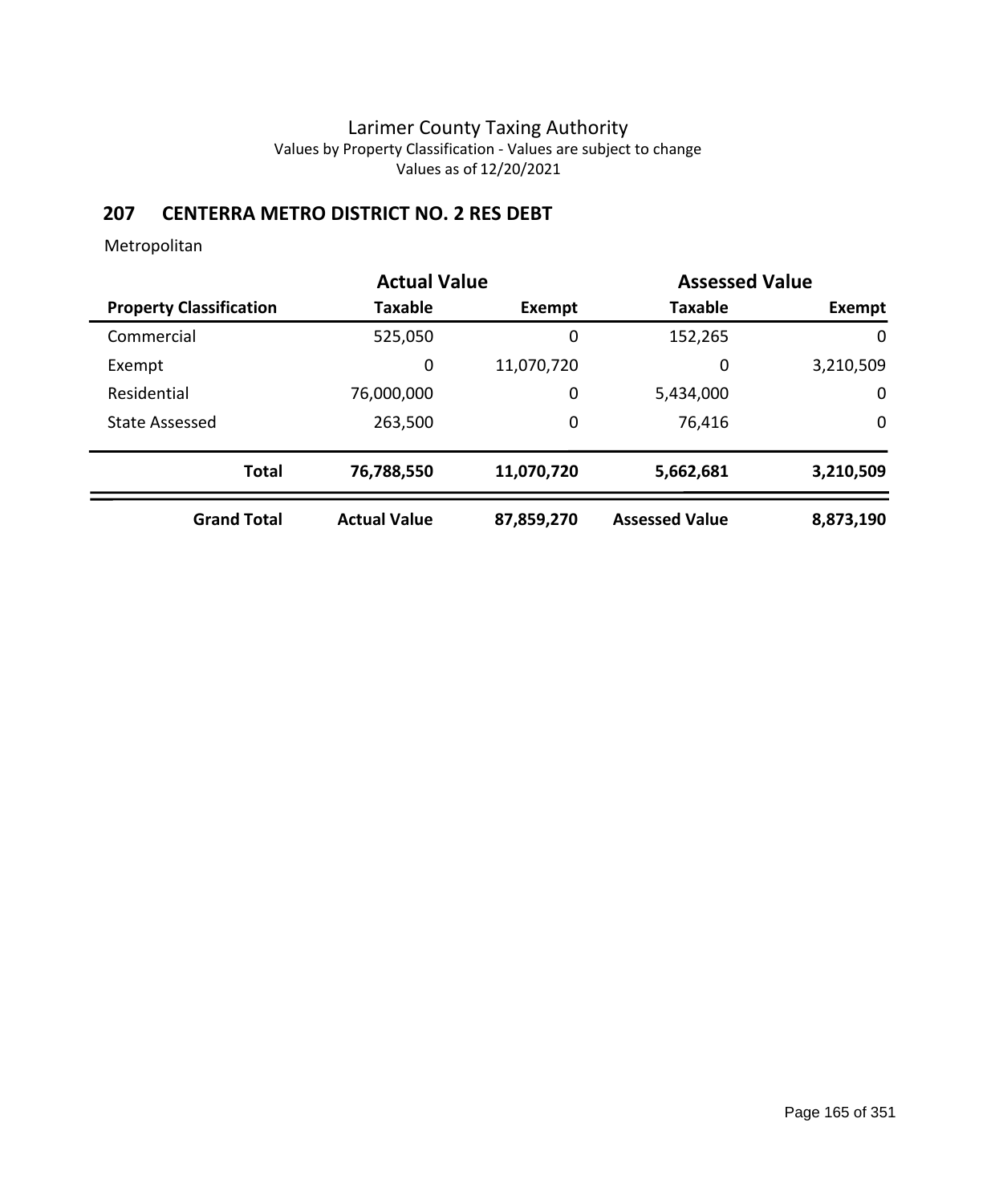## **207 CENTERRA METRO DISTRICT NO. 2 RES DEBT**

|                                | <b>Actual Value</b> | <b>Assessed Value</b> |                       |             |  |
|--------------------------------|---------------------|-----------------------|-----------------------|-------------|--|
| <b>Property Classification</b> | Taxable             | Exempt                | <b>Taxable</b>        | Exempt      |  |
| Commercial                     | 525,050             | 0                     | 152,265               | $\mathbf 0$ |  |
| Exempt                         | 0                   | 11,070,720            | 0                     | 3,210,509   |  |
| Residential                    | 76,000,000          | 0                     | 5,434,000             | 0           |  |
| <b>State Assessed</b>          | 263,500             | 0                     | 76,416                | 0           |  |
| <b>Total</b>                   | 76,788,550          | 11,070,720            | 5,662,681             | 3,210,509   |  |
| <b>Grand Total</b>             | <b>Actual Value</b> | 87,859,270            | <b>Assessed Value</b> | 8,873,190   |  |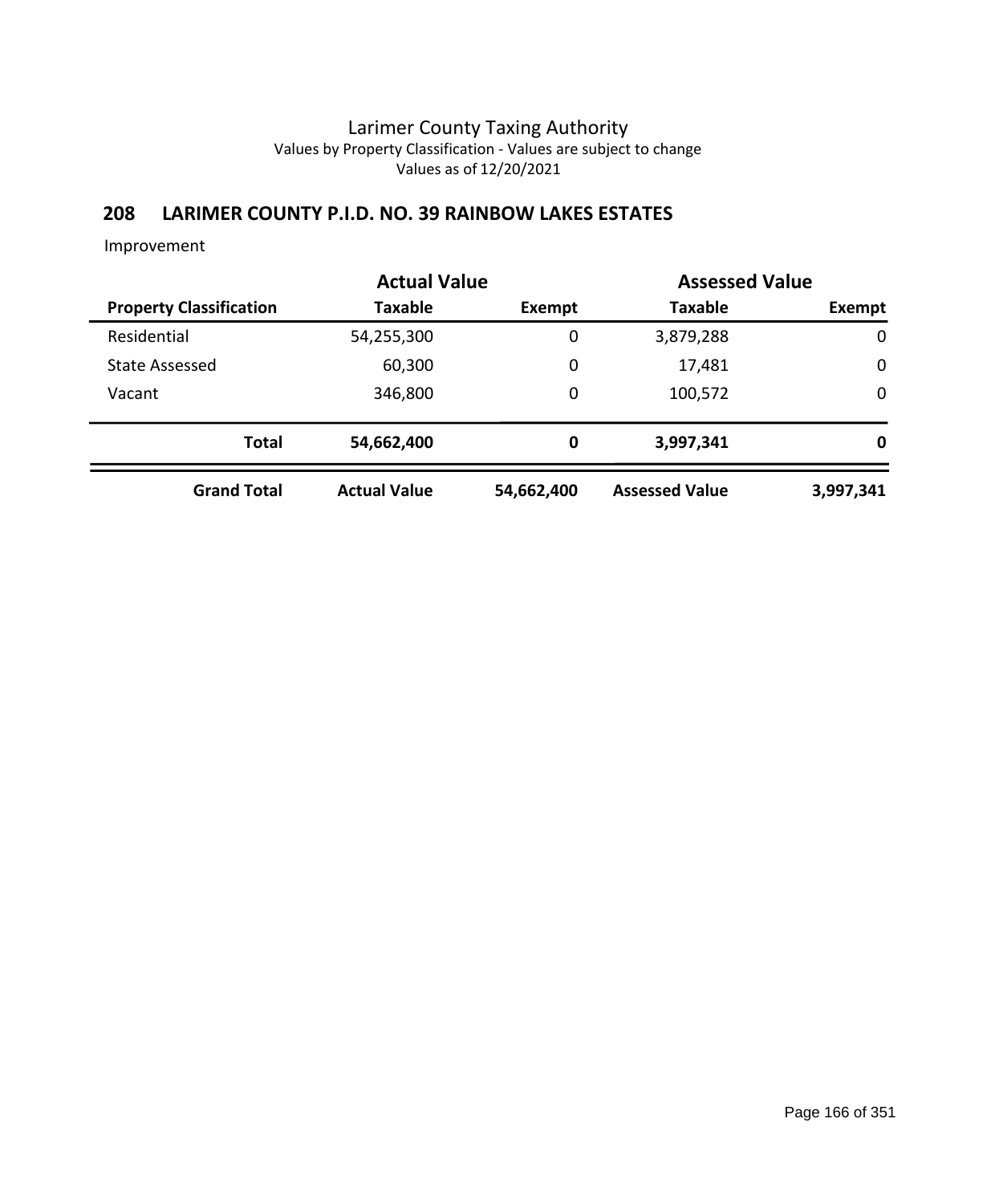## **208 LARIMER COUNTY P.I.D. NO. 39 RAINBOW LAKES ESTATES**

|                                | <b>Actual Value</b> |               | <b>Assessed Value</b> |             |
|--------------------------------|---------------------|---------------|-----------------------|-------------|
| <b>Property Classification</b> | <b>Taxable</b>      | <b>Exempt</b> | <b>Taxable</b>        | Exempt      |
| Residential                    | 54,255,300          | $\mathbf 0$   | 3,879,288             | $\mathbf 0$ |
| <b>State Assessed</b>          | 60,300              | 0             | 17,481                | $\mathbf 0$ |
| Vacant                         | 346,800             | 0             | 100,572               | $\mathbf 0$ |
| <b>Total</b>                   | 54,662,400          | 0             | 3,997,341             | 0           |
| <b>Grand Total</b>             | <b>Actual Value</b> | 54,662,400    | <b>Assessed Value</b> | 3,997,341   |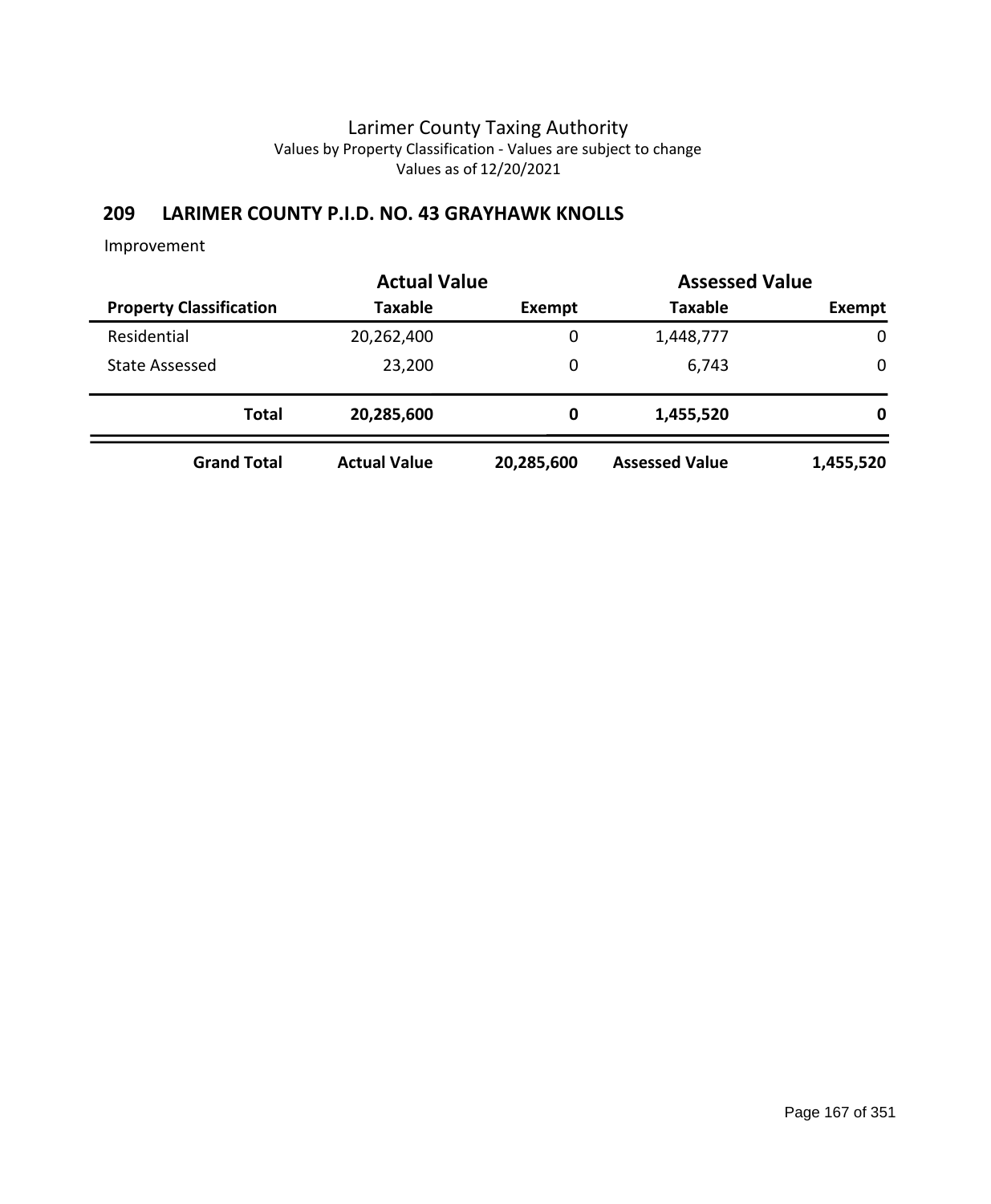## **209 LARIMER COUNTY P.I.D. NO. 43 GRAYHAWK KNOLLS**

|                                | <b>Actual Value</b> | <b>Assessed Value</b> |                       |             |  |
|--------------------------------|---------------------|-----------------------|-----------------------|-------------|--|
| <b>Property Classification</b> | <b>Taxable</b>      | Exempt                | <b>Taxable</b>        | Exempt      |  |
| Residential                    | 20,262,400          | 0                     | 1,448,777             | $\mathbf 0$ |  |
| <b>State Assessed</b>          | 23,200              | 0                     | 6,743                 | 0           |  |
| <b>Total</b>                   | 20,285,600          | 0                     | 1,455,520             | 0           |  |
| <b>Grand Total</b>             | <b>Actual Value</b> | 20,285,600            | <b>Assessed Value</b> | 1,455,520   |  |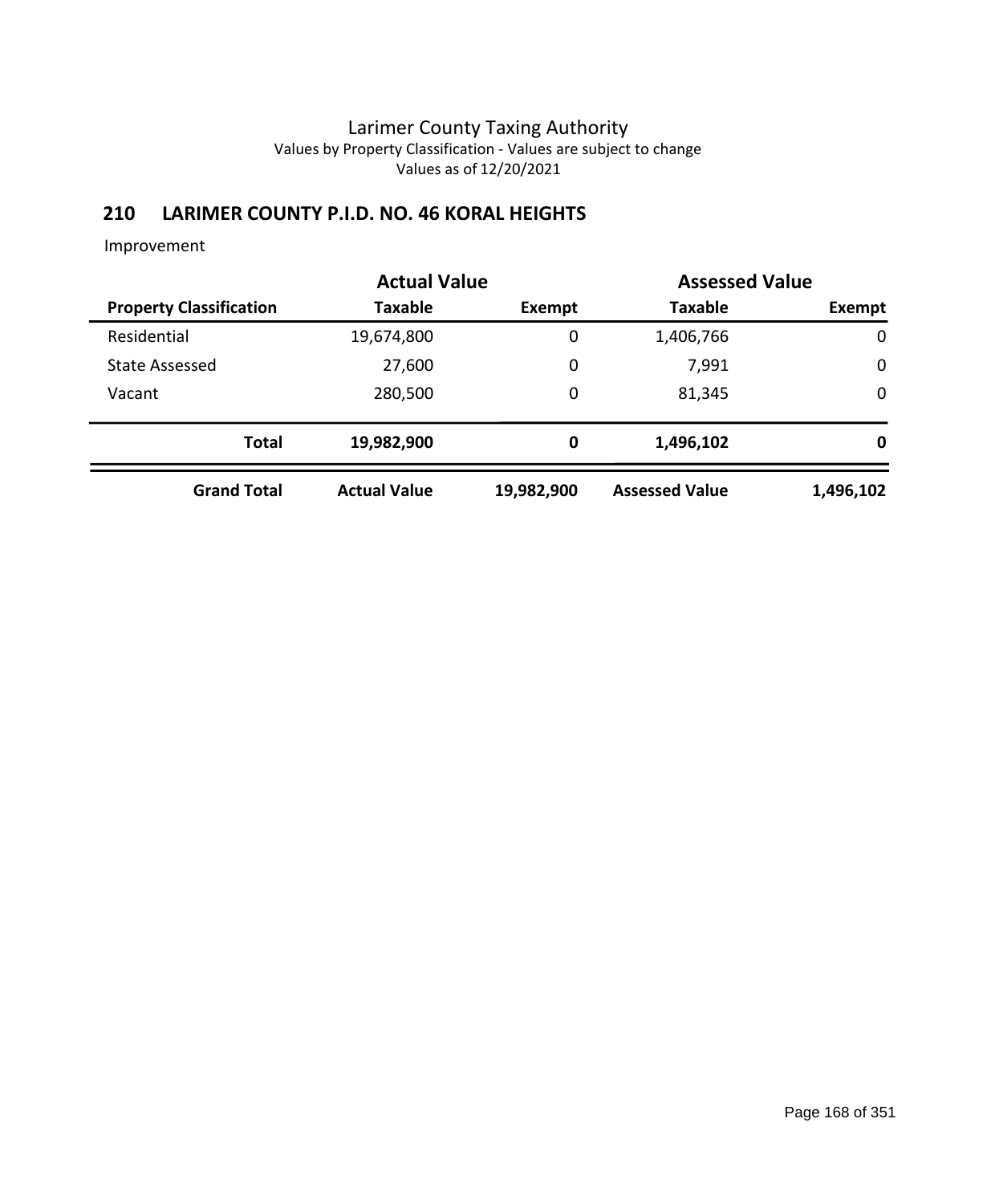## **210 LARIMER COUNTY P.I.D. NO. 46 KORAL HEIGHTS**

|                                | <b>Actual Value</b> | <b>Assessed Value</b> |                       |             |  |
|--------------------------------|---------------------|-----------------------|-----------------------|-------------|--|
| <b>Property Classification</b> | Taxable             | Exempt                | <b>Taxable</b>        | Exempt      |  |
| Residential                    | 19,674,800          | 0                     | 1,406,766             | $\mathbf 0$ |  |
| <b>State Assessed</b>          | 27,600              | 0                     | 7,991                 | $\mathbf 0$ |  |
| Vacant                         | 280,500             | 0                     | 81,345                | $\mathbf 0$ |  |
| <b>Total</b>                   | 19,982,900          | 0                     | 1,496,102             | 0           |  |
| <b>Grand Total</b>             | <b>Actual Value</b> | 19,982,900            | <b>Assessed Value</b> | 1,496,102   |  |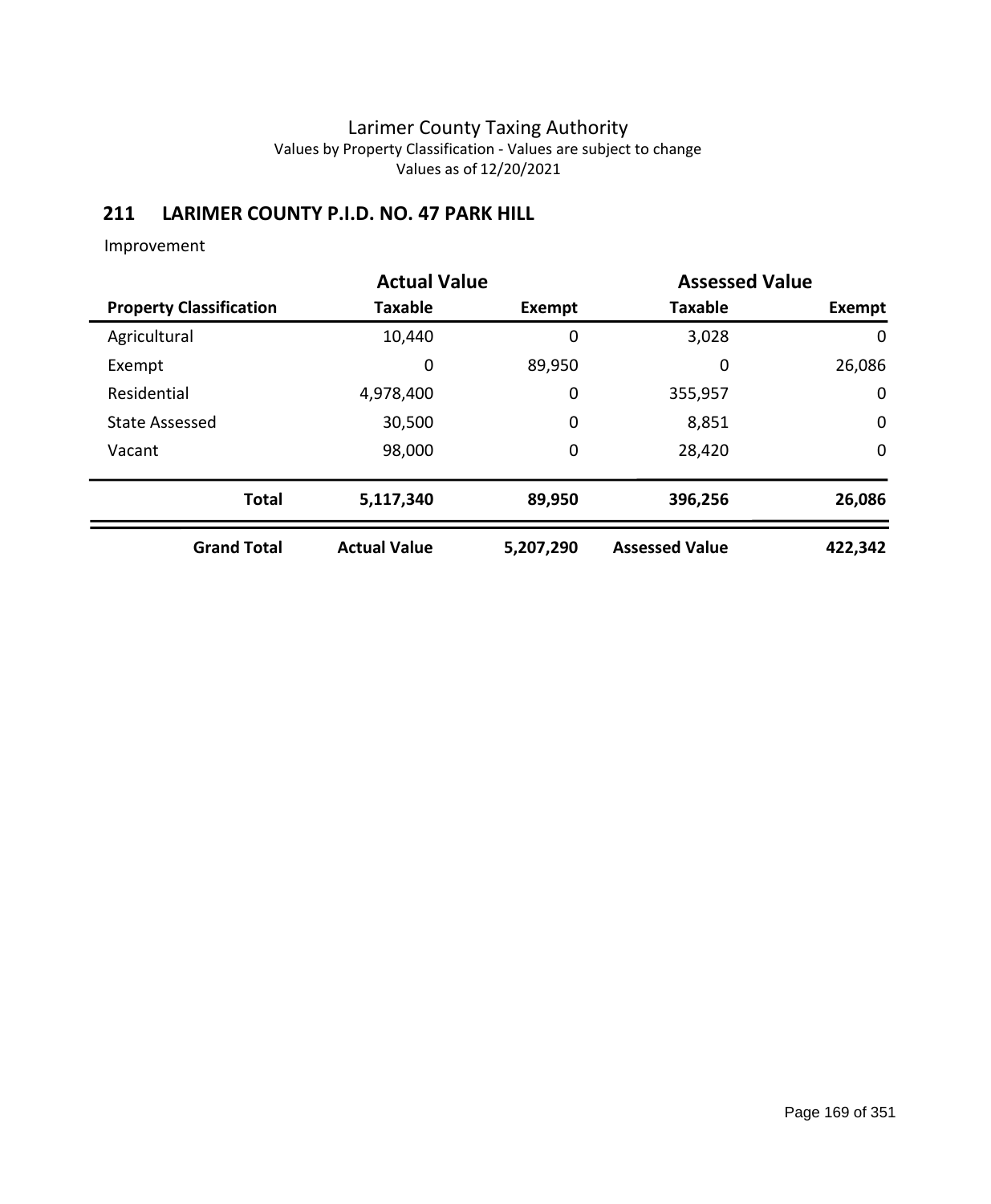# **211 LARIMER COUNTY P.I.D. NO. 47 PARK HILL**

| <b>Actual Value</b>            |                     | <b>Assessed Value</b> |                       |             |
|--------------------------------|---------------------|-----------------------|-----------------------|-------------|
| <b>Property Classification</b> | <b>Taxable</b>      | Exempt                | <b>Taxable</b>        | Exempt      |
| Agricultural                   | 10,440              | 0                     | 3,028                 | 0           |
| Exempt                         | 0                   | 89,950                | 0                     | 26,086      |
| Residential                    | 4,978,400           | 0                     | 355,957               | $\mathbf 0$ |
| <b>State Assessed</b>          | 30,500              | 0                     | 8,851                 | $\mathbf 0$ |
| Vacant                         | 98,000              | 0                     | 28,420                | $\mathbf 0$ |
| <b>Total</b>                   | 5,117,340           | 89,950                | 396,256               | 26,086      |
| <b>Grand Total</b>             | <b>Actual Value</b> | 5,207,290             | <b>Assessed Value</b> | 422,342     |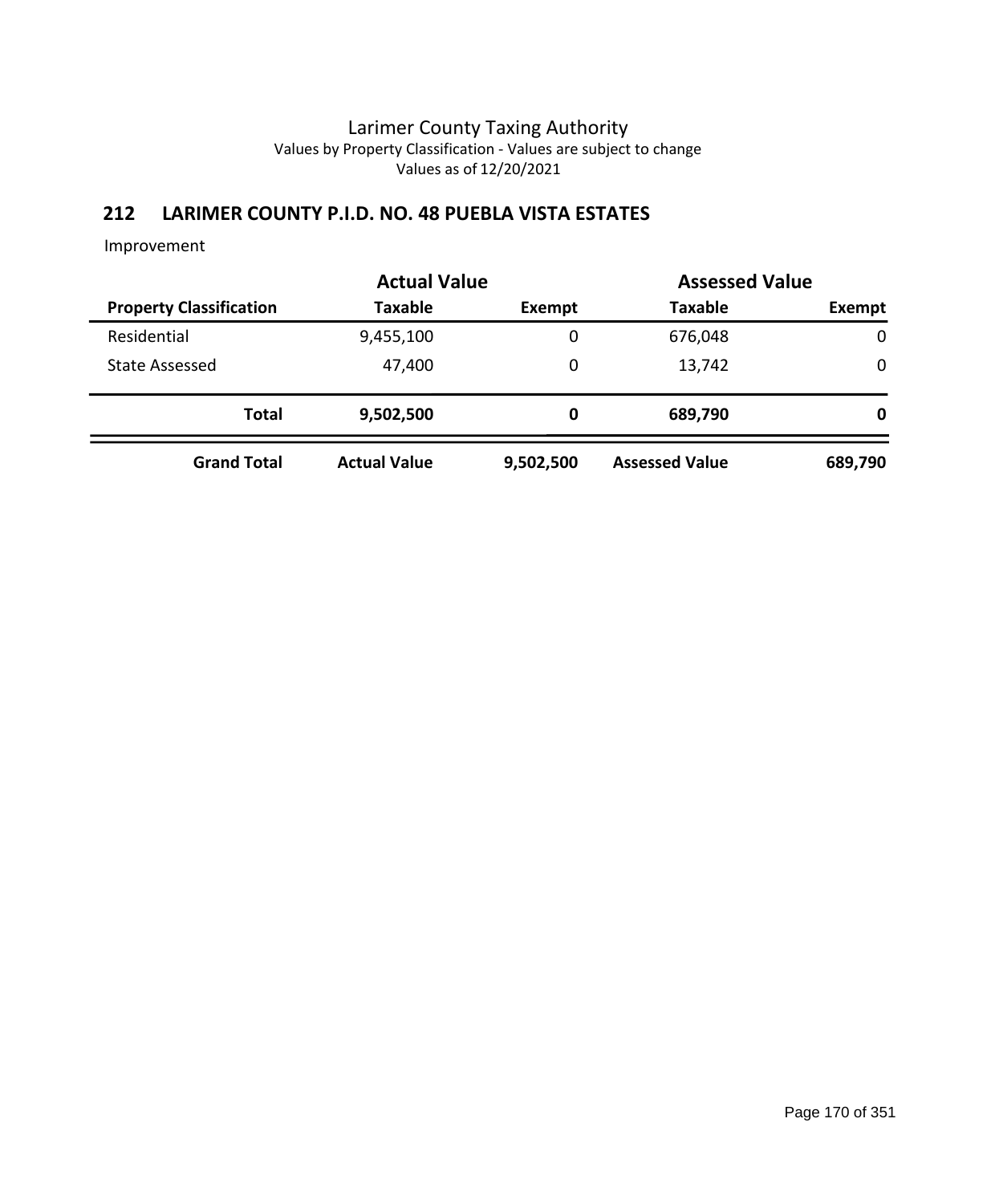# **212 LARIMER COUNTY P.I.D. NO. 48 PUEBLA VISTA ESTATES**

|                                | <b>Actual Value</b> | <b>Assessed Value</b> |                       |         |
|--------------------------------|---------------------|-----------------------|-----------------------|---------|
| <b>Property Classification</b> | <b>Taxable</b>      | Exempt                | <b>Taxable</b>        | Exempt  |
| Residential                    | 9,455,100           | 0                     | 676,048               | 0       |
| <b>State Assessed</b>          | 47,400              | 0                     | 13,742                | 0       |
| <b>Total</b>                   | 9,502,500           | 0                     | 689,790               | 0       |
| <b>Grand Total</b>             | <b>Actual Value</b> | 9,502,500             | <b>Assessed Value</b> | 689,790 |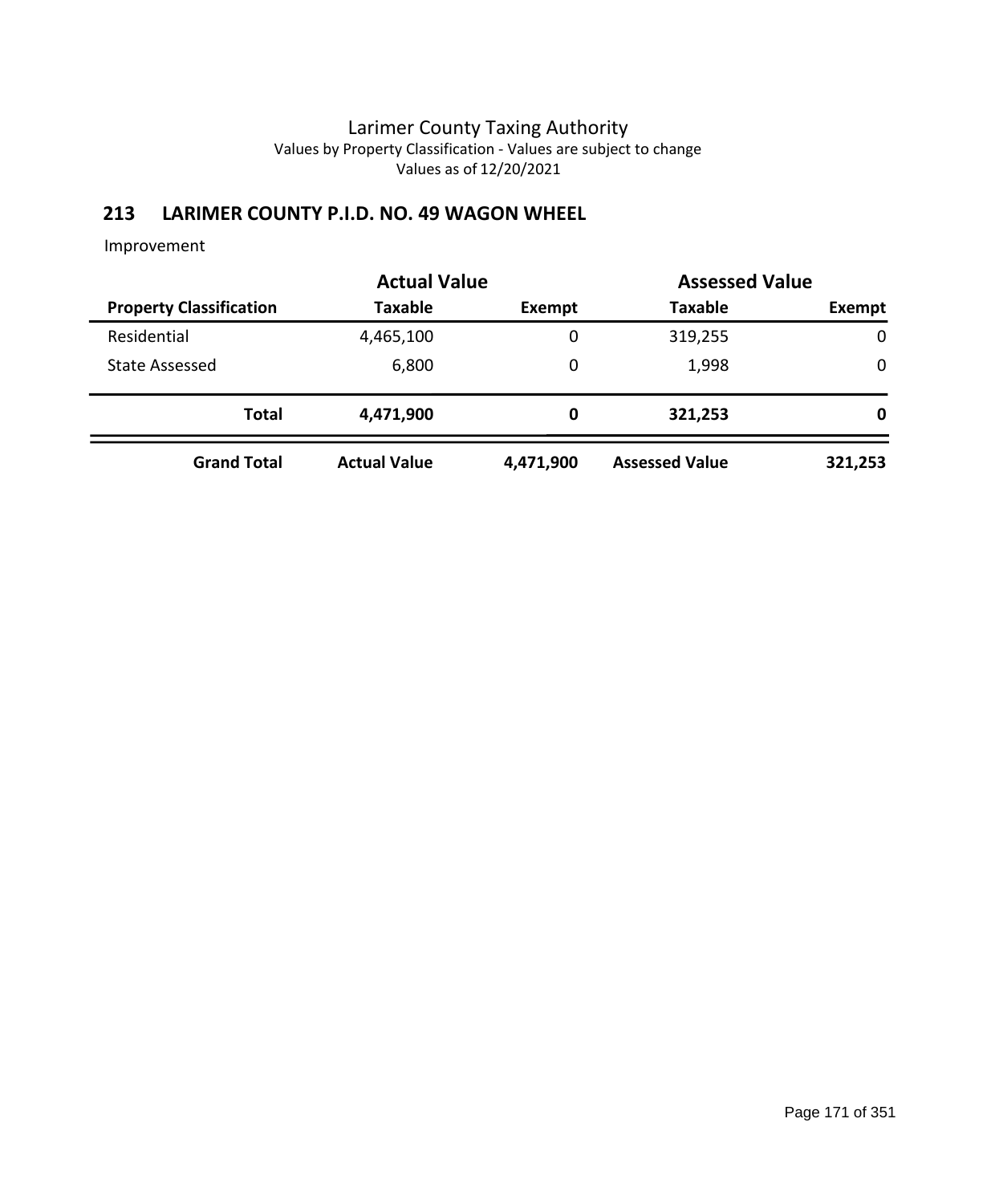# **213 LARIMER COUNTY P.I.D. NO. 49 WAGON WHEEL**

|                                | <b>Actual Value</b> | <b>Assessed Value</b> |                       |             |  |
|--------------------------------|---------------------|-----------------------|-----------------------|-------------|--|
| <b>Property Classification</b> | <b>Taxable</b>      | <b>Exempt</b>         | <b>Taxable</b>        | Exempt      |  |
| Residential                    | 4,465,100           | 0                     | 319,255               | $\mathbf 0$ |  |
| <b>State Assessed</b>          | 6,800               | 0                     | 1,998                 | 0           |  |
| <b>Total</b>                   | 4,471,900           | 0                     | 321,253               | 0           |  |
| <b>Grand Total</b>             | <b>Actual Value</b> | 4,471,900             | <b>Assessed Value</b> | 321,253     |  |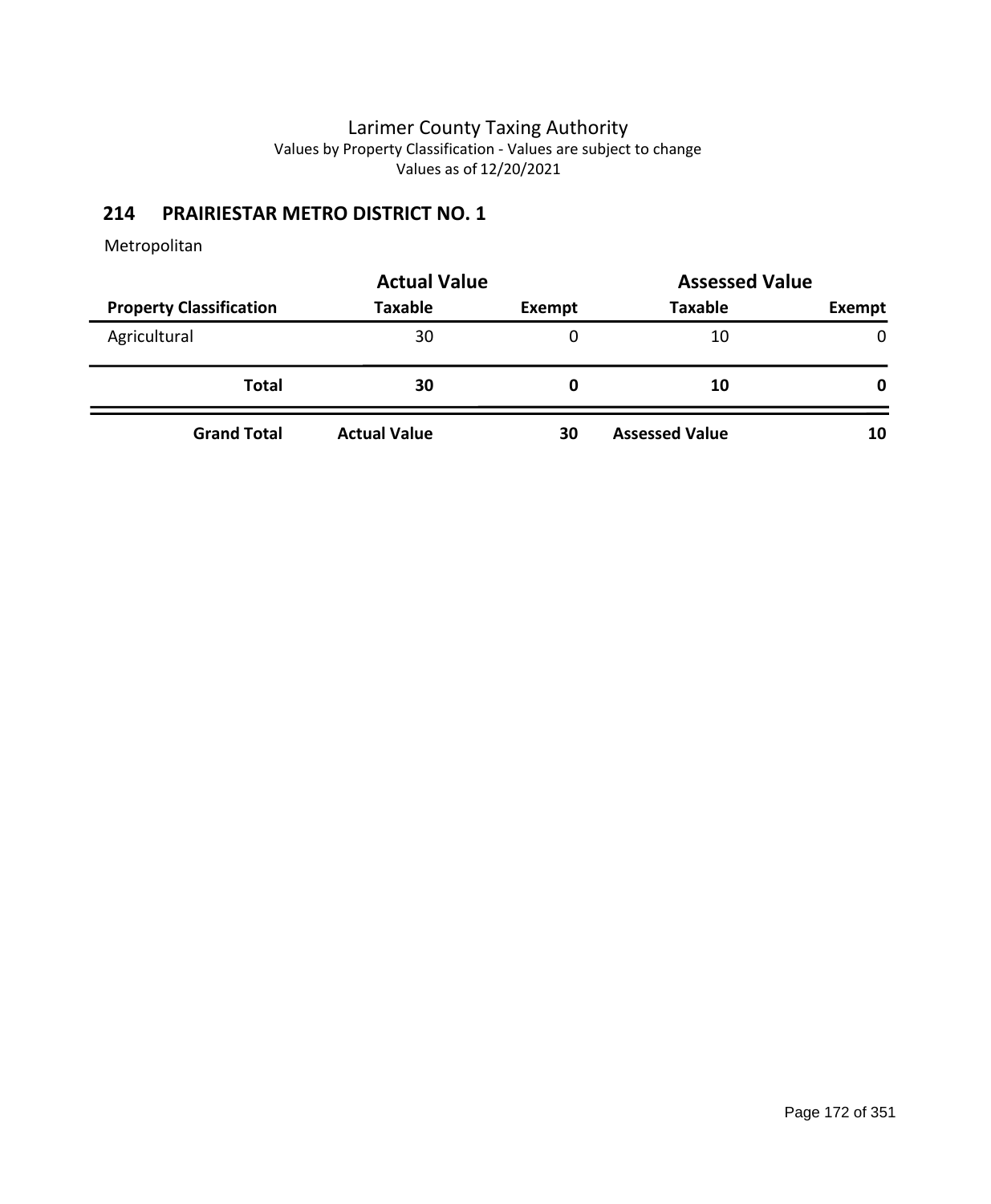## **214 PRAIRIESTAR METRO DISTRICT NO. 1**

|                                | <b>Actual Value</b> | <b>Assessed Value</b> |                       |               |
|--------------------------------|---------------------|-----------------------|-----------------------|---------------|
| <b>Property Classification</b> | <b>Taxable</b>      | Exempt                | <b>Taxable</b>        | <b>Exempt</b> |
| Agricultural                   | 30                  | 0                     | 10                    | $\mathbf{0}$  |
| <b>Total</b>                   | 30                  | 0                     | 10                    | 0             |
| <b>Grand Total</b>             | <b>Actual Value</b> | 30                    | <b>Assessed Value</b> | 10            |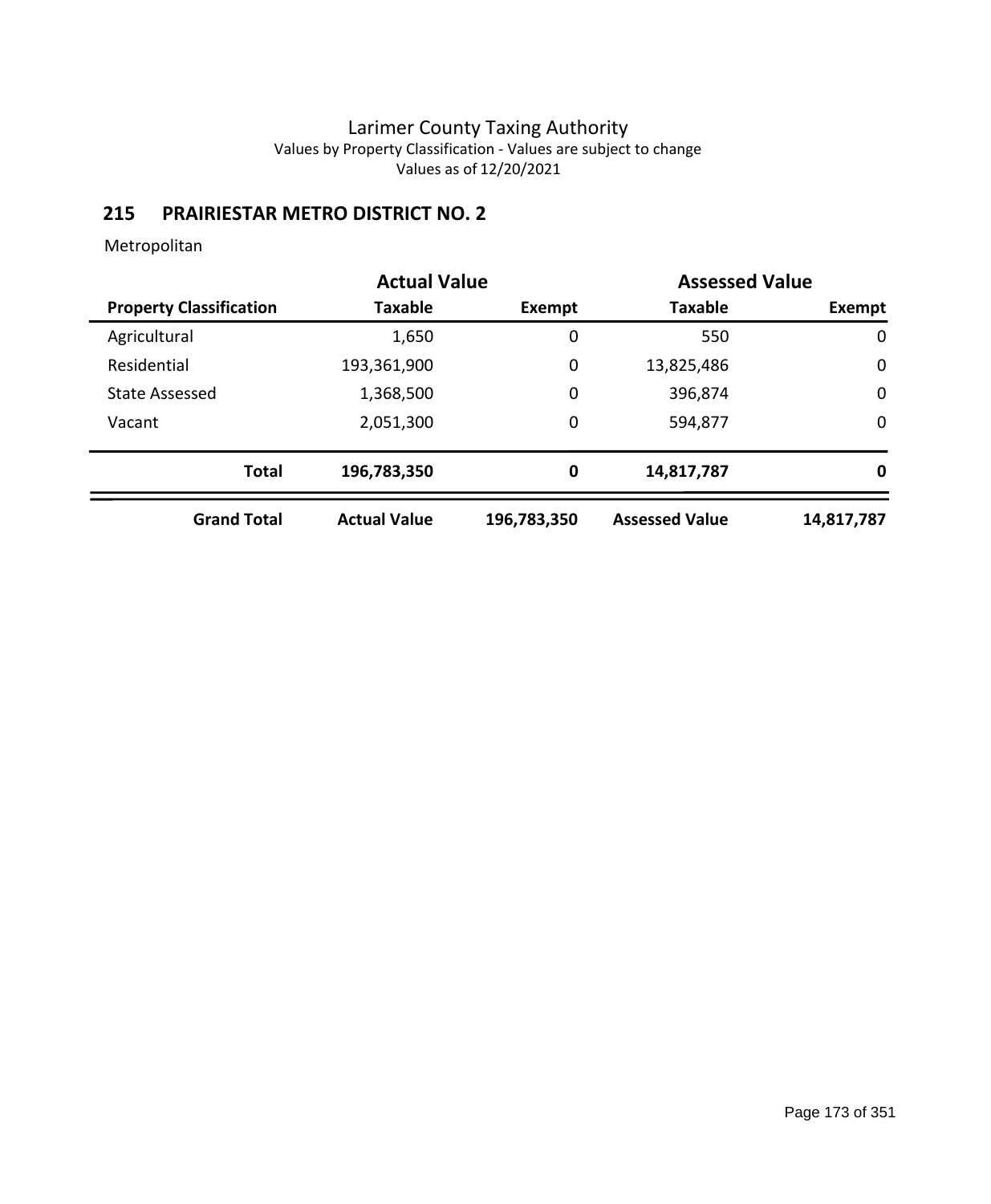# **215 PRAIRIESTAR METRO DISTRICT NO. 2**

|                                | <b>Actual Value</b> |             | <b>Assessed Value</b> |             |
|--------------------------------|---------------------|-------------|-----------------------|-------------|
| <b>Property Classification</b> | <b>Taxable</b>      | Exempt      | <b>Taxable</b>        | Exempt      |
| Agricultural                   | 1,650               | 0           | 550                   | $\mathbf 0$ |
| Residential                    | 193,361,900         | 0           | 13,825,486            | 0           |
| <b>State Assessed</b>          | 1,368,500           | 0           | 396,874               | $\mathbf 0$ |
| Vacant                         | 2,051,300           | 0           | 594,877               | $\mathbf 0$ |
| <b>Total</b>                   | 196,783,350         | 0           | 14,817,787            | 0           |
| <b>Grand Total</b>             | <b>Actual Value</b> | 196,783,350 | <b>Assessed Value</b> | 14,817,787  |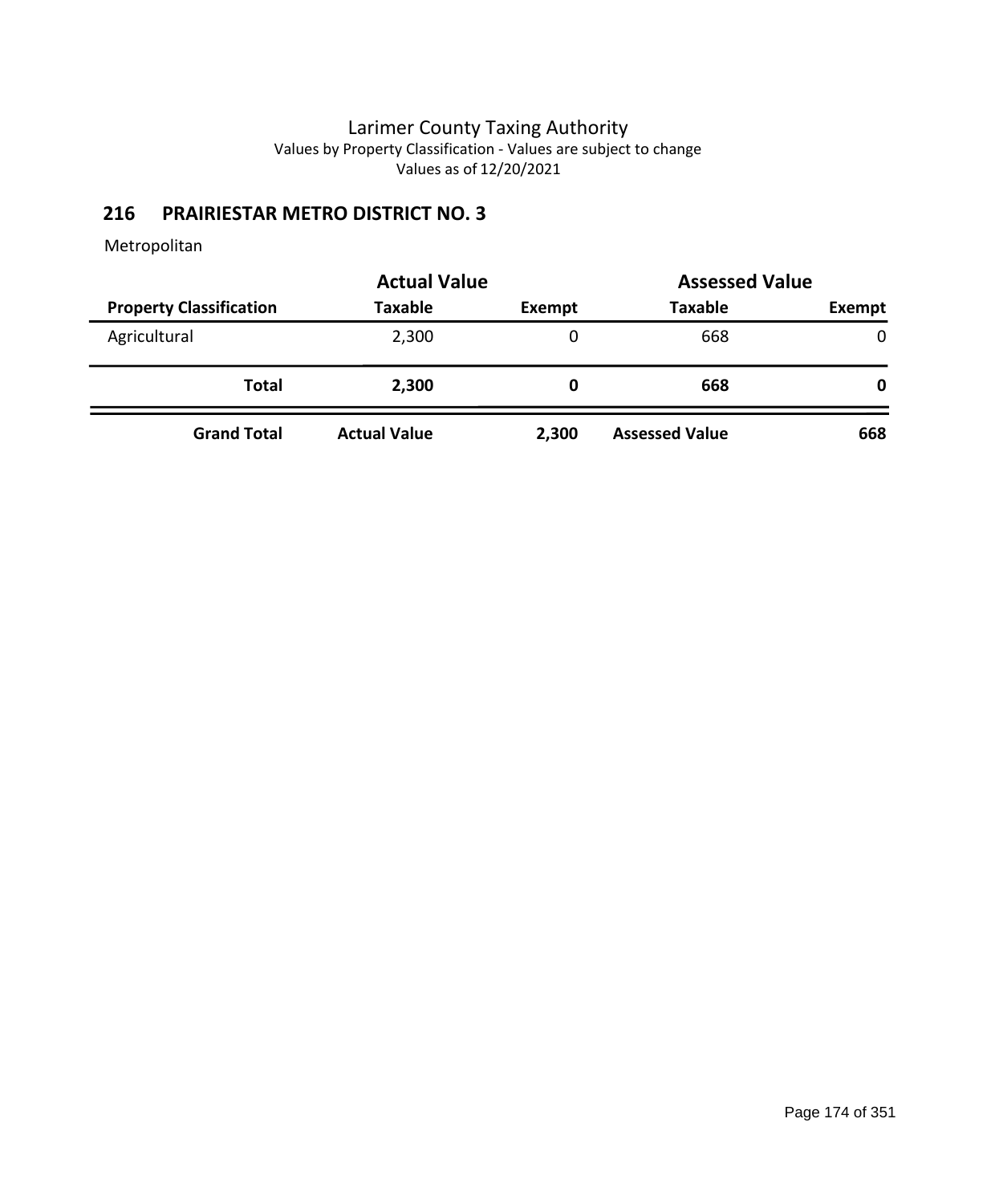## **216 PRAIRIESTAR METRO DISTRICT NO. 3**

|                                | <b>Actual Value</b> | <b>Assessed Value</b> |                       |        |  |
|--------------------------------|---------------------|-----------------------|-----------------------|--------|--|
| <b>Property Classification</b> | <b>Taxable</b>      | <b>Exempt</b>         | <b>Taxable</b>        | Exempt |  |
| Agricultural                   | 2,300               | 0                     | 668                   | 0      |  |
| Total                          | 2,300               | O                     | 668                   | 0      |  |
| <b>Grand Total</b>             | <b>Actual Value</b> | 2,300                 | <b>Assessed Value</b> | 668    |  |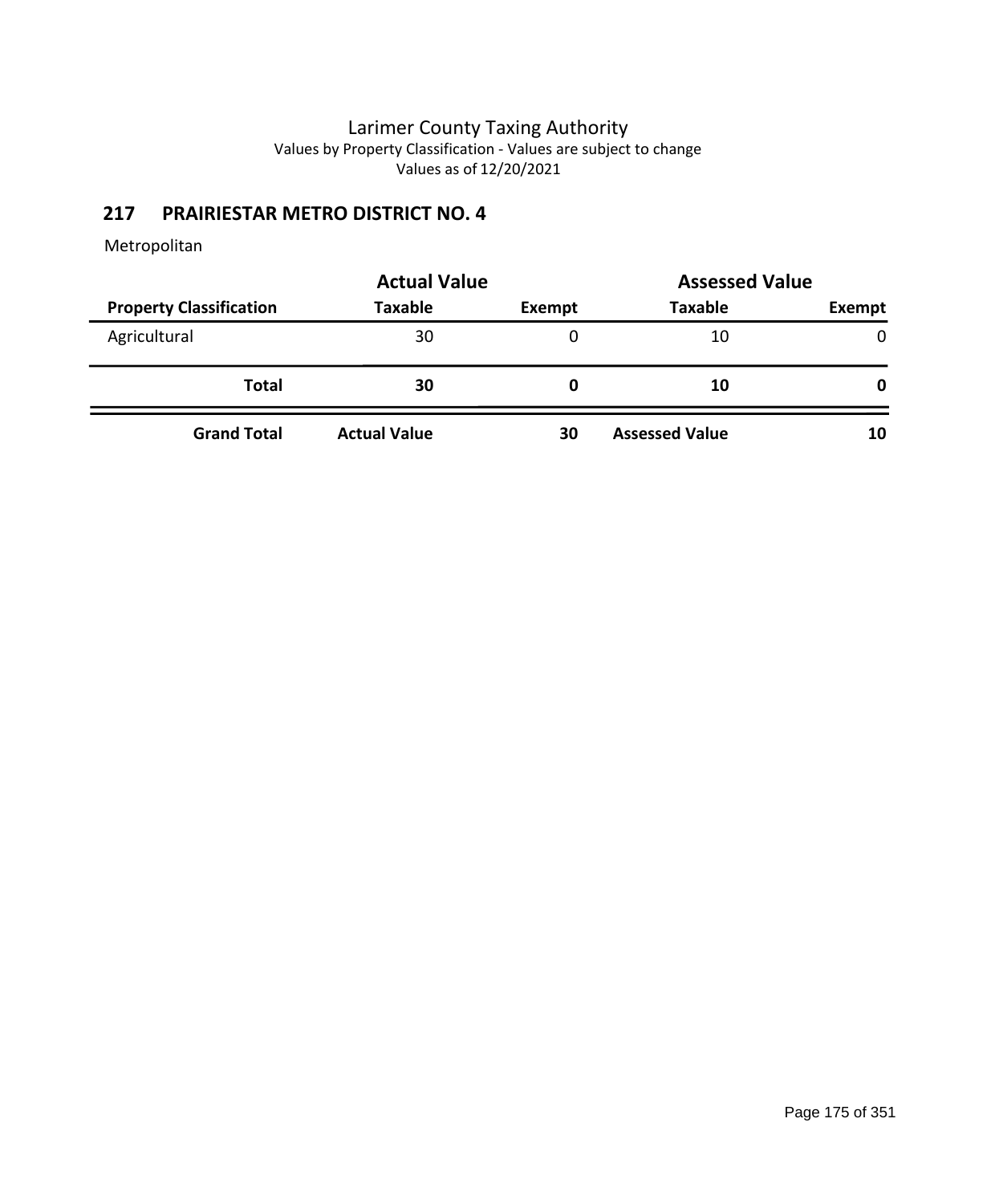# **217 PRAIRIESTAR METRO DISTRICT NO. 4**

|                                | <b>Actual Value</b> | <b>Assessed Value</b> |                       |              |
|--------------------------------|---------------------|-----------------------|-----------------------|--------------|
| <b>Property Classification</b> | <b>Taxable</b>      | Exempt                | <b>Taxable</b>        | Exempt       |
| Agricultural                   | 30                  | 0                     | 10                    | $\mathbf{0}$ |
| <b>Total</b>                   | 30                  | O                     | 10                    | 0            |
| <b>Grand Total</b>             | <b>Actual Value</b> | 30                    | <b>Assessed Value</b> | 10           |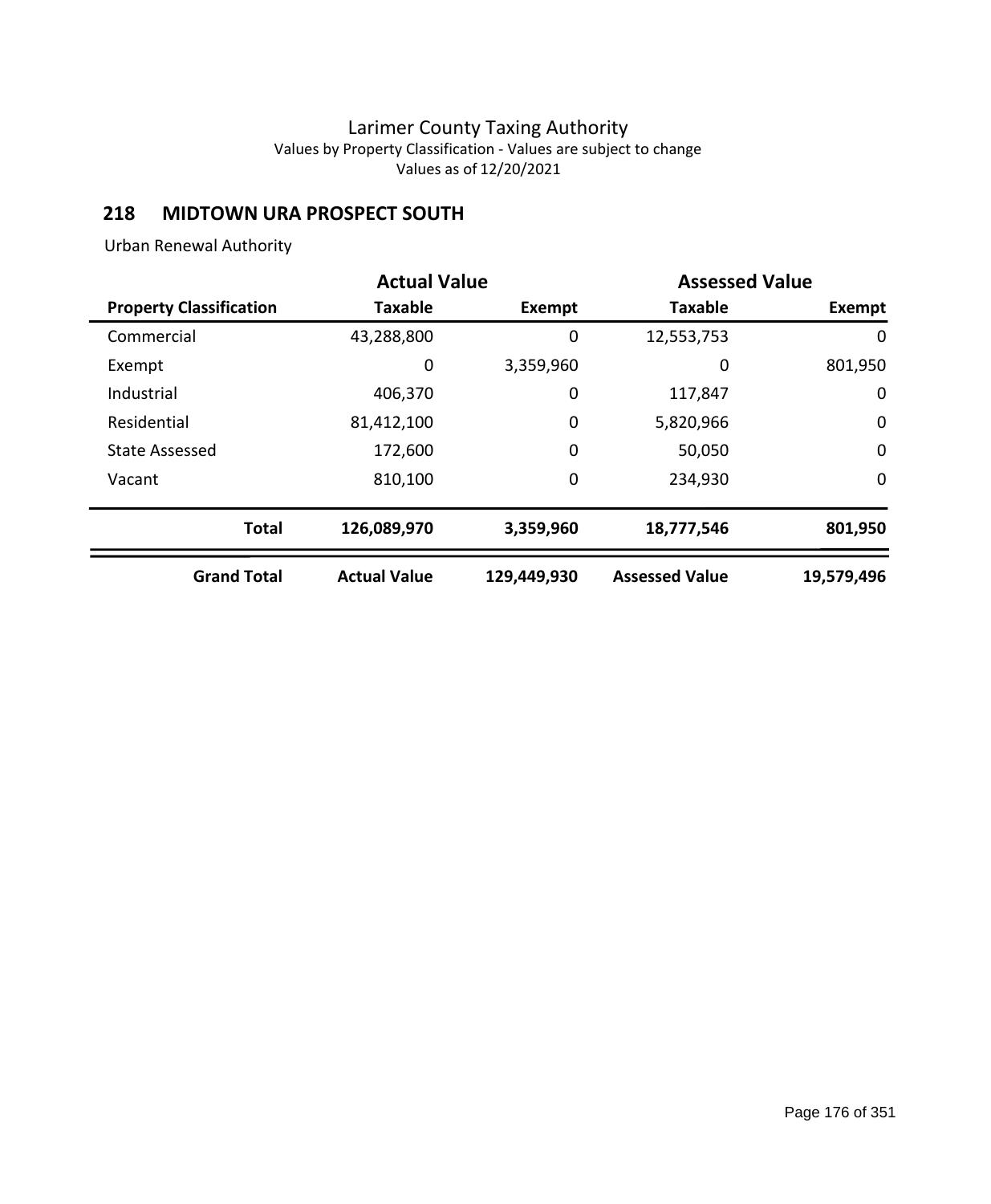## **218 MIDTOWN URA PROSPECT SOUTH**

Urban Renewal Authority

|                                | <b>Actual Value</b> |               | <b>Assessed Value</b> |               |
|--------------------------------|---------------------|---------------|-----------------------|---------------|
| <b>Property Classification</b> | <b>Taxable</b>      | <b>Exempt</b> | <b>Taxable</b>        | <b>Exempt</b> |
| Commercial                     | 43,288,800          | 0             | 12,553,753            | 0             |
| Exempt                         | 0                   | 3,359,960     | 0                     | 801,950       |
| Industrial                     | 406,370             | 0             | 117,847               | $\mathbf 0$   |
| Residential                    | 81,412,100          | 0             | 5,820,966             | $\mathbf 0$   |
| <b>State Assessed</b>          | 172,600             | 0             | 50,050                | $\mathbf 0$   |
| Vacant                         | 810,100             | 0             | 234,930               | 0             |
| <b>Total</b>                   | 126,089,970         | 3,359,960     | 18,777,546            | 801,950       |
| <b>Grand Total</b>             | <b>Actual Value</b> | 129,449,930   | <b>Assessed Value</b> | 19,579,496    |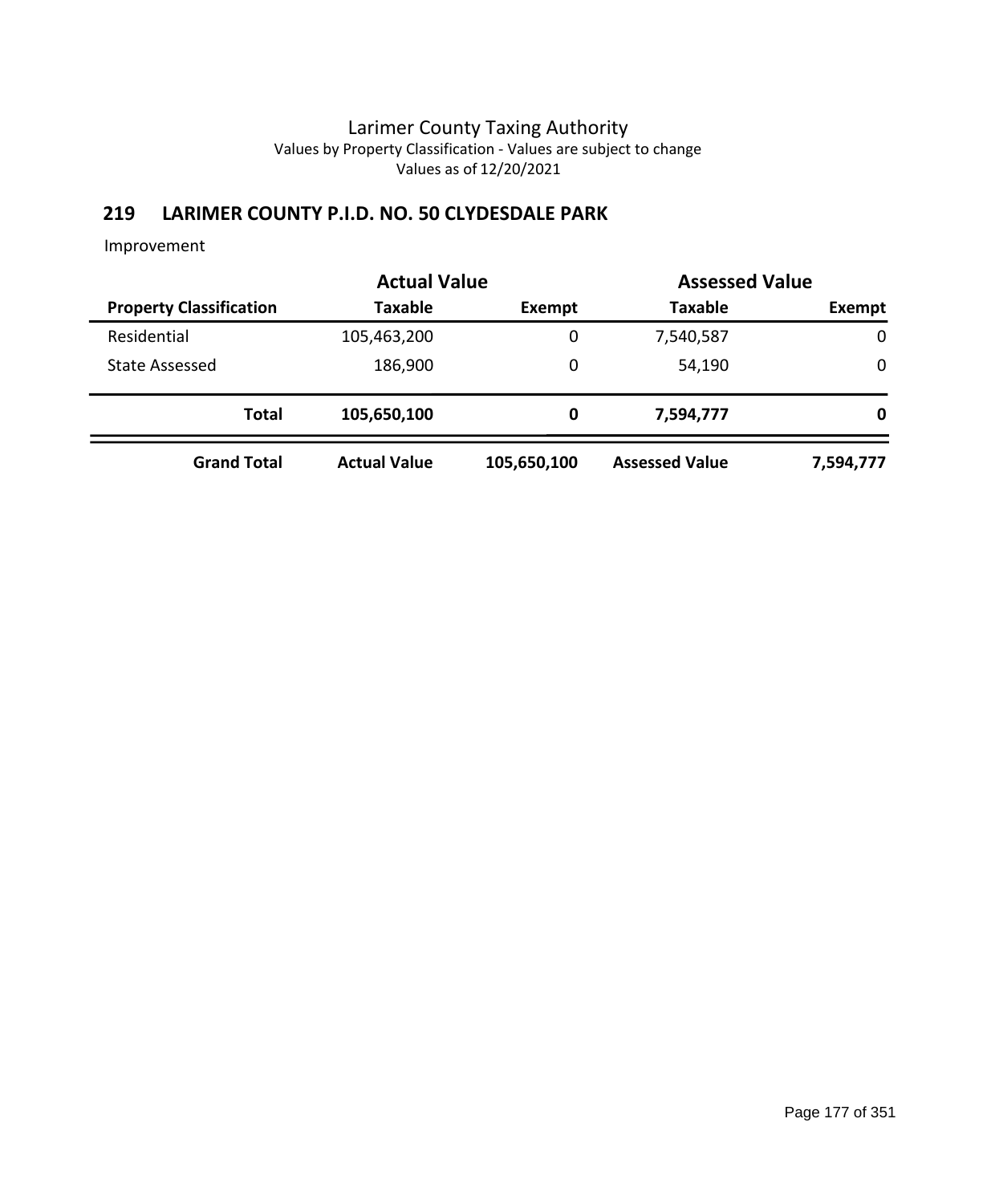# **219 LARIMER COUNTY P.I.D. NO. 50 CLYDESDALE PARK**

|                                | <b>Actual Value</b> | <b>Assessed Value</b> |                       |             |
|--------------------------------|---------------------|-----------------------|-----------------------|-------------|
| <b>Property Classification</b> | <b>Taxable</b>      | Exempt                | <b>Taxable</b>        | Exempt      |
| Residential                    | 105,463,200         | 0                     | 7,540,587             | $\mathbf 0$ |
| <b>State Assessed</b>          | 186,900             | 0                     | 54,190                | 0           |
| <b>Total</b>                   | 105,650,100         | 0                     | 7,594,777             | 0           |
| <b>Grand Total</b>             | <b>Actual Value</b> | 105,650,100           | <b>Assessed Value</b> | 7,594,777   |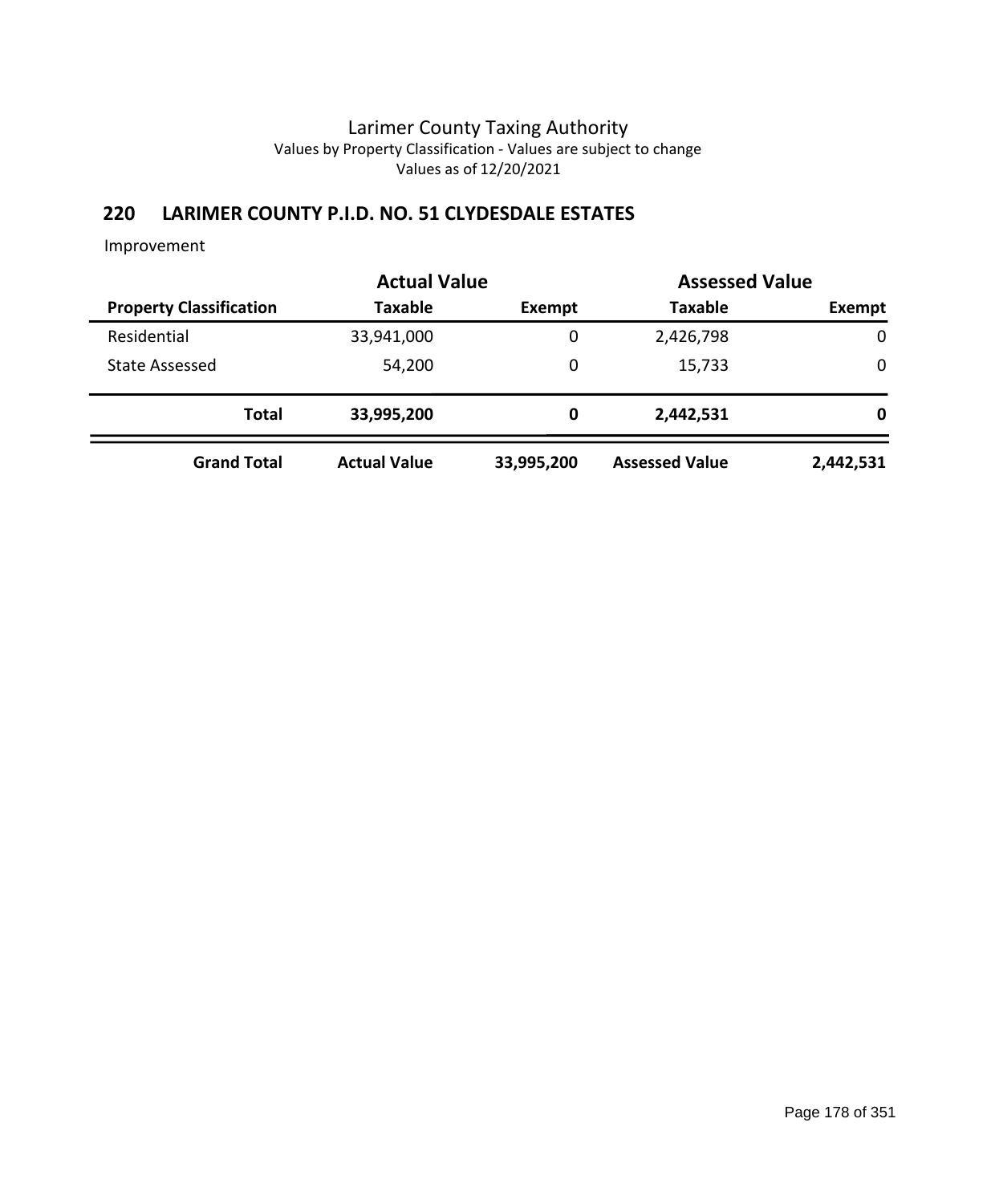# **220 LARIMER COUNTY P.I.D. NO. 51 CLYDESDALE ESTATES**

|                                | <b>Actual Value</b> | <b>Assessed Value</b> |                       |           |  |
|--------------------------------|---------------------|-----------------------|-----------------------|-----------|--|
| <b>Property Classification</b> | <b>Taxable</b>      | Exempt                | <b>Taxable</b>        | Exempt    |  |
| Residential                    | 33,941,000          | 0                     | 2,426,798             | 0         |  |
| State Assessed                 | 54,200              | 0                     | 15,733                | 0         |  |
| <b>Total</b>                   | 33,995,200          | 0                     | 2,442,531             | 0         |  |
| <b>Grand Total</b>             | <b>Actual Value</b> | 33,995,200            | <b>Assessed Value</b> | 2,442,531 |  |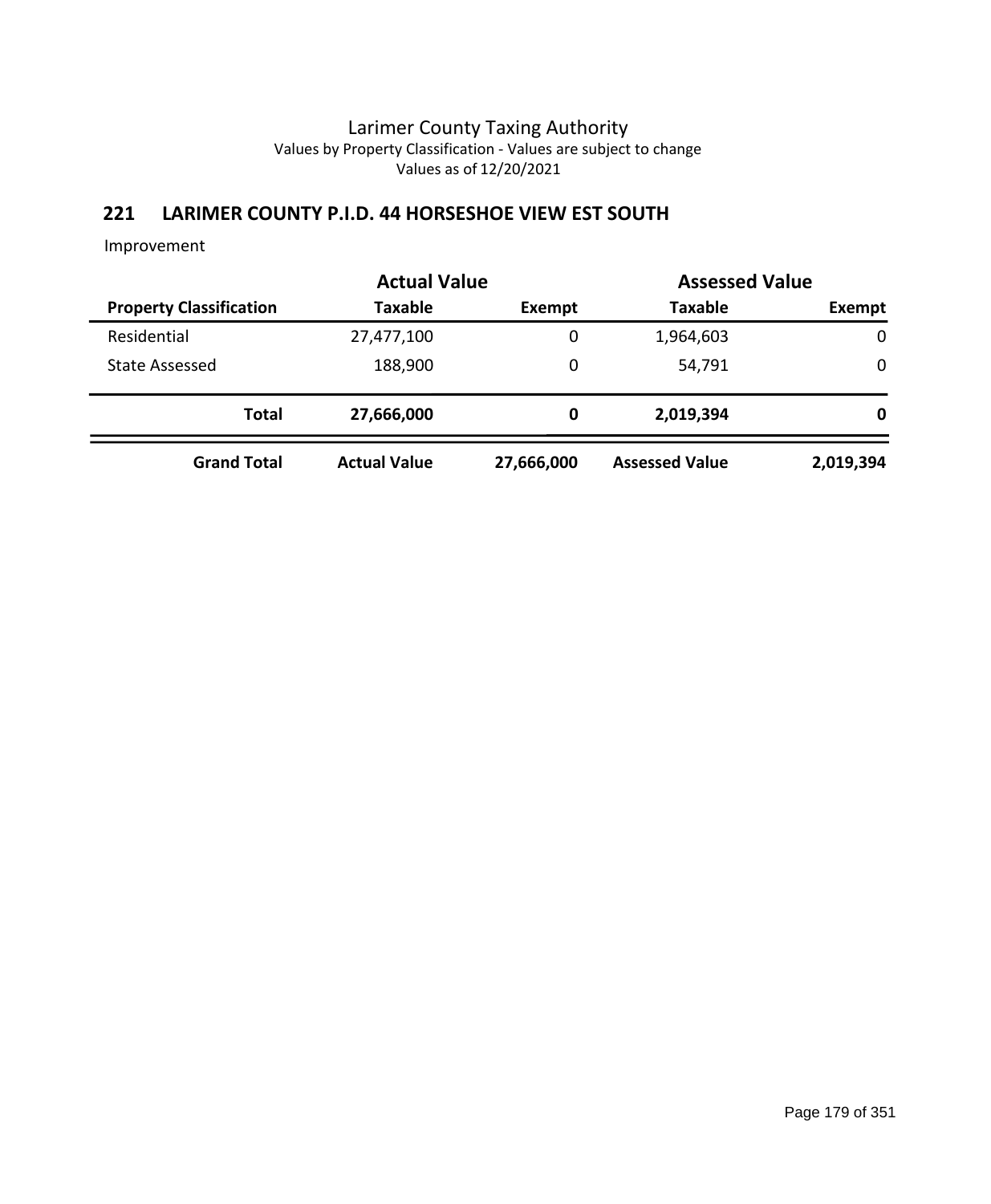## **221 LARIMER COUNTY P.I.D. 44 HORSESHOE VIEW EST SOUTH**

|                                | <b>Actual Value</b> | <b>Assessed Value</b> |                       |             |  |
|--------------------------------|---------------------|-----------------------|-----------------------|-------------|--|
| <b>Property Classification</b> | <b>Taxable</b>      | Exempt                | <b>Taxable</b>        | Exempt      |  |
| Residential                    | 27,477,100          | 0                     | 1,964,603             | $\mathbf 0$ |  |
| <b>State Assessed</b>          | 188,900             | 0                     | 54,791                | 0           |  |
| <b>Total</b>                   | 27,666,000          | 0                     | 2,019,394             | 0           |  |
| <b>Grand Total</b>             | <b>Actual Value</b> | 27,666,000            | <b>Assessed Value</b> | 2,019,394   |  |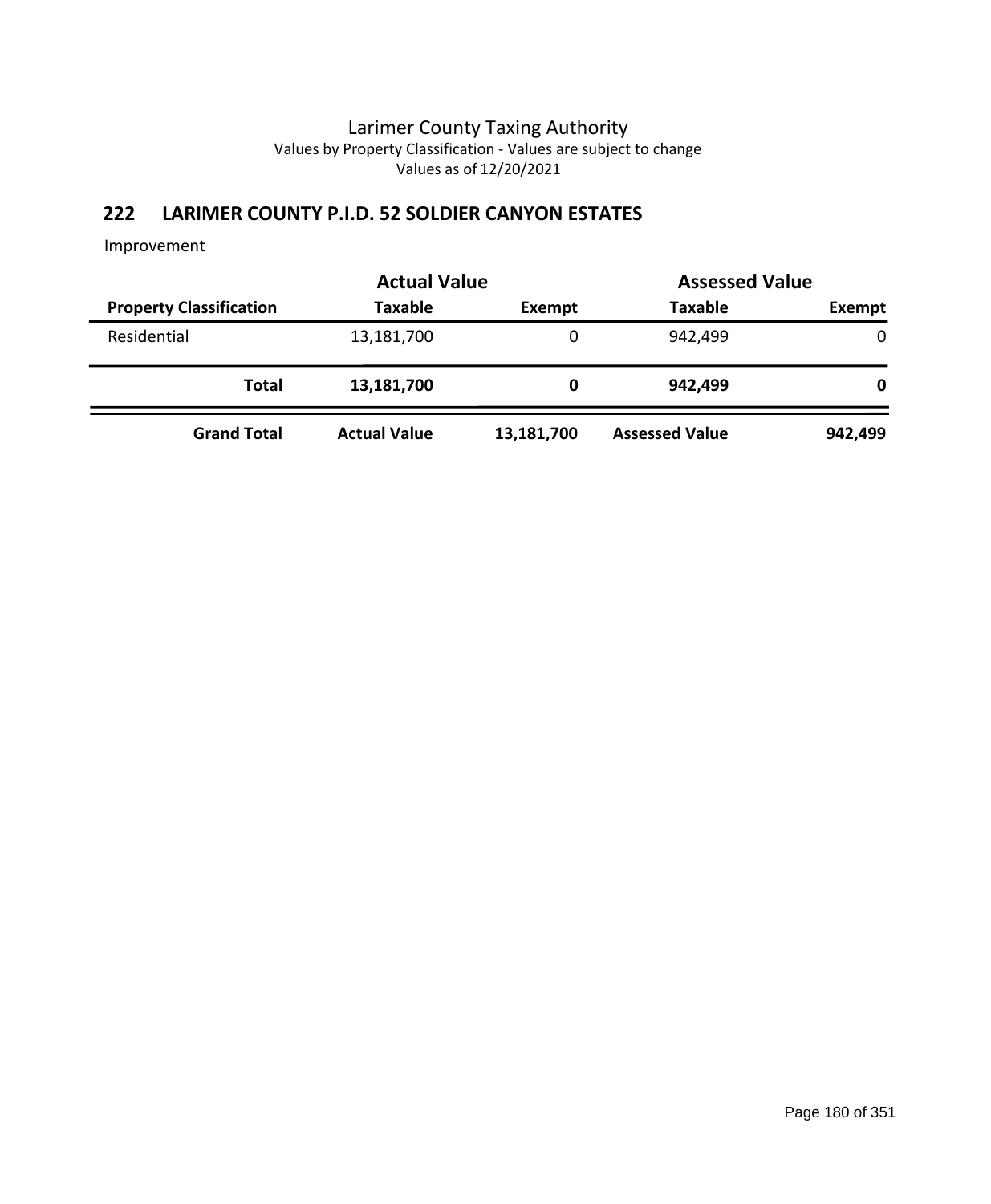# **222 LARIMER COUNTY P.I.D. 52 SOLDIER CANYON ESTATES**

|                                | <b>Actual Value</b> |               | <b>Assessed Value</b> |               |
|--------------------------------|---------------------|---------------|-----------------------|---------------|
| <b>Property Classification</b> | <b>Taxable</b>      | <b>Exempt</b> | <b>Taxable</b>        | <b>Exempt</b> |
| Residential                    | 13,181,700          | 0             | 942,499               | $\mathbf 0$   |
| <b>Total</b>                   | 13,181,700          | 0             | 942,499               | 0             |
| <b>Grand Total</b>             | <b>Actual Value</b> | 13,181,700    | <b>Assessed Value</b> | 942,499       |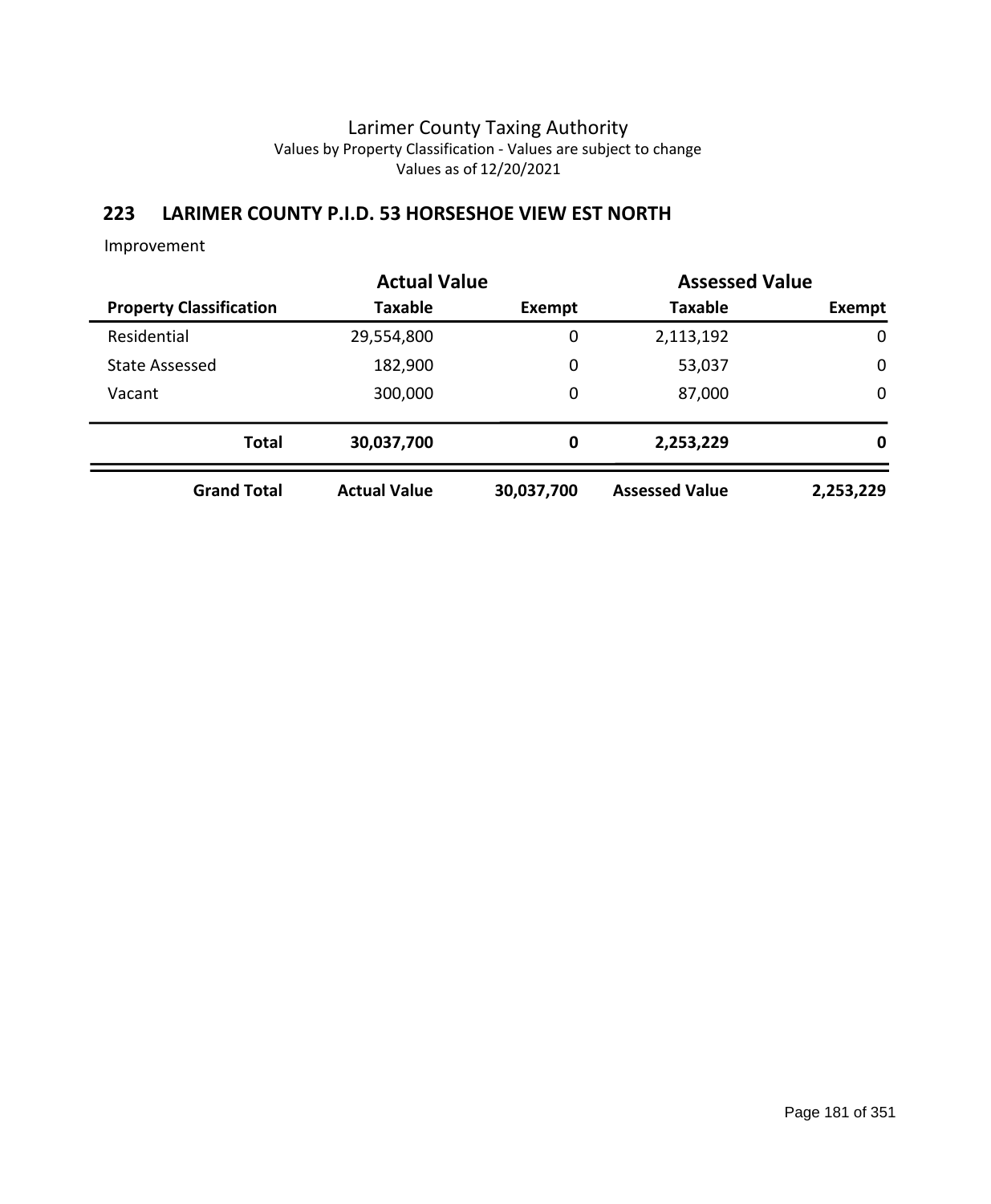## **223 LARIMER COUNTY P.I.D. 53 HORSESHOE VIEW EST NORTH**

|                                | <b>Actual Value</b> |             | <b>Assessed Value</b> |             |
|--------------------------------|---------------------|-------------|-----------------------|-------------|
| <b>Property Classification</b> | <b>Taxable</b>      | Exempt      | <b>Taxable</b>        | Exempt      |
| Residential                    | 29,554,800          | 0           | 2,113,192             | $\mathbf 0$ |
| <b>State Assessed</b>          | 182,900             | 0           | 53,037                | $\mathbf 0$ |
| Vacant                         | 300,000             | $\mathbf 0$ | 87,000                | $\mathbf 0$ |
| <b>Total</b>                   | 30,037,700          | 0           | 2,253,229             | 0           |
| <b>Grand Total</b>             | <b>Actual Value</b> | 30,037,700  | <b>Assessed Value</b> | 2,253,229   |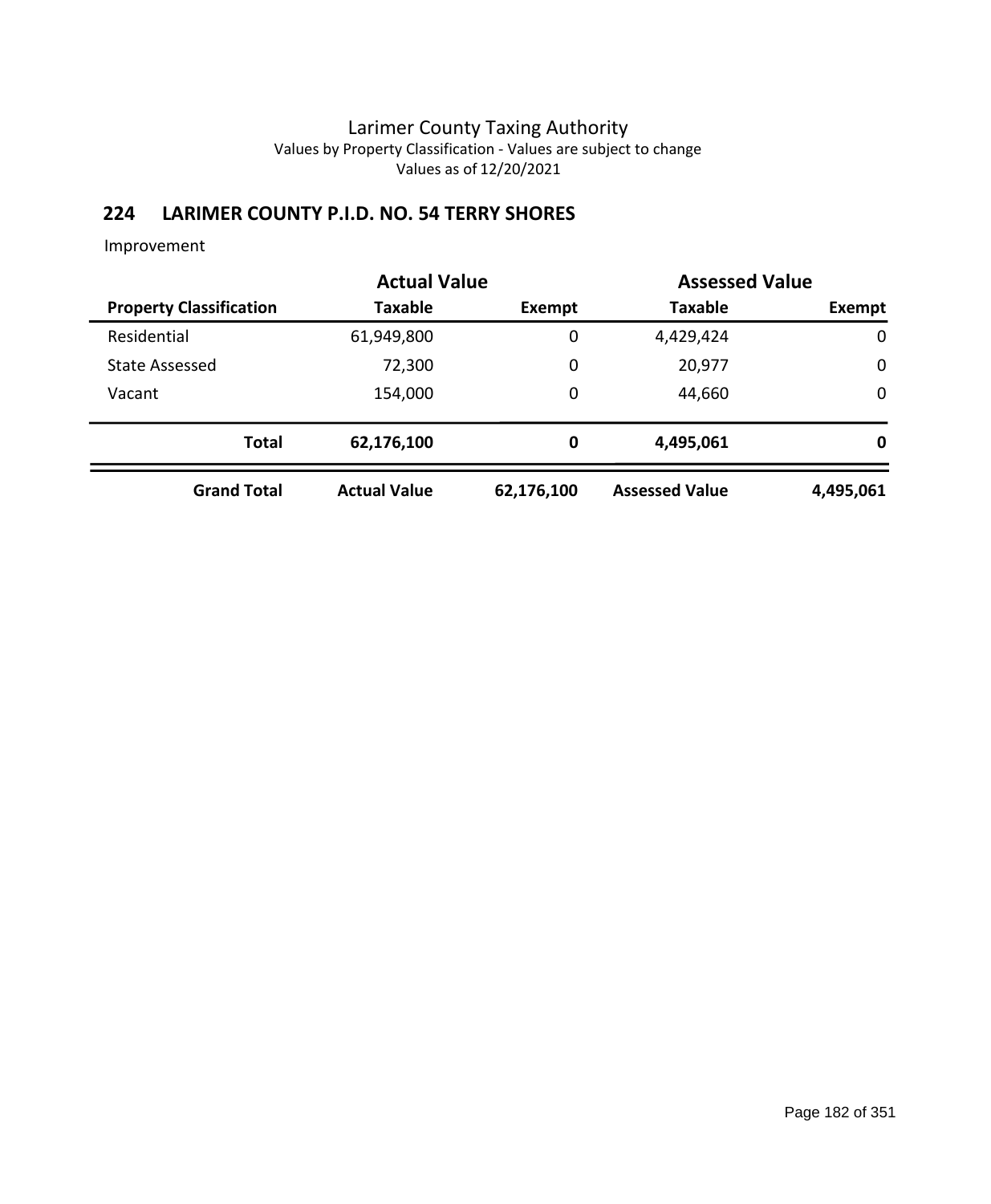# **224 LARIMER COUNTY P.I.D. NO. 54 TERRY SHORES**

|                                | <b>Actual Value</b> |             | <b>Assessed Value</b> |             |
|--------------------------------|---------------------|-------------|-----------------------|-------------|
| <b>Property Classification</b> | <b>Taxable</b>      | Exempt      | <b>Taxable</b>        | Exempt      |
| Residential                    | 61,949,800          | 0           | 4,429,424             | $\mathbf 0$ |
| <b>State Assessed</b>          | 72,300              | 0           | 20,977                | $\mathbf 0$ |
| Vacant                         | 154,000             | $\mathbf 0$ | 44,660                | $\mathbf 0$ |
| <b>Total</b>                   | 62,176,100          | 0           | 4,495,061             | 0           |
| <b>Grand Total</b>             | <b>Actual Value</b> | 62,176,100  | <b>Assessed Value</b> | 4,495,061   |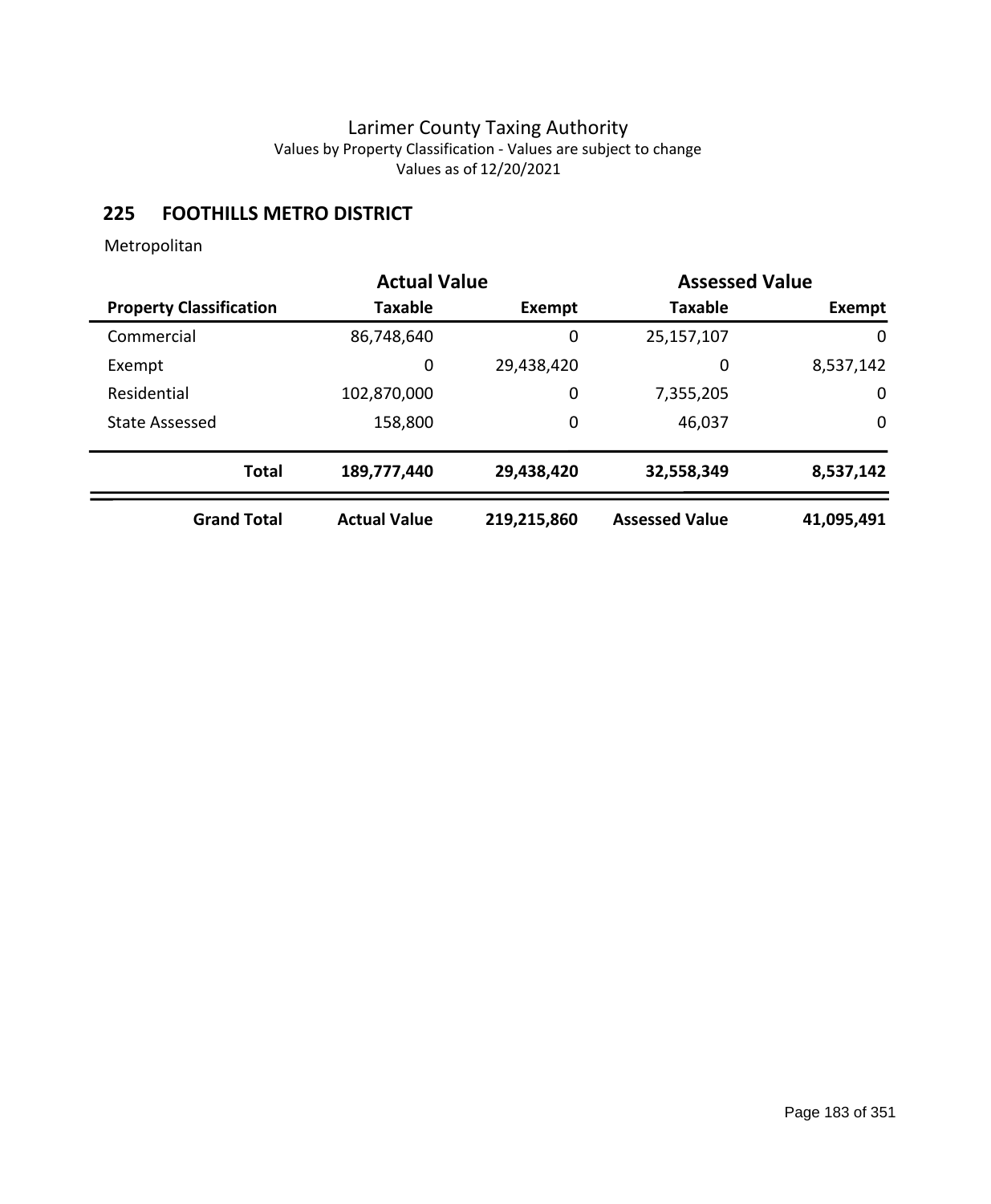## **225 FOOTHILLS METRO DISTRICT**

|                                | <b>Actual Value</b> |             | <b>Assessed Value</b> |            |
|--------------------------------|---------------------|-------------|-----------------------|------------|
| <b>Property Classification</b> | <b>Taxable</b>      | Exempt      | <b>Taxable</b>        | Exempt     |
| Commercial                     | 86,748,640          | 0           | 25,157,107            | 0          |
| Exempt                         | 0                   | 29,438,420  | 0                     | 8,537,142  |
| Residential                    | 102,870,000         | 0           | 7,355,205             | 0          |
| <b>State Assessed</b>          | 158,800             | 0           | 46,037                | 0          |
| <b>Total</b>                   | 189,777,440         | 29,438,420  | 32,558,349            | 8,537,142  |
| <b>Grand Total</b>             | <b>Actual Value</b> | 219,215,860 | <b>Assessed Value</b> | 41,095,491 |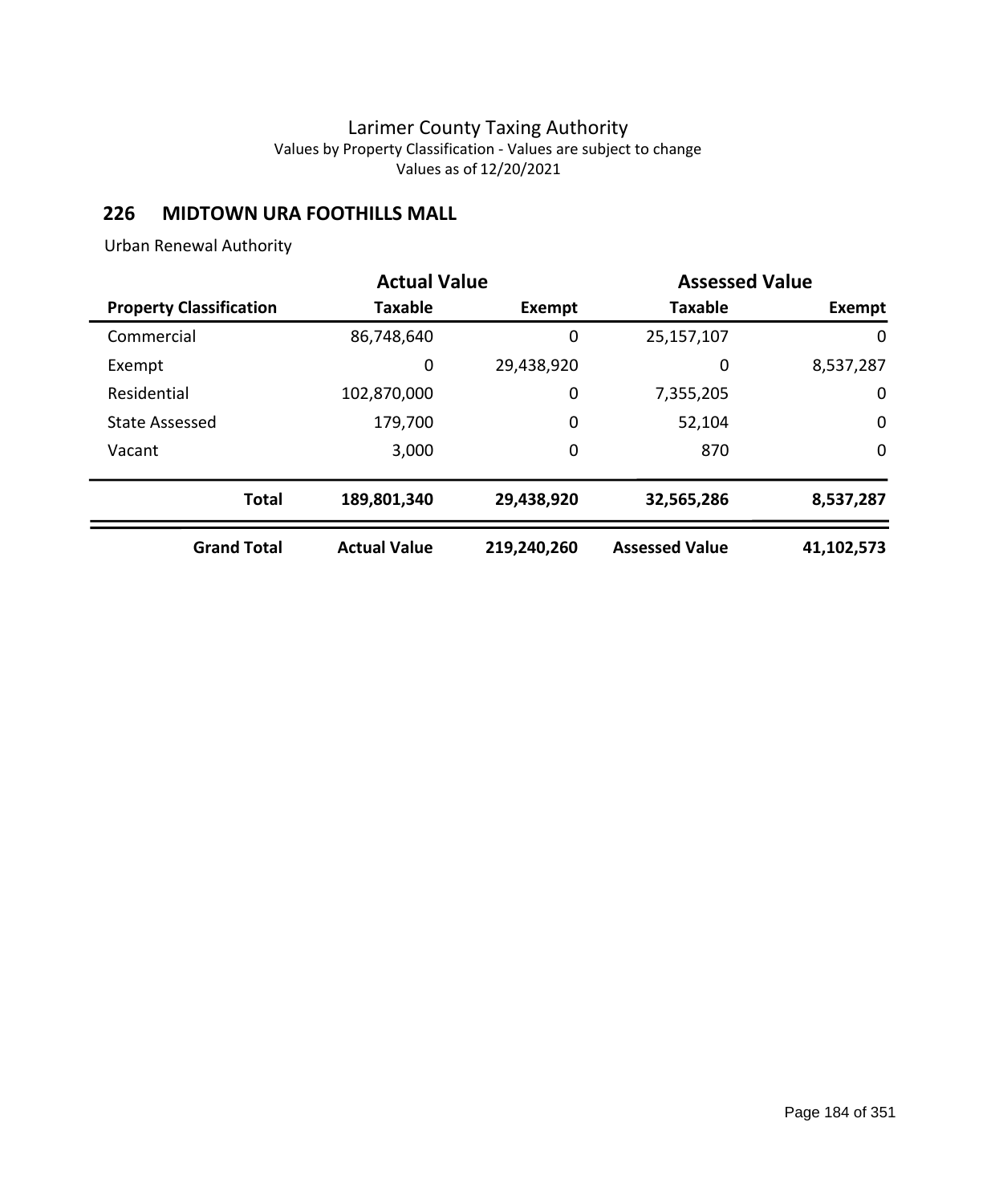## **226 MIDTOWN URA FOOTHILLS MALL**

Urban Renewal Authority

|                                | <b>Actual Value</b> |               | <b>Assessed Value</b> |             |
|--------------------------------|---------------------|---------------|-----------------------|-------------|
| <b>Property Classification</b> | <b>Taxable</b>      | <b>Exempt</b> | <b>Taxable</b>        | Exempt      |
| Commercial                     | 86,748,640          | 0             | 25,157,107            | 0           |
| Exempt                         | 0                   | 29,438,920    | 0                     | 8,537,287   |
| Residential                    | 102,870,000         | 0             | 7,355,205             | 0           |
| <b>State Assessed</b>          | 179,700             | 0             | 52,104                | $\mathbf 0$ |
| Vacant                         | 3,000               | 0             | 870                   | $\mathbf 0$ |
| <b>Total</b>                   | 189,801,340         | 29,438,920    | 32,565,286            | 8,537,287   |
| <b>Grand Total</b>             | <b>Actual Value</b> | 219,240,260   | <b>Assessed Value</b> | 41,102,573  |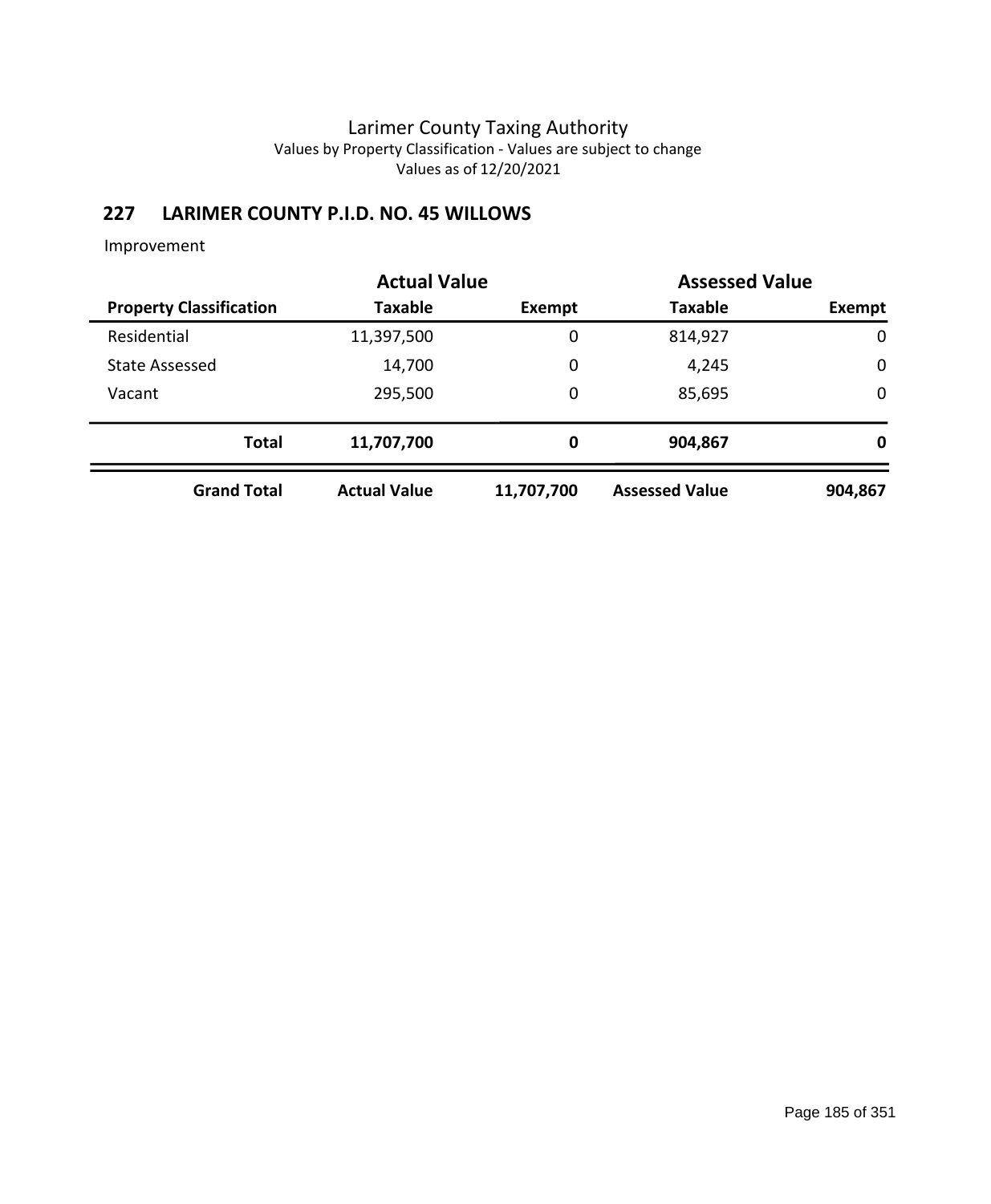# **227 LARIMER COUNTY P.I.D. NO. 45 WILLOWS**

|                                | <b>Actual Value</b> |            | <b>Assessed Value</b> |             |
|--------------------------------|---------------------|------------|-----------------------|-------------|
| <b>Property Classification</b> | Taxable             | Exempt     | <b>Taxable</b>        | Exempt      |
| Residential                    | 11,397,500          | 0          | 814,927               | $\mathbf 0$ |
| <b>State Assessed</b>          | 14,700              | 0          | 4,245                 | $\mathbf 0$ |
| Vacant                         | 295,500             | 0          | 85,695                | $\mathbf 0$ |
| <b>Total</b>                   | 11,707,700          | 0          | 904,867               | 0           |
| <b>Grand Total</b>             | <b>Actual Value</b> | 11,707,700 | <b>Assessed Value</b> | 904,867     |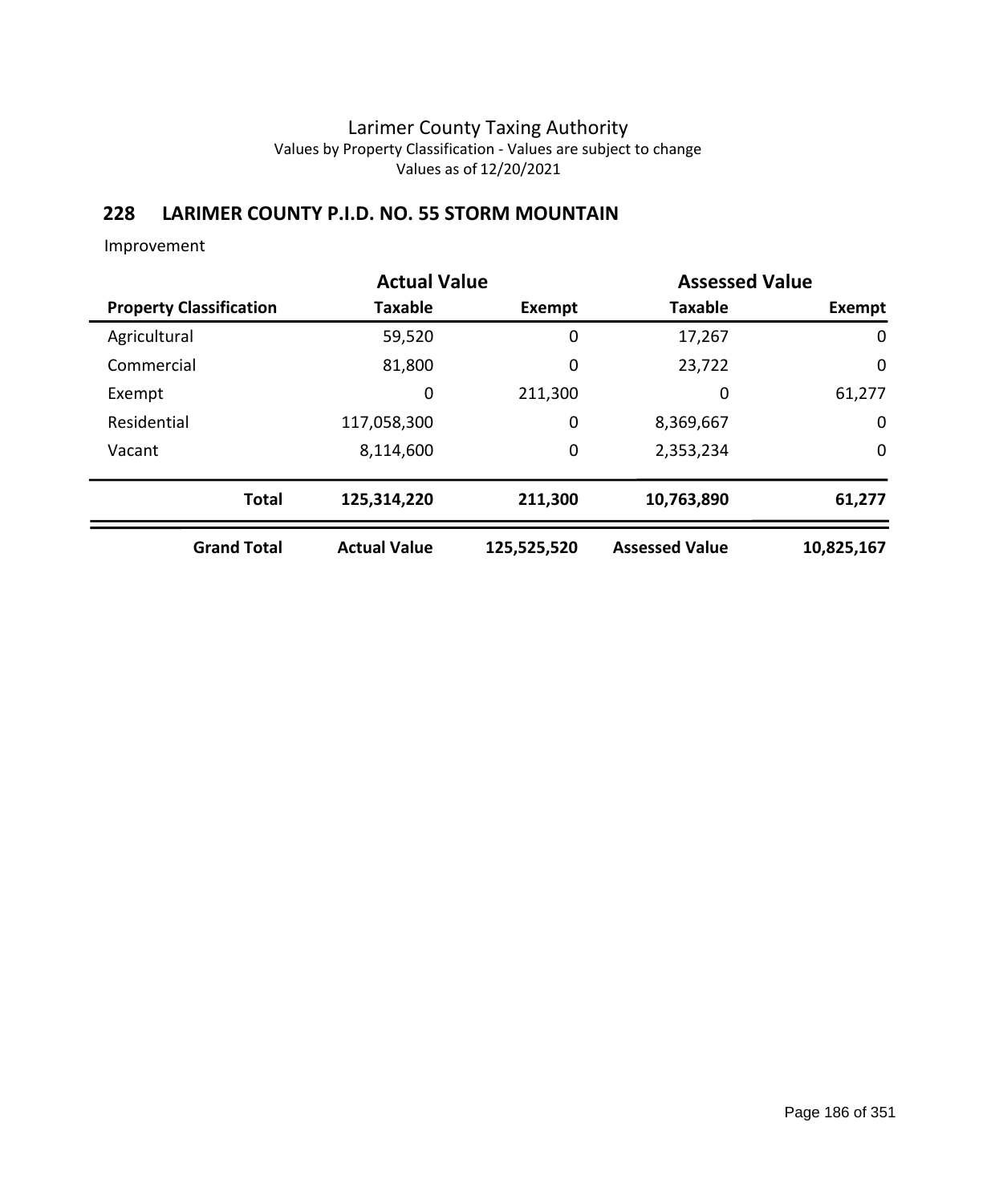## **228 LARIMER COUNTY P.I.D. NO. 55 STORM MOUNTAIN**

| <b>Actual Value</b>            |              |                     |             | <b>Assessed Value</b> |               |  |
|--------------------------------|--------------|---------------------|-------------|-----------------------|---------------|--|
| <b>Property Classification</b> |              | <b>Taxable</b>      | Exempt      | <b>Taxable</b>        | <b>Exempt</b> |  |
| Agricultural                   |              | 59,520              | 0           | 17,267                | 0             |  |
| Commercial                     |              | 81,800              | $\mathbf 0$ | 23,722                | $\mathbf 0$   |  |
| Exempt                         |              | 0                   | 211,300     | 0                     | 61,277        |  |
| Residential                    |              | 117,058,300         | $\mathbf 0$ | 8,369,667             | $\mathbf 0$   |  |
| Vacant                         |              | 8,114,600           | $\mathbf 0$ | 2,353,234             | 0             |  |
|                                | <b>Total</b> | 125,314,220         | 211,300     | 10,763,890            | 61,277        |  |
| <b>Grand Total</b>             |              | <b>Actual Value</b> | 125,525,520 | <b>Assessed Value</b> | 10,825,167    |  |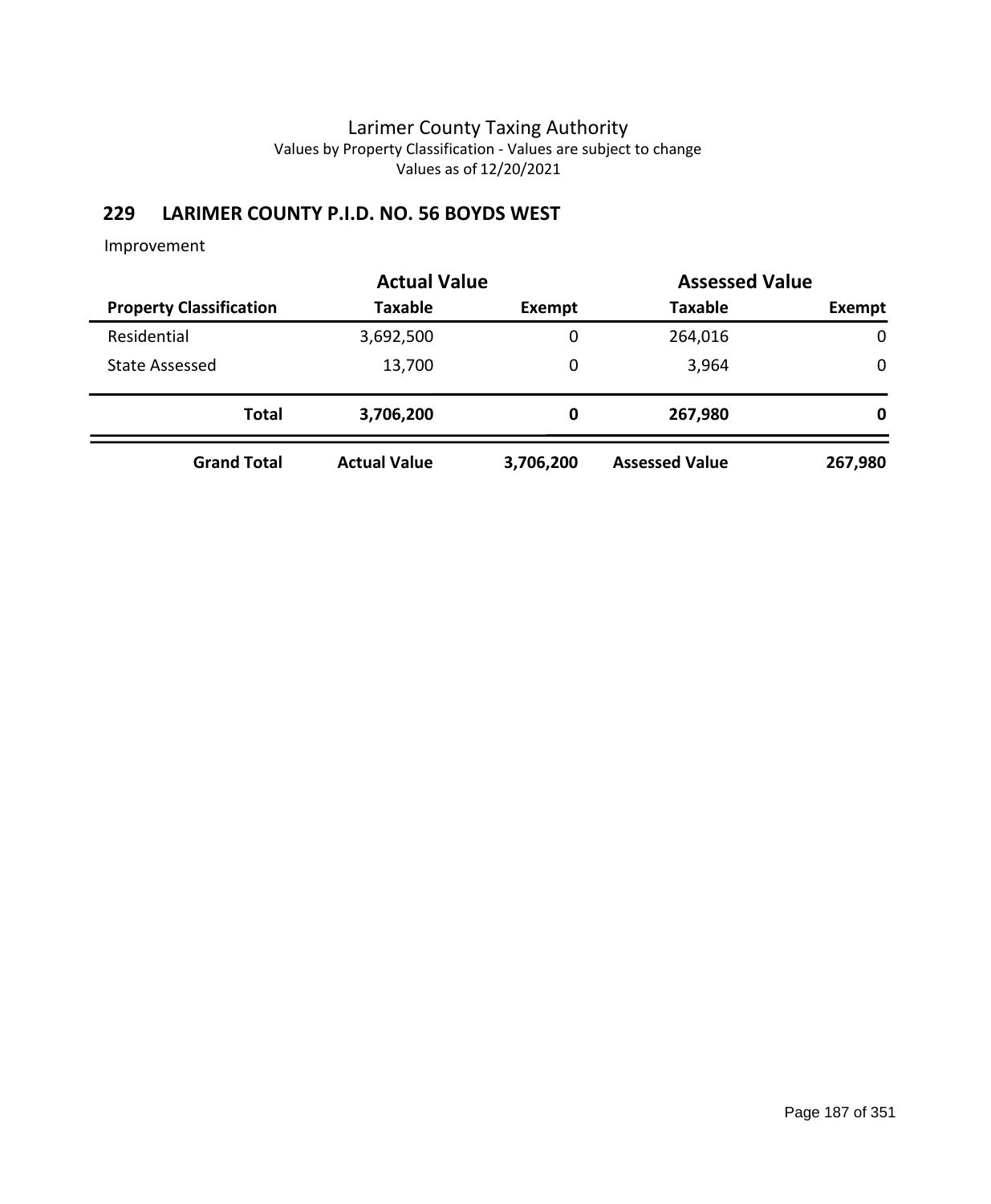# **229 LARIMER COUNTY P.I.D. NO. 56 BOYDS WEST**

|                                | <b>Actual Value</b> |           |                       | <b>Assessed Value</b> |  |  |
|--------------------------------|---------------------|-----------|-----------------------|-----------------------|--|--|
| <b>Property Classification</b> | <b>Taxable</b>      | Exempt    | <b>Taxable</b>        | Exempt                |  |  |
| Residential                    | 3,692,500           | 0         | 264,016               | $\mathbf 0$           |  |  |
| <b>State Assessed</b>          | 13,700              | 0         | 3,964                 | 0                     |  |  |
| <b>Total</b>                   | 3,706,200           | 0         | 267,980               | 0                     |  |  |
| <b>Grand Total</b>             | <b>Actual Value</b> | 3,706,200 | <b>Assessed Value</b> | 267,980               |  |  |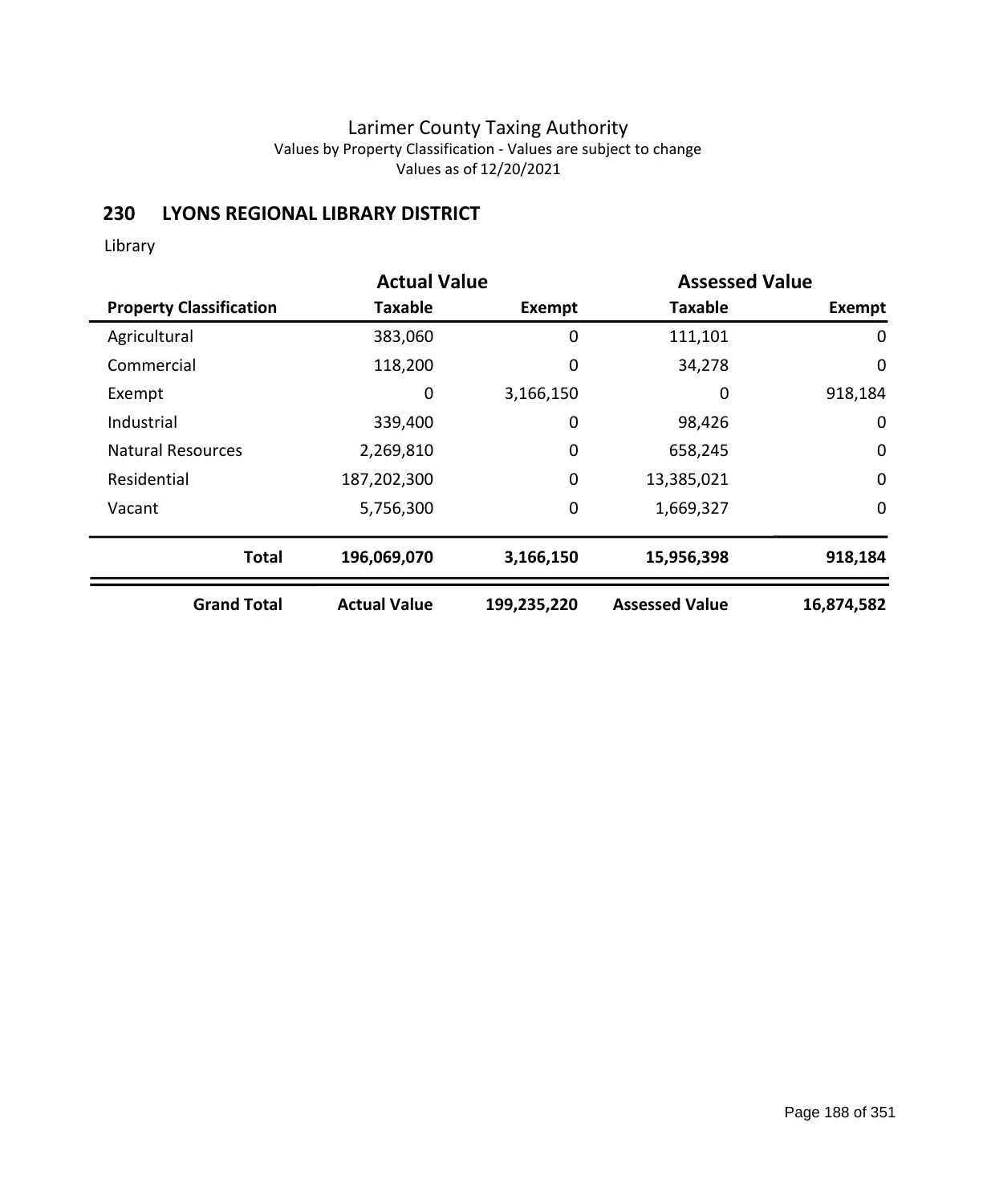## **230 LYONS REGIONAL LIBRARY DISTRICT**

Library

|                                | <b>Actual Value</b> |               | <b>Assessed Value</b> |             |
|--------------------------------|---------------------|---------------|-----------------------|-------------|
| <b>Property Classification</b> | <b>Taxable</b>      | <b>Exempt</b> | <b>Taxable</b>        | Exempt      |
| Agricultural                   | 383,060             | 0             | 111,101               | 0           |
| Commercial                     | 118,200             | 0             | 34,278                | 0           |
| Exempt                         | 0                   | 3,166,150     | 0                     | 918,184     |
| Industrial                     | 339,400             | 0             | 98,426                | $\mathbf 0$ |
| <b>Natural Resources</b>       | 2,269,810           | 0             | 658,245               | $\mathbf 0$ |
| Residential                    | 187,202,300         | 0             | 13,385,021            | $\mathbf 0$ |
| Vacant                         | 5,756,300           | $\mathbf 0$   | 1,669,327             | $\mathbf 0$ |
| <b>Total</b>                   | 196,069,070         | 3,166,150     | 15,956,398            | 918,184     |
| <b>Grand Total</b>             | <b>Actual Value</b> | 199,235,220   | <b>Assessed Value</b> | 16,874,582  |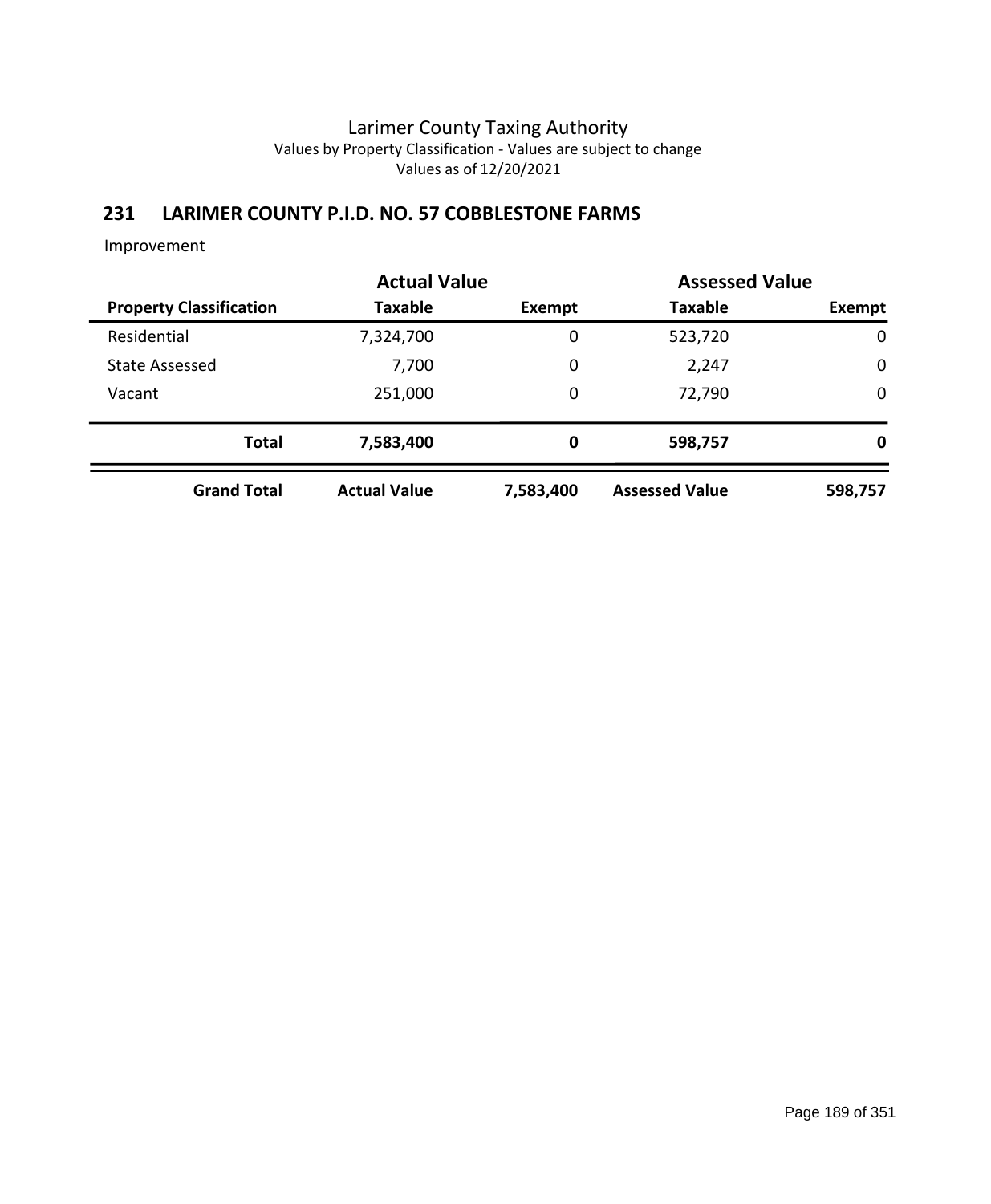## **231 LARIMER COUNTY P.I.D. NO. 57 COBBLESTONE FARMS**

|                                | <b>Actual Value</b> |           | <b>Assessed Value</b> |             |
|--------------------------------|---------------------|-----------|-----------------------|-------------|
| <b>Property Classification</b> | Taxable             | Exempt    | <b>Taxable</b>        | Exempt      |
| Residential                    | 7,324,700           | 0         | 523,720               | 0           |
| <b>State Assessed</b>          | 7,700               | 0         | 2,247                 | $\mathbf 0$ |
| Vacant                         | 251,000             | 0         | 72,790                | $\mathbf 0$ |
| <b>Total</b>                   | 7,583,400           | 0         | 598,757               | 0           |
| <b>Grand Total</b>             | <b>Actual Value</b> | 7,583,400 | <b>Assessed Value</b> | 598,757     |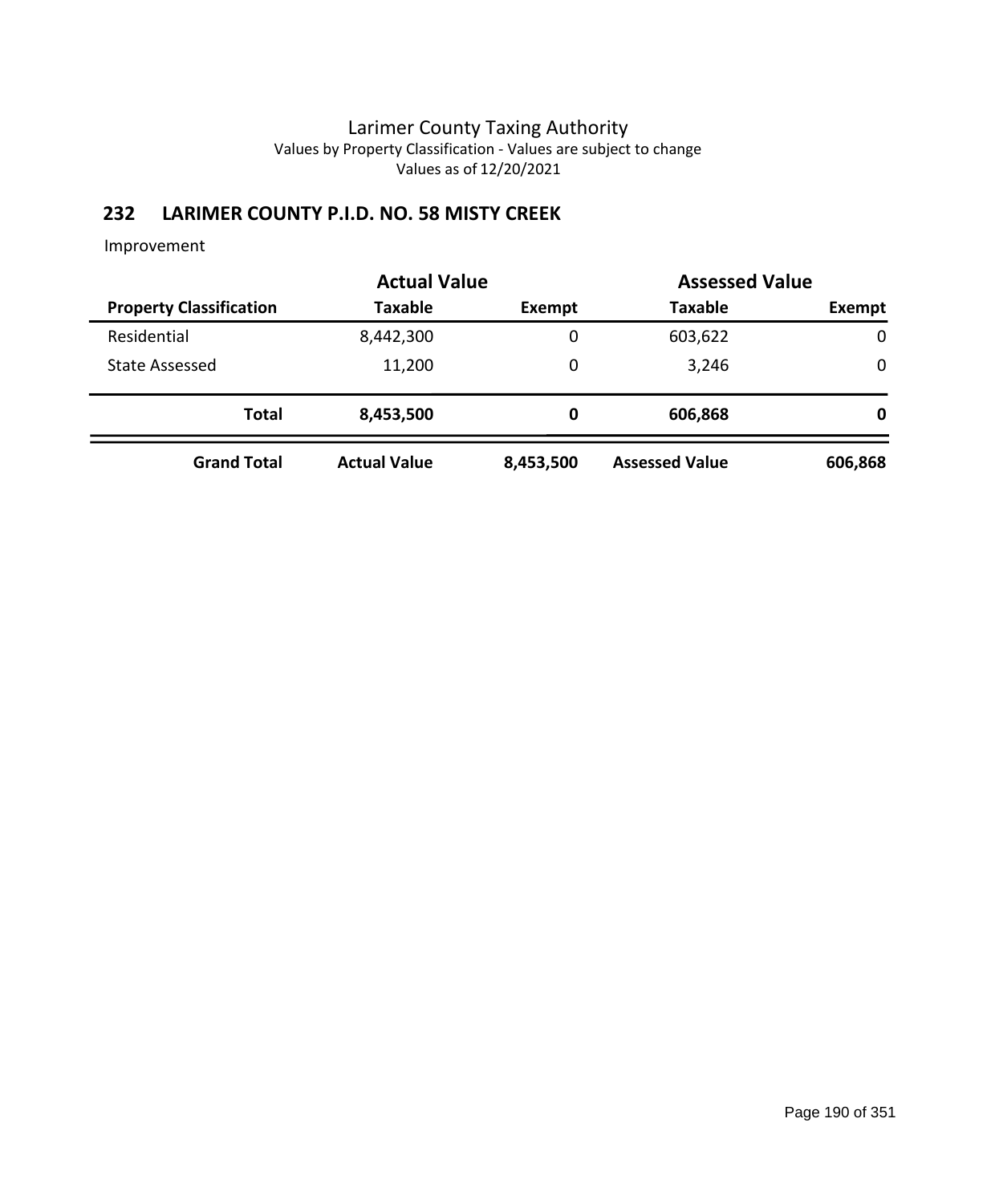# **232 LARIMER COUNTY P.I.D. NO. 58 MISTY CREEK**

|                                |                     |           |                       | <b>Actual Value</b> |  | <b>Assessed Value</b> |  |  |
|--------------------------------|---------------------|-----------|-----------------------|---------------------|--|-----------------------|--|--|
| <b>Property Classification</b> | <b>Taxable</b>      | Exempt    | <b>Taxable</b>        | Exempt              |  |                       |  |  |
| Residential                    | 8,442,300           | 0         | 603,622               | 0                   |  |                       |  |  |
| <b>State Assessed</b>          | 11,200              | 0         | 3,246                 | 0                   |  |                       |  |  |
| <b>Total</b>                   | 8,453,500           | 0         | 606,868               | 0                   |  |                       |  |  |
| <b>Grand Total</b>             | <b>Actual Value</b> | 8,453,500 | <b>Assessed Value</b> | 606,868             |  |                       |  |  |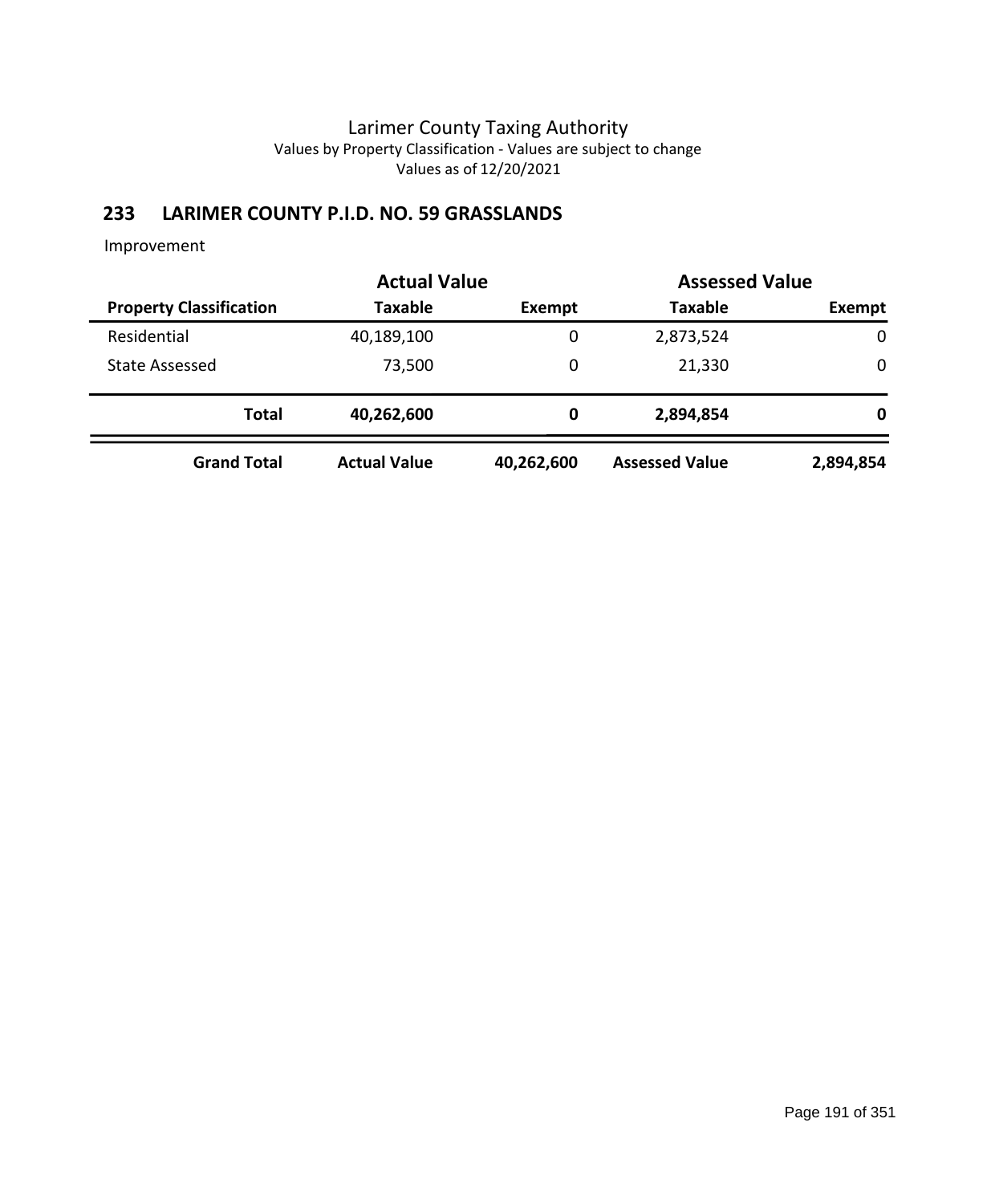# **233 LARIMER COUNTY P.I.D. NO. 59 GRASSLANDS**

|                                | <b>Actual Value</b> | <b>Assessed Value</b> |                       |             |
|--------------------------------|---------------------|-----------------------|-----------------------|-------------|
| <b>Property Classification</b> | <b>Taxable</b>      | Exempt                | <b>Taxable</b>        | Exempt      |
| Residential                    | 40,189,100          | 0                     | 2,873,524             | $\mathbf 0$ |
| State Assessed                 | 73,500              | 0                     | 21,330                | $\mathbf 0$ |
| <b>Total</b>                   | 40,262,600          | 0                     | 2,894,854             | 0           |
| <b>Grand Total</b>             | <b>Actual Value</b> | 40,262,600            | <b>Assessed Value</b> | 2,894,854   |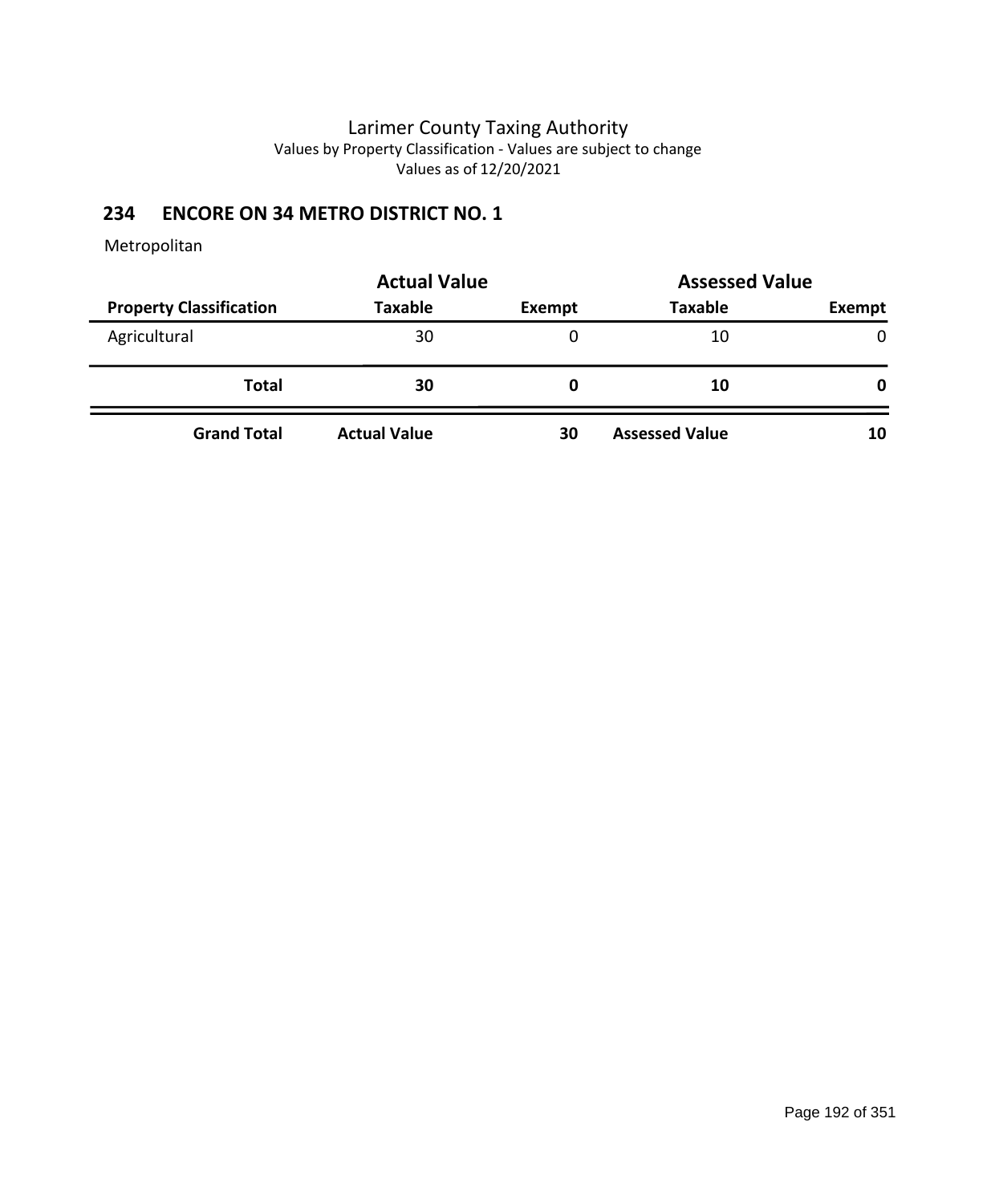# **234 ENCORE ON 34 METRO DISTRICT NO. 1**

|                                | <b>Actual Value</b> | <b>Assessed Value</b> |                       |              |  |
|--------------------------------|---------------------|-----------------------|-----------------------|--------------|--|
| <b>Property Classification</b> | <b>Taxable</b>      | Exempt                | <b>Taxable</b>        | Exempt       |  |
| Agricultural                   | 30                  | 0                     | 10                    | $\mathbf{0}$ |  |
| <b>Total</b>                   | 30                  | O                     | 10                    | $\mathbf 0$  |  |
| <b>Grand Total</b>             | <b>Actual Value</b> | 30                    | <b>Assessed Value</b> | 10           |  |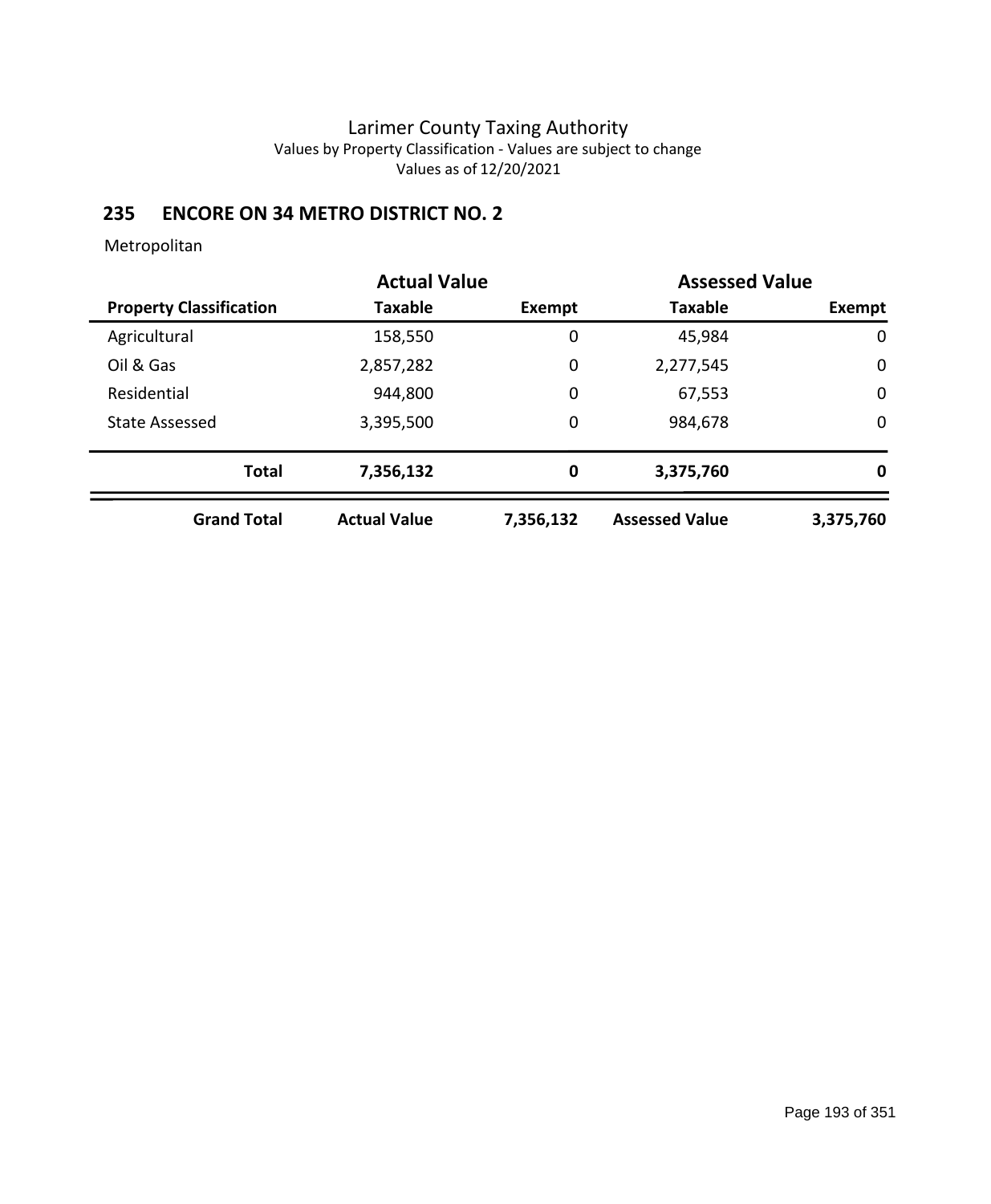# **235 ENCORE ON 34 METRO DISTRICT NO. 2**

|                                | <b>Actual Value</b> |           | <b>Assessed Value</b> |             |
|--------------------------------|---------------------|-----------|-----------------------|-------------|
| <b>Property Classification</b> | <b>Taxable</b>      | Exempt    | <b>Taxable</b>        | Exempt      |
| Agricultural                   | 158,550             | 0         | 45,984                | 0           |
| Oil & Gas                      | 2,857,282           | 0         | 2,277,545             | $\mathbf 0$ |
| Residential                    | 944,800             | 0         | 67,553                | $\mathbf 0$ |
| <b>State Assessed</b>          | 3,395,500           | 0         | 984,678               | $\mathbf 0$ |
| <b>Total</b>                   | 7,356,132           | 0         | 3,375,760             | 0           |
| <b>Grand Total</b>             | <b>Actual Value</b> | 7,356,132 | <b>Assessed Value</b> | 3,375,760   |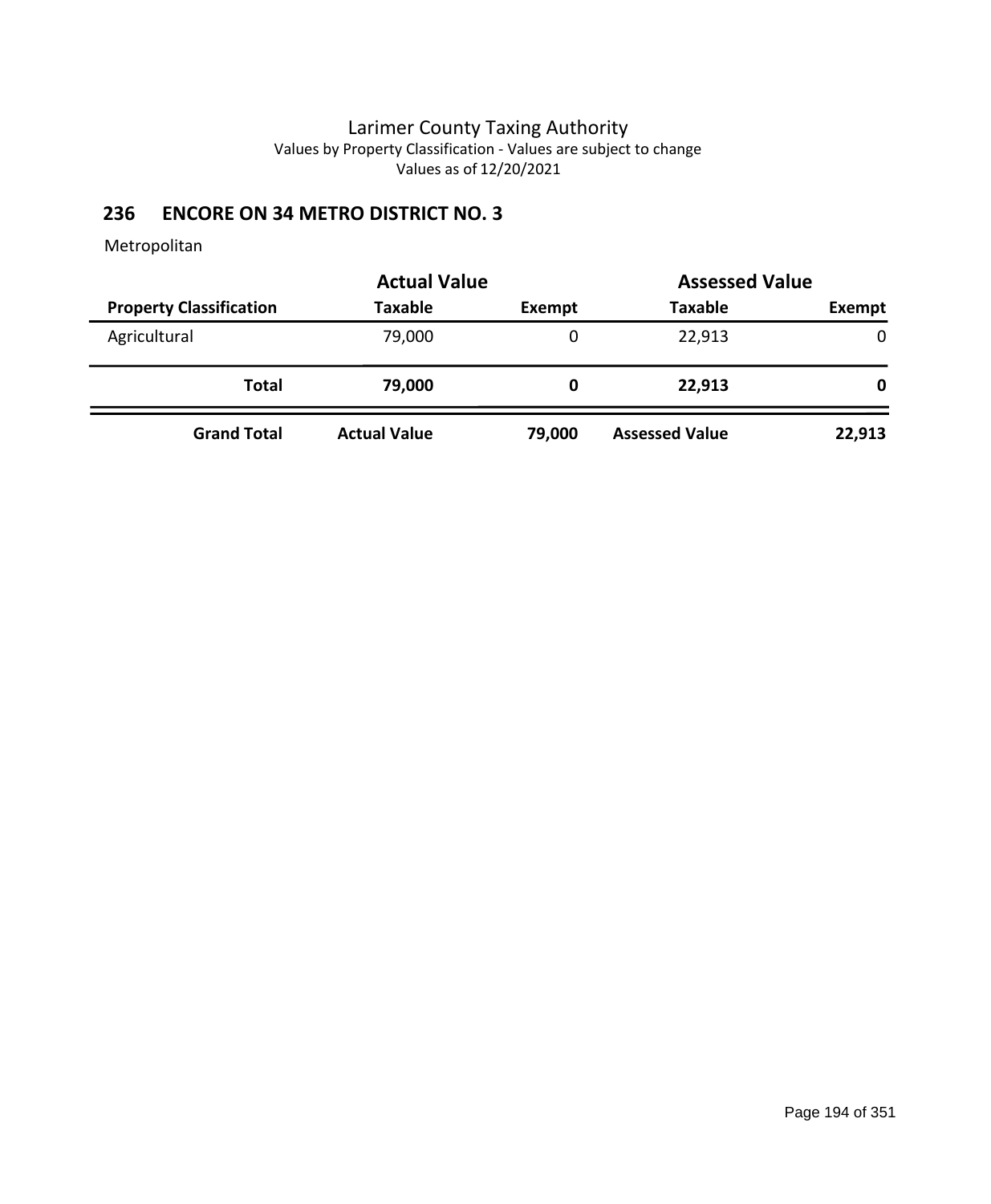# **236 ENCORE ON 34 METRO DISTRICT NO. 3**

|                                | <b>Actual Value</b> | <b>Assessed Value</b> |                       |        |
|--------------------------------|---------------------|-----------------------|-----------------------|--------|
| <b>Property Classification</b> | <b>Taxable</b>      | Exempt                | <b>Taxable</b>        | Exempt |
| Agricultural                   | 79,000              | 0                     | 22,913                | 0      |
| <b>Total</b>                   | 79,000              | 0                     | 22,913                | 0      |
| <b>Grand Total</b>             | <b>Actual Value</b> | 79,000                | <b>Assessed Value</b> | 22,913 |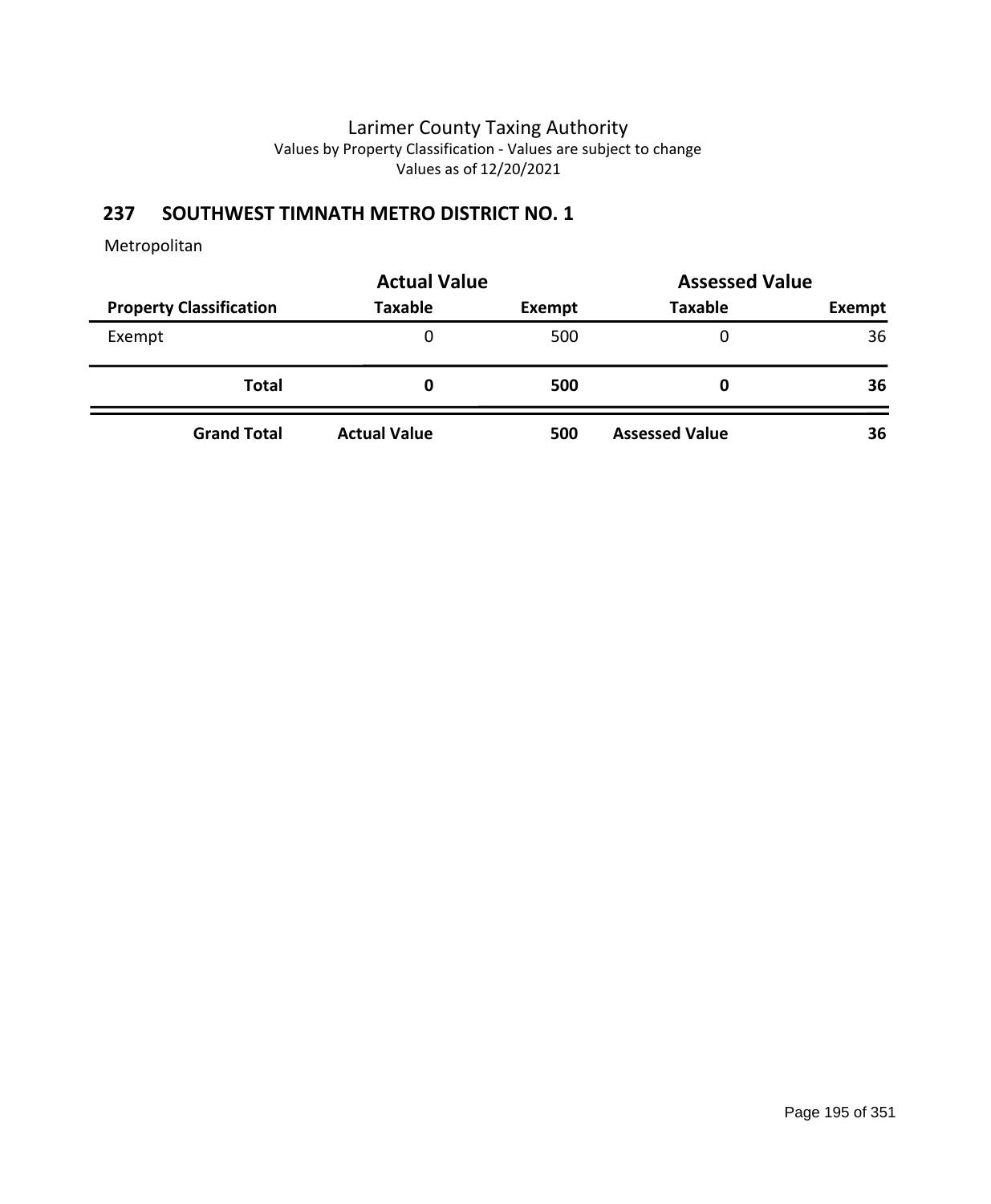# **237 SOUTHWEST TIMNATH METRO DISTRICT NO. 1**

|                                | <b>Actual Value</b> | <b>Assessed Value</b> |                       |               |
|--------------------------------|---------------------|-----------------------|-----------------------|---------------|
| <b>Property Classification</b> | <b>Taxable</b>      | Exempt                | <b>Taxable</b>        | <b>Exempt</b> |
| Exempt                         | 0                   | 500                   |                       | 36            |
| <b>Total</b>                   | 0                   | 500                   |                       | 36            |
| <b>Grand Total</b>             | <b>Actual Value</b> | 500                   | <b>Assessed Value</b> | 36            |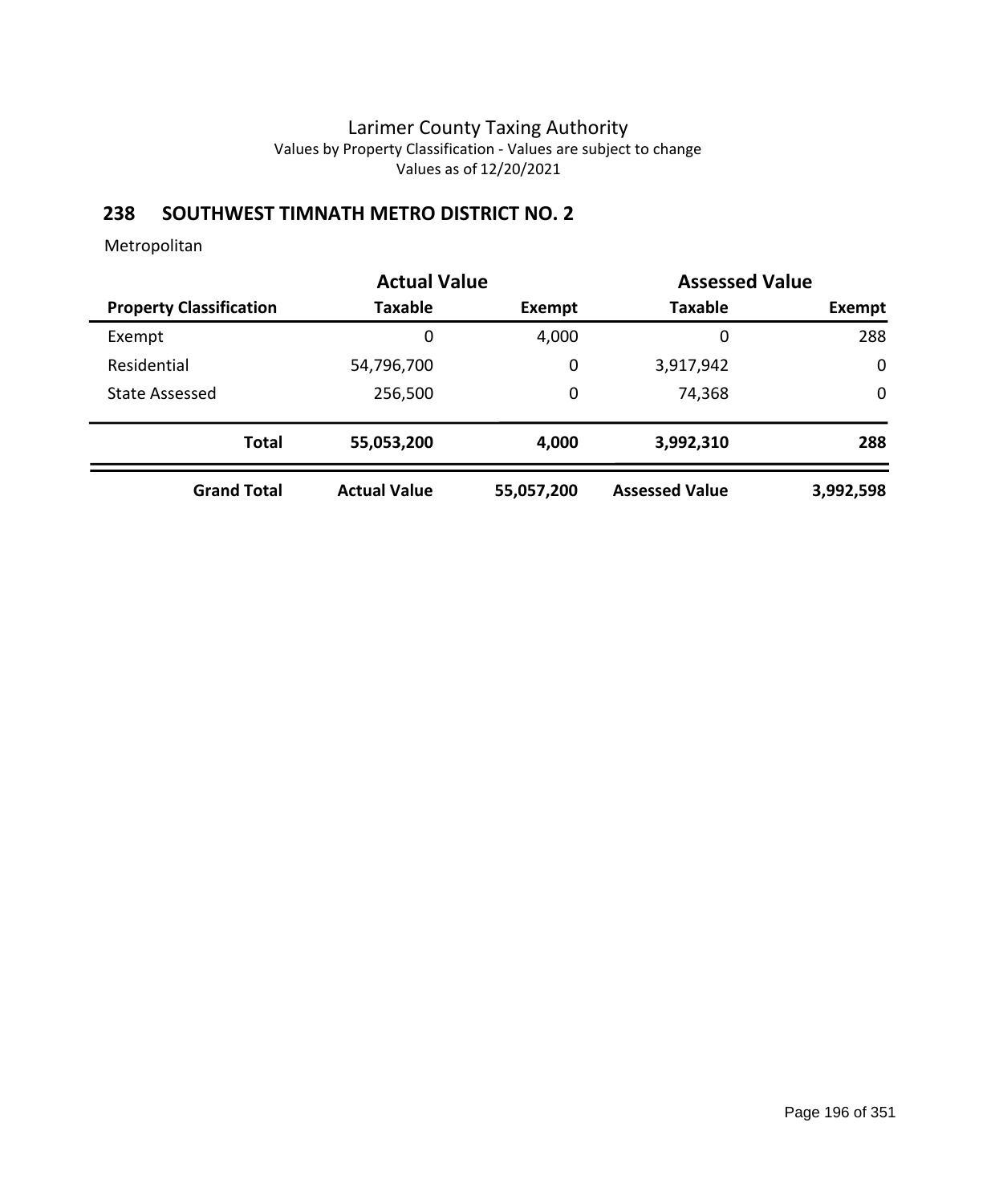# **238 SOUTHWEST TIMNATH METRO DISTRICT NO. 2**

|                                | <b>Actual Value</b> |            | <b>Assessed Value</b> |             |
|--------------------------------|---------------------|------------|-----------------------|-------------|
| <b>Property Classification</b> | Taxable             | Exempt     | <b>Taxable</b>        | Exempt      |
| Exempt                         | 0                   | 4,000      | 0                     | 288         |
| Residential                    | 54,796,700          | 0          | 3,917,942             | $\mathbf 0$ |
| <b>State Assessed</b>          | 256,500             | 0          | 74,368                | $\mathbf 0$ |
| <b>Total</b>                   | 55,053,200          | 4,000      | 3,992,310             | 288         |
| <b>Grand Total</b>             | <b>Actual Value</b> | 55,057,200 | <b>Assessed Value</b> | 3,992,598   |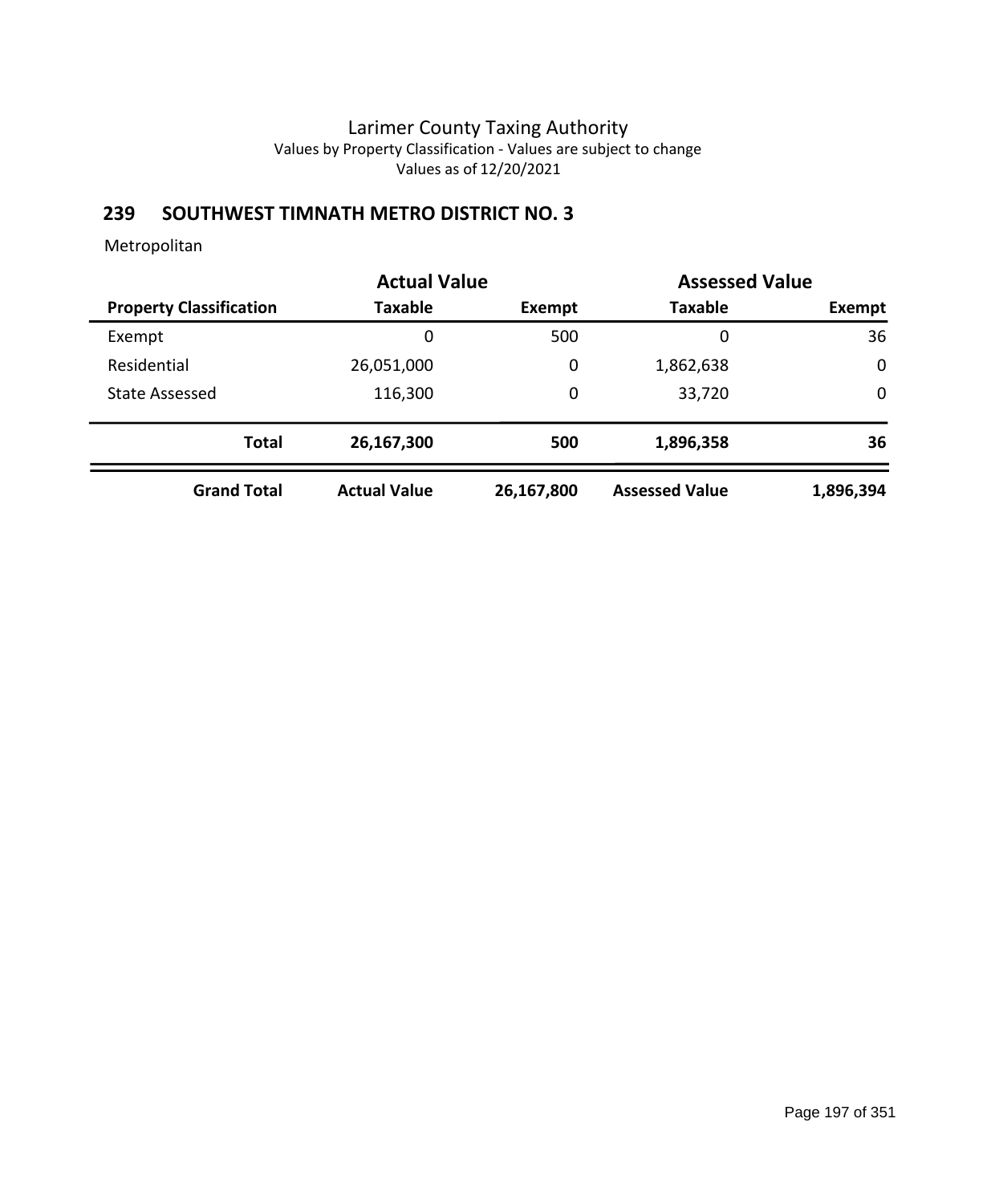# **239 SOUTHWEST TIMNATH METRO DISTRICT NO. 3**

|                                | <b>Actual Value</b> |            | <b>Assessed Value</b> |             |
|--------------------------------|---------------------|------------|-----------------------|-------------|
| <b>Property Classification</b> | Taxable             | Exempt     | <b>Taxable</b>        | Exempt      |
| Exempt                         | 0                   | 500        | 0                     | 36          |
| Residential                    | 26,051,000          | 0          | 1,862,638             | $\mathbf 0$ |
| <b>State Assessed</b>          | 116,300             | 0          | 33,720                | $\mathbf 0$ |
| <b>Total</b>                   | 26,167,300          | 500        | 1,896,358             | 36          |
| <b>Grand Total</b>             | <b>Actual Value</b> | 26,167,800 | <b>Assessed Value</b> | 1,896,394   |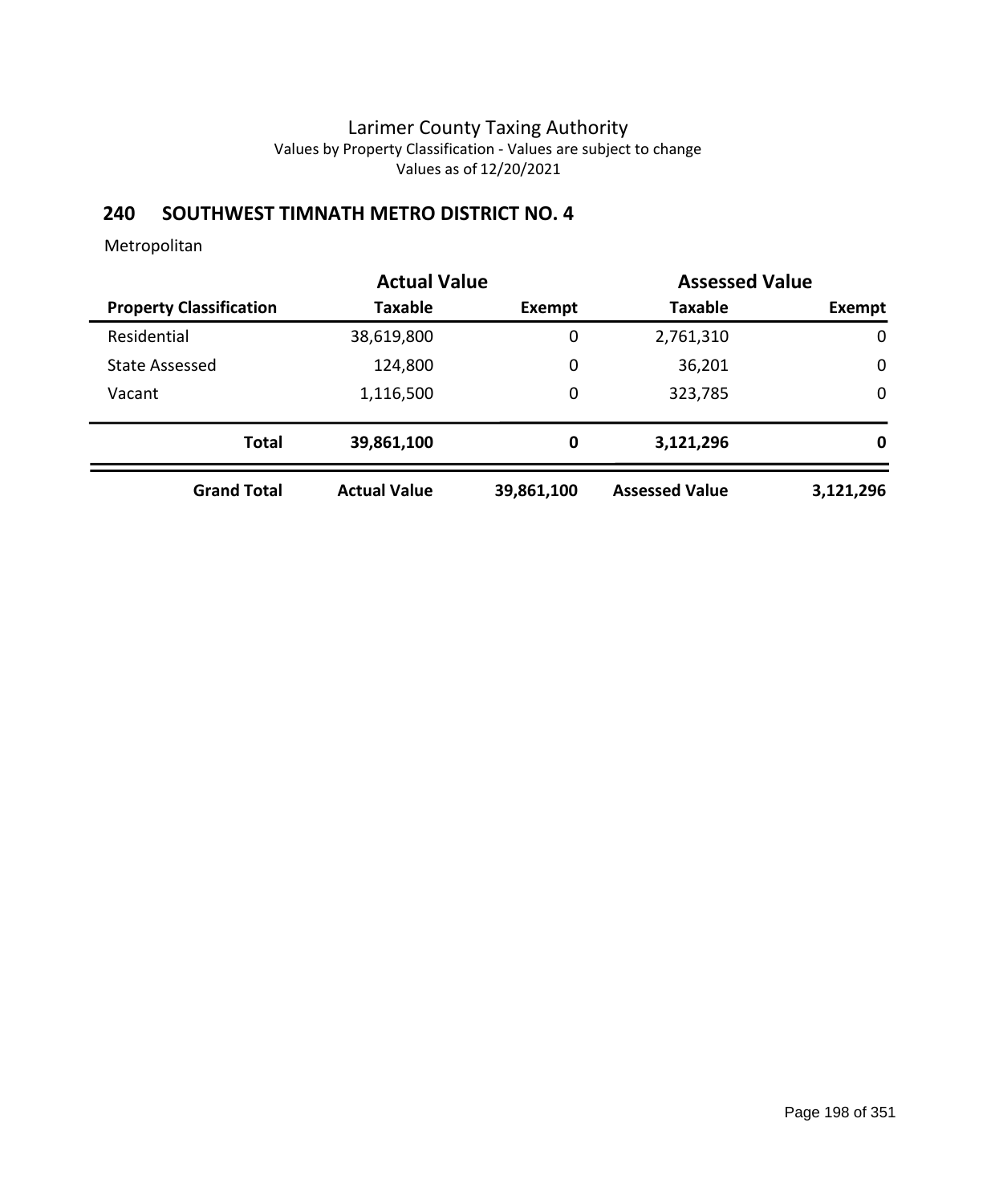# **240 SOUTHWEST TIMNATH METRO DISTRICT NO. 4**

|                                | <b>Actual Value</b> |             | <b>Assessed Value</b> |             |
|--------------------------------|---------------------|-------------|-----------------------|-------------|
| <b>Property Classification</b> | <b>Taxable</b>      | Exempt      | <b>Taxable</b>        | Exempt      |
| Residential                    | 38,619,800          | 0           | 2,761,310             | $\mathbf 0$ |
| <b>State Assessed</b>          | 124,800             | $\mathbf 0$ | 36,201                | $\mathbf 0$ |
| Vacant                         | 1,116,500           | 0           | 323,785               | $\mathbf 0$ |
| <b>Total</b>                   | 39,861,100          | 0           | 3,121,296             | 0           |
| <b>Grand Total</b>             | <b>Actual Value</b> | 39,861,100  | <b>Assessed Value</b> | 3,121,296   |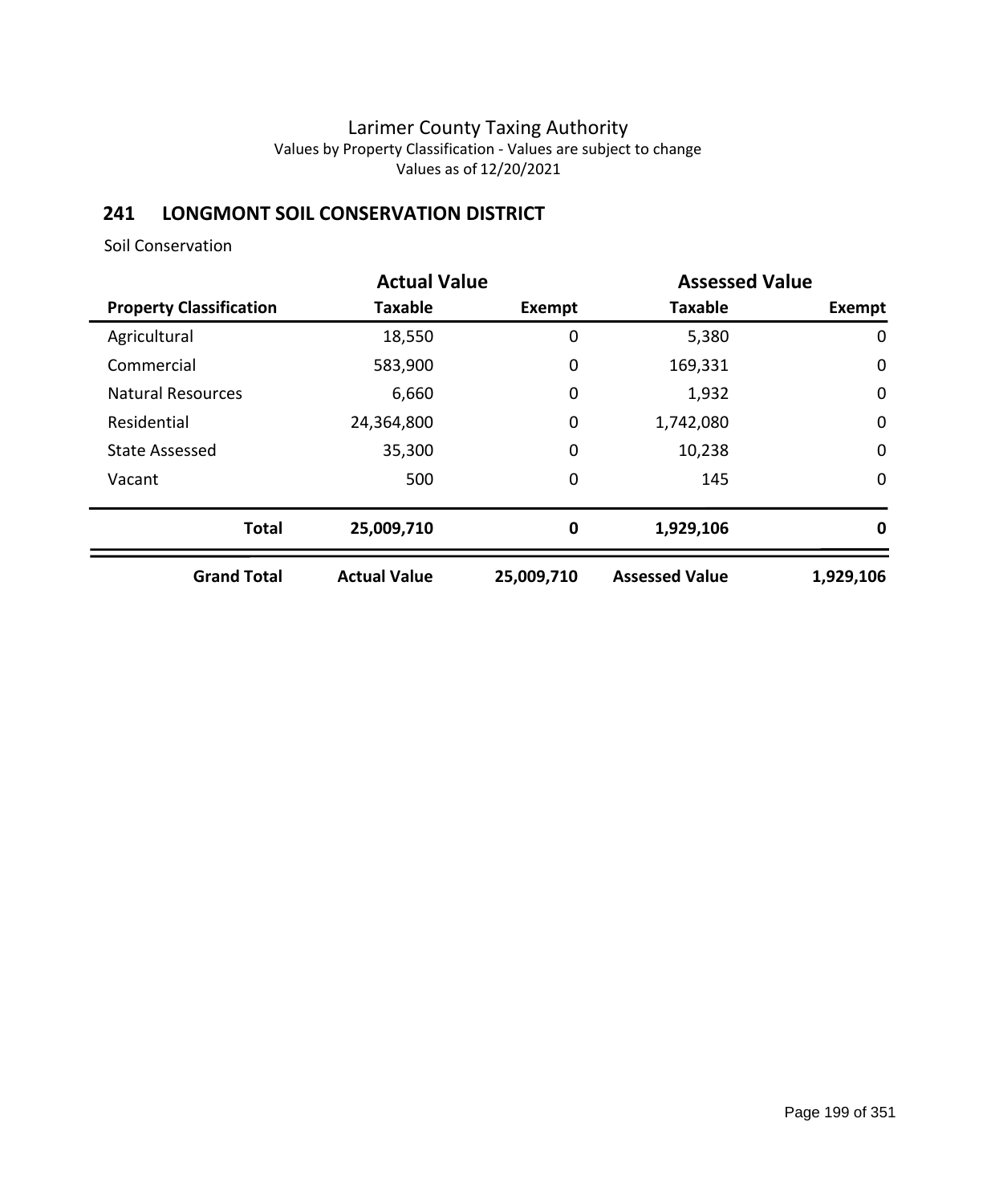## **241 LONGMONT SOIL CONSERVATION DISTRICT**

Soil Conservation

|                                | <b>Actual Value</b> | <b>Assessed Value</b> |                       |             |  |
|--------------------------------|---------------------|-----------------------|-----------------------|-------------|--|
| <b>Property Classification</b> | <b>Taxable</b>      | <b>Exempt</b>         | <b>Taxable</b>        | Exempt      |  |
| Agricultural                   | 18,550              | 0                     | 5,380                 | 0           |  |
| Commercial                     | 583,900             | 0                     | 169,331               | $\mathbf 0$ |  |
| <b>Natural Resources</b>       | 6,660               | 0                     | 1,932                 | $\mathbf 0$ |  |
| Residential                    | 24,364,800          | 0                     | 1,742,080             | $\mathbf 0$ |  |
| <b>State Assessed</b>          | 35,300              | 0                     | 10,238                | $\mathbf 0$ |  |
| Vacant                         | 500                 | $\mathbf 0$           | 145                   | 0           |  |
| <b>Total</b>                   | 25,009,710          | 0                     | 1,929,106             | 0           |  |
| <b>Grand Total</b>             | <b>Actual Value</b> | 25,009,710            | <b>Assessed Value</b> | 1,929,106   |  |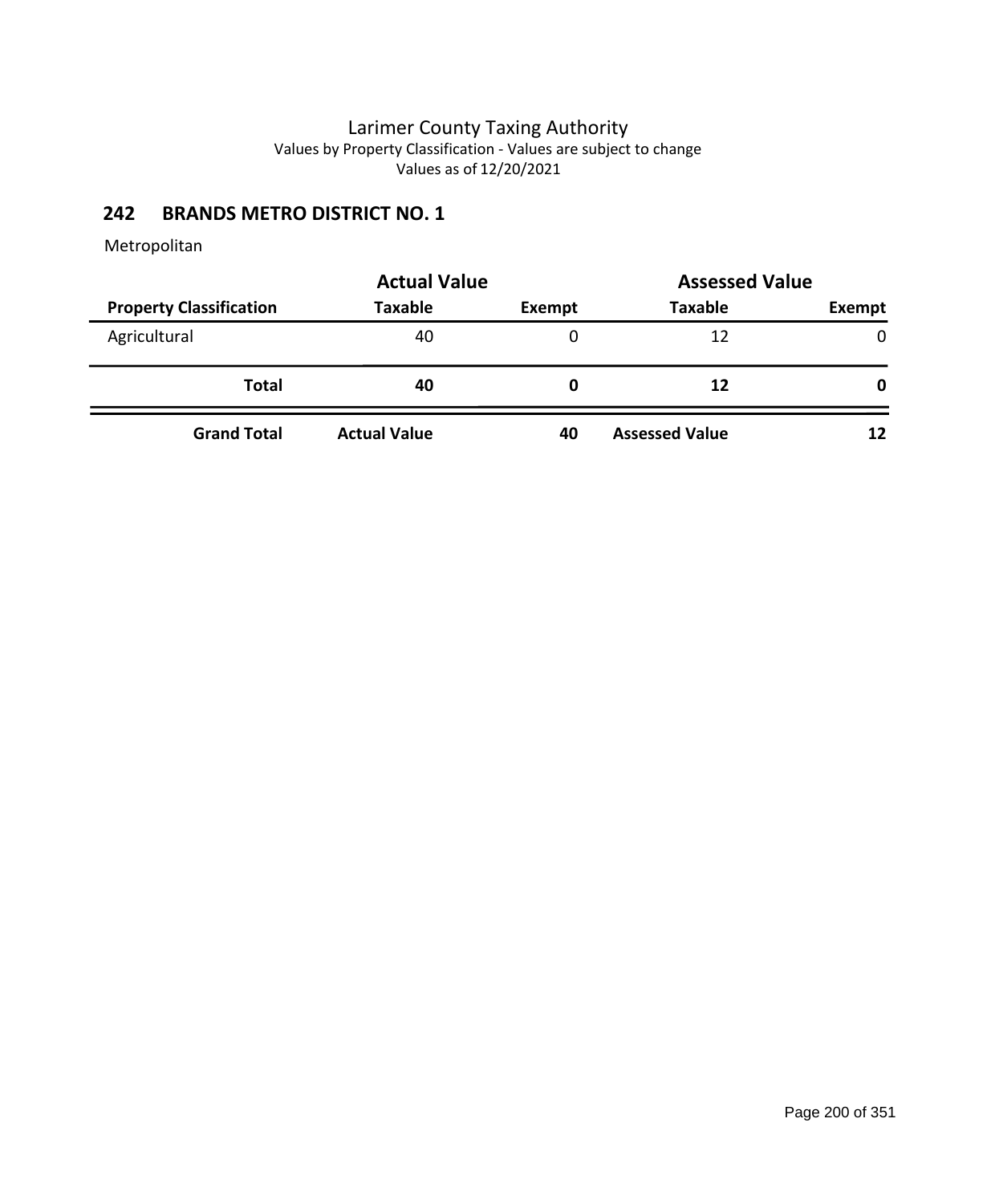## **242 BRANDS METRO DISTRICT NO. 1**

|                                | <b>Actual Value</b> | <b>Assessed Value</b> |                       |              |
|--------------------------------|---------------------|-----------------------|-----------------------|--------------|
| <b>Property Classification</b> | <b>Taxable</b>      | Exempt                | <b>Taxable</b>        | Exempt       |
| Agricultural                   | 40                  |                       | 12                    | $\mathbf{0}$ |
| <b>Total</b>                   | 40                  | 0                     | 12                    | 0            |
| <b>Grand Total</b>             | <b>Actual Value</b> | 40                    | <b>Assessed Value</b> | 12           |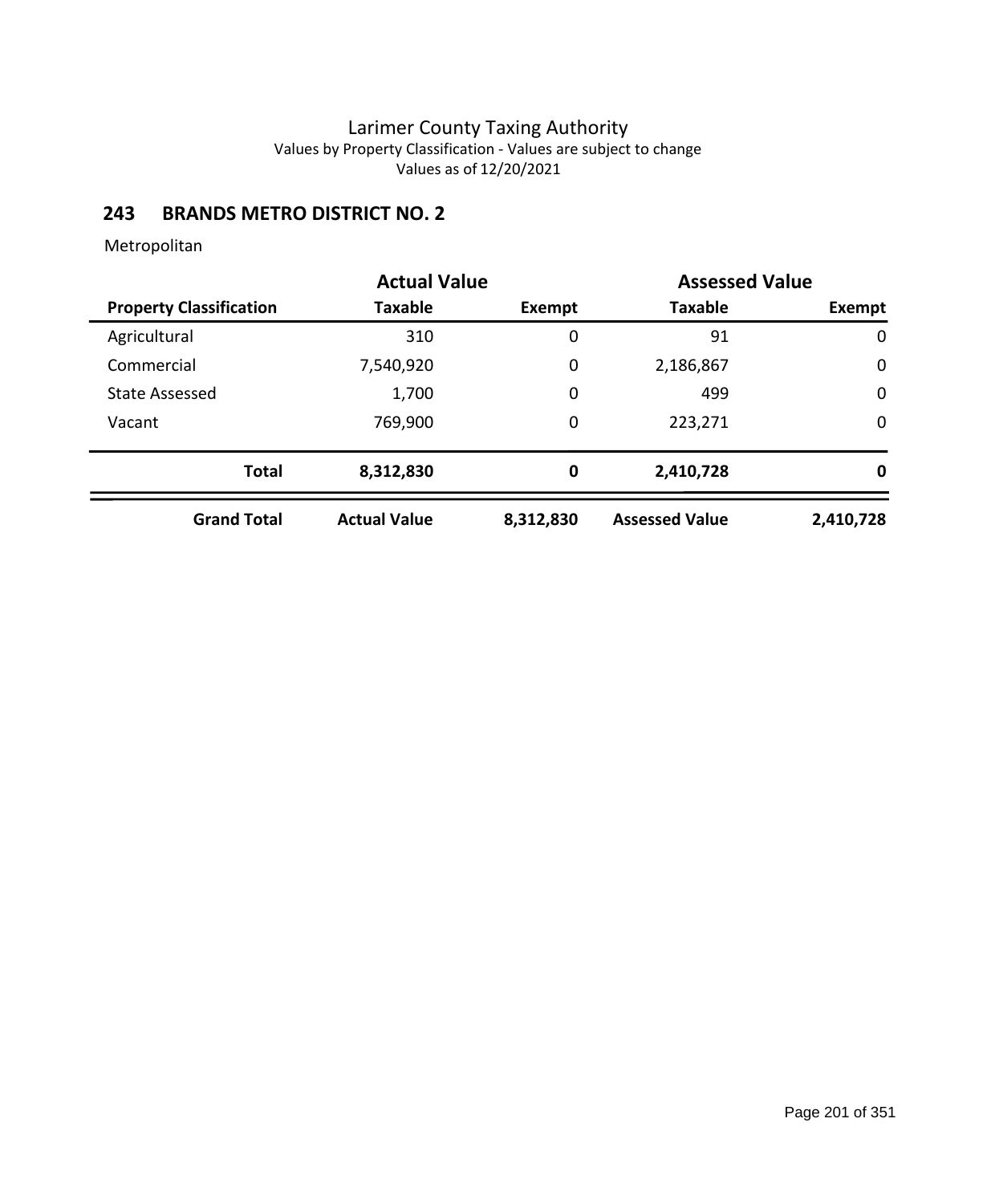## **243 BRANDS METRO DISTRICT NO. 2**

|                                | <b>Actual Value</b> |           | <b>Assessed Value</b> |             |
|--------------------------------|---------------------|-----------|-----------------------|-------------|
| <b>Property Classification</b> | Taxable             | Exempt    | <b>Taxable</b>        | Exempt      |
| Agricultural                   | 310                 | 0         | 91                    | $\mathbf 0$ |
| Commercial                     | 7,540,920           | 0         | 2,186,867             | $\mathbf 0$ |
| <b>State Assessed</b>          | 1,700               | 0         | 499                   | $\mathbf 0$ |
| Vacant                         | 769,900             | 0         | 223,271               | $\mathbf 0$ |
| <b>Total</b>                   | 8,312,830           | 0         | 2,410,728             | 0           |
| <b>Grand Total</b>             | <b>Actual Value</b> | 8,312,830 | <b>Assessed Value</b> | 2,410,728   |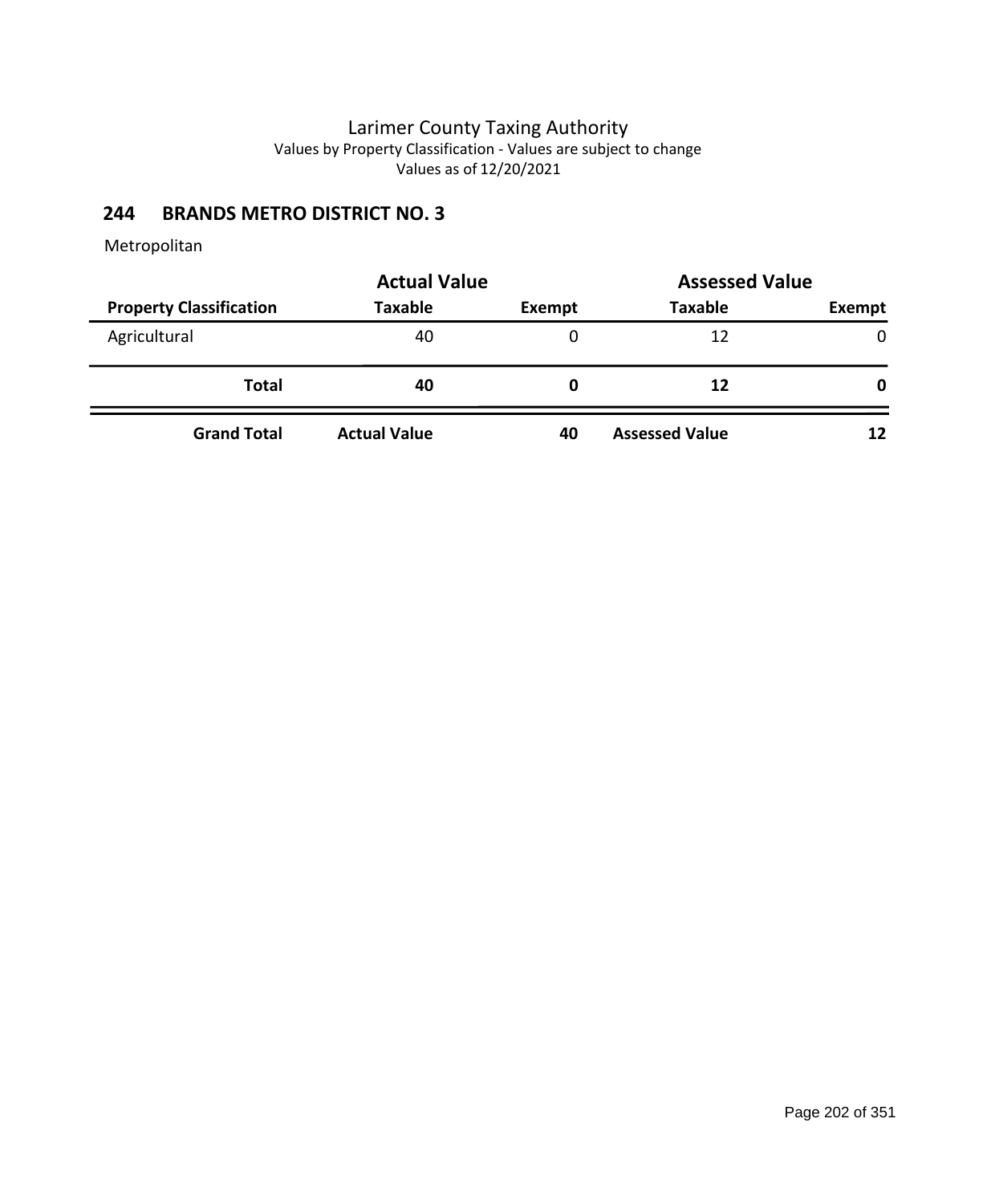## **244 BRANDS METRO DISTRICT NO. 3**

|                                | <b>Actual Value</b> | <b>Assessed Value</b> |                       |              |
|--------------------------------|---------------------|-----------------------|-----------------------|--------------|
| <b>Property Classification</b> | <b>Taxable</b>      | Exempt                | <b>Taxable</b>        | Exempt       |
| Agricultural                   | 40                  |                       | 12                    | $\mathbf{0}$ |
| <b>Total</b>                   | 40                  | 0                     | 12                    | 0            |
| <b>Grand Total</b>             | <b>Actual Value</b> | 40                    | <b>Assessed Value</b> | 12           |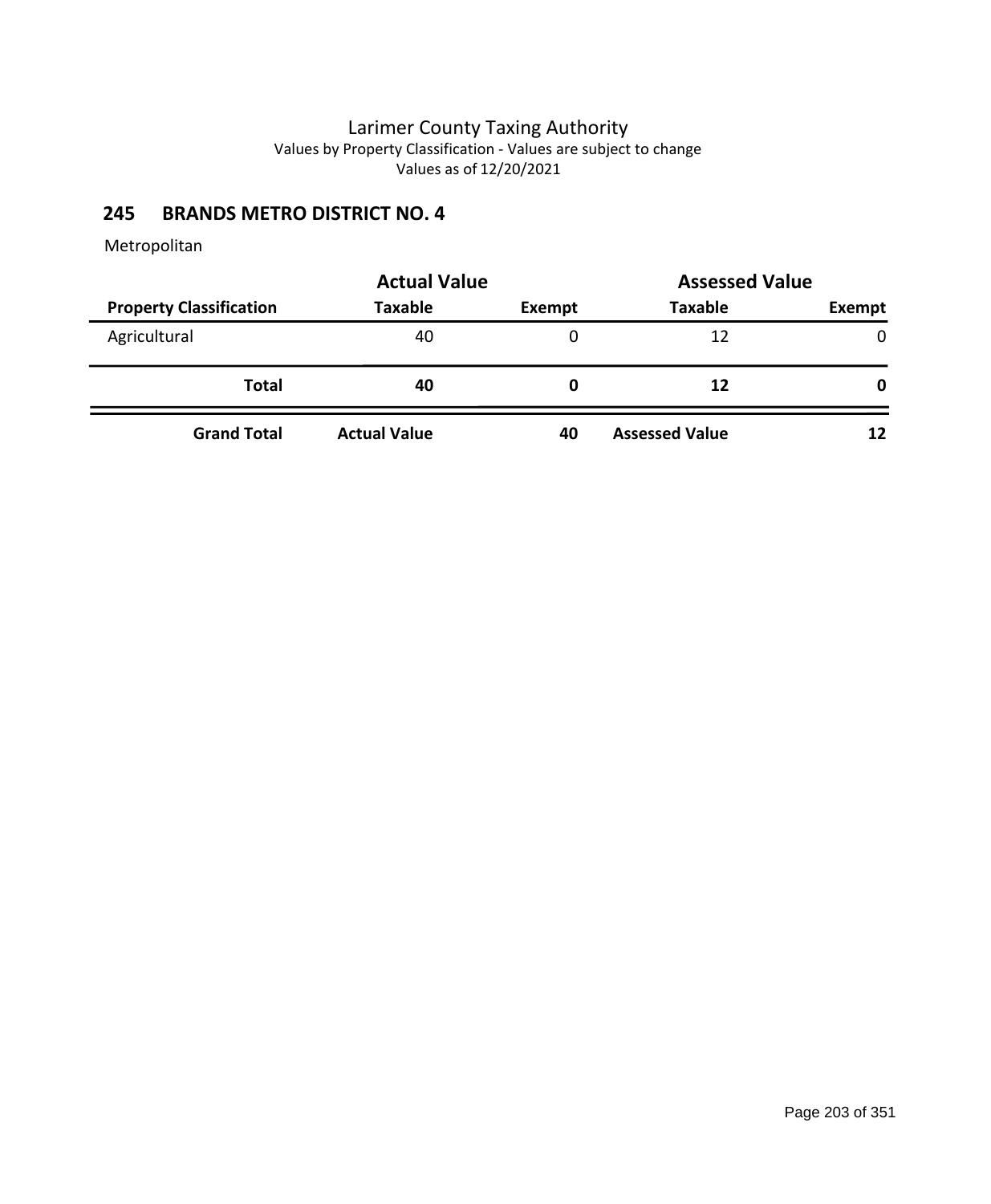## **245 BRANDS METRO DISTRICT NO. 4**

|                                | <b>Actual Value</b> |        | <b>Assessed Value</b> |        |
|--------------------------------|---------------------|--------|-----------------------|--------|
| <b>Property Classification</b> | <b>Taxable</b>      | Exempt | <b>Taxable</b>        | Exempt |
| Agricultural                   | 40                  |        | 12                    | 0      |
| Total                          | 40                  | 0      | 12                    | 0      |
| <b>Grand Total</b>             | <b>Actual Value</b> | 40     | <b>Assessed Value</b> | 12     |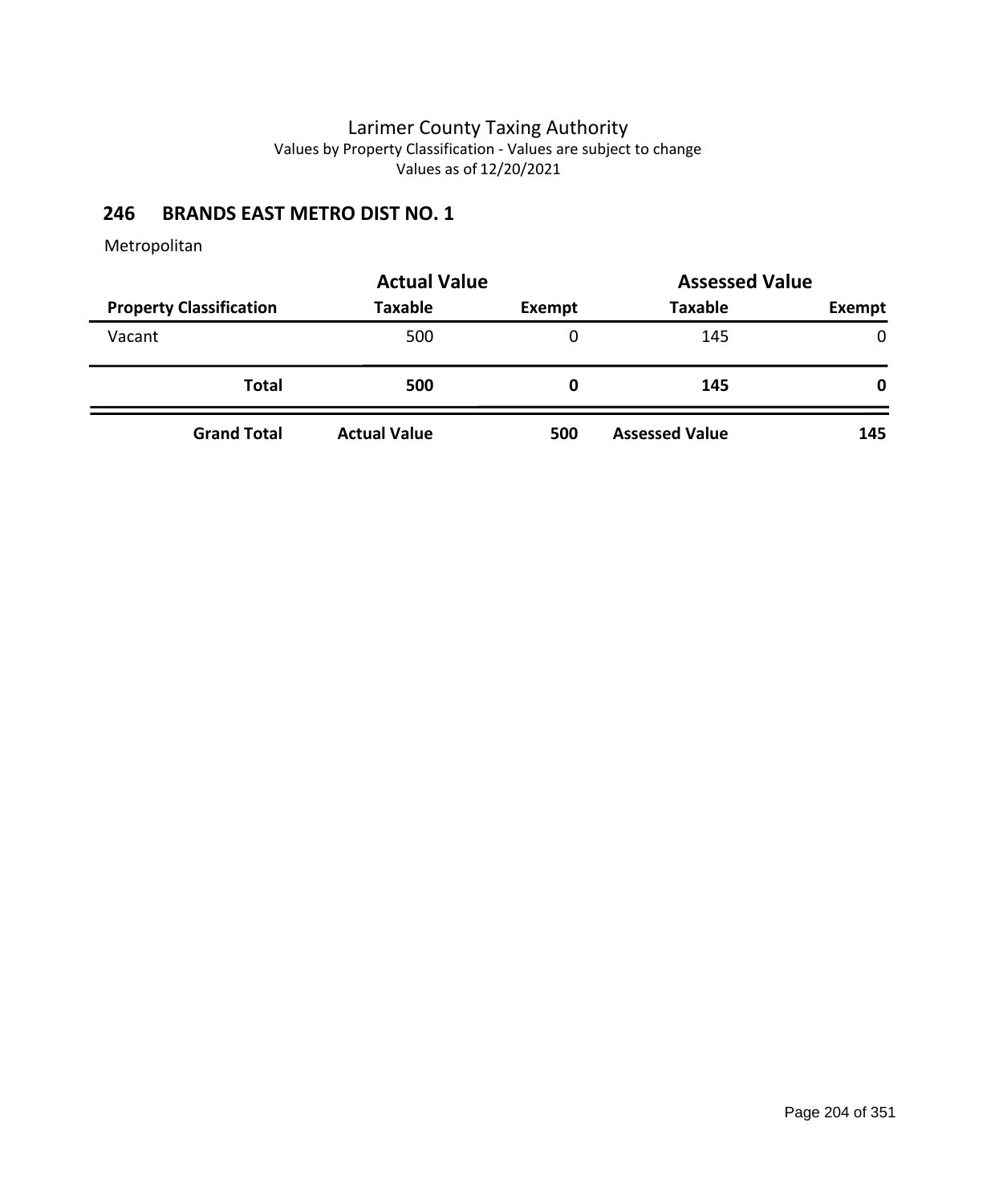### **246 BRANDS EAST METRO DIST NO. 1**

|                                | <b>Actual Value</b> |        | <b>Assessed Value</b> |               |
|--------------------------------|---------------------|--------|-----------------------|---------------|
| <b>Property Classification</b> | <b>Taxable</b>      | Exempt | <b>Taxable</b>        | <b>Exempt</b> |
| Vacant                         | 500                 | 0      | 145                   | $\mathbf{0}$  |
| <b>Total</b>                   | 500                 | 0      | 145                   | 0             |
| <b>Grand Total</b>             | <b>Actual Value</b> | 500    | <b>Assessed Value</b> | 145           |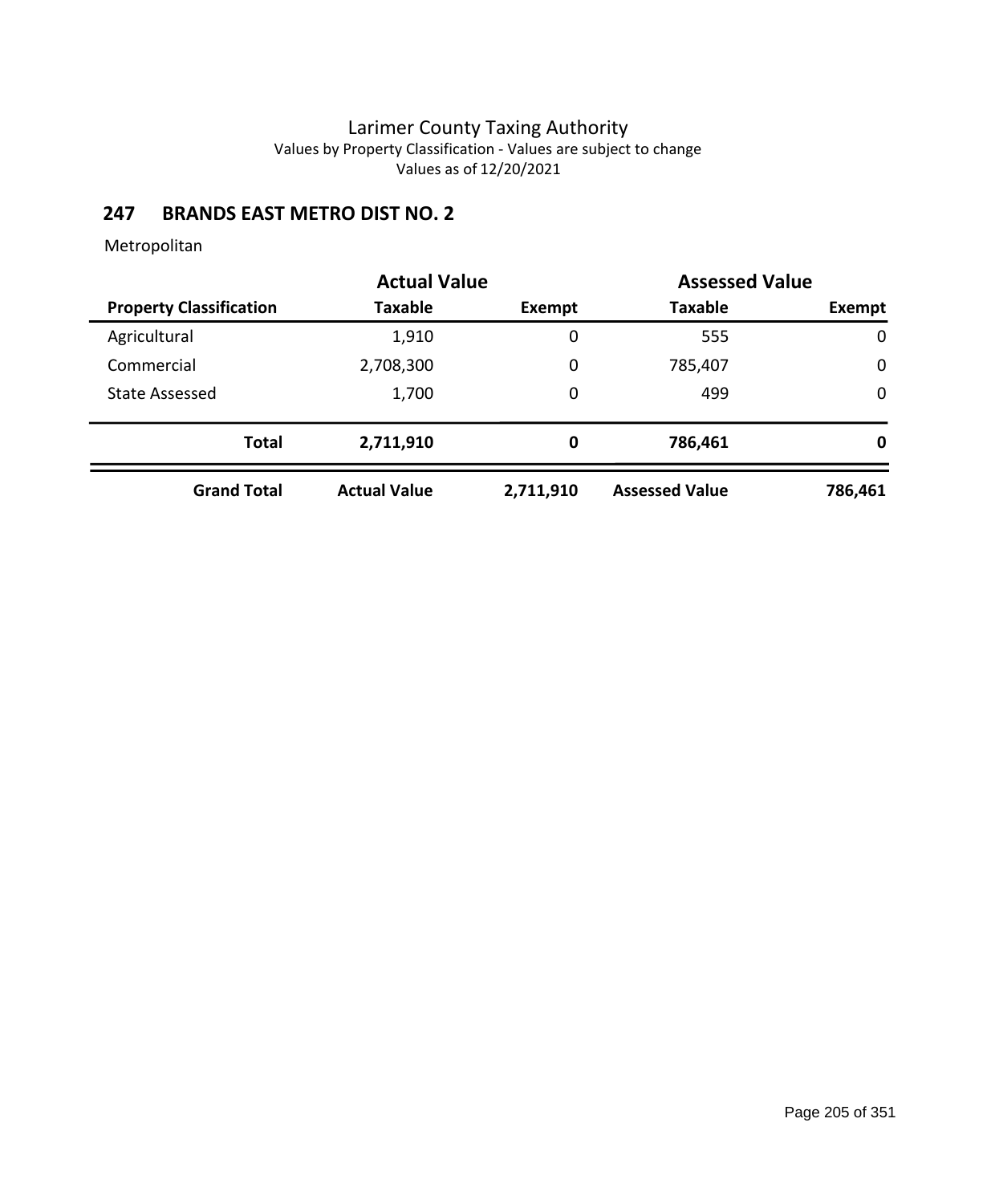## **247 BRANDS EAST METRO DIST NO. 2**

|                                | <b>Actual Value</b> |           | <b>Assessed Value</b> |             |
|--------------------------------|---------------------|-----------|-----------------------|-------------|
| <b>Property Classification</b> | Taxable             | Exempt    | <b>Taxable</b>        | Exempt      |
| Agricultural                   | 1,910               | 0         | 555                   | 0           |
| Commercial                     | 2,708,300           | 0         | 785,407               | $\mathbf 0$ |
| <b>State Assessed</b>          | 1,700               | 0         | 499                   | $\mathbf 0$ |
| <b>Total</b>                   | 2,711,910           | 0         | 786,461               | 0           |
| <b>Grand Total</b>             | <b>Actual Value</b> | 2,711,910 | <b>Assessed Value</b> | 786,461     |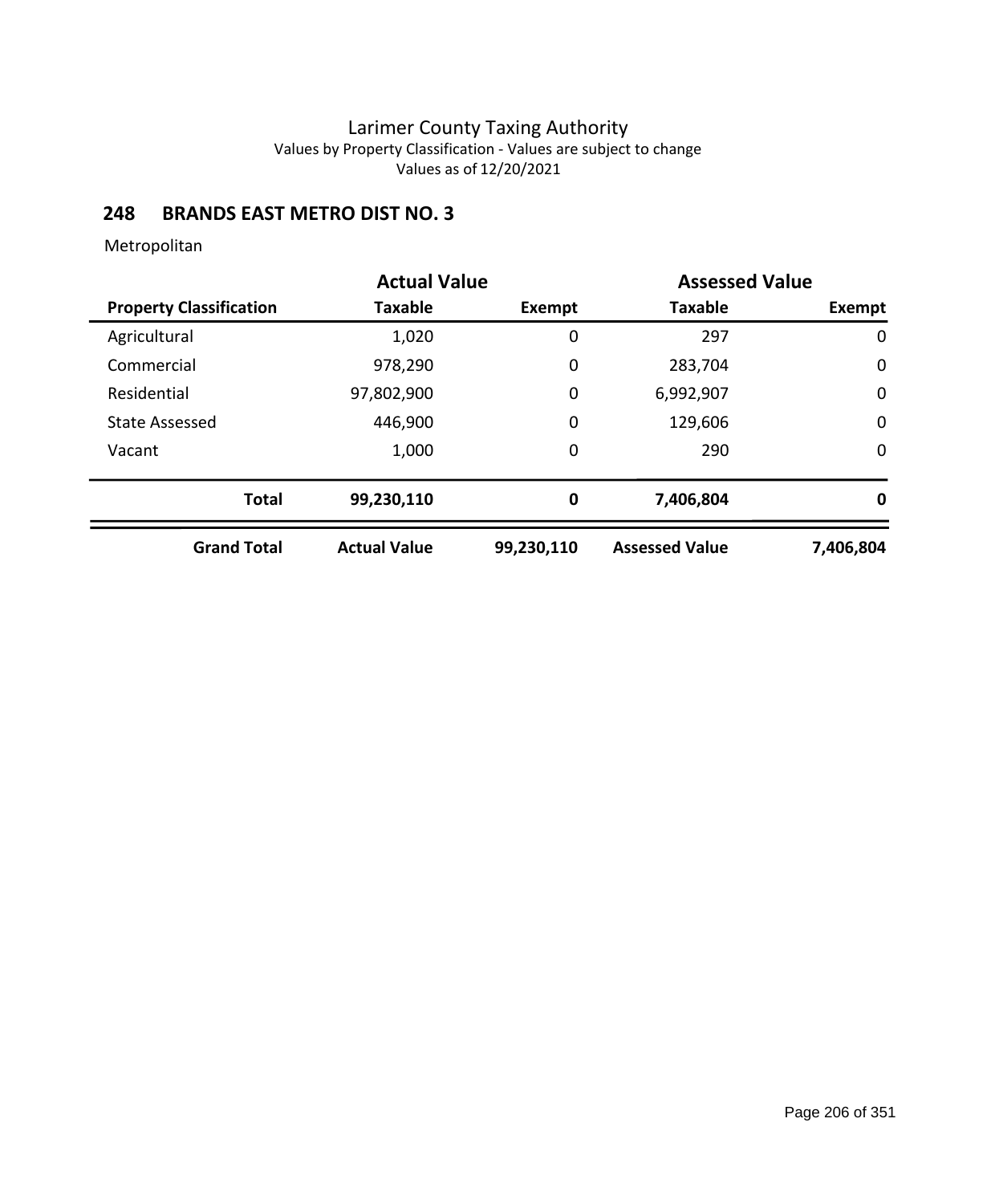### **248 BRANDS EAST METRO DIST NO. 3**

|                                | <b>Actual Value</b> |               | <b>Assessed Value</b> |               |
|--------------------------------|---------------------|---------------|-----------------------|---------------|
| <b>Property Classification</b> | Taxable             | <b>Exempt</b> | <b>Taxable</b>        | <b>Exempt</b> |
| Agricultural                   | 1,020               | 0             | 297                   | $\mathbf 0$   |
| Commercial                     | 978,290             | 0             | 283,704               | $\mathbf 0$   |
| Residential                    | 97,802,900          | 0             | 6,992,907             | $\mathbf 0$   |
| <b>State Assessed</b>          | 446,900             | 0             | 129,606               | $\mathbf 0$   |
| Vacant                         | 1,000               | 0             | 290                   | $\mathbf 0$   |
| <b>Total</b>                   | 99,230,110          | 0             | 7,406,804             | 0             |
| <b>Grand Total</b>             | <b>Actual Value</b> | 99,230,110    | <b>Assessed Value</b> | 7,406,804     |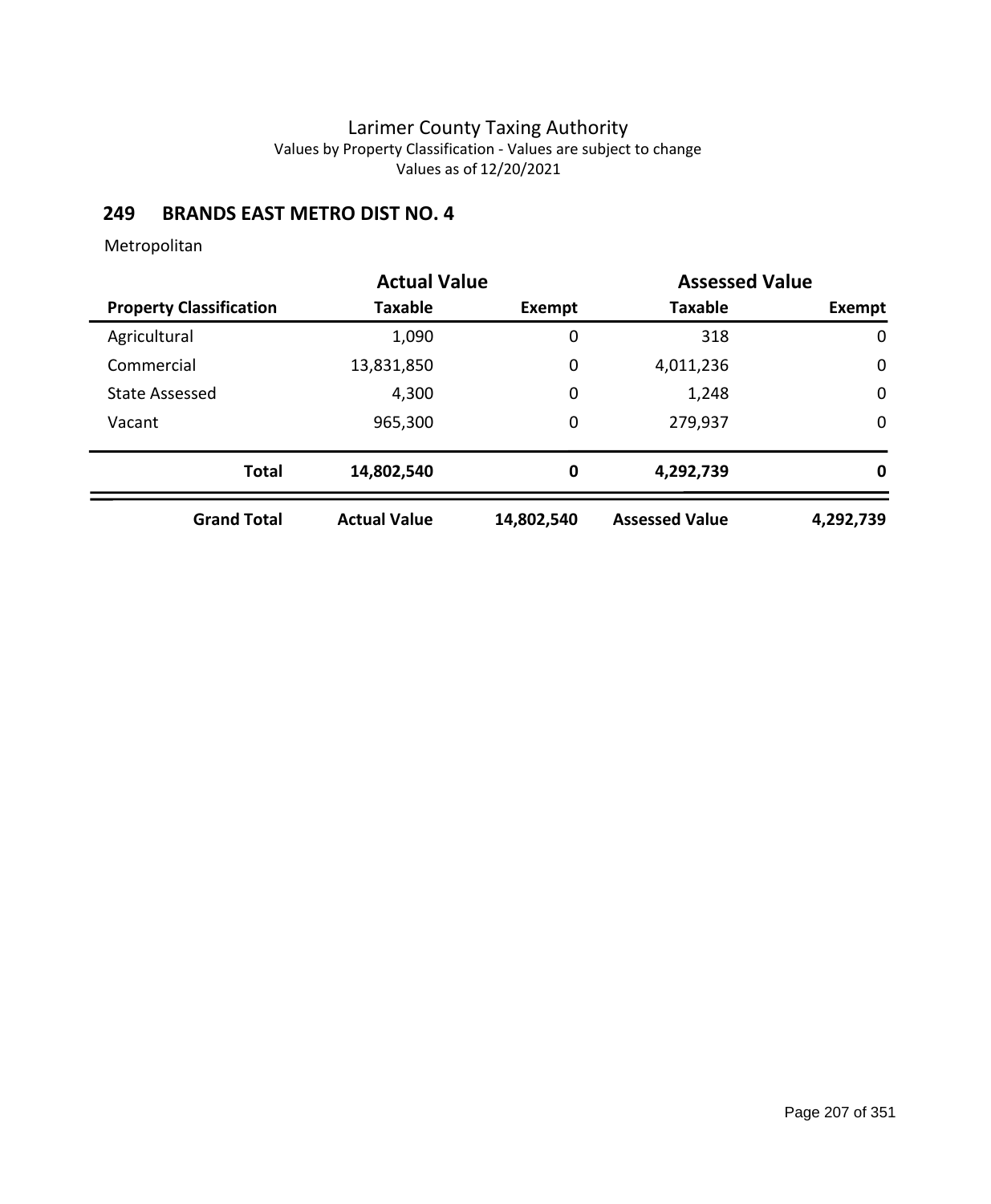### **249 BRANDS EAST METRO DIST NO. 4**

|                                | <b>Actual Value</b> |            | <b>Assessed Value</b> |             |
|--------------------------------|---------------------|------------|-----------------------|-------------|
| <b>Property Classification</b> | <b>Taxable</b>      | Exempt     | <b>Taxable</b>        | Exempt      |
| Agricultural                   | 1,090               | 0          | 318                   | 0           |
| Commercial                     | 13,831,850          | 0          | 4,011,236             | $\mathbf 0$ |
| <b>State Assessed</b>          | 4,300               | 0          | 1,248                 | $\mathbf 0$ |
| Vacant                         | 965,300             | 0          | 279,937               | $\mathbf 0$ |
| <b>Total</b>                   | 14,802,540          | 0          | 4,292,739             | 0           |
| <b>Grand Total</b>             | <b>Actual Value</b> | 14,802,540 | <b>Assessed Value</b> | 4,292,739   |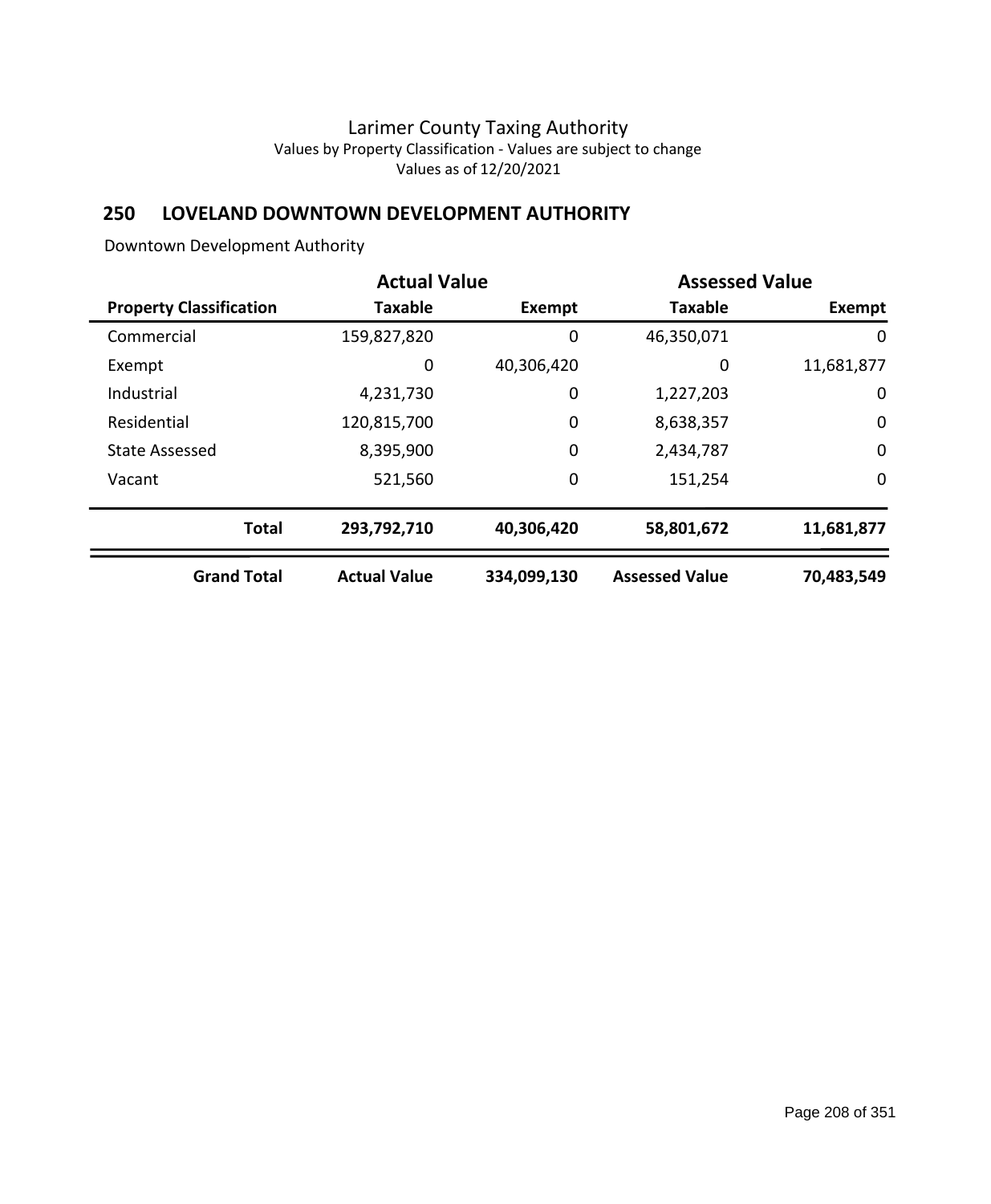## **250 LOVELAND DOWNTOWN DEVELOPMENT AUTHORITY**

Downtown Development Authority

| <b>Actual Value</b>            |                     | <b>Assessed Value</b> |                       |             |
|--------------------------------|---------------------|-----------------------|-----------------------|-------------|
| <b>Property Classification</b> | <b>Taxable</b>      | <b>Exempt</b>         | <b>Taxable</b>        | Exempt      |
| Commercial                     | 159,827,820         | 0                     | 46,350,071            | 0           |
| Exempt                         | 0                   | 40,306,420            | 0                     | 11,681,877  |
| Industrial                     | 4,231,730           | 0                     | 1,227,203             | 0           |
| Residential                    | 120,815,700         | 0                     | 8,638,357             | $\mathbf 0$ |
| State Assessed                 | 8,395,900           | $\mathbf 0$           | 2,434,787             | $\mathbf 0$ |
| Vacant                         | 521,560             | 0                     | 151,254               | $\mathbf 0$ |
| <b>Total</b>                   | 293,792,710         | 40,306,420            | 58,801,672            | 11,681,877  |
| <b>Grand Total</b>             | <b>Actual Value</b> | 334,099,130           | <b>Assessed Value</b> | 70,483,549  |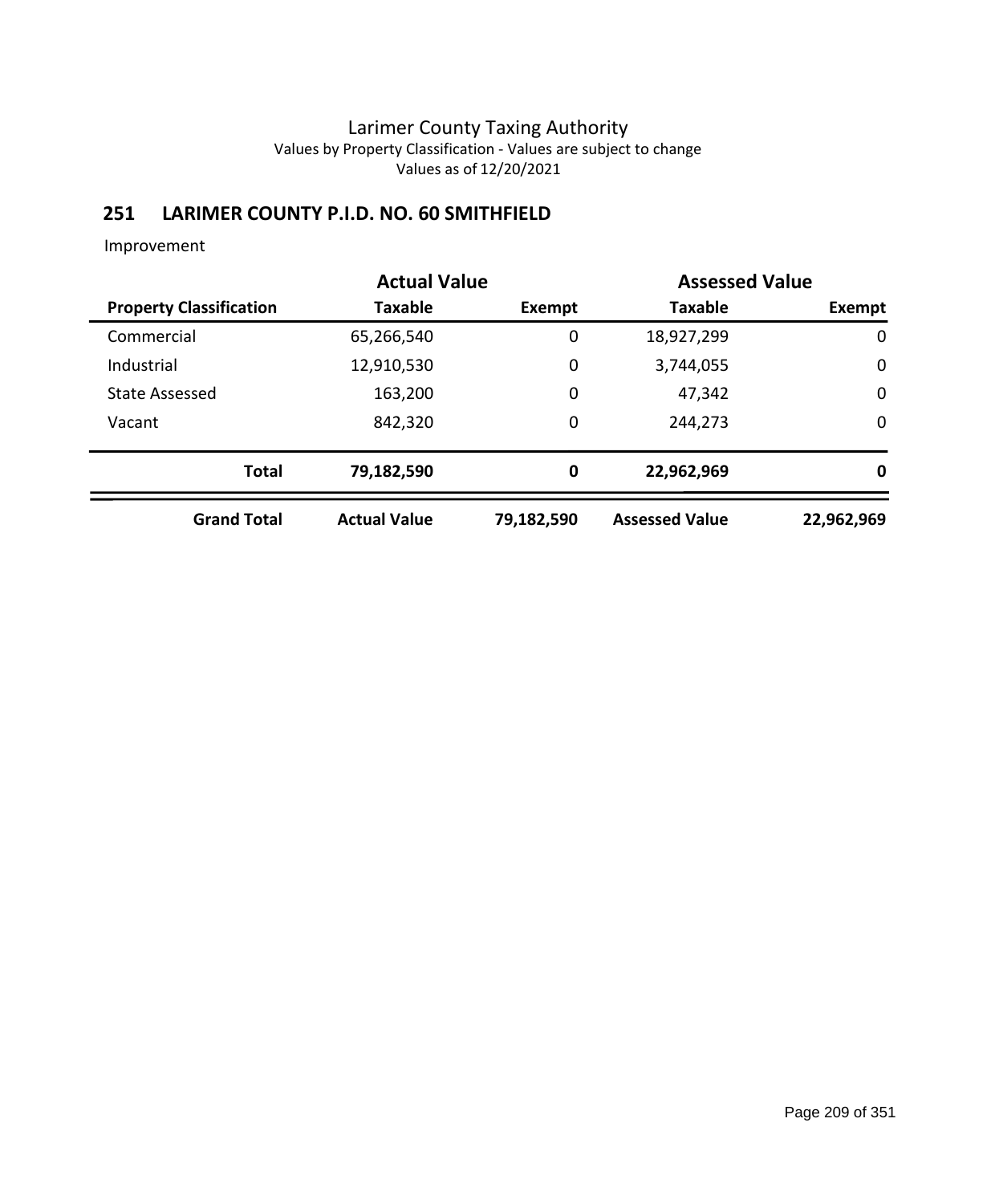# **251 LARIMER COUNTY P.I.D. NO. 60 SMITHFIELD**

|                                | <b>Actual Value</b> |                  |                       | <b>Assessed Value</b> |
|--------------------------------|---------------------|------------------|-----------------------|-----------------------|
| <b>Property Classification</b> | <b>Taxable</b>      | Exempt           | <b>Taxable</b>        | Exempt                |
| Commercial                     | 65,266,540          | 0                | 18,927,299            | $\mathbf 0$           |
| Industrial                     | 12,910,530          | $\mathbf 0$      | 3,744,055             | 0                     |
| <b>State Assessed</b>          | 163,200             | $\mathbf 0$      | 47,342                | $\mathbf 0$           |
| Vacant                         | 842,320             | $\mathbf 0$      | 244,273               | $\mathbf 0$           |
| <b>Total</b>                   | 79,182,590          | $\boldsymbol{0}$ | 22,962,969            | 0                     |
| <b>Grand Total</b>             | <b>Actual Value</b> | 79,182,590       | <b>Assessed Value</b> | 22,962,969            |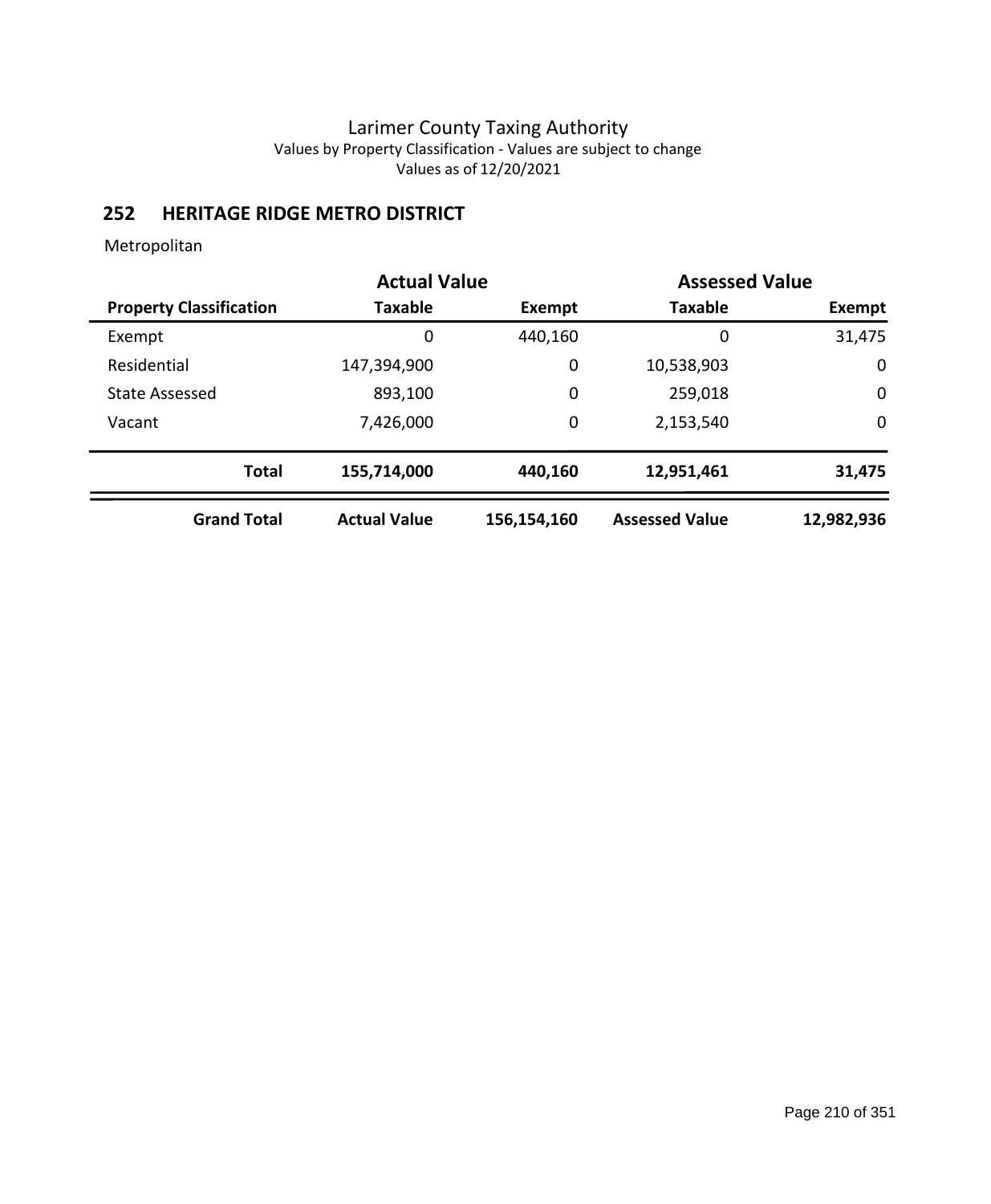## **252 HERITAGE RIDGE METRO DISTRICT**

|                                | <b>Actual Value</b> | <b>Assessed Value</b> |                       |             |
|--------------------------------|---------------------|-----------------------|-----------------------|-------------|
| <b>Property Classification</b> | <b>Taxable</b>      | Exempt                | <b>Taxable</b>        | Exempt      |
| Exempt                         | 0                   | 440,160               | 0                     | 31,475      |
| Residential                    | 147,394,900         | $\mathbf 0$           | 10,538,903            | 0           |
| <b>State Assessed</b>          | 893,100             | $\mathbf 0$           | 259,018               | $\mathbf 0$ |
| Vacant                         | 7,426,000           | $\mathbf 0$           | 2,153,540             | $\mathbf 0$ |
| <b>Total</b>                   | 155,714,000         | 440,160               | 12,951,461            | 31,475      |
| <b>Grand Total</b>             | <b>Actual Value</b> | 156,154,160           | <b>Assessed Value</b> | 12,982,936  |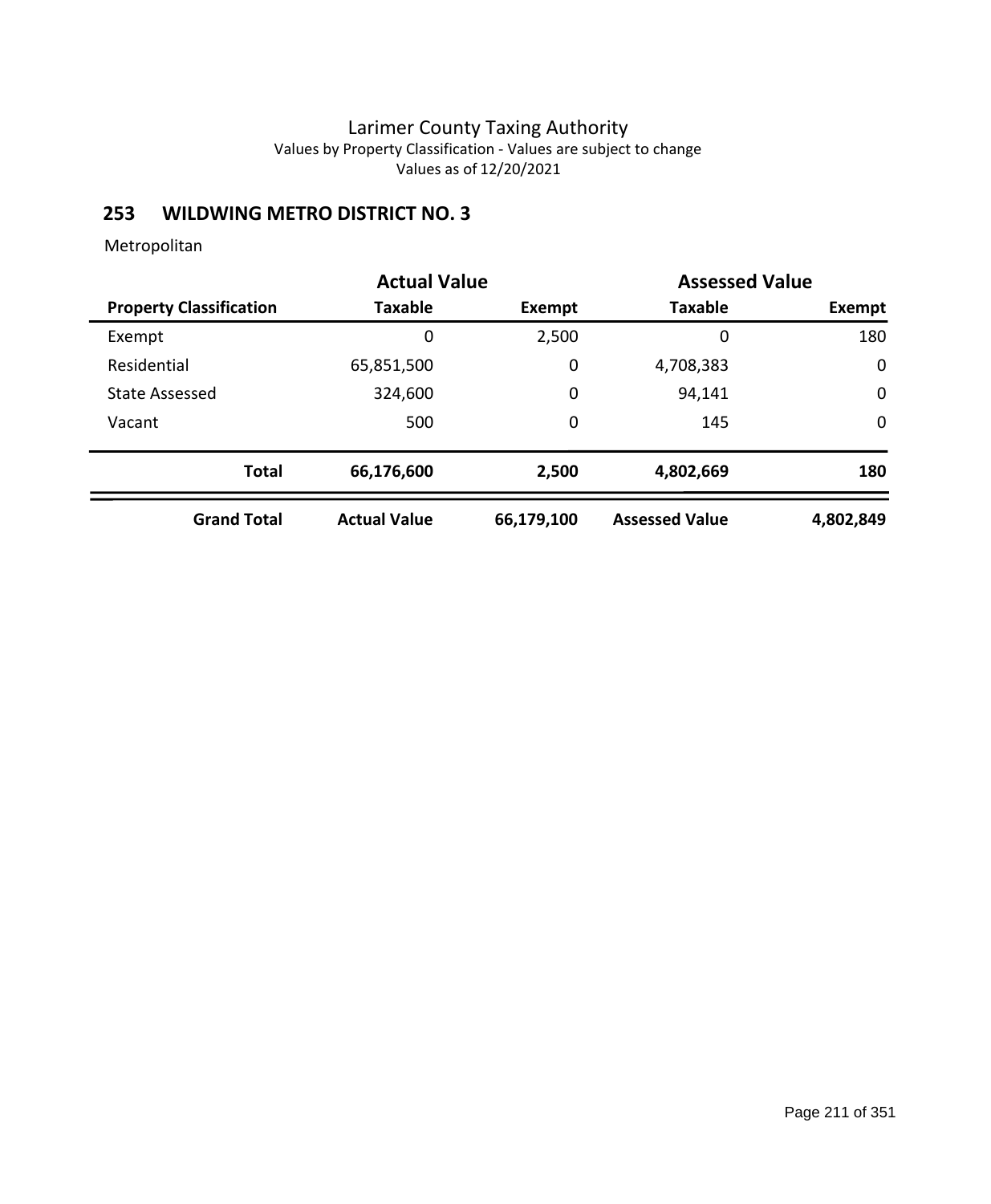# **253 WILDWING METRO DISTRICT NO. 3**

|                                | <b>Actual Value</b> |               | <b>Assessed Value</b> |             |
|--------------------------------|---------------------|---------------|-----------------------|-------------|
| <b>Property Classification</b> | <b>Taxable</b>      | <b>Exempt</b> | <b>Taxable</b>        | Exempt      |
| Exempt                         | 0                   | 2,500         | 0                     | 180         |
| Residential                    | 65,851,500          | 0             | 4,708,383             | 0           |
| <b>State Assessed</b>          | 324,600             | $\mathbf 0$   | 94,141                | $\mathbf 0$ |
| Vacant                         | 500                 | $\mathbf 0$   | 145                   | $\mathbf 0$ |
| <b>Total</b>                   | 66,176,600          | 2,500         | 4,802,669             | 180         |
| <b>Grand Total</b>             | <b>Actual Value</b> | 66,179,100    | <b>Assessed Value</b> | 4,802,849   |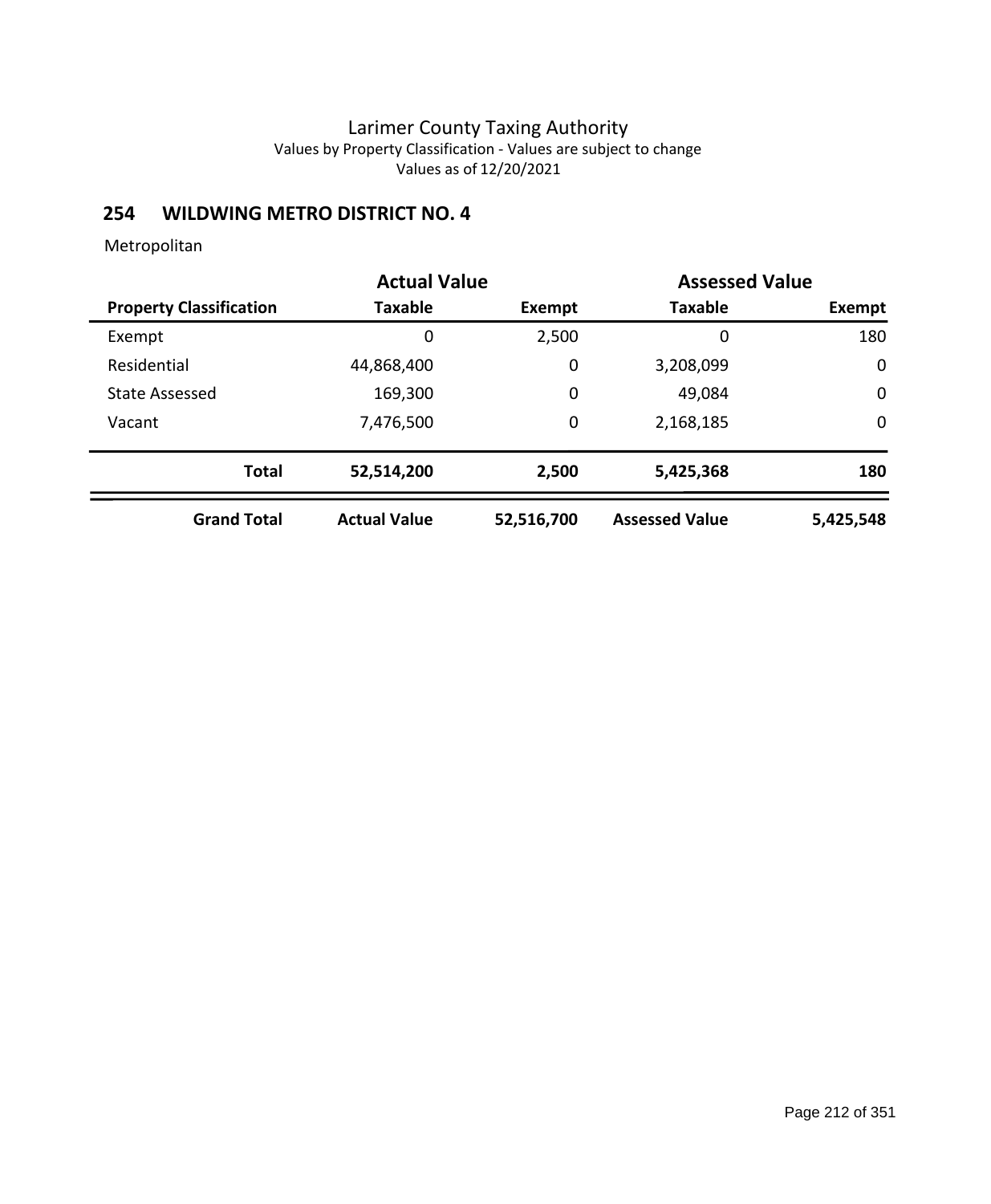# **254 WILDWING METRO DISTRICT NO. 4**

|                                | <b>Actual Value</b> |            | <b>Assessed Value</b> |             |
|--------------------------------|---------------------|------------|-----------------------|-------------|
| <b>Property Classification</b> | <b>Taxable</b>      | Exempt     | <b>Taxable</b>        | Exempt      |
| Exempt                         | 0                   | 2,500      | 0                     | 180         |
| Residential                    | 44,868,400          | 0          | 3,208,099             | 0           |
| <b>State Assessed</b>          | 169,300             | 0          | 49,084                | $\mathbf 0$ |
| Vacant                         | 7,476,500           | 0          | 2,168,185             | $\mathbf 0$ |
| <b>Total</b>                   | 52,514,200          | 2,500      | 5,425,368             | 180         |
| <b>Grand Total</b>             | <b>Actual Value</b> | 52,516,700 | <b>Assessed Value</b> | 5,425,548   |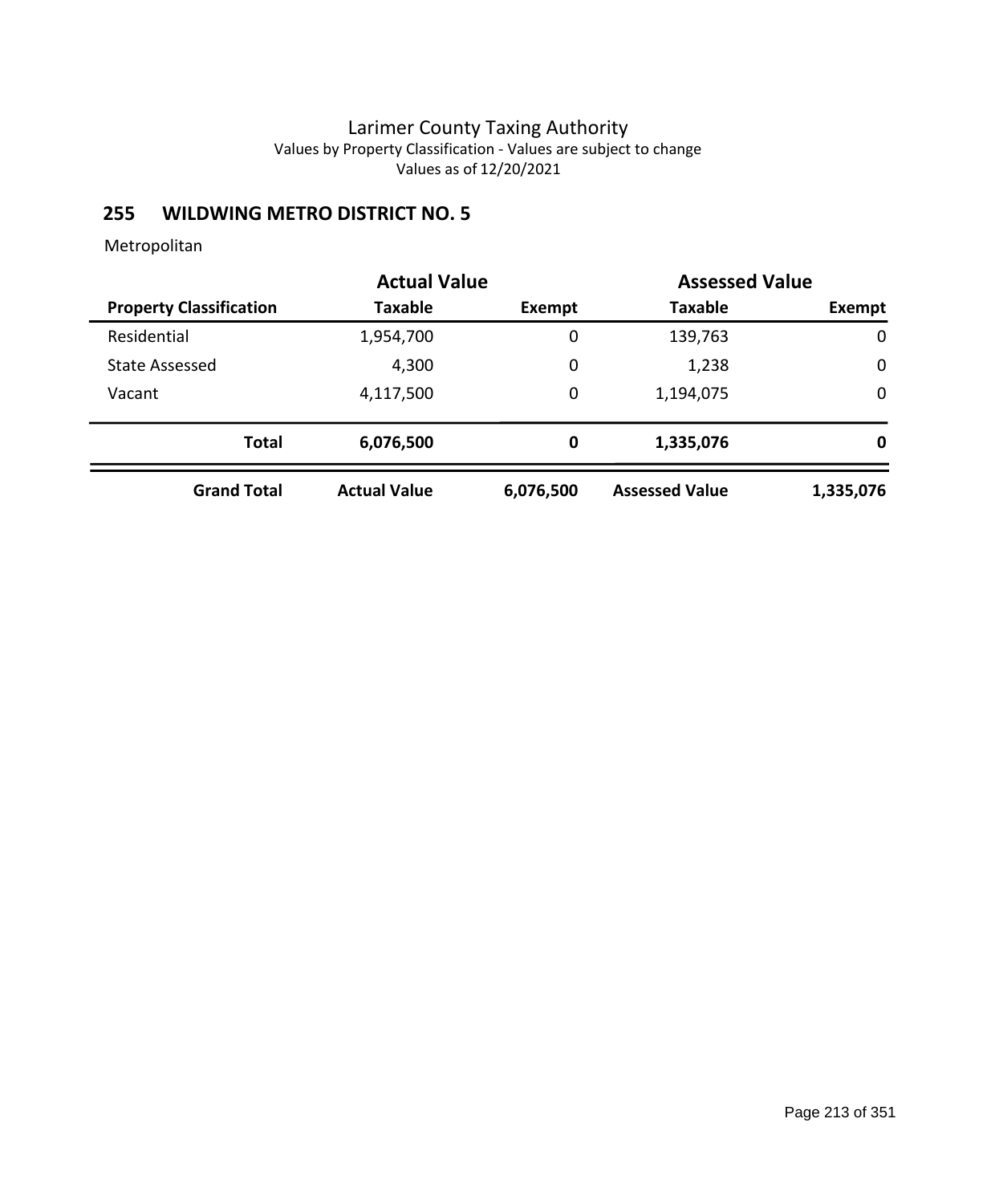# **255 WILDWING METRO DISTRICT NO. 5**

|                                | <b>Actual Value</b> |           | <b>Assessed Value</b> |           |
|--------------------------------|---------------------|-----------|-----------------------|-----------|
| <b>Property Classification</b> | Taxable             | Exempt    | <b>Taxable</b>        | Exempt    |
| Residential                    | 1,954,700           | 0         | 139,763               | 0         |
| State Assessed                 | 4,300               | 0         | 1,238                 | 0         |
| Vacant                         | 4,117,500           | 0         | 1,194,075             | 0         |
| <b>Total</b>                   | 6,076,500           | 0         | 1,335,076             | 0         |
| <b>Grand Total</b>             | <b>Actual Value</b> | 6,076,500 | <b>Assessed Value</b> | 1,335,076 |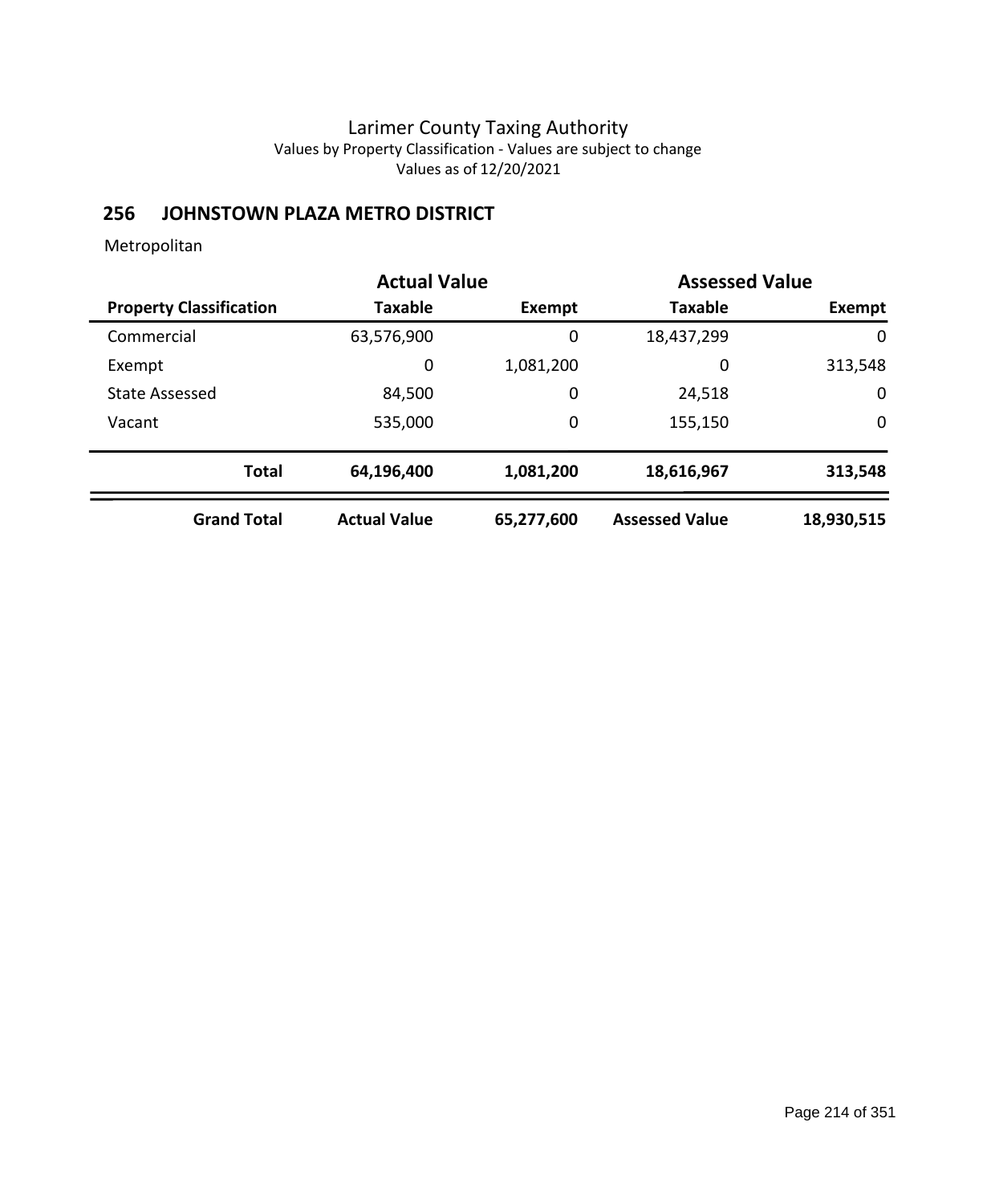# **256 JOHNSTOWN PLAZA METRO DISTRICT**

|                                | <b>Actual Value</b> |            | <b>Assessed Value</b> |             |
|--------------------------------|---------------------|------------|-----------------------|-------------|
| <b>Property Classification</b> | <b>Taxable</b>      | Exempt     | <b>Taxable</b>        | Exempt      |
| Commercial                     | 63,576,900          | 0          | 18,437,299            | 0           |
| Exempt                         | 0                   | 1,081,200  | 0                     | 313,548     |
| <b>State Assessed</b>          | 84,500              | 0          | 24,518                | $\mathbf 0$ |
| Vacant                         | 535,000             | 0          | 155,150               | 0           |
| <b>Total</b>                   | 64,196,400          | 1,081,200  | 18,616,967            | 313,548     |
| <b>Grand Total</b>             | <b>Actual Value</b> | 65,277,600 | <b>Assessed Value</b> | 18,930,515  |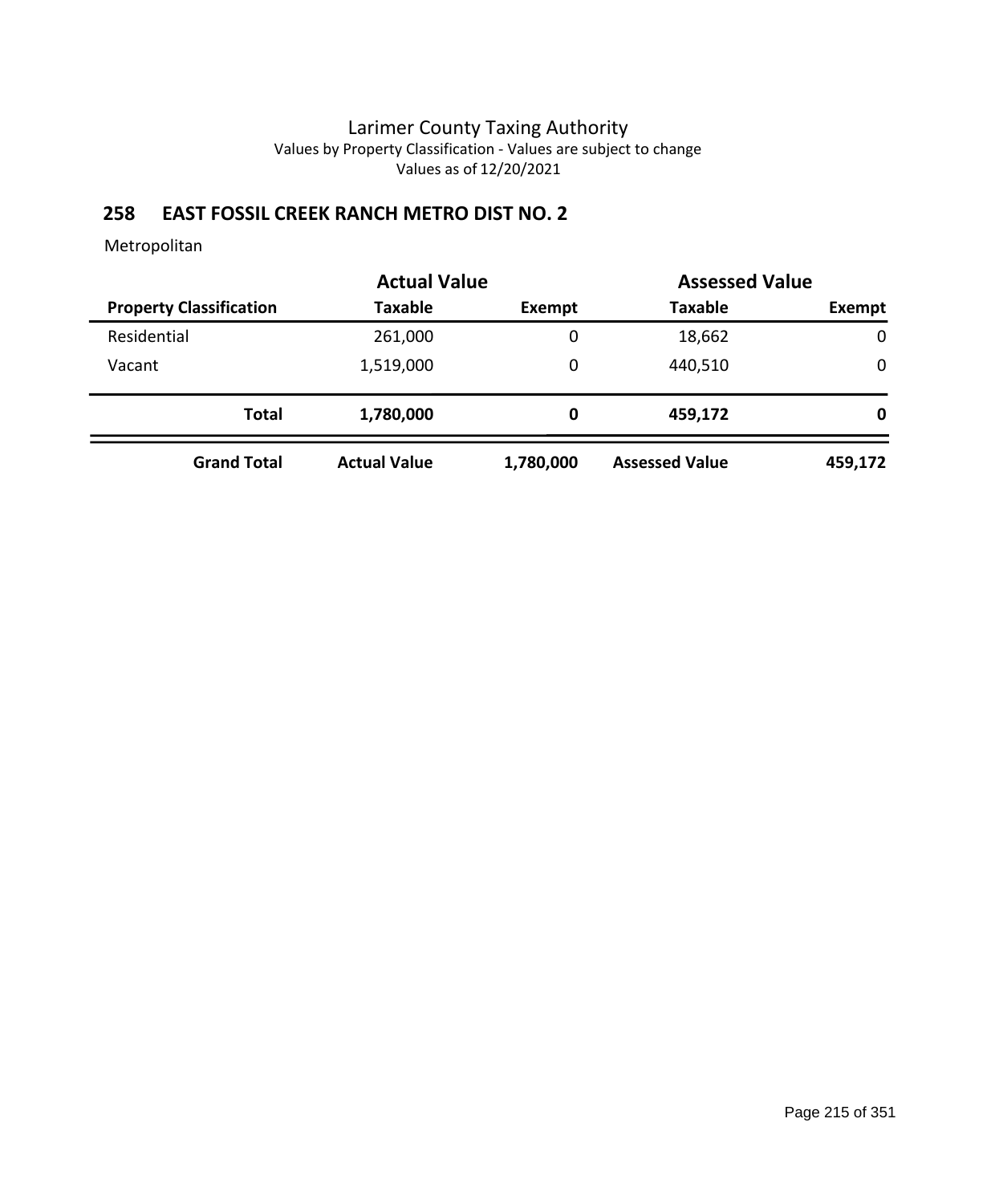# **258 EAST FOSSIL CREEK RANCH METRO DIST NO. 2**

|                                |                     | <b>Actual Value</b> |                       | <b>Assessed Value</b> |
|--------------------------------|---------------------|---------------------|-----------------------|-----------------------|
| <b>Property Classification</b> | <b>Taxable</b>      | Exempt              | <b>Taxable</b>        | Exempt                |
| Residential                    | 261,000             | 0                   | 18,662                | $\mathbf 0$           |
| Vacant                         | 1,519,000           | 0                   | 440,510               | 0                     |
| <b>Total</b>                   | 1,780,000           | 0                   | 459,172               | 0                     |
| <b>Grand Total</b>             | <b>Actual Value</b> | 1,780,000           | <b>Assessed Value</b> | 459,172               |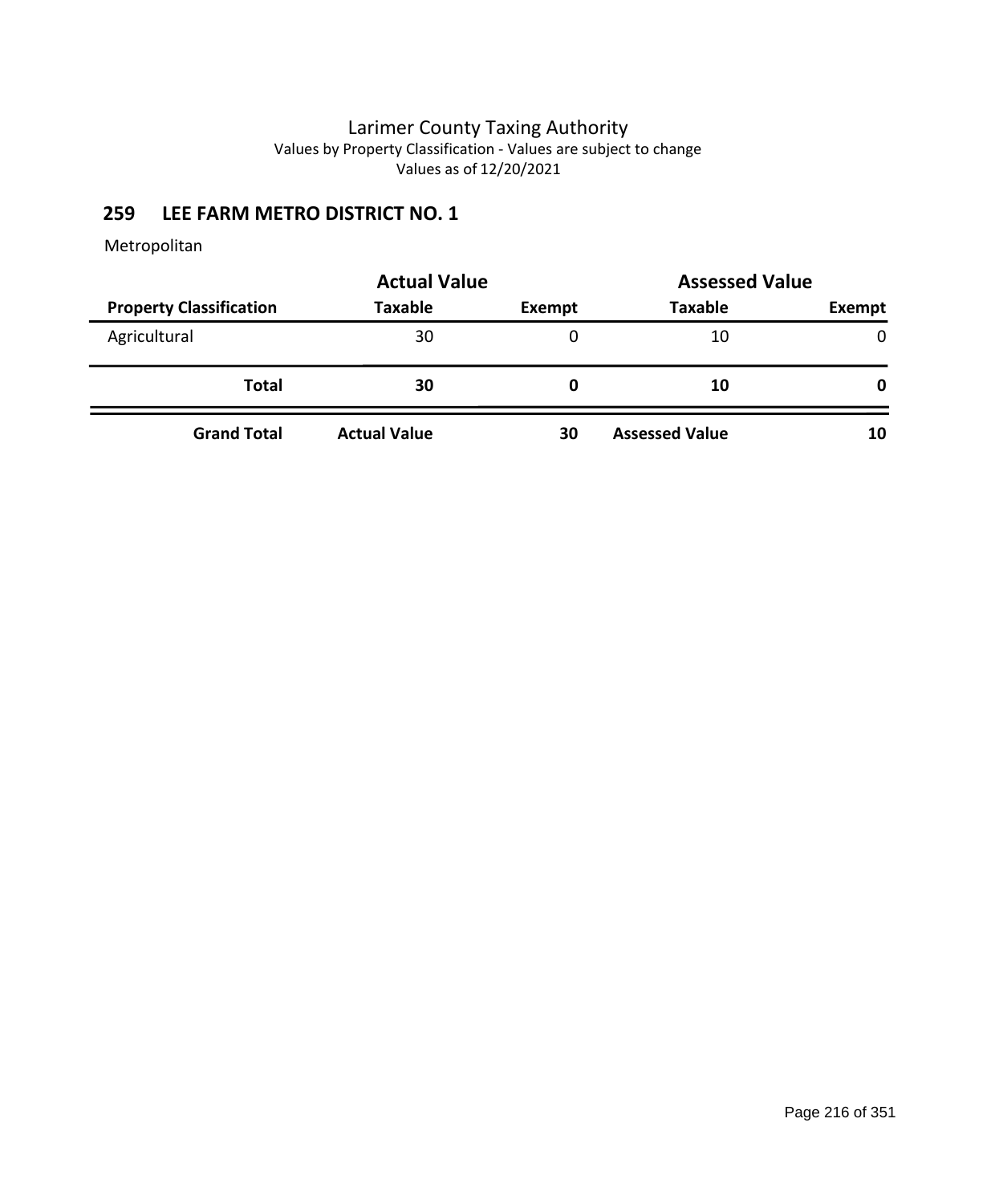# **259 LEE FARM METRO DISTRICT NO. 1**

|                                | <b>Actual Value</b> | <b>Assessed Value</b> |                       |               |
|--------------------------------|---------------------|-----------------------|-----------------------|---------------|
| <b>Property Classification</b> | <b>Taxable</b>      | Exempt                | <b>Taxable</b>        | <b>Exempt</b> |
| Agricultural                   | 30                  | 0                     | 10                    | $\mathbf{0}$  |
| <b>Total</b>                   | 30                  | 0                     | 10                    | 0             |
| <b>Grand Total</b>             | <b>Actual Value</b> | 30                    | <b>Assessed Value</b> | 10            |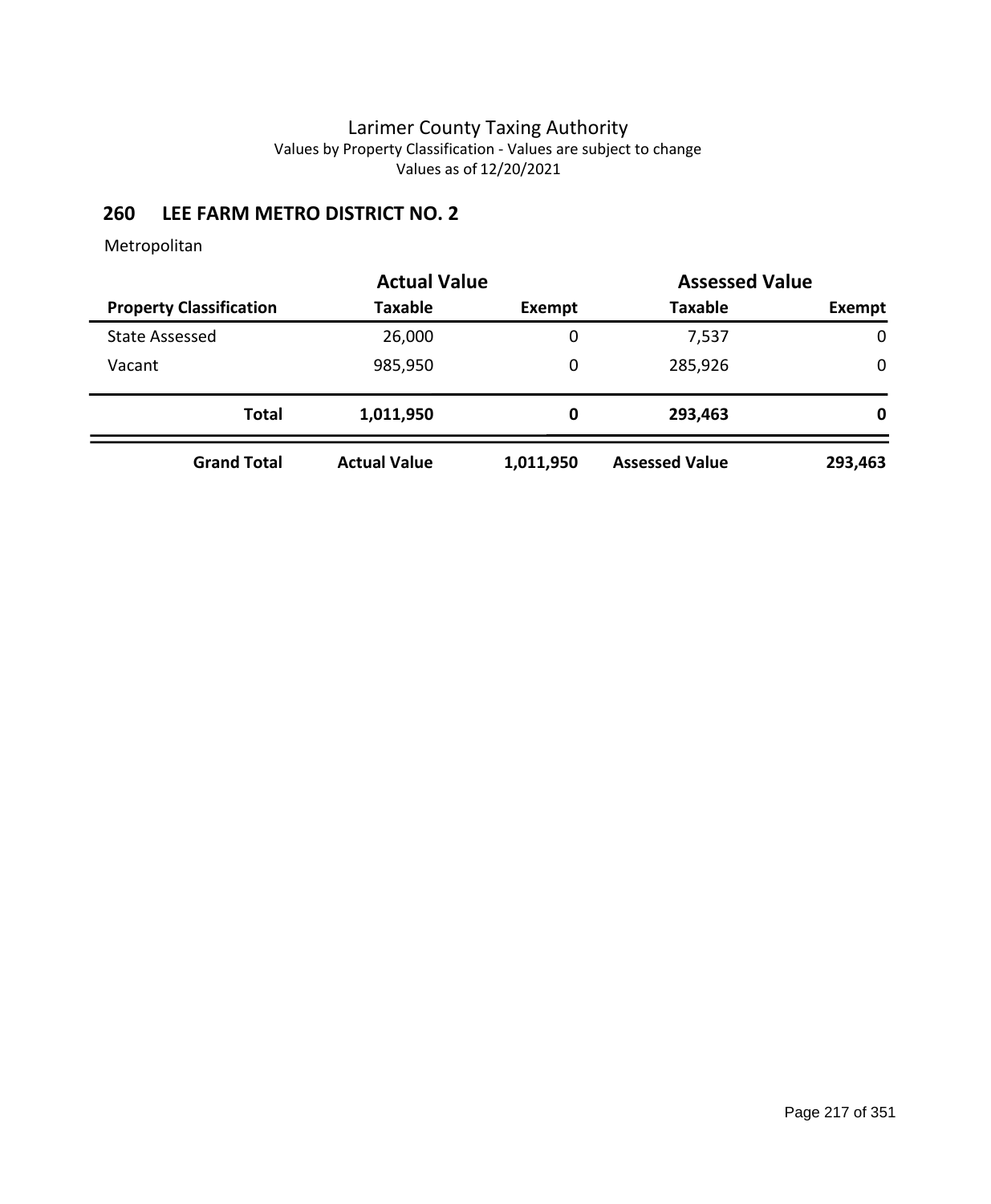# **260 LEE FARM METRO DISTRICT NO. 2**

|                                | <b>Actual Value</b> |               | <b>Assessed Value</b> |             |
|--------------------------------|---------------------|---------------|-----------------------|-------------|
| <b>Property Classification</b> | <b>Taxable</b>      | <b>Exempt</b> | <b>Taxable</b>        | Exempt      |
| <b>State Assessed</b>          | 26,000              | 0             | 7,537                 | 0           |
| Vacant                         | 985,950             | 0             | 285,926               | $\mathbf 0$ |
| <b>Total</b>                   | 1,011,950           | 0             | 293,463               | 0           |
| <b>Grand Total</b>             | <b>Actual Value</b> | 1,011,950     | <b>Assessed Value</b> | 293,463     |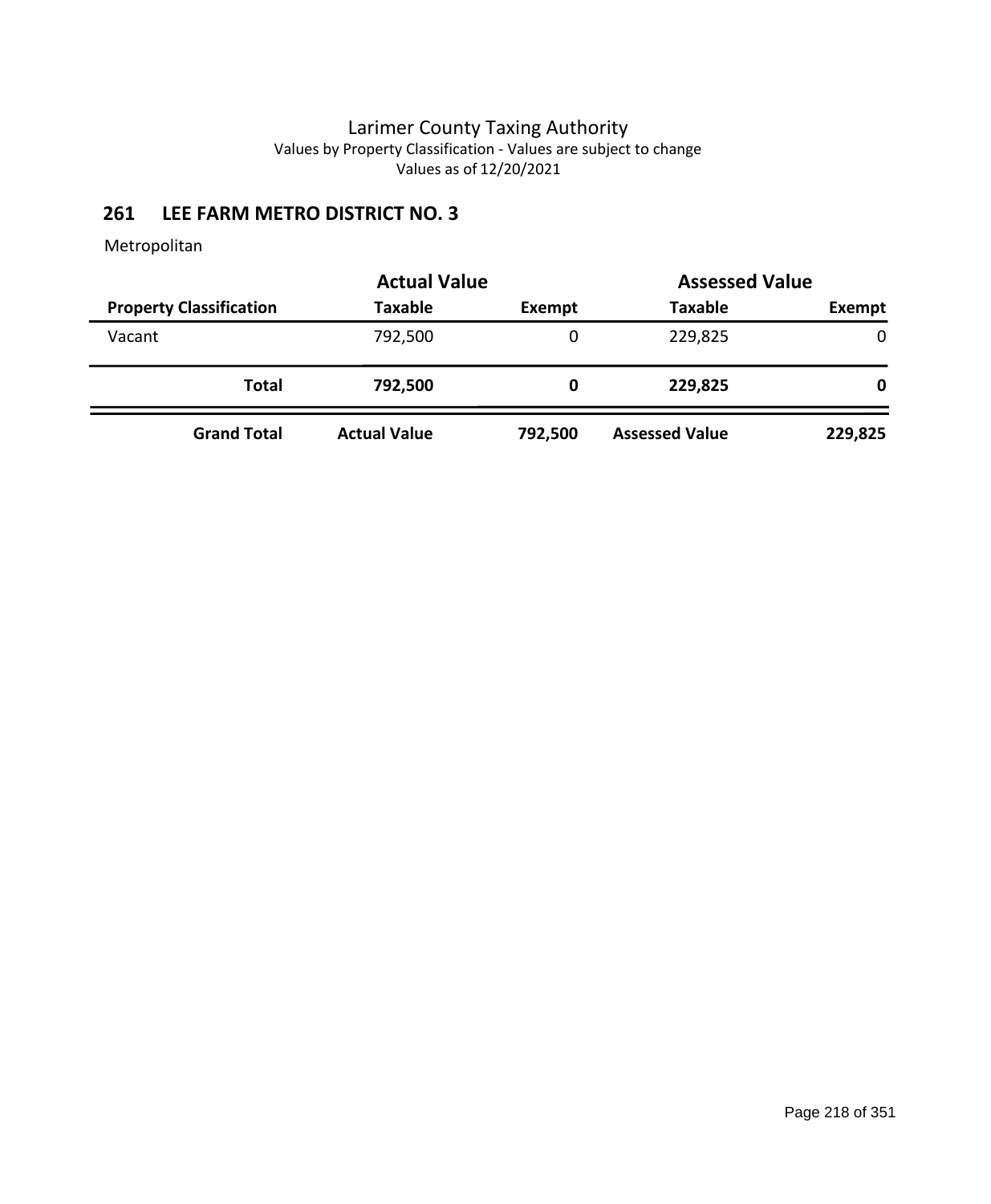# **261 LEE FARM METRO DISTRICT NO. 3**

|                                | <b>Actual Value</b> |               | <b>Assessed Value</b> |              |
|--------------------------------|---------------------|---------------|-----------------------|--------------|
| <b>Property Classification</b> | <b>Taxable</b>      | <b>Exempt</b> | <b>Taxable</b>        | Exempt       |
| Vacant                         | 792,500             | 0             | 229,825               | $\mathbf{0}$ |
| Total                          | 792,500             | 0             | 229,825               | 0            |
| <b>Grand Total</b>             | <b>Actual Value</b> | 792,500       | <b>Assessed Value</b> | 229,825      |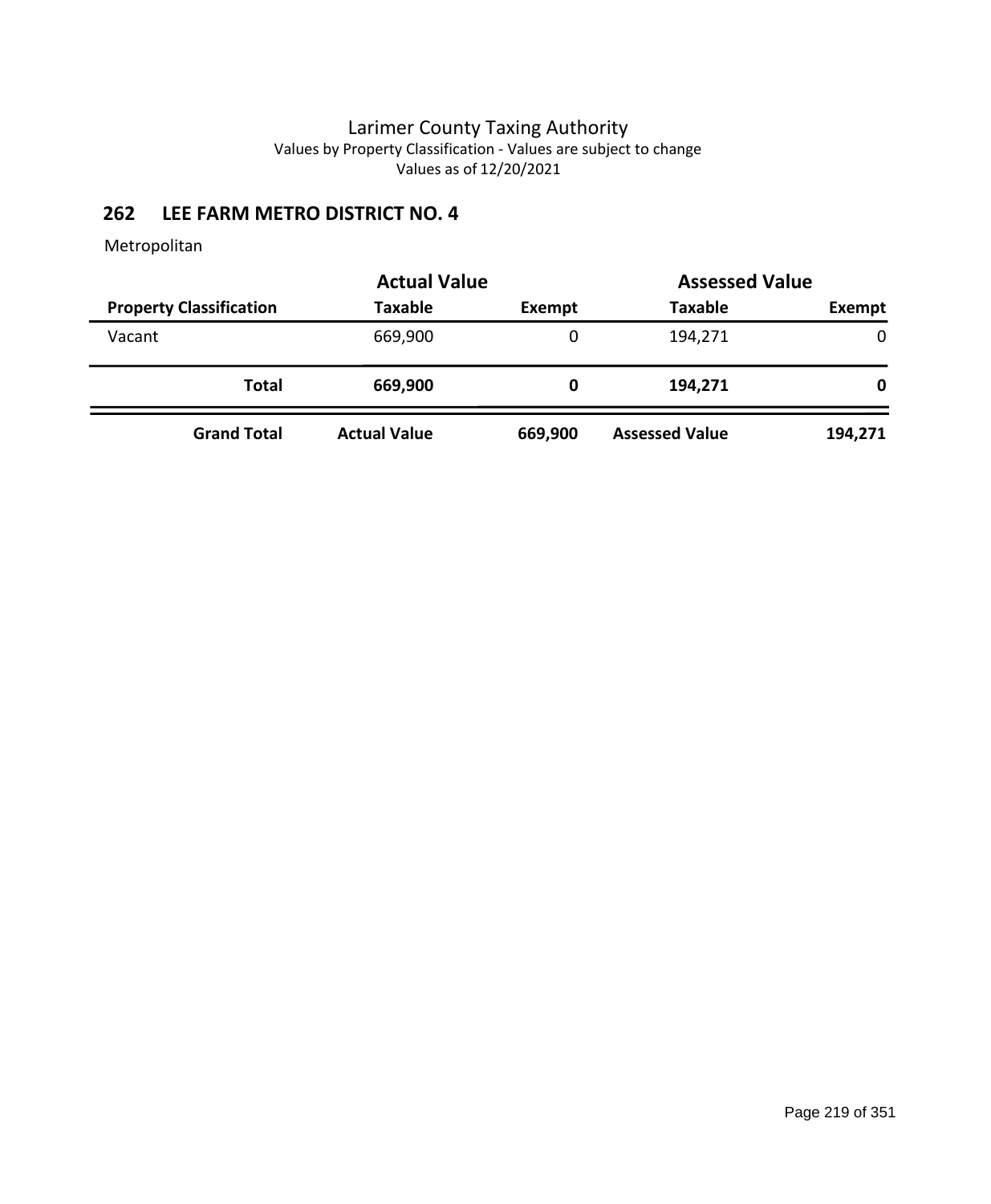# **262 LEE FARM METRO DISTRICT NO. 4**

|                                | <b>Actual Value</b> |               | <b>Assessed Value</b> |              |
|--------------------------------|---------------------|---------------|-----------------------|--------------|
| <b>Property Classification</b> | <b>Taxable</b>      | <b>Exempt</b> | <b>Taxable</b>        | Exempt       |
| Vacant                         | 669,900             | 0             | 194,271               | $\mathbf{0}$ |
| Total                          | 669,900             | 0             | 194,271               | 0            |
| <b>Grand Total</b>             | <b>Actual Value</b> | 669,900       | <b>Assessed Value</b> | 194,271      |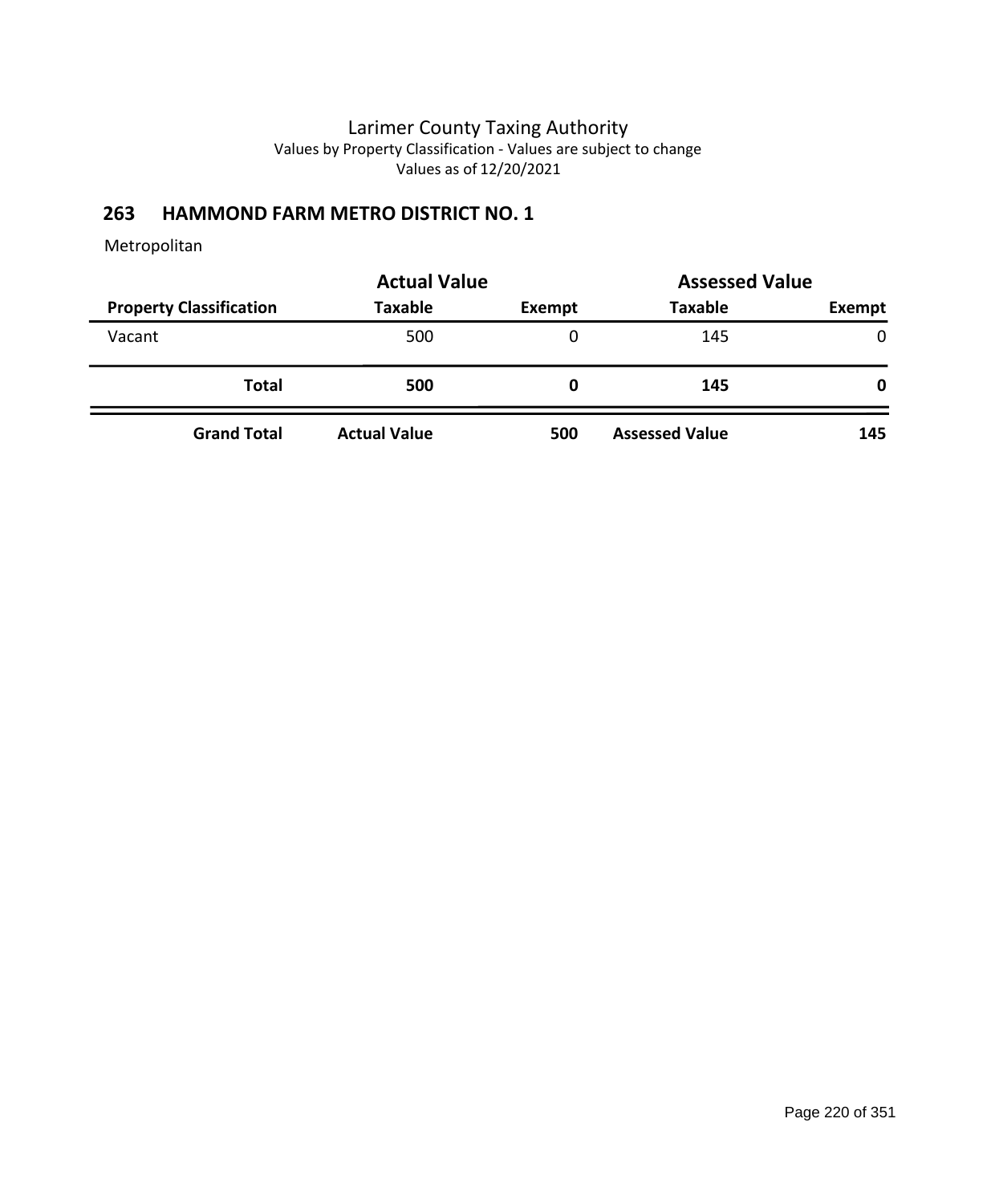# **263 HAMMOND FARM METRO DISTRICT NO. 1**

|                                | <b>Actual Value</b> | <b>Assessed Value</b> |                       |              |
|--------------------------------|---------------------|-----------------------|-----------------------|--------------|
| <b>Property Classification</b> | <b>Taxable</b>      | Exempt                | <b>Taxable</b>        | Exempt       |
| Vacant                         | 500                 | 0                     | 145                   | $\Omega$     |
| <b>Total</b>                   | 500                 | 0                     | 145                   | $\mathbf{0}$ |
| <b>Grand Total</b>             | <b>Actual Value</b> | 500                   | <b>Assessed Value</b> | 145          |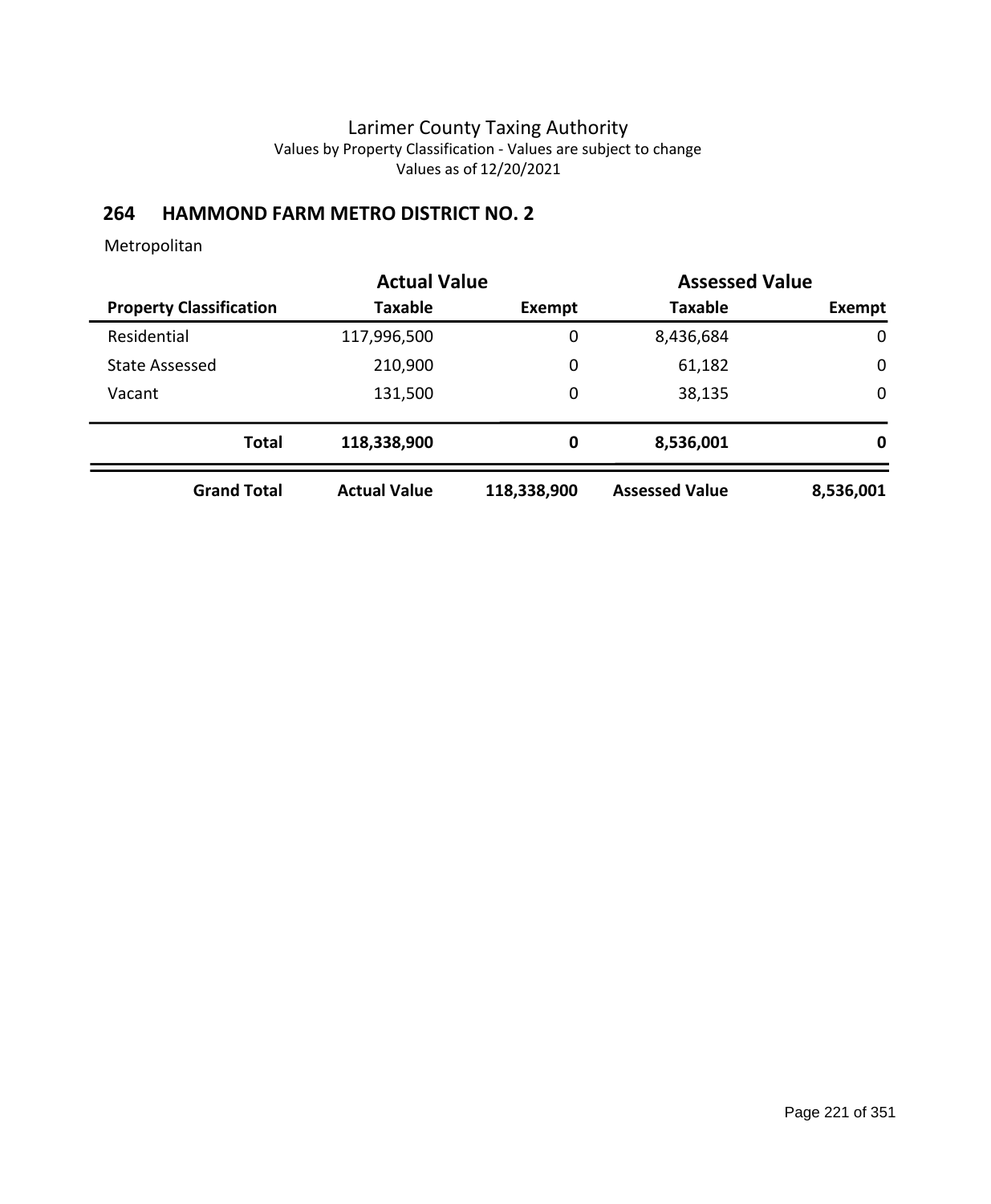# **264 HAMMOND FARM METRO DISTRICT NO. 2**

|                                | <b>Actual Value</b> |               | <b>Assessed Value</b> |             |
|--------------------------------|---------------------|---------------|-----------------------|-------------|
| <b>Property Classification</b> | <b>Taxable</b>      | <b>Exempt</b> | <b>Taxable</b>        | Exempt      |
| Residential                    | 117,996,500         | 0             | 8,436,684             | $\mathbf 0$ |
| <b>State Assessed</b>          | 210,900             | 0             | 61,182                | $\mathbf 0$ |
| Vacant                         | 131,500             | 0             | 38,135                | $\mathbf 0$ |
| <b>Total</b>                   | 118,338,900         | 0             | 8,536,001             | 0           |
| <b>Grand Total</b>             | <b>Actual Value</b> | 118,338,900   | <b>Assessed Value</b> | 8,536,001   |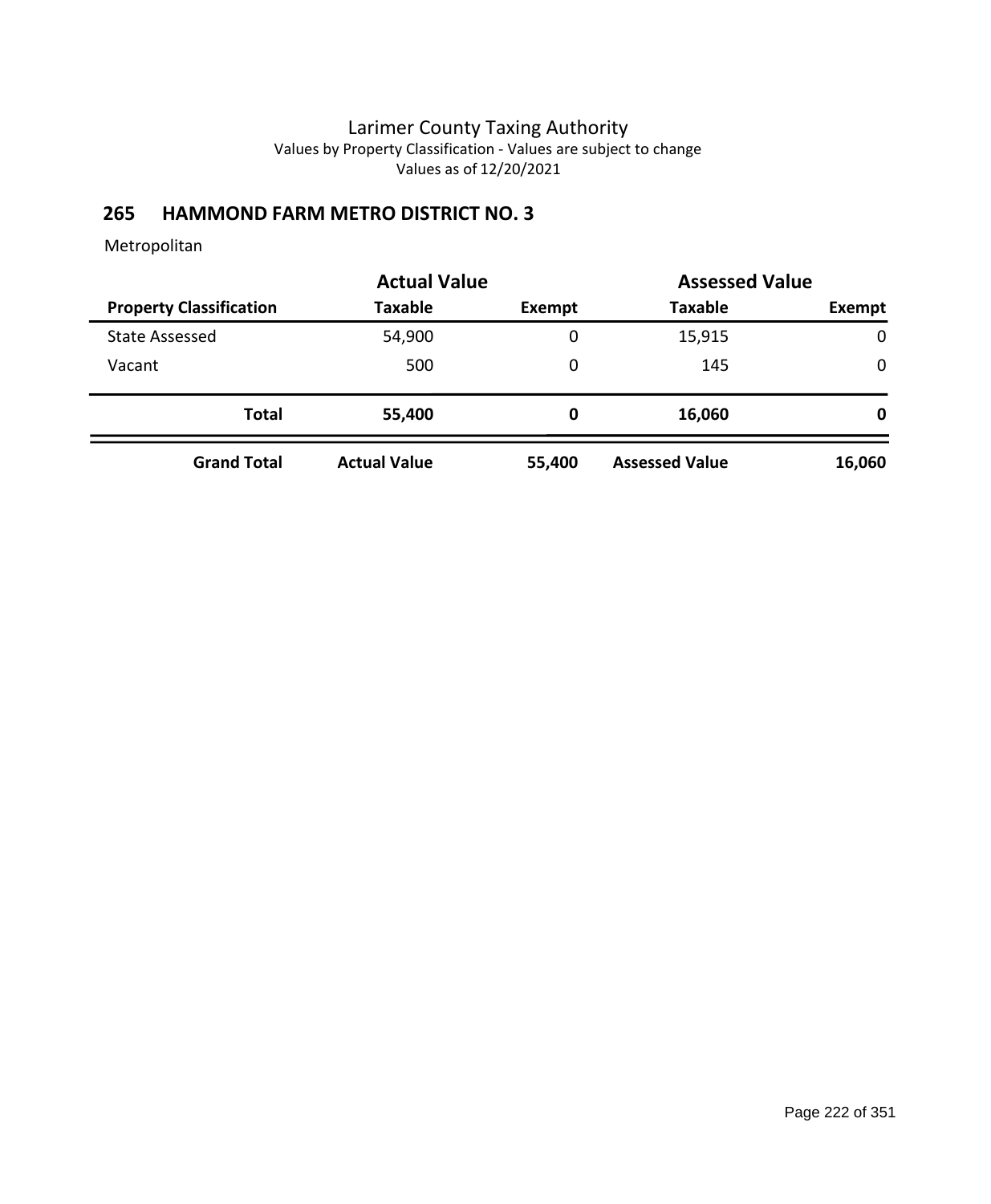# **265 HAMMOND FARM METRO DISTRICT NO. 3**

|                                |                     | <b>Actual Value</b> |                       | <b>Assessed Value</b> |
|--------------------------------|---------------------|---------------------|-----------------------|-----------------------|
| <b>Property Classification</b> | <b>Taxable</b>      | <b>Exempt</b>       | <b>Taxable</b>        | Exempt                |
| <b>State Assessed</b>          | 54,900              | 0                   | 15,915                | 0                     |
| Vacant                         | 500                 | 0                   | 145                   | $\mathbf 0$           |
| <b>Total</b>                   | 55,400              | 0                   | 16,060                | 0                     |
| <b>Grand Total</b>             | <b>Actual Value</b> | 55,400              | <b>Assessed Value</b> | 16,060                |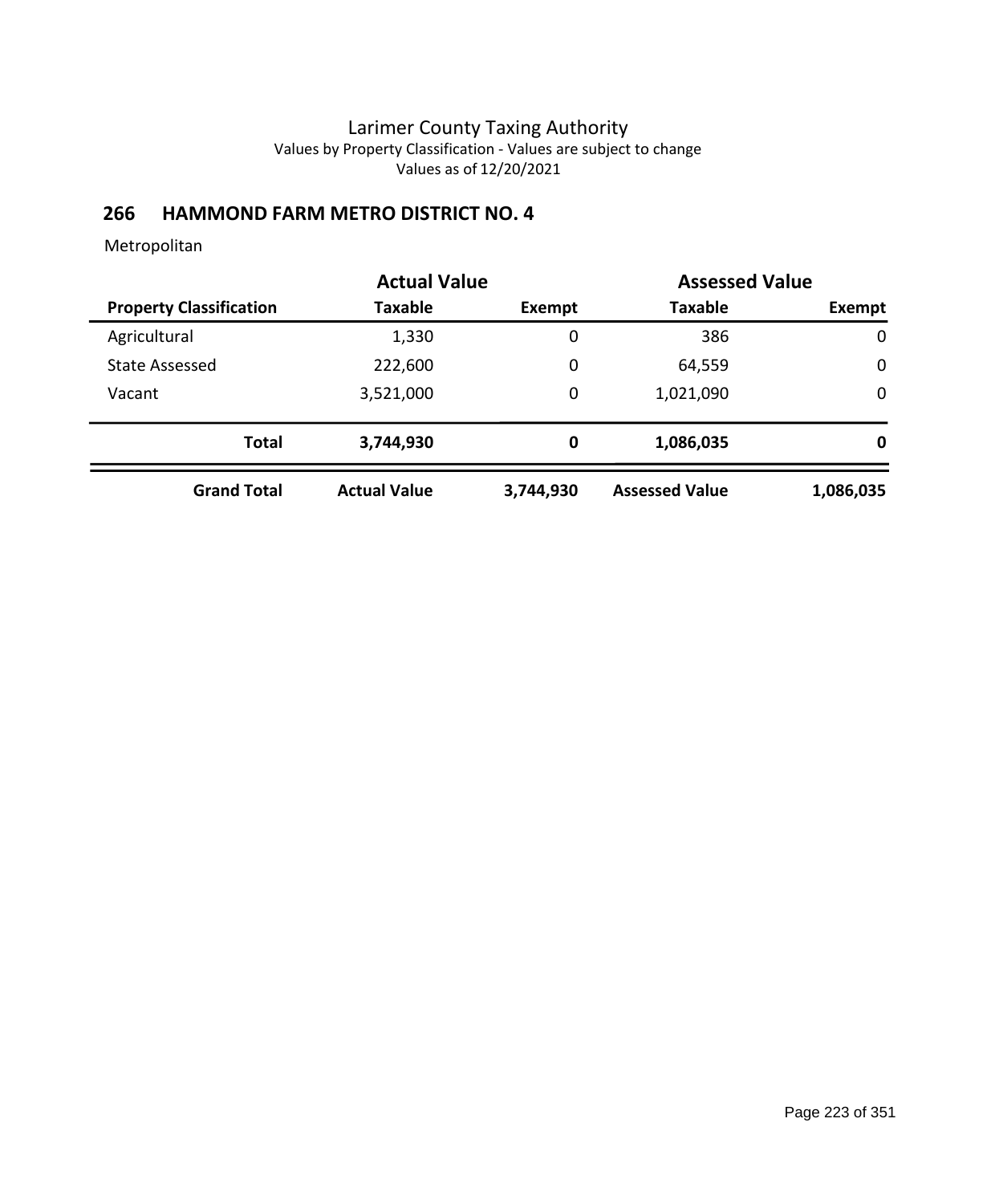# **266 HAMMOND FARM METRO DISTRICT NO. 4**

|                                | <b>Actual Value</b> |               | <b>Assessed Value</b> |             |
|--------------------------------|---------------------|---------------|-----------------------|-------------|
| <b>Property Classification</b> | <b>Taxable</b>      | <b>Exempt</b> | <b>Taxable</b>        | Exempt      |
| Agricultural                   | 1,330               | 0             | 386                   | $\mathbf 0$ |
| <b>State Assessed</b>          | 222,600             | $\mathbf 0$   | 64,559                | $\mathbf 0$ |
| Vacant                         | 3,521,000           | $\mathbf 0$   | 1,021,090             | $\mathbf 0$ |
| <b>Total</b>                   | 3,744,930           | 0             | 1,086,035             | 0           |
| <b>Grand Total</b>             | <b>Actual Value</b> | 3,744,930     | <b>Assessed Value</b> | 1,086,035   |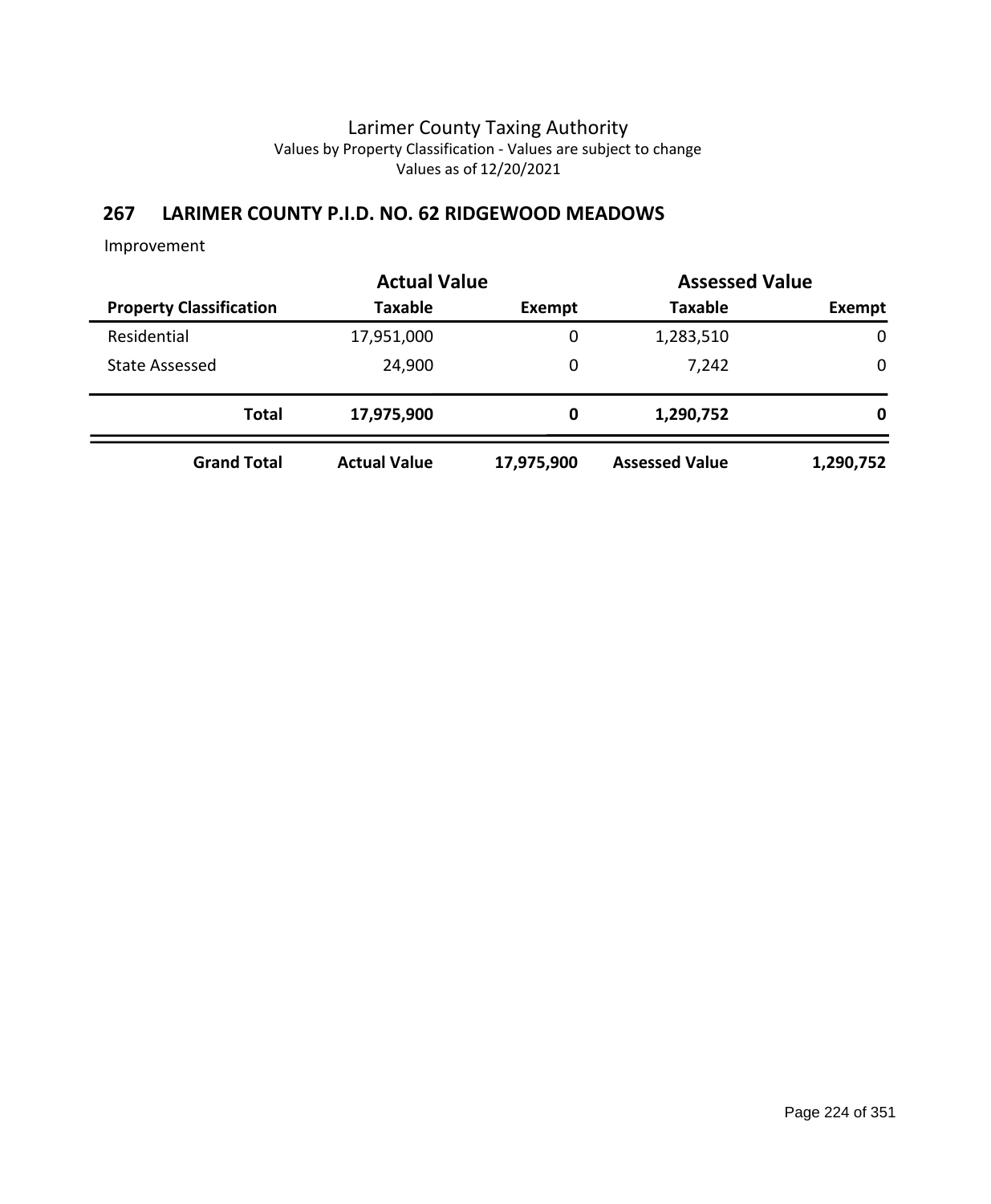# **267 LARIMER COUNTY P.I.D. NO. 62 RIDGEWOOD MEADOWS**

Improvement

|                                | <b>Actual Value</b> | <b>Assessed Value</b> |                       |             |  |
|--------------------------------|---------------------|-----------------------|-----------------------|-------------|--|
| <b>Property Classification</b> | <b>Taxable</b>      | Exempt                | <b>Taxable</b>        | Exempt      |  |
| Residential                    | 17,951,000          | 0                     | 1,283,510             | $\mathbf 0$ |  |
| <b>State Assessed</b>          | 24,900              | 0                     | 7,242                 | 0           |  |
| <b>Total</b>                   | 17,975,900          | 0                     | 1,290,752             | 0           |  |
| <b>Grand Total</b>             | <b>Actual Value</b> | 17,975,900            | <b>Assessed Value</b> | 1,290,752   |  |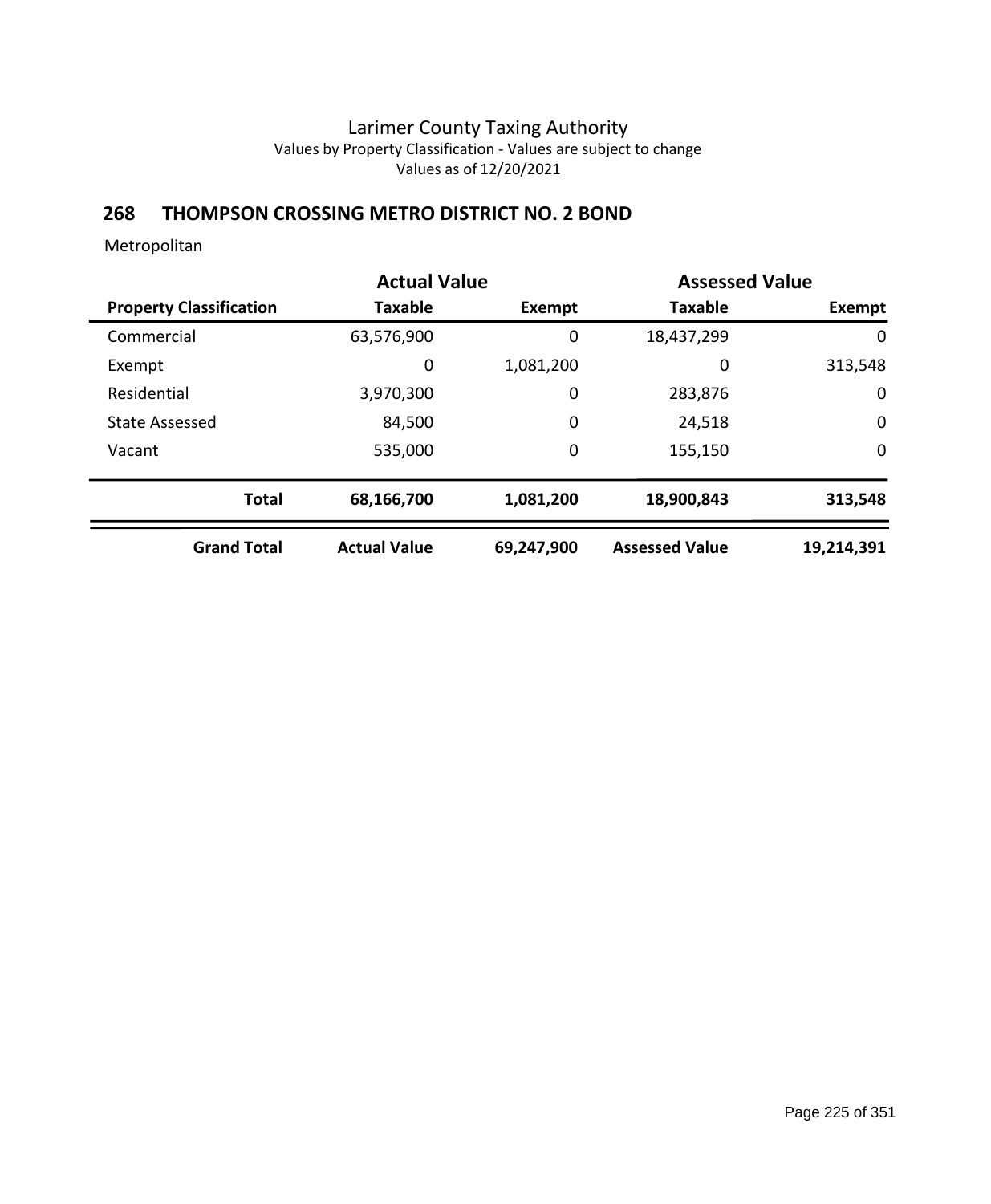### **268 THOMPSON CROSSING METRO DISTRICT NO. 2 BOND**

|                                | <b>Actual Value</b> |               | <b>Assessed Value</b> |             |
|--------------------------------|---------------------|---------------|-----------------------|-------------|
| <b>Property Classification</b> | <b>Taxable</b>      | <b>Exempt</b> | <b>Taxable</b>        | Exempt      |
| Commercial                     | 63,576,900          | 0             | 18,437,299            | 0           |
| Exempt                         | 0                   | 1,081,200     | 0                     | 313,548     |
| Residential                    | 3,970,300           | 0             | 283,876               | $\mathbf 0$ |
| <b>State Assessed</b>          | 84,500              | 0             | 24,518                | $\mathbf 0$ |
| Vacant                         | 535,000             | 0             | 155,150               | $\mathbf 0$ |
| <b>Total</b>                   | 68,166,700          | 1,081,200     | 18,900,843            | 313,548     |
| <b>Grand Total</b>             | <b>Actual Value</b> | 69,247,900    | <b>Assessed Value</b> | 19,214,391  |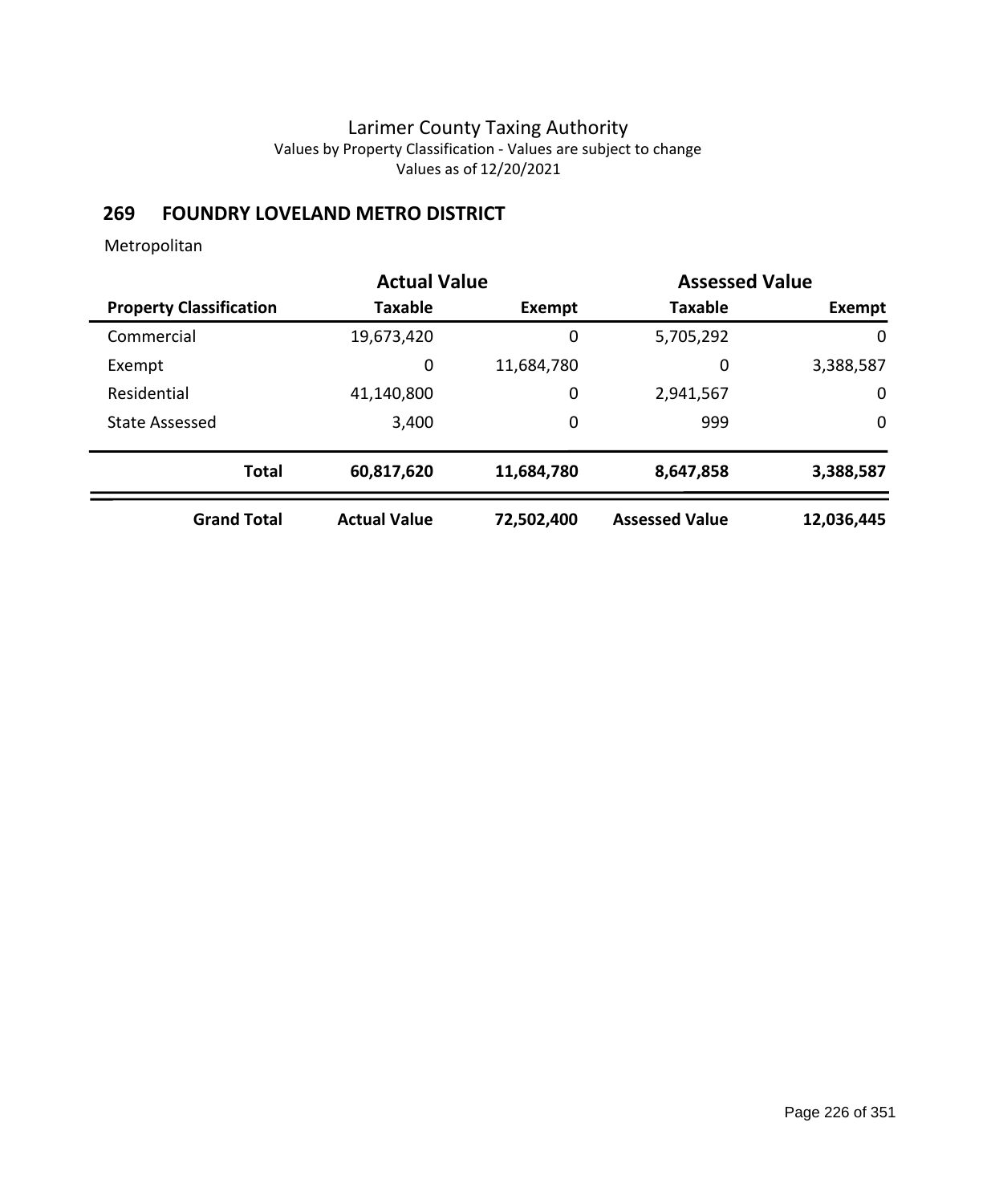# **269 FOUNDRY LOVELAND METRO DISTRICT**

|                                | <b>Actual Value</b> |            | <b>Assessed Value</b> |             |
|--------------------------------|---------------------|------------|-----------------------|-------------|
| <b>Property Classification</b> | <b>Taxable</b>      | Exempt     | <b>Taxable</b>        | Exempt      |
| Commercial                     | 19,673,420          | 0          | 5,705,292             | $\mathbf 0$ |
| Exempt                         | 0                   | 11,684,780 | 0                     | 3,388,587   |
| Residential                    | 41,140,800          | 0          | 2,941,567             | 0           |
| <b>State Assessed</b>          | 3,400               | 0          | 999                   | $\mathbf 0$ |
| <b>Total</b>                   | 60,817,620          | 11,684,780 | 8,647,858             | 3,388,587   |
| <b>Grand Total</b>             | <b>Actual Value</b> | 72,502,400 | <b>Assessed Value</b> | 12,036,445  |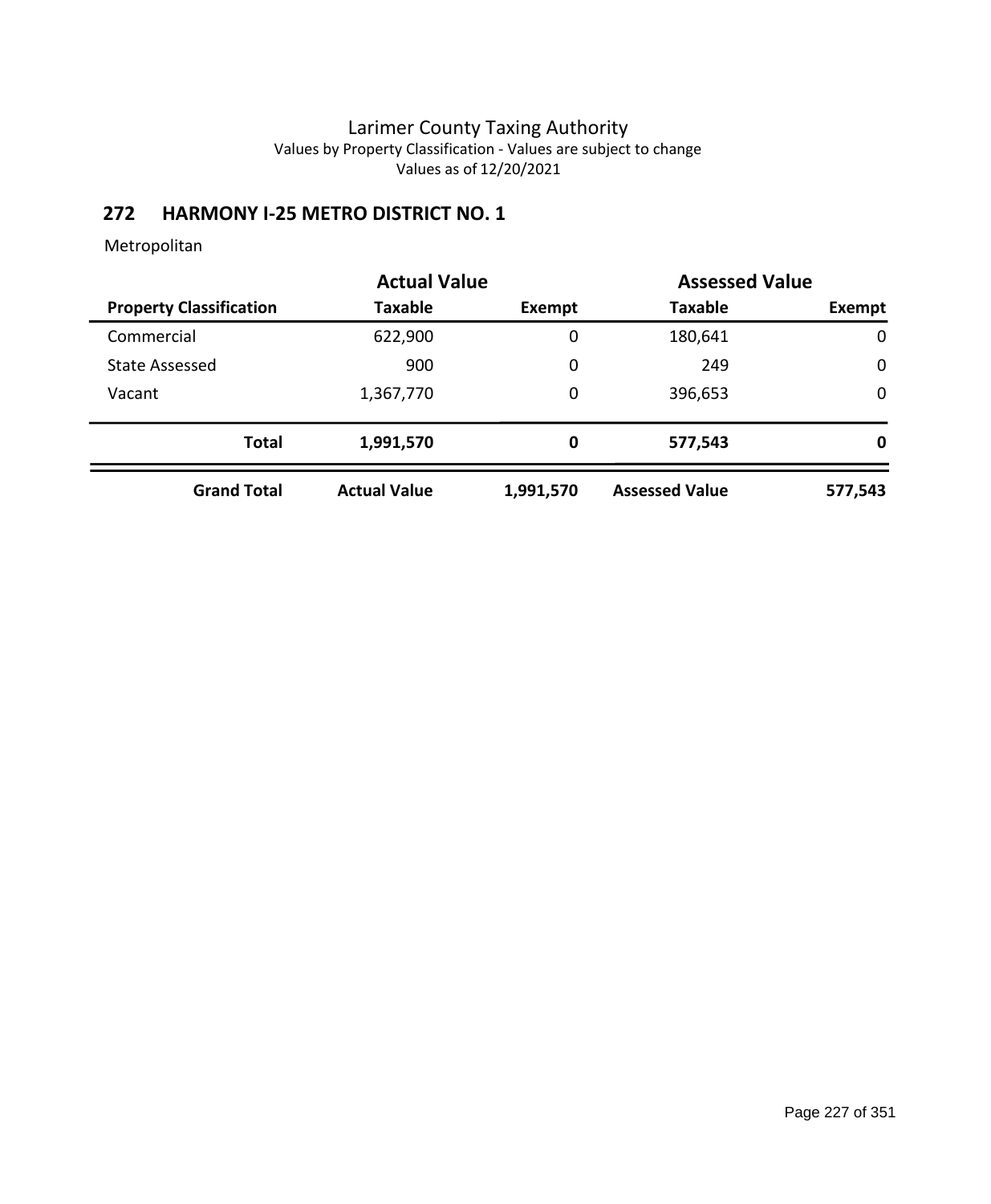# **272 HARMONY I-25 METRO DISTRICT NO. 1**

|                                | <b>Actual Value</b> |           | <b>Assessed Value</b> |             |
|--------------------------------|---------------------|-----------|-----------------------|-------------|
| <b>Property Classification</b> | <b>Taxable</b>      | Exempt    | <b>Taxable</b>        | Exempt      |
| Commercial                     | 622,900             | 0         | 180,641               | $\mathbf 0$ |
| <b>State Assessed</b>          | 900                 | 0         | 249                   | $\mathbf 0$ |
| Vacant                         | 1,367,770           | 0         | 396,653               | $\mathbf 0$ |
| <b>Total</b>                   | 1,991,570           | 0         | 577,543               | 0           |
| <b>Grand Total</b>             | <b>Actual Value</b> | 1,991,570 | <b>Assessed Value</b> | 577,543     |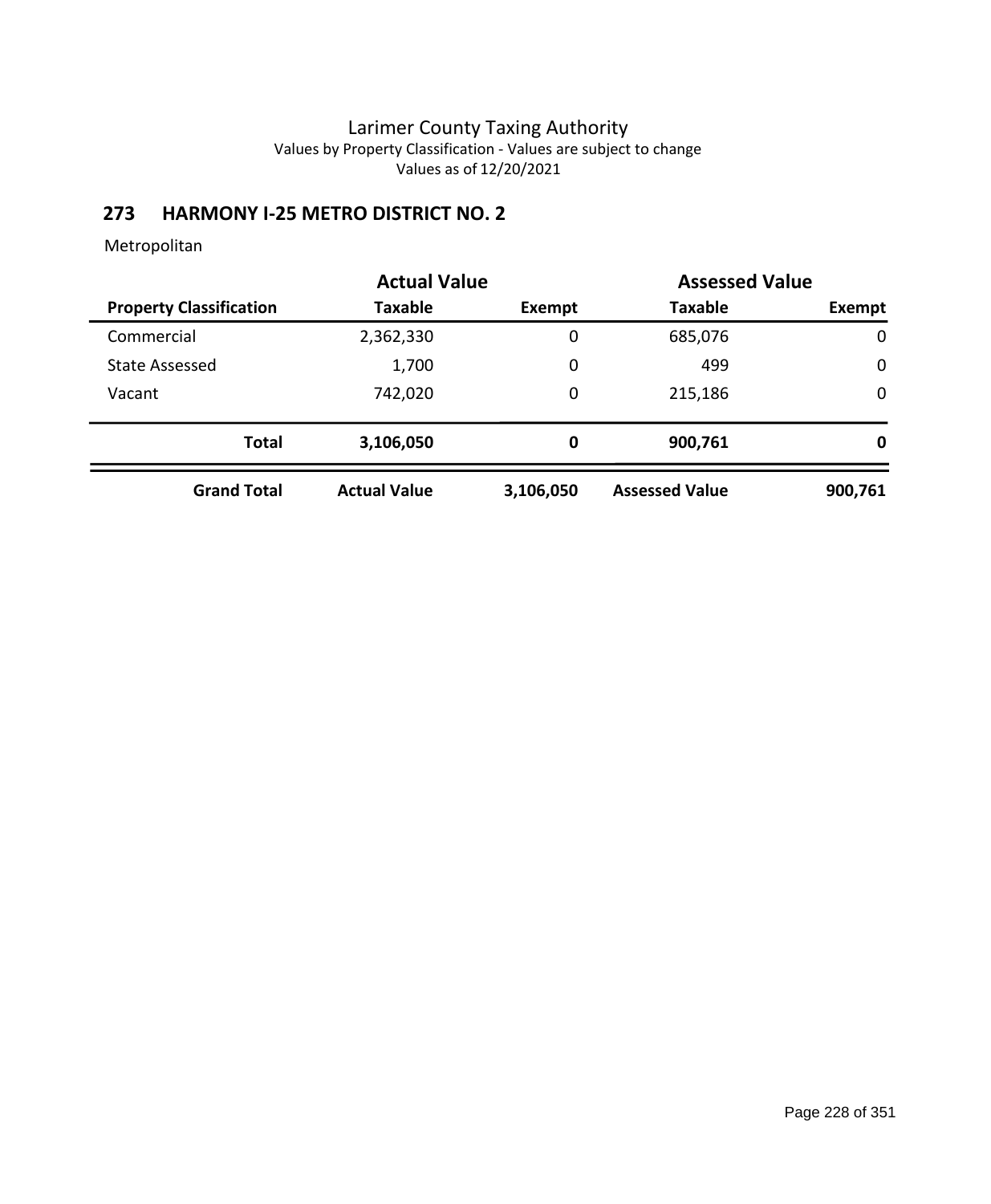# **273 HARMONY I-25 METRO DISTRICT NO. 2**

|                                | <b>Actual Value</b> |           | <b>Assessed Value</b> |             |
|--------------------------------|---------------------|-----------|-----------------------|-------------|
| <b>Property Classification</b> | Taxable             | Exempt    | <b>Taxable</b>        | Exempt      |
| Commercial                     | 2,362,330           | 0         | 685,076               | $\mathbf 0$ |
| <b>State Assessed</b>          | 1,700               | 0         | 499                   | $\mathbf 0$ |
| Vacant                         | 742,020             | 0         | 215,186               | $\mathbf 0$ |
| <b>Total</b>                   | 3,106,050           | 0         | 900,761               | 0           |
| <b>Grand Total</b>             | <b>Actual Value</b> | 3,106,050 | <b>Assessed Value</b> | 900,761     |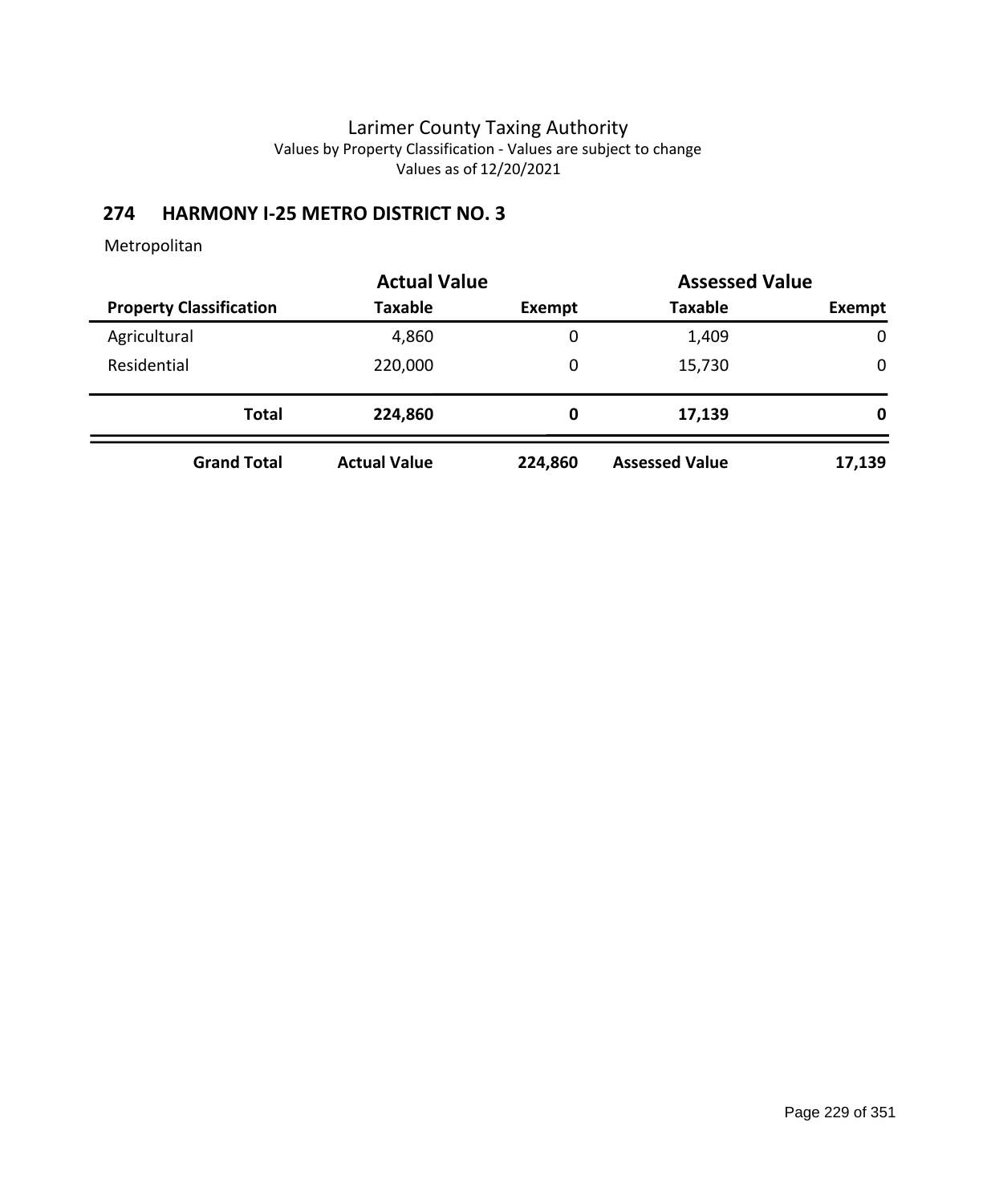# **274 HARMONY I-25 METRO DISTRICT NO. 3**

|                                |                     | <b>Actual Value</b> |                       | <b>Assessed Value</b> |
|--------------------------------|---------------------|---------------------|-----------------------|-----------------------|
| <b>Property Classification</b> | <b>Taxable</b>      | Exempt              | <b>Taxable</b>        | Exempt                |
| Agricultural                   | 4,860               | 0                   | 1,409                 | $\mathbf 0$           |
| Residential                    | 220,000             | 0                   | 15,730                | 0                     |
| <b>Total</b>                   | 224,860             | 0                   | 17,139                | 0                     |
| <b>Grand Total</b>             | <b>Actual Value</b> | 224,860             | <b>Assessed Value</b> | 17,139                |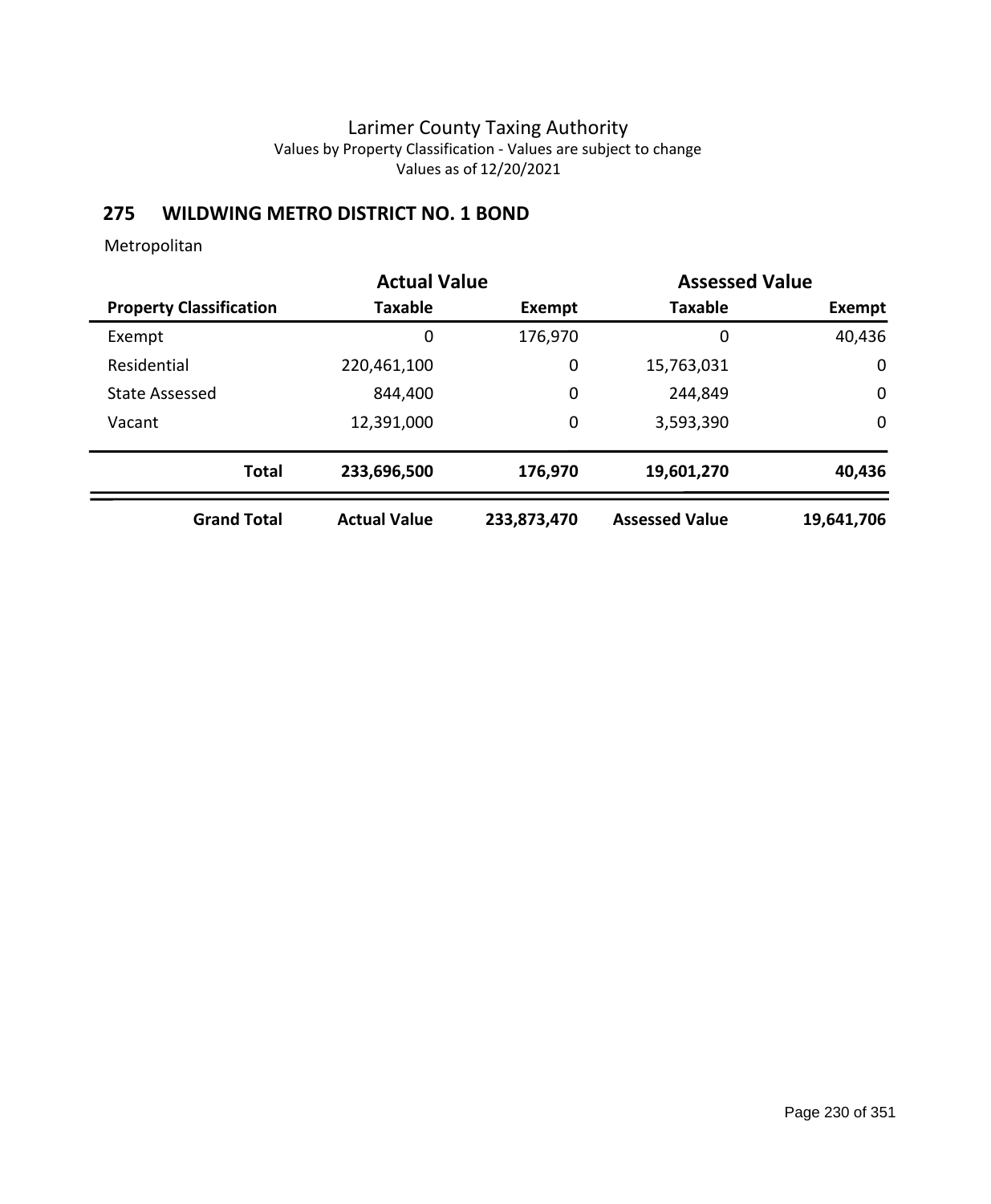# **275 WILDWING METRO DISTRICT NO. 1 BOND**

|                                | <b>Actual Value</b> |             | <b>Assessed Value</b> |             |  |
|--------------------------------|---------------------|-------------|-----------------------|-------------|--|
| <b>Property Classification</b> | <b>Taxable</b>      | Exempt      | <b>Taxable</b>        | Exempt      |  |
| Exempt                         | 0                   | 176,970     | 0                     | 40,436      |  |
| Residential                    | 220,461,100         | 0           | 15,763,031            | $\mathbf 0$ |  |
| <b>State Assessed</b>          | 844,400             | 0           | 244,849               | 0           |  |
| Vacant                         | 12,391,000          | 0           | 3,593,390             | $\mathbf 0$ |  |
| <b>Total</b>                   | 233,696,500         | 176,970     | 19,601,270            | 40,436      |  |
| <b>Grand Total</b>             | <b>Actual Value</b> | 233,873,470 | <b>Assessed Value</b> | 19,641,706  |  |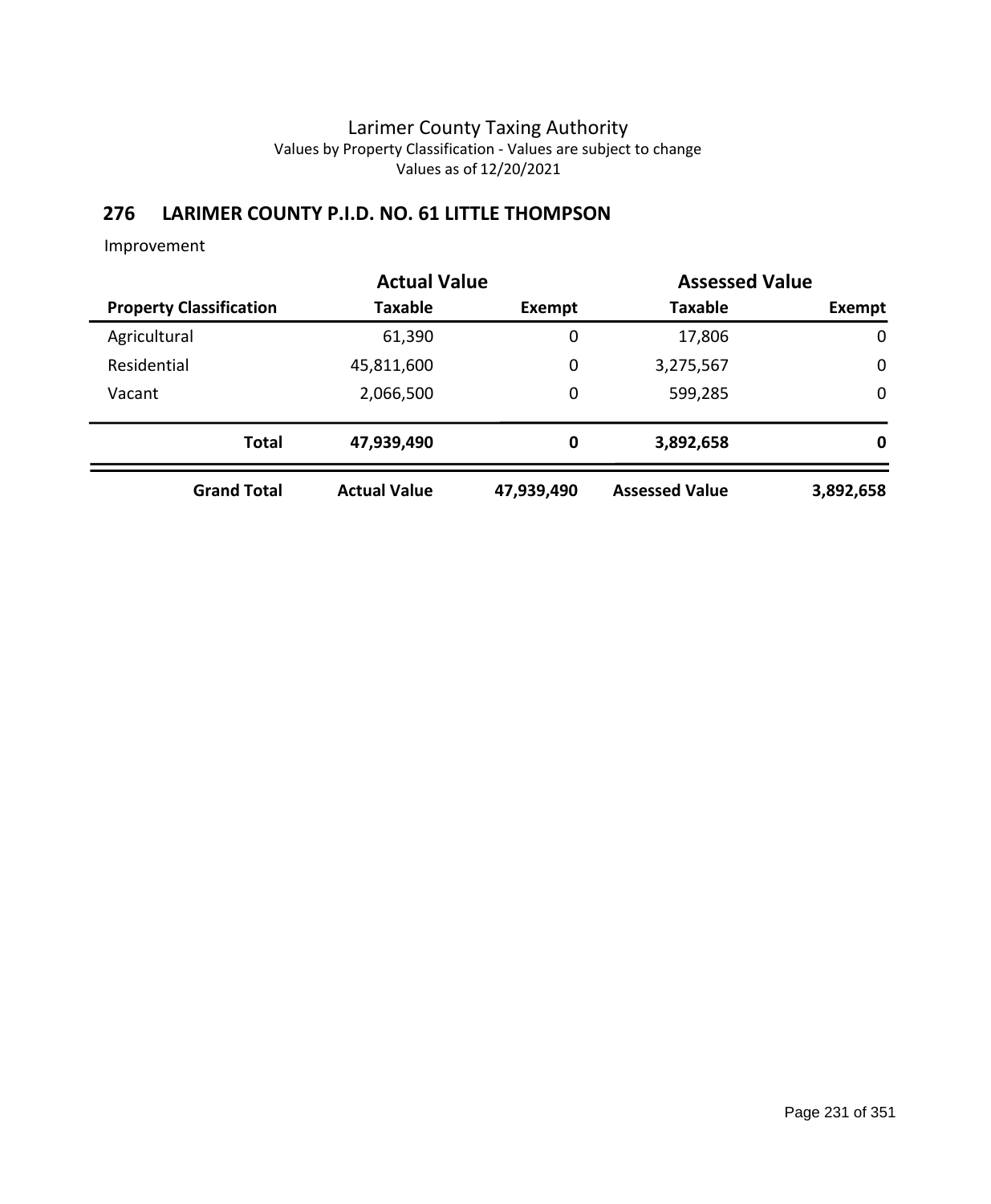# **276 LARIMER COUNTY P.I.D. NO. 61 LITTLE THOMPSON**

Improvement

|              |                                | <b>Actual Value</b> |             | <b>Assessed Value</b> |             |
|--------------|--------------------------------|---------------------|-------------|-----------------------|-------------|
|              | <b>Property Classification</b> | Taxable             | Exempt      | <b>Taxable</b>        | Exempt      |
| Agricultural |                                | 61,390              | $\mathbf 0$ | 17,806                | $\mathbf 0$ |
| Residential  |                                | 45,811,600          | 0           | 3,275,567             | $\mathbf 0$ |
| Vacant       |                                | 2,066,500           | 0           | 599,285               | $\mathbf 0$ |
|              | <b>Total</b>                   | 47,939,490          | $\bf{0}$    | 3,892,658             | 0           |
|              | <b>Grand Total</b>             | <b>Actual Value</b> | 47,939,490  | <b>Assessed Value</b> | 3,892,658   |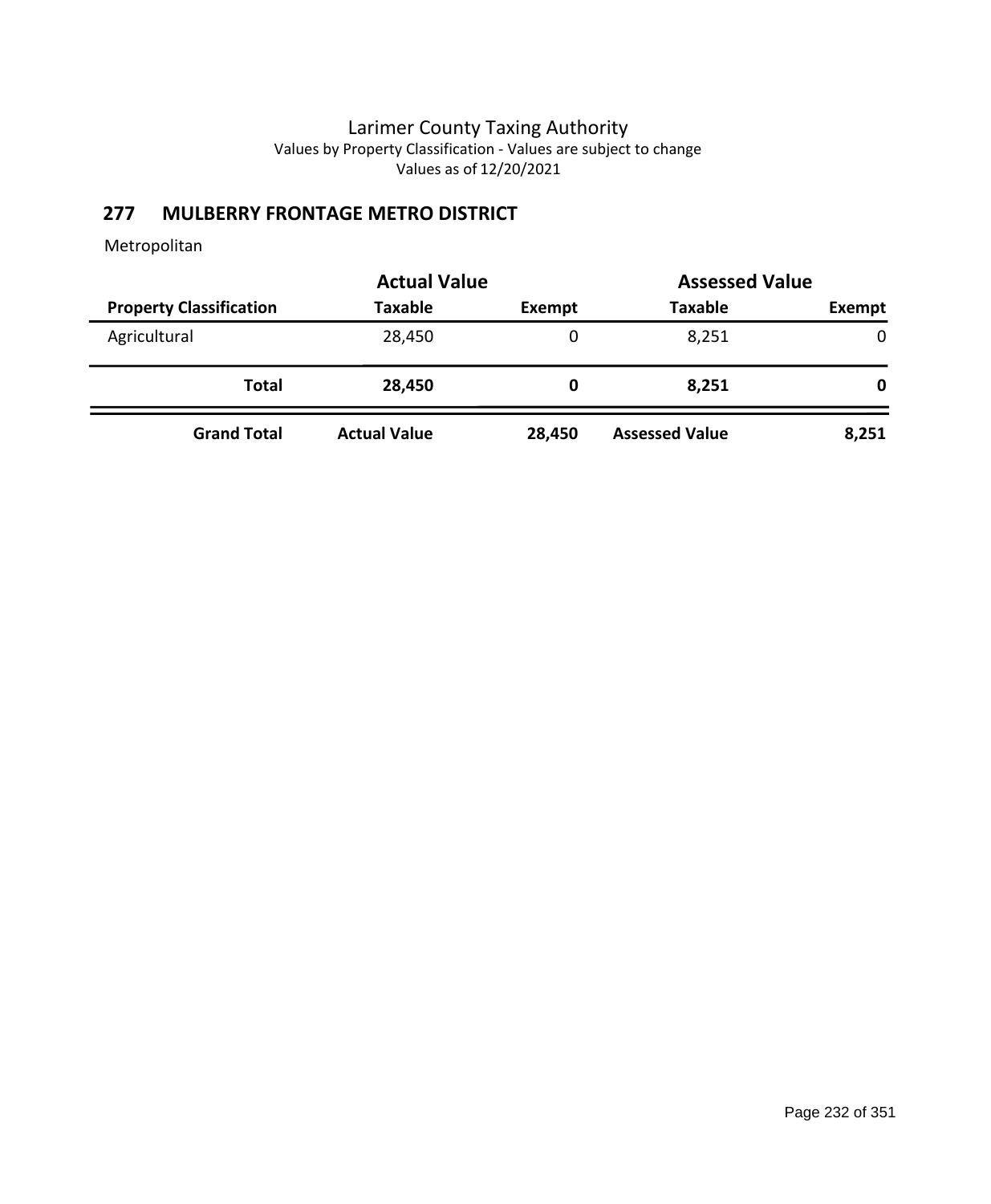# **277 MULBERRY FRONTAGE METRO DISTRICT**

|                                | <b>Actual Value</b> | <b>Assessed Value</b> |                       |             |  |
|--------------------------------|---------------------|-----------------------|-----------------------|-------------|--|
| <b>Property Classification</b> | <b>Taxable</b>      | Exempt                | <b>Taxable</b>        | Exempt      |  |
| Agricultural                   | 28,450              | 0                     | 8,251                 | $\mathbf 0$ |  |
| Total                          | 28,450              | 0                     | 8,251                 | 0           |  |
| <b>Grand Total</b>             | <b>Actual Value</b> | 28,450                | <b>Assessed Value</b> | 8,251       |  |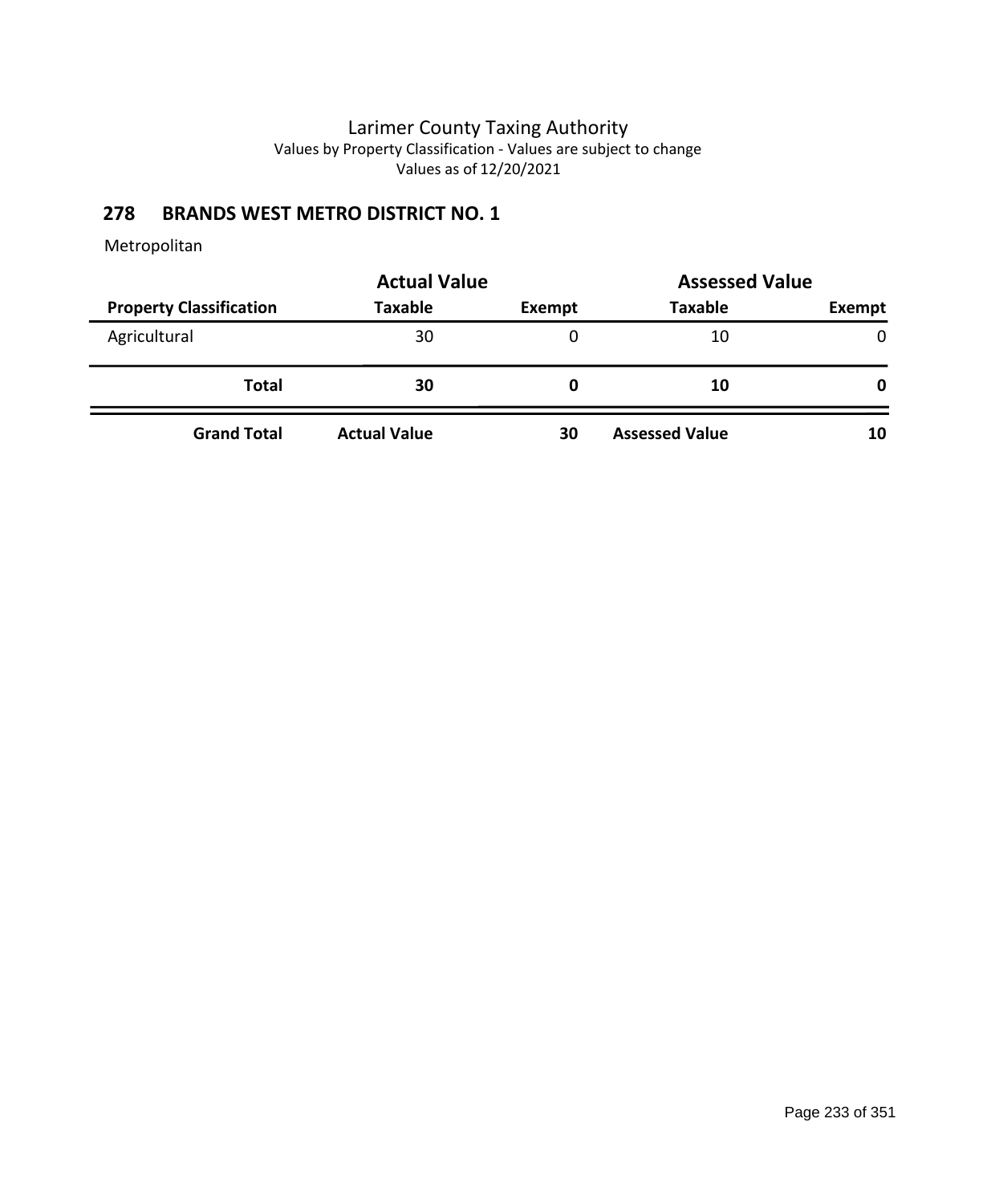# **278 BRANDS WEST METRO DISTRICT NO. 1**

|                                | <b>Actual Value</b> | <b>Assessed Value</b> |                       |              |
|--------------------------------|---------------------|-----------------------|-----------------------|--------------|
| <b>Property Classification</b> | <b>Taxable</b>      | Exempt                | <b>Taxable</b>        | Exempt       |
| Agricultural                   | 30                  | 0                     | 10                    | $\mathbf{0}$ |
| <b>Total</b>                   | 30                  | O                     | 10                    | 0            |
| <b>Grand Total</b>             | <b>Actual Value</b> | 30                    | <b>Assessed Value</b> | 10           |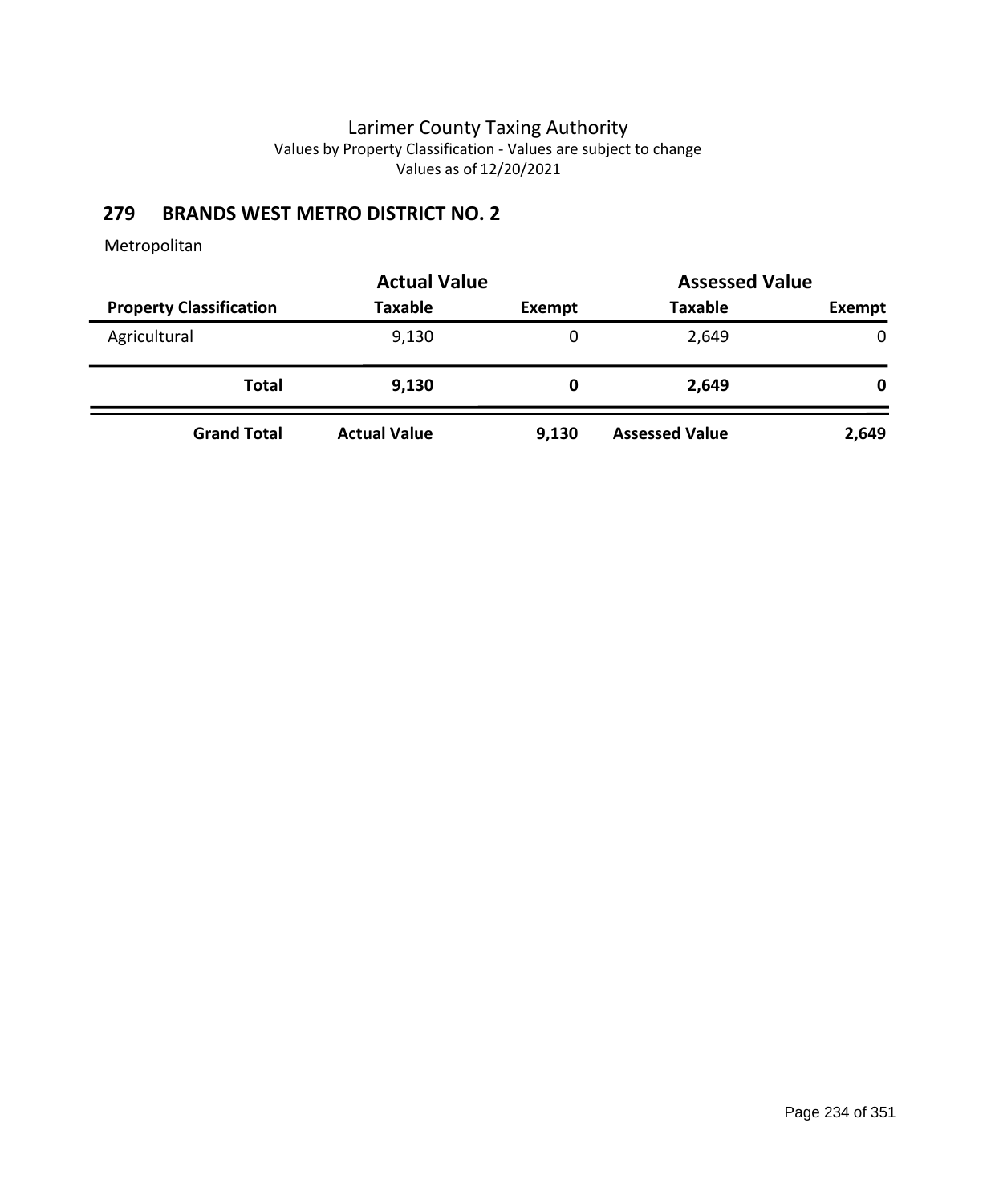# **279 BRANDS WEST METRO DISTRICT NO. 2**

|                                | <b>Actual Value</b> |        |                       | <b>Assessed Value</b> |  |
|--------------------------------|---------------------|--------|-----------------------|-----------------------|--|
| <b>Property Classification</b> | <b>Taxable</b>      | Exempt | <b>Taxable</b>        | Exempt                |  |
| Agricultural                   | 9,130               | 0      | 2,649                 | $\mathbf{0}$          |  |
| <b>Total</b>                   | 9,130               | 0      | 2,649                 | 0                     |  |
| <b>Grand Total</b>             | <b>Actual Value</b> | 9,130  | <b>Assessed Value</b> | 2,649                 |  |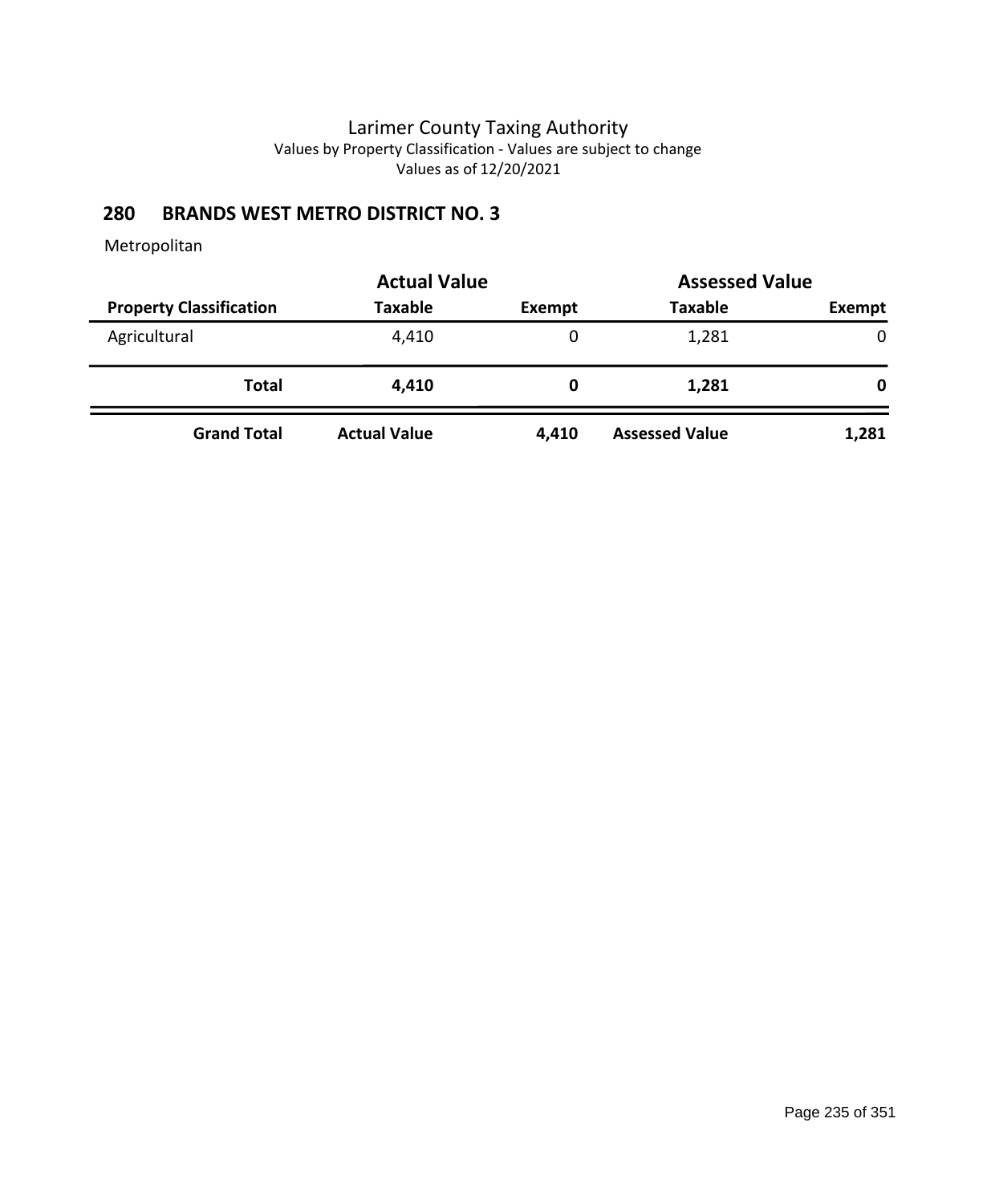## **280 BRANDS WEST METRO DISTRICT NO. 3**

|                                | <b>Actual Value</b> | <b>Assessed Value</b> |                       |        |  |
|--------------------------------|---------------------|-----------------------|-----------------------|--------|--|
| <b>Property Classification</b> | <b>Taxable</b>      | Exempt                | <b>Taxable</b>        | Exempt |  |
| Agricultural                   | 4,410               | 0                     | 1,281                 | 0      |  |
| <b>Total</b>                   | 4,410               | 0                     | 1,281                 | 0      |  |
| <b>Grand Total</b>             | <b>Actual Value</b> | 4,410                 | <b>Assessed Value</b> | 1,281  |  |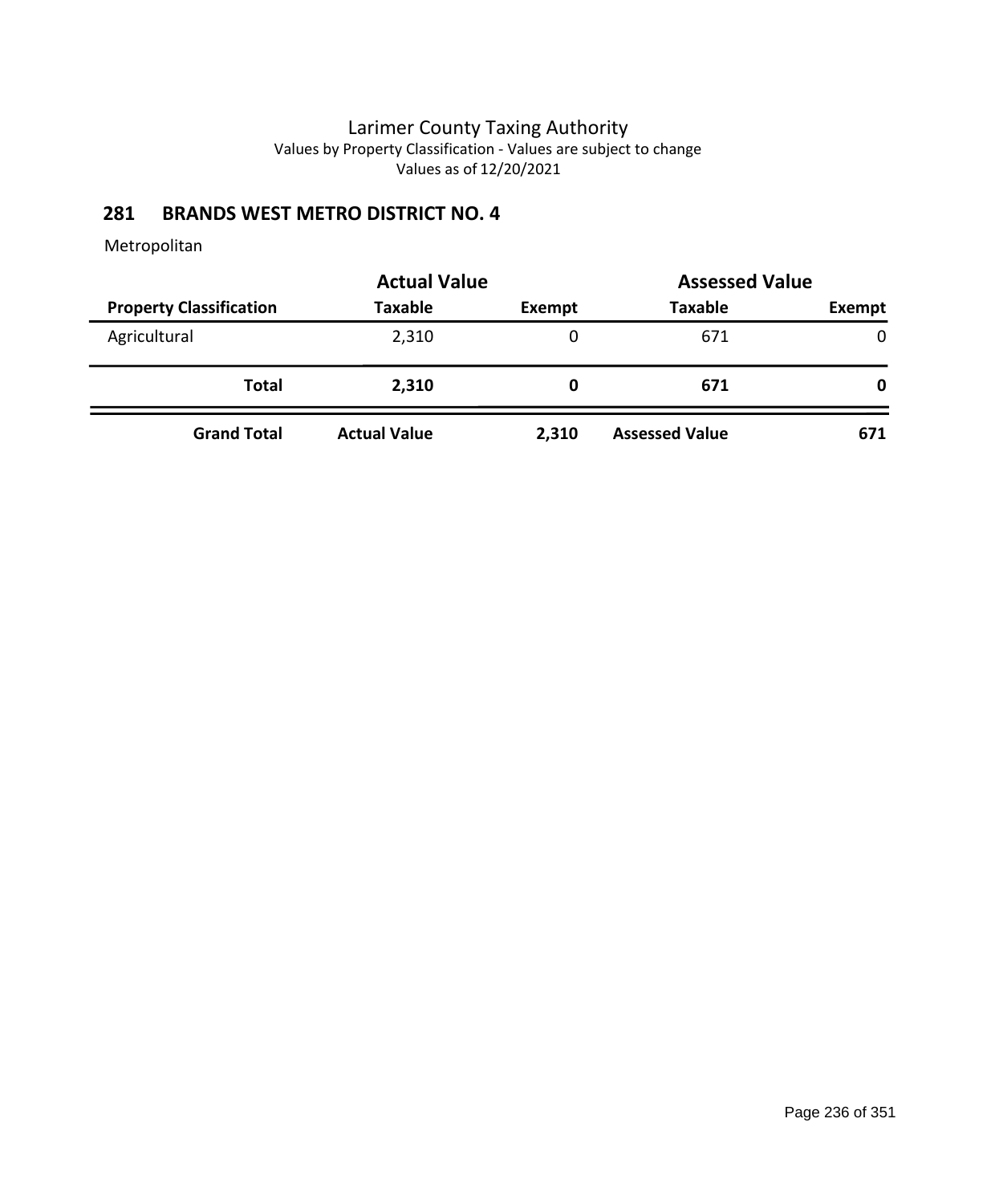## **281 BRANDS WEST METRO DISTRICT NO. 4**

|                                | <b>Actual Value</b> | <b>Assessed Value</b> |                       |               |
|--------------------------------|---------------------|-----------------------|-----------------------|---------------|
| <b>Property Classification</b> | <b>Taxable</b>      | Exempt                | <b>Taxable</b>        | <b>Exempt</b> |
| Agricultural                   | 2,310               | 0                     | 671                   | 0             |
| Total                          | 2,310               | 0                     | 671                   | 0             |
| <b>Grand Total</b>             | <b>Actual Value</b> | 2,310                 | <b>Assessed Value</b> | 671           |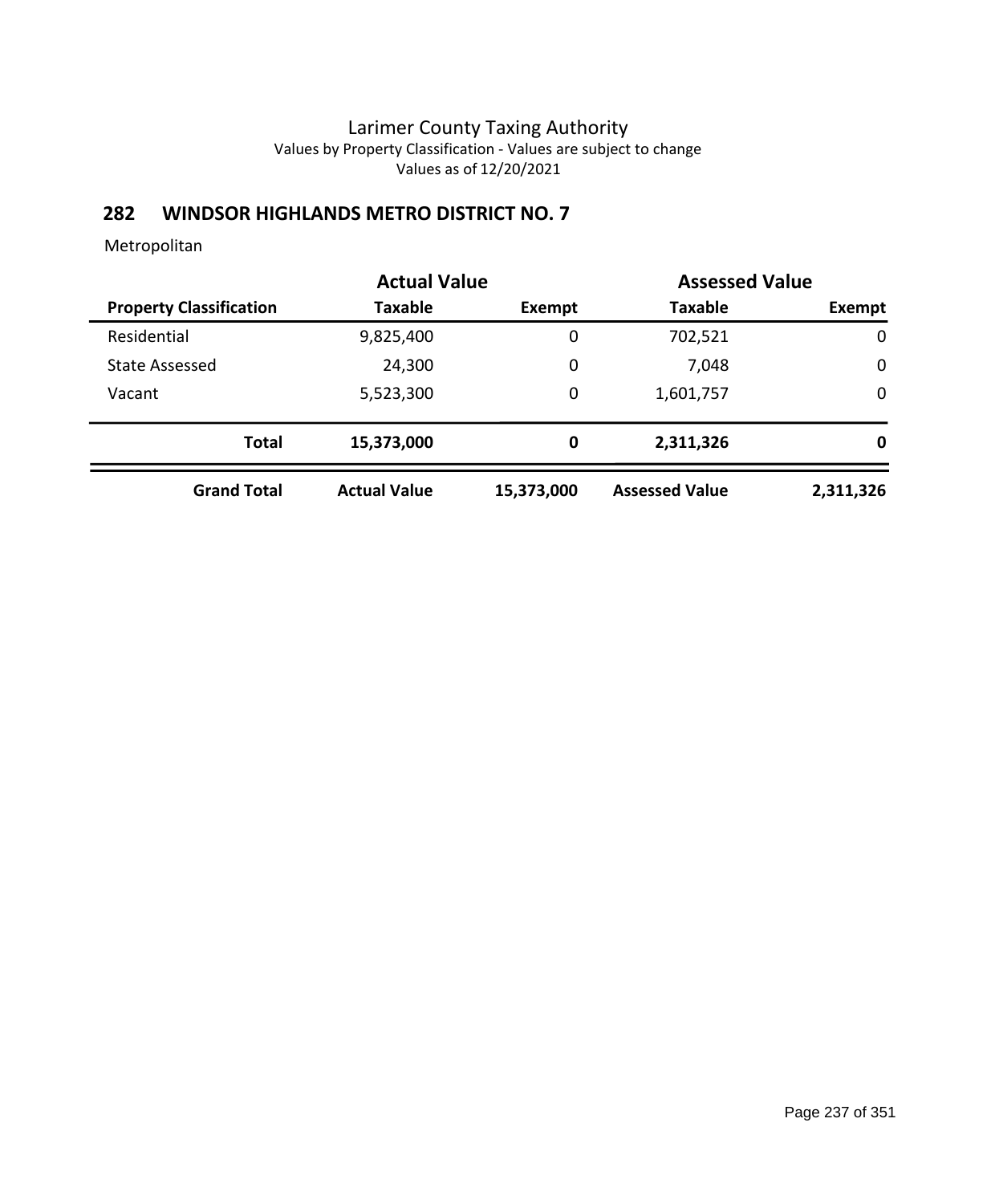# **282 WINDSOR HIGHLANDS METRO DISTRICT NO. 7**

|                                | <b>Actual Value</b> |             | <b>Assessed Value</b> |             |
|--------------------------------|---------------------|-------------|-----------------------|-------------|
| <b>Property Classification</b> | <b>Taxable</b>      | Exempt      | <b>Taxable</b>        | Exempt      |
| Residential                    | 9,825,400           | 0           | 702,521               | 0           |
| <b>State Assessed</b>          | 24,300              | 0           | 7,048                 | $\mathbf 0$ |
| Vacant                         | 5,523,300           | 0           | 1,601,757             | 0           |
| <b>Total</b>                   | 15,373,000          | $\mathbf 0$ | 2,311,326             | 0           |
| <b>Grand Total</b>             | <b>Actual Value</b> | 15,373,000  | <b>Assessed Value</b> | 2,311,326   |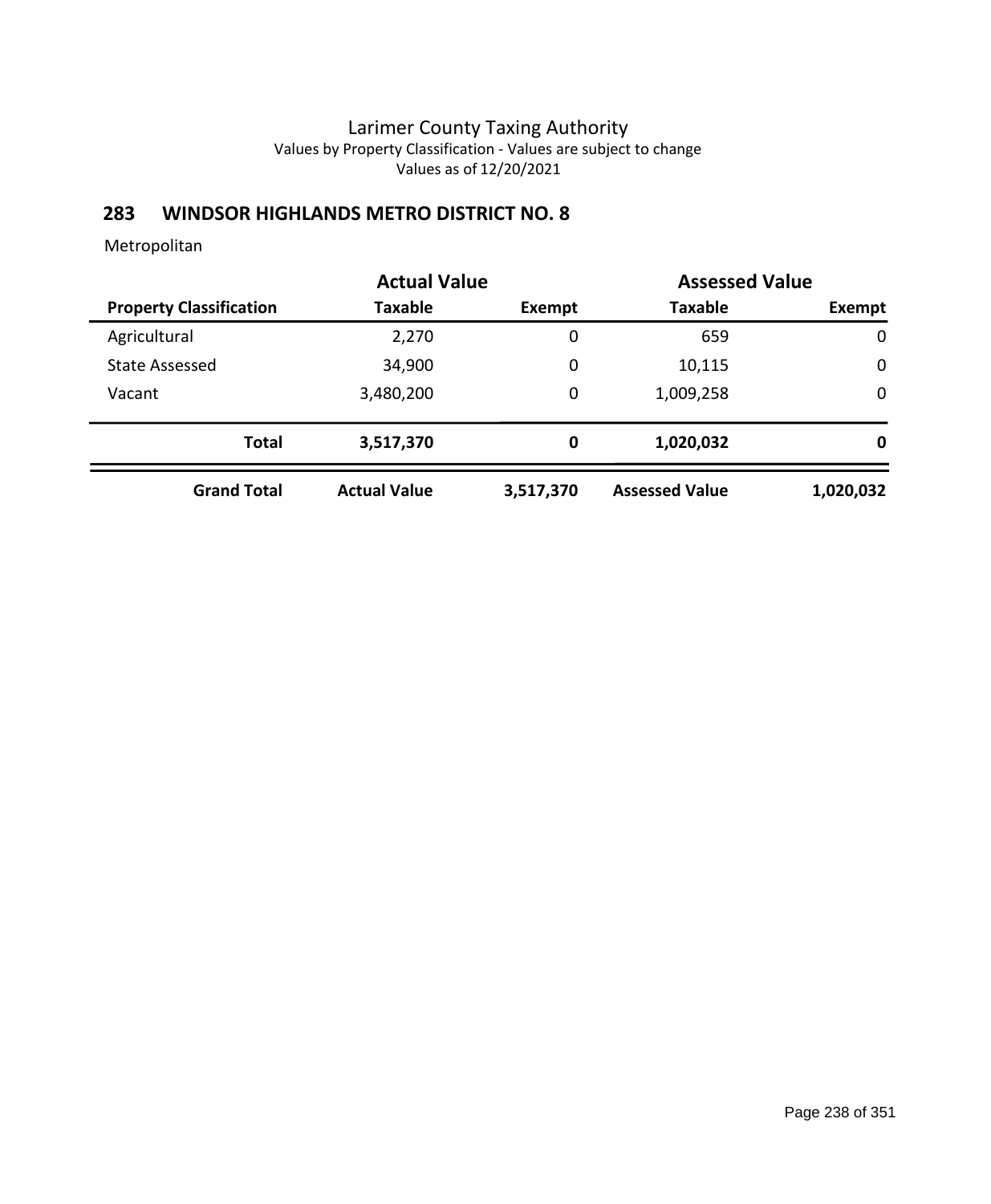## **283 WINDSOR HIGHLANDS METRO DISTRICT NO. 8**

|                                |                     | <b>Actual Value</b> |                       | <b>Assessed Value</b> |
|--------------------------------|---------------------|---------------------|-----------------------|-----------------------|
| <b>Property Classification</b> | Taxable             | Exempt              | <b>Taxable</b>        | Exempt                |
| Agricultural                   | 2,270               | $\mathbf 0$         | 659                   | $\mathbf 0$           |
| <b>State Assessed</b>          | 34,900              | 0                   | 10,115                | $\mathbf 0$           |
| Vacant                         | 3,480,200           | 0                   | 1,009,258             | $\mathbf 0$           |
| <b>Total</b>                   | 3,517,370           | $\mathbf 0$         | 1,020,032             | 0                     |
| <b>Grand Total</b>             | <b>Actual Value</b> | 3,517,370           | <b>Assessed Value</b> | 1,020,032             |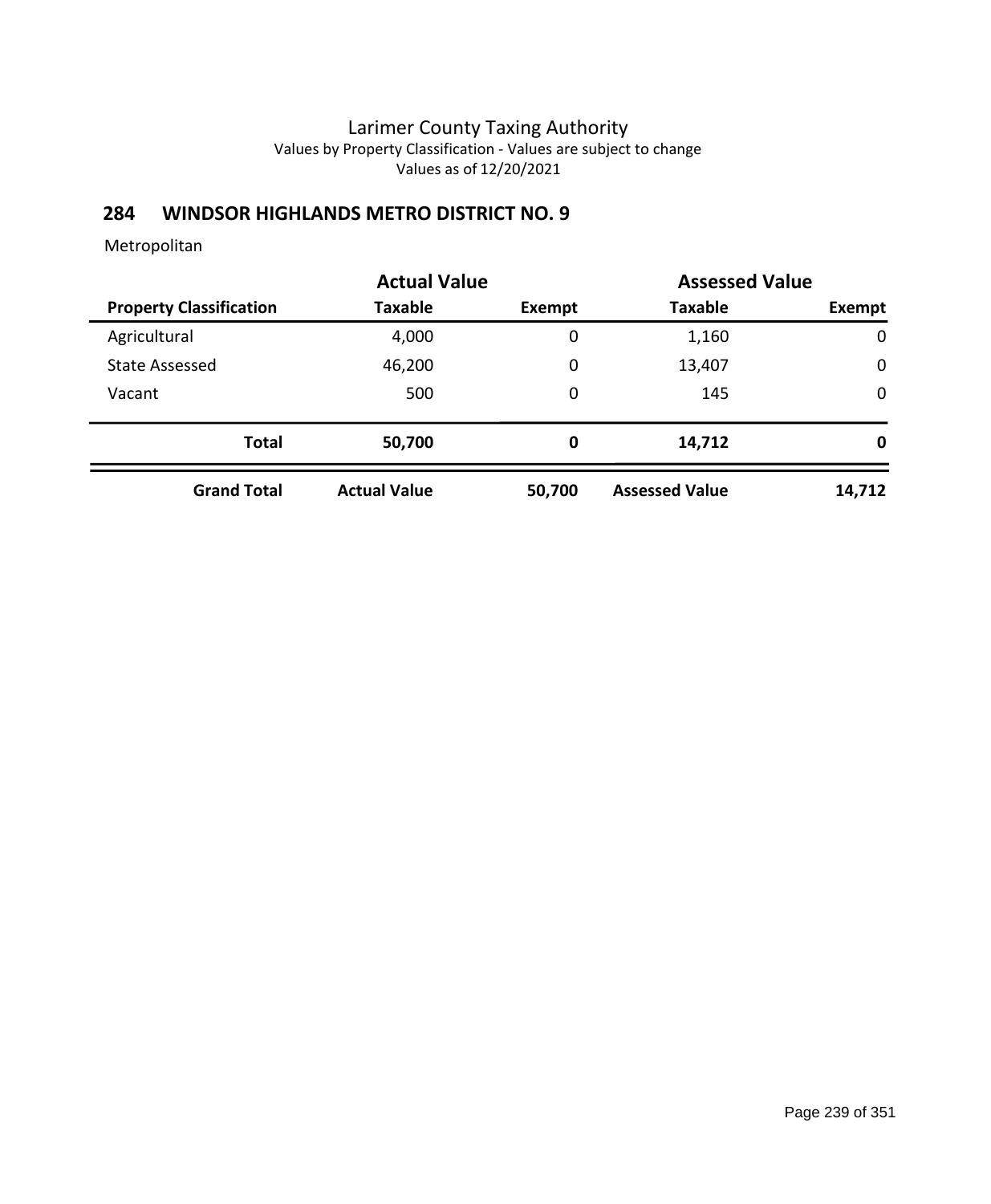## **284 WINDSOR HIGHLANDS METRO DISTRICT NO. 9**

|                                | <b>Actual Value</b> | <b>Assessed Value</b> |                       |             |
|--------------------------------|---------------------|-----------------------|-----------------------|-------------|
| <b>Property Classification</b> | Taxable             | Exempt                | <b>Taxable</b>        | Exempt      |
| Agricultural                   | 4,000               | 0                     | 1,160                 | $\mathbf 0$ |
| <b>State Assessed</b>          | 46,200              | 0                     | 13,407                | $\mathbf 0$ |
| Vacant                         | 500                 | 0                     | 145                   | $\mathbf 0$ |
| <b>Total</b>                   | 50,700              | 0                     | 14,712                | 0           |
| <b>Grand Total</b>             | <b>Actual Value</b> | 50,700                | <b>Assessed Value</b> | 14,712      |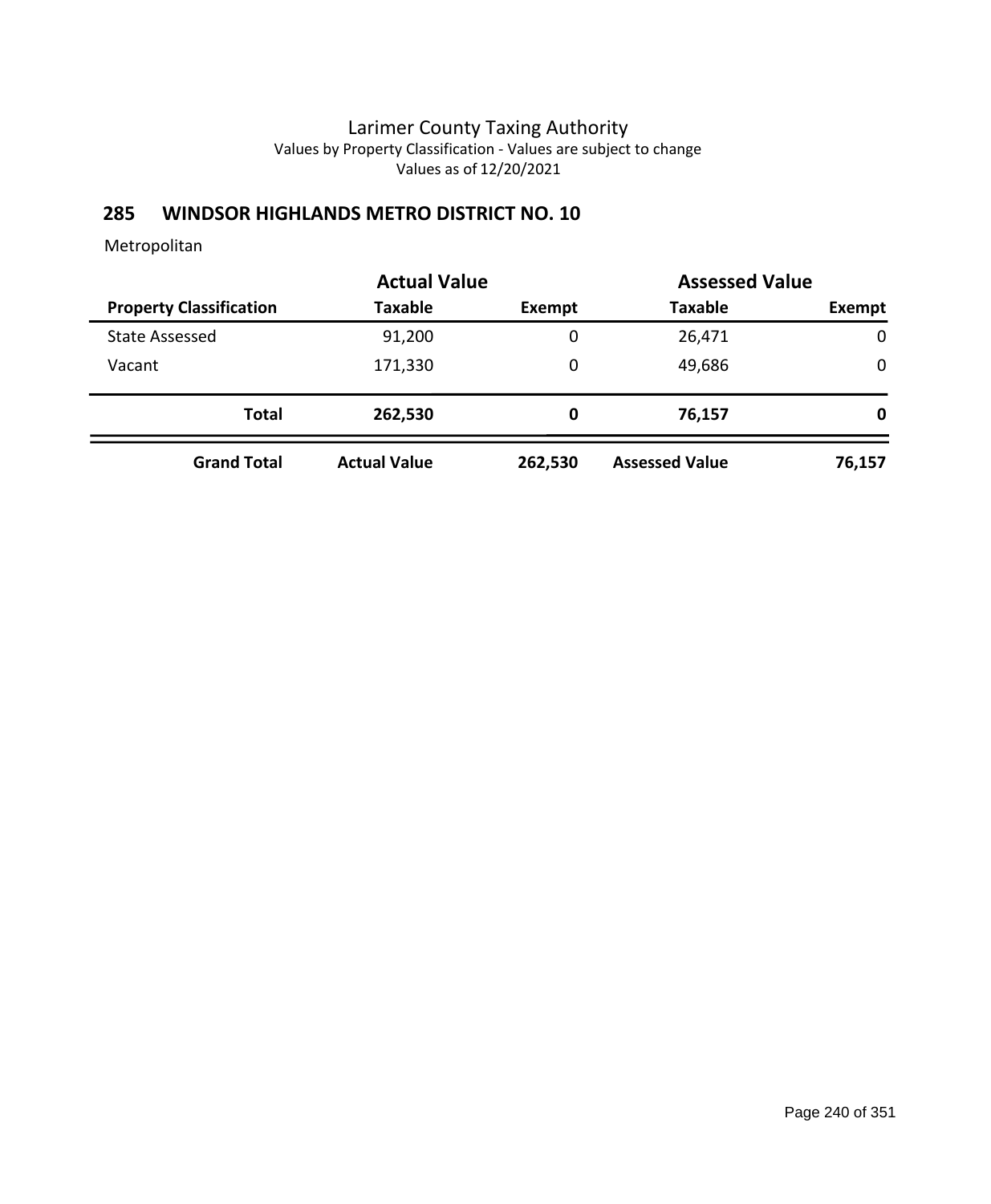# **285 WINDSOR HIGHLANDS METRO DISTRICT NO. 10**

|                                | <b>Actual Value</b> |         | <b>Assessed Value</b> |             |
|--------------------------------|---------------------|---------|-----------------------|-------------|
| <b>Property Classification</b> | <b>Taxable</b>      | Exempt  | <b>Taxable</b>        | Exempt      |
| <b>State Assessed</b>          | 91,200              | 0       | 26,471                | $\mathbf 0$ |
| Vacant                         | 171,330             | 0       | 49,686                | 0           |
| <b>Total</b>                   | 262,530             | 0       | 76,157                | 0           |
| <b>Grand Total</b>             | <b>Actual Value</b> | 262,530 | <b>Assessed Value</b> | 76,157      |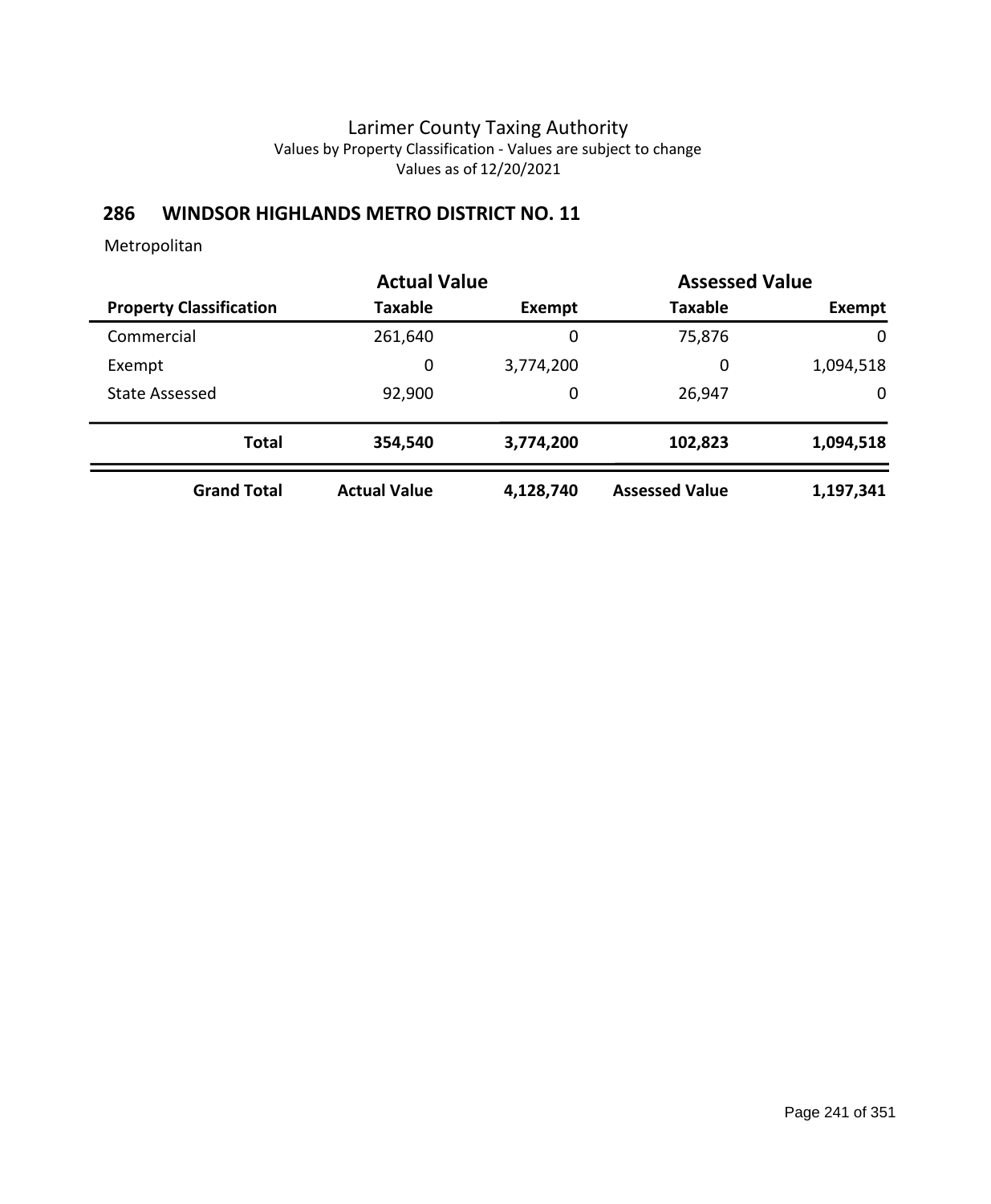### **286 WINDSOR HIGHLANDS METRO DISTRICT NO. 11**

|                                | <b>Actual Value</b> |           |                       | <b>Assessed Value</b> |  |
|--------------------------------|---------------------|-----------|-----------------------|-----------------------|--|
| <b>Property Classification</b> | <b>Taxable</b>      | Exempt    | <b>Taxable</b>        | <b>Exempt</b>         |  |
| Commercial                     | 261,640             | 0         | 75,876                | 0                     |  |
| Exempt                         | 0                   | 3,774,200 | 0                     | 1,094,518             |  |
| <b>State Assessed</b>          | 92,900              | 0         | 26,947                | 0                     |  |
| <b>Total</b>                   | 354,540             | 3,774,200 | 102,823               | 1,094,518             |  |
| <b>Grand Total</b>             | <b>Actual Value</b> | 4,128,740 | <b>Assessed Value</b> | 1,197,341             |  |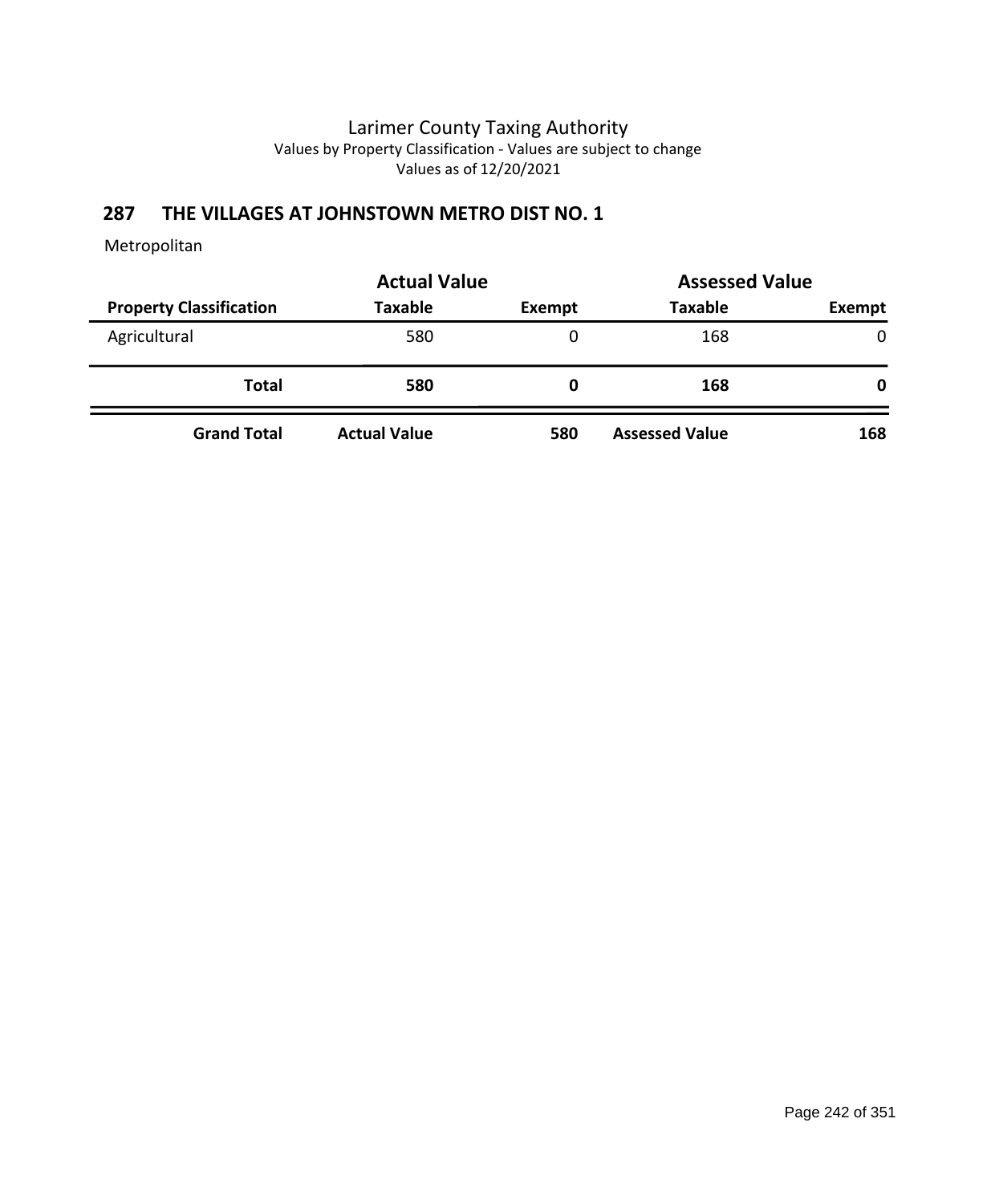# **287 THE VILLAGES AT JOHNSTOWN METRO DIST NO. 1**

|                                | <b>Actual Value</b> | <b>Assessed Value</b> |                       |        |  |
|--------------------------------|---------------------|-----------------------|-----------------------|--------|--|
| <b>Property Classification</b> | <b>Taxable</b>      | Exempt                | <b>Taxable</b>        | Exempt |  |
| Agricultural                   | 580                 | 0                     | 168                   | 0      |  |
| <b>Total</b>                   | 580                 | 0                     | 168                   | 0      |  |
| <b>Grand Total</b>             | <b>Actual Value</b> | 580                   | <b>Assessed Value</b> | 168    |  |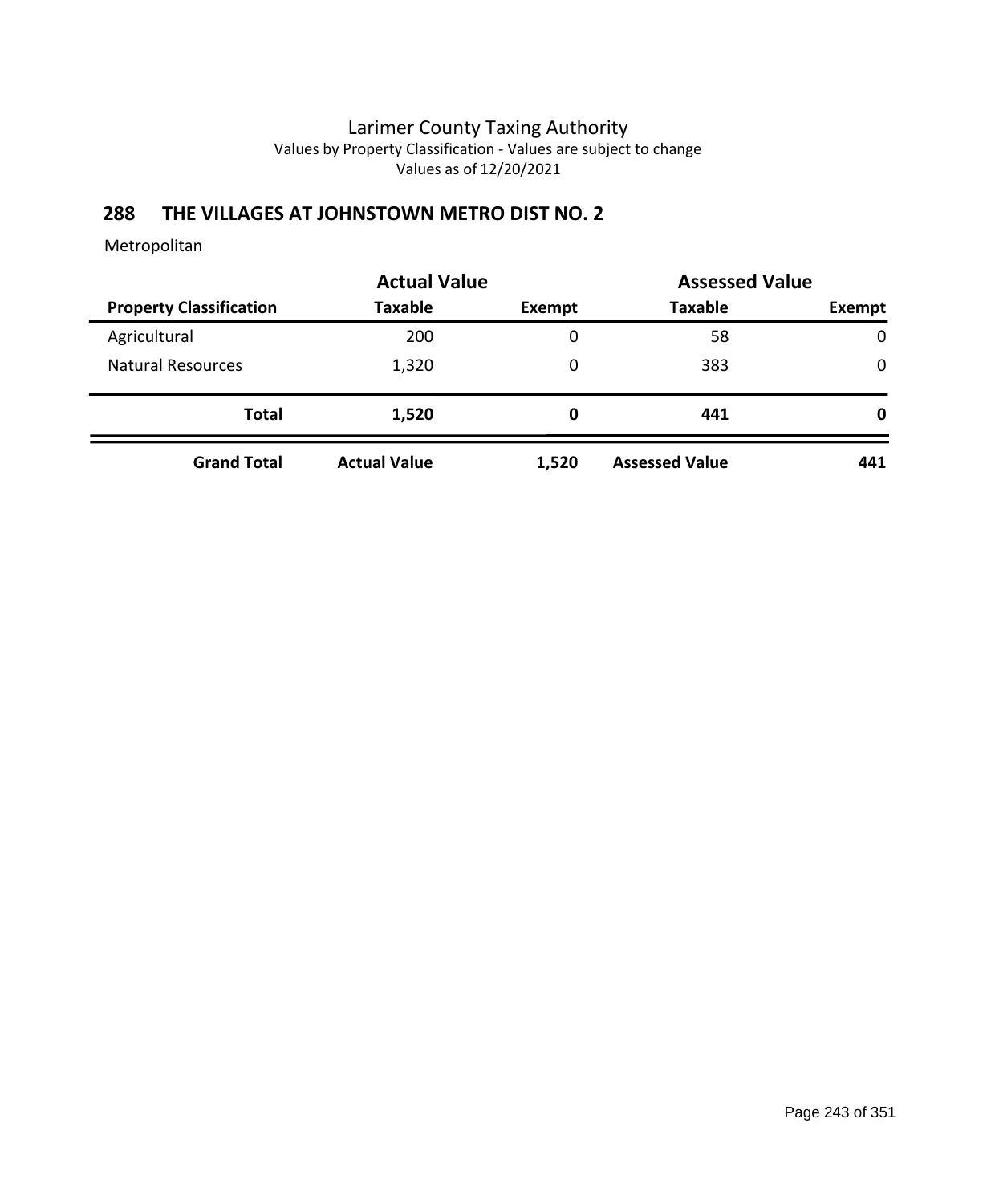# **288 THE VILLAGES AT JOHNSTOWN METRO DIST NO. 2**

|                                | <b>Actual Value</b> |        | <b>Assessed Value</b> |              |
|--------------------------------|---------------------|--------|-----------------------|--------------|
| <b>Property Classification</b> | <b>Taxable</b>      | Exempt | <b>Taxable</b>        | Exempt       |
| Agricultural                   | 200                 | 0      | 58                    | $\mathbf{0}$ |
| <b>Natural Resources</b>       | 1,320               | 0      | 383                   | $\mathbf{0}$ |
| <b>Total</b>                   | 1,520               | 0      | 441                   | 0            |
| <b>Grand Total</b>             | <b>Actual Value</b> | 1,520  | <b>Assessed Value</b> | 441          |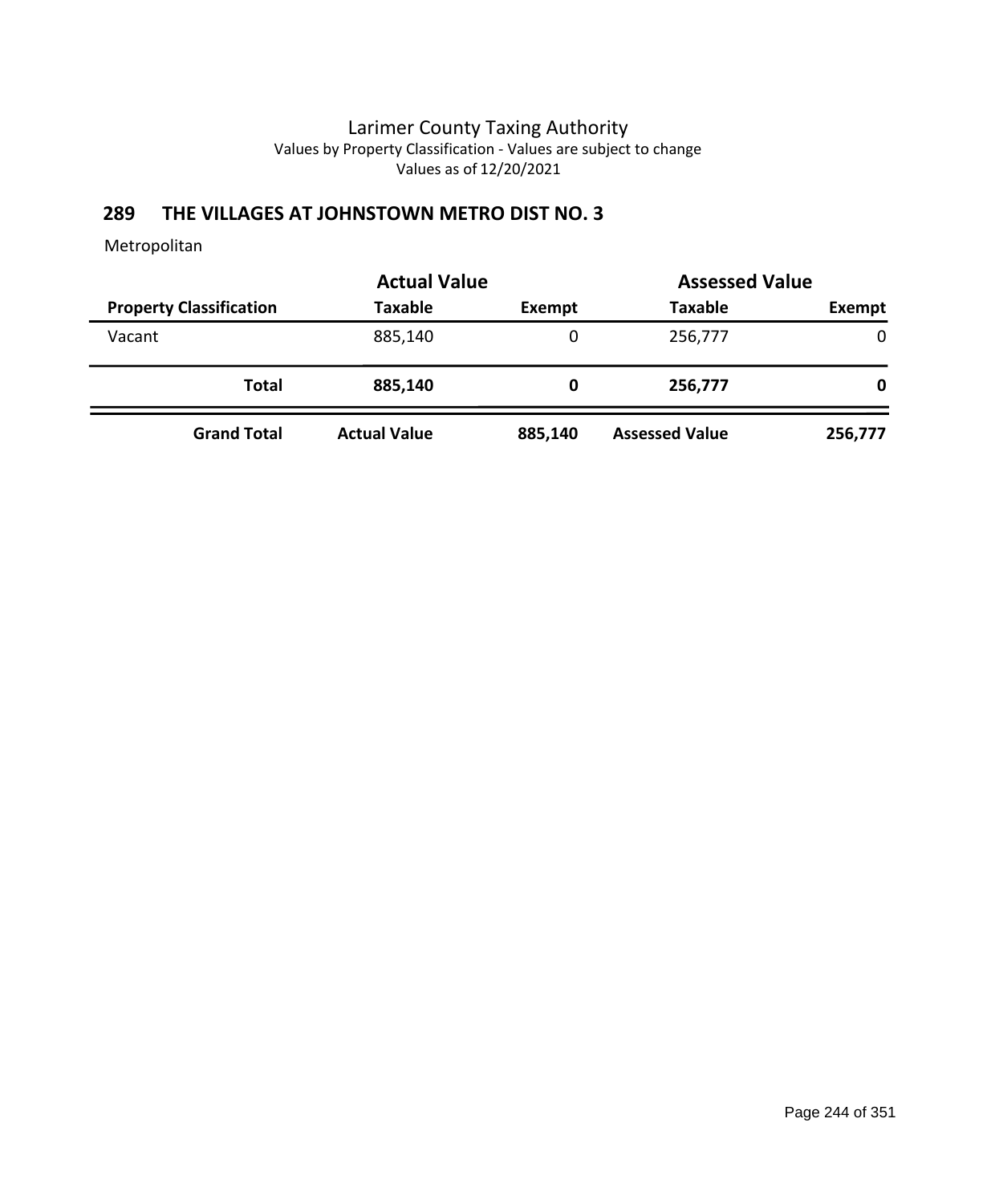# **289 THE VILLAGES AT JOHNSTOWN METRO DIST NO. 3**

|                                | <b>Actual Value</b> |         | <b>Assessed Value</b> |         |
|--------------------------------|---------------------|---------|-----------------------|---------|
| <b>Property Classification</b> | <b>Taxable</b>      | Exempt  | <b>Taxable</b>        | Exempt  |
| Vacant                         | 885,140             | 0       | 256,777               | 0       |
| <b>Total</b>                   | 885,140             | 0       | 256,777               | 0       |
| <b>Grand Total</b>             | <b>Actual Value</b> | 885,140 | <b>Assessed Value</b> | 256,777 |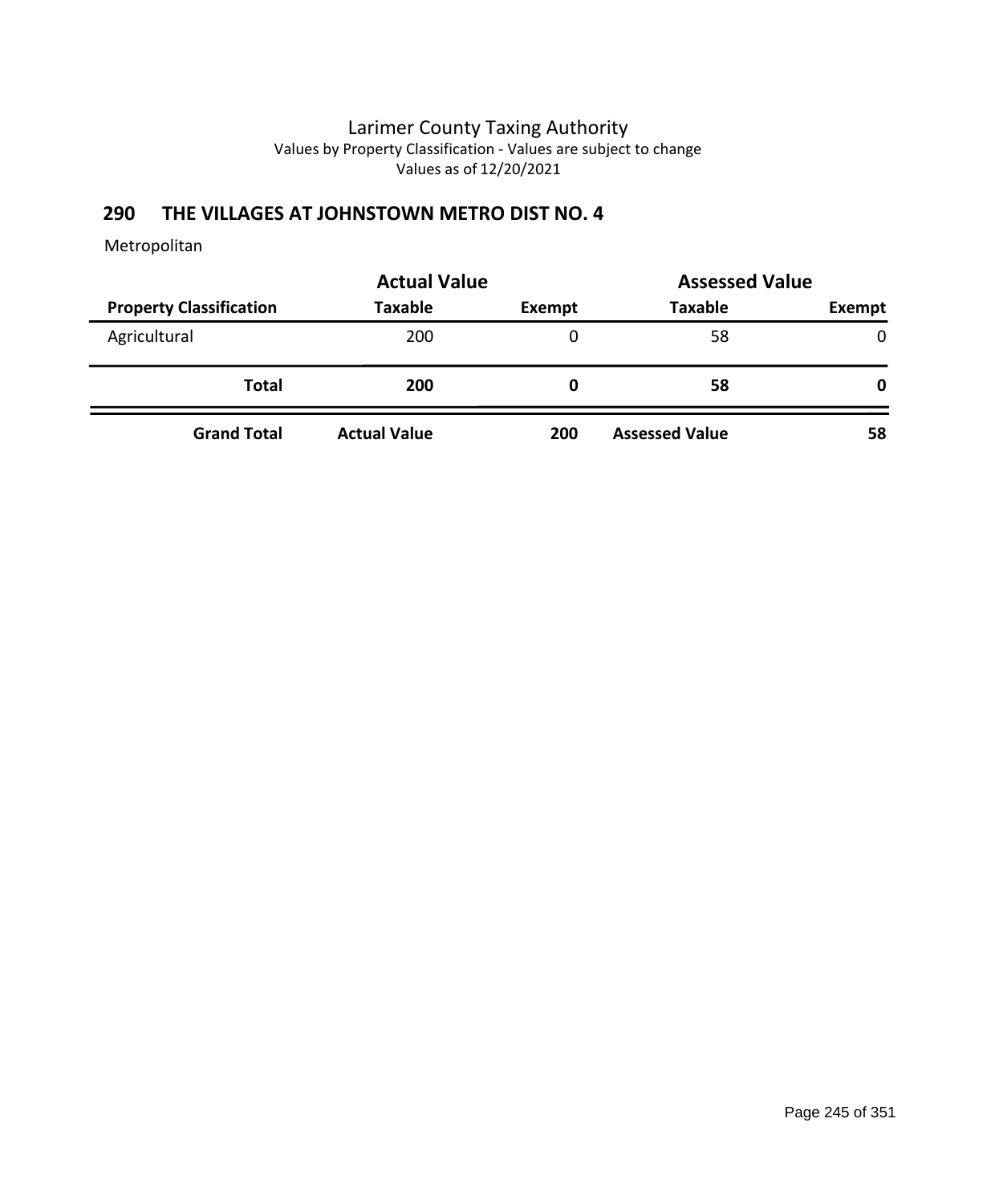# **290 THE VILLAGES AT JOHNSTOWN METRO DIST NO. 4**

|                                | <b>Actual Value</b> | <b>Assessed Value</b> |                       |              |
|--------------------------------|---------------------|-----------------------|-----------------------|--------------|
| <b>Property Classification</b> | Taxable             | Exempt                | <b>Taxable</b>        | Exempt       |
| Agricultural                   | 200                 | 0                     | 58                    | $\mathbf{0}$ |
| <b>Total</b>                   | 200                 | O                     | 58                    | 0            |
| <b>Grand Total</b>             | <b>Actual Value</b> | 200                   | <b>Assessed Value</b> | 58           |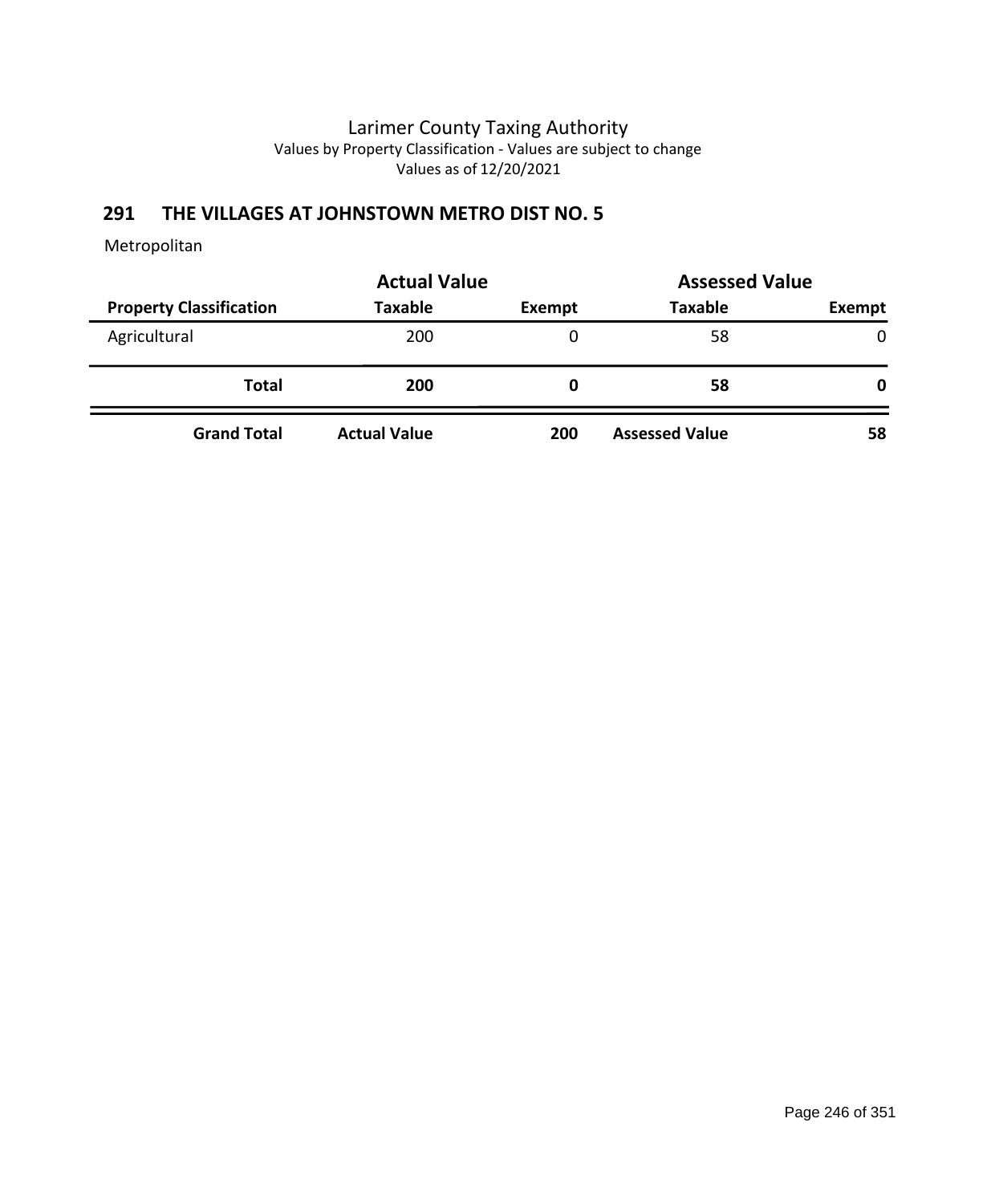# **291 THE VILLAGES AT JOHNSTOWN METRO DIST NO. 5**

|                                | <b>Actual Value</b> |        | <b>Assessed Value</b> |              |
|--------------------------------|---------------------|--------|-----------------------|--------------|
| <b>Property Classification</b> | <b>Taxable</b>      | Exempt | <b>Taxable</b>        | Exempt       |
| Agricultural                   | 200                 | 0      | 58                    | $\mathbf{0}$ |
| <b>Total</b>                   | 200                 | O      | 58                    | 0            |
| <b>Grand Total</b>             | <b>Actual Value</b> | 200    | <b>Assessed Value</b> | 58           |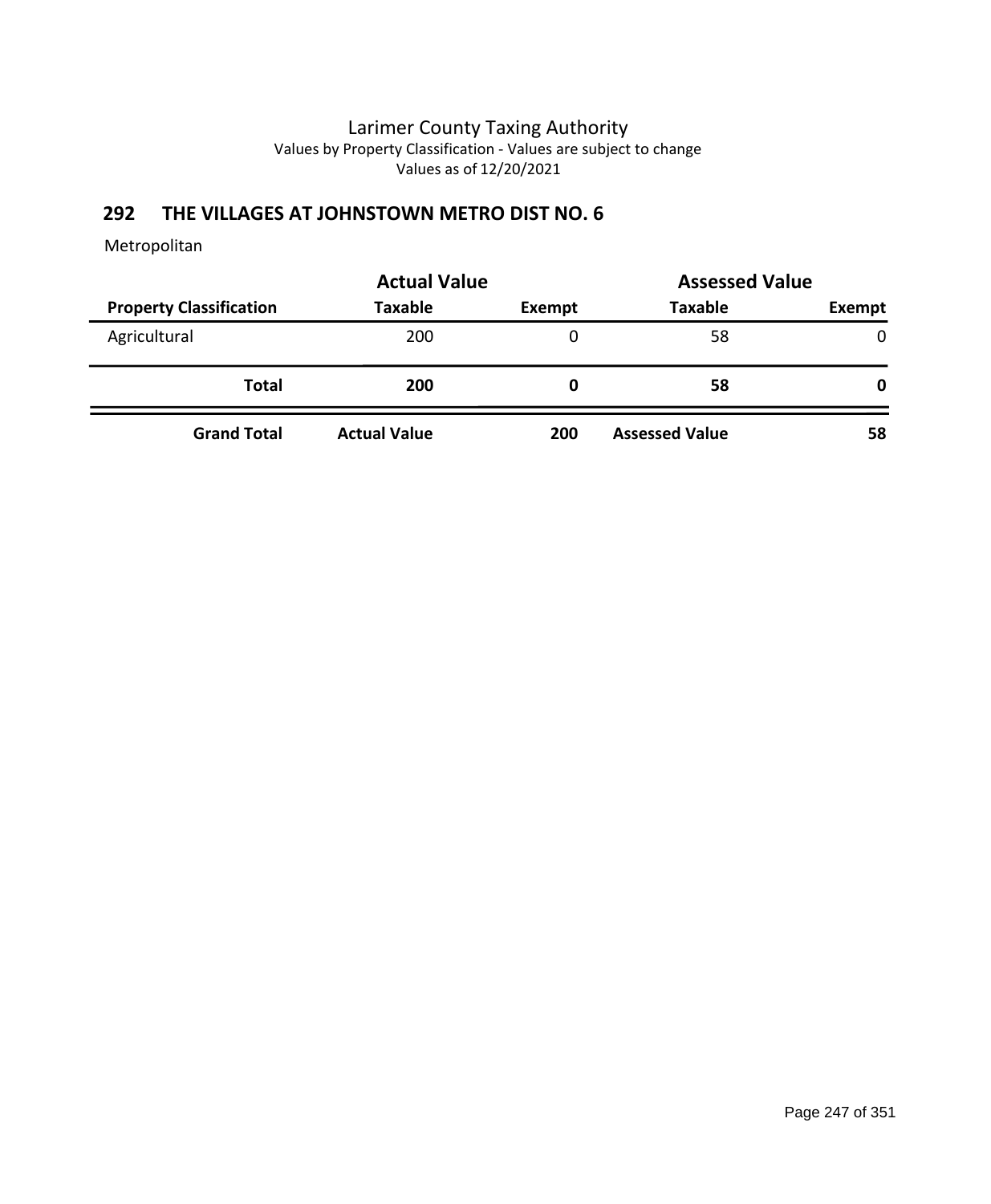# **292 THE VILLAGES AT JOHNSTOWN METRO DIST NO. 6**

|                                | <b>Actual Value</b> | <b>Assessed Value</b> |                       |              |
|--------------------------------|---------------------|-----------------------|-----------------------|--------------|
| <b>Property Classification</b> | Taxable             | Exempt                | <b>Taxable</b>        | Exempt       |
| Agricultural                   | 200                 | 0                     | 58                    | $\mathbf{0}$ |
| <b>Total</b>                   | 200                 | O                     | 58                    | 0            |
| <b>Grand Total</b>             | <b>Actual Value</b> | 200                   | <b>Assessed Value</b> | 58           |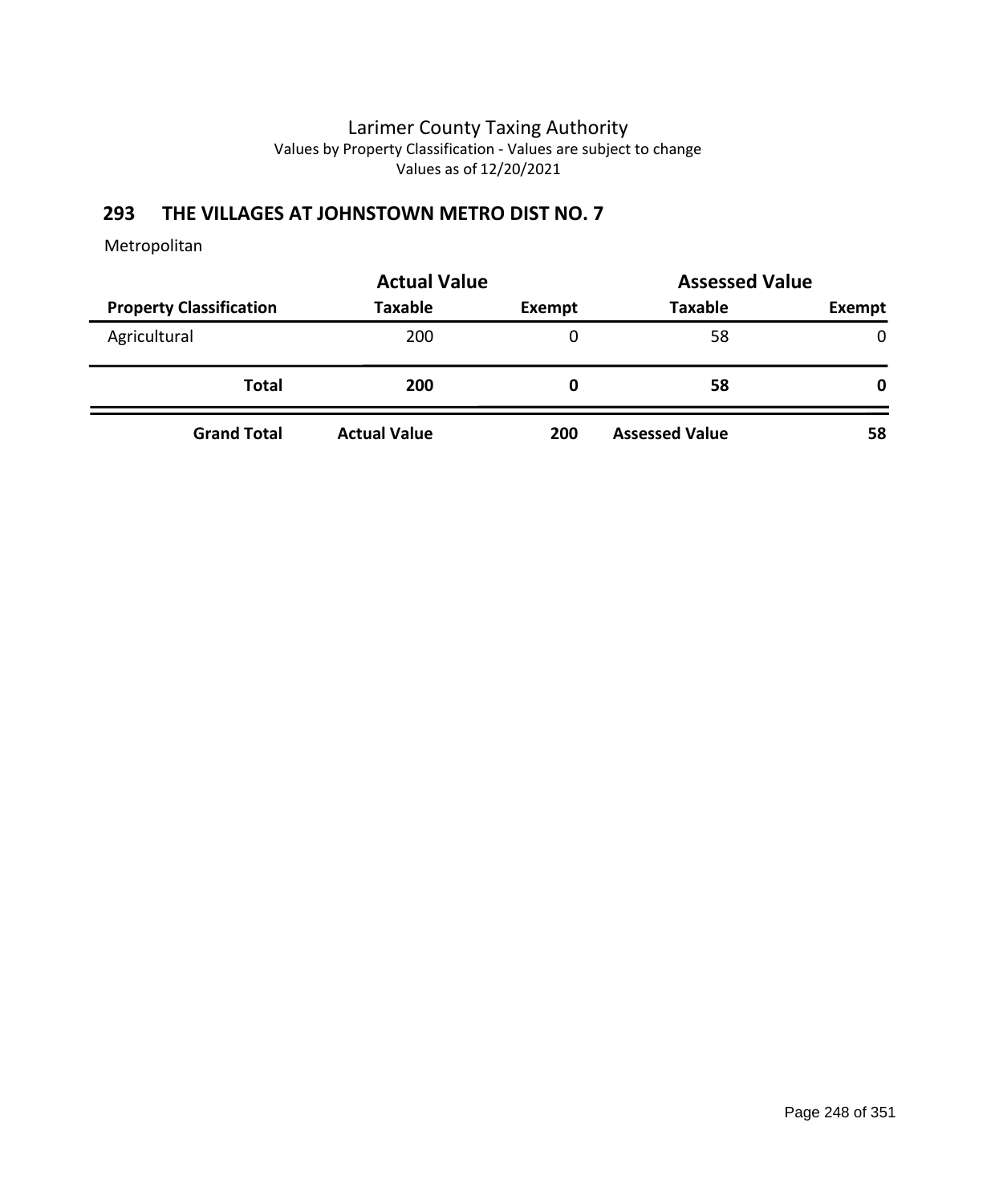# **293 THE VILLAGES AT JOHNSTOWN METRO DIST NO. 7**

|                                | <b>Actual Value</b> |        | <b>Assessed Value</b> |              |
|--------------------------------|---------------------|--------|-----------------------|--------------|
| <b>Property Classification</b> | <b>Taxable</b>      | Exempt | <b>Taxable</b>        | Exempt       |
| Agricultural                   | 200                 | 0      | 58                    | $\mathbf{0}$ |
| <b>Total</b>                   | 200                 | 0      | 58                    | 0            |
| <b>Grand Total</b>             | <b>Actual Value</b> | 200    | <b>Assessed Value</b> | 58           |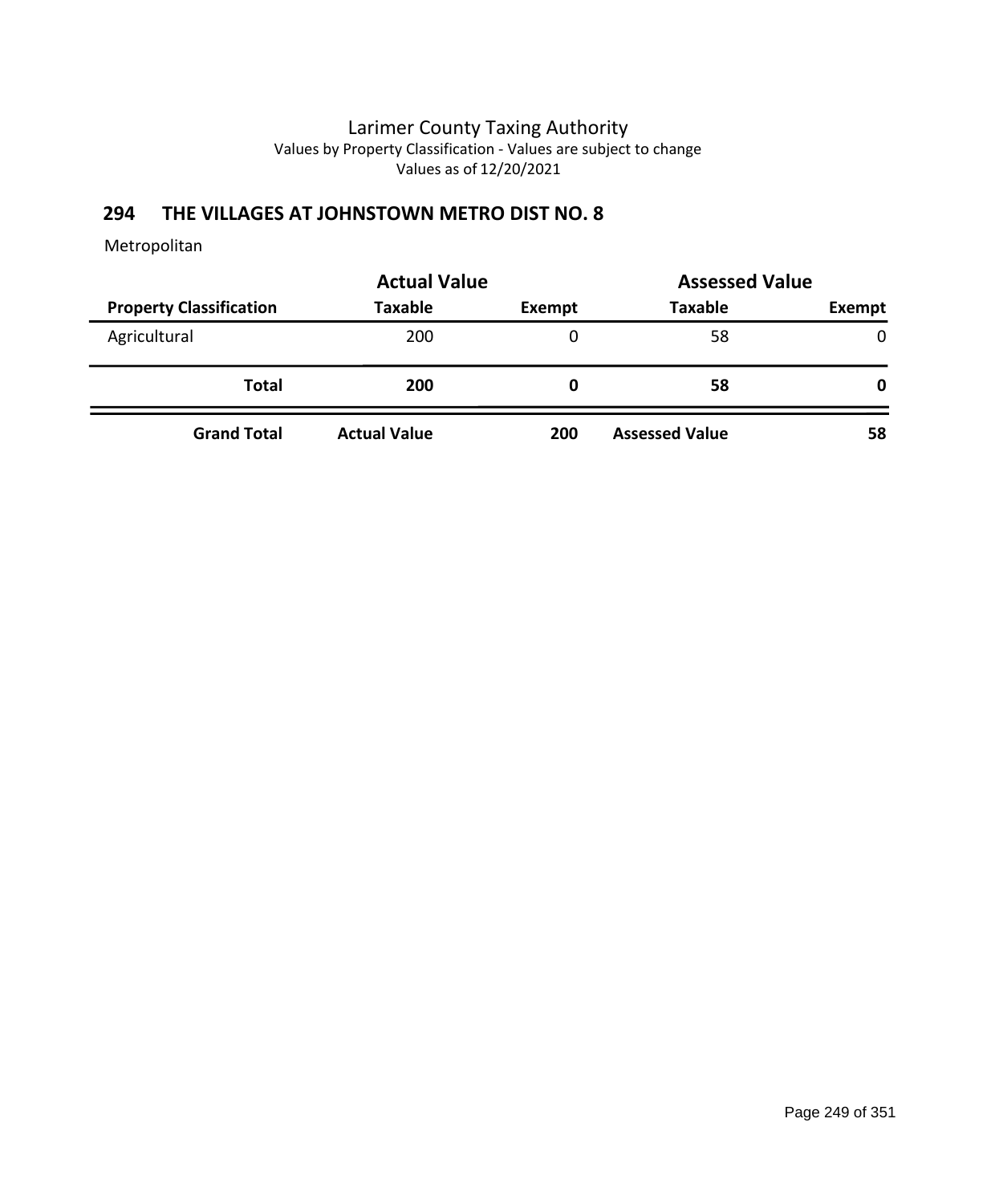# **294 THE VILLAGES AT JOHNSTOWN METRO DIST NO. 8**

|                                | <b>Actual Value</b> | <b>Assessed Value</b> |                       |              |
|--------------------------------|---------------------|-----------------------|-----------------------|--------------|
| <b>Property Classification</b> | Taxable             | Exempt                | <b>Taxable</b>        | Exempt       |
| Agricultural                   | 200                 | 0                     | 58                    | $\mathbf{0}$ |
| <b>Total</b>                   | 200                 | O                     | 58                    | 0            |
| <b>Grand Total</b>             | <b>Actual Value</b> | 200                   | <b>Assessed Value</b> | 58           |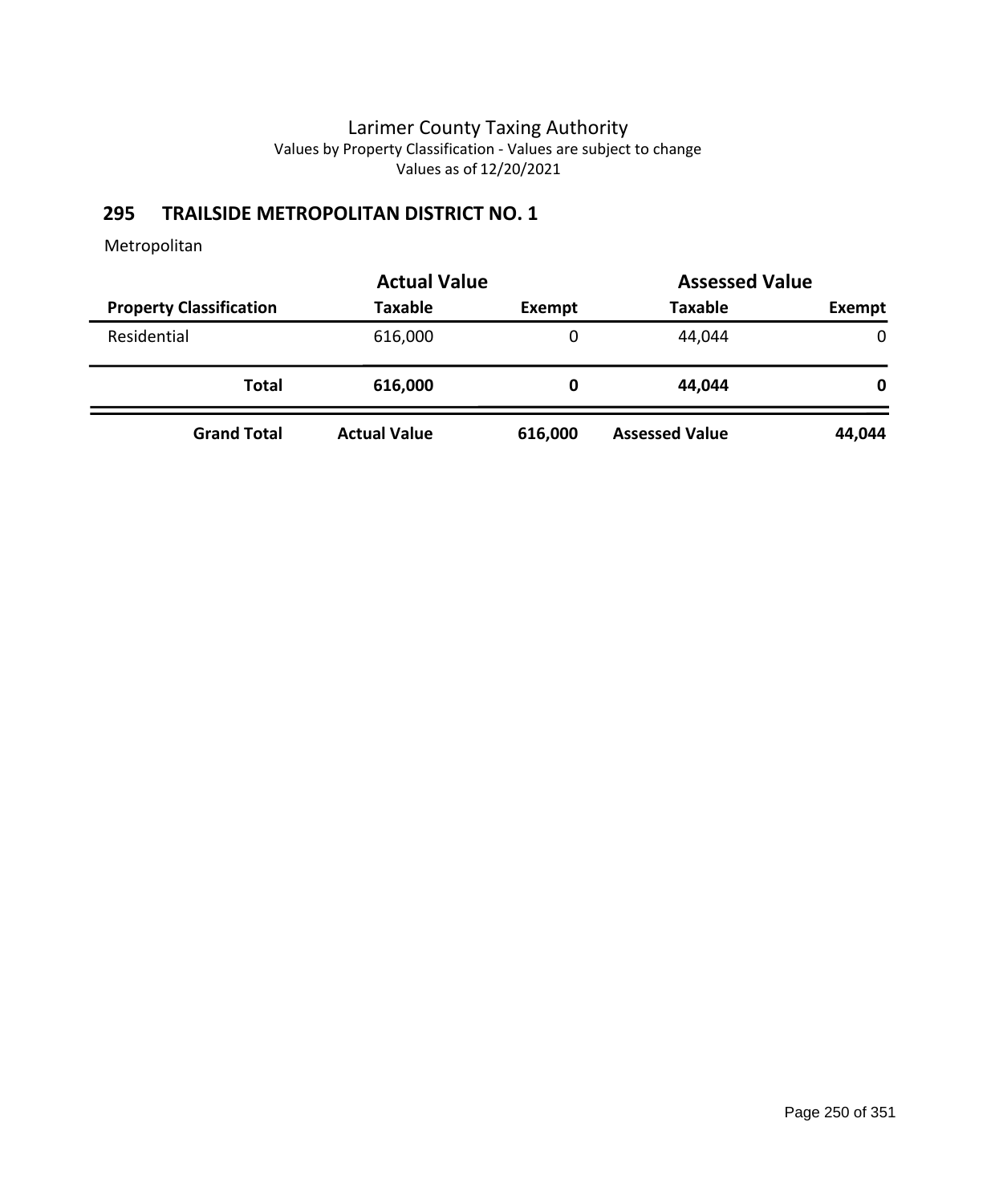# **295 TRAILSIDE METROPOLITAN DISTRICT NO. 1**

|                                | <b>Actual Value</b> |               | <b>Assessed Value</b> |              |
|--------------------------------|---------------------|---------------|-----------------------|--------------|
| <b>Property Classification</b> | Taxable             | <b>Exempt</b> | <b>Taxable</b>        | Exempt       |
| Residential                    | 616,000             | 0             | 44,044                | $\mathbf{0}$ |
| Total                          | 616,000             | 0             | 44,044                | 0            |
| <b>Grand Total</b>             | <b>Actual Value</b> | 616,000       | <b>Assessed Value</b> | 44,044       |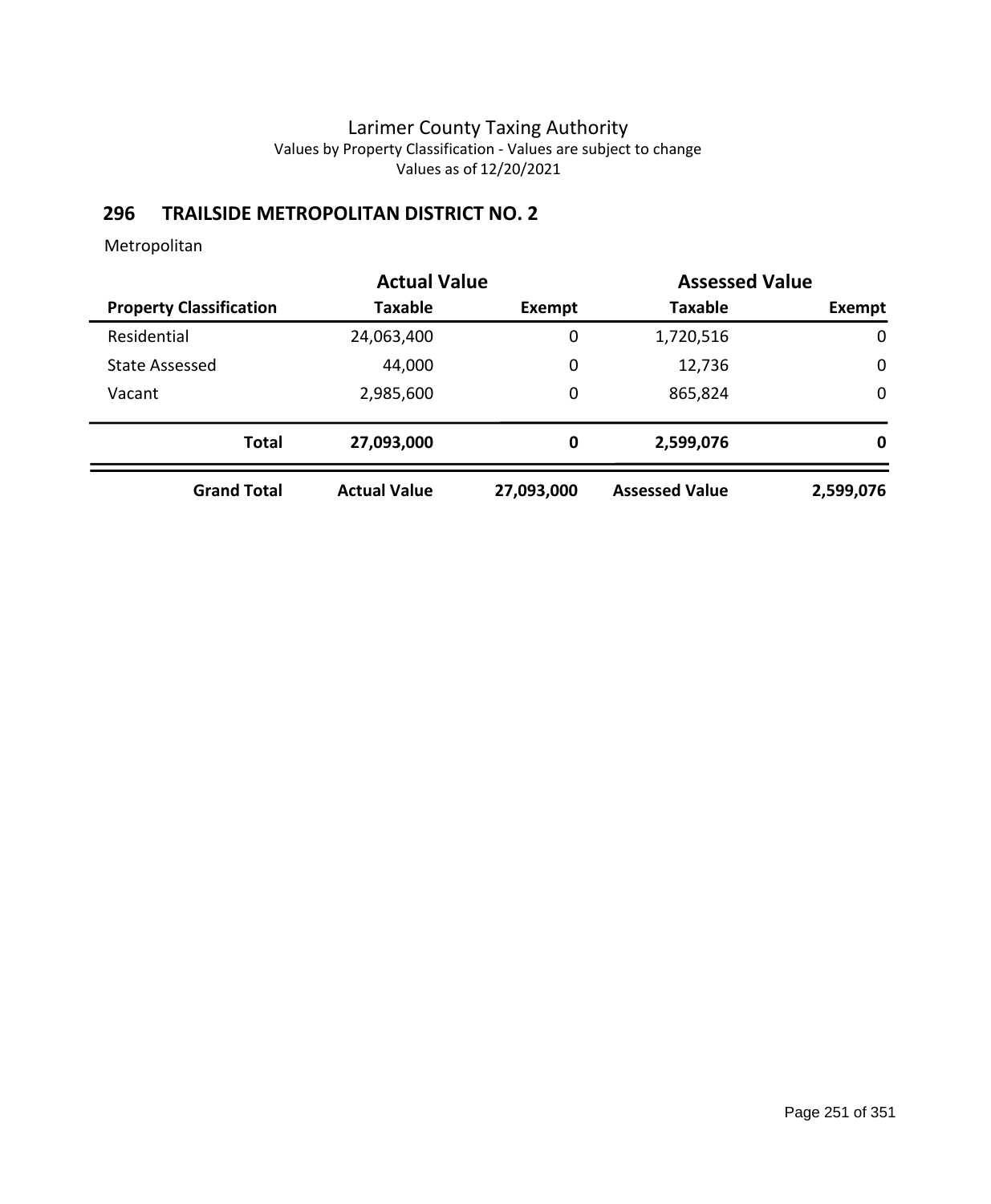# **296 TRAILSIDE METROPOLITAN DISTRICT NO. 2**

|                                | <b>Actual Value</b> |             | <b>Assessed Value</b> |             |
|--------------------------------|---------------------|-------------|-----------------------|-------------|
| <b>Property Classification</b> | <b>Taxable</b>      | Exempt      | <b>Taxable</b>        | Exempt      |
| Residential                    | 24,063,400          | $\mathbf 0$ | 1,720,516             | $\mathbf 0$ |
| <b>State Assessed</b>          | 44,000              | 0           | 12,736                | $\mathbf 0$ |
| Vacant                         | 2,985,600           | $\mathbf 0$ | 865,824               | $\mathbf 0$ |
| <b>Total</b>                   | 27,093,000          | 0           | 2,599,076             | 0           |
| <b>Grand Total</b>             | <b>Actual Value</b> | 27,093,000  | <b>Assessed Value</b> | 2,599,076   |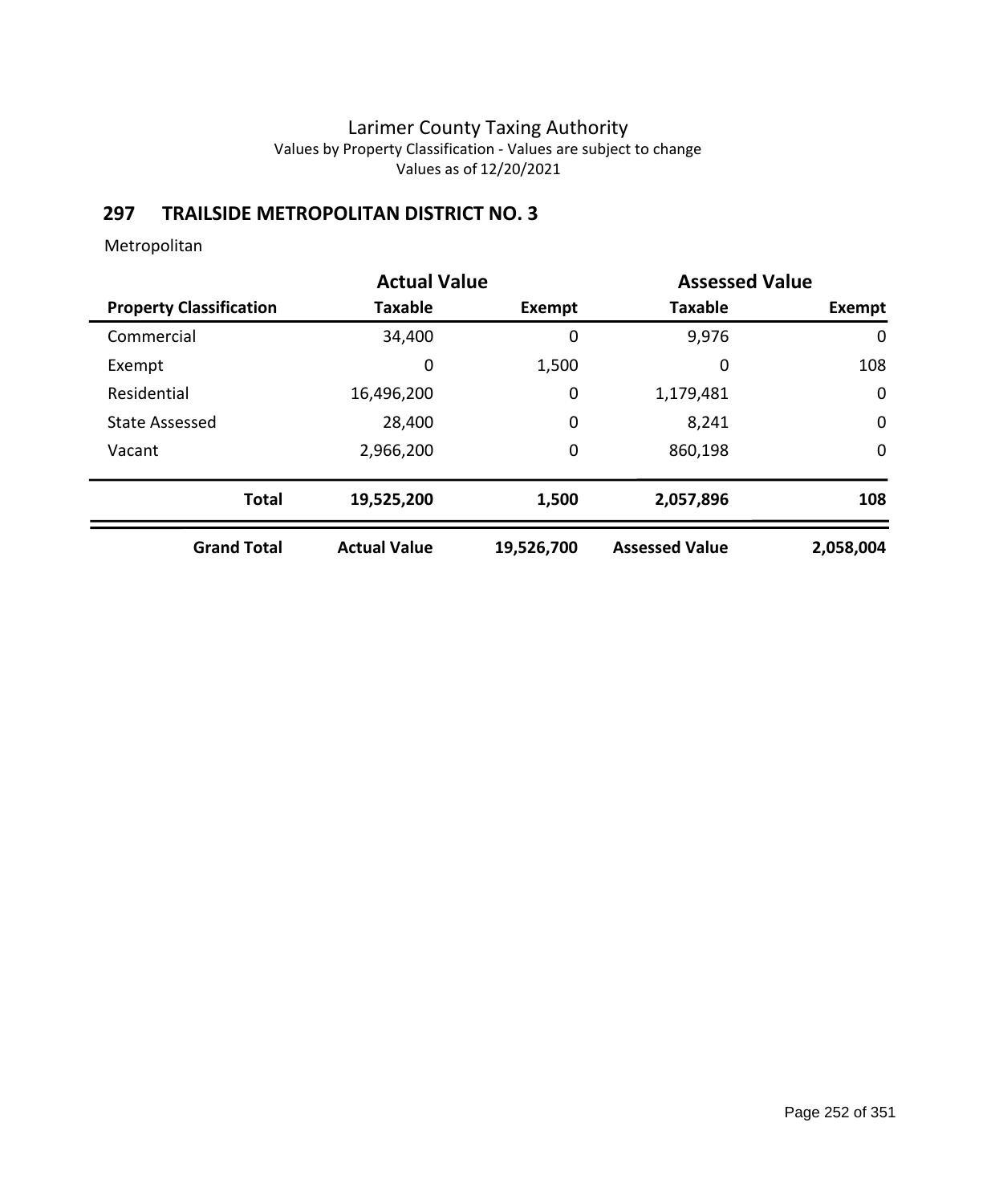# **297 TRAILSIDE METROPOLITAN DISTRICT NO. 3**

|                                | <b>Actual Value</b> |            | <b>Assessed Value</b> |               |
|--------------------------------|---------------------|------------|-----------------------|---------------|
| <b>Property Classification</b> | <b>Taxable</b>      | Exempt     | <b>Taxable</b>        | <b>Exempt</b> |
| Commercial                     | 34,400              | 0          | 9,976                 | 0             |
| Exempt                         | 0                   | 1,500      | 0                     | 108           |
| Residential                    | 16,496,200          | 0          | 1,179,481             | 0             |
| <b>State Assessed</b>          | 28,400              | 0          | 8,241                 | $\mathbf 0$   |
| Vacant                         | 2,966,200           | 0          | 860,198               | $\mathbf 0$   |
| <b>Total</b>                   | 19,525,200          | 1,500      | 2,057,896             | 108           |
| <b>Grand Total</b>             | <b>Actual Value</b> | 19,526,700 | <b>Assessed Value</b> | 2,058,004     |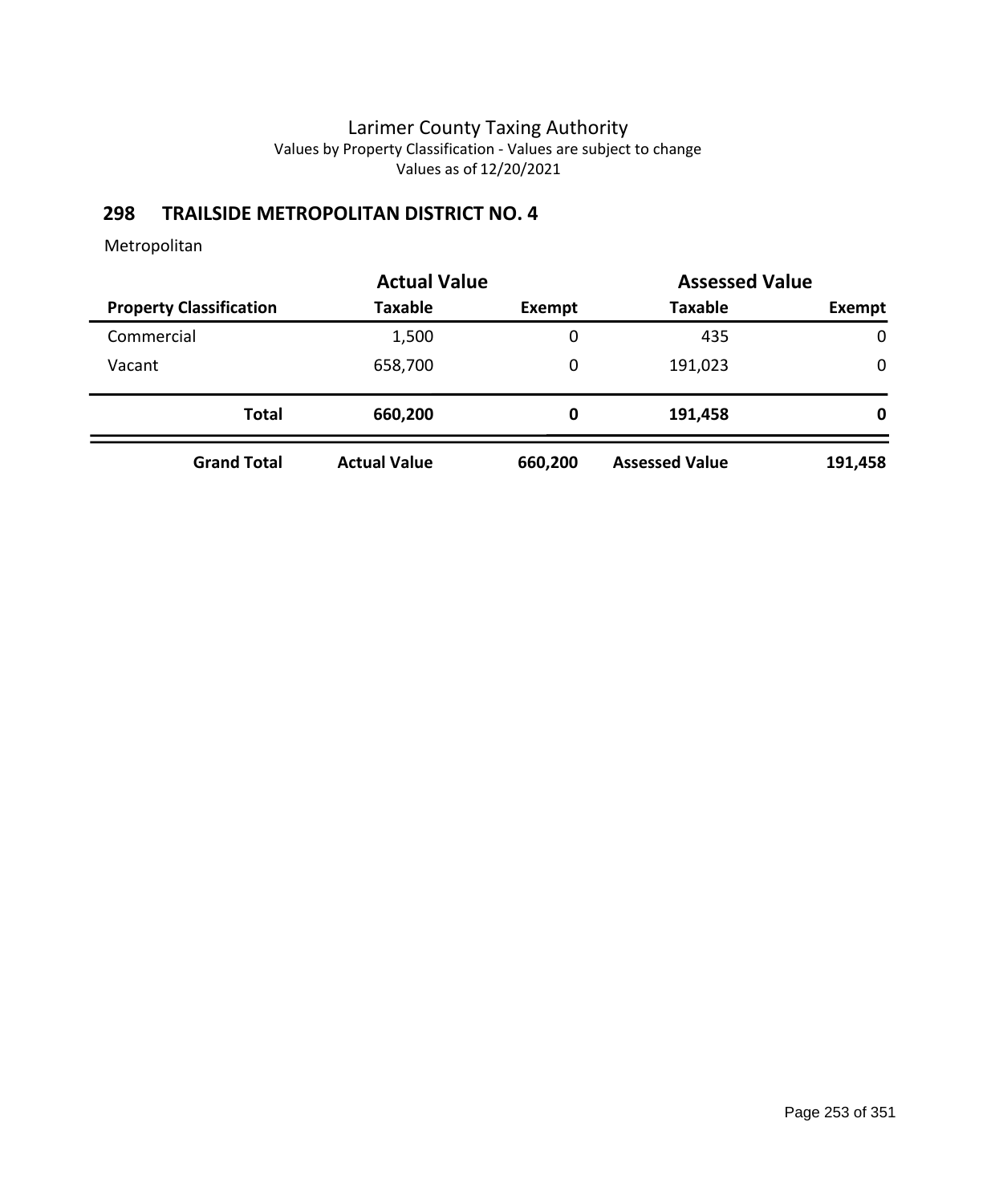# **298 TRAILSIDE METROPOLITAN DISTRICT NO. 4**

|                                | <b>Actual Value</b> |         | <b>Assessed Value</b> |             |
|--------------------------------|---------------------|---------|-----------------------|-------------|
| <b>Property Classification</b> | <b>Taxable</b>      | Exempt  | <b>Taxable</b>        | Exempt      |
| Commercial                     | 1,500               | 0       | 435                   | $\mathbf 0$ |
| Vacant                         | 658,700             | 0       | 191,023               | $\mathbf 0$ |
| <b>Total</b>                   | 660,200             | 0       | 191,458               | 0           |
| <b>Grand Total</b>             | <b>Actual Value</b> | 660,200 | <b>Assessed Value</b> | 191,458     |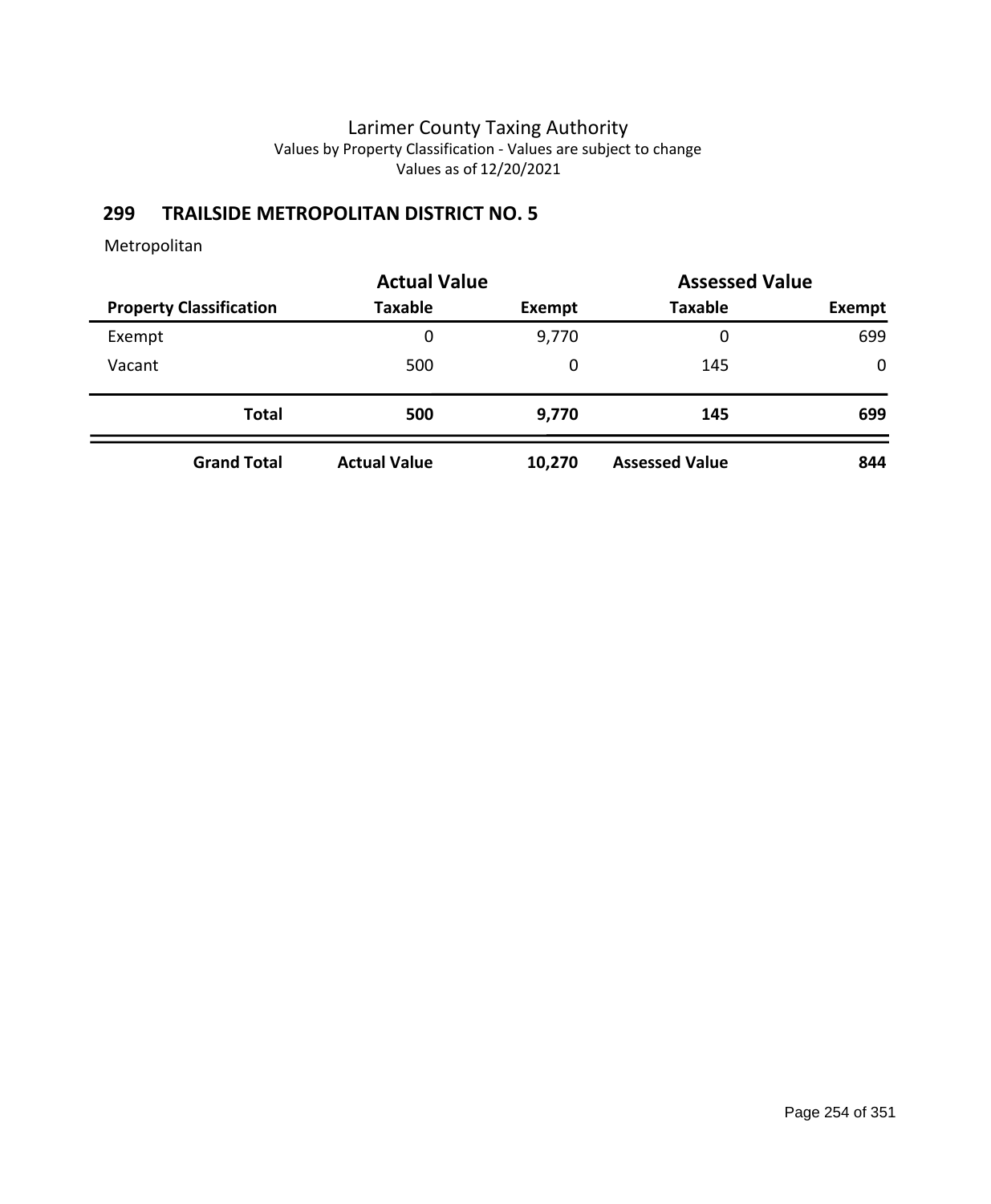# **299 TRAILSIDE METROPOLITAN DISTRICT NO. 5**

| <b>Actual Value</b>            |                     | <b>Assessed Value</b> |                       |               |
|--------------------------------|---------------------|-----------------------|-----------------------|---------------|
| <b>Property Classification</b> | <b>Taxable</b>      | Exempt                | <b>Taxable</b>        | <b>Exempt</b> |
| Exempt                         | 0                   | 9,770                 | 0                     | 699           |
| Vacant                         | 500                 | 0                     | 145                   | $\mathbf 0$   |
| <b>Total</b>                   | 500                 | 9,770                 | 145                   | 699           |
| <b>Grand Total</b>             | <b>Actual Value</b> | 10,270                | <b>Assessed Value</b> | 844           |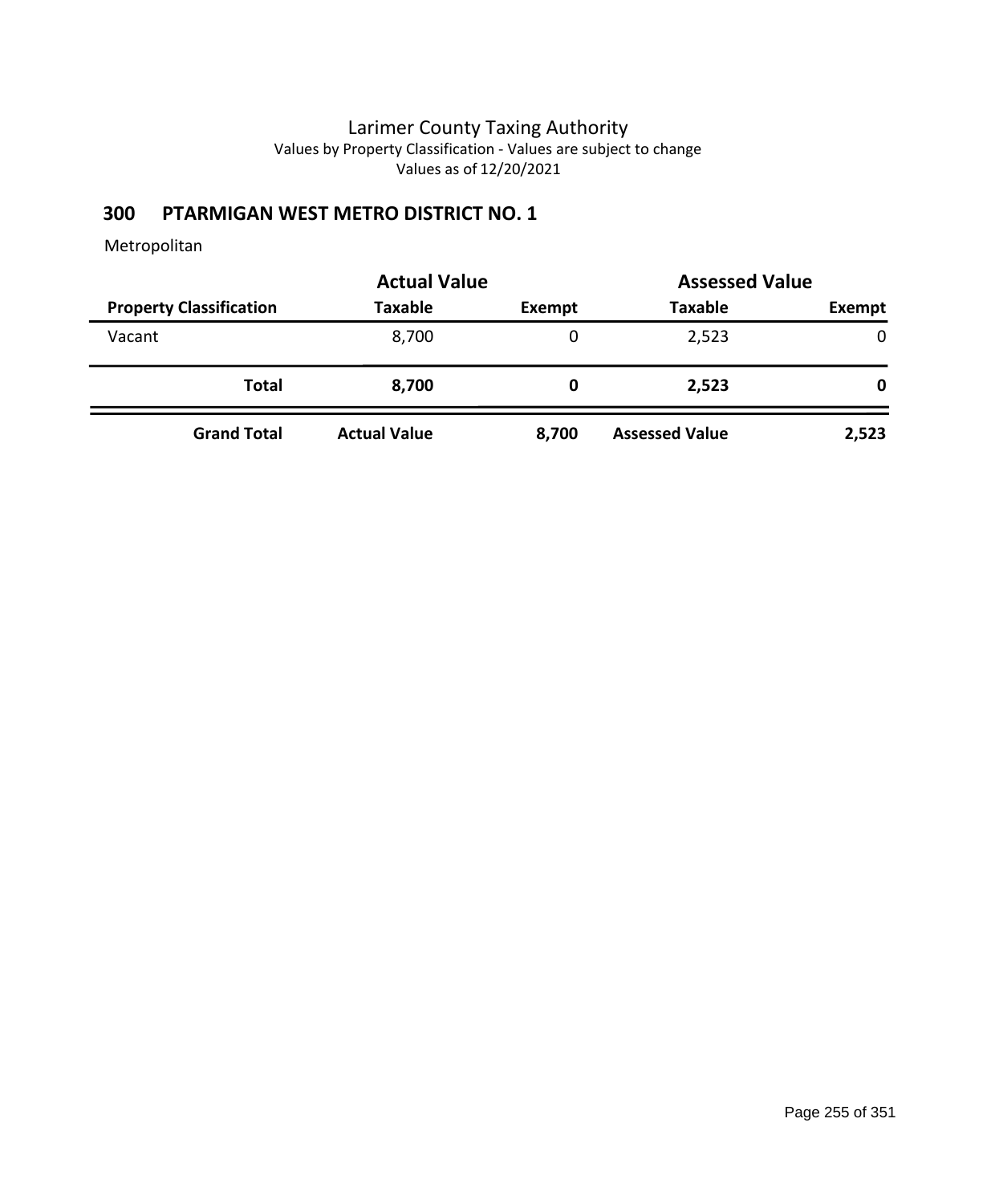# **300 PTARMIGAN WEST METRO DISTRICT NO. 1**

|                                | <b>Actual Value</b> |        | <b>Assessed Value</b> |        |
|--------------------------------|---------------------|--------|-----------------------|--------|
| <b>Property Classification</b> | <b>Taxable</b>      | Exempt | <b>Taxable</b>        | Exempt |
| Vacant                         | 8,700               | 0      | 2,523                 | 0      |
| <b>Total</b>                   | 8,700               | 0      | 2,523                 | 0      |
| <b>Grand Total</b>             | <b>Actual Value</b> | 8,700  | <b>Assessed Value</b> | 2,523  |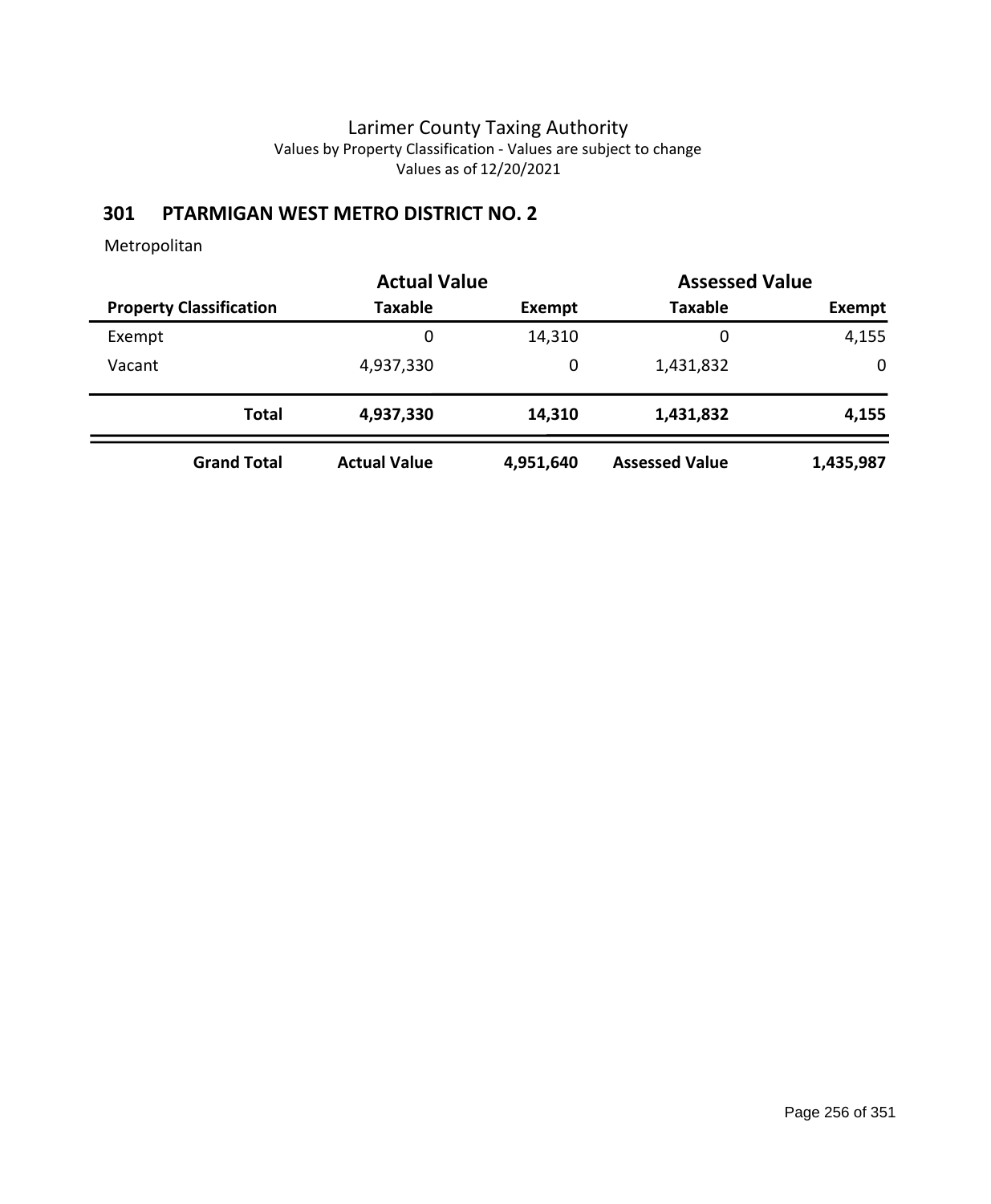# **301 PTARMIGAN WEST METRO DISTRICT NO. 2**

|        |                                | <b>Actual Value</b> |           | <b>Assessed Value</b> |           |
|--------|--------------------------------|---------------------|-----------|-----------------------|-----------|
|        | <b>Property Classification</b> | <b>Taxable</b>      | Exempt    | <b>Taxable</b>        | Exempt    |
| Exempt |                                | 0                   | 14,310    | 0                     | 4,155     |
| Vacant |                                | 4,937,330           | 0         | 1,431,832             | 0         |
|        | <b>Total</b>                   | 4,937,330           | 14,310    | 1,431,832             | 4,155     |
|        | <b>Grand Total</b>             | <b>Actual Value</b> | 4,951,640 | <b>Assessed Value</b> | 1,435,987 |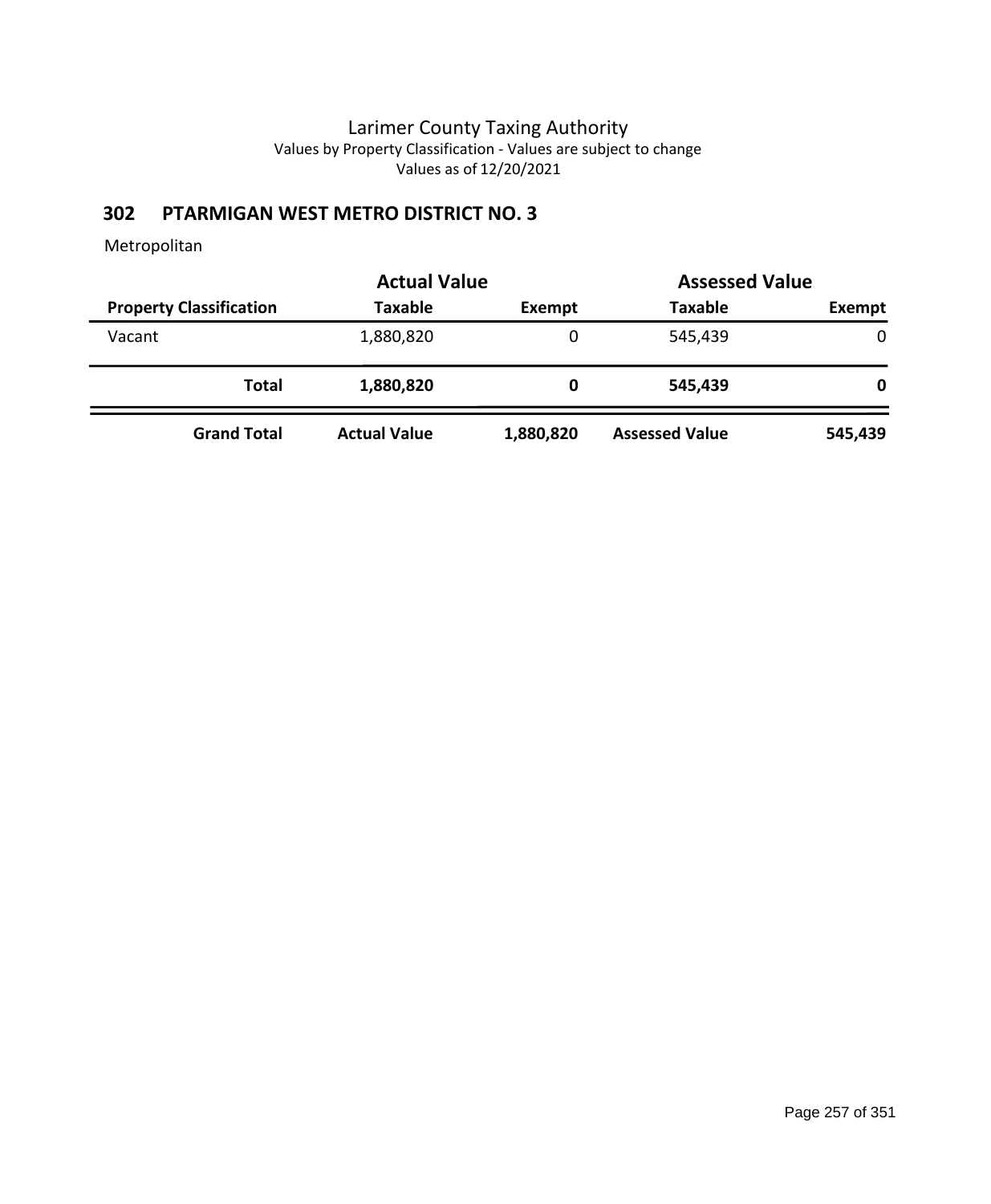# **302 PTARMIGAN WEST METRO DISTRICT NO. 3**

|                                           | <b>Actual Value</b> |                       | <b>Assessed Value</b> |
|-------------------------------------------|---------------------|-----------------------|-----------------------|
| <b>Property Classification</b><br>Taxable | <b>Exempt</b>       | <b>Taxable</b>        | Exempt                |
| 1,880,820<br>Vacant                       | 0                   | 545,439               | $\mathbf{0}$          |
| Total<br>1,880,820                        | 0                   | 545,439               | 0                     |
| <b>Actual Value</b><br><b>Grand Total</b> | 1,880,820           | <b>Assessed Value</b> | 545,439               |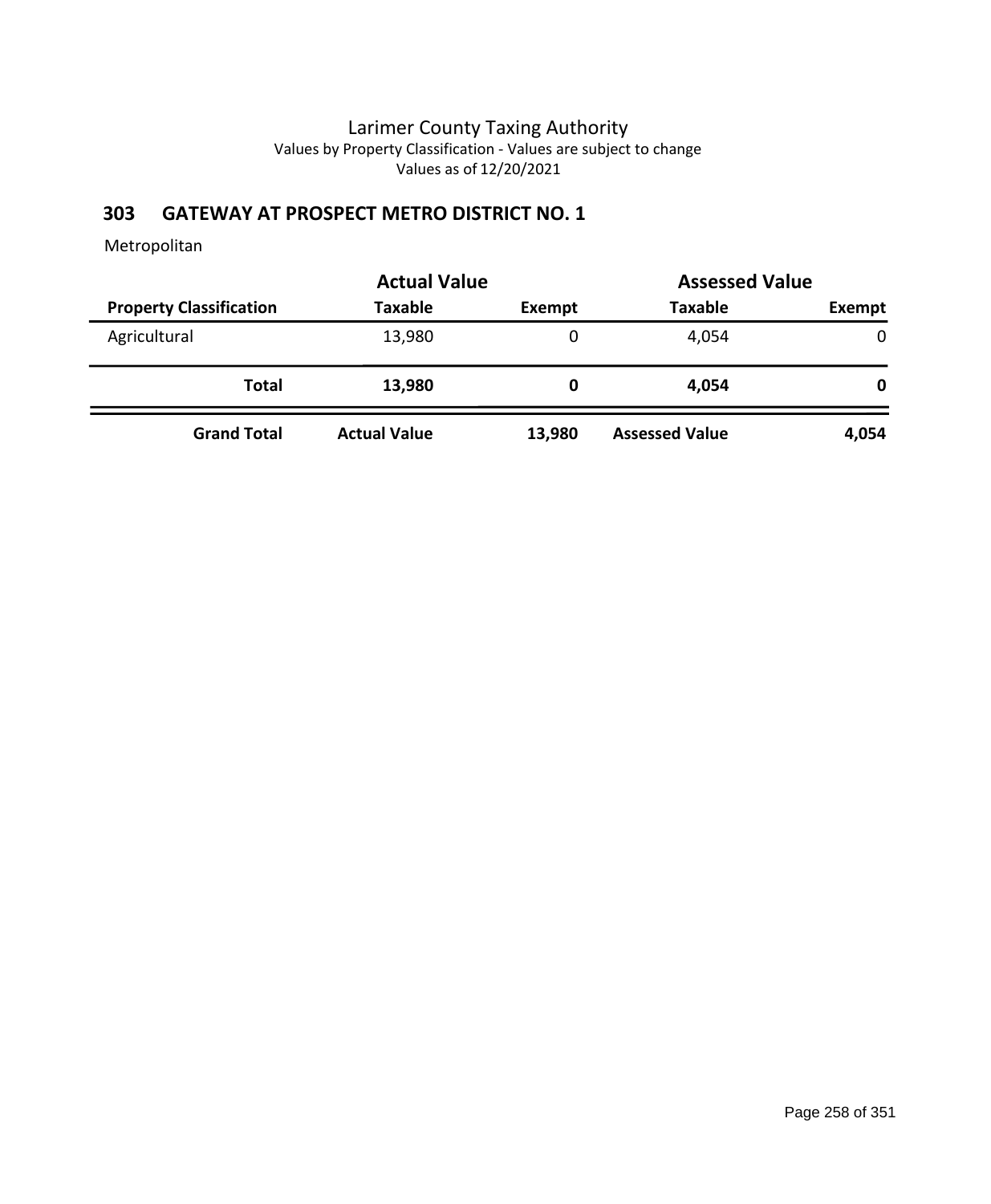### **303 GATEWAY AT PROSPECT METRO DISTRICT NO. 1**

| <b>Actual Value</b>            |                     |               |                       | <b>Assessed Value</b> |
|--------------------------------|---------------------|---------------|-----------------------|-----------------------|
| <b>Property Classification</b> | Taxable             | <b>Exempt</b> | <b>Taxable</b>        | Exempt                |
| Agricultural                   | 13,980              | 0             | 4,054                 | 0                     |
| Total                          | 13,980              |               | 4.054                 | 0                     |
| <b>Grand Total</b>             | <b>Actual Value</b> | 13,980        | <b>Assessed Value</b> | 4,054                 |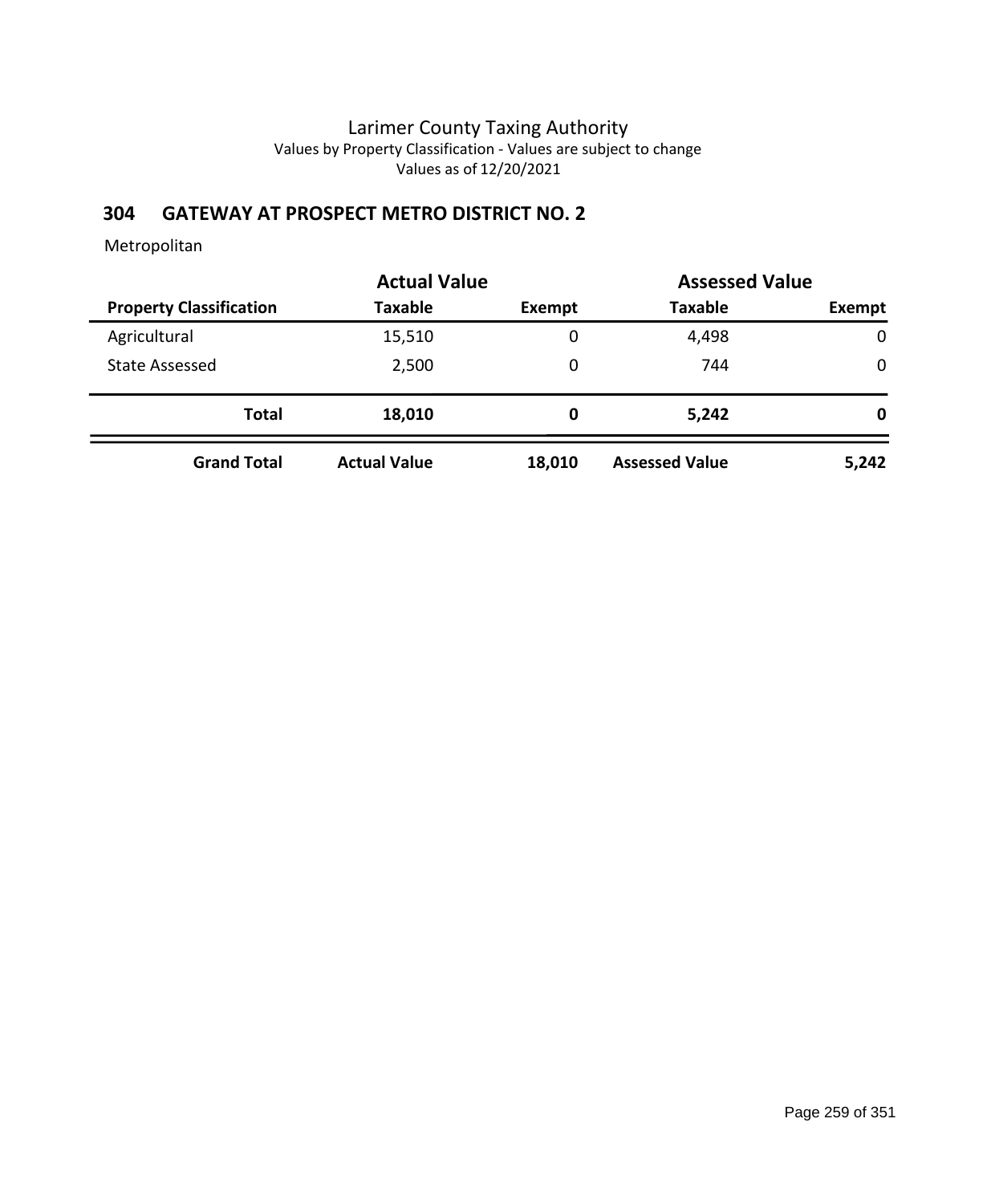### **304 GATEWAY AT PROSPECT METRO DISTRICT NO. 2**

|                                | <b>Actual Value</b> |        | <b>Assessed Value</b> |             |
|--------------------------------|---------------------|--------|-----------------------|-------------|
| <b>Property Classification</b> | <b>Taxable</b>      | Exempt | <b>Taxable</b>        | Exempt      |
| Agricultural                   | 15,510              | 0      | 4,498                 | $\mathbf 0$ |
| <b>State Assessed</b>          | 2,500               | 0      | 744                   | $\mathbf 0$ |
| <b>Total</b>                   | 18,010              | 0      | 5,242                 | 0           |
| <b>Grand Total</b>             | <b>Actual Value</b> | 18,010 | <b>Assessed Value</b> | 5,242       |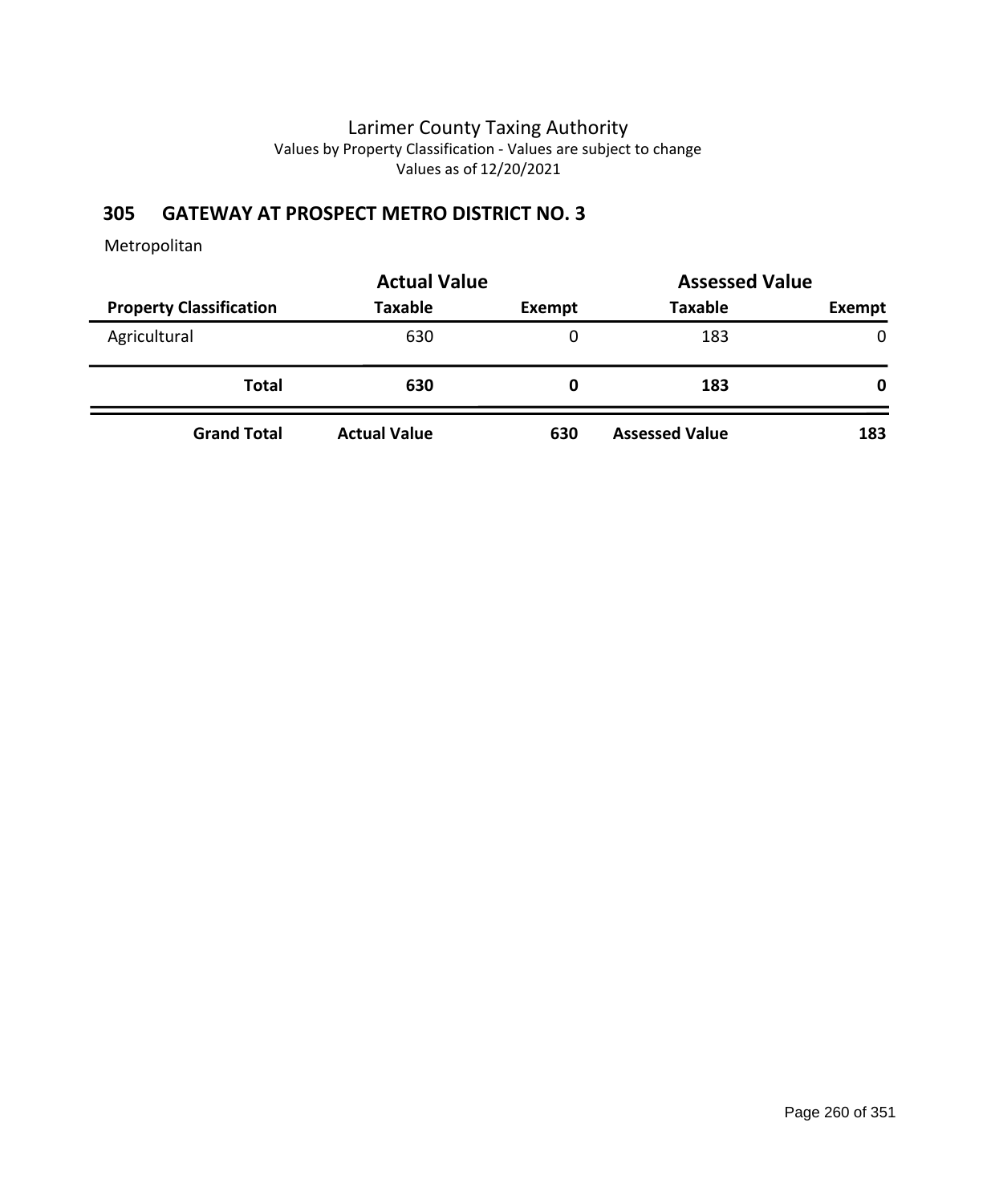### **305 GATEWAY AT PROSPECT METRO DISTRICT NO. 3**

|                                | <b>Actual Value</b> | <b>Assessed Value</b> |                       |               |
|--------------------------------|---------------------|-----------------------|-----------------------|---------------|
| <b>Property Classification</b> | <b>Taxable</b>      | Exempt                | <b>Taxable</b>        | <b>Exempt</b> |
| Agricultural                   | 630                 | 0                     | 183                   | $\mathbf{0}$  |
| <b>Total</b>                   | 630                 | O                     | 183                   | 0             |
| <b>Grand Total</b>             | <b>Actual Value</b> | 630                   | <b>Assessed Value</b> | 183           |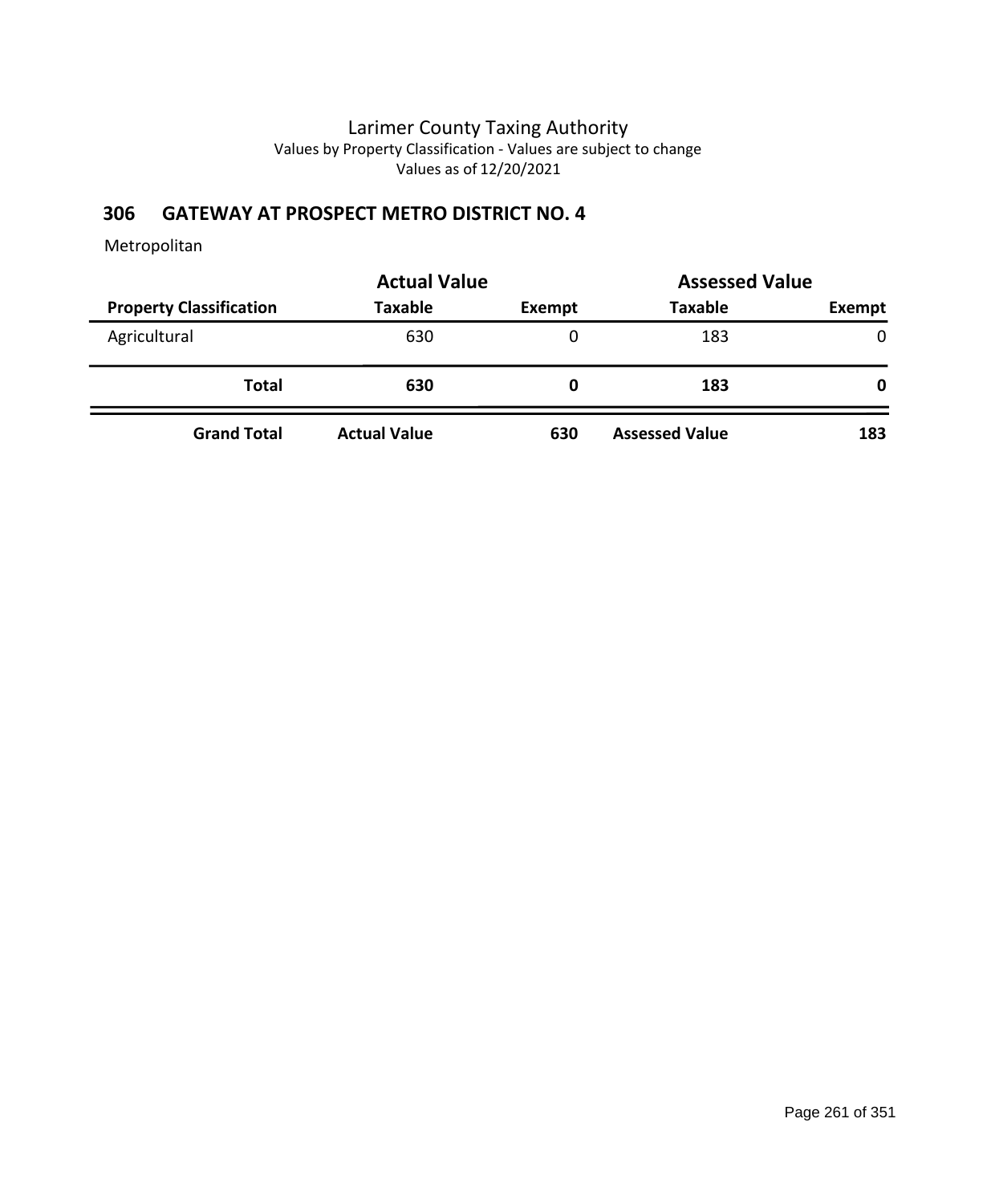### **306 GATEWAY AT PROSPECT METRO DISTRICT NO. 4**

|                                | <b>Actual Value</b> | <b>Assessed Value</b> |                       |              |
|--------------------------------|---------------------|-----------------------|-----------------------|--------------|
| <b>Property Classification</b> | <b>Taxable</b>      | <b>Exempt</b>         | <b>Taxable</b>        | Exempt       |
| Agricultural                   | 630                 | 0                     | 183                   | $\mathbf{0}$ |
| <b>Total</b>                   | 630                 | 0                     | 183                   | 0            |
| <b>Grand Total</b>             | <b>Actual Value</b> | 630                   | <b>Assessed Value</b> | 183          |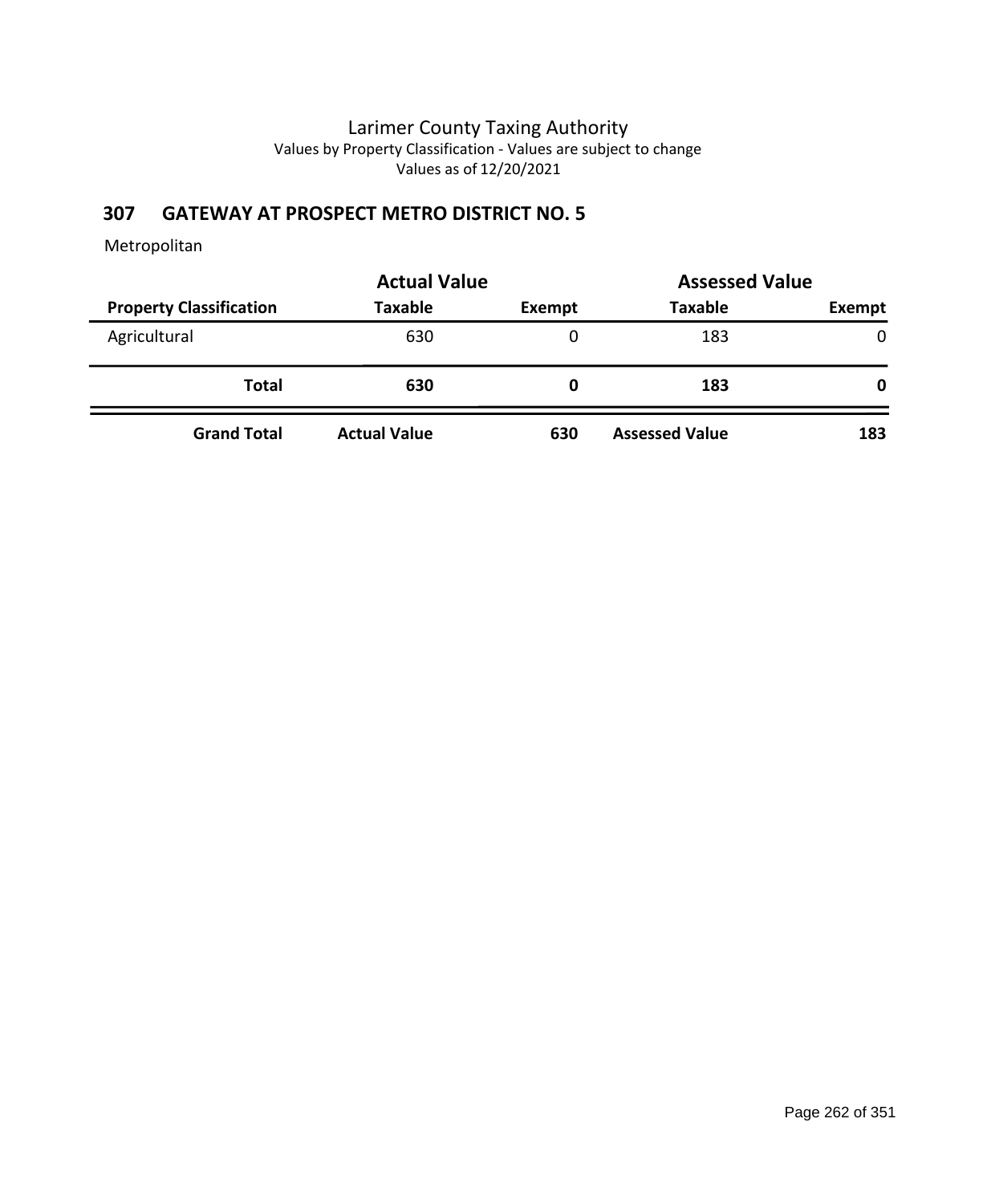### **307 GATEWAY AT PROSPECT METRO DISTRICT NO. 5**

|                                | <b>Actual Value</b> |        |                       | <b>Assessed Value</b> |  |
|--------------------------------|---------------------|--------|-----------------------|-----------------------|--|
| <b>Property Classification</b> | <b>Taxable</b>      | Exempt | <b>Taxable</b>        | Exempt                |  |
| Agricultural                   | 630                 | 0      | 183                   | 0                     |  |
| <b>Total</b>                   | 630                 | 0      | 183                   | 0                     |  |
| <b>Grand Total</b>             | <b>Actual Value</b> | 630    | <b>Assessed Value</b> | 183                   |  |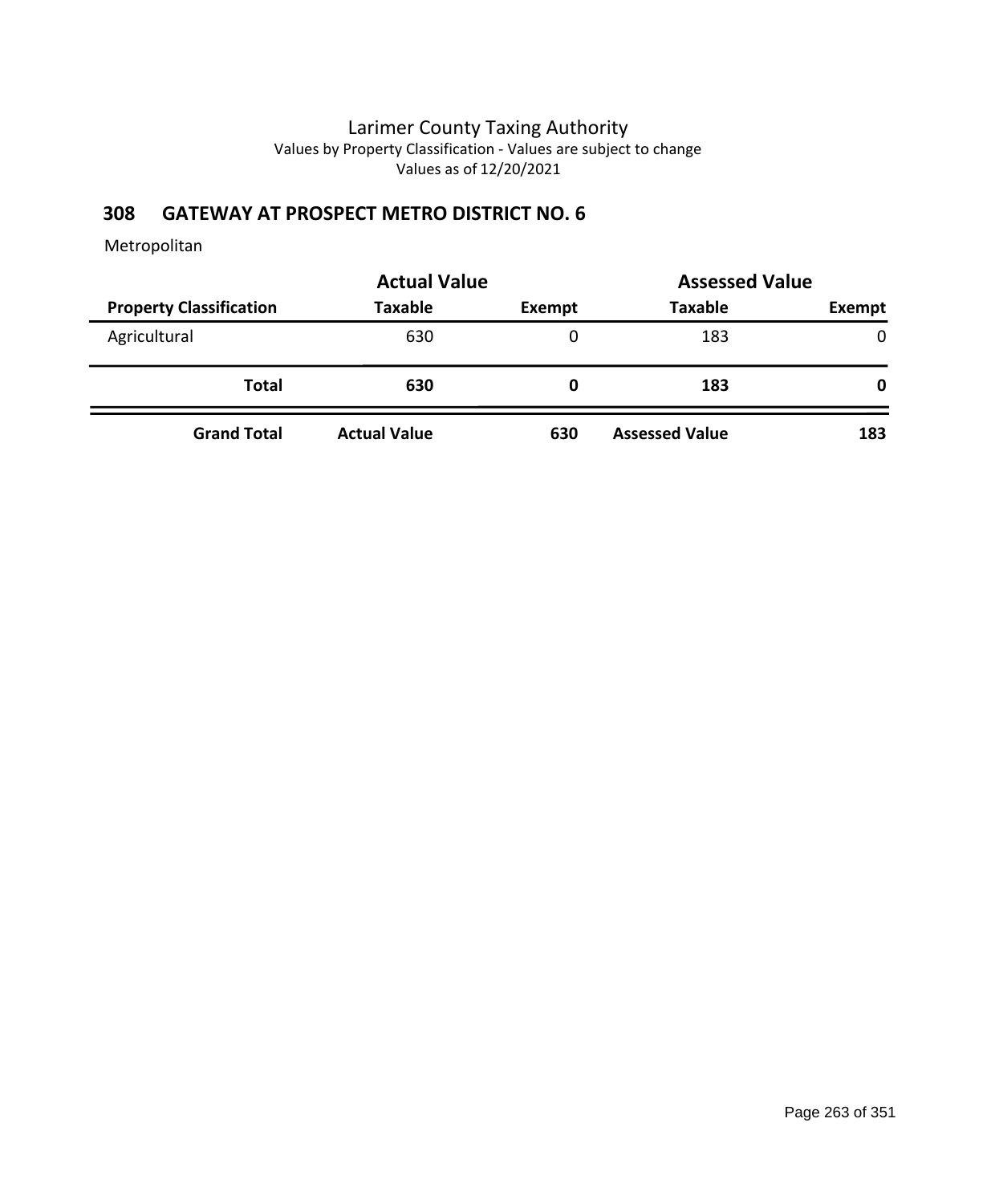### **308 GATEWAY AT PROSPECT METRO DISTRICT NO. 6**

|                                | <b>Actual Value</b> | <b>Assessed Value</b> |                       |              |
|--------------------------------|---------------------|-----------------------|-----------------------|--------------|
| <b>Property Classification</b> | Taxable             | Exempt                | <b>Taxable</b>        | Exempt       |
| Agricultural                   | 630                 | 0                     | 183                   | $\mathbf{0}$ |
| <b>Total</b>                   | 630                 | 0                     | 183                   | 0            |
| <b>Grand Total</b>             | <b>Actual Value</b> | 630                   | <b>Assessed Value</b> | 183          |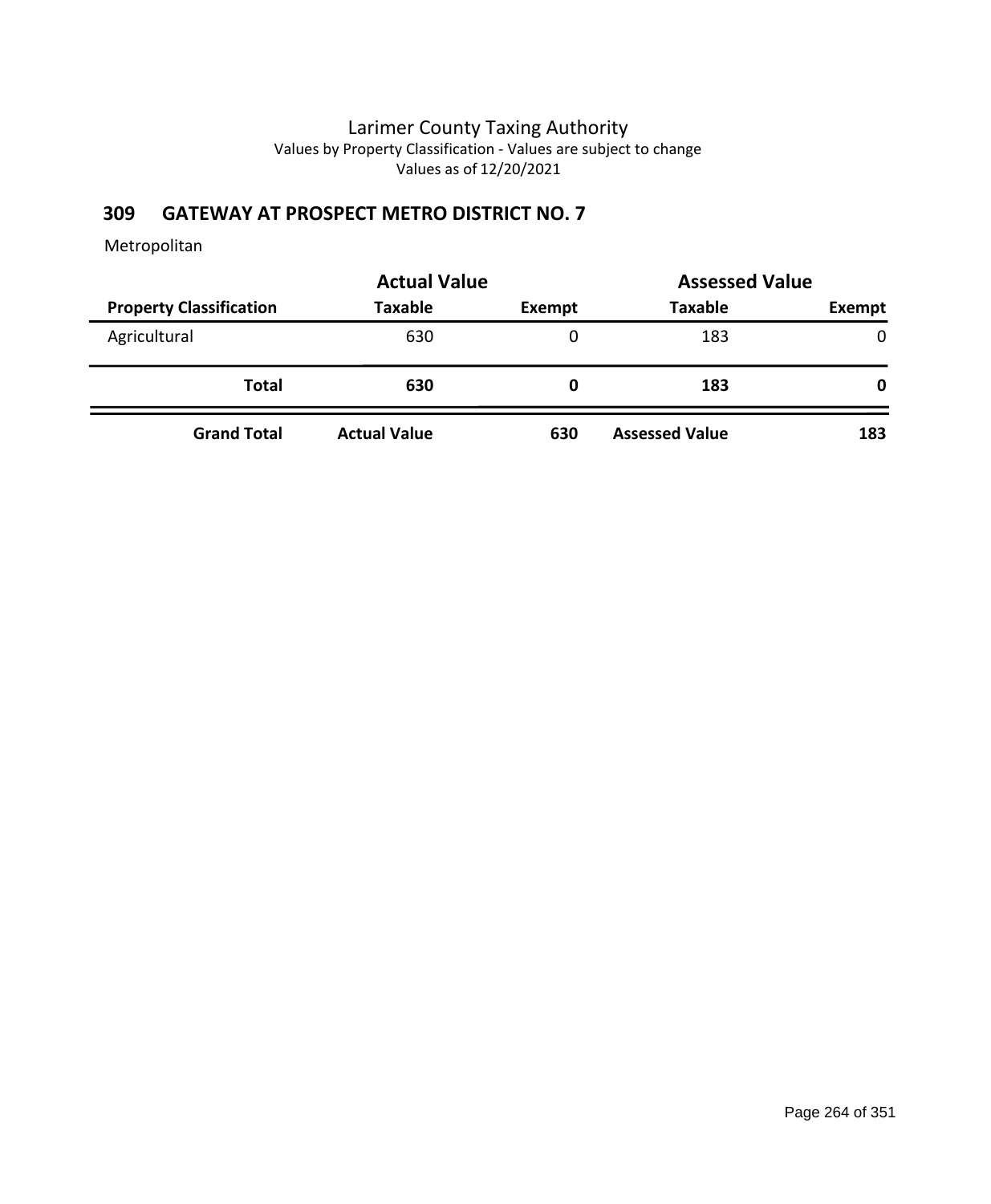### **309 GATEWAY AT PROSPECT METRO DISTRICT NO. 7**

|                                | <b>Actual Value</b> | <b>Assessed Value</b> |                       |               |
|--------------------------------|---------------------|-----------------------|-----------------------|---------------|
| <b>Property Classification</b> | <b>Taxable</b>      | Exempt                | <b>Taxable</b>        | <b>Exempt</b> |
| Agricultural                   | 630                 | 0                     | 183                   | $\mathbf{0}$  |
| <b>Total</b>                   | 630                 | O                     | 183                   | 0             |
| <b>Grand Total</b>             | <b>Actual Value</b> | 630                   | <b>Assessed Value</b> | 183           |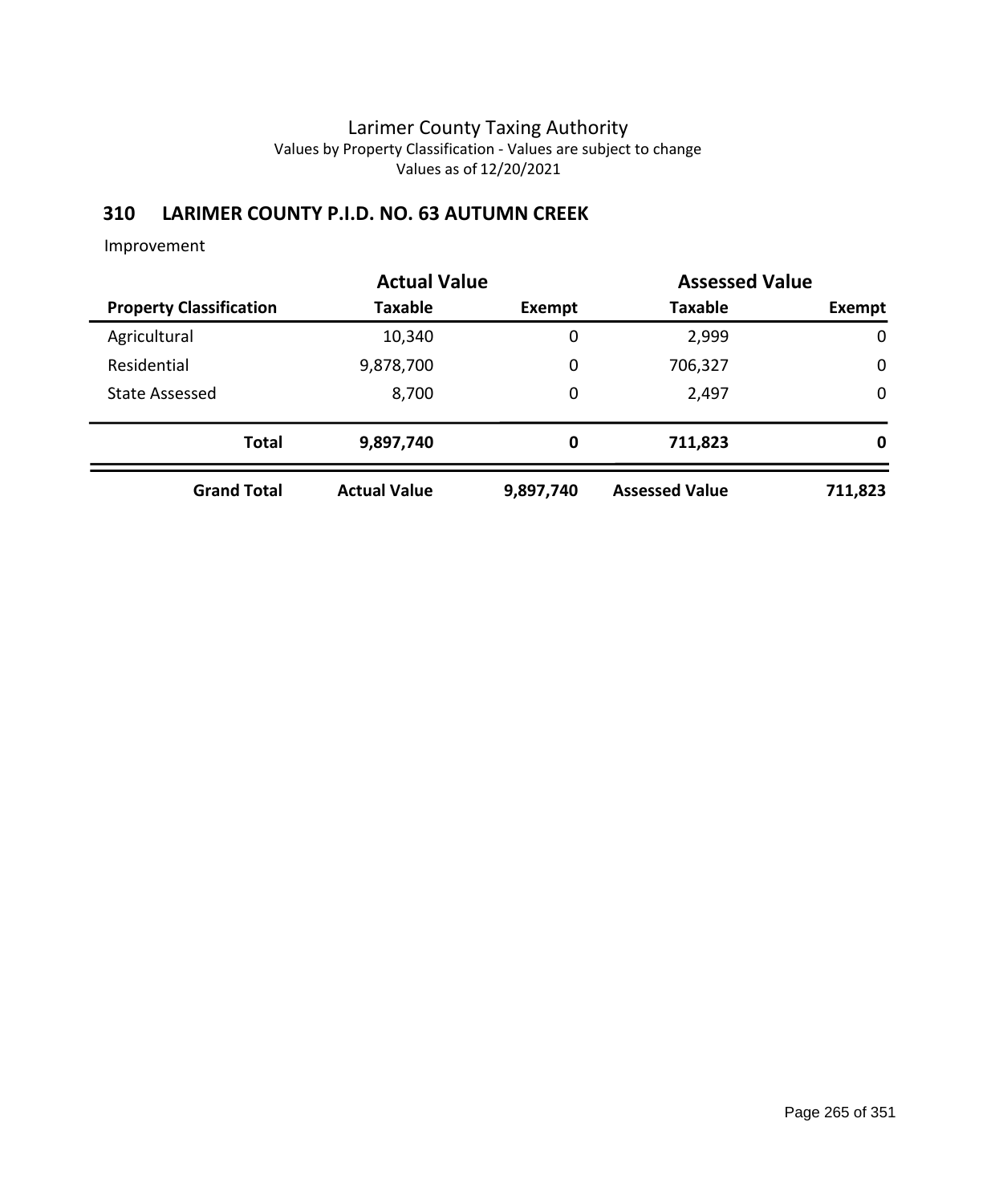### **310 LARIMER COUNTY P.I.D. NO. 63 AUTUMN CREEK**

|                                | <b>Actual Value</b> | <b>Assessed Value</b> |                       |             |  |
|--------------------------------|---------------------|-----------------------|-----------------------|-------------|--|
| <b>Property Classification</b> | <b>Taxable</b>      | Exempt                | <b>Taxable</b>        | Exempt      |  |
| Agricultural                   | 10,340              | $\mathbf 0$           | 2,999                 | $\mathbf 0$ |  |
| Residential                    | 9,878,700           | 0                     | 706,327               | $\mathbf 0$ |  |
| <b>State Assessed</b>          | 8,700               | 0                     | 2,497                 | $\mathbf 0$ |  |
| <b>Total</b>                   | 9,897,740           | 0                     | 711,823               | 0           |  |
| <b>Grand Total</b>             | <b>Actual Value</b> | 9,897,740             | <b>Assessed Value</b> | 711,823     |  |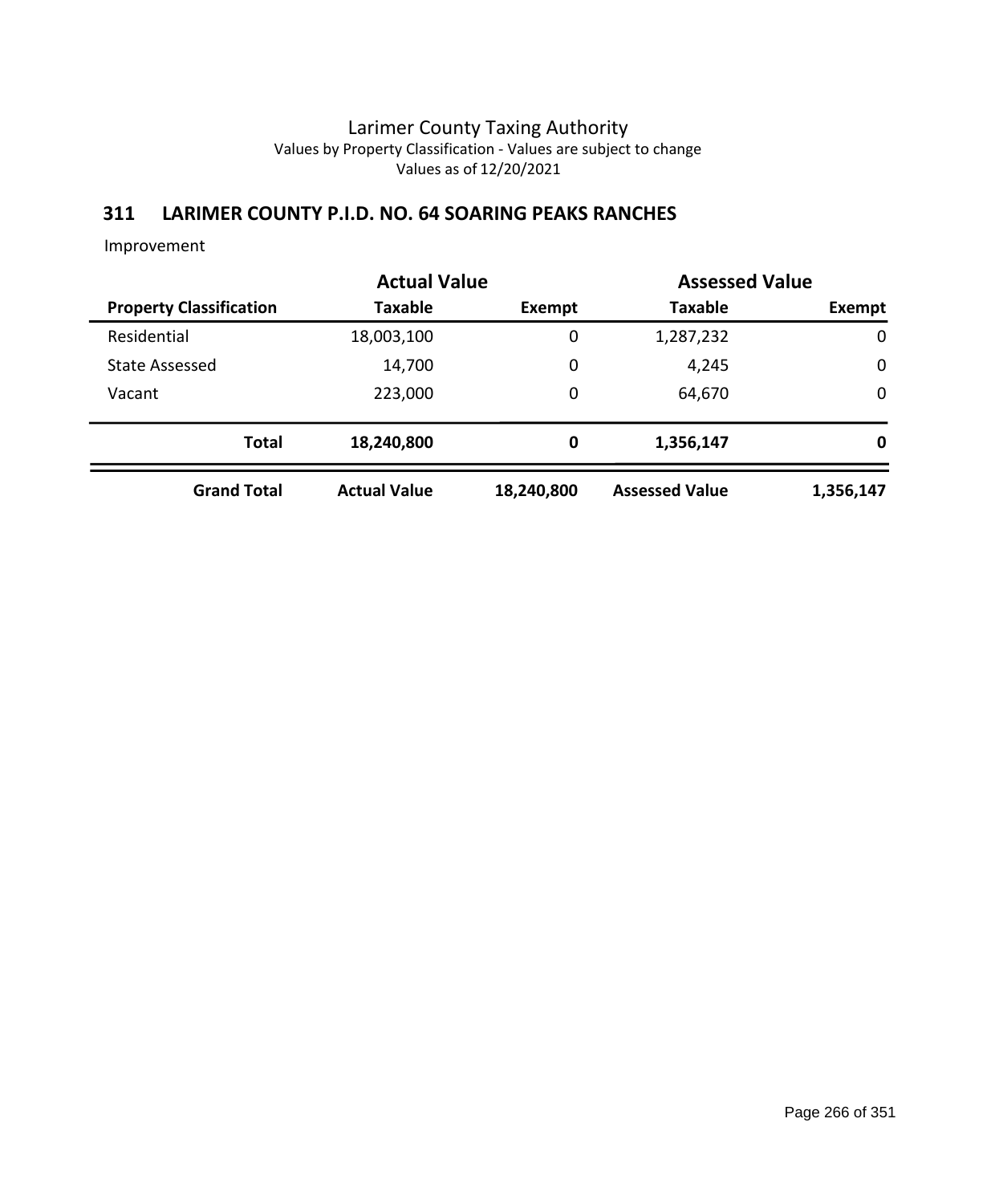### **311 LARIMER COUNTY P.I.D. NO. 64 SOARING PEAKS RANCHES**

|                                | <b>Actual Value</b> |               | <b>Assessed Value</b> |             |
|--------------------------------|---------------------|---------------|-----------------------|-------------|
| <b>Property Classification</b> | <b>Taxable</b>      | <b>Exempt</b> | <b>Taxable</b>        | Exempt      |
| Residential                    | 18,003,100          | 0             | 1,287,232             | $\mathbf 0$ |
| <b>State Assessed</b>          | 14,700              | 0             | 4,245                 | $\mathbf 0$ |
| Vacant                         | 223,000             | $\mathbf 0$   | 64,670                | $\mathbf 0$ |
| <b>Total</b>                   | 18,240,800          | 0             | 1,356,147             | 0           |
| <b>Grand Total</b>             | <b>Actual Value</b> | 18,240,800    | <b>Assessed Value</b> | 1,356,147   |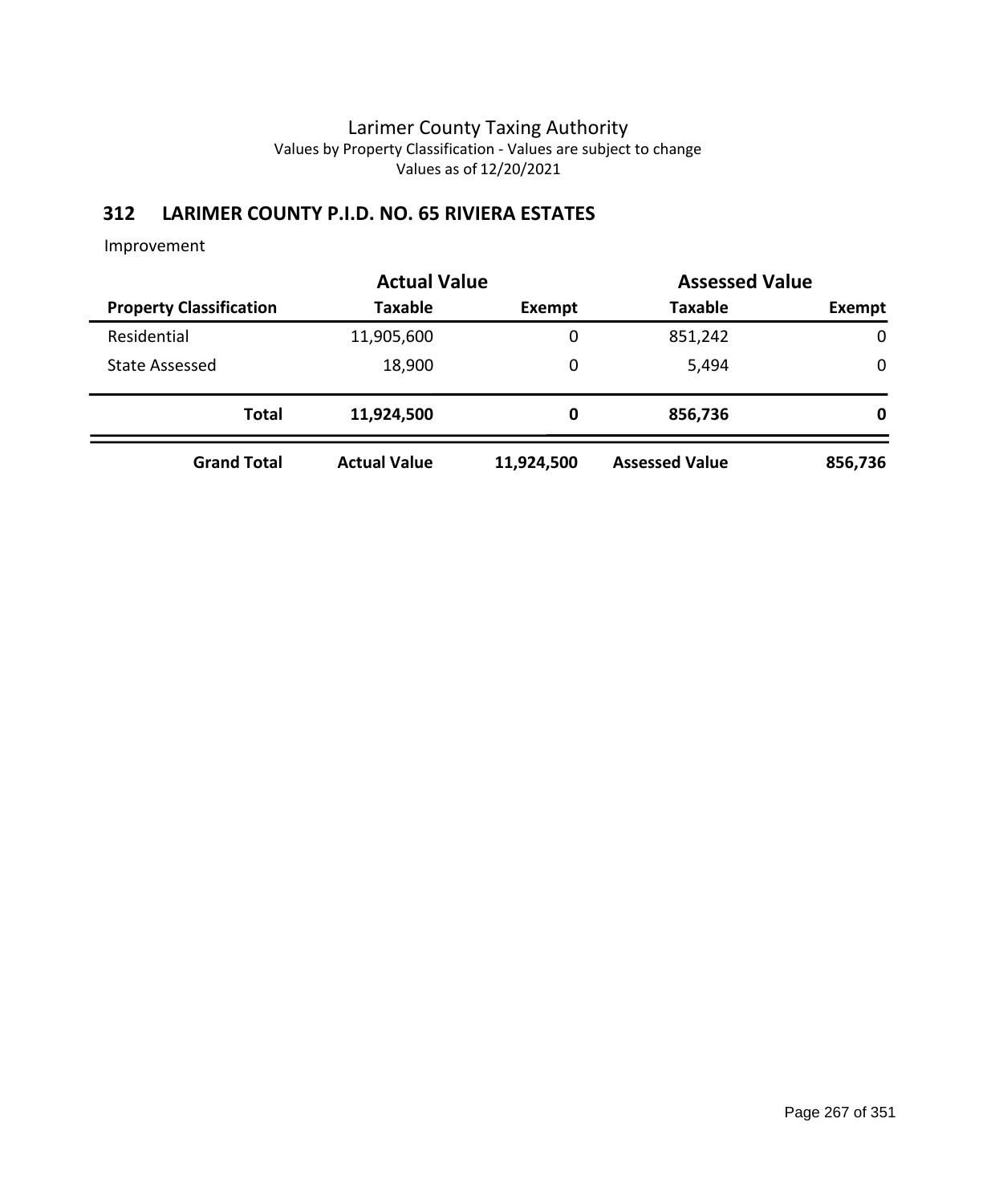# **312 LARIMER COUNTY P.I.D. NO. 65 RIVIERA ESTATES**

|                                |                     | <b>Actual Value</b> |                       | <b>Assessed Value</b> |
|--------------------------------|---------------------|---------------------|-----------------------|-----------------------|
| <b>Property Classification</b> | <b>Taxable</b>      | Exempt              | <b>Taxable</b>        | Exempt                |
| Residential                    | 11,905,600          | 0                   | 851,242               | 0                     |
| <b>State Assessed</b>          | 18,900              | 0                   | 5,494                 | 0                     |
| <b>Total</b>                   | 11,924,500          | 0                   | 856,736               | 0                     |
| <b>Grand Total</b>             | <b>Actual Value</b> | 11,924,500          | <b>Assessed Value</b> | 856,736               |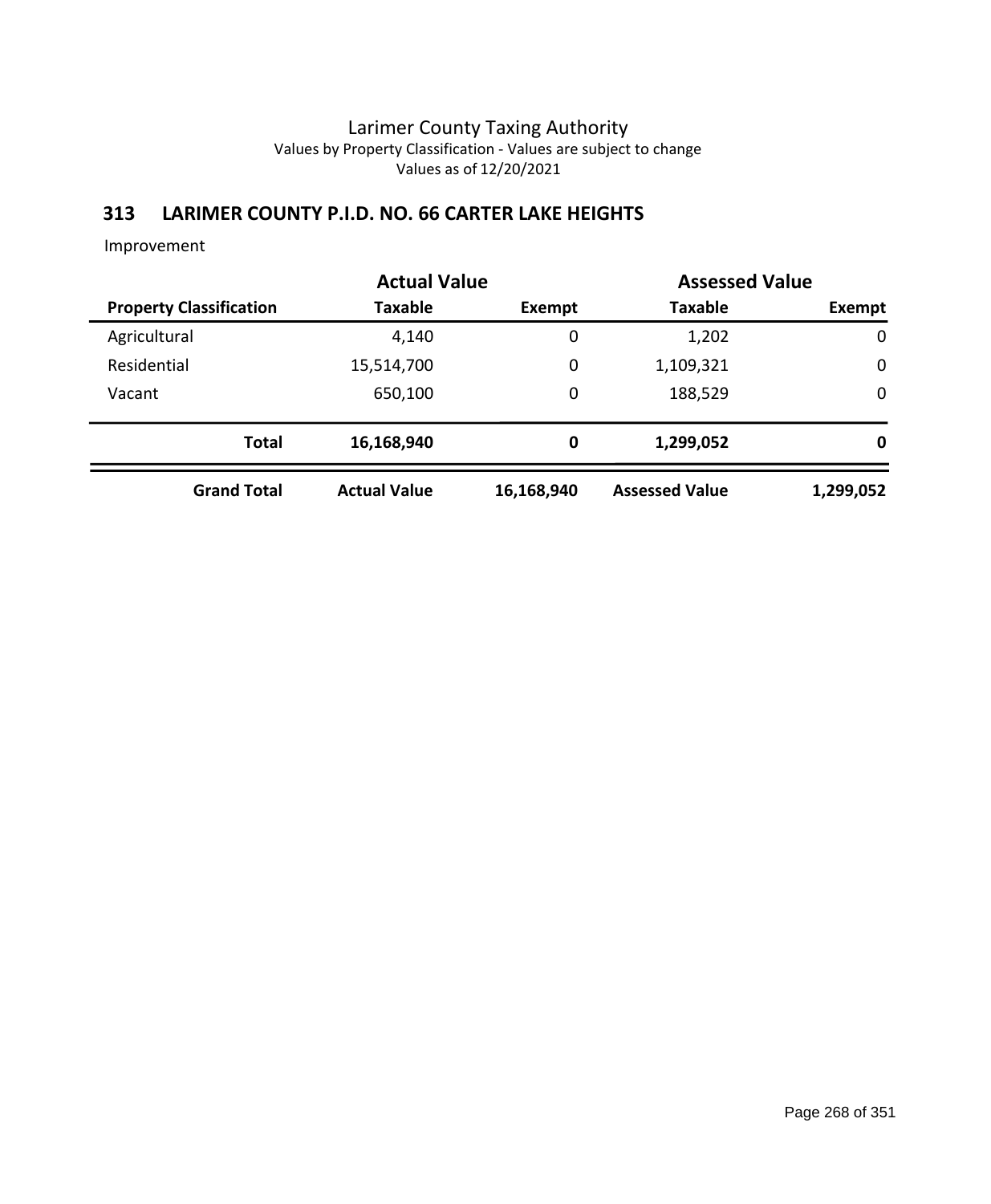### **313 LARIMER COUNTY P.I.D. NO. 66 CARTER LAKE HEIGHTS**

|              |                                |                     | <b>Actual Value</b> |                       | <b>Assessed Value</b> |
|--------------|--------------------------------|---------------------|---------------------|-----------------------|-----------------------|
|              | <b>Property Classification</b> | Taxable             | Exempt              | <b>Taxable</b>        | Exempt                |
| Agricultural |                                | 4,140               | $\mathbf 0$         | 1,202                 | $\mathbf 0$           |
| Residential  |                                | 15,514,700          | 0                   | 1,109,321             | $\mathbf 0$           |
| Vacant       |                                | 650,100             | 0                   | 188,529               | $\mathbf 0$           |
|              | <b>Total</b>                   | 16,168,940          | 0                   | 1,299,052             | 0                     |
|              | <b>Grand Total</b>             | <b>Actual Value</b> | 16,168,940          | <b>Assessed Value</b> | 1,299,052             |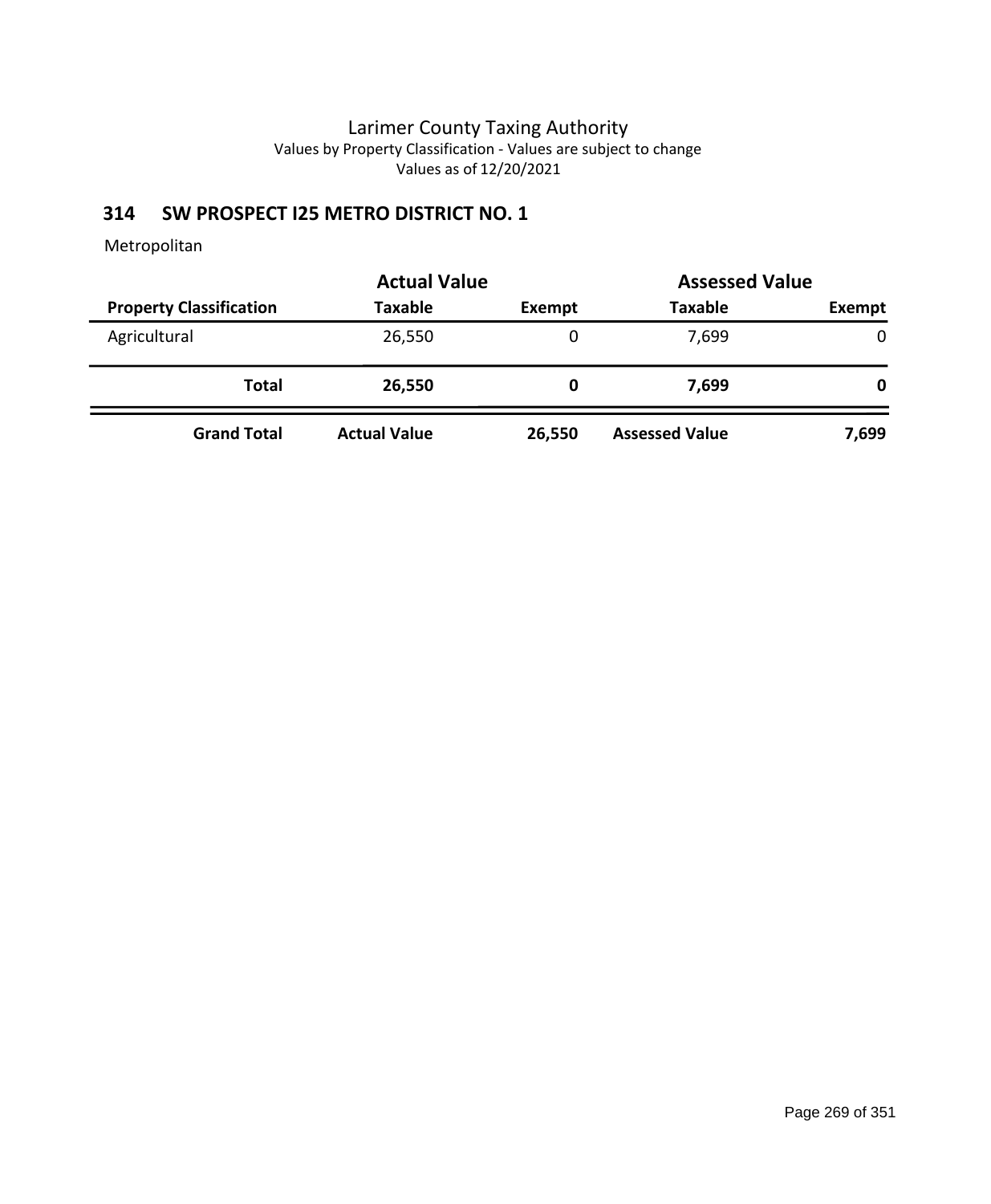### **314 SW PROSPECT I25 METRO DISTRICT NO. 1**

|                                | <b>Actual Value</b> | <b>Assessed Value</b> |                       |        |  |
|--------------------------------|---------------------|-----------------------|-----------------------|--------|--|
| <b>Property Classification</b> | <b>Taxable</b>      | <b>Exempt</b>         | <b>Taxable</b>        | Exempt |  |
| Agricultural                   | 26,550              | 0                     | 7,699                 | 0      |  |
| <b>Total</b>                   | 26,550              | 0                     | 7,699                 | 0      |  |
| <b>Grand Total</b>             | <b>Actual Value</b> | 26,550                | <b>Assessed Value</b> | 7,699  |  |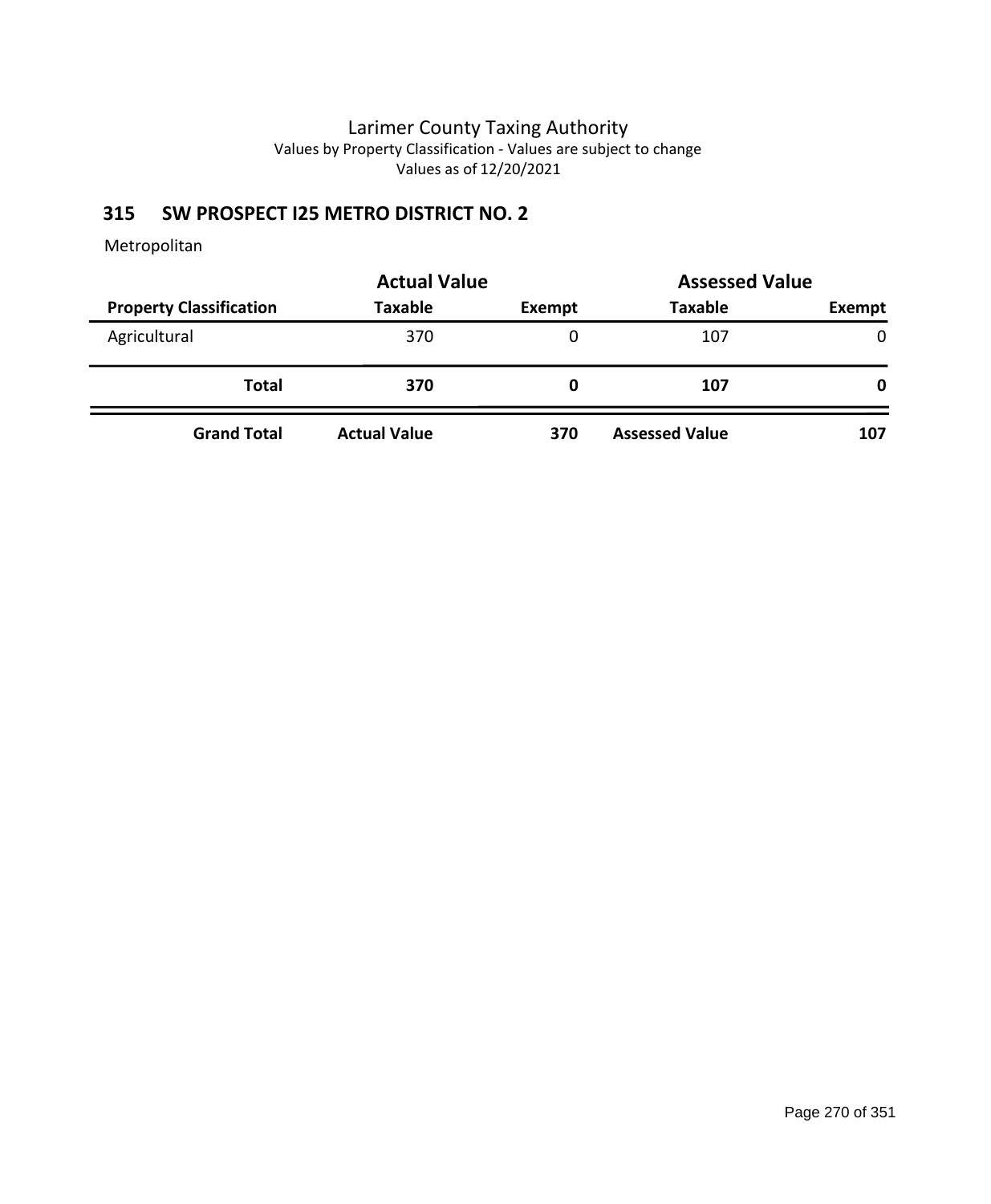### **315 SW PROSPECT I25 METRO DISTRICT NO. 2**

|                                | <b>Actual Value</b> | <b>Assessed Value</b> |                       |        |
|--------------------------------|---------------------|-----------------------|-----------------------|--------|
| <b>Property Classification</b> | <b>Taxable</b>      | Exempt                | <b>Taxable</b>        | Exempt |
| Agricultural                   | 370                 | 0                     | 107                   | 0      |
| Total                          | 370                 | O                     | 107                   | 0      |
| <b>Grand Total</b>             | <b>Actual Value</b> | 370                   | <b>Assessed Value</b> | 107    |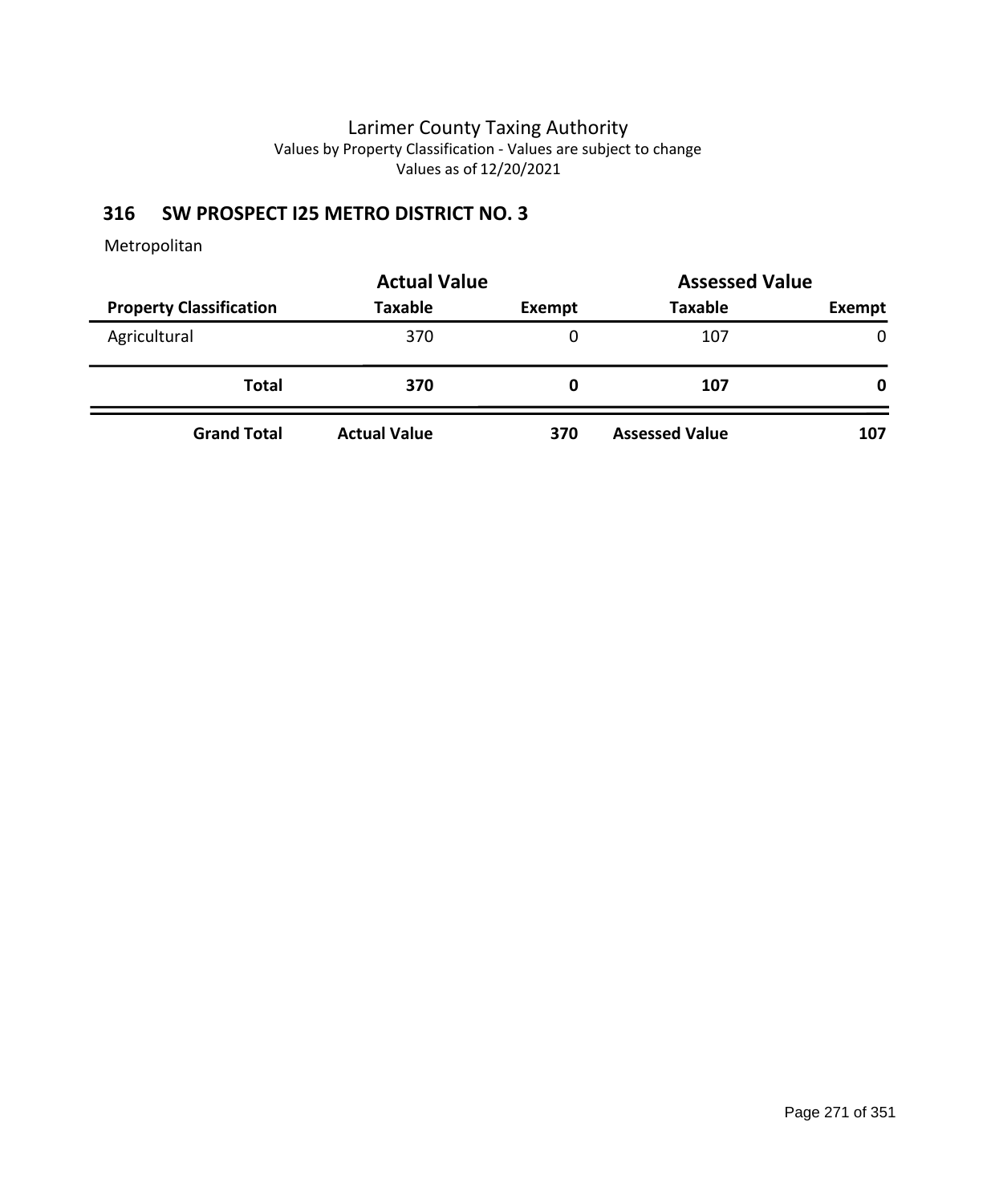### **316 SW PROSPECT I25 METRO DISTRICT NO. 3**

|                                | <b>Actual Value</b> |               | <b>Assessed Value</b> |        |
|--------------------------------|---------------------|---------------|-----------------------|--------|
| <b>Property Classification</b> | <b>Taxable</b>      | <b>Exempt</b> | <b>Taxable</b>        | Exempt |
| Agricultural                   | 370                 | 0             | 107                   | 0      |
| <b>Total</b>                   | 370                 | O             | 107                   | 0      |
| <b>Grand Total</b>             | <b>Actual Value</b> | 370           | <b>Assessed Value</b> | 107    |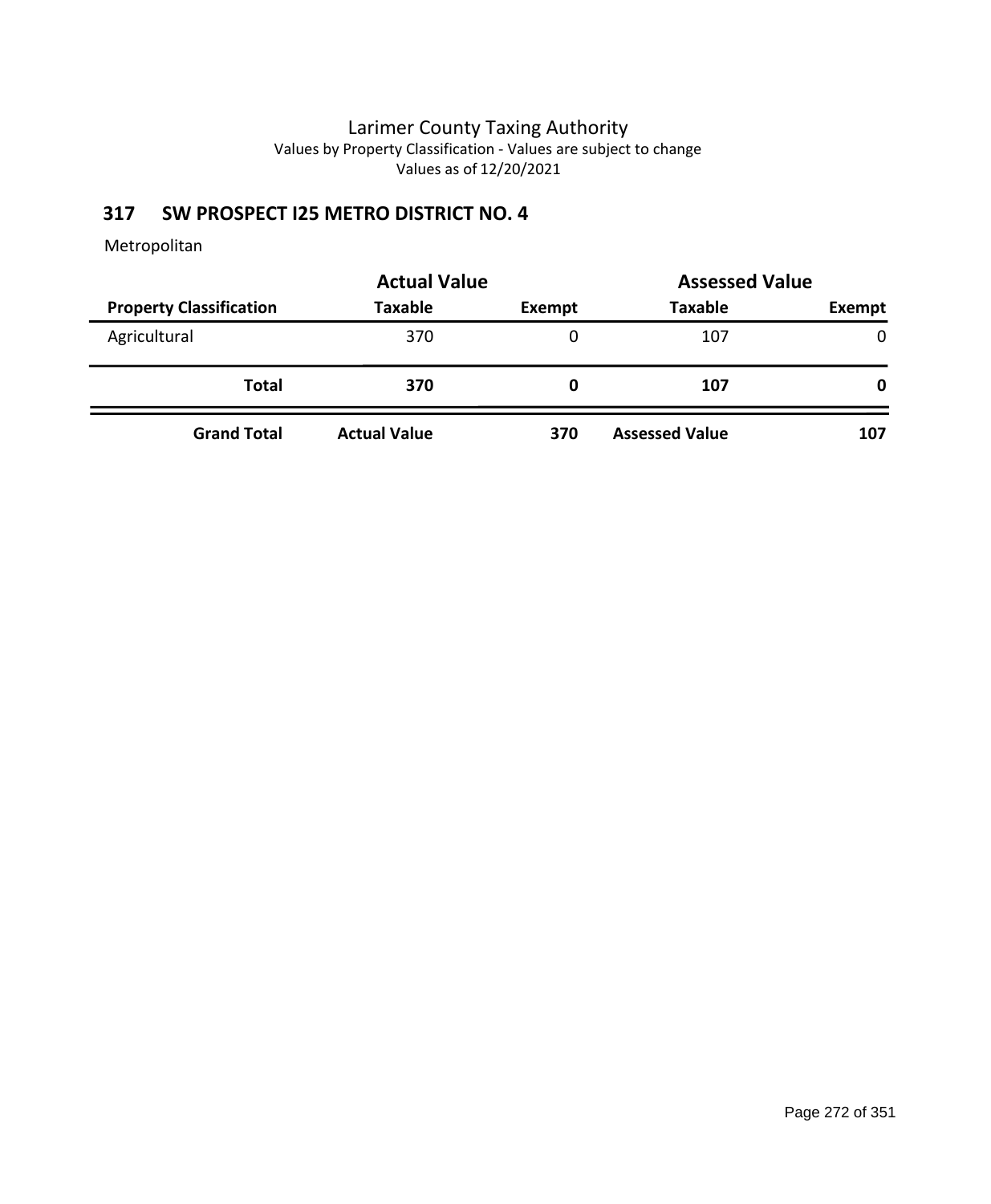### **317 SW PROSPECT I25 METRO DISTRICT NO. 4**

|                                | <b>Actual Value</b> | <b>Assessed Value</b> |                       |        |
|--------------------------------|---------------------|-----------------------|-----------------------|--------|
| <b>Property Classification</b> | <b>Taxable</b>      | Exempt                | <b>Taxable</b>        | Exempt |
| Agricultural                   | 370                 | 0                     | 107                   | 0      |
| Total                          | 370                 | O                     | 107                   | 0      |
| <b>Grand Total</b>             | <b>Actual Value</b> | 370                   | <b>Assessed Value</b> | 107    |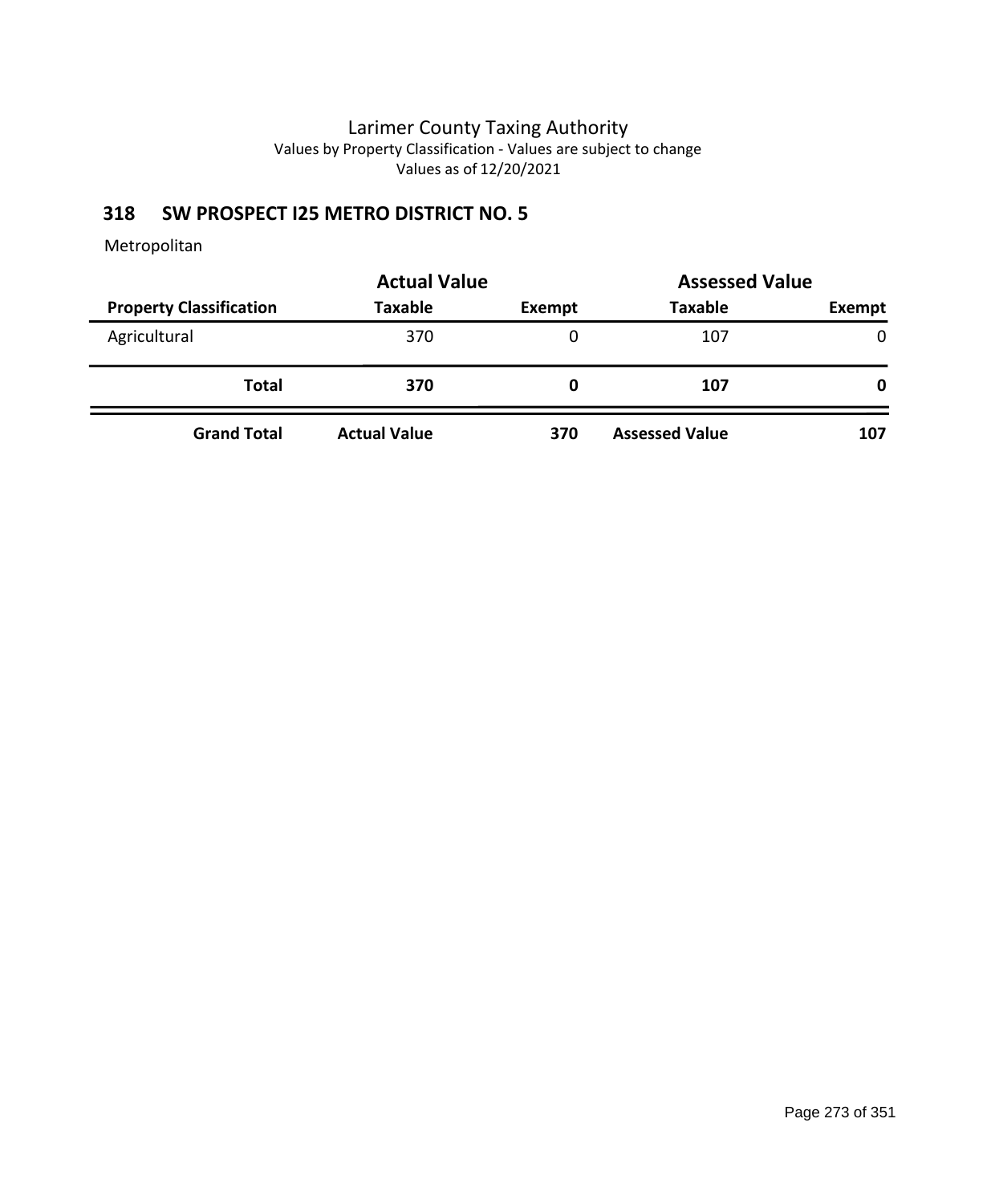### **318 SW PROSPECT I25 METRO DISTRICT NO. 5**

|                                | <b>Actual Value</b> | <b>Assessed Value</b> |                       |        |
|--------------------------------|---------------------|-----------------------|-----------------------|--------|
| <b>Property Classification</b> | <b>Taxable</b>      | Exempt                | <b>Taxable</b>        | Exempt |
| Agricultural                   | 370                 | 0                     | 107                   | 0      |
| Total                          | 370                 | O                     | 107                   | 0      |
| <b>Grand Total</b>             | <b>Actual Value</b> | 370                   | <b>Assessed Value</b> | 107    |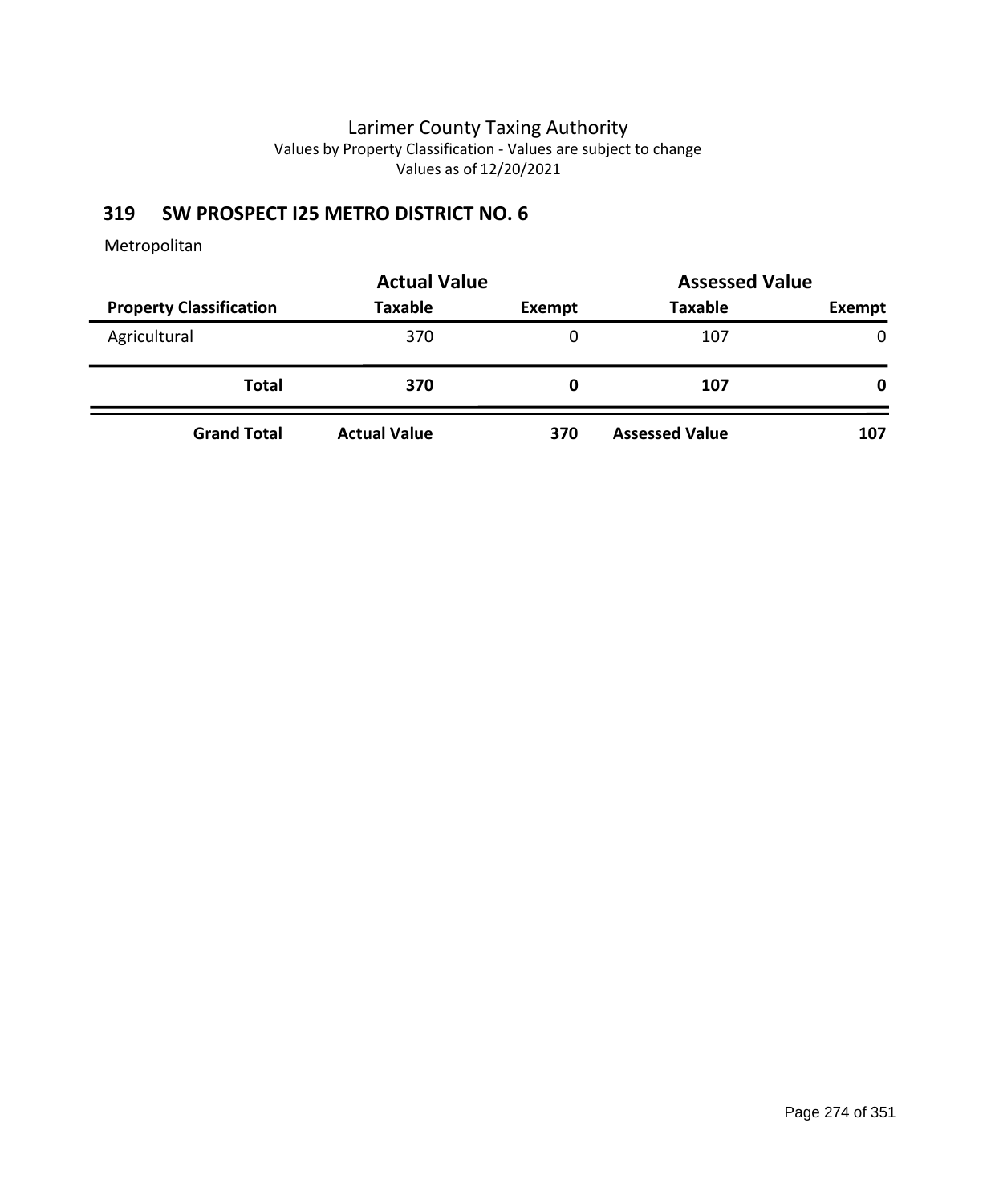### **319 SW PROSPECT I25 METRO DISTRICT NO. 6**

|                                | <b>Actual Value</b> | <b>Assessed Value</b> |                       |        |
|--------------------------------|---------------------|-----------------------|-----------------------|--------|
| <b>Property Classification</b> | <b>Taxable</b>      | Exempt                | <b>Taxable</b>        | Exempt |
| Agricultural                   | 370                 | 0                     | 107                   | 0      |
| Total                          | 370                 | O                     | 107                   | 0      |
| <b>Grand Total</b>             | <b>Actual Value</b> | 370                   | <b>Assessed Value</b> | 107    |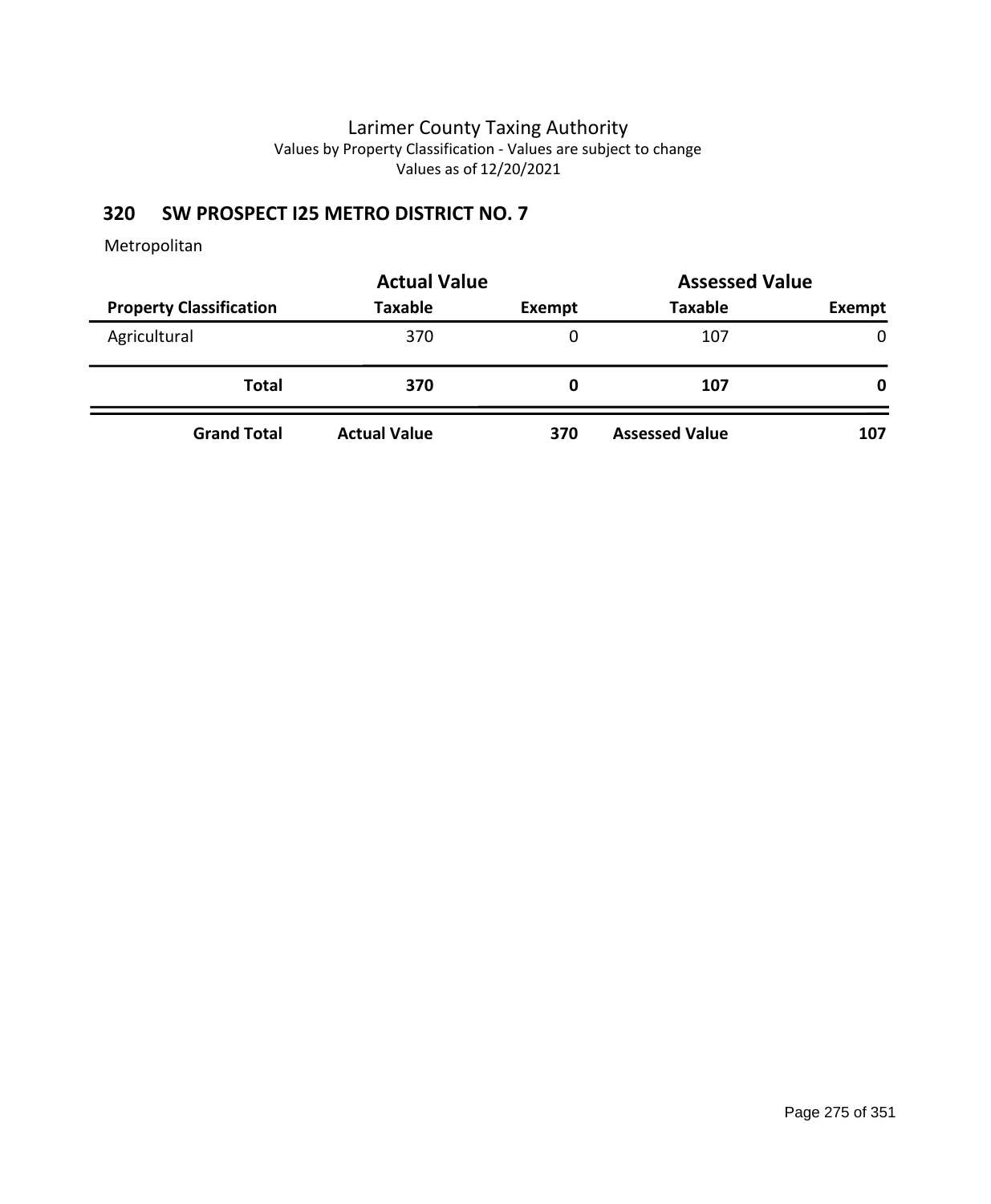### **320 SW PROSPECT I25 METRO DISTRICT NO. 7**

|                                | <b>Actual Value</b> | <b>Assessed Value</b> |                       |        |
|--------------------------------|---------------------|-----------------------|-----------------------|--------|
| <b>Property Classification</b> | <b>Taxable</b>      | Exempt                | <b>Taxable</b>        | Exempt |
| Agricultural                   | 370                 | 0                     | 107                   | 0      |
| Total                          | 370                 | O                     | 107                   | 0      |
| <b>Grand Total</b>             | <b>Actual Value</b> | 370                   | <b>Assessed Value</b> | 107    |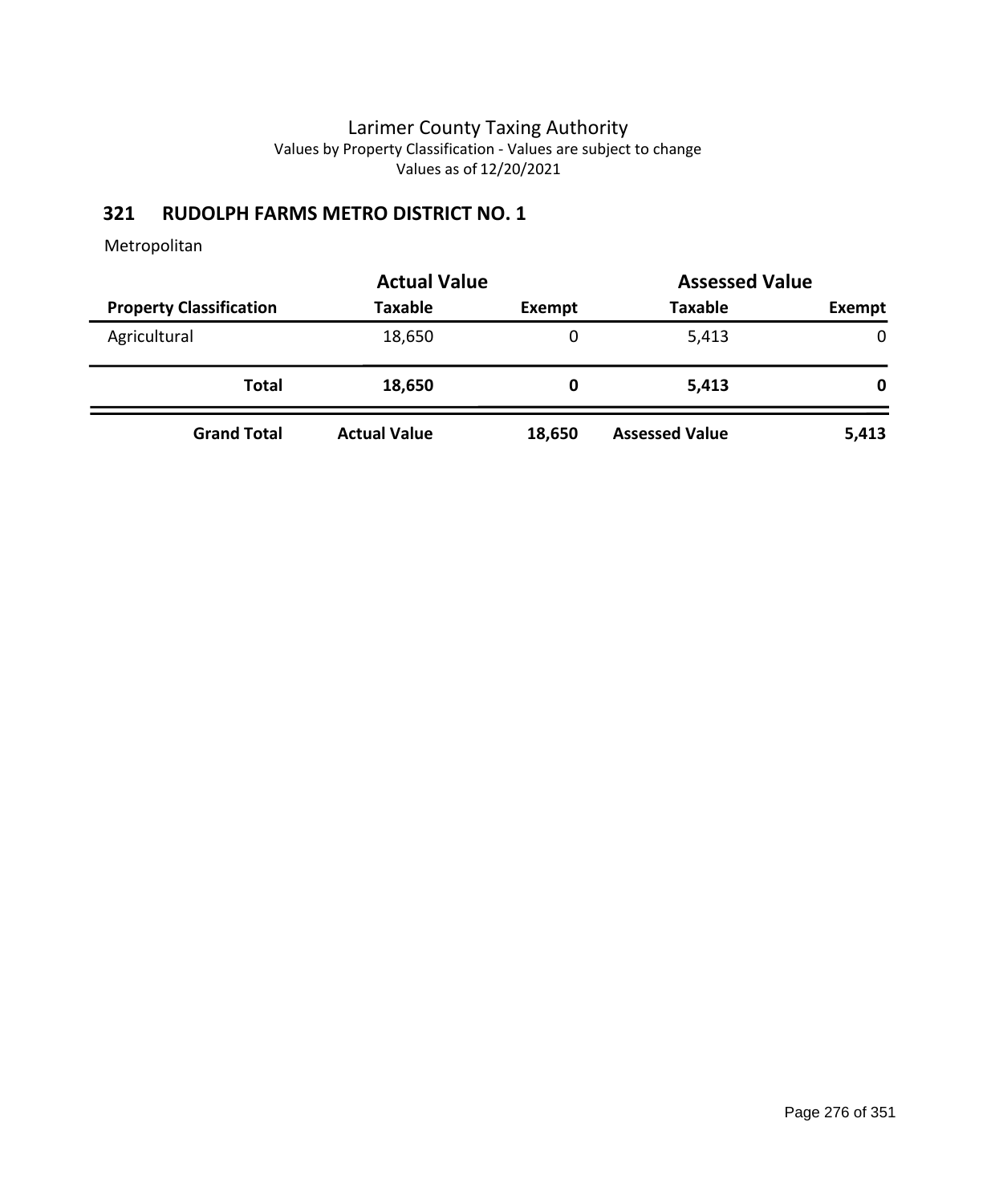### **321 RUDOLPH FARMS METRO DISTRICT NO. 1**

|                                | <b>Actual Value</b> | <b>Assessed Value</b> |                       |             |  |
|--------------------------------|---------------------|-----------------------|-----------------------|-------------|--|
| <b>Property Classification</b> | <b>Taxable</b>      | <b>Exempt</b>         | <b>Taxable</b>        | Exempt      |  |
| Agricultural                   | 18,650              | 0                     | 5,413                 | $\mathbf 0$ |  |
| <b>Total</b>                   | 18,650              | O                     | 5,413                 | 0           |  |
| <b>Grand Total</b>             | <b>Actual Value</b> | 18,650                | <b>Assessed Value</b> | 5,413       |  |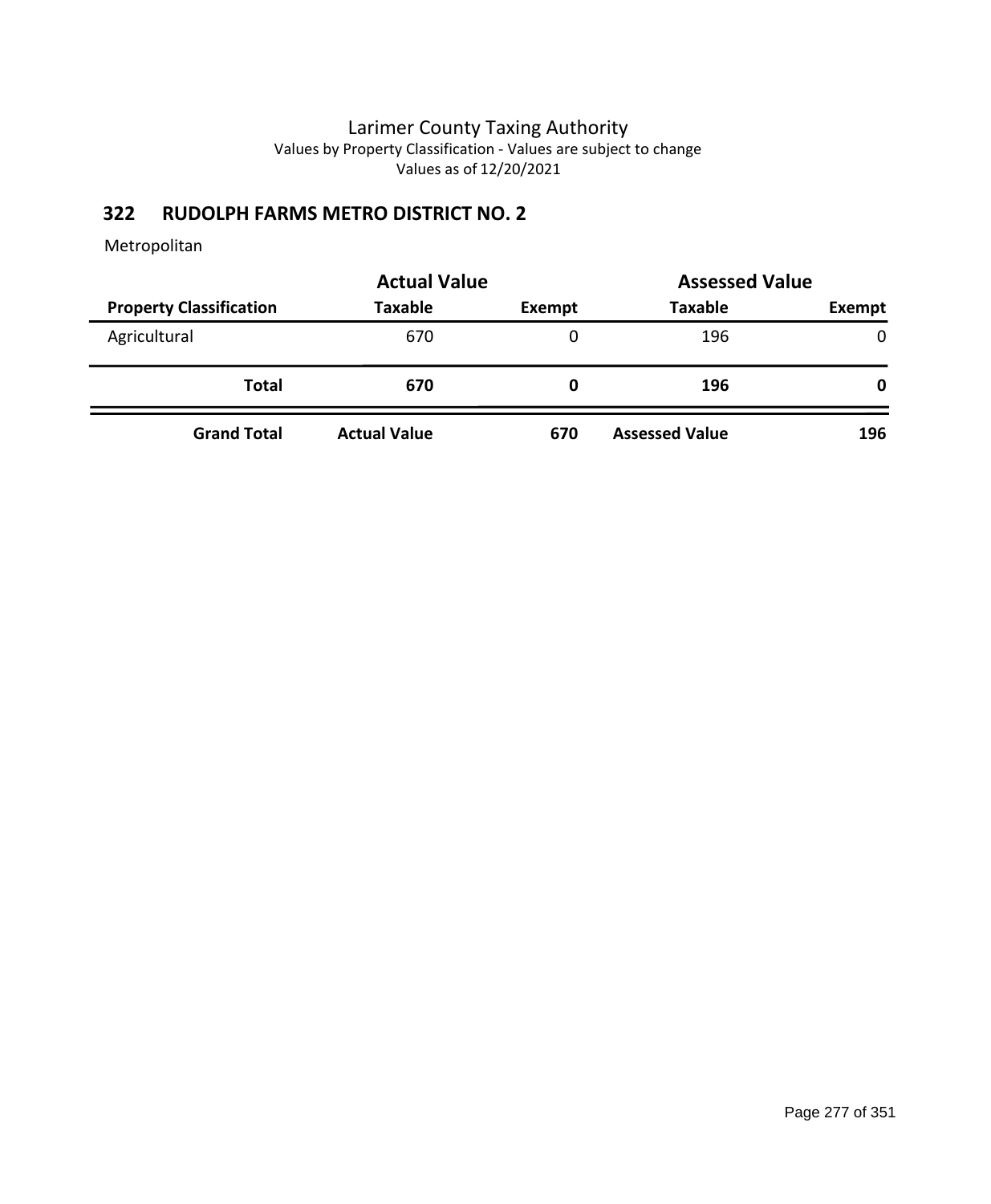### **322 RUDOLPH FARMS METRO DISTRICT NO. 2**

|                                | <b>Actual Value</b> | <b>Assessed Value</b> |                       |              |
|--------------------------------|---------------------|-----------------------|-----------------------|--------------|
| <b>Property Classification</b> | <b>Taxable</b>      | Exempt                | <b>Taxable</b>        | Exempt       |
| Agricultural                   | 670                 | 0                     | 196                   | $\mathbf{0}$ |
| <b>Total</b>                   | 670                 | O                     | 196                   | 0            |
| <b>Grand Total</b>             | <b>Actual Value</b> | 670                   | <b>Assessed Value</b> | 196          |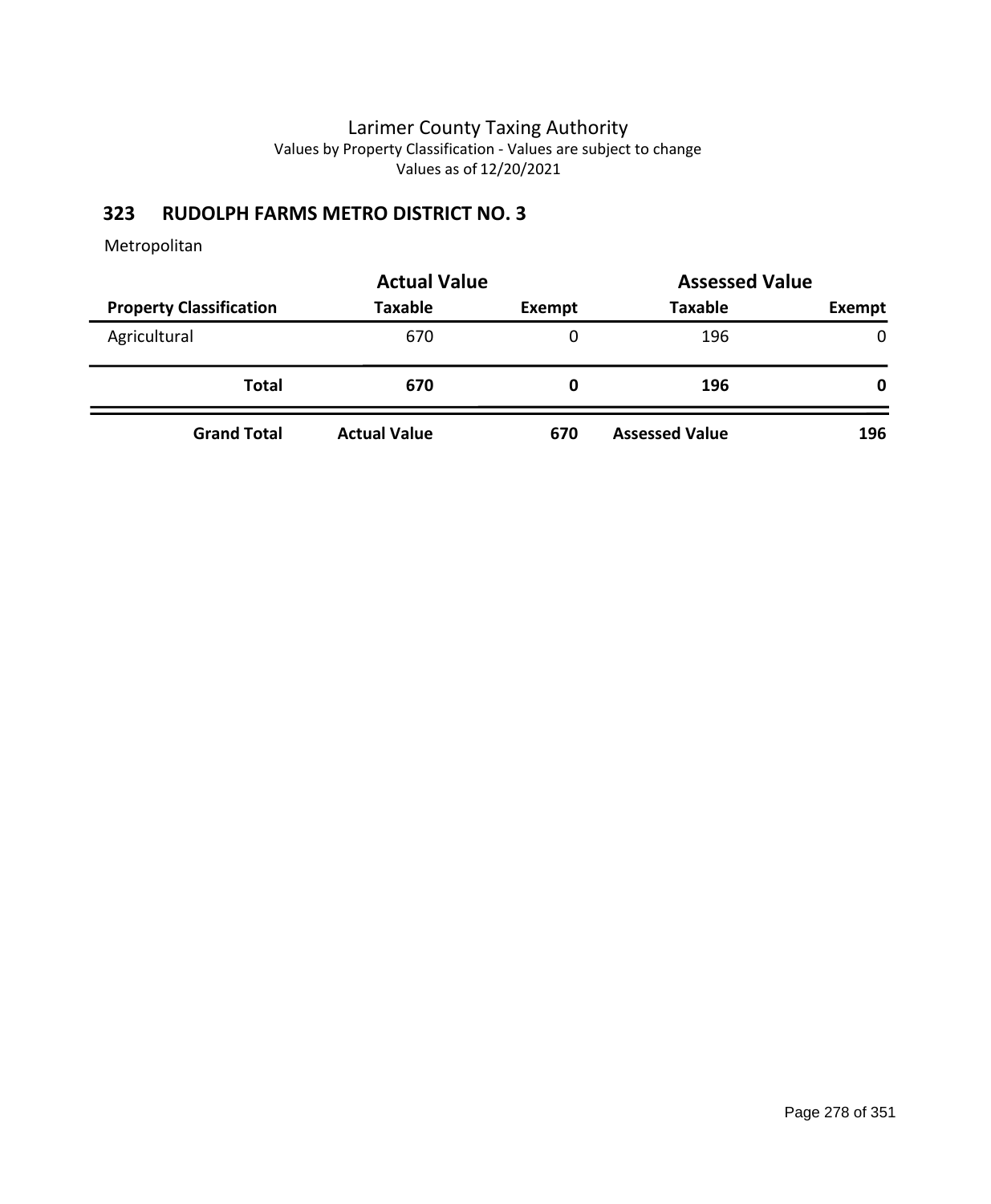### **323 RUDOLPH FARMS METRO DISTRICT NO. 3**

|                                | <b>Actual Value</b> | <b>Assessed Value</b> |                       |               |  |
|--------------------------------|---------------------|-----------------------|-----------------------|---------------|--|
| <b>Property Classification</b> | <b>Taxable</b>      | Exempt                | <b>Taxable</b>        | <b>Exempt</b> |  |
| Agricultural                   | 670                 | 0                     | 196                   | $\mathbf{0}$  |  |
| <b>Total</b>                   | 670                 | O                     | 196                   | 0             |  |
| <b>Grand Total</b>             | <b>Actual Value</b> | 670                   | <b>Assessed Value</b> | 196           |  |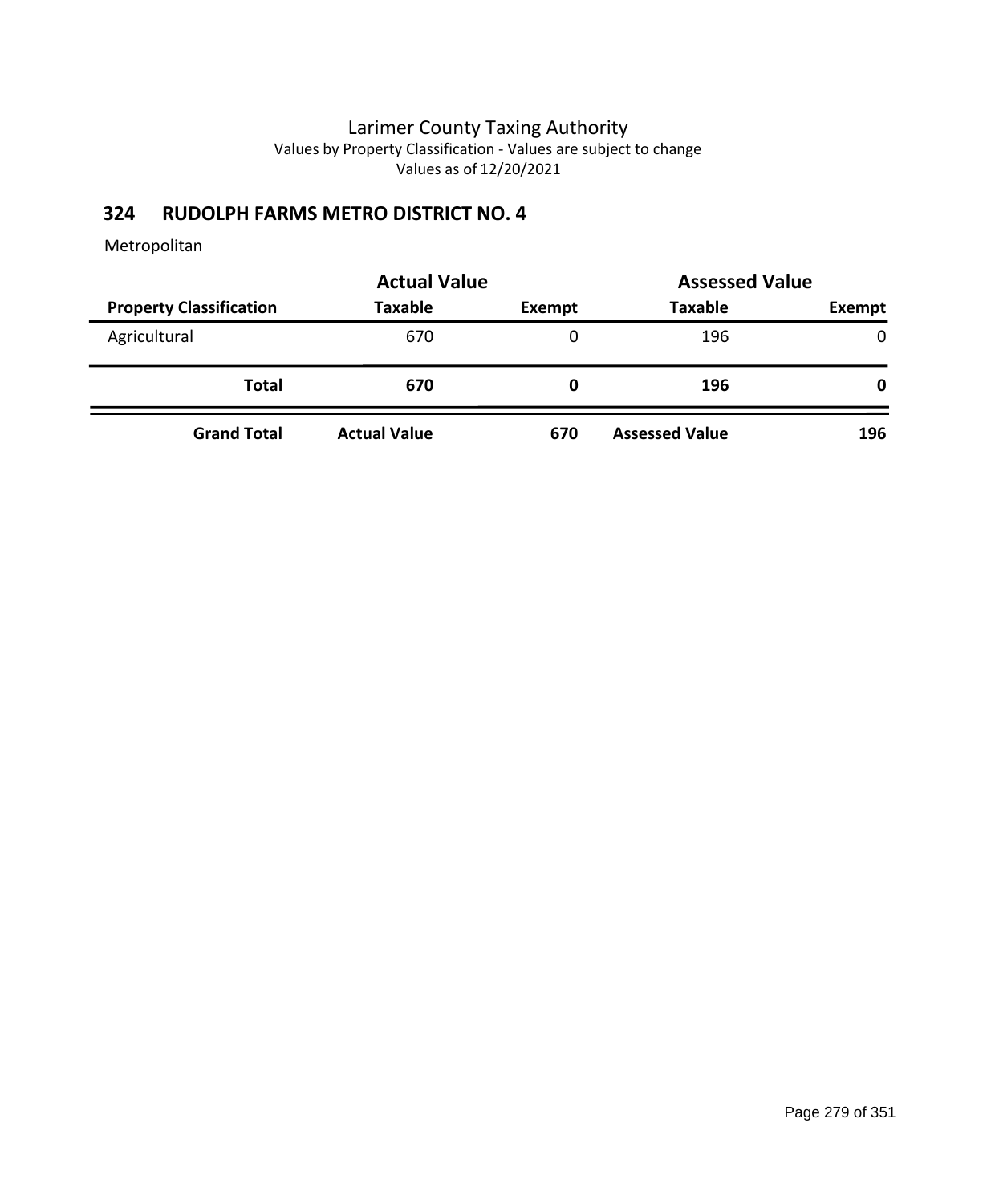### **324 RUDOLPH FARMS METRO DISTRICT NO. 4**

|                                | <b>Actual Value</b> | <b>Assessed Value</b> |                       |               |  |
|--------------------------------|---------------------|-----------------------|-----------------------|---------------|--|
| <b>Property Classification</b> | <b>Taxable</b>      | Exempt                | <b>Taxable</b>        | <b>Exempt</b> |  |
| Agricultural                   | 670                 | 0                     | 196                   | $\mathbf{0}$  |  |
| <b>Total</b>                   | 670                 | O                     | 196                   | 0             |  |
| <b>Grand Total</b>             | <b>Actual Value</b> | 670                   | <b>Assessed Value</b> | 196           |  |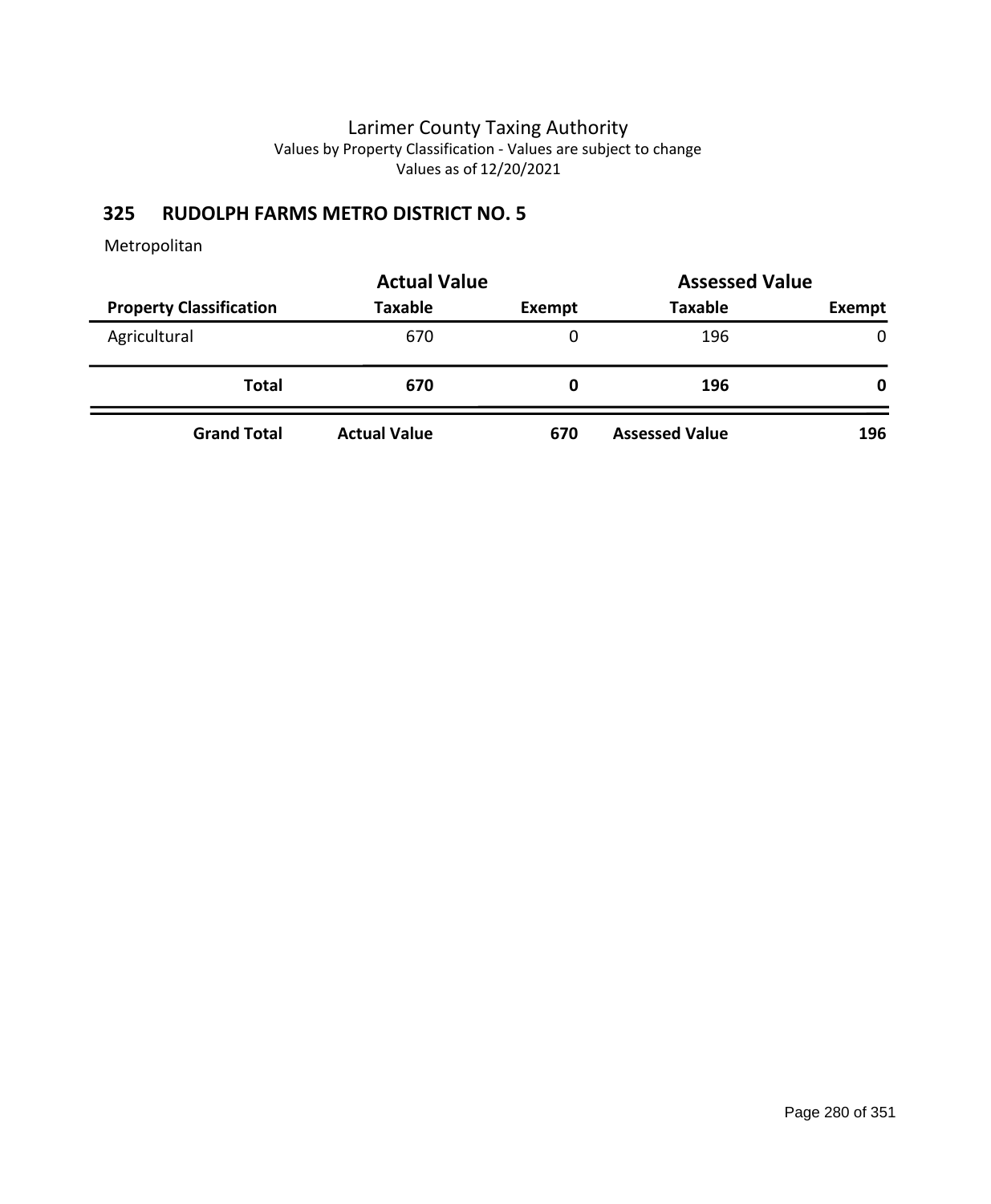### **325 RUDOLPH FARMS METRO DISTRICT NO. 5**

|                                | <b>Actual Value</b> | <b>Assessed Value</b> |                       |              |
|--------------------------------|---------------------|-----------------------|-----------------------|--------------|
| <b>Property Classification</b> | <b>Taxable</b>      | Exempt                | <b>Taxable</b>        | Exempt       |
| Agricultural                   | 670                 | 0                     | 196                   | $\mathbf{0}$ |
| <b>Total</b>                   | 670                 | O                     | 196                   | 0            |
| <b>Grand Total</b>             | <b>Actual Value</b> | 670                   | <b>Assessed Value</b> | 196          |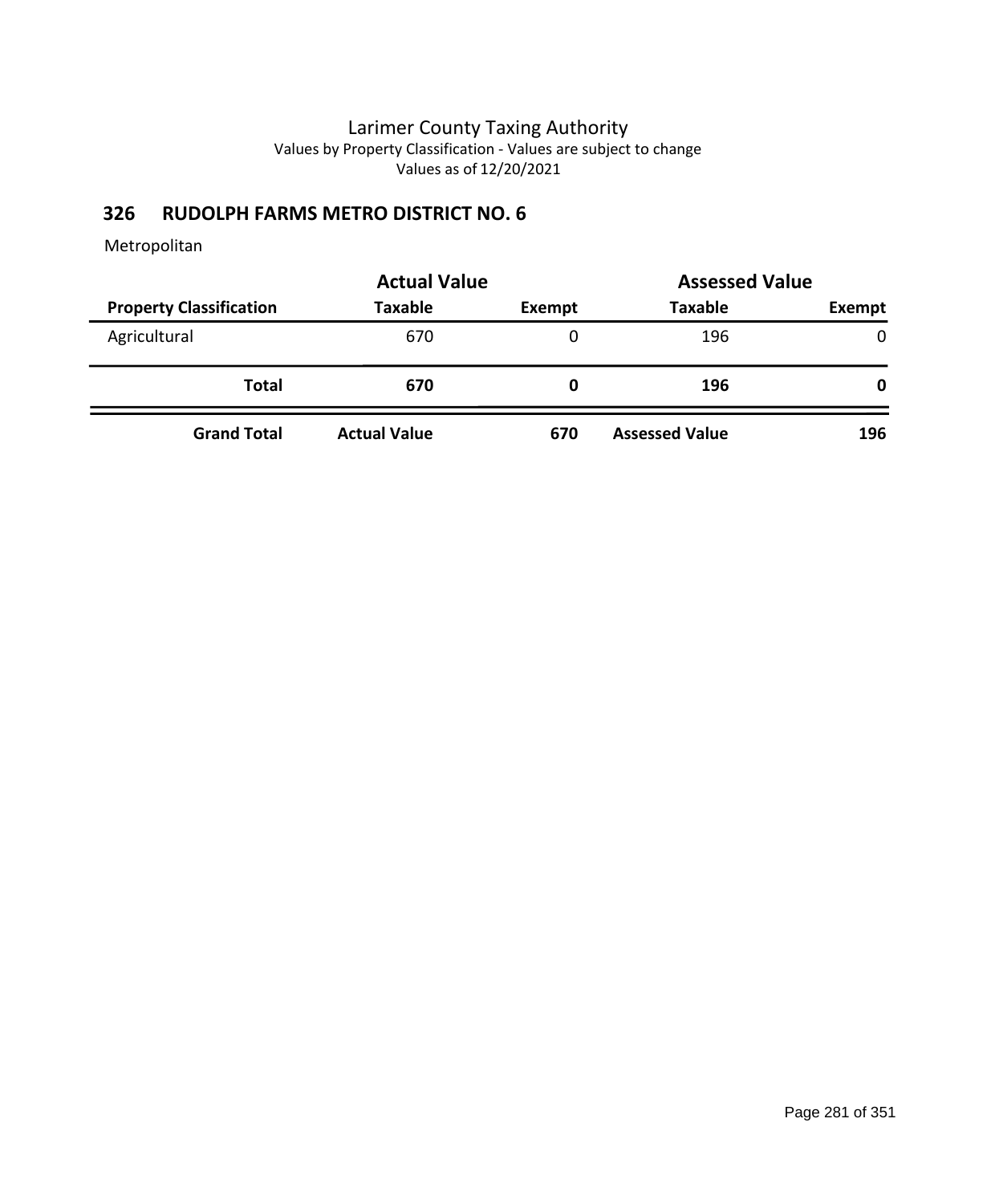### **326 RUDOLPH FARMS METRO DISTRICT NO. 6**

|                                | <b>Actual Value</b> | <b>Assessed Value</b> |                       |        |
|--------------------------------|---------------------|-----------------------|-----------------------|--------|
| <b>Property Classification</b> | Taxable             | Exempt                | <b>Taxable</b>        | Exempt |
| Agricultural                   | 670                 | 0                     | 196                   | 0      |
| Total                          | 670                 | O                     | 196                   | 0      |
| <b>Grand Total</b>             | <b>Actual Value</b> | 670                   | <b>Assessed Value</b> | 196    |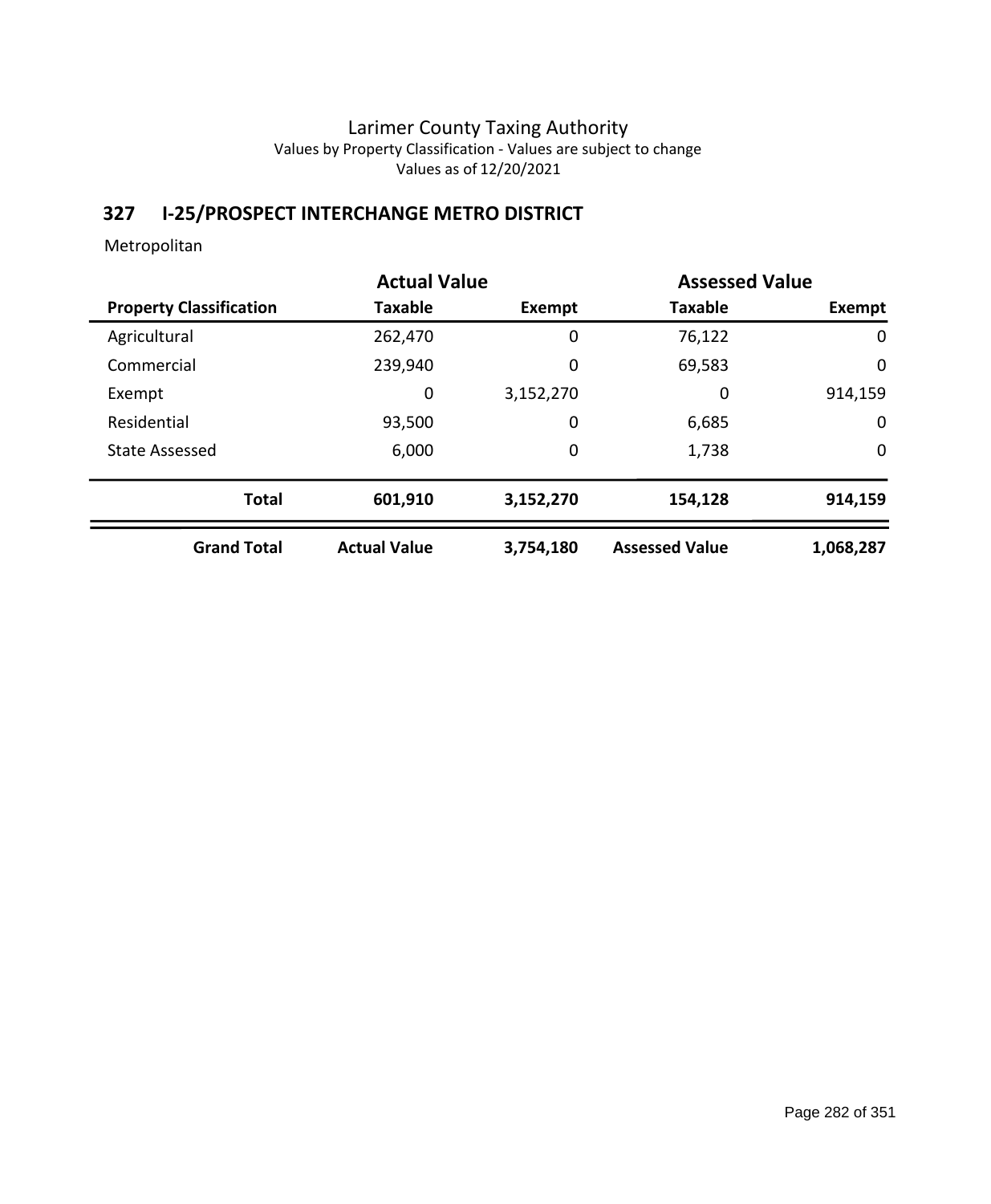# **327 I-25/PROSPECT INTERCHANGE METRO DISTRICT**

|                                |                     | <b>Actual Value</b> |                       | <b>Assessed Value</b> |
|--------------------------------|---------------------|---------------------|-----------------------|-----------------------|
| <b>Property Classification</b> | <b>Taxable</b>      | Exempt              | <b>Taxable</b>        | Exempt                |
| Agricultural                   | 262,470             | 0                   | 76,122                | 0                     |
| Commercial                     | 239,940             | 0                   | 69,583                | 0                     |
| Exempt                         | 0                   | 3,152,270           | 0                     | 914,159               |
| Residential                    | 93,500              | 0                   | 6,685                 | $\mathbf 0$           |
| <b>State Assessed</b>          | 6,000               | 0                   | 1,738                 | 0                     |
| <b>Total</b>                   | 601,910             | 3,152,270           | 154,128               | 914,159               |
| <b>Grand Total</b>             | <b>Actual Value</b> | 3,754,180           | <b>Assessed Value</b> | 1,068,287             |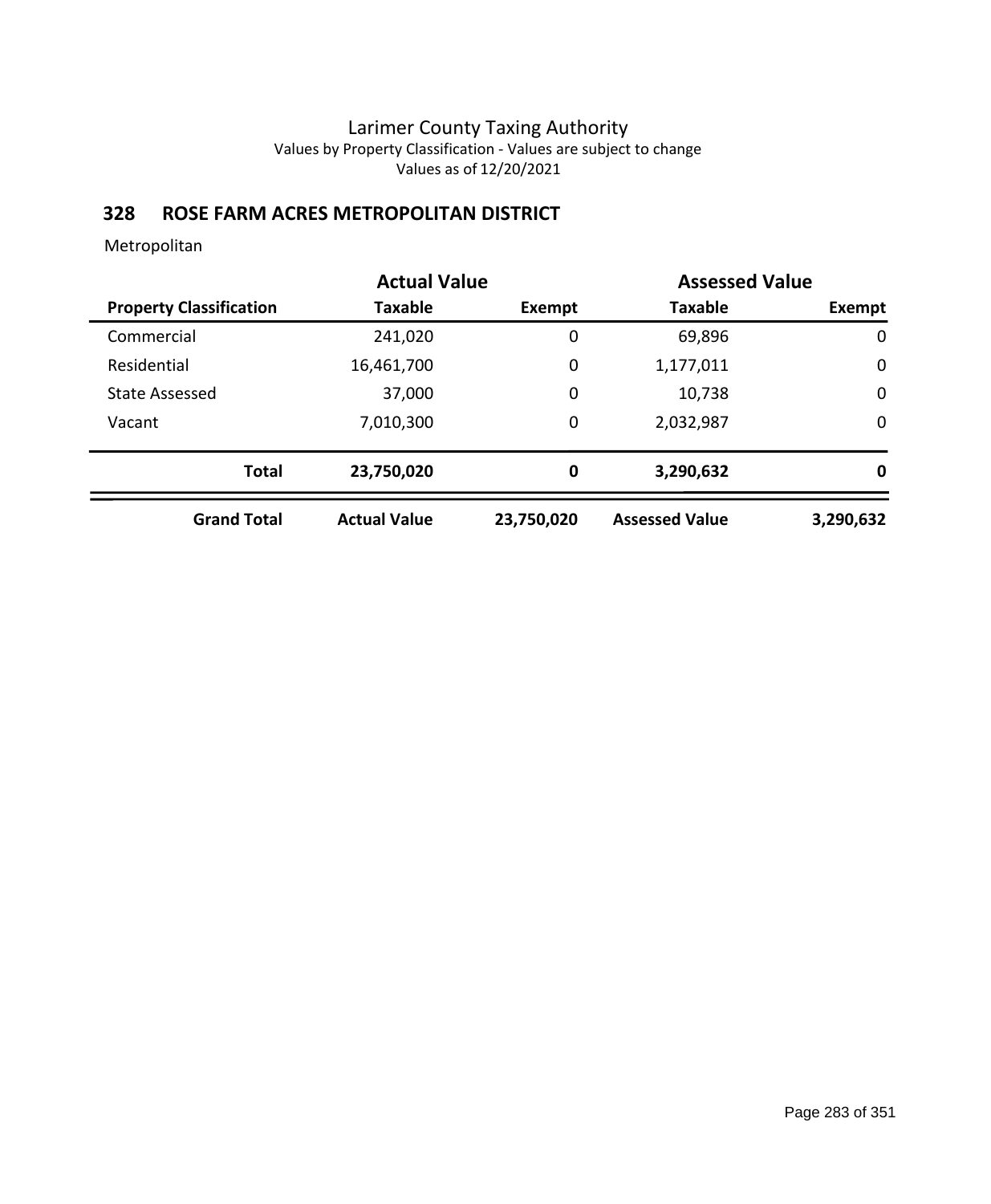# **328 ROSE FARM ACRES METROPOLITAN DISTRICT**

|                                | <b>Actual Value</b> |            | <b>Assessed Value</b> |             |
|--------------------------------|---------------------|------------|-----------------------|-------------|
| <b>Property Classification</b> | Taxable             | Exempt     | <b>Taxable</b>        | Exempt      |
| Commercial                     | 241,020             | 0          | 69,896                | 0           |
| Residential                    | 16,461,700          | 0          | 1,177,011             | $\mathbf 0$ |
| <b>State Assessed</b>          | 37,000              | 0          | 10,738                | $\mathbf 0$ |
| Vacant                         | 7,010,300           | 0          | 2,032,987             | 0           |
| <b>Total</b>                   | 23,750,020          | 0          | 3,290,632             | 0           |
| <b>Grand Total</b>             | <b>Actual Value</b> | 23,750,020 | <b>Assessed Value</b> | 3,290,632   |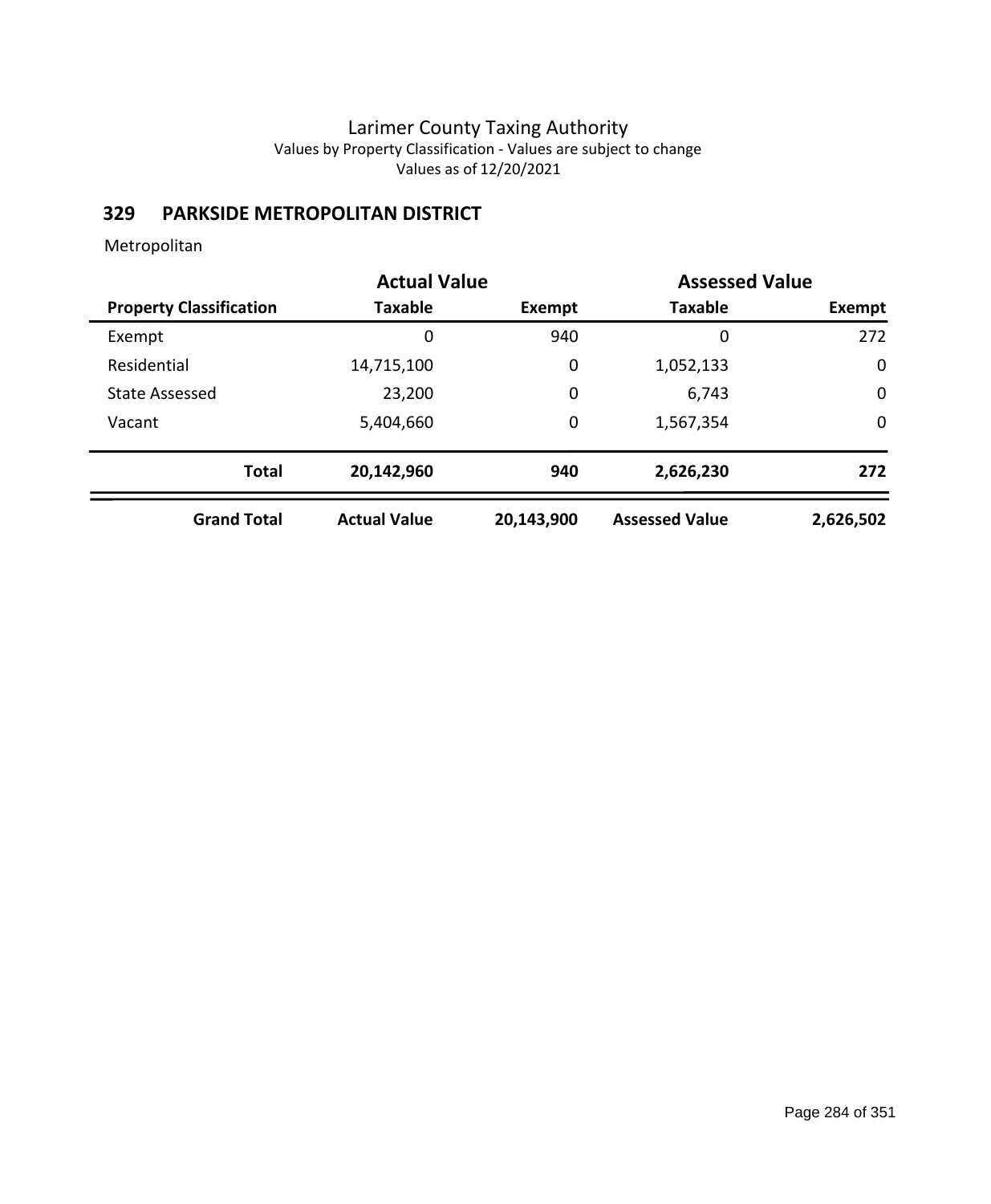# **329 PARKSIDE METROPOLITAN DISTRICT**

|                                | <b>Actual Value</b> |               | <b>Assessed Value</b> |             |
|--------------------------------|---------------------|---------------|-----------------------|-------------|
| <b>Property Classification</b> | <b>Taxable</b>      | <b>Exempt</b> | <b>Taxable</b>        | Exempt      |
| Exempt                         | 0                   | 940           | 0                     | 272         |
| Residential                    | 14,715,100          | 0             | 1,052,133             | 0           |
| <b>State Assessed</b>          | 23,200              | 0             | 6,743                 | $\mathbf 0$ |
| Vacant                         | 5,404,660           | 0             | 1,567,354             | $\mathbf 0$ |
| <b>Total</b>                   | 20,142,960          | 940           | 2,626,230             | 272         |
| <b>Grand Total</b>             | <b>Actual Value</b> | 20,143,900    | <b>Assessed Value</b> | 2,626,502   |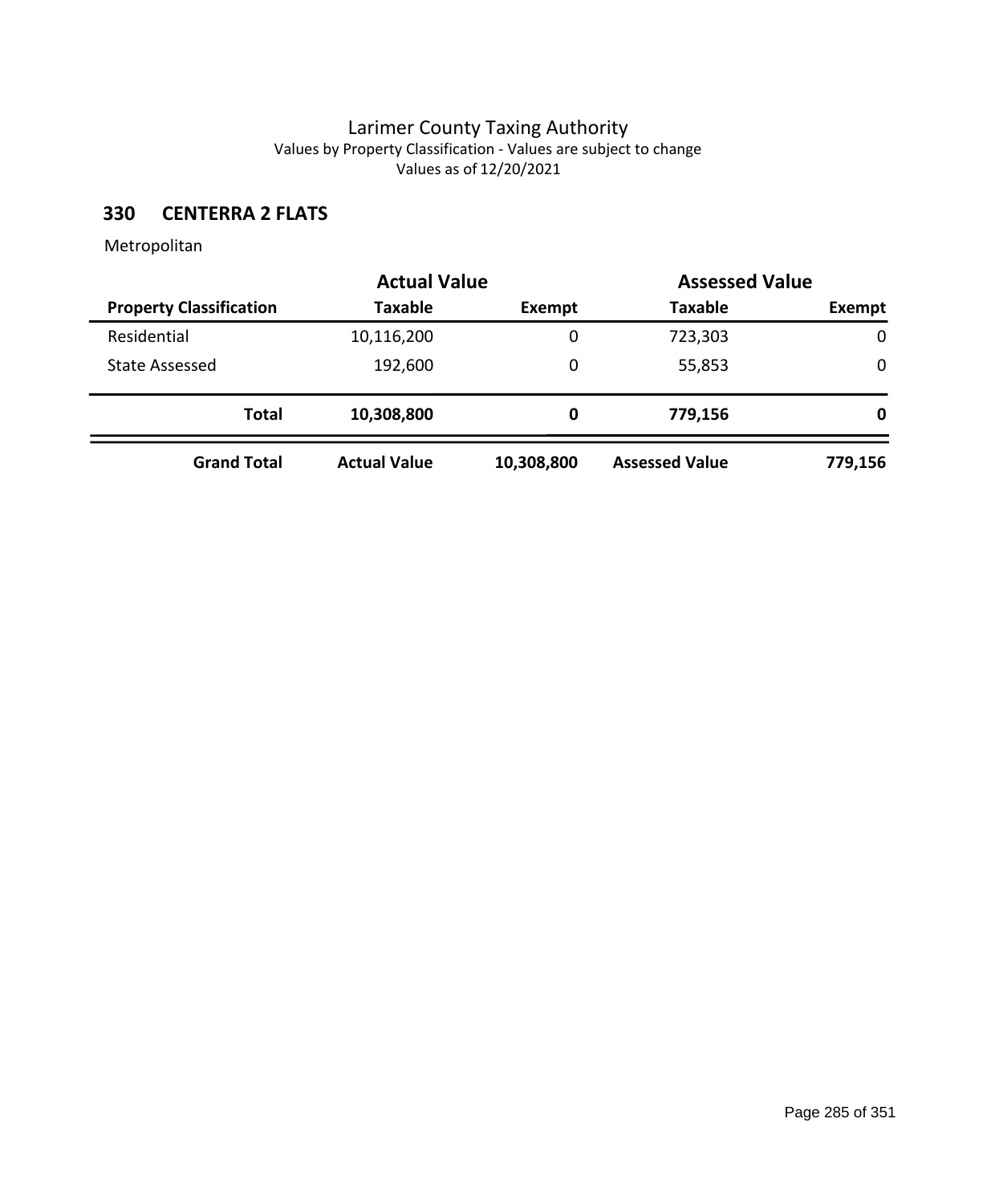### **330 CENTERRA 2 FLATS**

|                                |                     | <b>Actual Value</b> |                       | <b>Assessed Value</b> |  |
|--------------------------------|---------------------|---------------------|-----------------------|-----------------------|--|
| <b>Property Classification</b> | <b>Taxable</b>      | Exempt              | <b>Taxable</b>        | Exempt                |  |
| Residential                    | 10,116,200          | 0                   | 723,303               | 0                     |  |
| State Assessed                 | 192,600             | 0                   | 55,853                | 0                     |  |
| <b>Total</b>                   | 10,308,800          | 0                   | 779,156               | 0                     |  |
| <b>Grand Total</b>             | <b>Actual Value</b> | 10,308,800          | <b>Assessed Value</b> | 779,156               |  |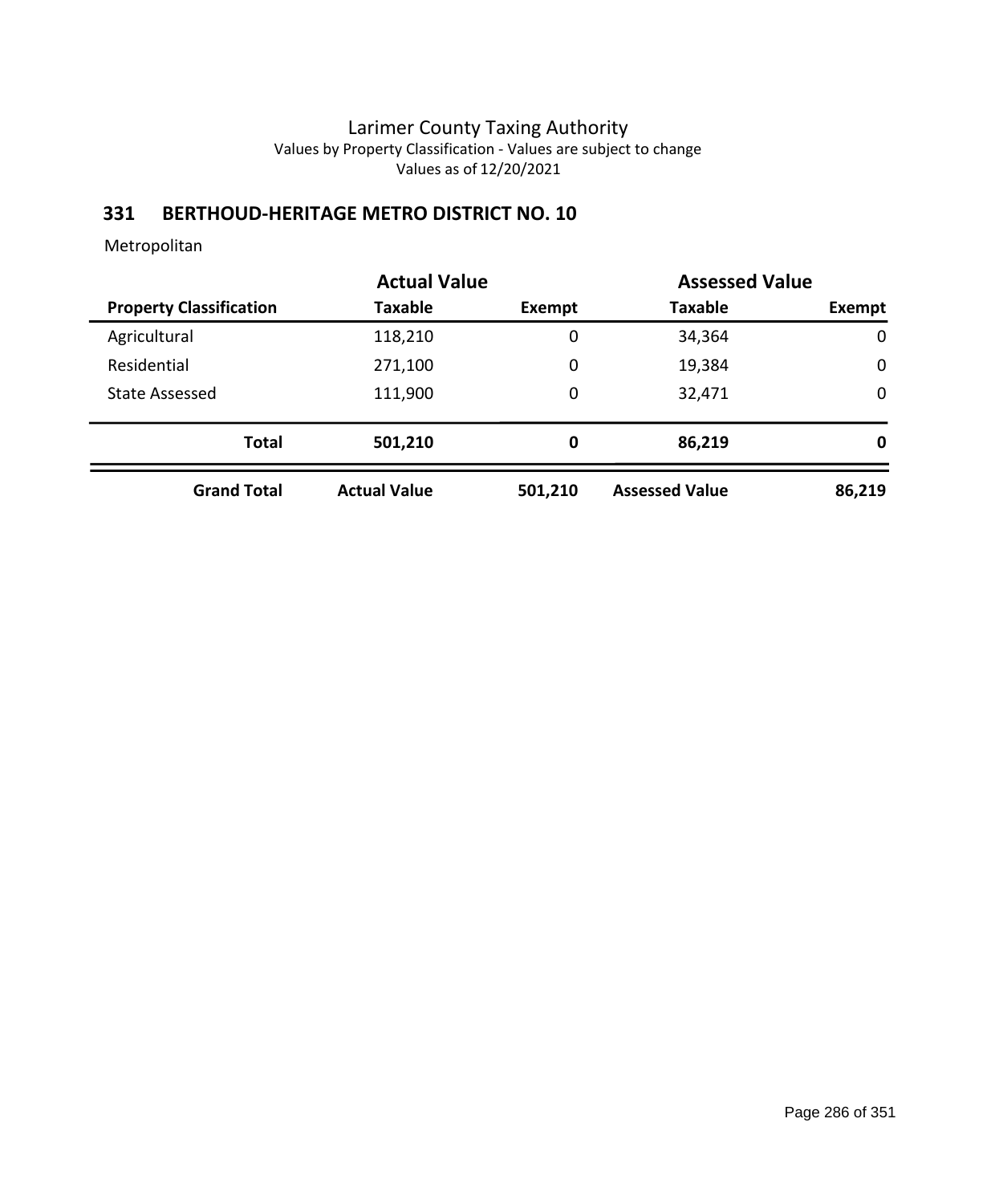### **331 BERTHOUD-HERITAGE METRO DISTRICT NO. 10**

|                                | <b>Actual Value</b> |         | <b>Assessed Value</b> |             |
|--------------------------------|---------------------|---------|-----------------------|-------------|
| <b>Property Classification</b> | <b>Taxable</b>      | Exempt  | <b>Taxable</b>        | Exempt      |
| Agricultural                   | 118,210             | 0       | 34,364                | $\mathbf 0$ |
| Residential                    | 271,100             | 0       | 19,384                | $\mathbf 0$ |
| <b>State Assessed</b>          | 111,900             | 0       | 32,471                | 0           |
| <b>Total</b>                   | 501,210             | 0       | 86,219                | 0           |
| <b>Grand Total</b>             | <b>Actual Value</b> | 501,210 | <b>Assessed Value</b> | 86,219      |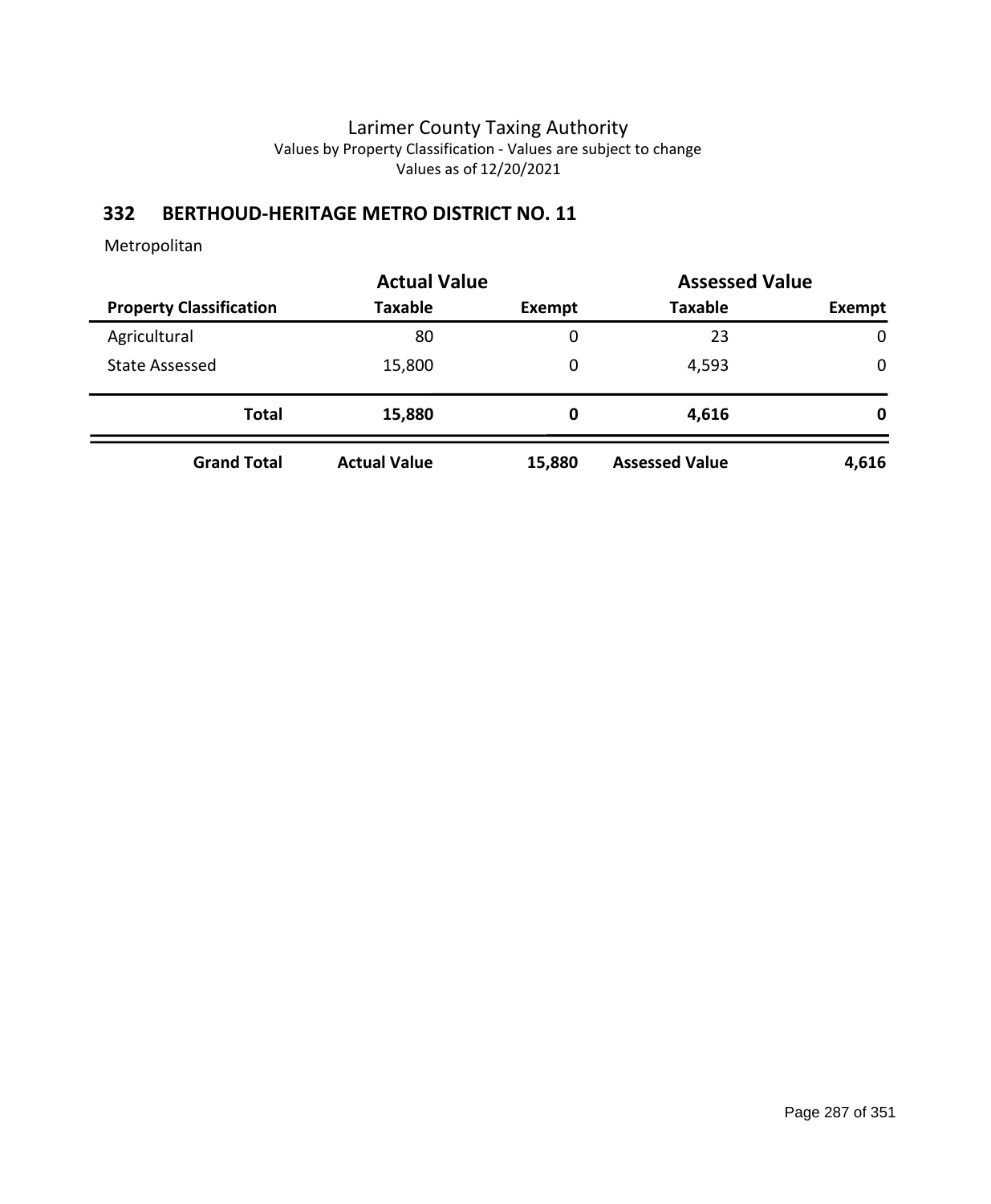# **332 BERTHOUD-HERITAGE METRO DISTRICT NO. 11**

|                                |                     | <b>Actual Value</b> |                       | <b>Assessed Value</b> |
|--------------------------------|---------------------|---------------------|-----------------------|-----------------------|
| <b>Property Classification</b> | <b>Taxable</b>      | Exempt              | <b>Taxable</b>        | Exempt                |
| Agricultural                   | 80                  | 0                   | 23                    | $\mathbf 0$           |
| State Assessed                 | 15,800              | 0                   | 4,593                 | $\mathbf 0$           |
| <b>Total</b>                   | 15,880              | 0                   | 4,616                 | 0                     |
| <b>Grand Total</b>             | <b>Actual Value</b> | 15,880              | <b>Assessed Value</b> | 4,616                 |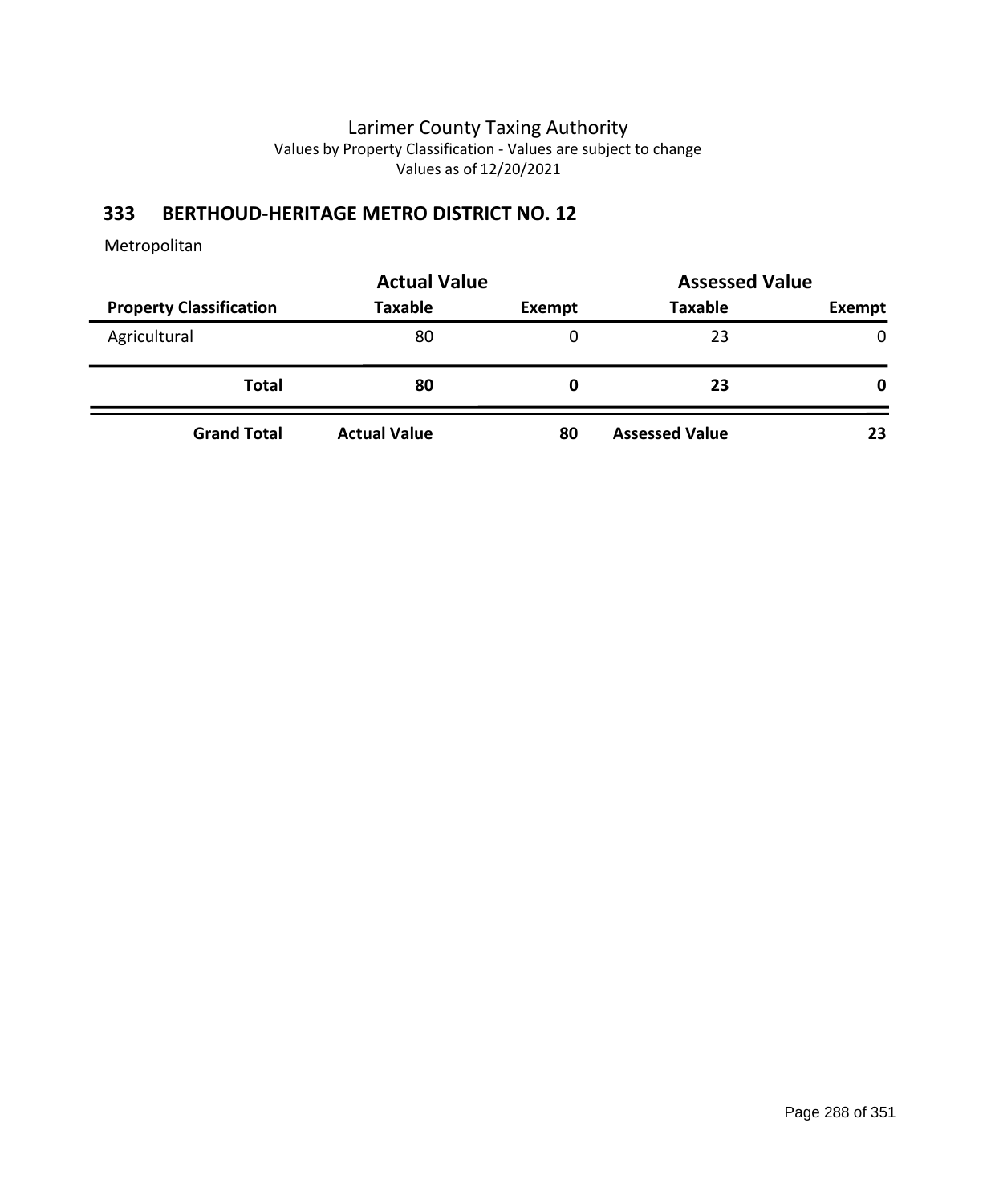### **333 BERTHOUD-HERITAGE METRO DISTRICT NO. 12**

|                                | <b>Actual Value</b> | <b>Assessed Value</b> |                       |               |  |
|--------------------------------|---------------------|-----------------------|-----------------------|---------------|--|
| <b>Property Classification</b> | <b>Taxable</b>      | <b>Exempt</b>         | <b>Taxable</b>        | <b>Exempt</b> |  |
| Agricultural                   | 80                  |                       | 23                    | $\mathbf{0}$  |  |
| <b>Total</b>                   | 80                  | 0                     | 23                    | 0             |  |
| <b>Grand Total</b>             | <b>Actual Value</b> | 80                    | <b>Assessed Value</b> | 23            |  |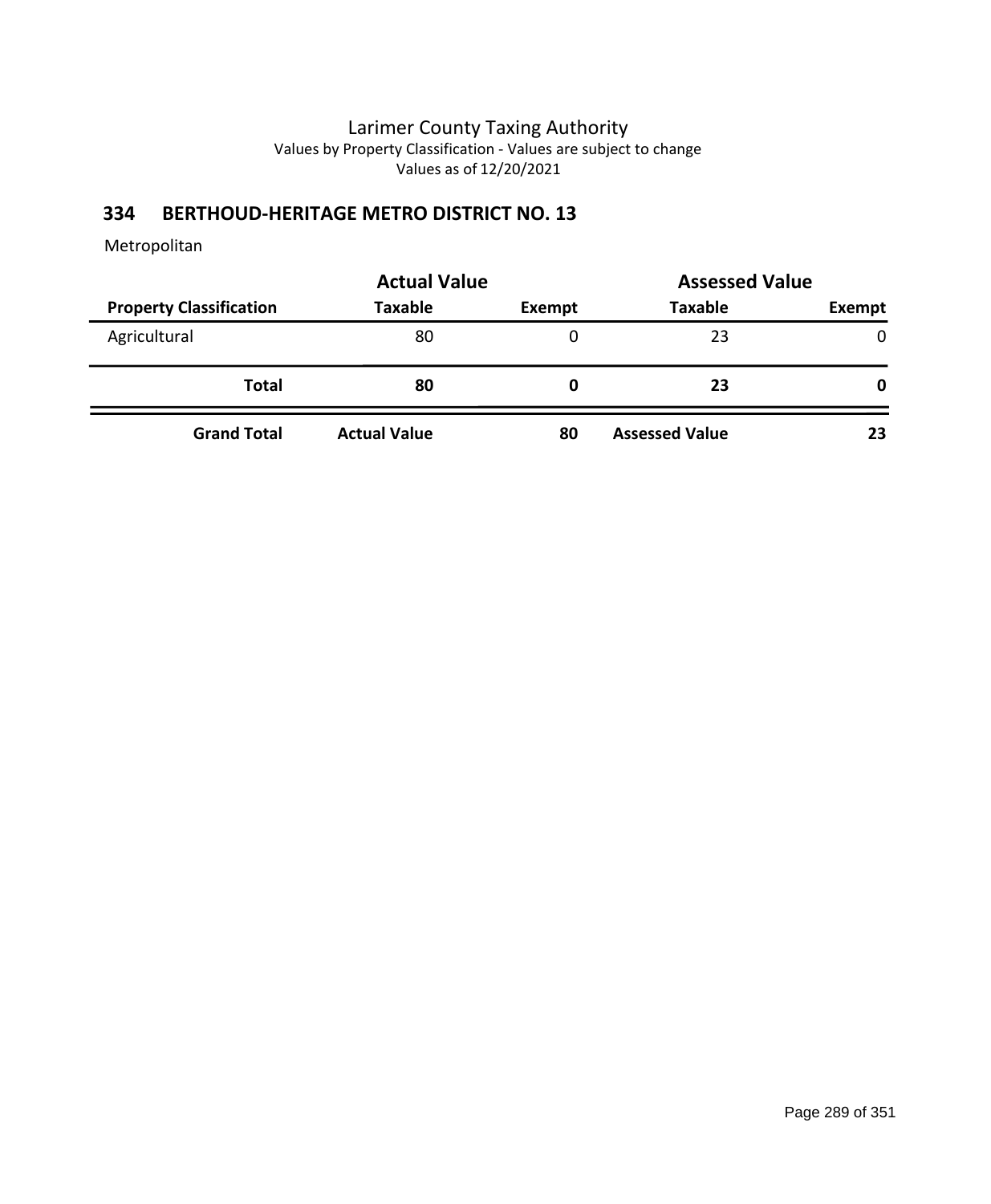# **334 BERTHOUD-HERITAGE METRO DISTRICT NO. 13**

|                                | <b>Actual Value</b> | <b>Assessed Value</b> |                       |              |  |
|--------------------------------|---------------------|-----------------------|-----------------------|--------------|--|
| <b>Property Classification</b> | <b>Taxable</b>      | <b>Exempt</b>         | <b>Taxable</b>        | Exempt       |  |
| Agricultural                   | 80                  |                       | 23                    | $\mathbf{0}$ |  |
| <b>Total</b>                   | 80                  | 0                     | 23                    | 0            |  |
| <b>Grand Total</b>             | <b>Actual Value</b> | 80                    | <b>Assessed Value</b> | 23           |  |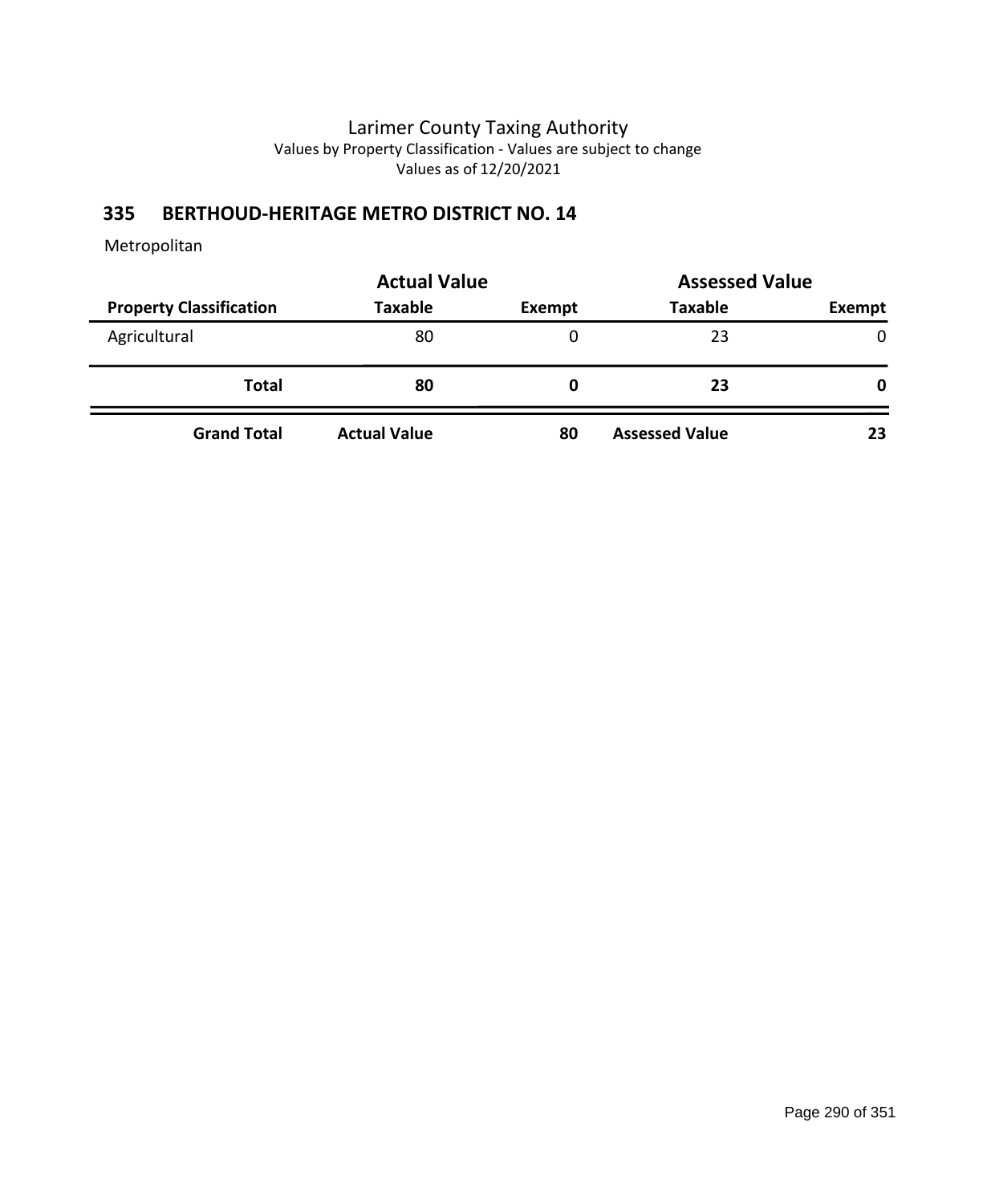# **335 BERTHOUD-HERITAGE METRO DISTRICT NO. 14**

|                                | <b>Actual Value</b> | <b>Assessed Value</b> |                       |              |  |
|--------------------------------|---------------------|-----------------------|-----------------------|--------------|--|
| <b>Property Classification</b> | <b>Taxable</b>      | Exempt                | <b>Taxable</b>        | Exempt       |  |
| Agricultural                   | 80                  | 0                     | 23                    | $\mathbf{0}$ |  |
| <b>Total</b>                   | 80                  | O                     | 23                    | 0            |  |
| <b>Grand Total</b>             | <b>Actual Value</b> | 80                    | <b>Assessed Value</b> | 23           |  |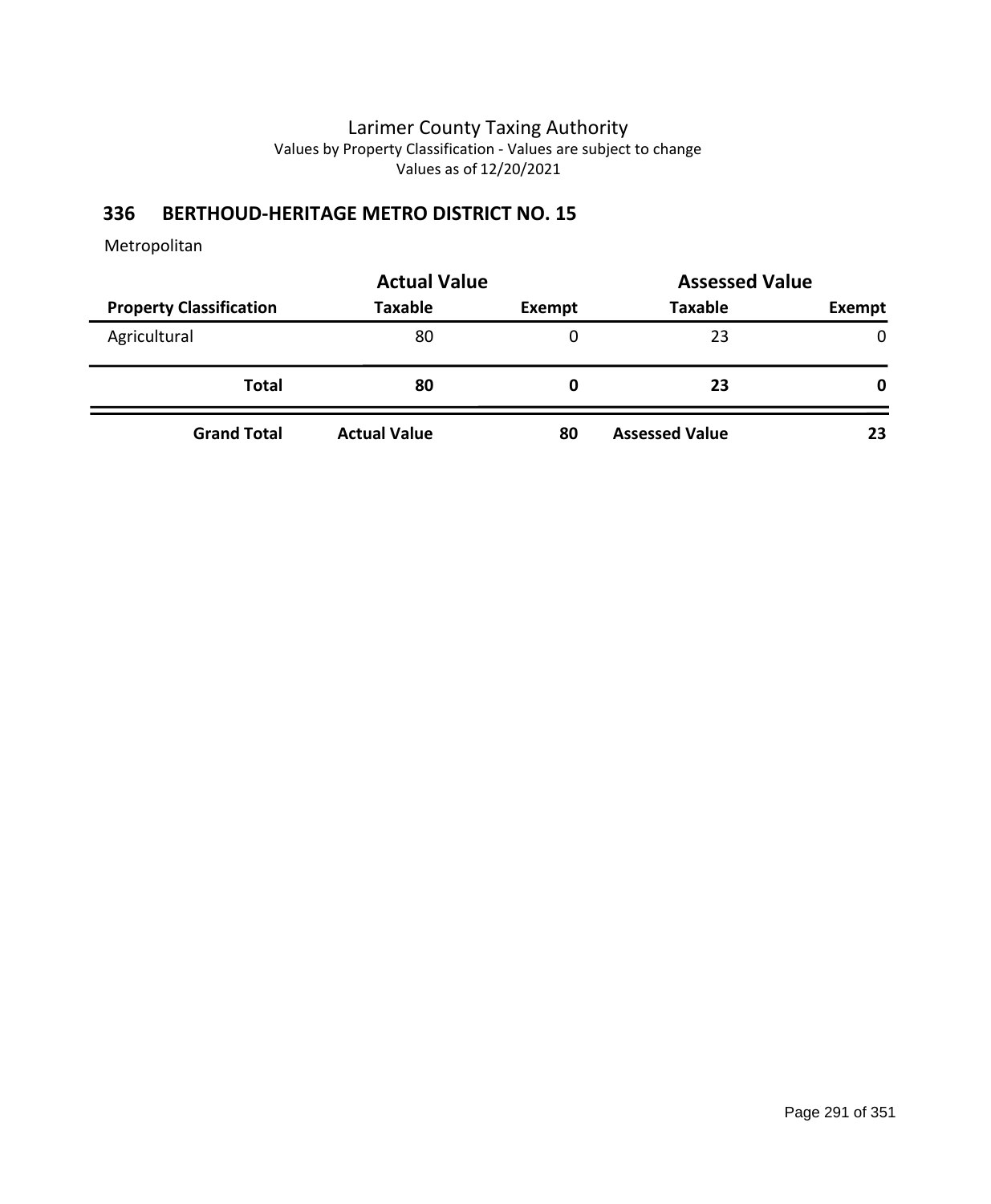# **336 BERTHOUD-HERITAGE METRO DISTRICT NO. 15**

|                                | <b>Actual Value</b> | <b>Assessed Value</b> |                       |              |  |
|--------------------------------|---------------------|-----------------------|-----------------------|--------------|--|
| <b>Property Classification</b> | <b>Taxable</b>      | <b>Exempt</b>         | <b>Taxable</b>        | Exempt       |  |
| Agricultural                   | 80                  |                       | 23                    | $\mathbf{0}$ |  |
| <b>Total</b>                   | 80                  | 0                     | 23                    | 0            |  |
| <b>Grand Total</b>             | <b>Actual Value</b> | 80                    | <b>Assessed Value</b> | 23           |  |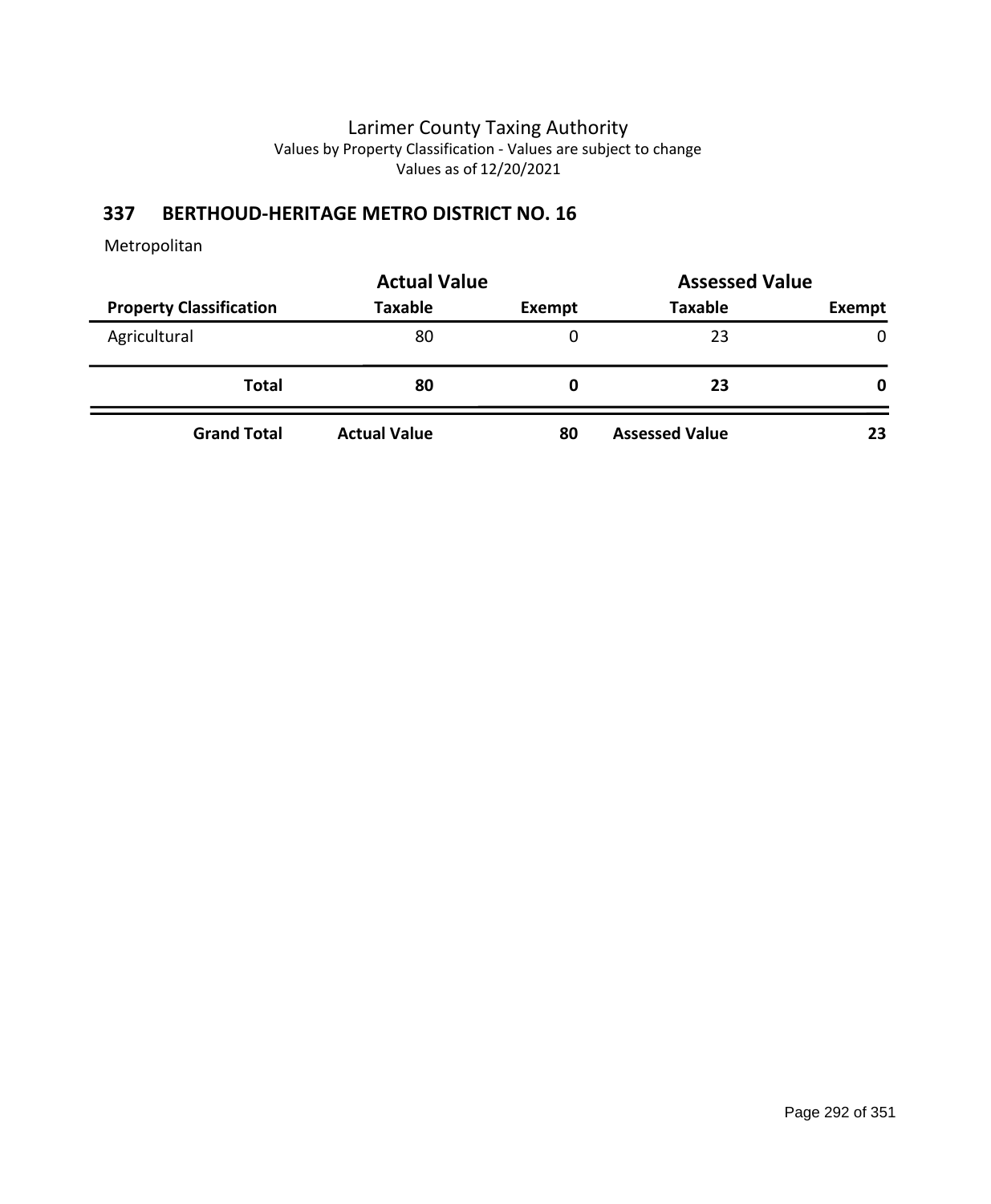# **337 BERTHOUD-HERITAGE METRO DISTRICT NO. 16**

|                                | <b>Actual Value</b> | <b>Assessed Value</b> |                       |              |  |
|--------------------------------|---------------------|-----------------------|-----------------------|--------------|--|
| <b>Property Classification</b> | <b>Taxable</b>      | <b>Exempt</b>         | <b>Taxable</b>        | Exempt       |  |
| Agricultural                   | 80                  |                       | 23                    | $\mathbf{0}$ |  |
| <b>Total</b>                   | 80                  | 0                     | 23                    | 0            |  |
| <b>Grand Total</b>             | <b>Actual Value</b> | 80                    | <b>Assessed Value</b> | 23           |  |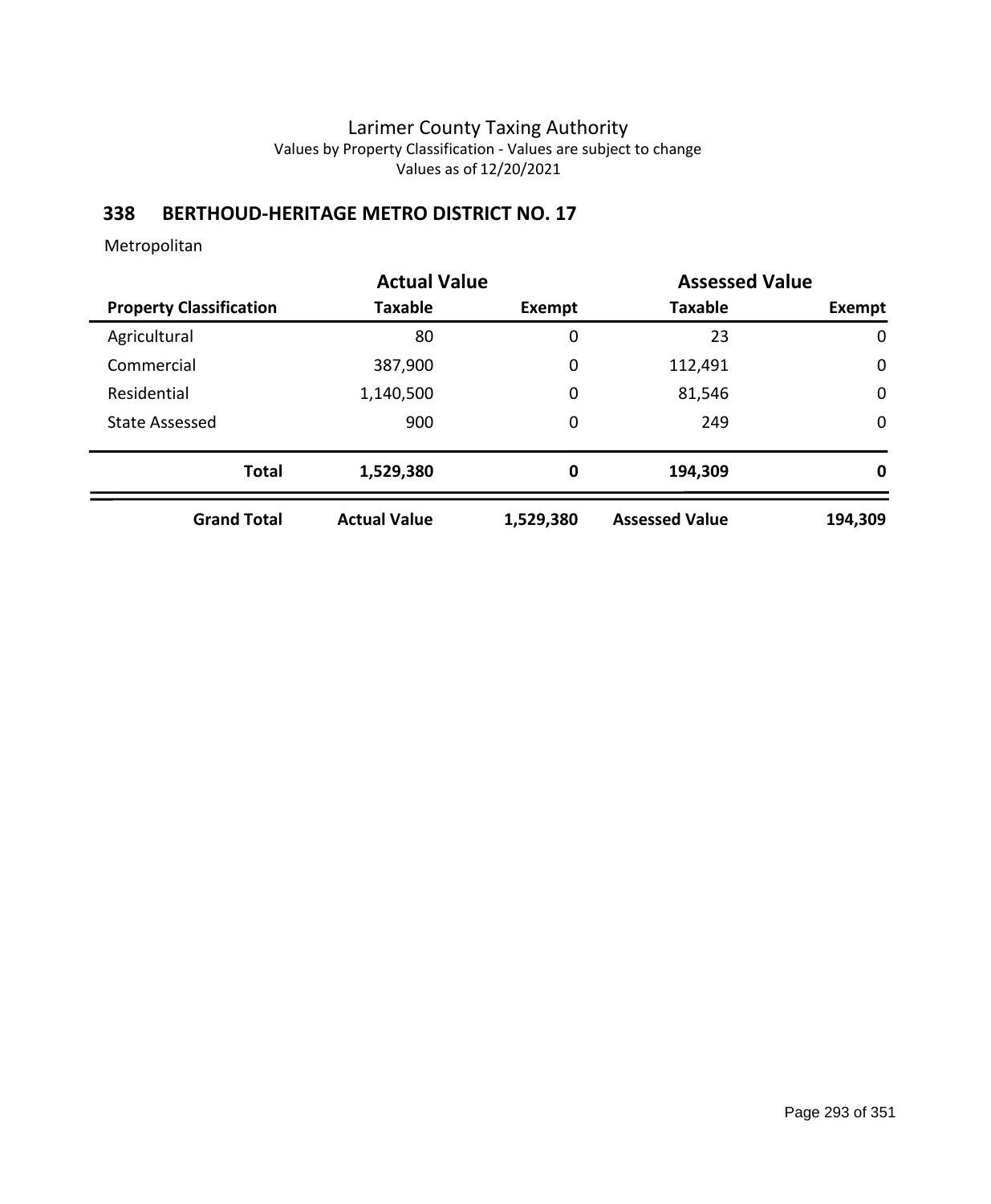### **338 BERTHOUD-HERITAGE METRO DISTRICT NO. 17**

|                                | <b>Actual Value</b> |           | <b>Assessed Value</b> |             |
|--------------------------------|---------------------|-----------|-----------------------|-------------|
| <b>Property Classification</b> | <b>Taxable</b>      | Exempt    | <b>Taxable</b>        | Exempt      |
| Agricultural                   | 80                  | 0         | 23                    | 0           |
| Commercial                     | 387,900             | 0         | 112,491               | 0           |
| Residential                    | 1,140,500           | 0         | 81,546                | 0           |
| <b>State Assessed</b>          | 900                 | 0         | 249                   | $\mathbf 0$ |
| <b>Total</b>                   | 1,529,380           | 0         | 194,309               | 0           |
| <b>Grand Total</b>             | <b>Actual Value</b> | 1,529,380 | <b>Assessed Value</b> | 194,309     |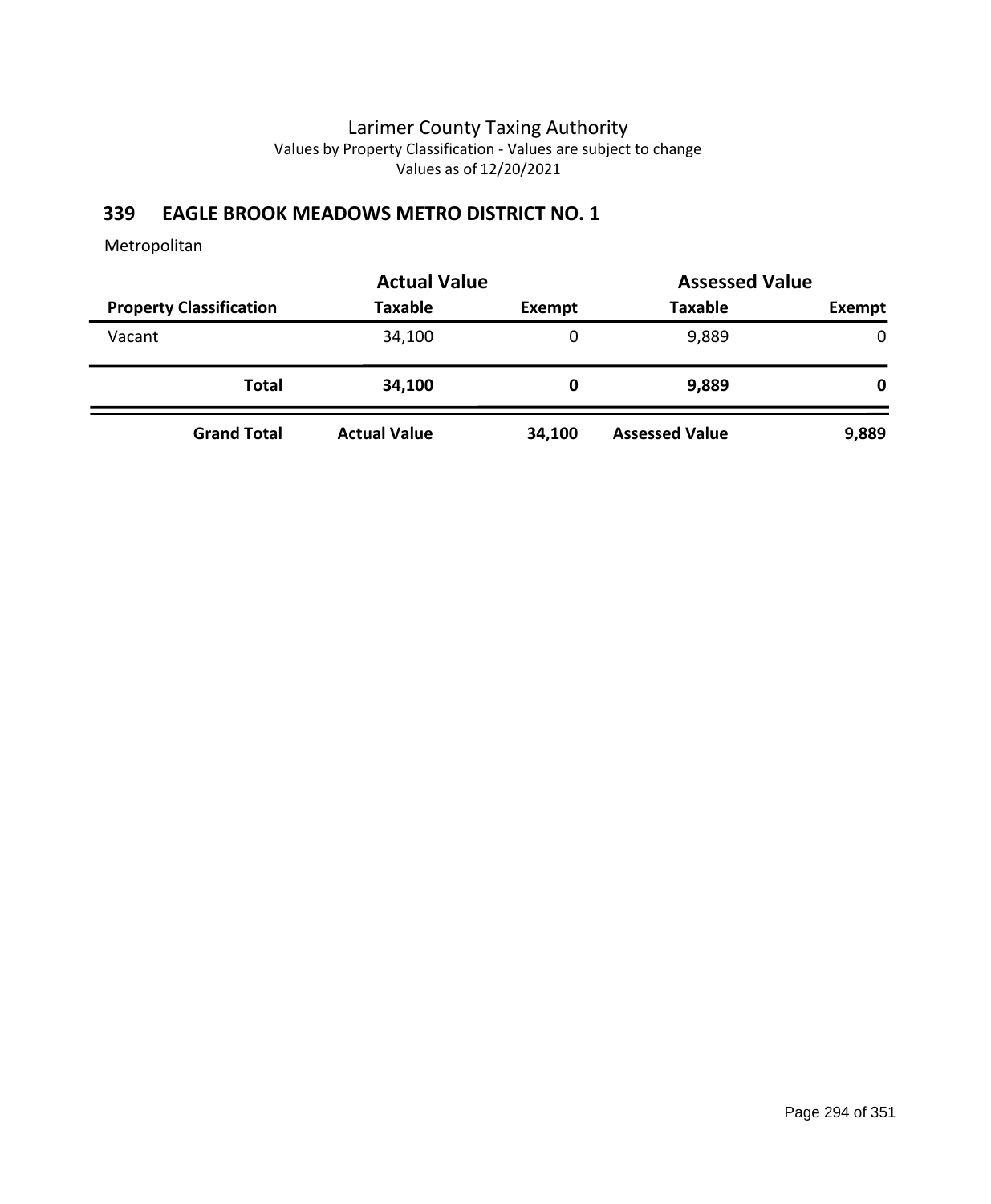### **339 EAGLE BROOK MEADOWS METRO DISTRICT NO. 1**

|                                | <b>Actual Value</b> |               | <b>Assessed Value</b> |        |
|--------------------------------|---------------------|---------------|-----------------------|--------|
| <b>Property Classification</b> | <b>Taxable</b>      | <b>Exempt</b> | <b>Taxable</b>        | Exempt |
| Vacant                         | 34,100              | 0             | 9,889                 | 0      |
| Total                          | 34,100              | 0             | 9,889                 | 0      |
| <b>Grand Total</b>             | <b>Actual Value</b> | 34,100        | <b>Assessed Value</b> | 9,889  |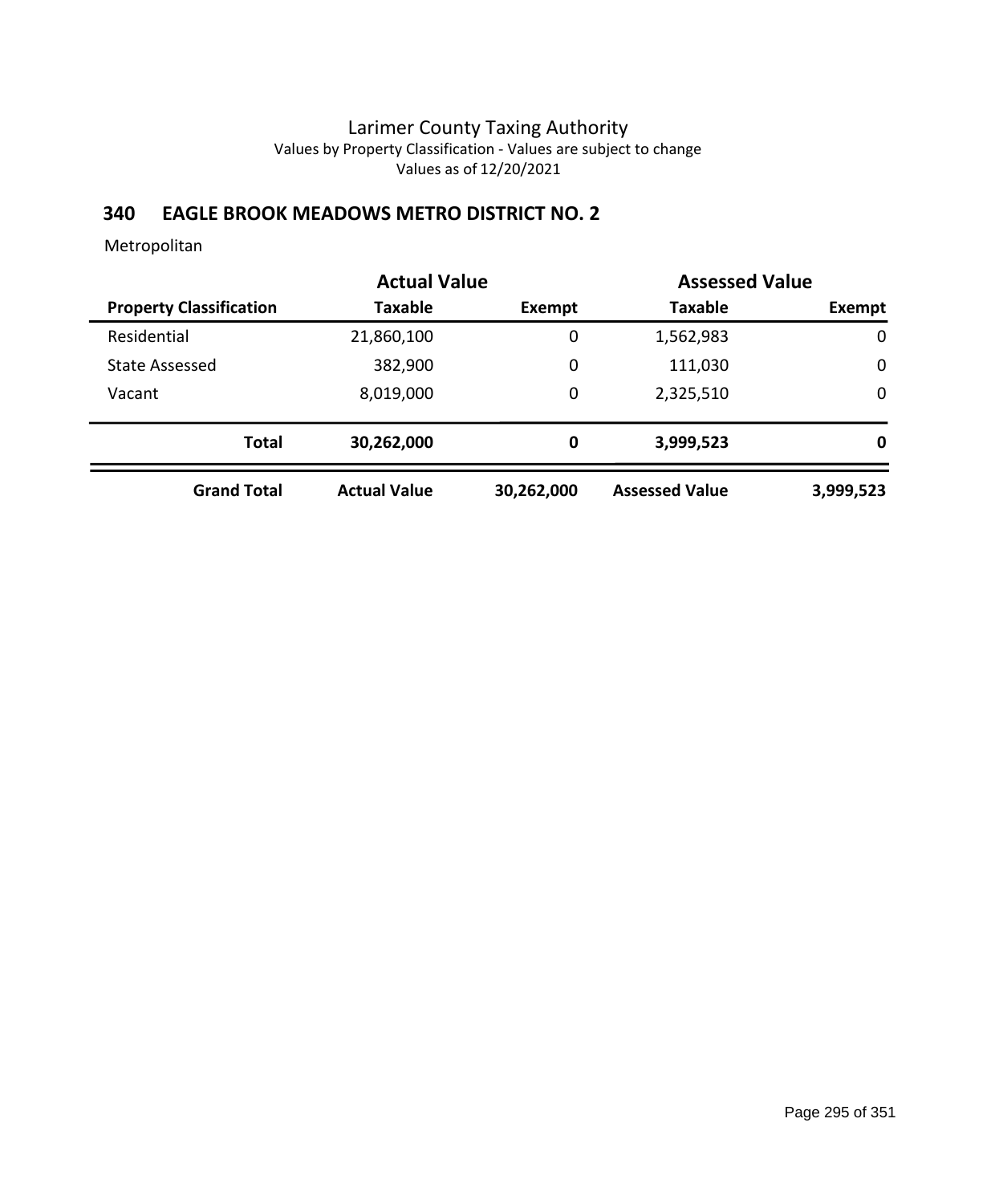### **340 EAGLE BROOK MEADOWS METRO DISTRICT NO. 2**

|                                | <b>Actual Value</b> |            | <b>Assessed Value</b> |             |
|--------------------------------|---------------------|------------|-----------------------|-------------|
| <b>Property Classification</b> | <b>Taxable</b>      | Exempt     | <b>Taxable</b>        | Exempt      |
| Residential                    | 21,860,100          | 0          | 1,562,983             | 0           |
| State Assessed                 | 382,900             | 0          | 111,030               | $\mathbf 0$ |
| Vacant                         | 8,019,000           | 0          | 2,325,510             | $\mathbf 0$ |
| <b>Total</b>                   | 30,262,000          | 0          | 3,999,523             | 0           |
| <b>Grand Total</b>             | <b>Actual Value</b> | 30,262,000 | <b>Assessed Value</b> | 3,999,523   |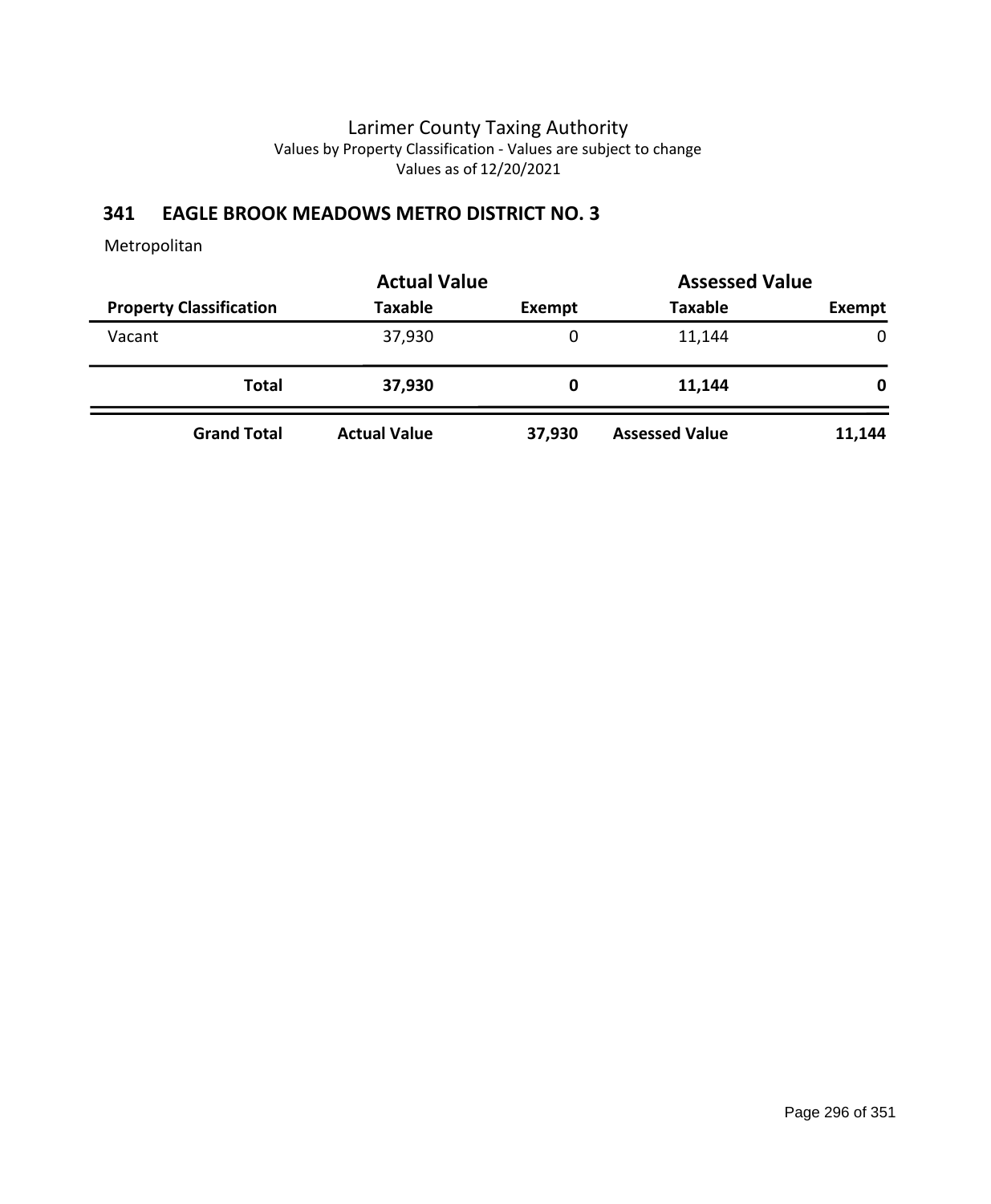# **341 EAGLE BROOK MEADOWS METRO DISTRICT NO. 3**

| <b>Actual Value</b>            |                     |               |                       | <b>Assessed Value</b> |  |
|--------------------------------|---------------------|---------------|-----------------------|-----------------------|--|
| <b>Property Classification</b> | <b>Taxable</b>      | <b>Exempt</b> | <b>Taxable</b>        | Exempt                |  |
| Vacant                         | 37,930              | 0             | 11,144                | 0                     |  |
| <b>Total</b>                   | 37,930              | 0             | 11,144                | 0                     |  |
| <b>Grand Total</b>             | <b>Actual Value</b> | 37,930        | <b>Assessed Value</b> | 11,144                |  |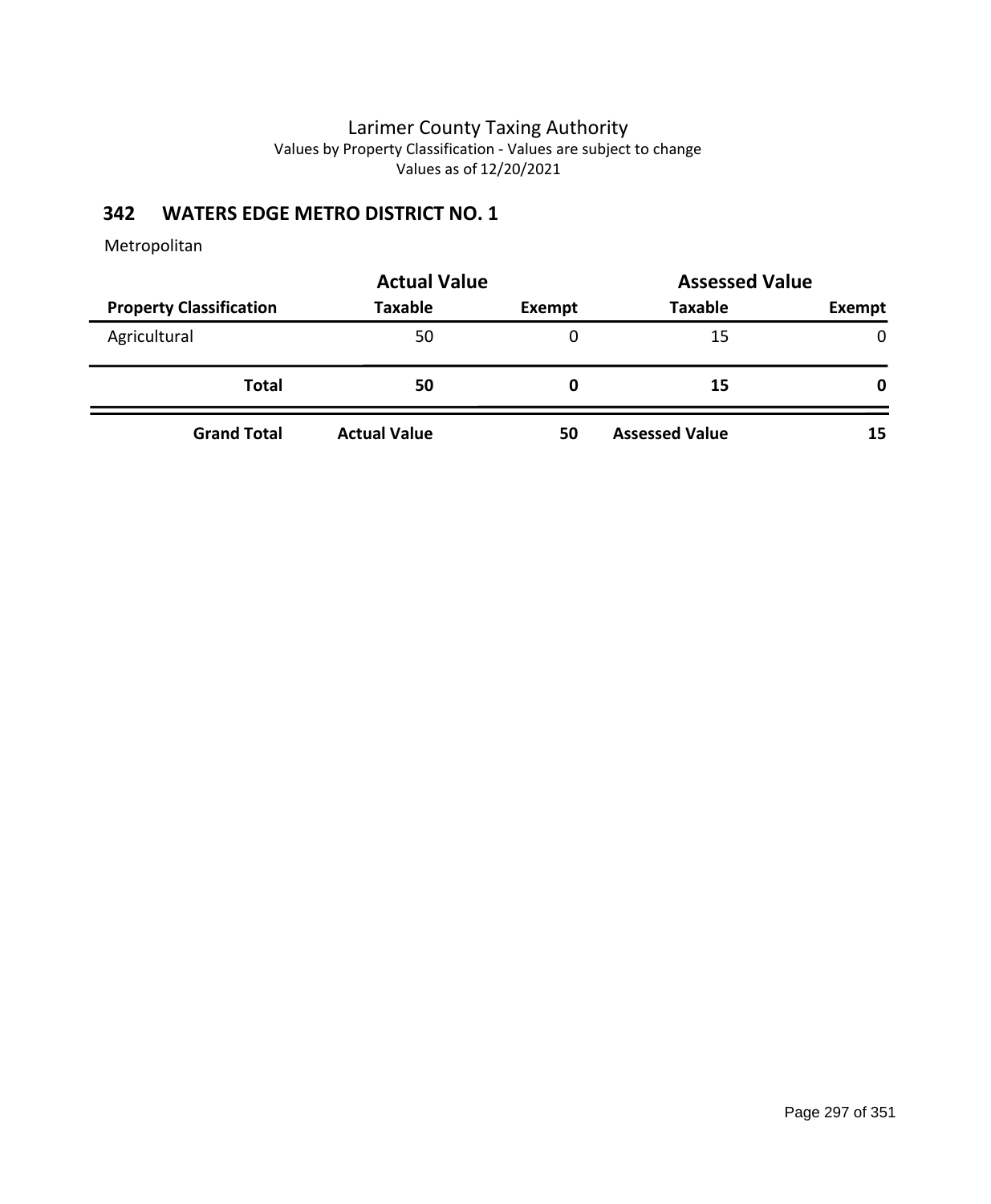# **342 WATERS EDGE METRO DISTRICT NO. 1**

|                                | <b>Actual Value</b> | <b>Assessed Value</b> |                       |               |  |
|--------------------------------|---------------------|-----------------------|-----------------------|---------------|--|
| <b>Property Classification</b> | <b>Taxable</b>      | Exempt                | <b>Taxable</b>        | <b>Exempt</b> |  |
| Agricultural                   | 50                  | 0                     | 15                    | $\mathbf{0}$  |  |
| <b>Total</b>                   | 50                  | O                     | 15                    | 0             |  |
| <b>Grand Total</b>             | <b>Actual Value</b> | 50                    | <b>Assessed Value</b> | 15            |  |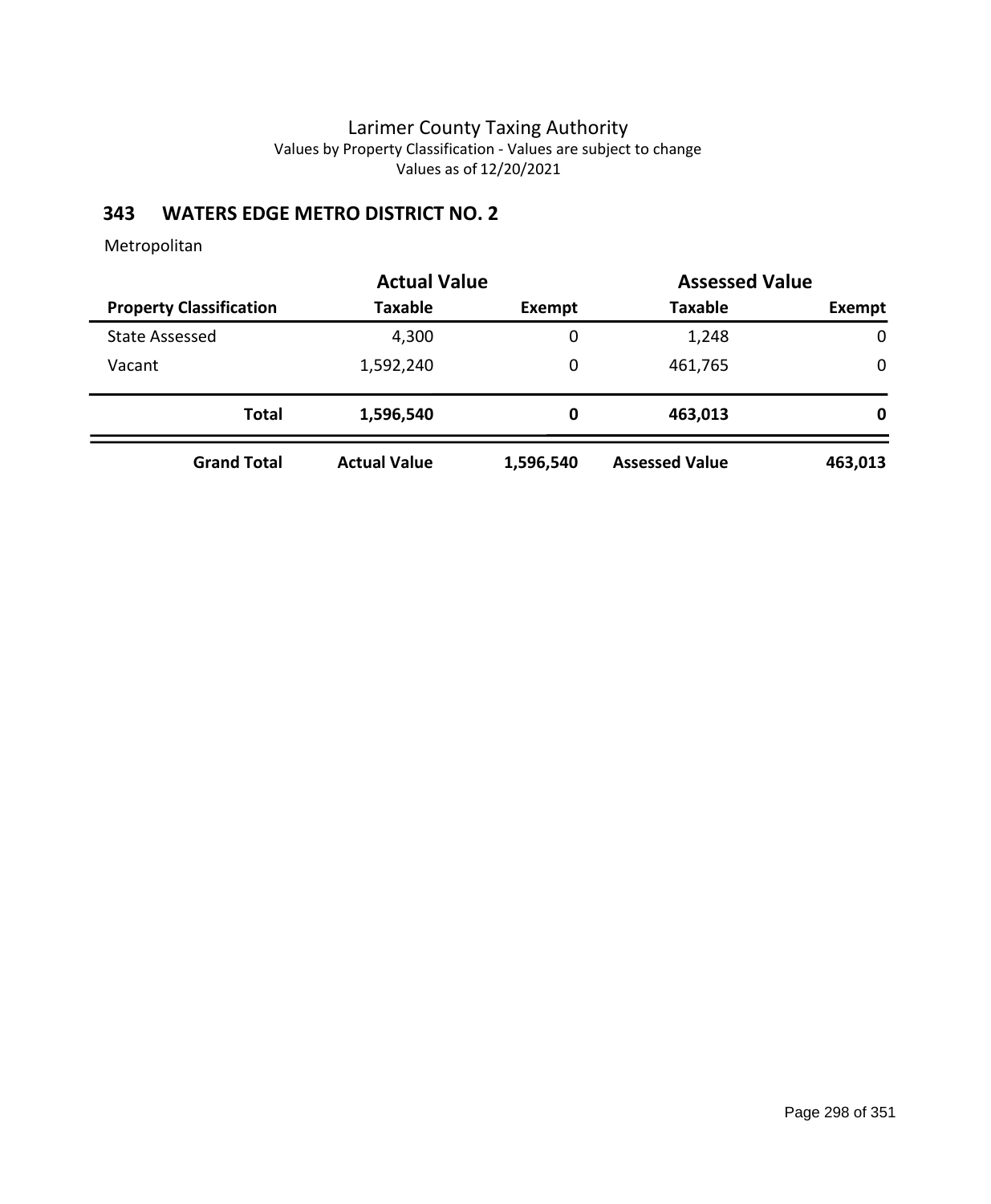# **343 WATERS EDGE METRO DISTRICT NO. 2**

|                                | <b>Actual Value</b> |           | <b>Assessed Value</b> |             |
|--------------------------------|---------------------|-----------|-----------------------|-------------|
| <b>Property Classification</b> | <b>Taxable</b>      | Exempt    | <b>Taxable</b>        | Exempt      |
| <b>State Assessed</b>          | 4,300               | 0         | 1,248                 | $\mathbf 0$ |
| Vacant                         | 1,592,240           | 0         | 461,765               | 0           |
| <b>Total</b>                   | 1,596,540           | 0         | 463,013               | 0           |
| <b>Grand Total</b>             | <b>Actual Value</b> | 1,596,540 | <b>Assessed Value</b> | 463,013     |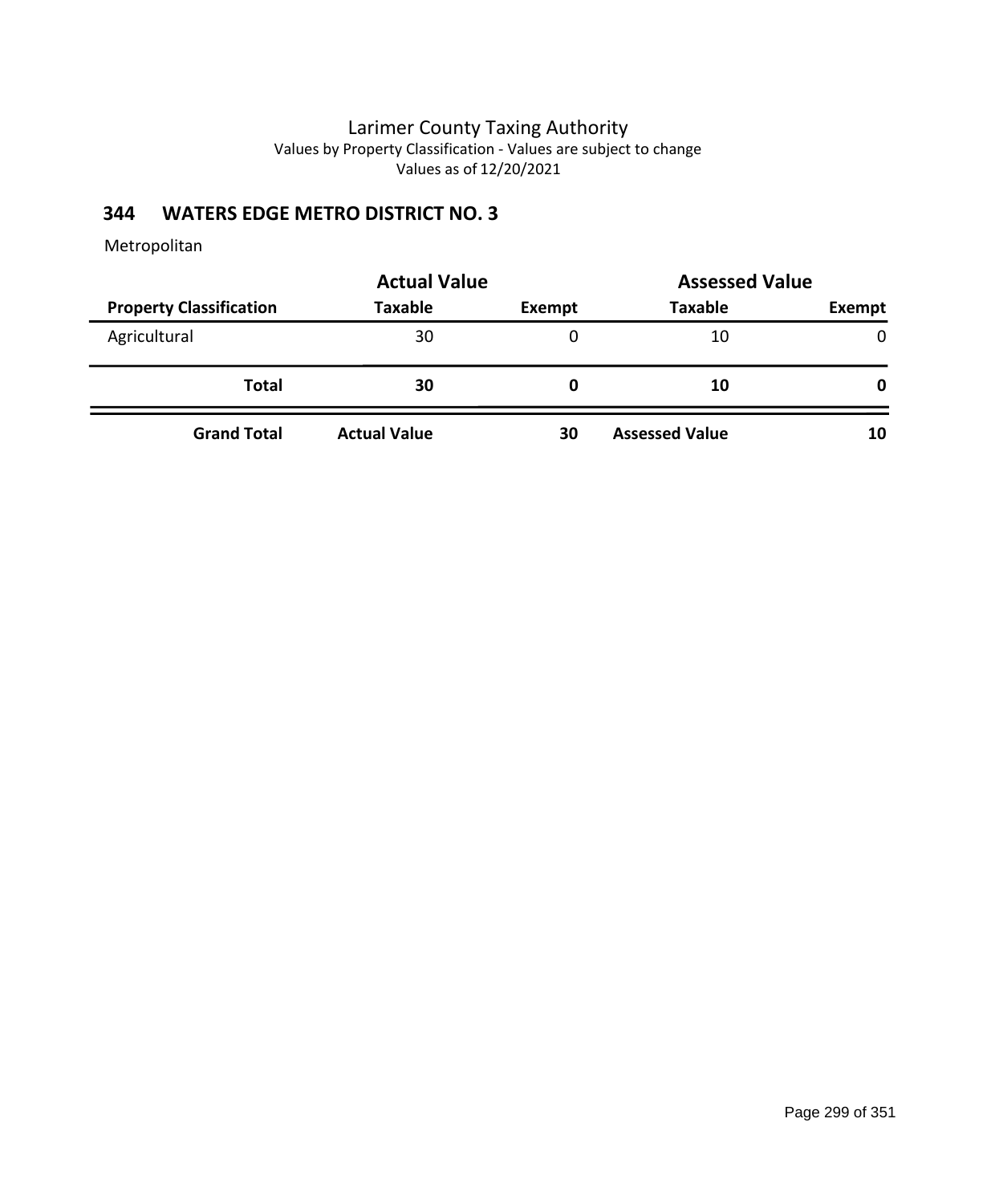# **344 WATERS EDGE METRO DISTRICT NO. 3**

|                                | <b>Actual Value</b> | <b>Assessed Value</b> |                       |               |
|--------------------------------|---------------------|-----------------------|-----------------------|---------------|
| <b>Property Classification</b> | <b>Taxable</b>      | Exempt                | <b>Taxable</b>        | <b>Exempt</b> |
| Agricultural                   | 30                  | 0                     | 10                    | 0             |
| <b>Total</b>                   | 30                  | O                     | 10                    | 0             |
| <b>Grand Total</b>             | <b>Actual Value</b> | 30                    | <b>Assessed Value</b> | 10            |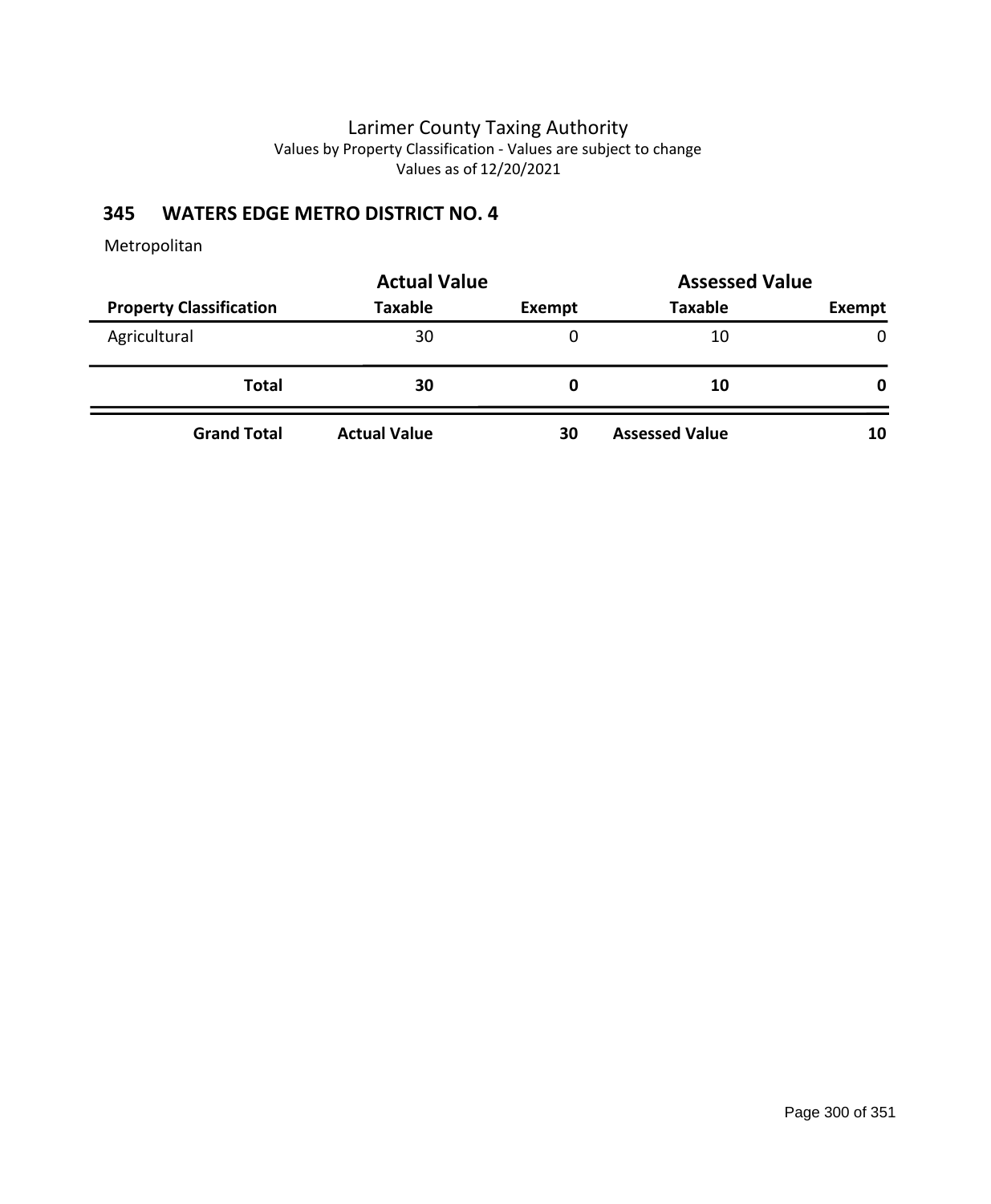# **345 WATERS EDGE METRO DISTRICT NO. 4**

|                                | <b>Actual Value</b> | <b>Assessed Value</b> |                       |               |
|--------------------------------|---------------------|-----------------------|-----------------------|---------------|
| <b>Property Classification</b> | <b>Taxable</b>      | Exempt                | <b>Taxable</b>        | <b>Exempt</b> |
| Agricultural                   | 30                  | 0                     | 10                    | $\mathbf{0}$  |
| <b>Total</b>                   | 30                  | O                     | 10                    | 0             |
| <b>Grand Total</b>             | <b>Actual Value</b> | 30                    | <b>Assessed Value</b> | 10            |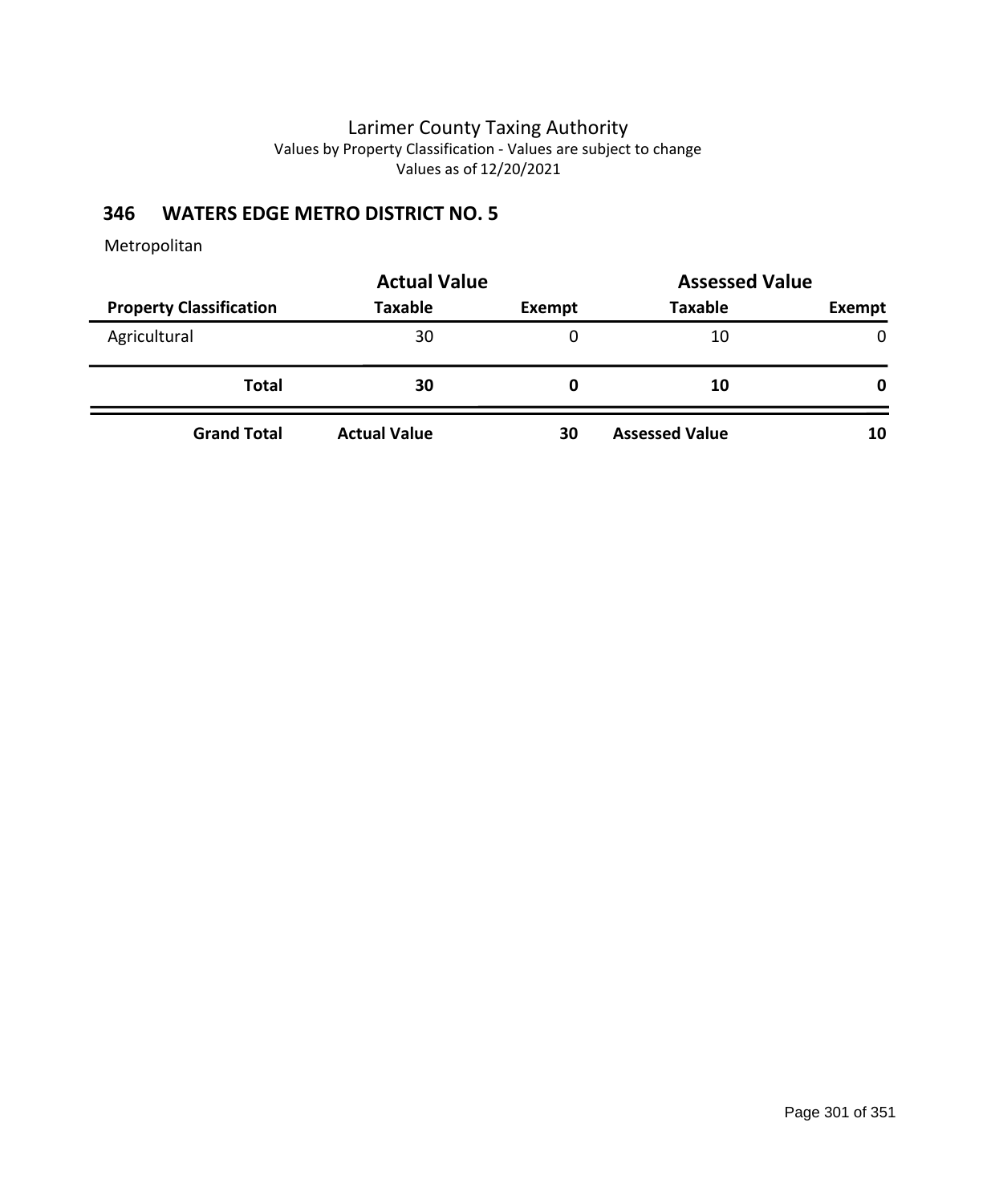# **346 WATERS EDGE METRO DISTRICT NO. 5**

|                                | <b>Actual Value</b> | <b>Assessed Value</b> |                       |               |
|--------------------------------|---------------------|-----------------------|-----------------------|---------------|
| <b>Property Classification</b> | <b>Taxable</b>      | Exempt                | <b>Taxable</b>        | <b>Exempt</b> |
| Agricultural                   | 30                  | 0                     | 10                    | $\mathbf{0}$  |
| <b>Total</b>                   | 30                  | O                     | 10                    | 0             |
| <b>Grand Total</b>             | <b>Actual Value</b> | 30                    | <b>Assessed Value</b> | 10            |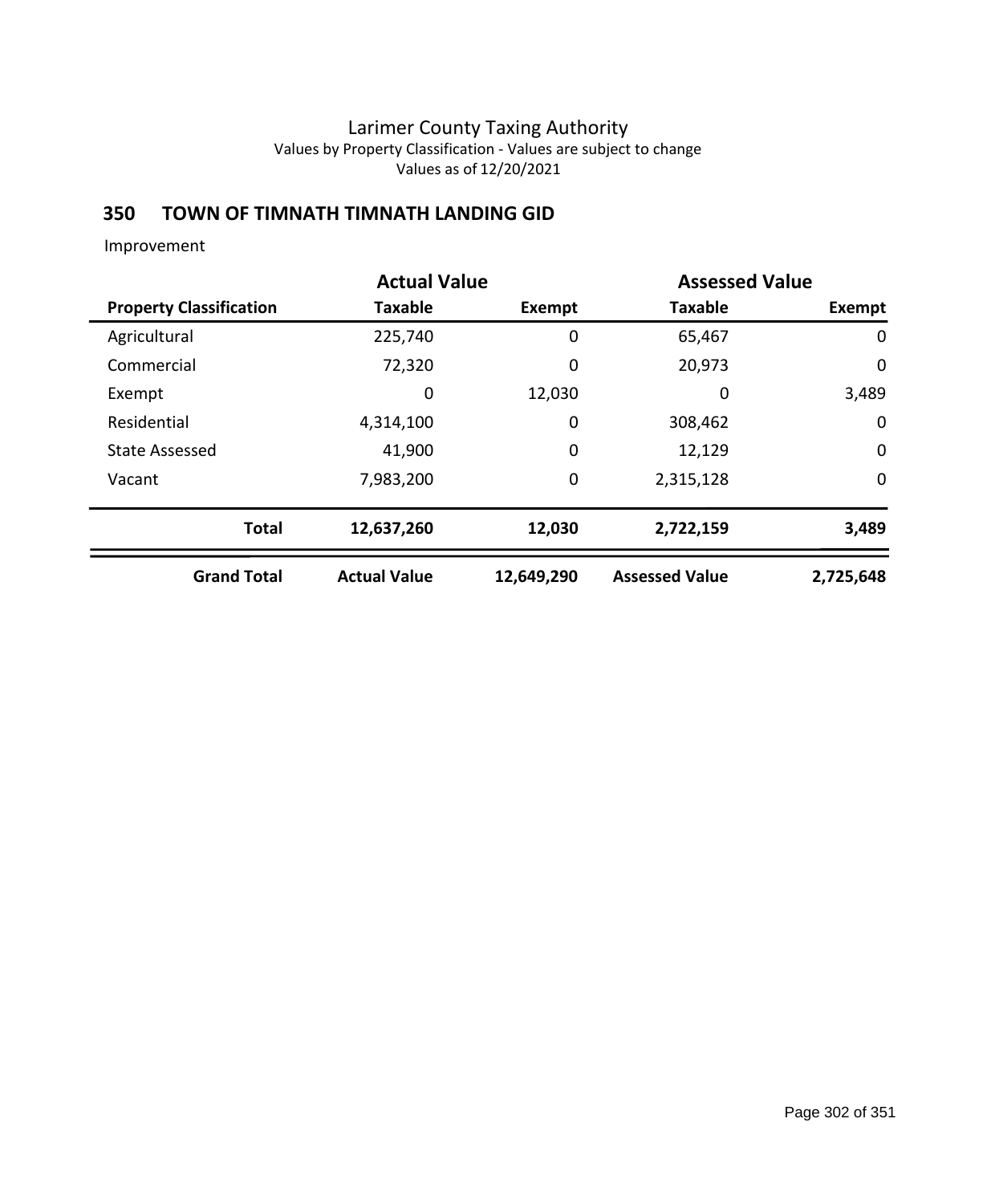## **350 TOWN OF TIMNATH TIMNATH LANDING GID**

Improvement

|                                | <b>Actual Value</b> |            | <b>Assessed Value</b> |             |
|--------------------------------|---------------------|------------|-----------------------|-------------|
| <b>Property Classification</b> | <b>Taxable</b>      | Exempt     | <b>Taxable</b>        | Exempt      |
| Agricultural                   | 225,740             | 0          | 65,467                | 0           |
| Commercial                     | 72,320              | 0          | 20,973                | 0           |
| Exempt                         | 0                   | 12,030     | 0                     | 3,489       |
| Residential                    | 4,314,100           | 0          | 308,462               | 0           |
| <b>State Assessed</b>          | 41,900              | 0          | 12,129                | $\mathbf 0$ |
| Vacant                         | 7,983,200           | 0          | 2,315,128             | $\mathbf 0$ |
| <b>Total</b>                   | 12,637,260          | 12,030     | 2,722,159             | 3,489       |
| <b>Grand Total</b>             | <b>Actual Value</b> | 12,649,290 | <b>Assessed Value</b> | 2,725,648   |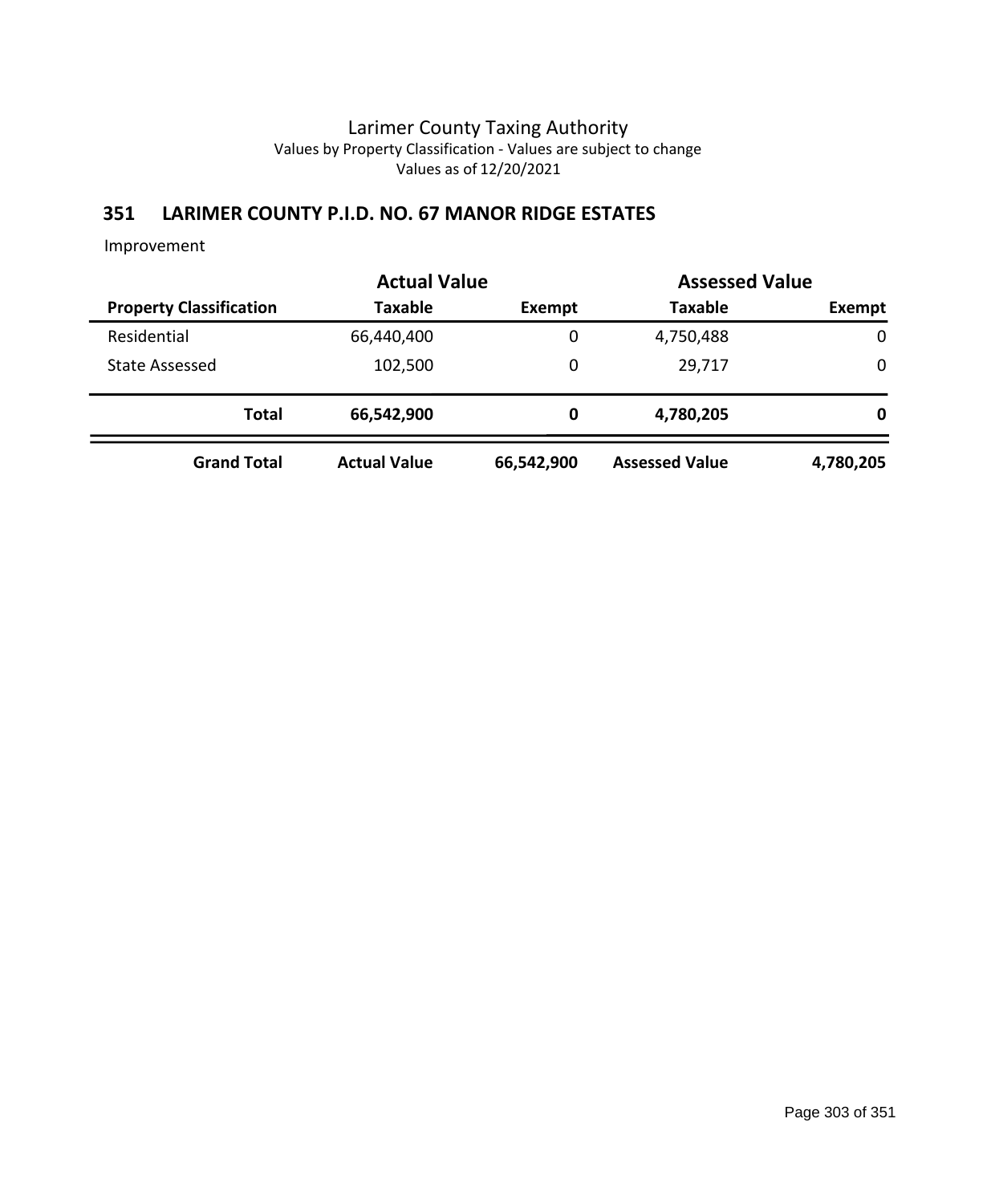### **351 LARIMER COUNTY P.I.D. NO. 67 MANOR RIDGE ESTATES**

Improvement

|                                |                     | <b>Actual Value</b> |                       | <b>Assessed Value</b> |  |
|--------------------------------|---------------------|---------------------|-----------------------|-----------------------|--|
| <b>Property Classification</b> | <b>Taxable</b>      | Exempt              | <b>Taxable</b>        | Exempt                |  |
| Residential                    | 66,440,400          | 0                   | 4,750,488             | $\mathbf 0$           |  |
| <b>State Assessed</b>          | 102,500             | 0                   | 29,717                | 0                     |  |
| <b>Total</b>                   | 66,542,900          | 0                   | 4,780,205             | 0                     |  |
| <b>Grand Total</b>             | <b>Actual Value</b> | 66,542,900          | <b>Assessed Value</b> | 4,780,205             |  |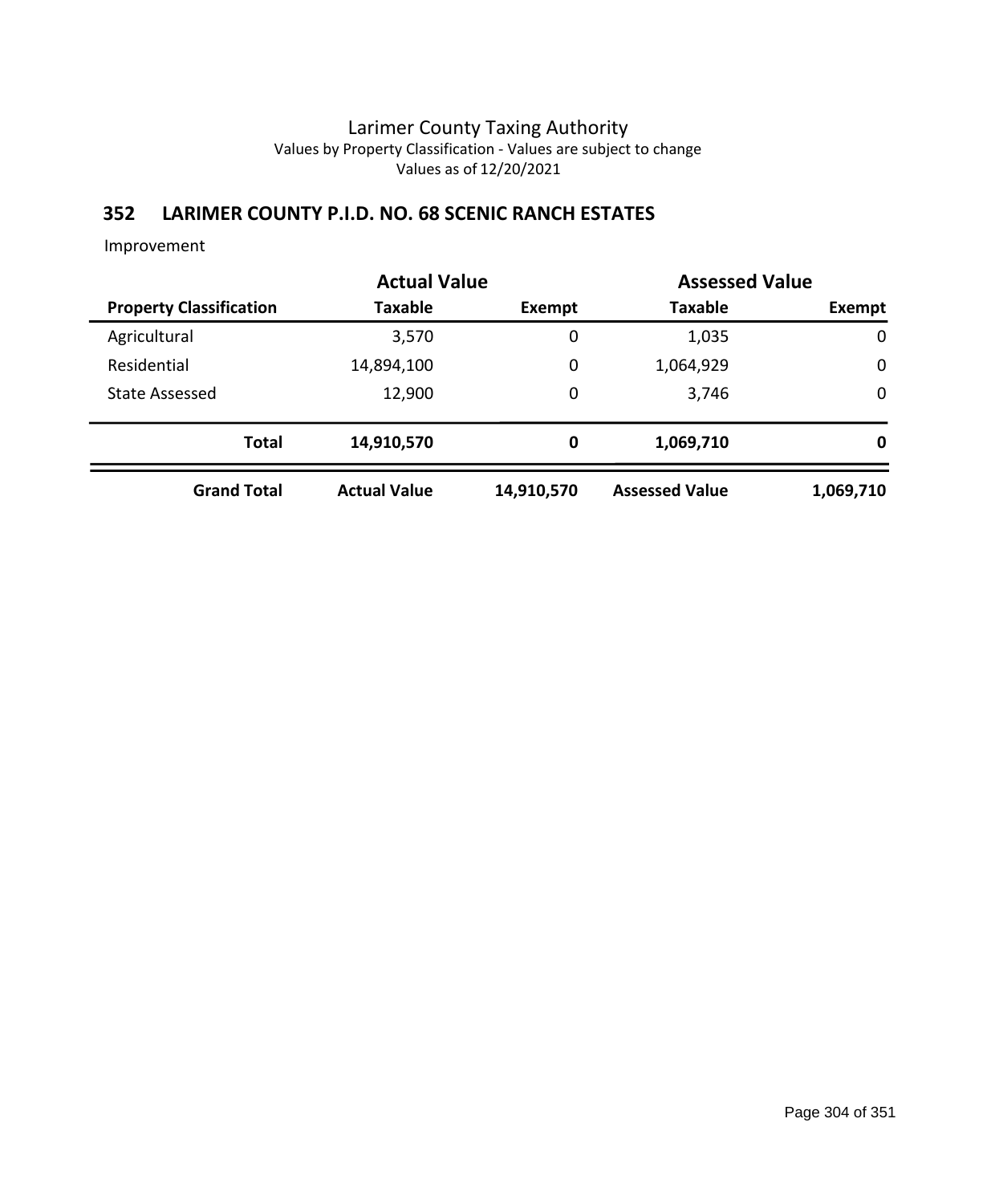### **352 LARIMER COUNTY P.I.D. NO. 68 SCENIC RANCH ESTATES**

Improvement

|                                | <b>Actual Value</b> |             | <b>Assessed Value</b> |             |
|--------------------------------|---------------------|-------------|-----------------------|-------------|
| <b>Property Classification</b> | Taxable             | Exempt      | <b>Taxable</b>        | Exempt      |
| Agricultural                   | 3,570               | $\mathbf 0$ | 1,035                 | $\mathbf 0$ |
| Residential                    | 14,894,100          | 0           | 1,064,929             | $\mathbf 0$ |
| <b>State Assessed</b>          | 12,900              | 0           | 3,746                 | $\mathbf 0$ |
| <b>Total</b>                   | 14,910,570          | 0           | 1,069,710             | 0           |
| <b>Grand Total</b>             | <b>Actual Value</b> | 14,910,570  | <b>Assessed Value</b> | 1,069,710   |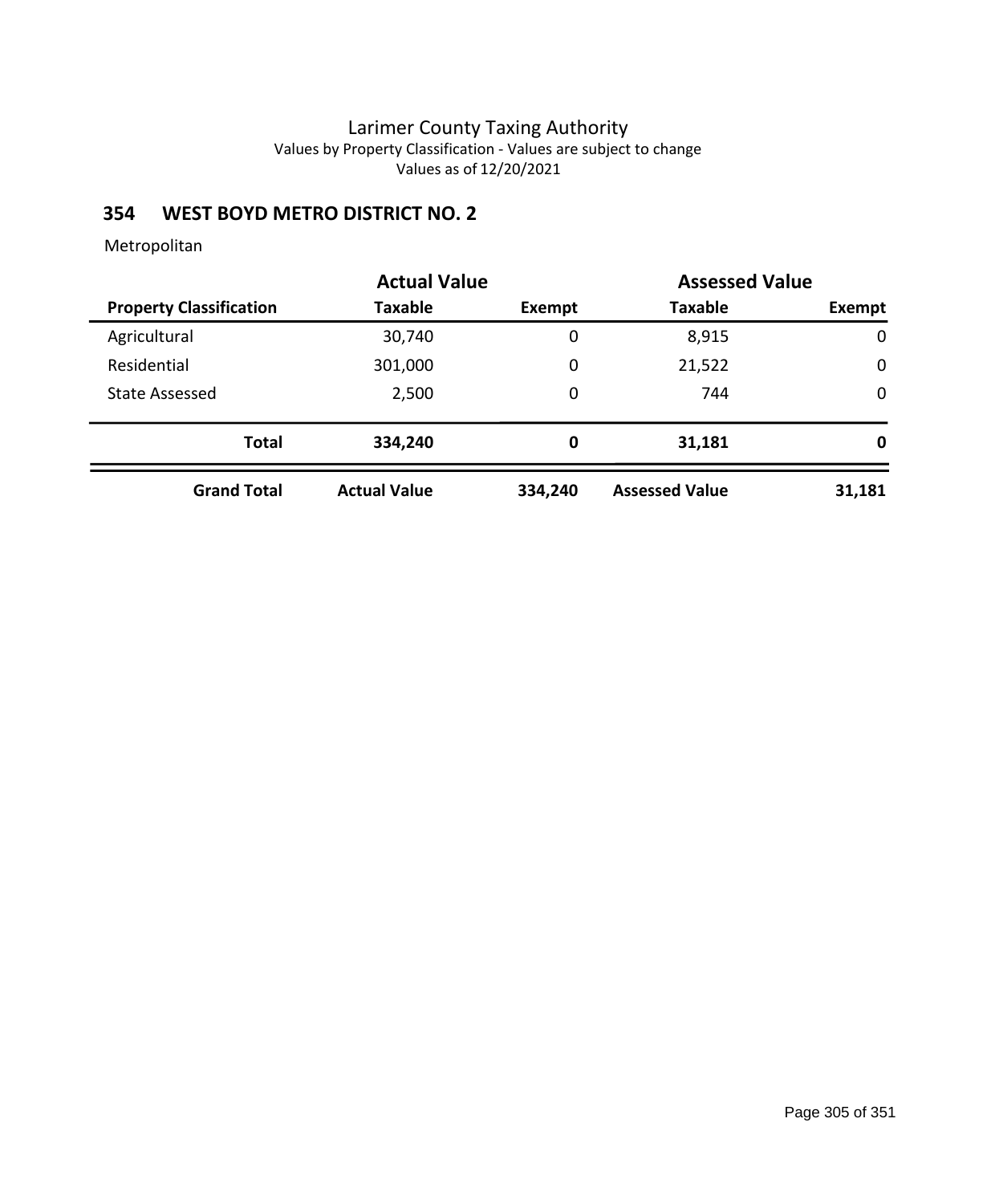# **354 WEST BOYD METRO DISTRICT NO. 2**

|                                | <b>Actual Value</b> |         | <b>Assessed Value</b> |             |
|--------------------------------|---------------------|---------|-----------------------|-------------|
| <b>Property Classification</b> | Taxable             | Exempt  | <b>Taxable</b>        | Exempt      |
| Agricultural                   | 30,740              | 0       | 8,915                 | 0           |
| Residential                    | 301,000             | 0       | 21,522                | $\mathbf 0$ |
| <b>State Assessed</b>          | 2,500               | 0       | 744                   | $\mathbf 0$ |
| <b>Total</b>                   | 334,240             | 0       | 31,181                | 0           |
| <b>Grand Total</b>             | <b>Actual Value</b> | 334,240 | <b>Assessed Value</b> | 31,181      |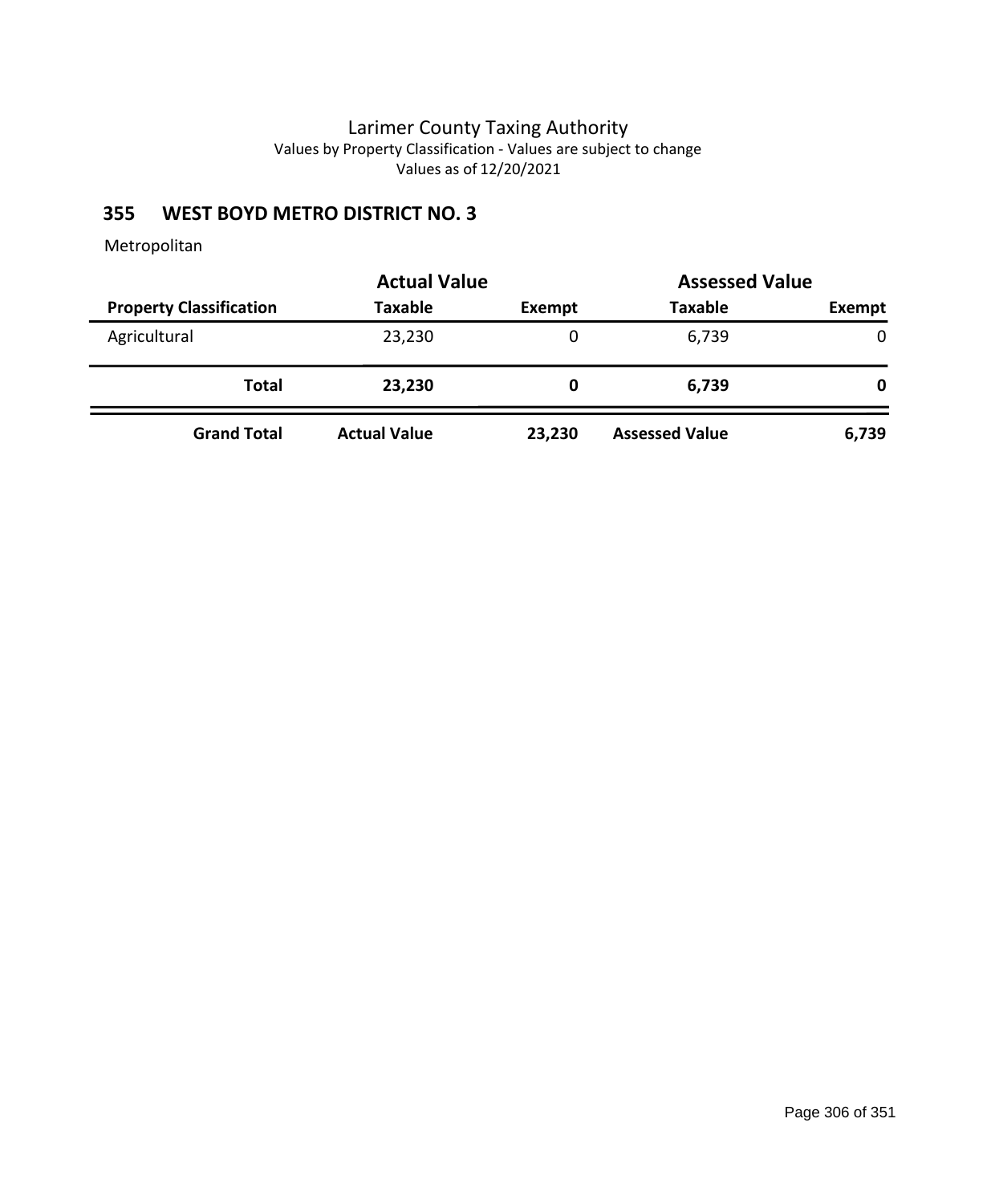# **355 WEST BOYD METRO DISTRICT NO. 3**

|                                |                     | <b>Actual Value</b> |                       | <b>Assessed Value</b> |
|--------------------------------|---------------------|---------------------|-----------------------|-----------------------|
| <b>Property Classification</b> | <b>Taxable</b>      | Exempt              | <b>Taxable</b>        | <b>Exempt</b>         |
| Agricultural                   | 23,230              | 0                   | 6,739                 | 0                     |
| Total                          | 23,230              | O                   | 6,739                 | 0                     |
| <b>Grand Total</b>             | <b>Actual Value</b> | 23,230              | <b>Assessed Value</b> | 6,739                 |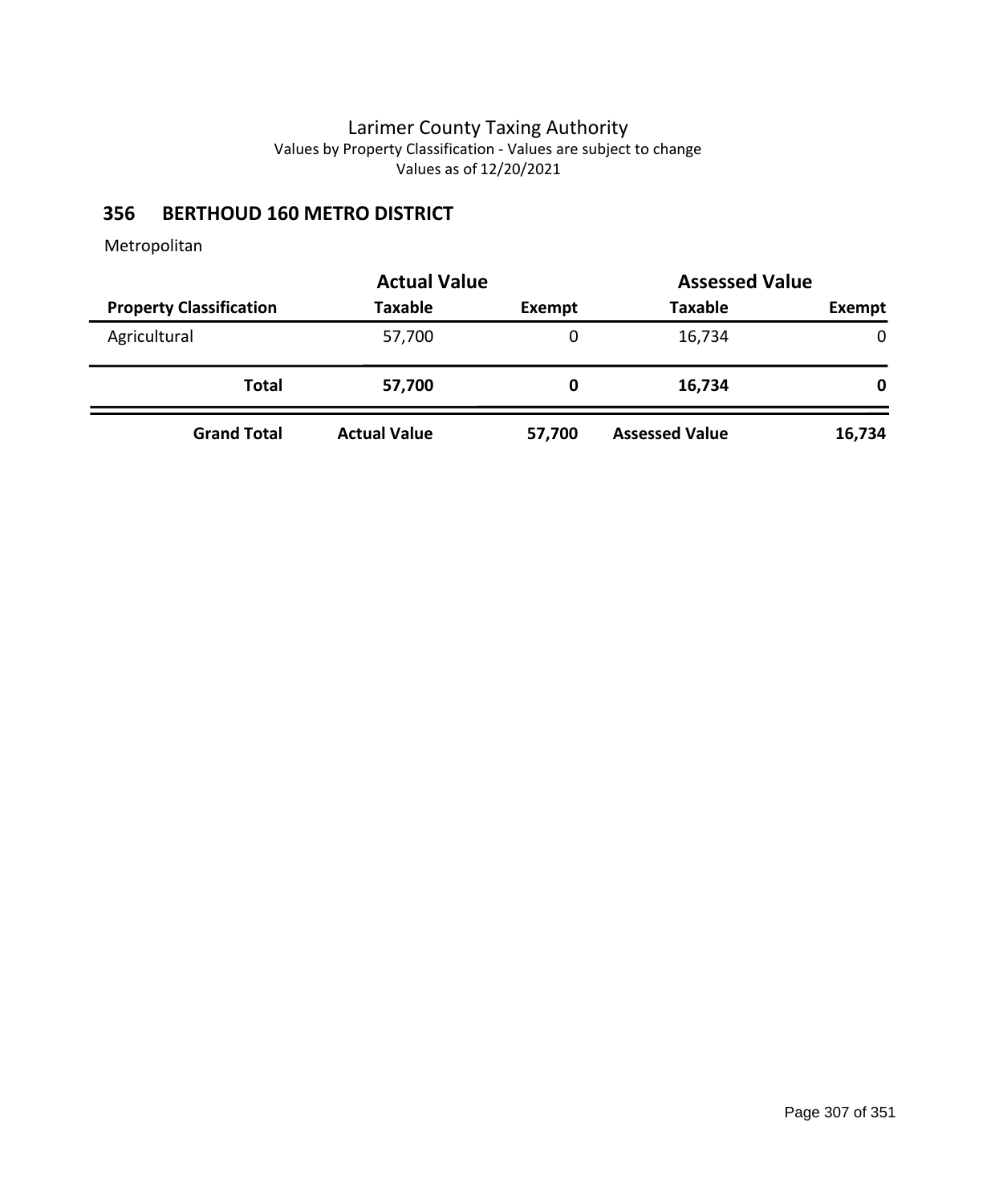# **356 BERTHOUD 160 METRO DISTRICT**

|                                |                     | <b>Actual Value</b> |                       | <b>Assessed Value</b> |  |
|--------------------------------|---------------------|---------------------|-----------------------|-----------------------|--|
| <b>Property Classification</b> | <b>Taxable</b>      | Exempt              | <b>Taxable</b>        | <b>Exempt</b>         |  |
| Agricultural                   | 57,700              | 0                   | 16,734                | $\Omega$              |  |
| Total                          | 57,700              | O                   | 16,734                | 0                     |  |
| <b>Grand Total</b>             | <b>Actual Value</b> | 57,700              | <b>Assessed Value</b> | 16,734                |  |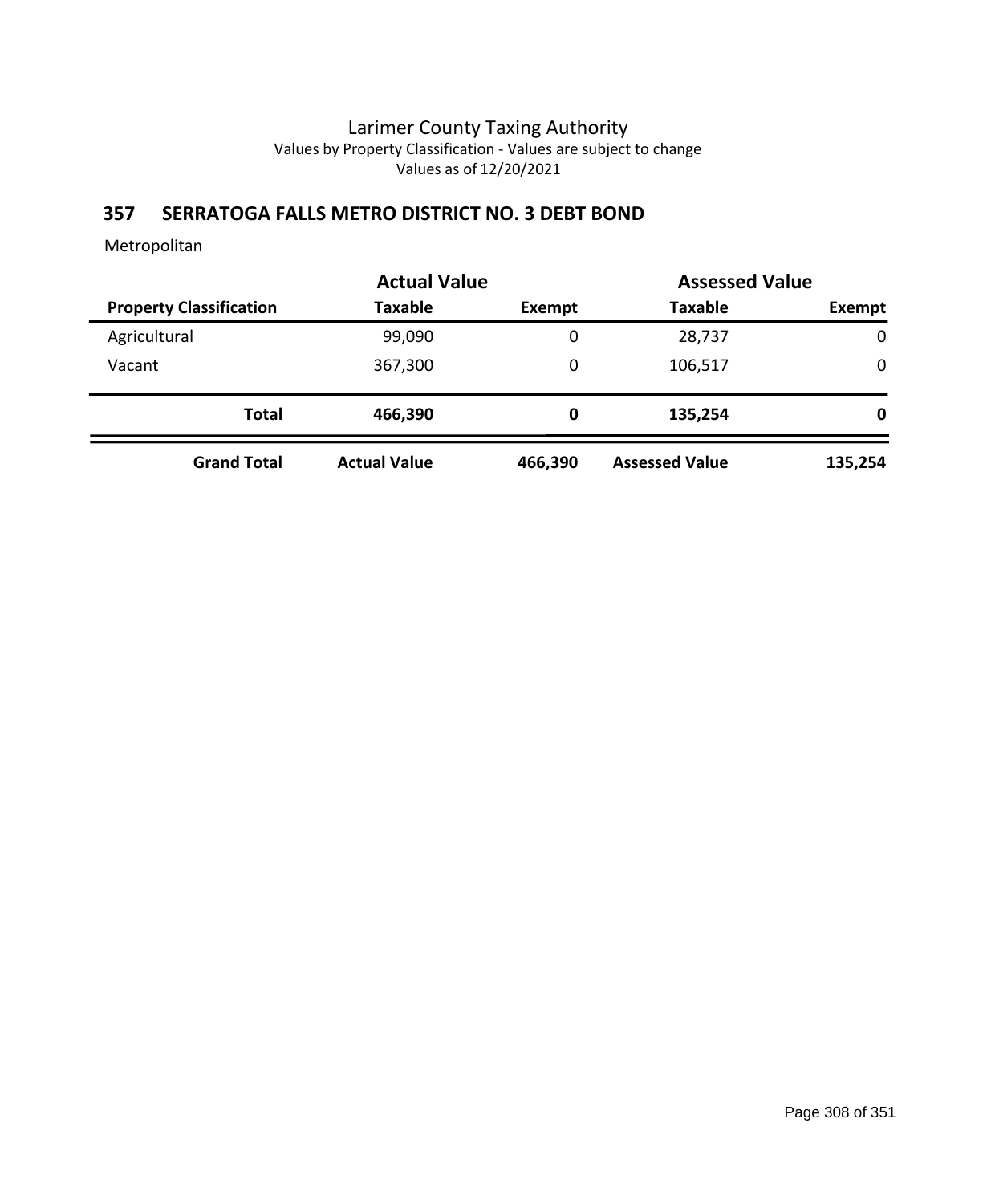### **357 SERRATOGA FALLS METRO DISTRICT NO. 3 DEBT BOND**

|                                | <b>Actual Value</b> |         | <b>Assessed Value</b> |             |
|--------------------------------|---------------------|---------|-----------------------|-------------|
| <b>Property Classification</b> | <b>Taxable</b>      | Exempt  | <b>Taxable</b>        | Exempt      |
| Agricultural                   | 99,090              | 0       | 28,737                | $\mathbf 0$ |
| Vacant                         | 367,300             | 0       | 106,517               | 0           |
| <b>Total</b>                   | 466,390             | 0       | 135,254               | 0           |
| <b>Grand Total</b>             | <b>Actual Value</b> | 466,390 | <b>Assessed Value</b> | 135,254     |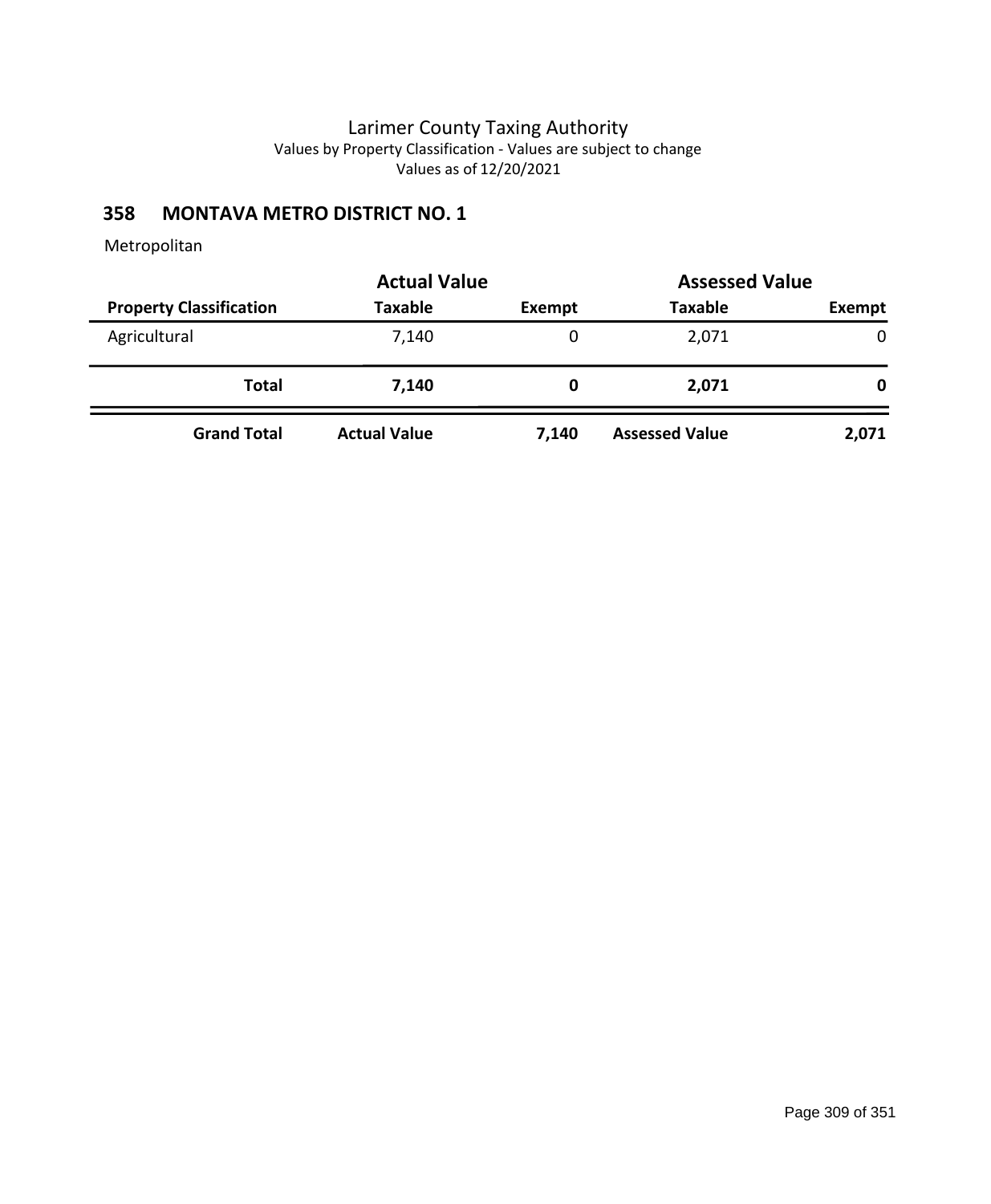# **358 MONTAVA METRO DISTRICT NO. 1**

|                                |                     | <b>Actual Value</b><br><b>Assessed Value</b> |                       |               |  |
|--------------------------------|---------------------|----------------------------------------------|-----------------------|---------------|--|
| <b>Property Classification</b> | <b>Taxable</b>      | Exempt                                       | <b>Taxable</b>        | <b>Exempt</b> |  |
| Agricultural                   | 7,140               | 0                                            | 2,071                 | 0             |  |
| Total                          | 7,140               | 0                                            | 2,071                 | 0             |  |
| <b>Grand Total</b>             | <b>Actual Value</b> | 7,140                                        | <b>Assessed Value</b> | 2,071         |  |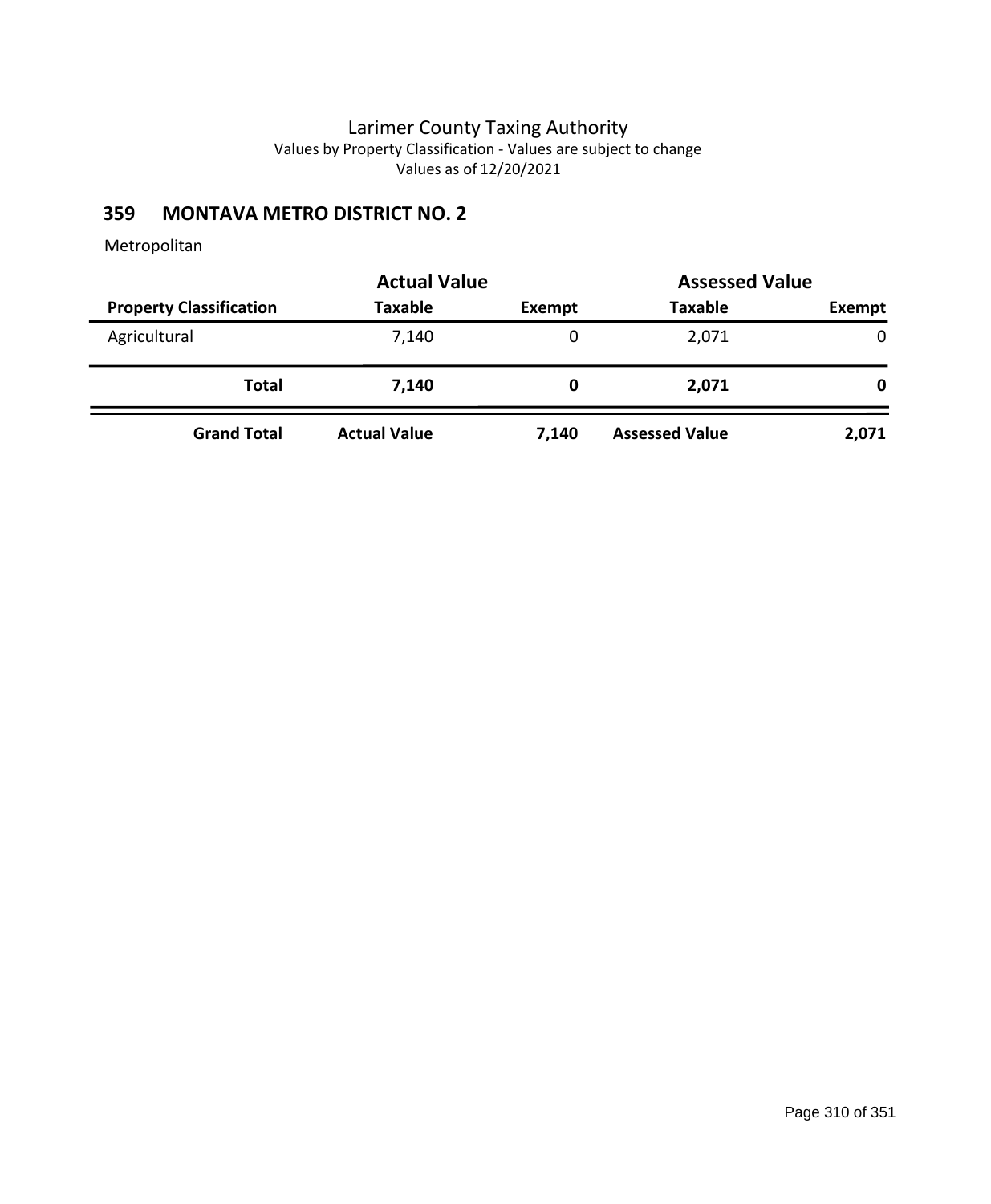# **359 MONTAVA METRO DISTRICT NO. 2**

|                                |                     | <b>Actual Value</b><br><b>Assessed Value</b> |                       |        |  |
|--------------------------------|---------------------|----------------------------------------------|-----------------------|--------|--|
| <b>Property Classification</b> | <b>Taxable</b>      | <b>Exempt</b>                                | <b>Taxable</b>        | Exempt |  |
| Agricultural                   | 7,140               | 0                                            | 2,071                 | 0      |  |
| Total                          | 7,140               | O                                            | 2,071                 | 0      |  |
| <b>Grand Total</b>             | <b>Actual Value</b> | 7,140                                        | <b>Assessed Value</b> | 2,071  |  |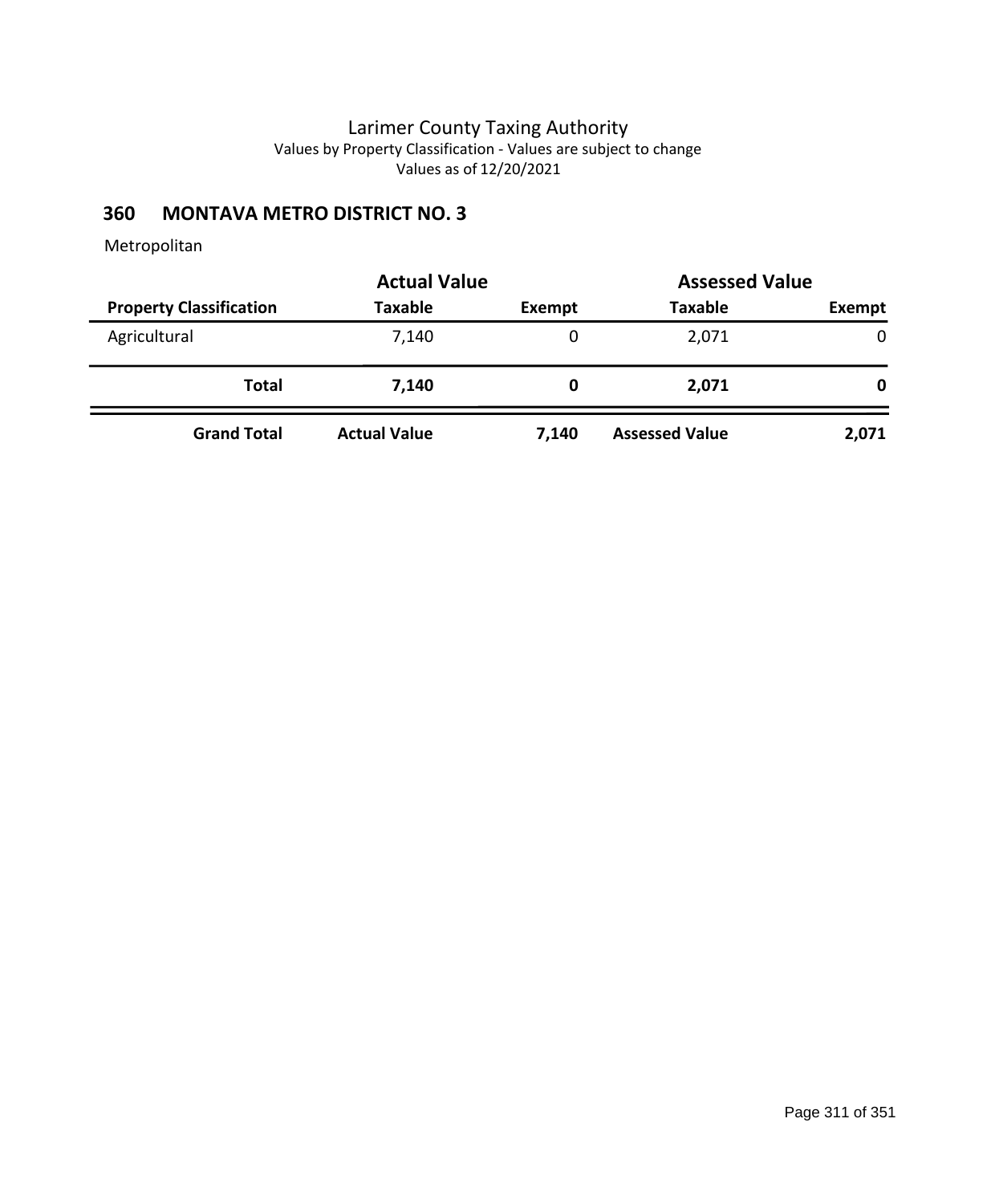# **360 MONTAVA METRO DISTRICT NO. 3**

|                                |                     | <b>Actual Value</b><br><b>Assessed Value</b> |                       |        |  |
|--------------------------------|---------------------|----------------------------------------------|-----------------------|--------|--|
| <b>Property Classification</b> | <b>Taxable</b>      | <b>Exempt</b>                                | <b>Taxable</b>        | Exempt |  |
| Agricultural                   | 7,140               | 0                                            | 2,071                 | 0      |  |
| Total                          | 7,140               | O                                            | 2,071                 | 0      |  |
| <b>Grand Total</b>             | <b>Actual Value</b> | 7,140                                        | <b>Assessed Value</b> | 2,071  |  |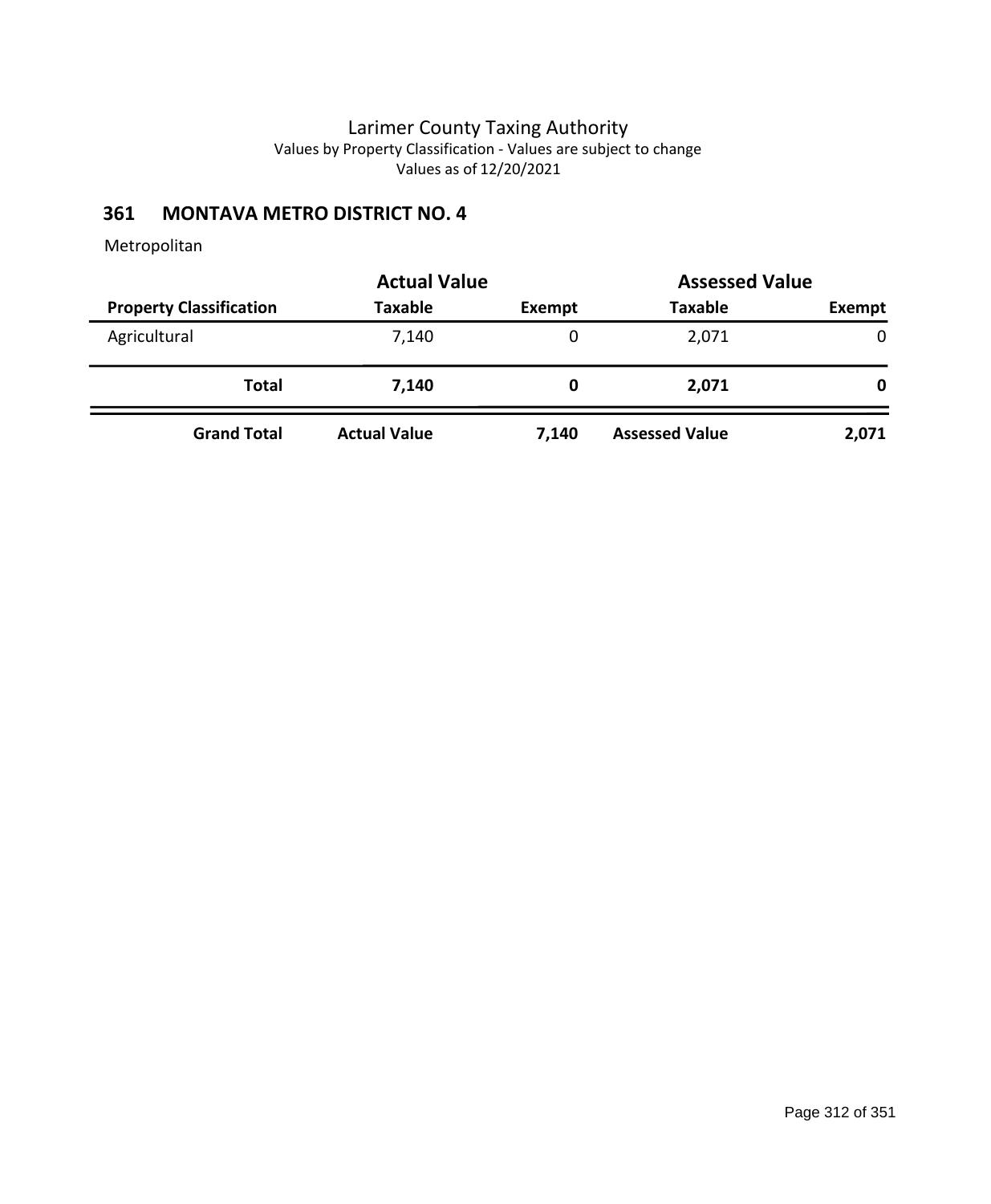# **361 MONTAVA METRO DISTRICT NO. 4**

|                                | <b>Actual Value</b> | <b>Assessed Value</b> |                       |              |  |
|--------------------------------|---------------------|-----------------------|-----------------------|--------------|--|
| <b>Property Classification</b> | <b>Taxable</b>      | <b>Exempt</b>         | <b>Taxable</b>        | Exempt       |  |
| Agricultural                   | 7,140               | 0                     | 2,071                 | $\mathbf{0}$ |  |
| Total                          | 7,140               | 0                     | 2,071                 | 0            |  |
| <b>Grand Total</b>             | <b>Actual Value</b> | 7,140                 | <b>Assessed Value</b> | 2,071        |  |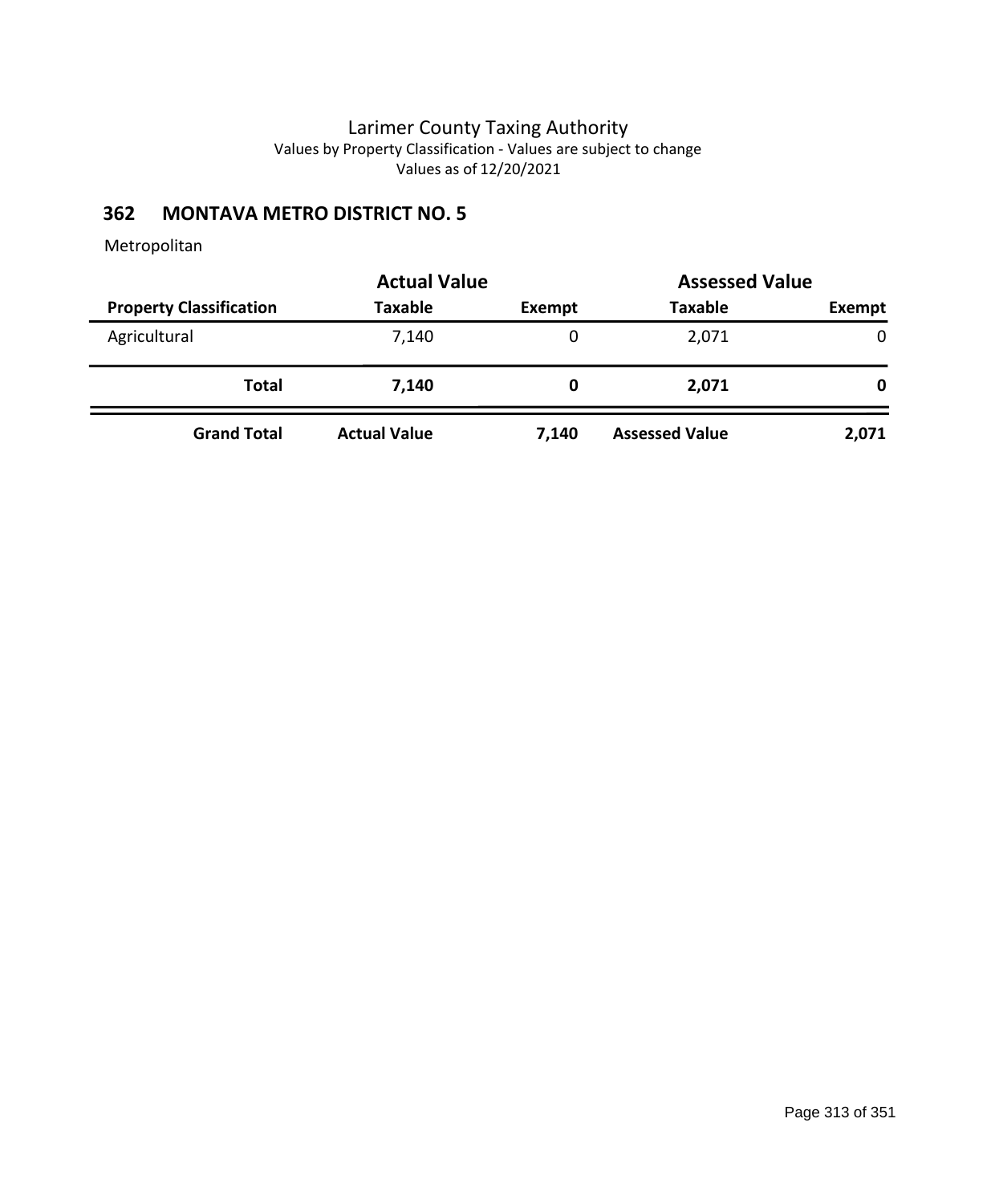# **362 MONTAVA METRO DISTRICT NO. 5**

|                                | <b>Actual Value</b> | <b>Assessed Value</b> |                       |               |  |
|--------------------------------|---------------------|-----------------------|-----------------------|---------------|--|
| <b>Property Classification</b> | <b>Taxable</b>      | Exempt                | <b>Taxable</b>        | <b>Exempt</b> |  |
| Agricultural                   | 7,140               | 0                     | 2,071                 | 0             |  |
| Total                          | 7,140               | 0                     | 2,071                 | 0             |  |
| <b>Grand Total</b>             | <b>Actual Value</b> | 7,140                 | <b>Assessed Value</b> | 2,071         |  |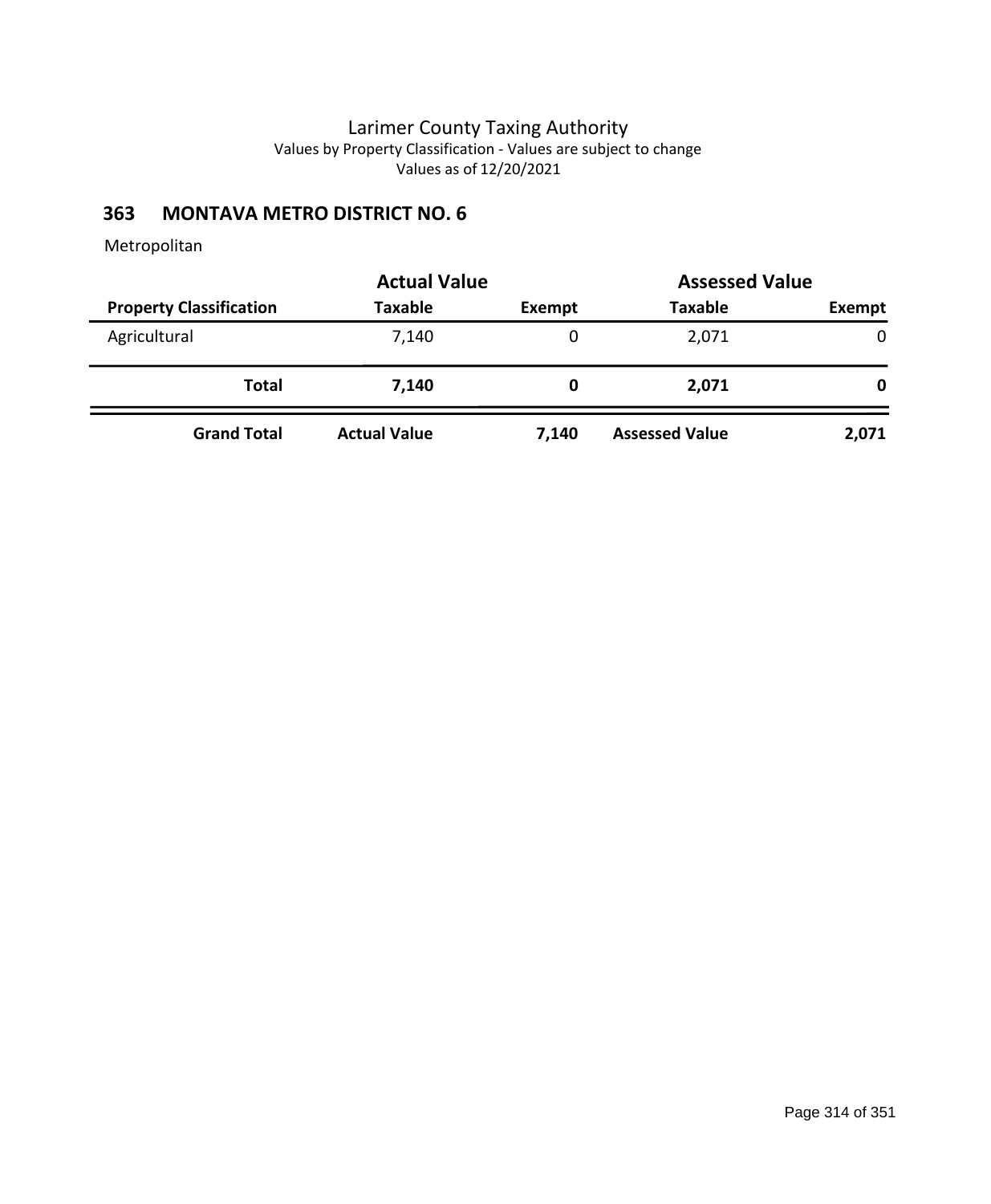# **363 MONTAVA METRO DISTRICT NO. 6**

|                                | <b>Actual Value</b> | <b>Assessed Value</b> |                       |               |  |
|--------------------------------|---------------------|-----------------------|-----------------------|---------------|--|
| <b>Property Classification</b> | <b>Taxable</b>      | Exempt                | <b>Taxable</b>        | <b>Exempt</b> |  |
| Agricultural                   | 7,140               | 0                     | 2,071                 | 0             |  |
| Total                          | 7,140               | 0                     | 2,071                 | 0             |  |
| <b>Grand Total</b>             | <b>Actual Value</b> | 7,140                 | <b>Assessed Value</b> | 2,071         |  |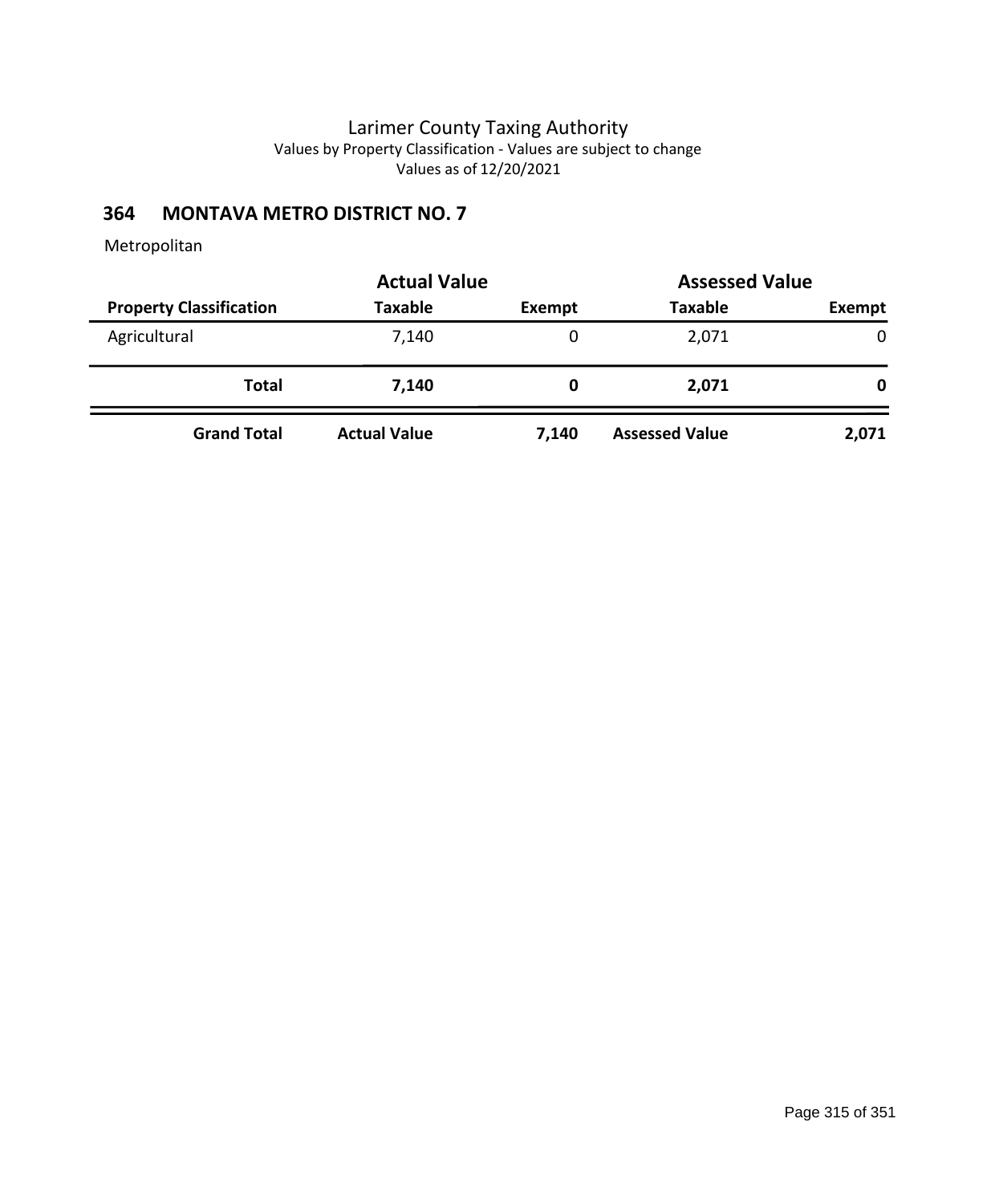# **364 MONTAVA METRO DISTRICT NO. 7**

|                                | <b>Actual Value</b> | <b>Assessed Value</b> |                       |        |  |
|--------------------------------|---------------------|-----------------------|-----------------------|--------|--|
| <b>Property Classification</b> | <b>Taxable</b>      | Exempt                | <b>Taxable</b>        | Exempt |  |
| Agricultural                   | 7,140               | 0                     | 2,071                 | 0      |  |
| Total                          | 7,140               |                       | 2,071                 | 0      |  |
| <b>Grand Total</b>             | <b>Actual Value</b> | 7,140                 | <b>Assessed Value</b> | 2,071  |  |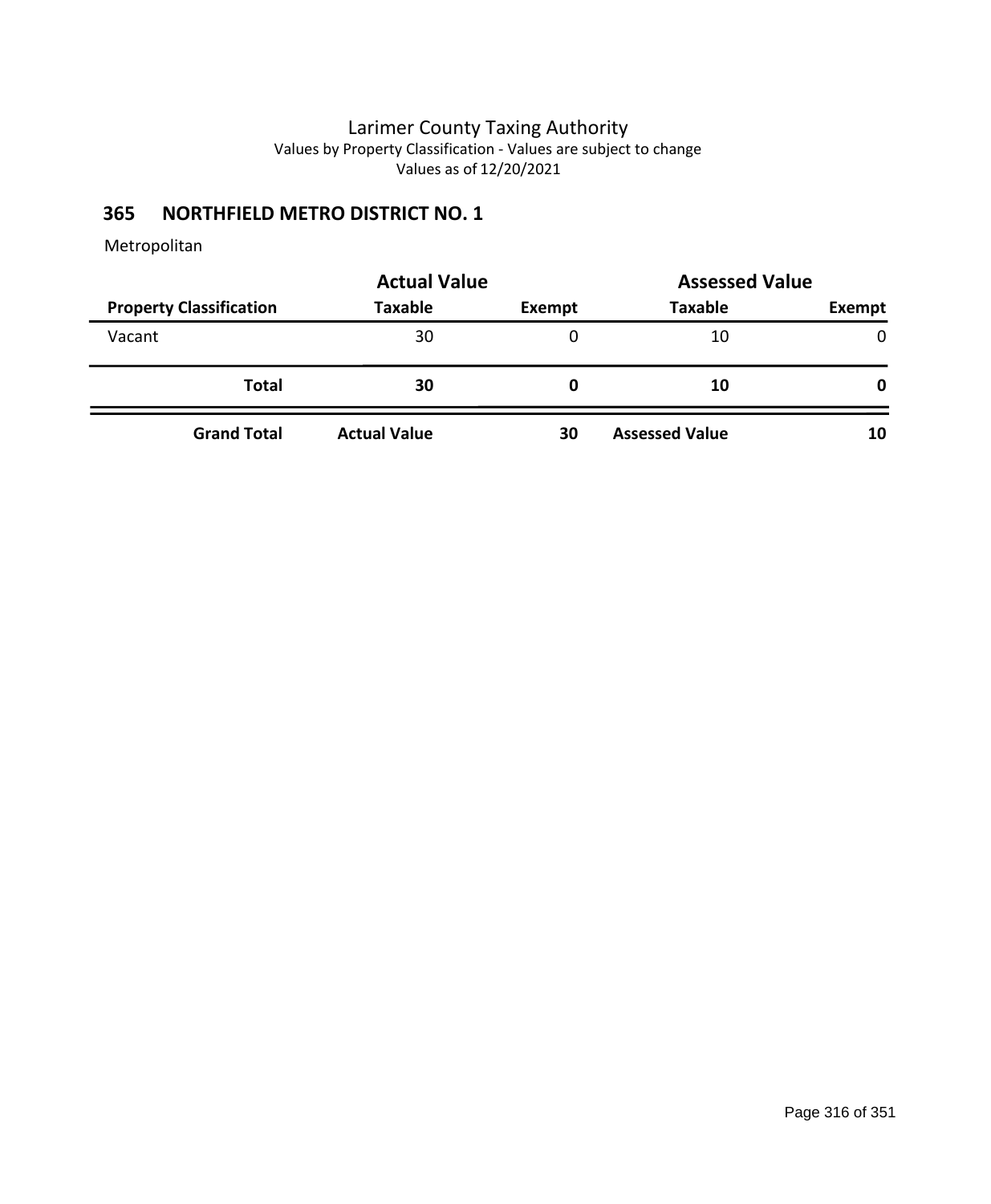# **365 NORTHFIELD METRO DISTRICT NO. 1**

|                                | <b>Actual Value</b> |        | <b>Assessed Value</b> |              |
|--------------------------------|---------------------|--------|-----------------------|--------------|
| <b>Property Classification</b> | <b>Taxable</b>      | Exempt | <b>Taxable</b>        | Exempt       |
| Vacant                         | 30                  | 0      | 10                    | $\mathbf{0}$ |
| <b>Total</b>                   | 30                  | 0      | 10                    | 0            |
| <b>Grand Total</b>             | <b>Actual Value</b> | 30     | <b>Assessed Value</b> | 10           |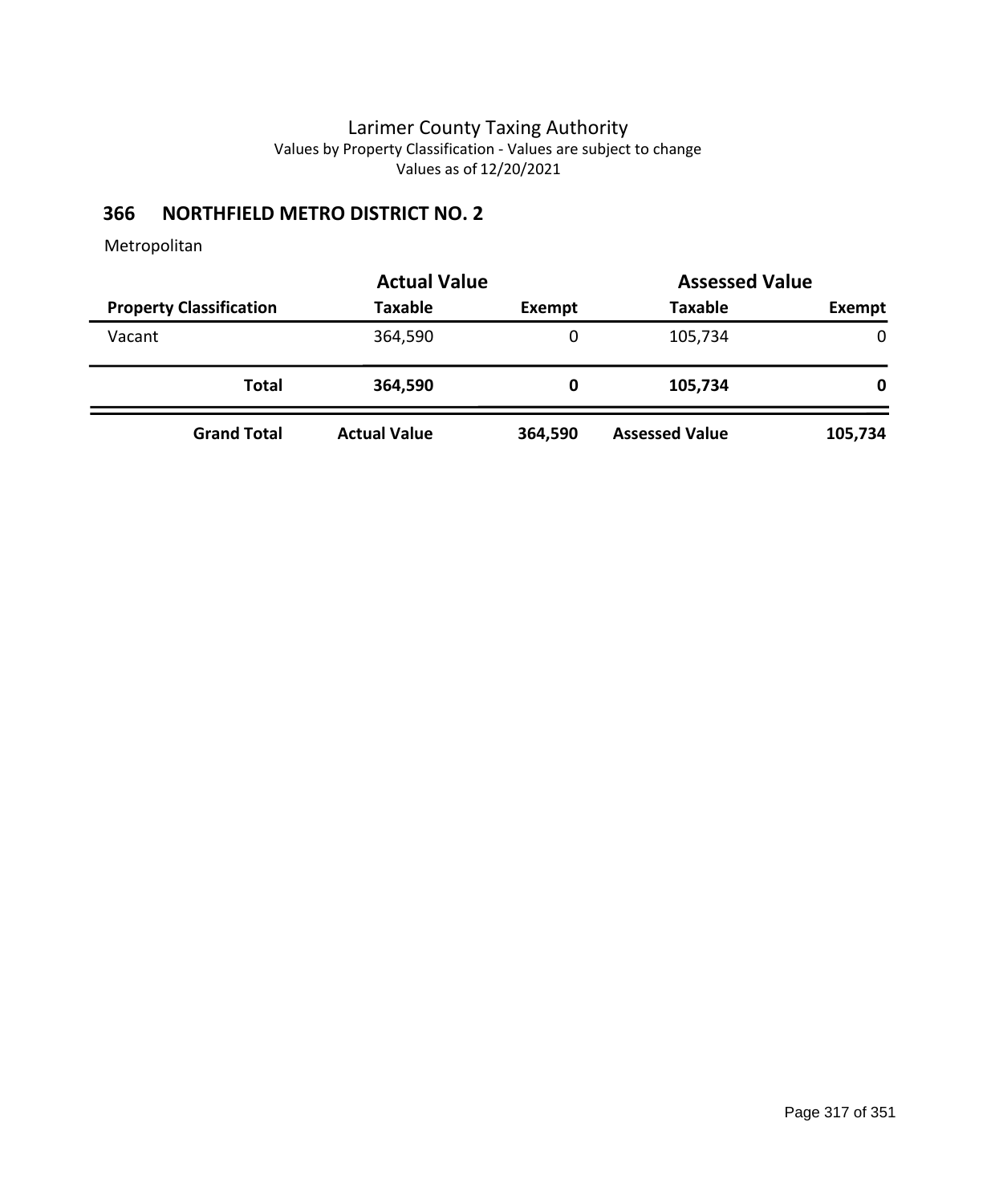# **366 NORTHFIELD METRO DISTRICT NO. 2**

|                                | <b>Actual Value</b> |               | <b>Assessed Value</b> |             |
|--------------------------------|---------------------|---------------|-----------------------|-------------|
| <b>Property Classification</b> | <b>Taxable</b>      | <b>Exempt</b> | <b>Taxable</b>        | Exempt      |
| Vacant                         | 364,590             | 0             | 105,734               | $\mathbf 0$ |
| Total                          | 364,590             | 0             | 105,734               | 0           |
| <b>Grand Total</b>             | <b>Actual Value</b> | 364,590       | <b>Assessed Value</b> | 105,734     |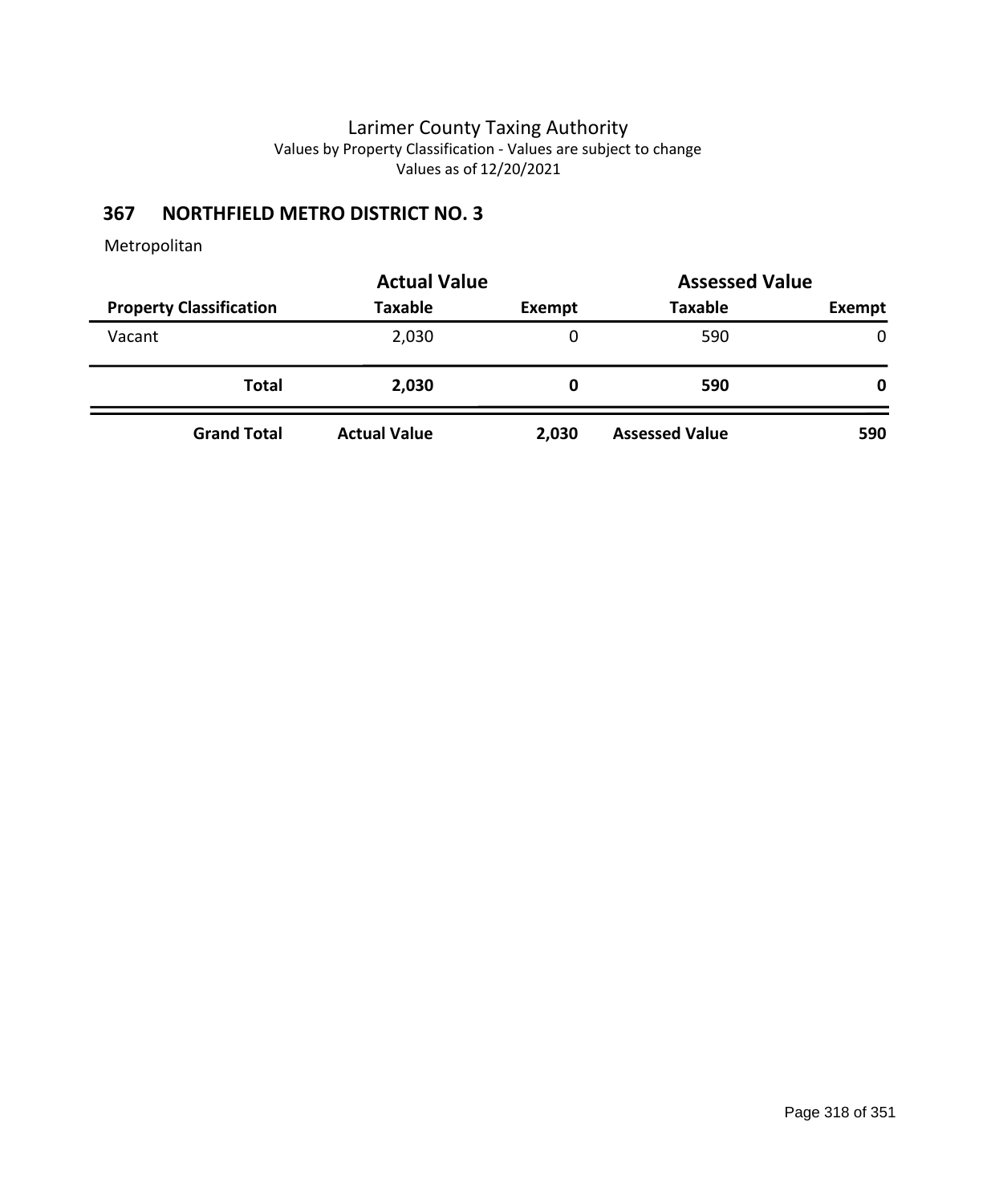# **367 NORTHFIELD METRO DISTRICT NO. 3**

|                                | <b>Actual Value</b> |        | <b>Assessed Value</b> |              |
|--------------------------------|---------------------|--------|-----------------------|--------------|
| <b>Property Classification</b> | <b>Taxable</b>      | Exempt | <b>Taxable</b>        | Exempt       |
| Vacant                         | 2,030               | 0      | 590                   | $\mathbf{0}$ |
| <b>Total</b>                   | 2,030               | 0      | 590                   | $\mathbf{0}$ |
| <b>Grand Total</b>             | <b>Actual Value</b> | 2,030  | <b>Assessed Value</b> | 590          |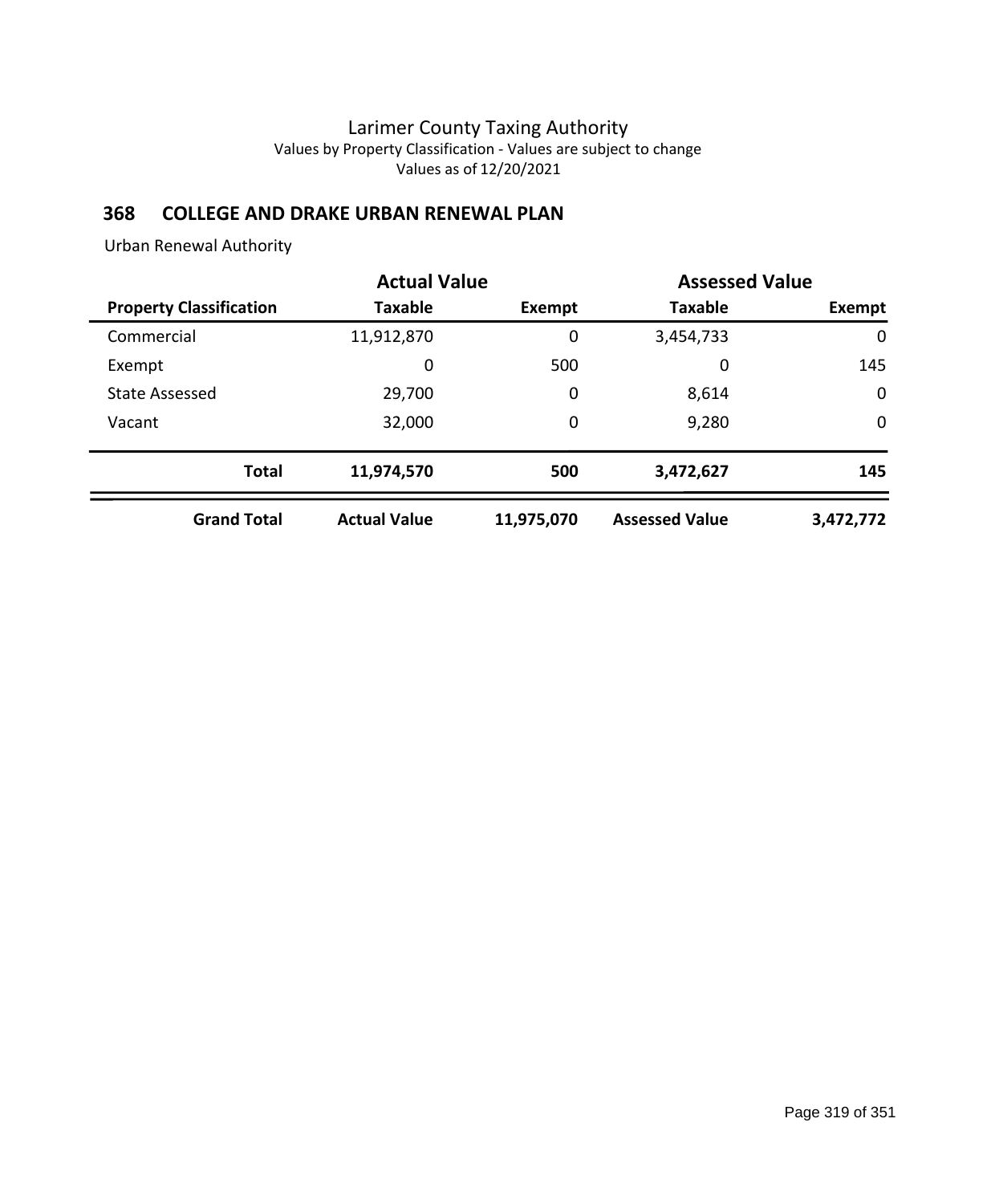### **368 COLLEGE AND DRAKE URBAN RENEWAL PLAN**

Urban Renewal Authority

|                                | <b>Actual Value</b> |            |                       | <b>Assessed Value</b> |
|--------------------------------|---------------------|------------|-----------------------|-----------------------|
| <b>Property Classification</b> | <b>Taxable</b>      | Exempt     | <b>Taxable</b>        | Exempt                |
| Commercial                     | 11,912,870          | 0          | 3,454,733             | $\mathbf 0$           |
| Exempt                         | 0                   | 500        | 0                     | 145                   |
| <b>State Assessed</b>          | 29,700              | 0          | 8,614                 | $\mathbf 0$           |
| Vacant                         | 32,000              | 0          | 9,280                 | $\mathbf 0$           |
| <b>Total</b>                   | 11,974,570          | 500        | 3,472,627             | 145                   |
| <b>Grand Total</b>             | <b>Actual Value</b> | 11,975,070 | <b>Assessed Value</b> | 3,472,772             |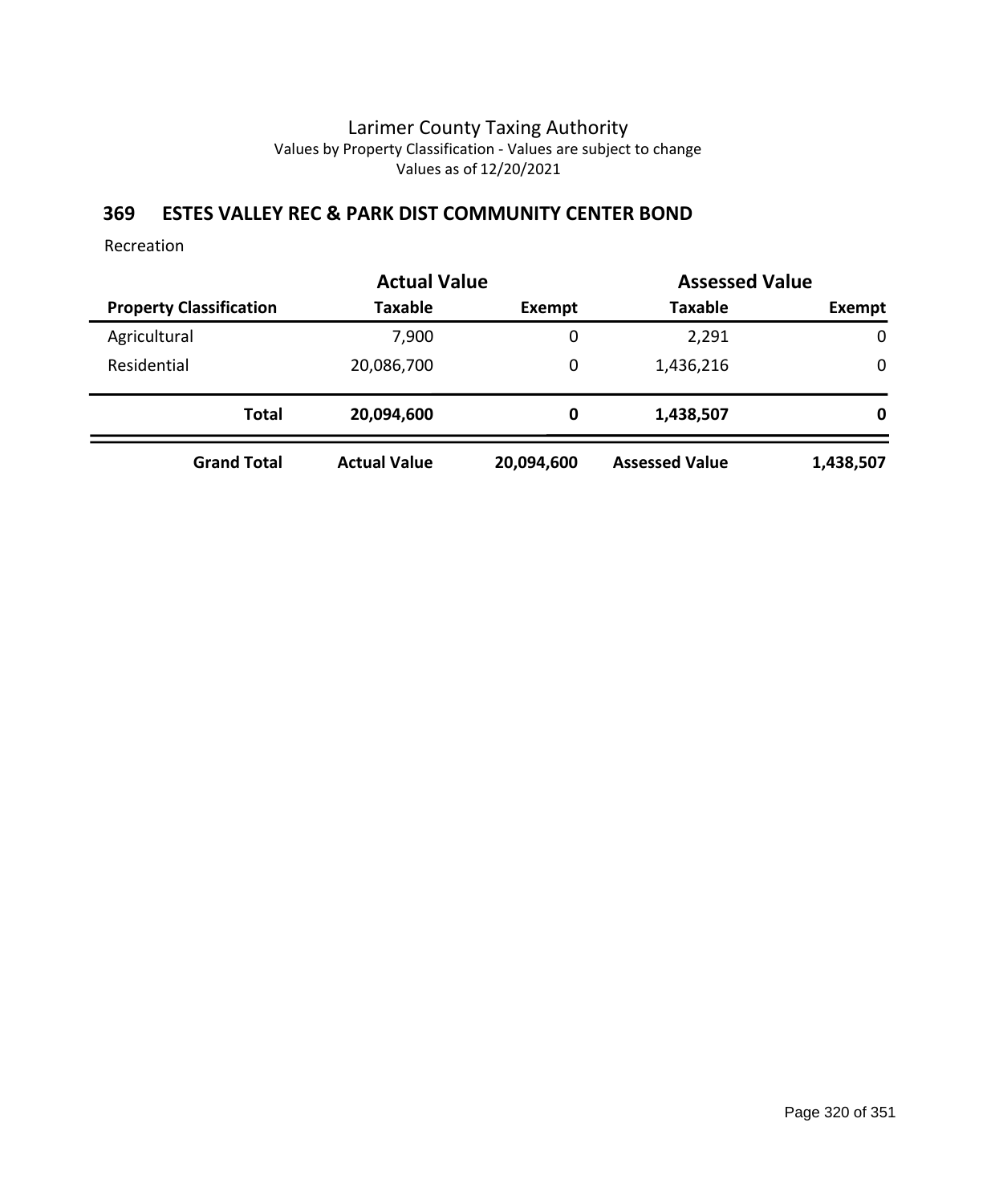### **369 ESTES VALLEY REC & PARK DIST COMMUNITY CENTER BOND**

Recreation

|                                | <b>Actual Value</b> |            | <b>Assessed Value</b> |             |
|--------------------------------|---------------------|------------|-----------------------|-------------|
| <b>Property Classification</b> | <b>Taxable</b>      | Exempt     | <b>Taxable</b>        | Exempt      |
| Agricultural                   | 7,900               | 0          | 2,291                 | $\mathbf 0$ |
| Residential                    | 20,086,700          | 0          | 1,436,216             | 0           |
| <b>Total</b>                   | 20,094,600          | 0          | 1,438,507             | 0           |
| <b>Grand Total</b>             | <b>Actual Value</b> | 20,094,600 | <b>Assessed Value</b> | 1,438,507   |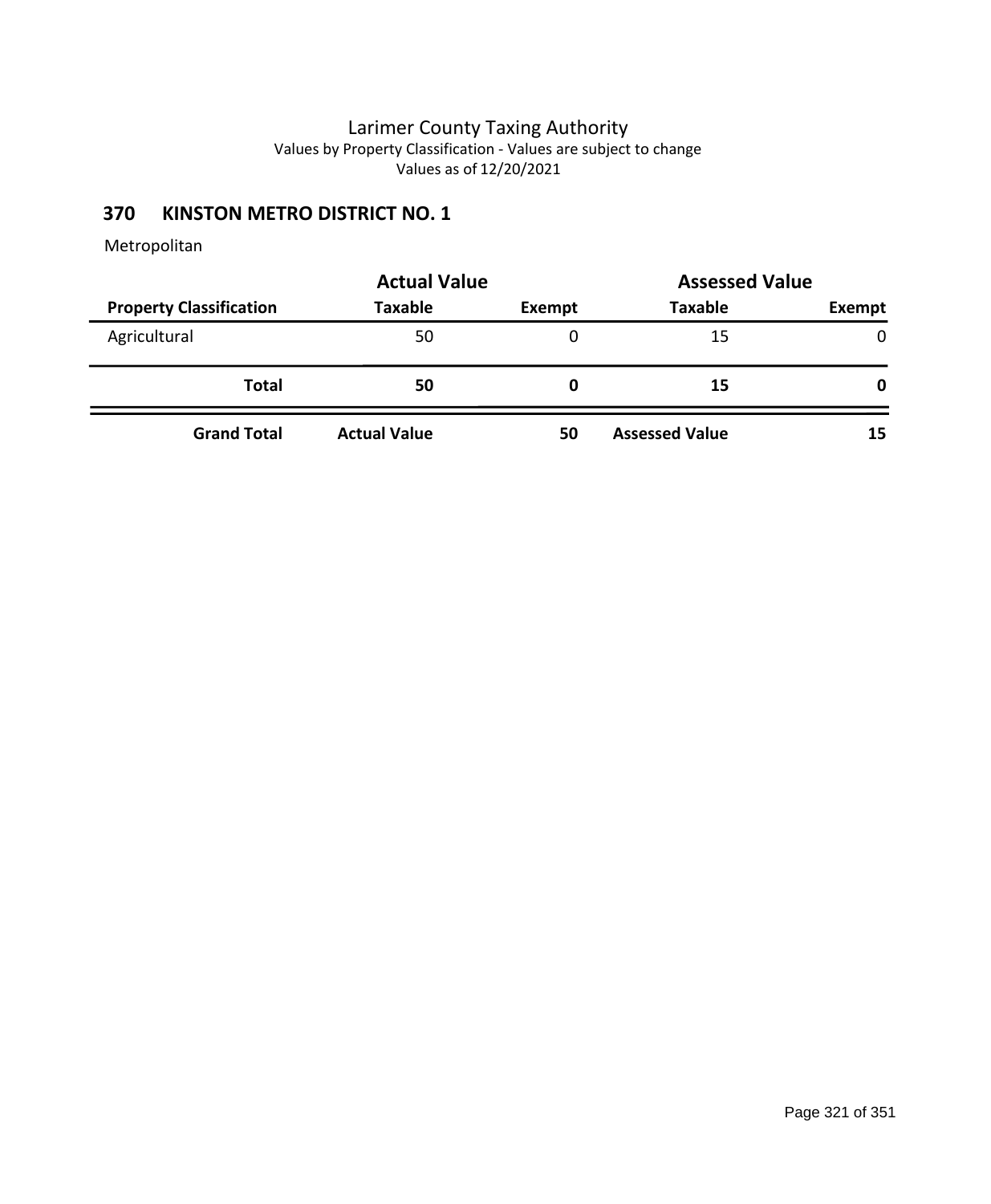# **370 KINSTON METRO DISTRICT NO. 1**

|                                | <b>Actual Value</b> | <b>Assessed Value</b> |                       |               |
|--------------------------------|---------------------|-----------------------|-----------------------|---------------|
| <b>Property Classification</b> | <b>Taxable</b>      | Exempt                | <b>Taxable</b>        | <b>Exempt</b> |
| Agricultural                   | 50                  | 0                     | 15                    | $\mathbf{0}$  |
| <b>Total</b>                   | 50                  | 0                     | 15                    | 0             |
| <b>Grand Total</b>             | <b>Actual Value</b> | 50                    | <b>Assessed Value</b> | 15            |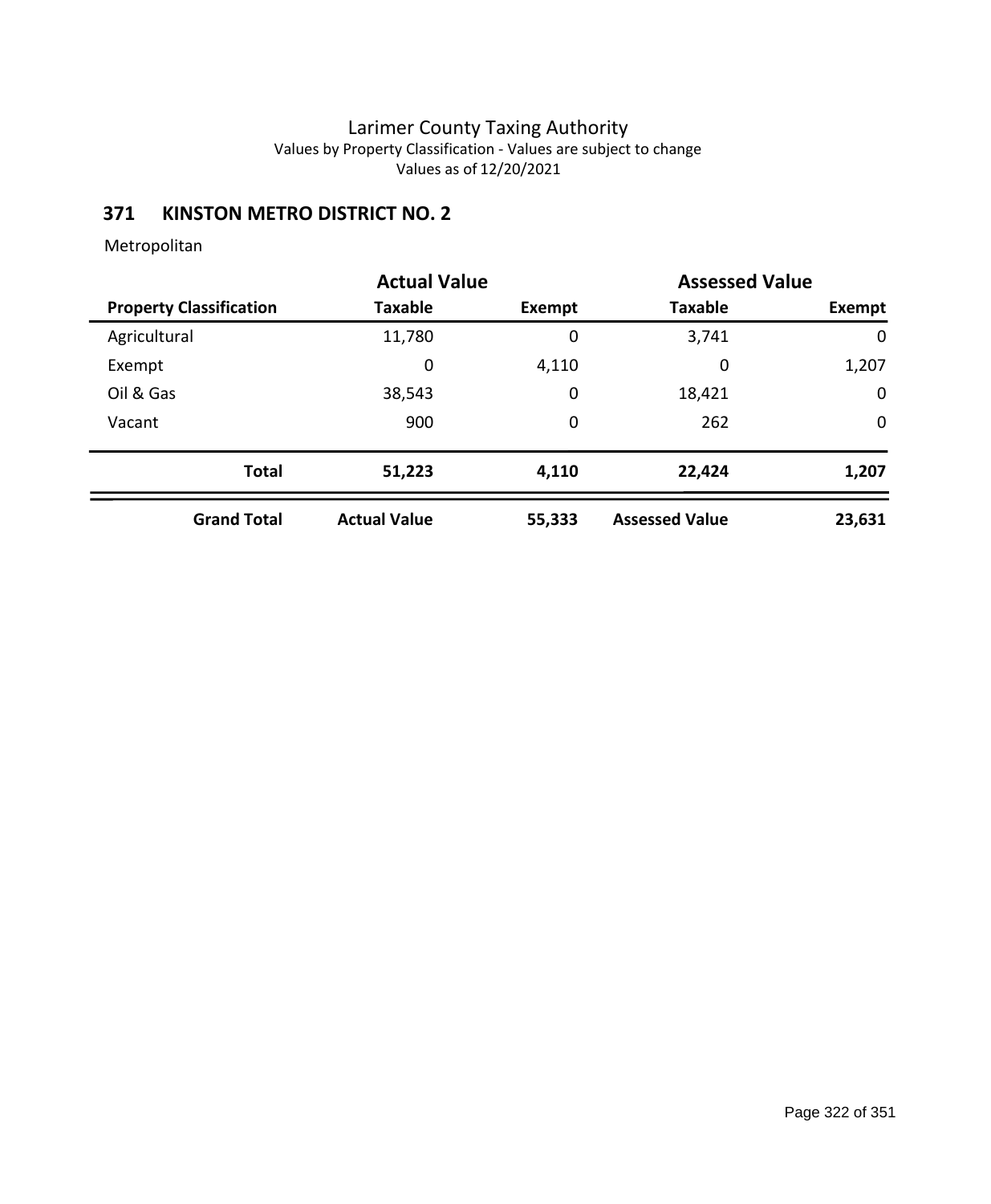# **371 KINSTON METRO DISTRICT NO. 2**

|                                | <b>Actual Value</b> |        |                       | <b>Assessed Value</b> |
|--------------------------------|---------------------|--------|-----------------------|-----------------------|
| <b>Property Classification</b> | <b>Taxable</b>      | Exempt | <b>Taxable</b>        | Exempt                |
| Agricultural                   | 11,780              | 0      | 3,741                 | 0                     |
| Exempt                         | 0                   | 4,110  | 0                     | 1,207                 |
| Oil & Gas                      | 38,543              | 0      | 18,421                | $\mathbf 0$           |
| Vacant                         | 900                 | 0      | 262                   | $\mathbf 0$           |
| <b>Total</b>                   | 51,223              | 4,110  | 22,424                | 1,207                 |
| <b>Grand Total</b>             | <b>Actual Value</b> | 55,333 | <b>Assessed Value</b> | 23,631                |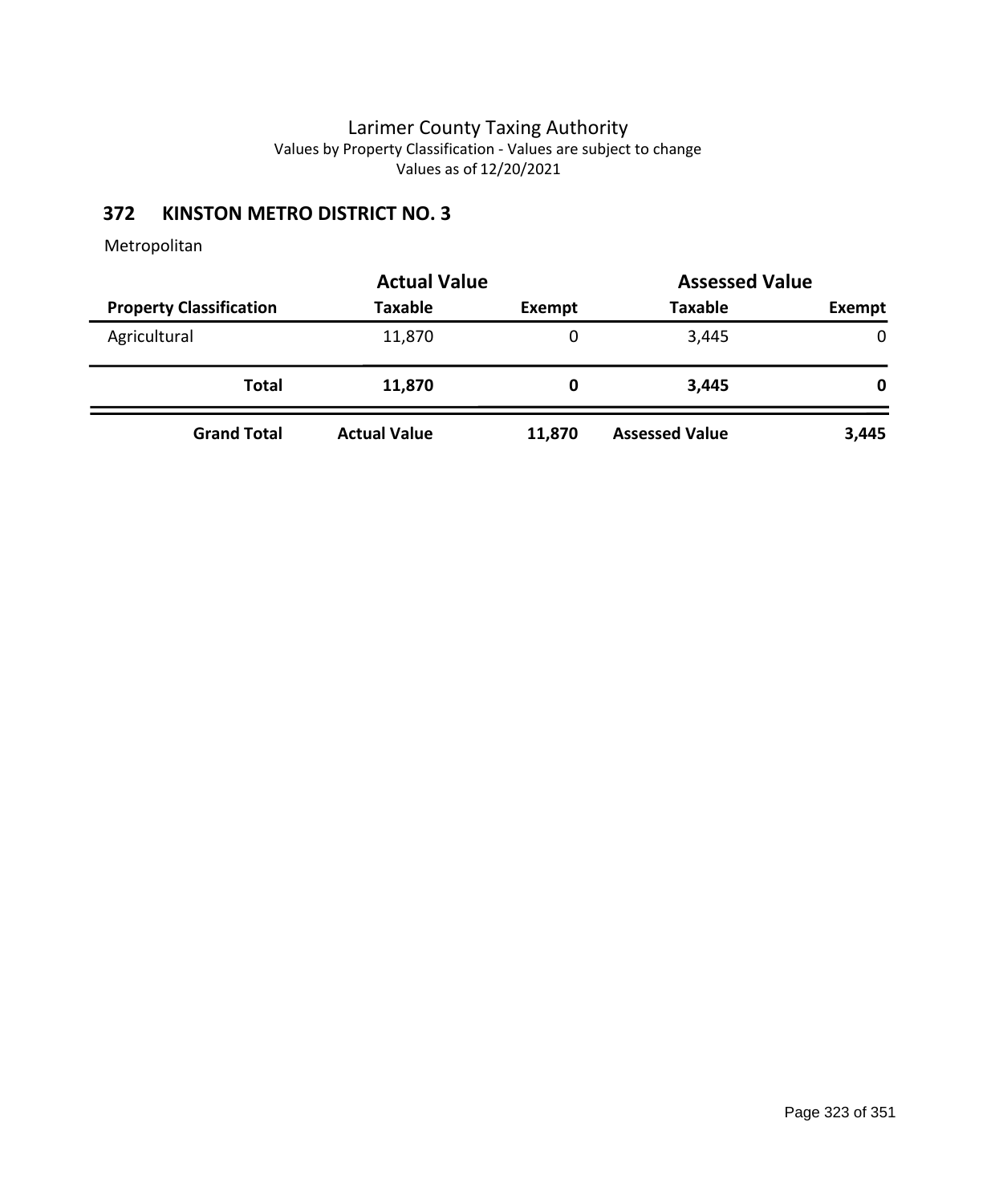# **372 KINSTON METRO DISTRICT NO. 3**

| <b>Actual Value</b>            |                     |               | <b>Assessed Value</b> |              |
|--------------------------------|---------------------|---------------|-----------------------|--------------|
| <b>Property Classification</b> | <b>Taxable</b>      | <b>Exempt</b> | <b>Taxable</b>        | Exempt       |
| Agricultural                   | 11,870              | 0             | 3,445                 | $\mathbf{0}$ |
| Total                          | 11,870              | 0             | 3,445                 | 0            |
| <b>Grand Total</b>             | <b>Actual Value</b> | 11,870        | <b>Assessed Value</b> | 3,445        |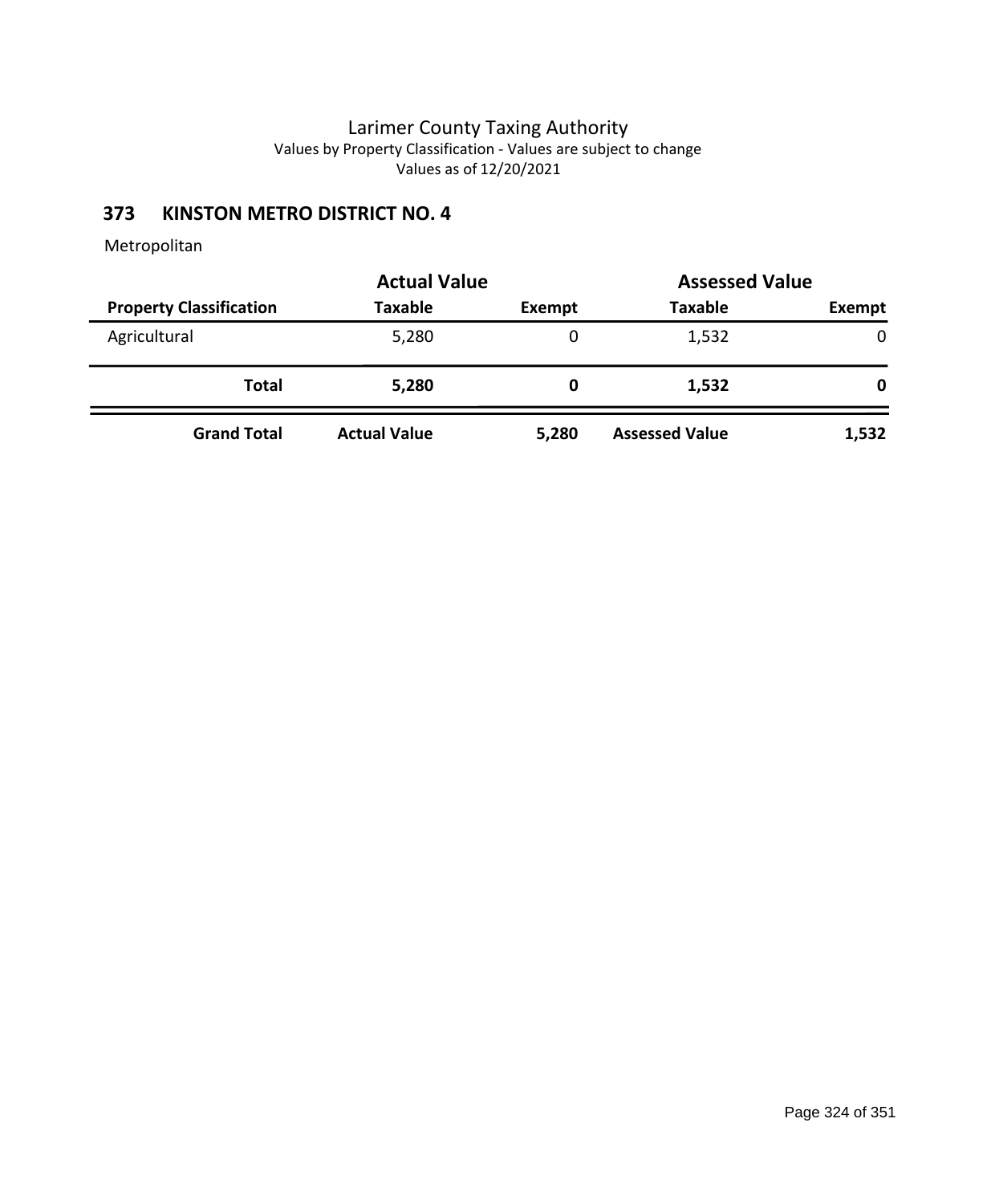# **373 KINSTON METRO DISTRICT NO. 4**

|                                | <b>Actual Value</b> | <b>Assessed Value</b> |                       |               |  |
|--------------------------------|---------------------|-----------------------|-----------------------|---------------|--|
| <b>Property Classification</b> | <b>Taxable</b>      | <b>Exempt</b>         | <b>Taxable</b>        | <b>Exempt</b> |  |
| Agricultural                   | 5,280               |                       | 1,532                 | 0             |  |
| Total                          | 5,280               | 0                     | 1,532                 | 0             |  |
| <b>Grand Total</b>             | <b>Actual Value</b> | 5,280                 | <b>Assessed Value</b> | 1,532         |  |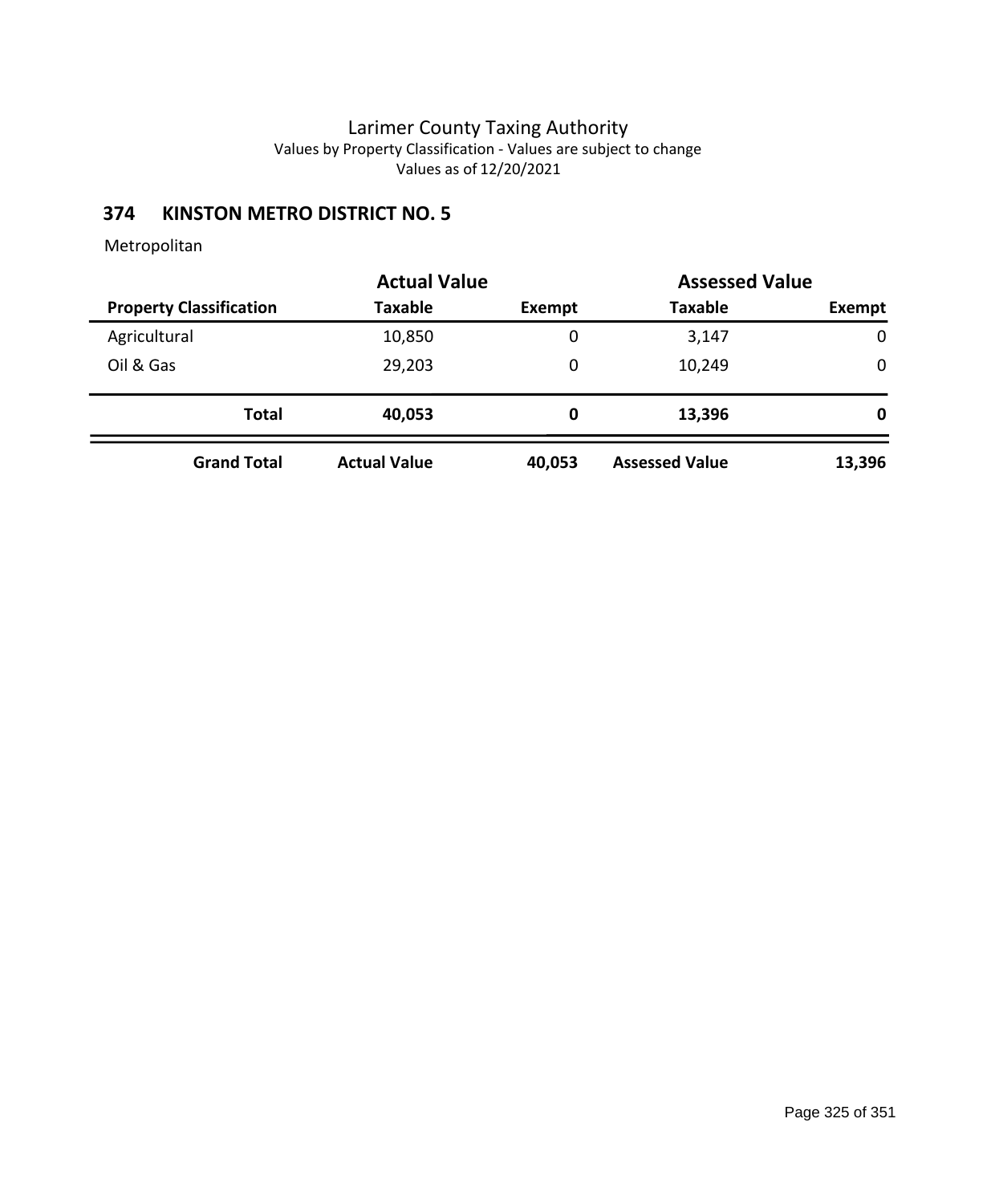# **374 KINSTON METRO DISTRICT NO. 5**

|                                |                     | <b>Actual Value</b> |                       | <b>Assessed Value</b> |
|--------------------------------|---------------------|---------------------|-----------------------|-----------------------|
| <b>Property Classification</b> | <b>Taxable</b>      | Exempt              | <b>Taxable</b>        | Exempt                |
| Agricultural                   | 10,850              | 0                   | 3,147                 | $\mathbf 0$           |
| Oil & Gas                      | 29,203              | 0                   | 10,249                | $\mathbf 0$           |
| <b>Total</b>                   | 40,053              | 0                   | 13,396                | 0                     |
| <b>Grand Total</b>             | <b>Actual Value</b> | 40,053              | <b>Assessed Value</b> | 13,396                |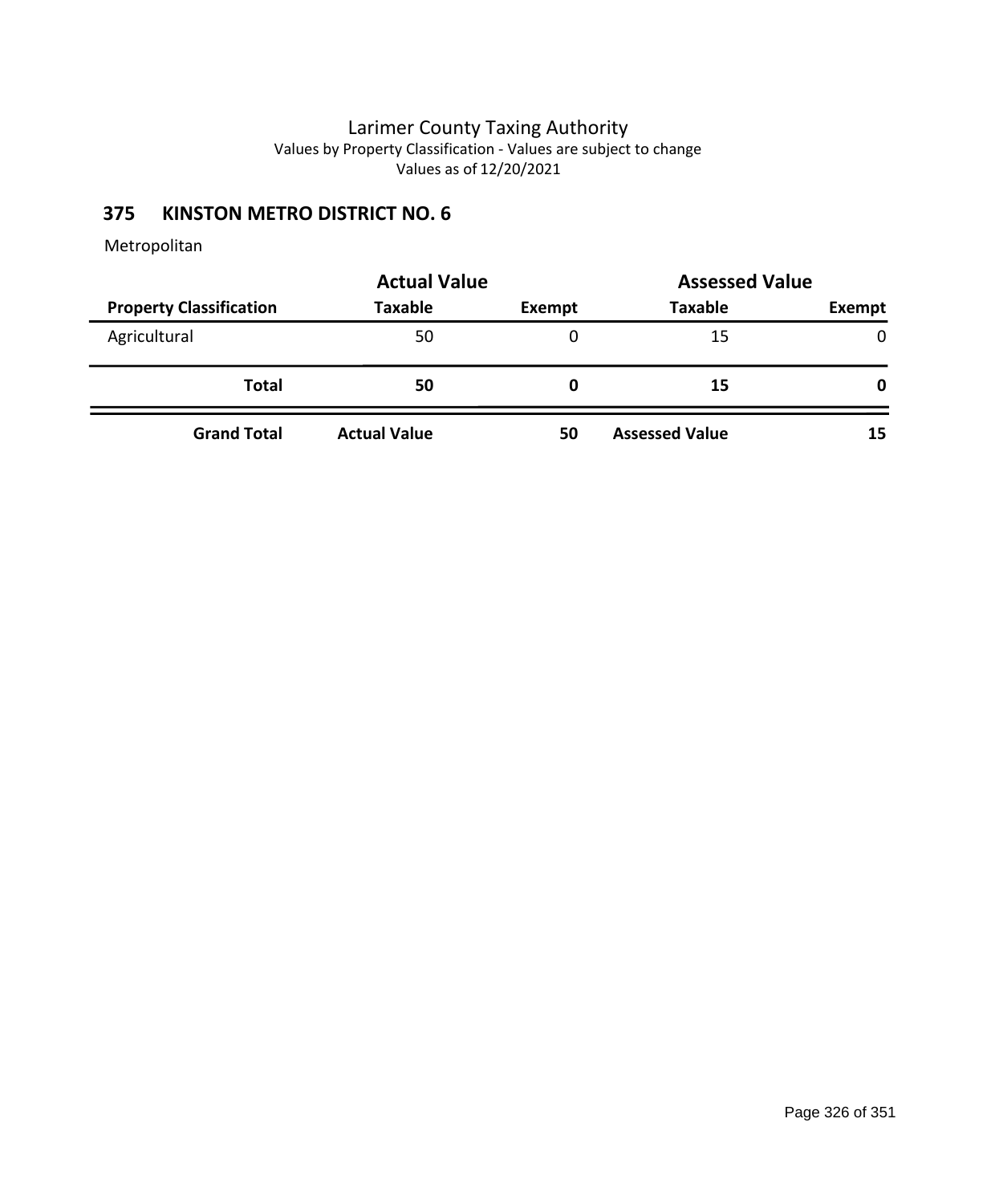# **375 KINSTON METRO DISTRICT NO. 6**

|                                | <b>Actual Value</b> | <b>Assessed Value</b> |                       |              |  |
|--------------------------------|---------------------|-----------------------|-----------------------|--------------|--|
| <b>Property Classification</b> | <b>Taxable</b>      | Exempt                | <b>Taxable</b>        | Exempt       |  |
| Agricultural                   | 50                  | 0                     | 15                    | $\mathbf{0}$ |  |
| <b>Total</b>                   | 50                  | 0                     | 15                    | 0            |  |
| <b>Grand Total</b>             | <b>Actual Value</b> | 50                    | <b>Assessed Value</b> | 15           |  |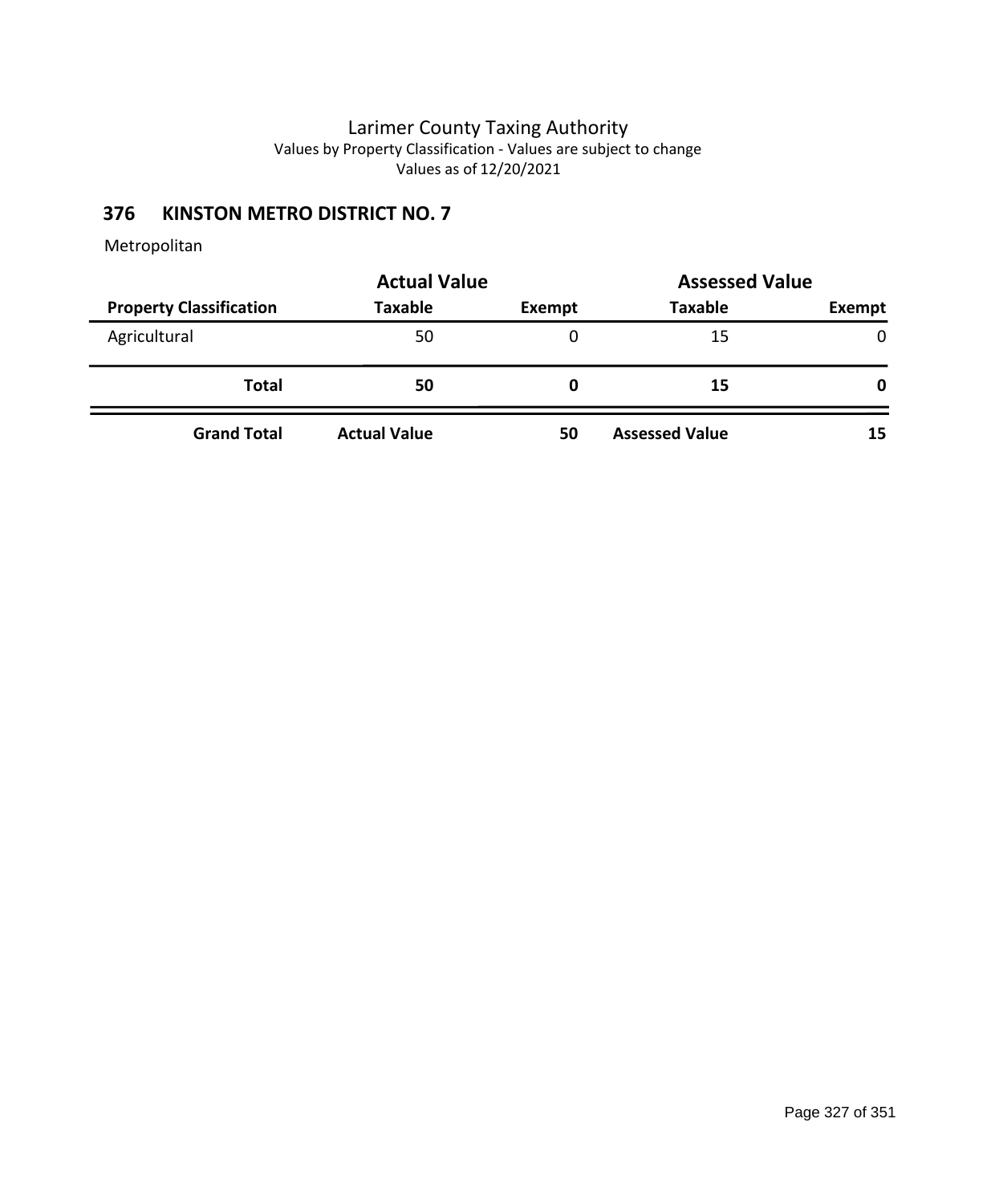# **376 KINSTON METRO DISTRICT NO. 7**

|                                | <b>Actual Value</b> | <b>Assessed Value</b> |                       |               |
|--------------------------------|---------------------|-----------------------|-----------------------|---------------|
| <b>Property Classification</b> | <b>Taxable</b>      | Exempt                | <b>Taxable</b>        | <b>Exempt</b> |
| Agricultural                   | 50                  | 0                     | 15                    | $\mathbf{0}$  |
| <b>Total</b>                   | 50                  | 0                     | 15                    | 0             |
| <b>Grand Total</b>             | <b>Actual Value</b> | 50                    | <b>Assessed Value</b> | 15            |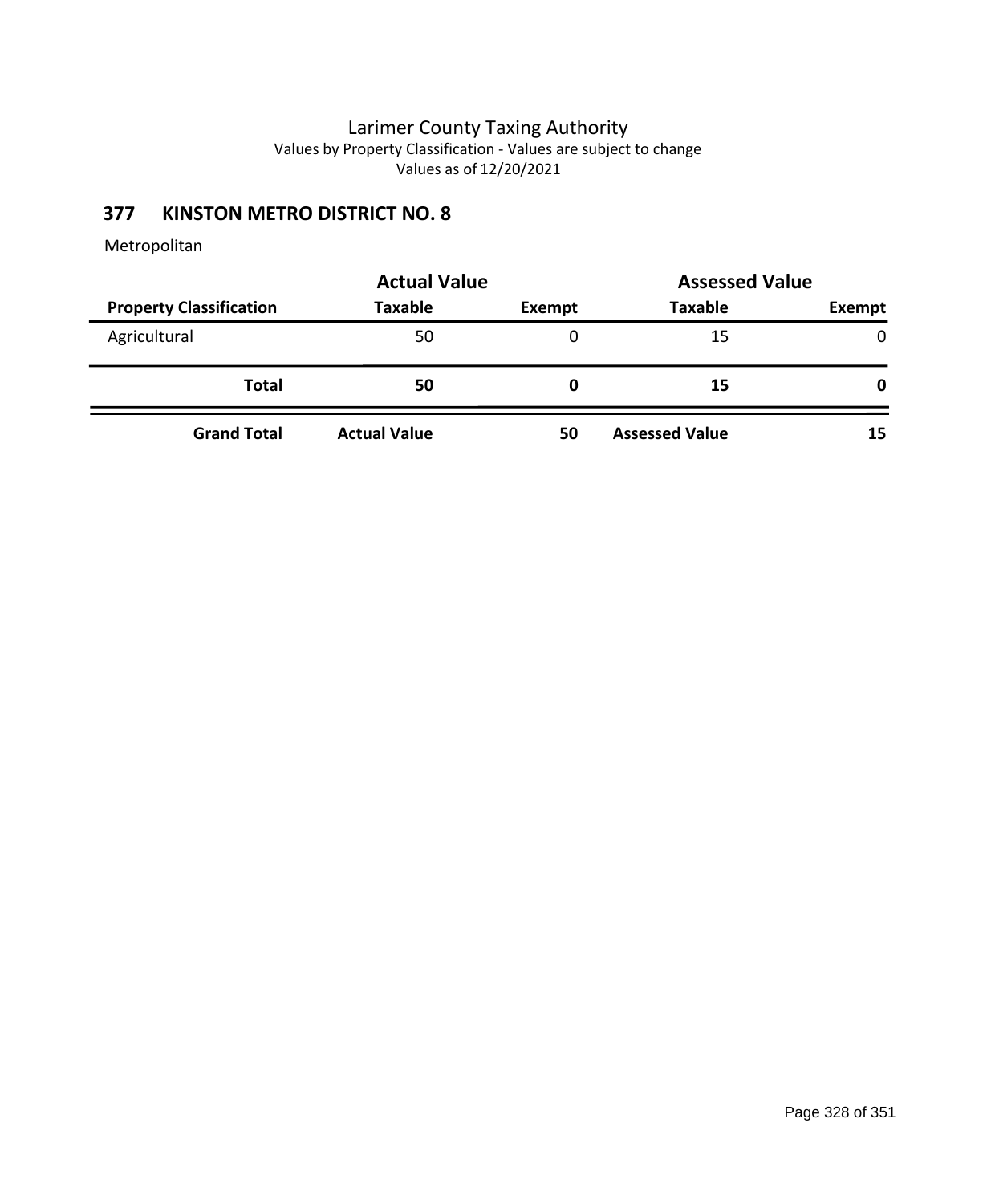# **377 KINSTON METRO DISTRICT NO. 8**

|                                | <b>Actual Value</b> | <b>Assessed Value</b> |                       |               |
|--------------------------------|---------------------|-----------------------|-----------------------|---------------|
| <b>Property Classification</b> | <b>Taxable</b>      | Exempt                | <b>Taxable</b>        | <b>Exempt</b> |
| Agricultural                   | 50                  | 0                     | 15                    | $\mathbf{0}$  |
| <b>Total</b>                   | 50                  | 0                     | 15                    | 0             |
| <b>Grand Total</b>             | <b>Actual Value</b> | 50                    | <b>Assessed Value</b> | 15            |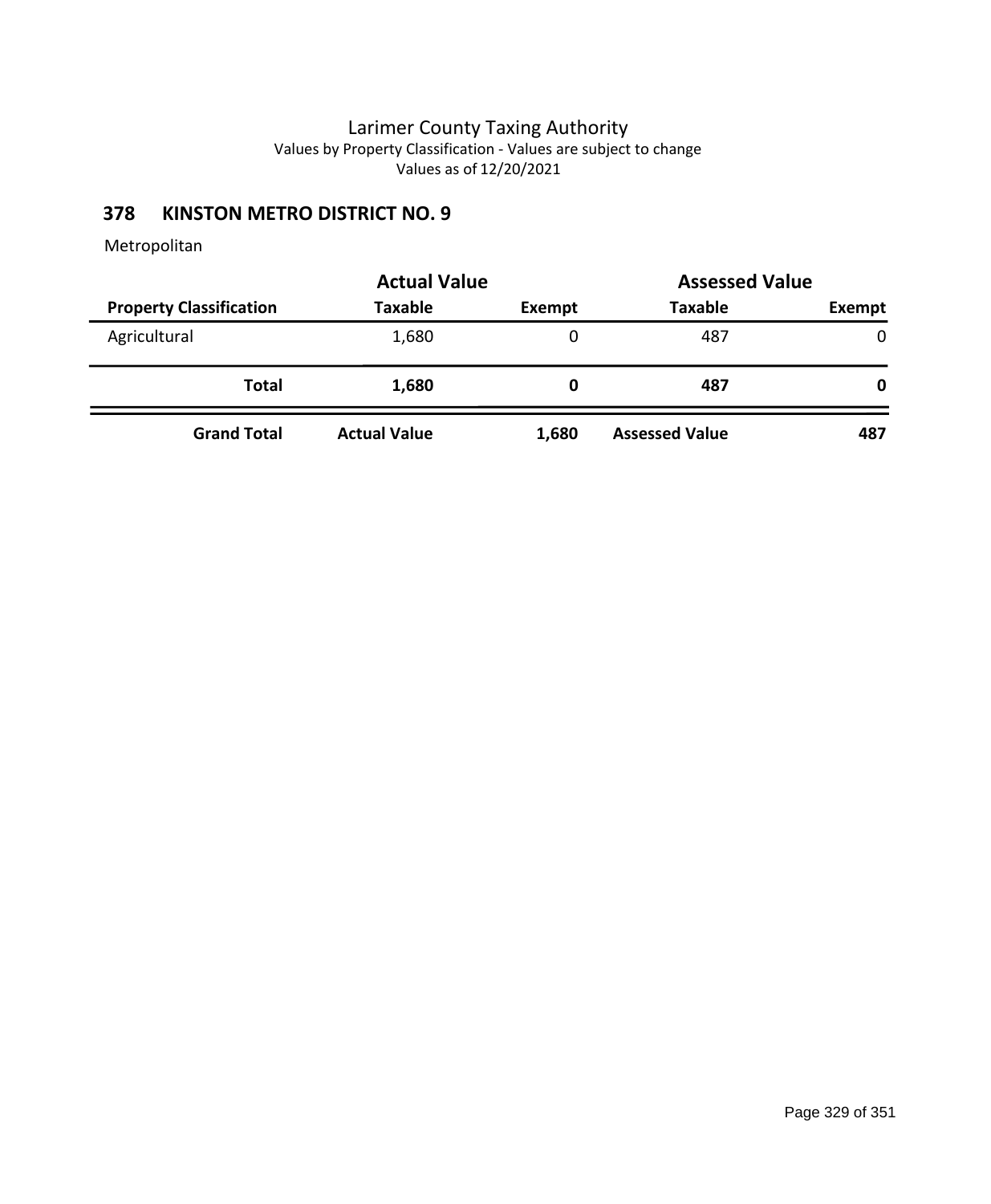# **378 KINSTON METRO DISTRICT NO. 9**

|                                | <b>Actual Value</b> | <b>Assessed Value</b> |                       |              |
|--------------------------------|---------------------|-----------------------|-----------------------|--------------|
| <b>Property Classification</b> | <b>Taxable</b>      | Exempt                | <b>Taxable</b>        | Exempt       |
| Agricultural                   | 1,680               | 0                     | 487                   | $\mathbf{0}$ |
| Total                          | 1,680               | 0                     | 487                   | 0            |
| <b>Grand Total</b>             | <b>Actual Value</b> | 1,680                 | <b>Assessed Value</b> | 487          |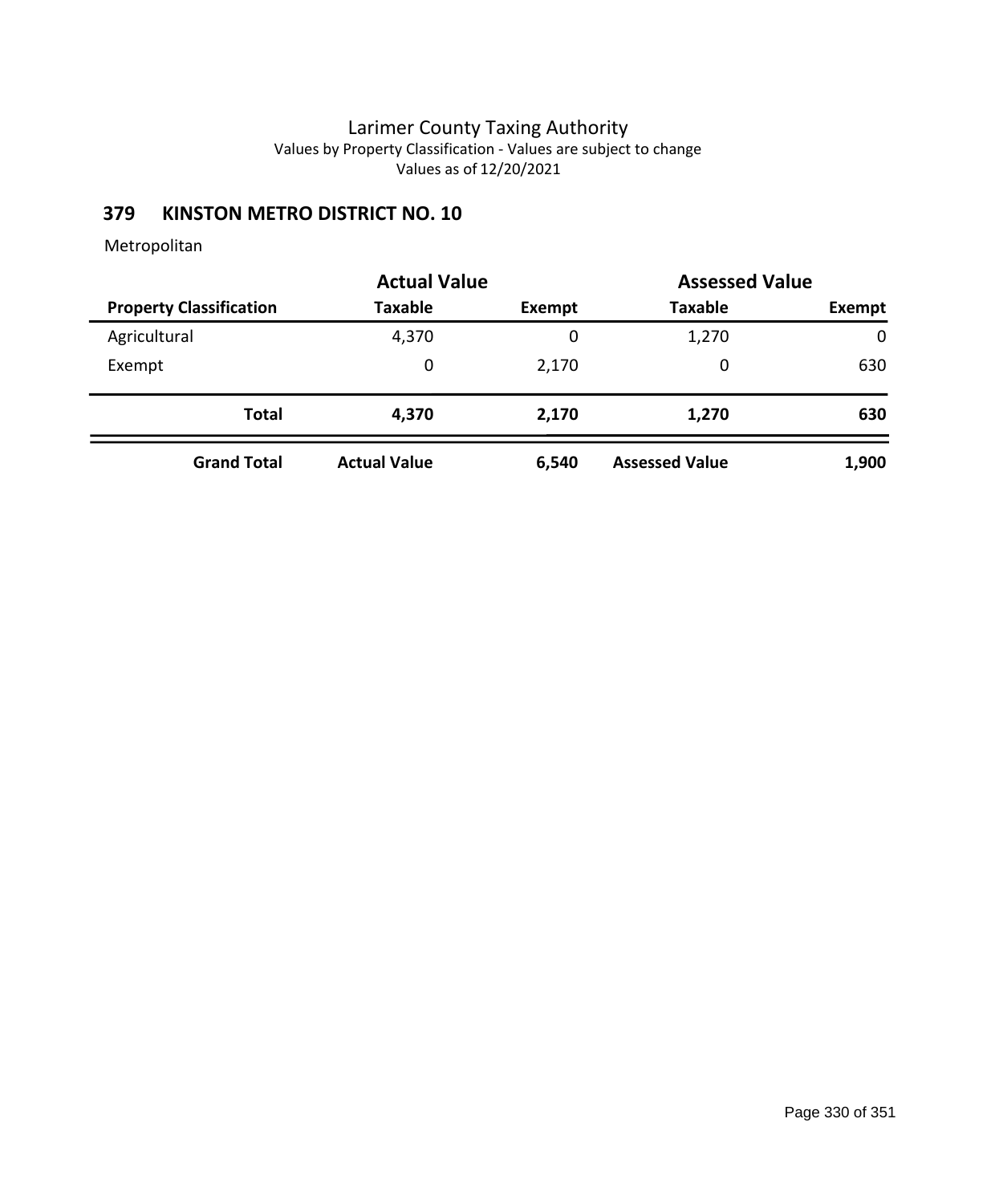# **379 KINSTON METRO DISTRICT NO. 10**

|                                | <b>Actual Value</b> | <b>Assessed Value</b> |                       |             |  |
|--------------------------------|---------------------|-----------------------|-----------------------|-------------|--|
| <b>Property Classification</b> | <b>Taxable</b>      | Exempt                | <b>Taxable</b>        | Exempt      |  |
| Agricultural                   | 4,370               | 0                     | 1,270                 | $\mathbf 0$ |  |
| Exempt                         | 0                   | 2,170                 | 0                     | 630         |  |
| <b>Total</b>                   | 4,370               | 2,170                 | 1,270                 | 630         |  |
| <b>Grand Total</b>             | <b>Actual Value</b> | 6,540                 | <b>Assessed Value</b> | 1,900       |  |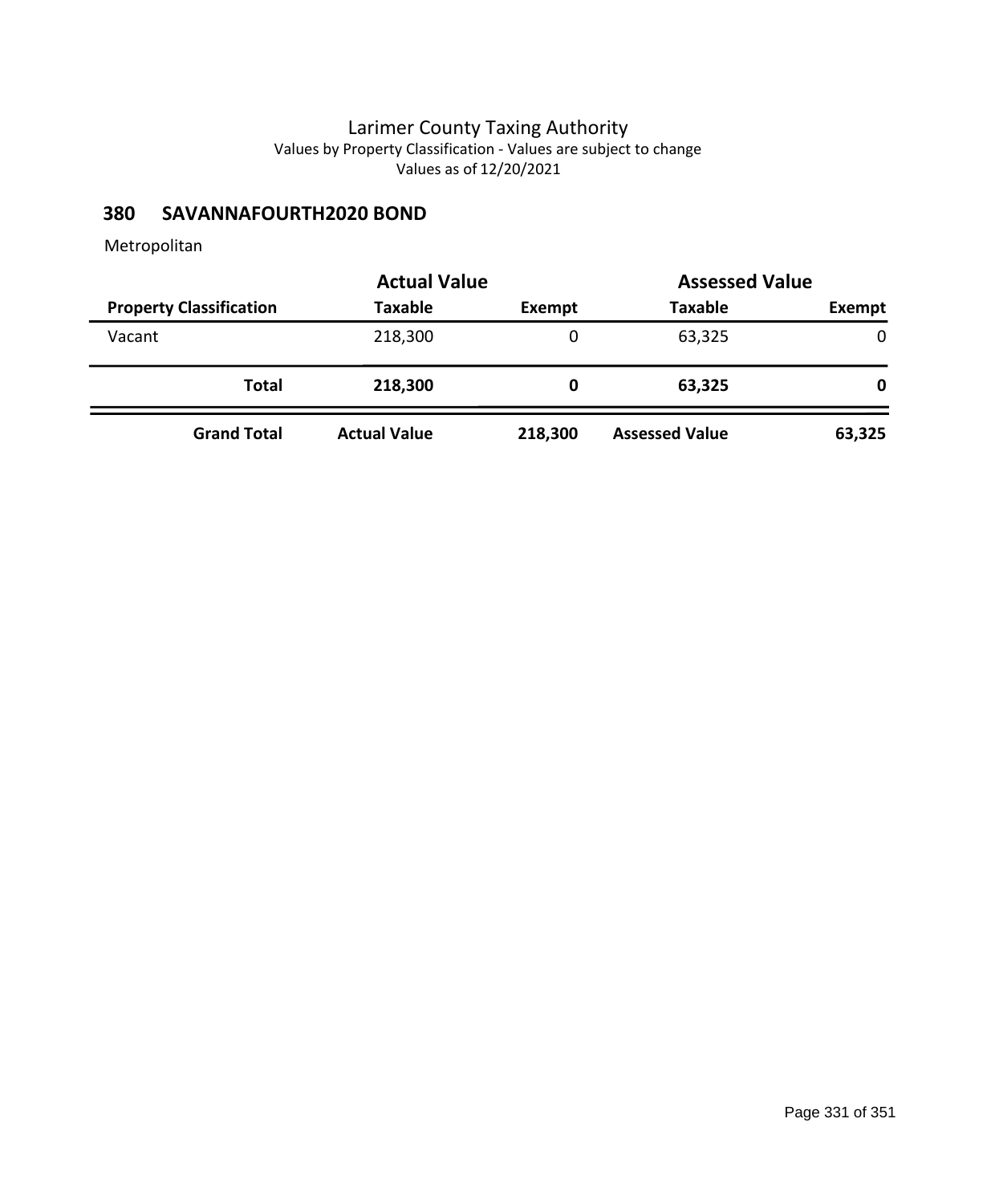## **380 SAVANNAFOURTH2020 BOND**

|                                | <b>Actual Value</b> |         | <b>Assessed Value</b> |               |
|--------------------------------|---------------------|---------|-----------------------|---------------|
| <b>Property Classification</b> | <b>Taxable</b>      | Exempt  | <b>Taxable</b>        | <b>Exempt</b> |
| Vacant                         | 218,300             | 0       | 63,325                | 0             |
| Total                          | 218,300             | O       | 63,325                | 0             |
| <b>Grand Total</b>             | <b>Actual Value</b> | 218,300 | <b>Assessed Value</b> | 63,325        |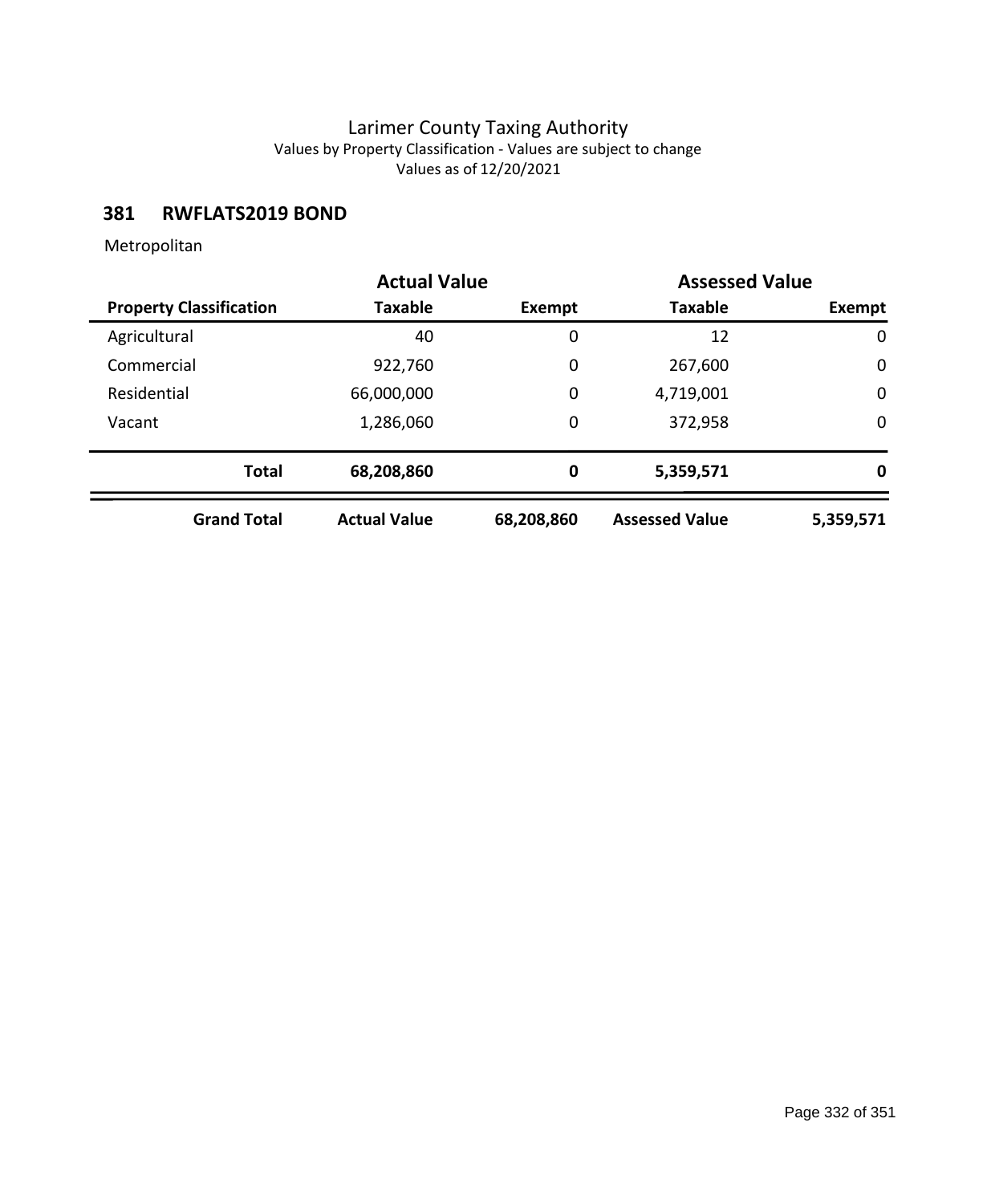### **381 RWFLATS2019 BOND**

|                                | <b>Actual Value</b> |            | <b>Assessed Value</b> |             |
|--------------------------------|---------------------|------------|-----------------------|-------------|
| <b>Property Classification</b> | <b>Taxable</b>      | Exempt     | <b>Taxable</b>        | Exempt      |
| Agricultural                   | 40                  | 0          | 12                    | $\mathbf 0$ |
| Commercial                     | 922,760             | 0          | 267,600               | 0           |
| Residential                    | 66,000,000          | 0          | 4,719,001             | $\mathbf 0$ |
| Vacant                         | 1,286,060           | 0          | 372,958               | 0           |
| <b>Total</b>                   | 68,208,860          | $\bf{0}$   | 5,359,571             | 0           |
| <b>Grand Total</b>             | <b>Actual Value</b> | 68,208,860 | <b>Assessed Value</b> | 5,359,571   |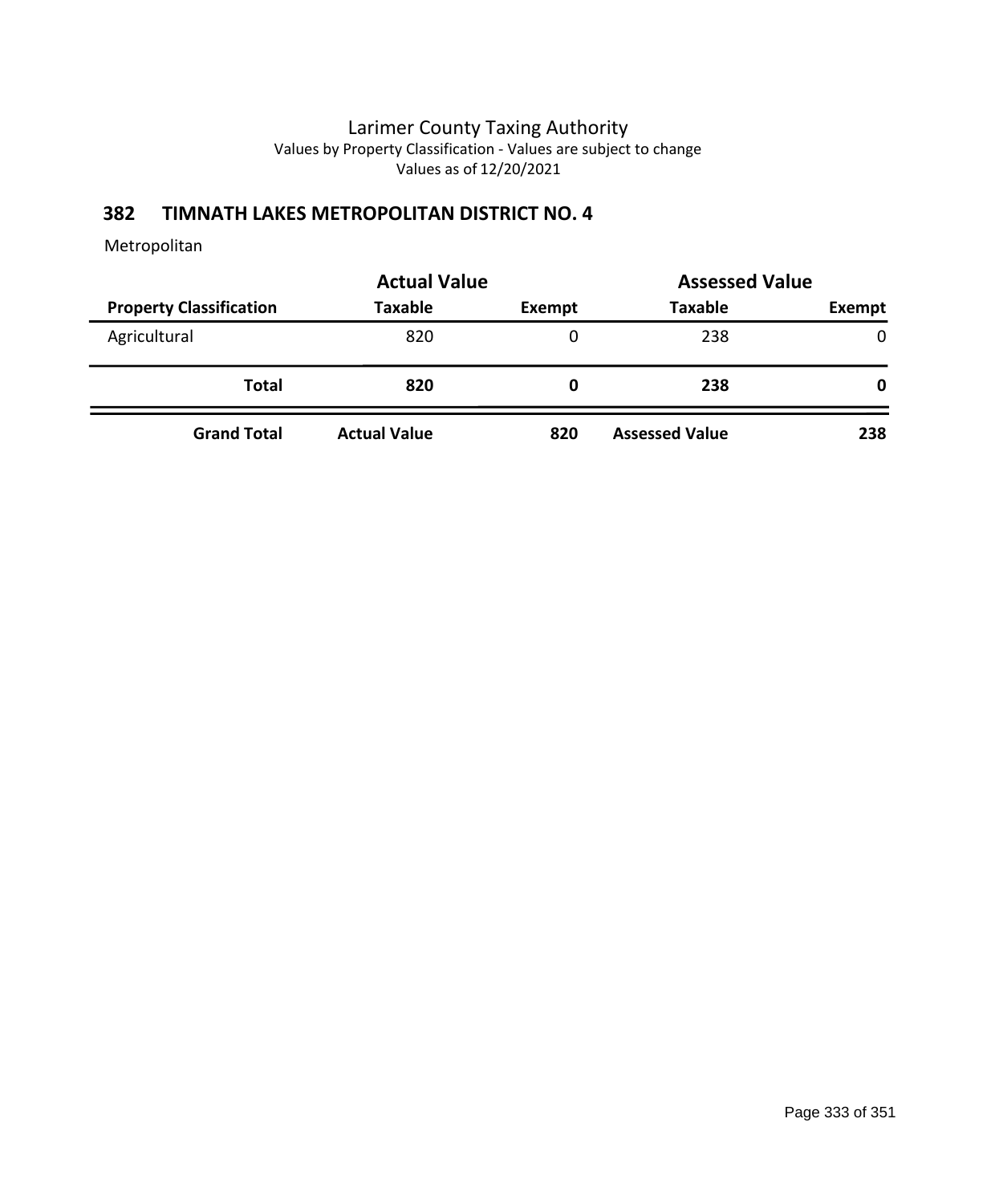## **382 TIMNATH LAKES METROPOLITAN DISTRICT NO. 4**

|                                | <b>Actual Value</b> | <b>Assessed Value</b> |                       |        |
|--------------------------------|---------------------|-----------------------|-----------------------|--------|
| <b>Property Classification</b> | <b>Taxable</b>      | Exempt                | <b>Taxable</b>        | Exempt |
| Agricultural                   | 820                 | 0                     | 238                   | 0      |
| <b>Total</b>                   | 820                 | 0                     | 238                   | 0      |
| <b>Grand Total</b>             | <b>Actual Value</b> | 820                   | <b>Assessed Value</b> | 238    |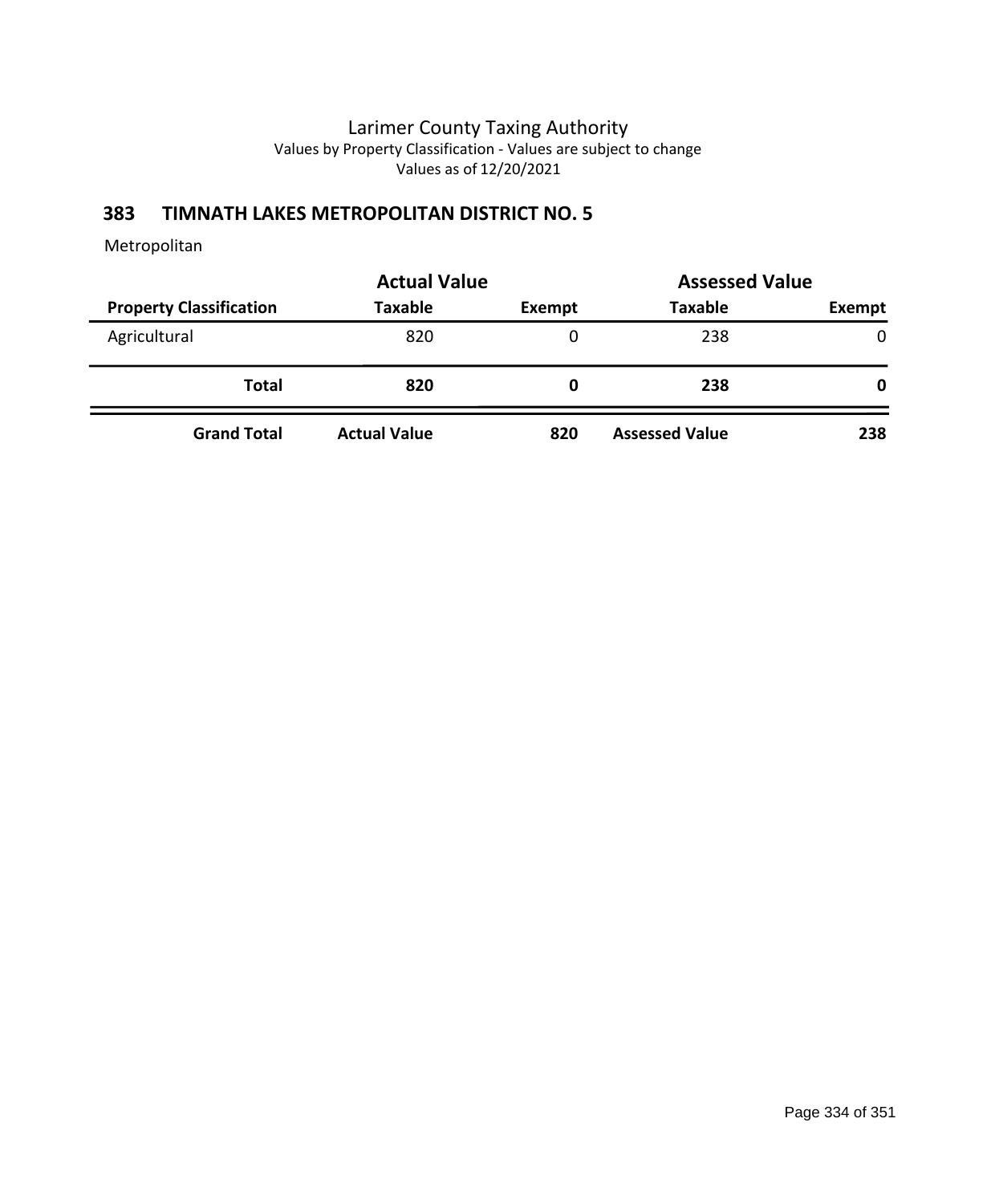## **383 TIMNATH LAKES METROPOLITAN DISTRICT NO. 5**

|                                | <b>Actual Value</b> | <b>Assessed Value</b> |                       |        |
|--------------------------------|---------------------|-----------------------|-----------------------|--------|
| <b>Property Classification</b> | <b>Taxable</b>      | Exempt                | <b>Taxable</b>        | Exempt |
| Agricultural                   | 820                 | 0                     | 238                   | 0      |
| <b>Total</b>                   | 820                 | 0                     | 238                   | 0      |
| <b>Grand Total</b>             | <b>Actual Value</b> | 820                   | <b>Assessed Value</b> | 238    |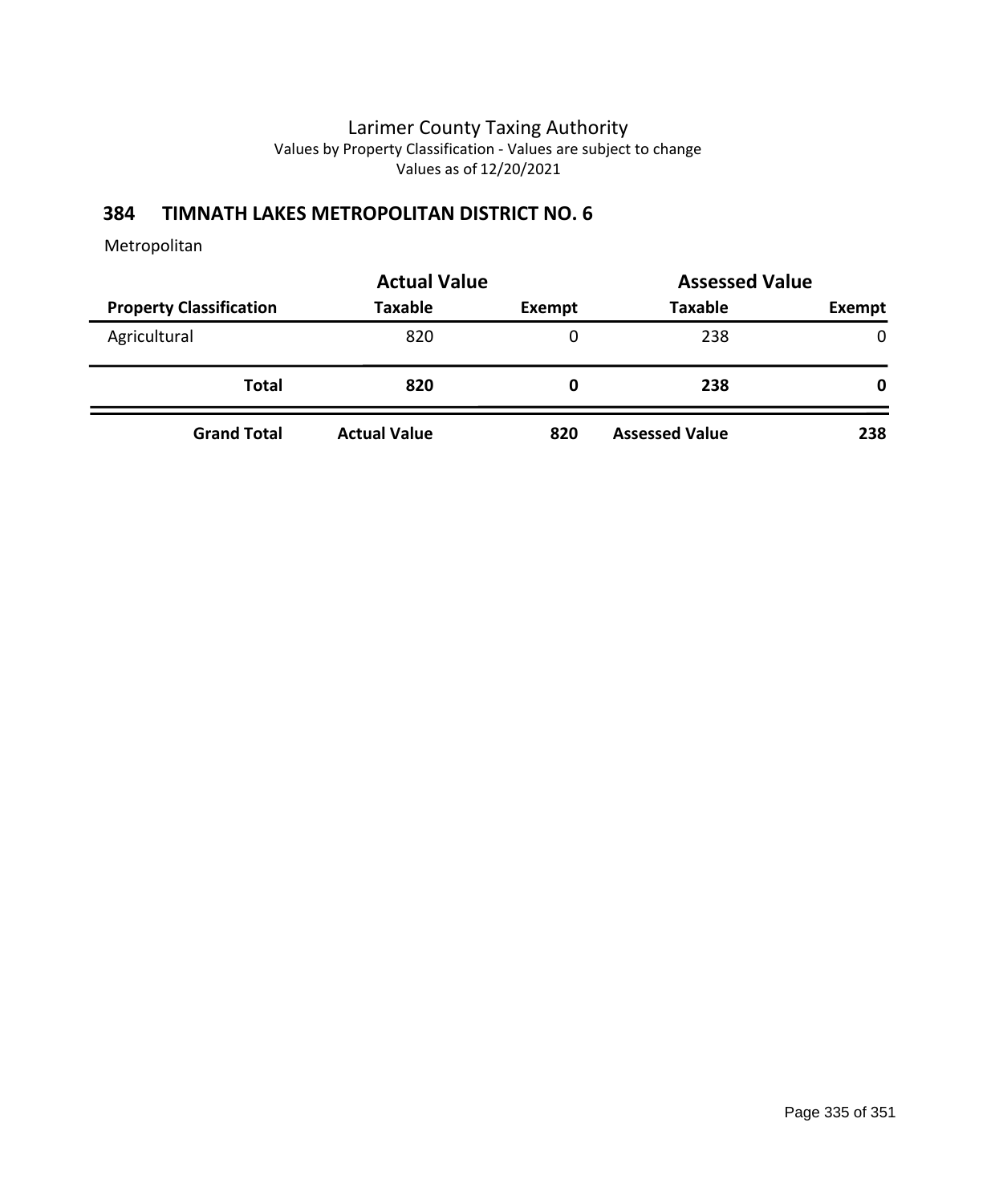## **384 TIMNATH LAKES METROPOLITAN DISTRICT NO. 6**

|                                | <b>Actual Value</b> | <b>Assessed Value</b> |                       |               |
|--------------------------------|---------------------|-----------------------|-----------------------|---------------|
| <b>Property Classification</b> | <b>Taxable</b>      | Exempt                | <b>Taxable</b>        | <b>Exempt</b> |
| Agricultural                   | 820                 | 0                     | 238                   | $\mathbf{0}$  |
| <b>Total</b>                   | 820                 | 0                     | 238                   | 0             |
| <b>Grand Total</b>             | <b>Actual Value</b> | 820                   | <b>Assessed Value</b> | 238           |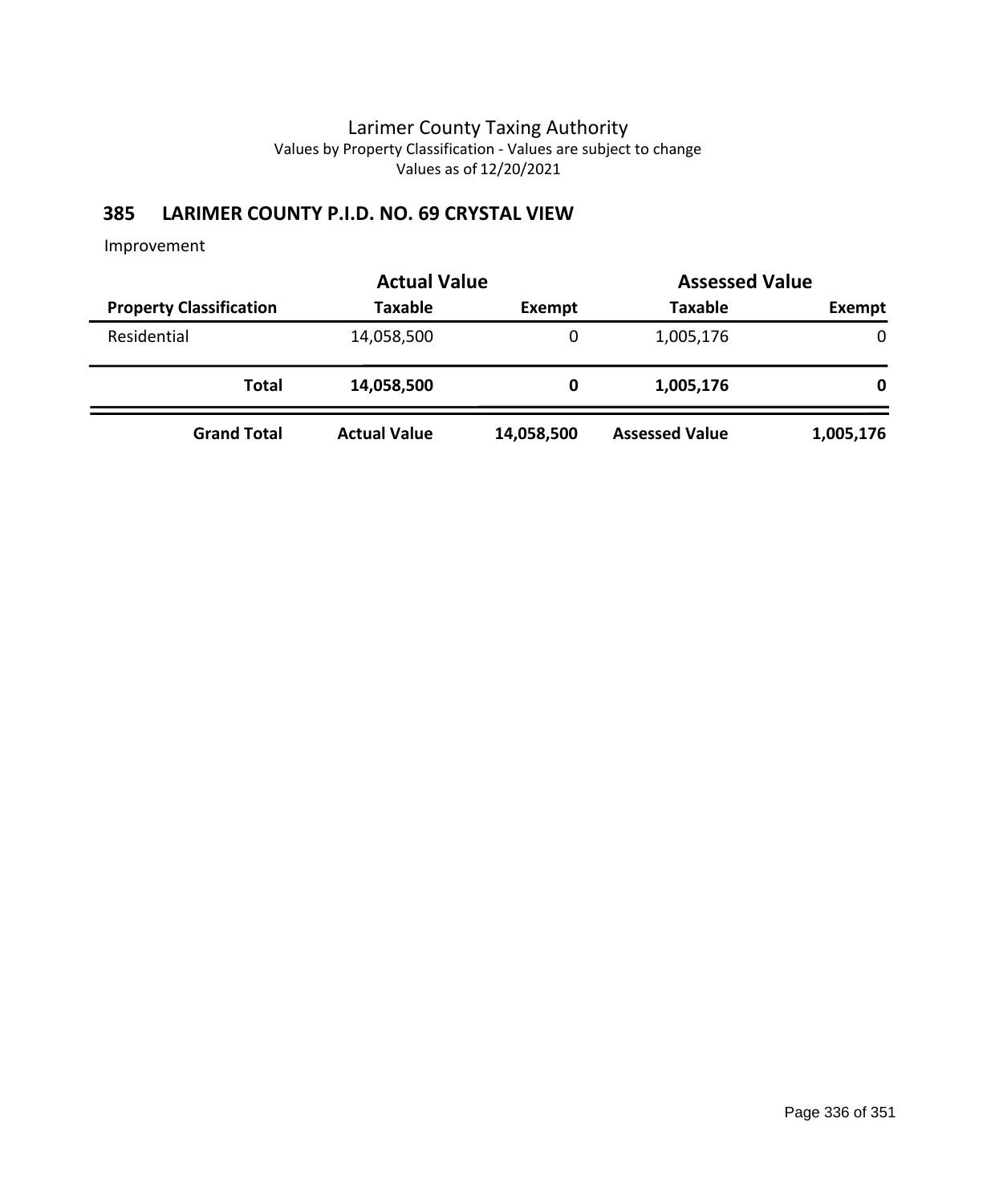# **385 LARIMER COUNTY P.I.D. NO. 69 CRYSTAL VIEW**

|                                | <b>Actual Value</b> |            | <b>Assessed Value</b> |             |
|--------------------------------|---------------------|------------|-----------------------|-------------|
| <b>Property Classification</b> | <b>Taxable</b>      | Exempt     | <b>Taxable</b>        | Exempt      |
| Residential                    | 14,058,500          | 0          | 1,005,176             | $\mathbf 0$ |
| Total                          | 14,058,500          | 0          | 1,005,176             | 0           |
| <b>Grand Total</b>             | <b>Actual Value</b> | 14,058,500 | <b>Assessed Value</b> | 1,005,176   |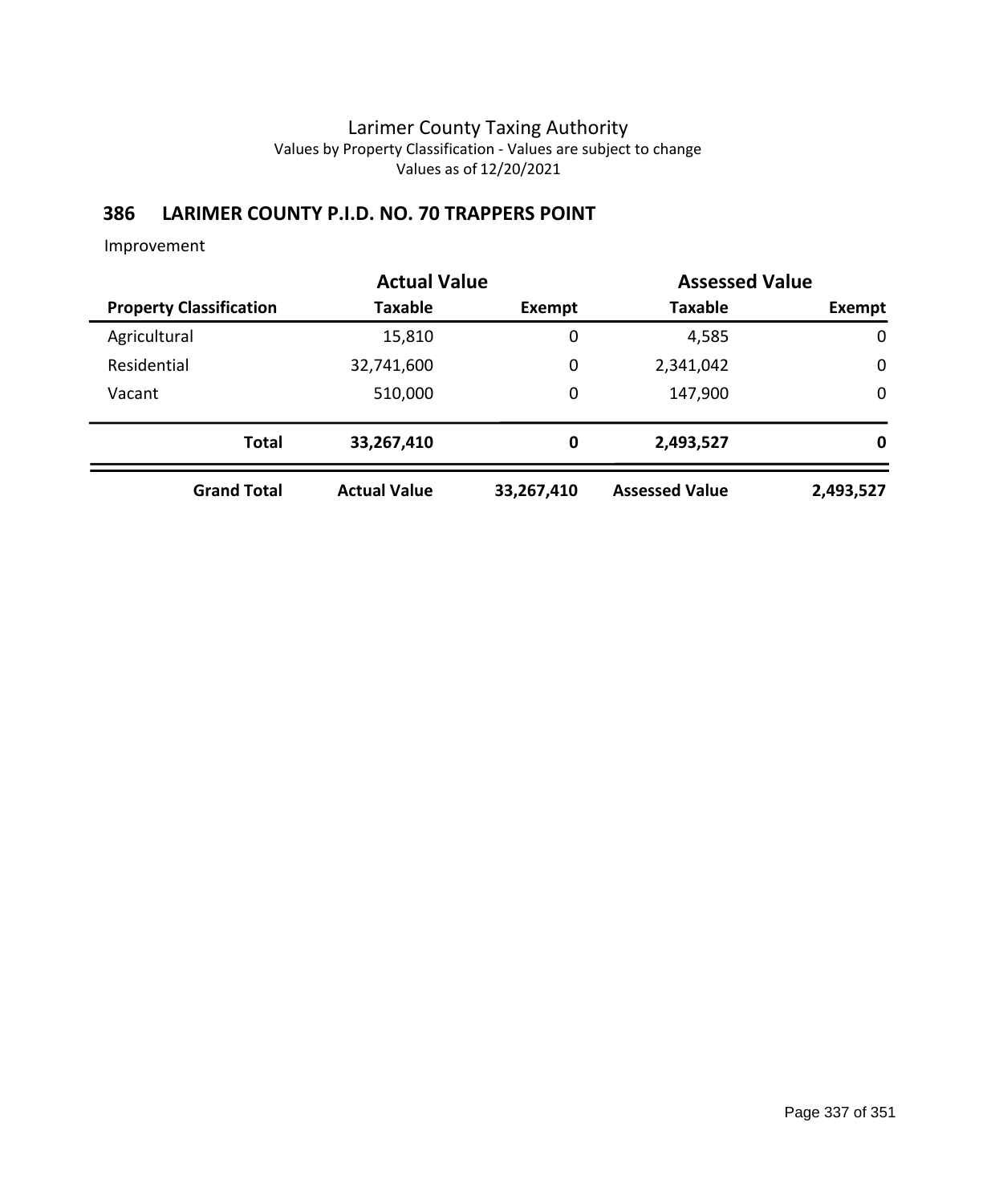## **386 LARIMER COUNTY P.I.D. NO. 70 TRAPPERS POINT**

|                                |                    | <b>Actual Value</b> |             | <b>Assessed Value</b> |             |
|--------------------------------|--------------------|---------------------|-------------|-----------------------|-------------|
| <b>Property Classification</b> |                    | Taxable             | Exempt      | <b>Taxable</b>        | Exempt      |
| Agricultural                   |                    | 15,810              | $\mathbf 0$ | 4,585                 | $\mathbf 0$ |
| Residential                    |                    | 32,741,600          | 0           | 2,341,042             | $\mathbf 0$ |
| Vacant                         |                    | 510,000             | 0           | 147,900               | $\mathbf 0$ |
|                                | <b>Total</b>       | 33,267,410          | 0           | 2,493,527             | 0           |
|                                | <b>Grand Total</b> | <b>Actual Value</b> | 33,267,410  | <b>Assessed Value</b> | 2,493,527   |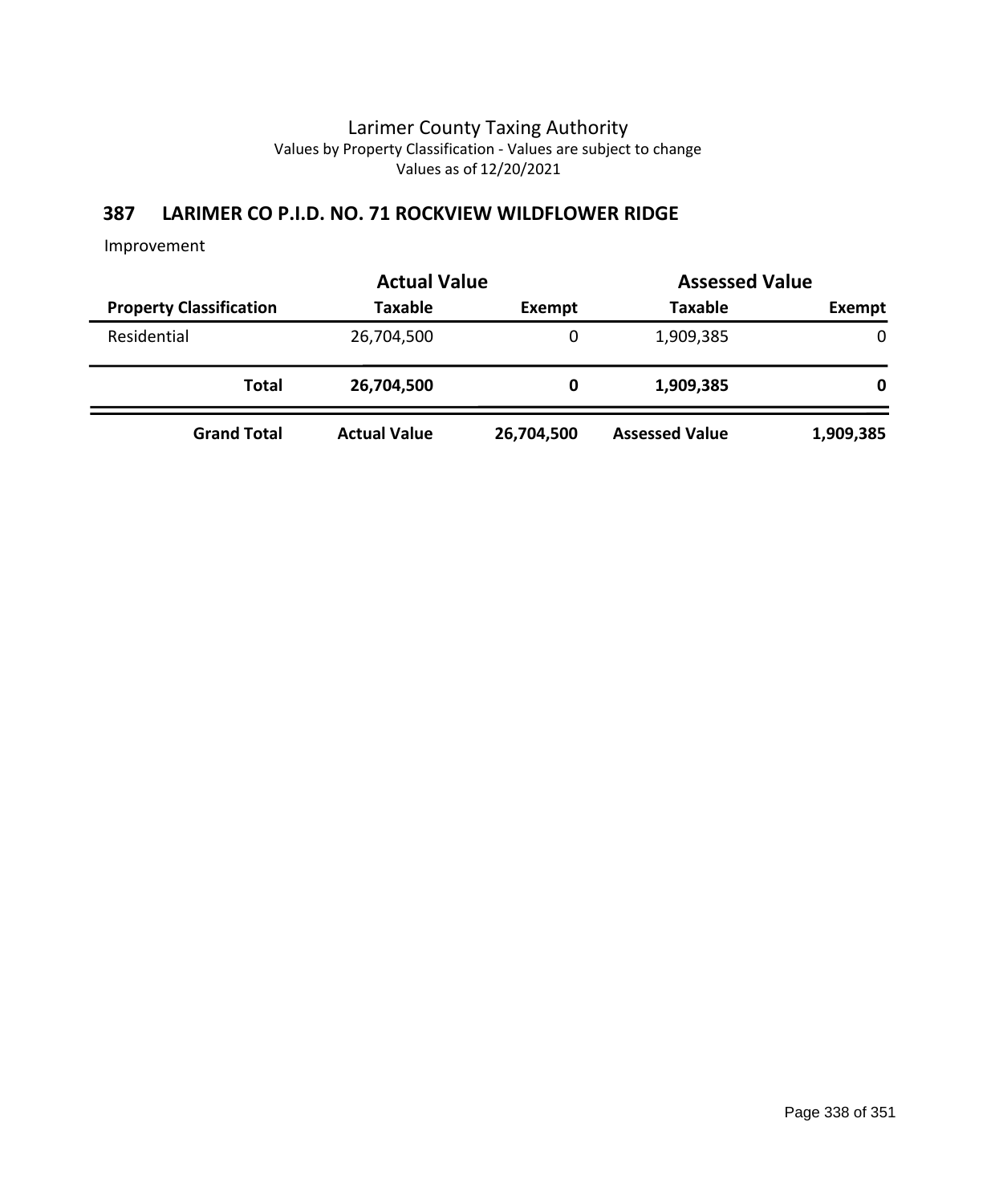## **387 LARIMER CO P.I.D. NO. 71 ROCKVIEW WILDFLOWER RIDGE**

|                                | <b>Actual Value</b> |            | <b>Assessed Value</b> |               |
|--------------------------------|---------------------|------------|-----------------------|---------------|
| <b>Property Classification</b> | Taxable             | Exempt     | <b>Taxable</b>        | <b>Exempt</b> |
| Residential                    | 26,704,500          | 0          | 1,909,385             | $\Omega$      |
| Total                          | 26,704,500          | 0          | 1,909,385             | 0             |
| <b>Grand Total</b>             | <b>Actual Value</b> | 26,704,500 | <b>Assessed Value</b> | 1,909,385     |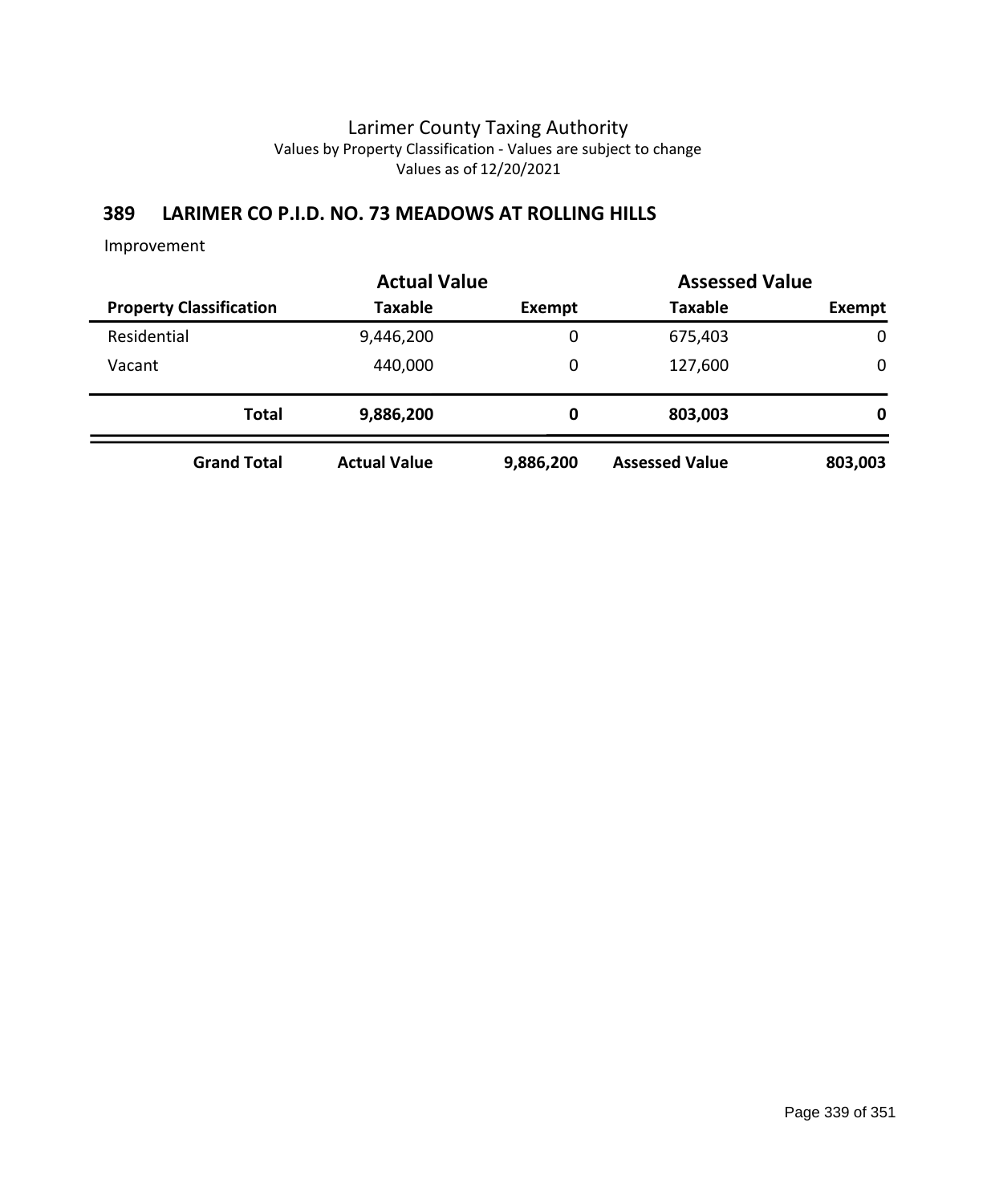## **389 LARIMER CO P.I.D. NO. 73 MEADOWS AT ROLLING HILLS**

|                                | <b>Actual Value</b> |           | <b>Assessed Value</b> |         |
|--------------------------------|---------------------|-----------|-----------------------|---------|
| <b>Property Classification</b> | <b>Taxable</b>      | Exempt    | <b>Taxable</b>        | Exempt  |
| Residential                    | 9,446,200           | 0         | 675,403               | 0       |
| Vacant                         | 440,000             | 0         | 127,600               | 0       |
| <b>Total</b>                   | 9,886,200           | 0         | 803,003               | 0       |
| <b>Grand Total</b>             | <b>Actual Value</b> | 9,886,200 | <b>Assessed Value</b> | 803,003 |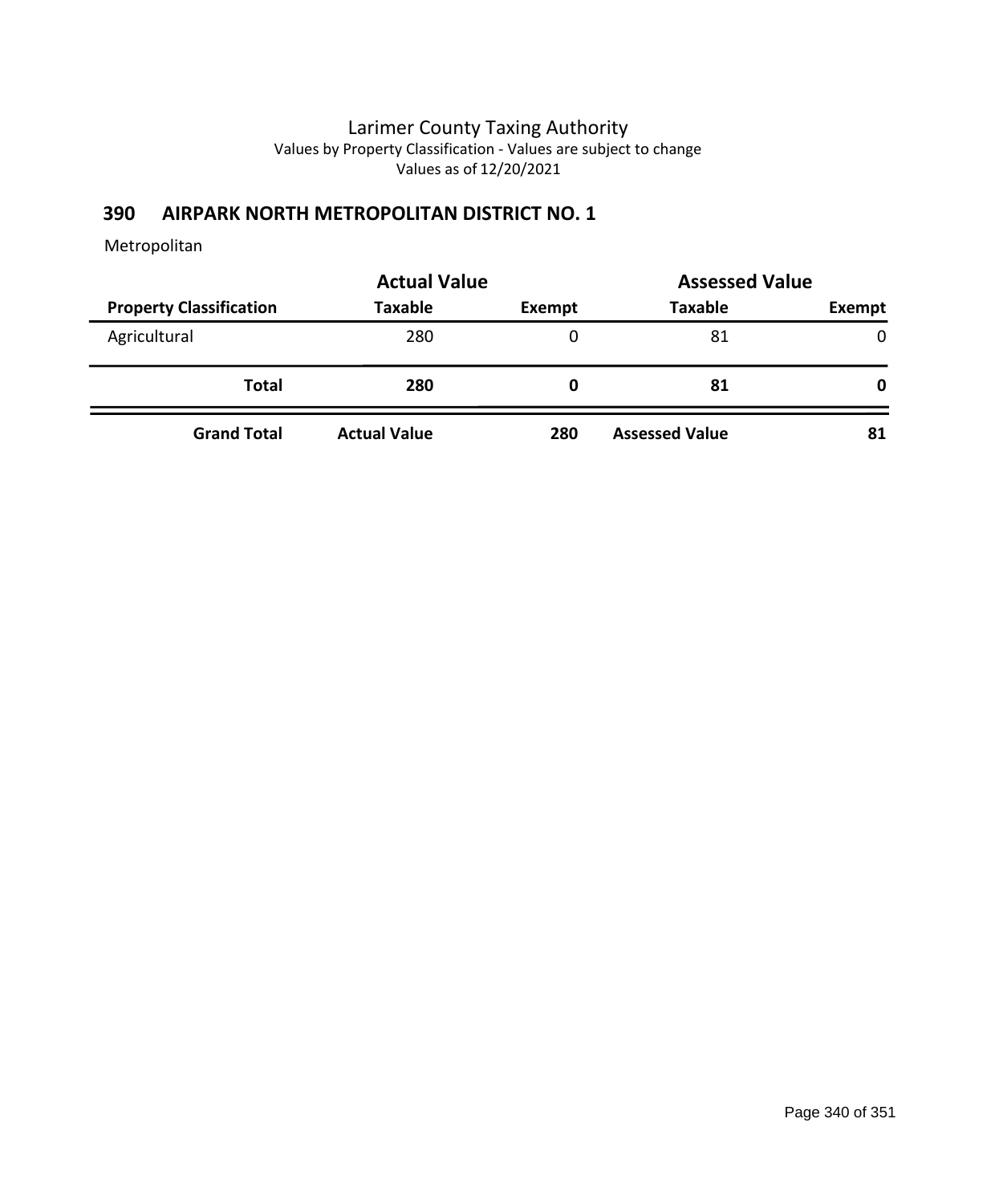## **390 AIRPARK NORTH METROPOLITAN DISTRICT NO. 1**

|                                | <b>Actual Value</b> |        | <b>Assessed Value</b> |              |
|--------------------------------|---------------------|--------|-----------------------|--------------|
| <b>Property Classification</b> | Taxable             | Exempt | <b>Taxable</b>        | Exempt       |
| Agricultural                   | 280                 | 0      | 81                    | $\mathbf{0}$ |
| <b>Total</b>                   | 280                 | O      | 81                    | 0            |
| <b>Grand Total</b>             | <b>Actual Value</b> | 280    | <b>Assessed Value</b> | 81           |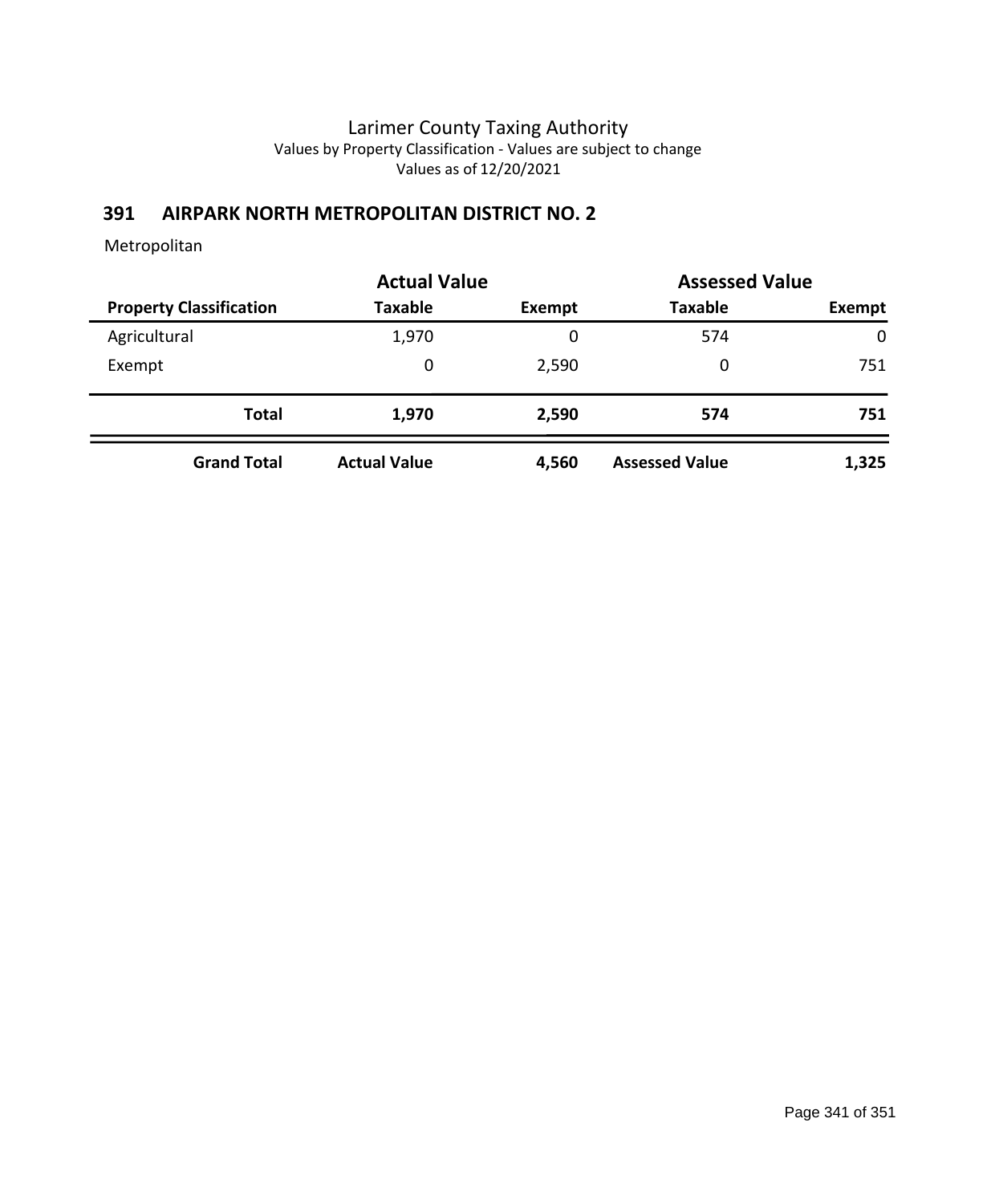# **391 AIRPARK NORTH METROPOLITAN DISTRICT NO. 2**

|                                | <b>Actual Value</b> |        | <b>Assessed Value</b> |             |
|--------------------------------|---------------------|--------|-----------------------|-------------|
| <b>Property Classification</b> | <b>Taxable</b>      | Exempt | <b>Taxable</b>        | Exempt      |
| Agricultural                   | 1,970               | 0      | 574                   | $\mathbf 0$ |
| Exempt                         | 0                   | 2,590  | 0                     | 751         |
| <b>Total</b>                   | 1,970               | 2,590  | 574                   | 751         |
| <b>Grand Total</b>             | <b>Actual Value</b> | 4,560  | <b>Assessed Value</b> | 1,325       |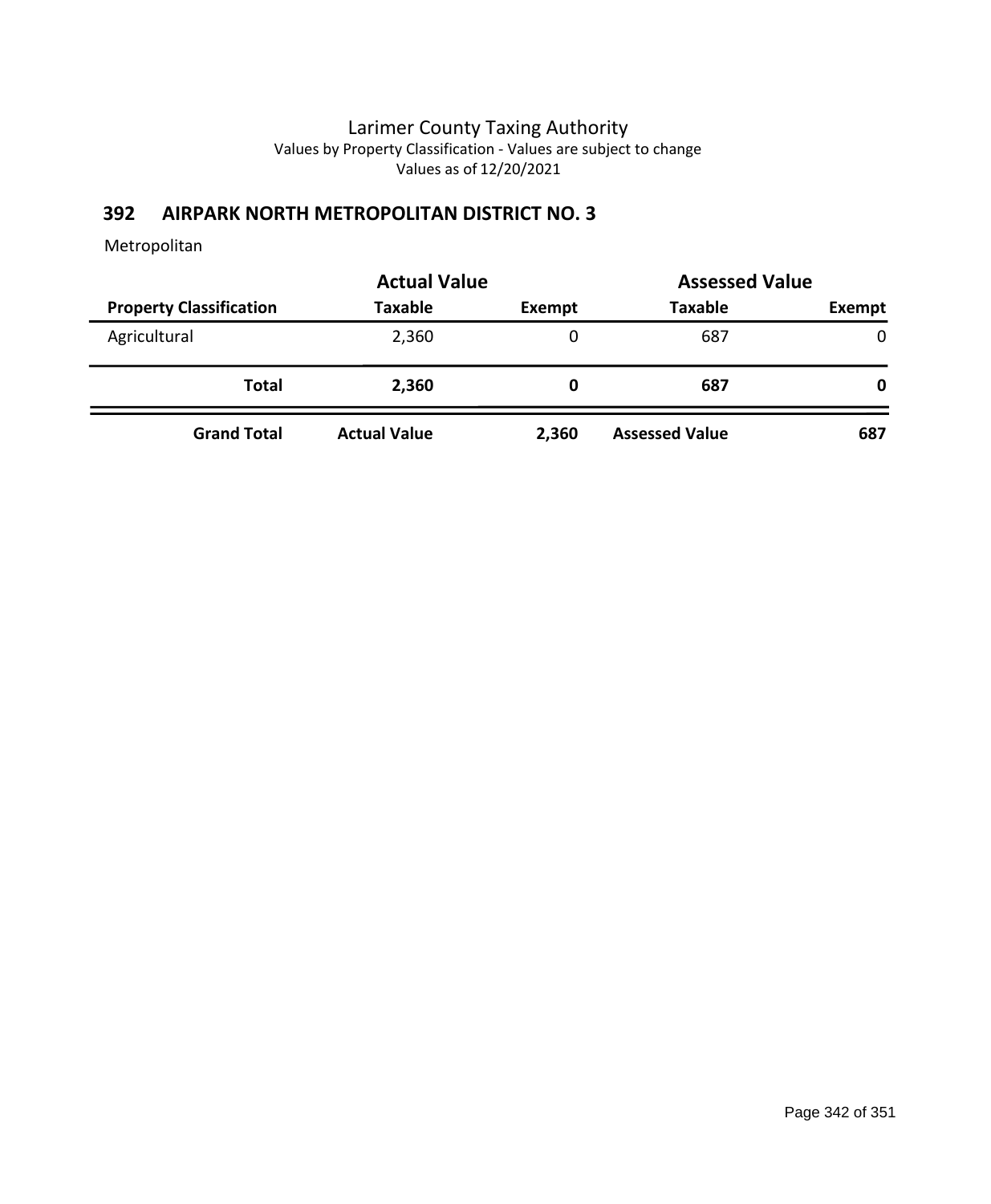# **392 AIRPARK NORTH METROPOLITAN DISTRICT NO. 3**

|                                | <b>Actual Value</b> |        |                       |        | <b>Assessed Value</b> |  |
|--------------------------------|---------------------|--------|-----------------------|--------|-----------------------|--|
| <b>Property Classification</b> | <b>Taxable</b>      | Exempt | <b>Taxable</b>        | Exempt |                       |  |
| Agricultural                   | 2,360               | 0      | 687                   | 0      |                       |  |
| <b>Total</b>                   | 2,360               | 0      | 687                   | 0      |                       |  |
| <b>Grand Total</b>             | <b>Actual Value</b> | 2,360  | <b>Assessed Value</b> | 687    |                       |  |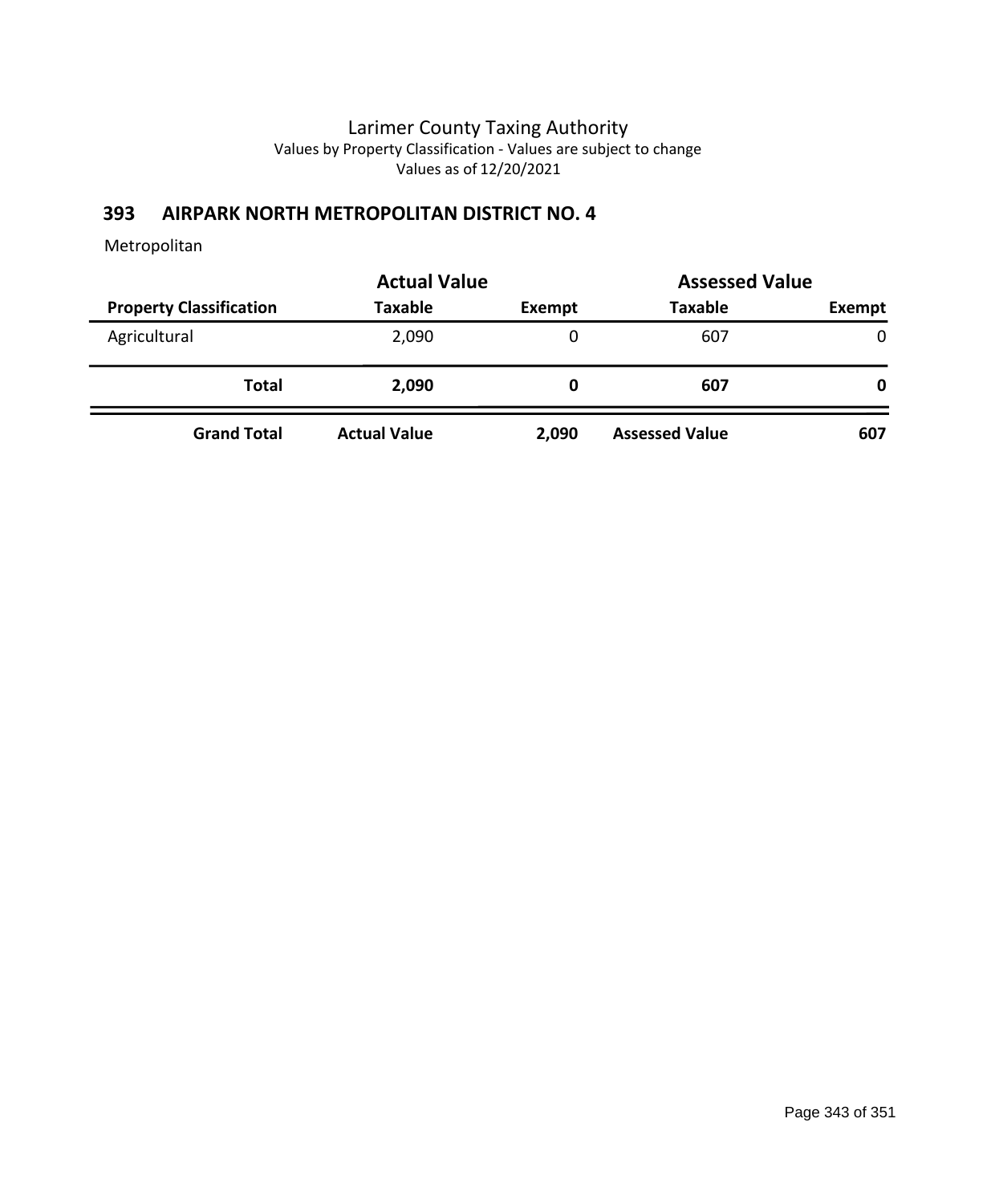# **393 AIRPARK NORTH METROPOLITAN DISTRICT NO. 4**

|                                |                     | <b>Actual Value</b> |                       | <b>Assessed Value</b> |  |
|--------------------------------|---------------------|---------------------|-----------------------|-----------------------|--|
| <b>Property Classification</b> | <b>Taxable</b>      | Exempt              | <b>Taxable</b>        | Exempt                |  |
| Agricultural                   | 2,090               | 0                   | 607                   | $\mathbf{0}$          |  |
| <b>Total</b>                   | 2,090               | 0                   | 607                   | 0                     |  |
| <b>Grand Total</b>             | <b>Actual Value</b> | 2,090               | <b>Assessed Value</b> | 607                   |  |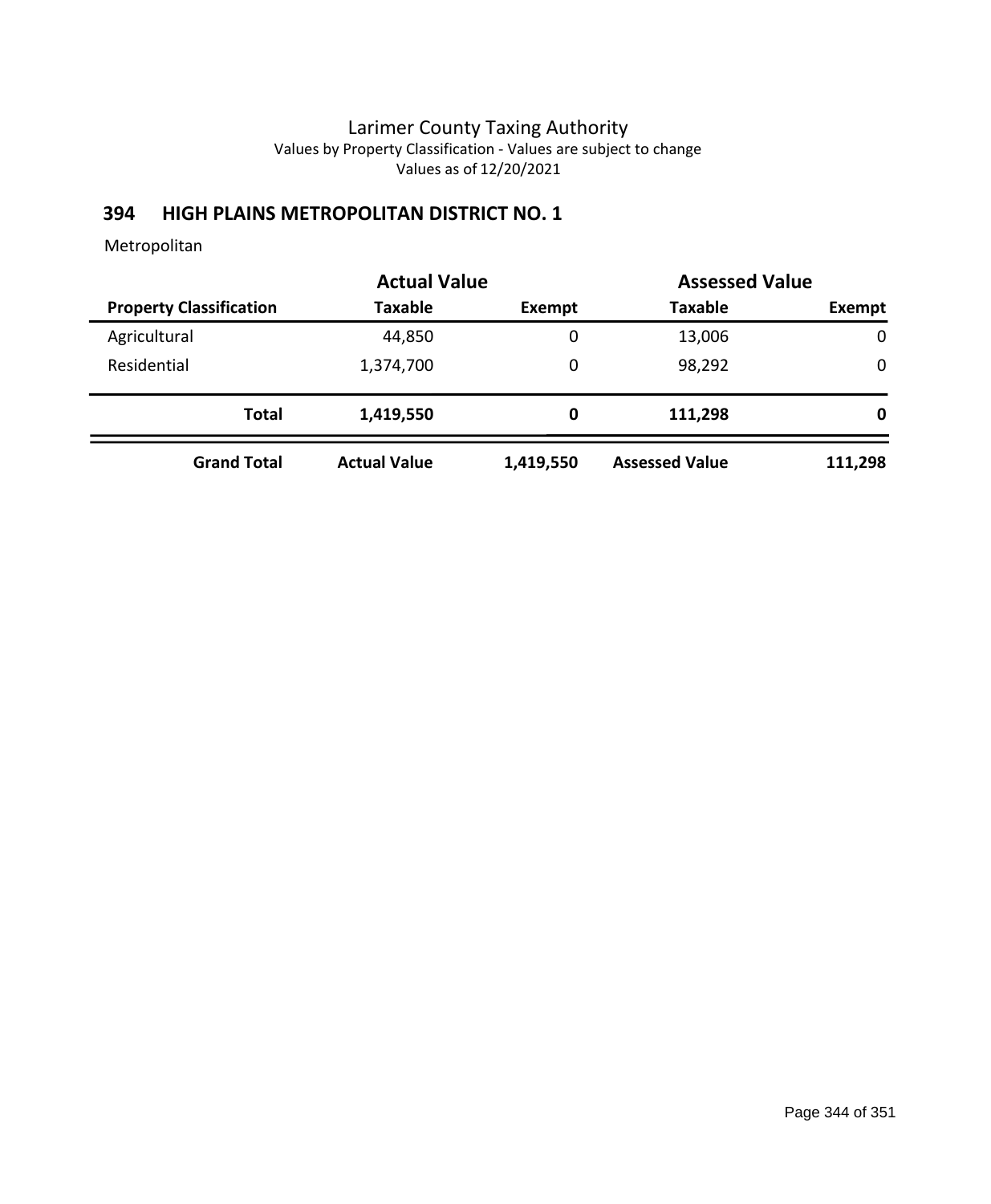## **394 HIGH PLAINS METROPOLITAN DISTRICT NO. 1**

|                                | <b>Actual Value</b> |           | <b>Assessed Value</b> |             |
|--------------------------------|---------------------|-----------|-----------------------|-------------|
| <b>Property Classification</b> | <b>Taxable</b>      | Exempt    | <b>Taxable</b>        | Exempt      |
| Agricultural                   | 44,850              | 0         | 13,006                | $\mathbf 0$ |
| Residential                    | 1,374,700           | 0         | 98,292                | 0           |
| <b>Total</b>                   | 1,419,550           | 0         | 111,298               | 0           |
| <b>Grand Total</b>             | <b>Actual Value</b> | 1,419,550 | <b>Assessed Value</b> | 111,298     |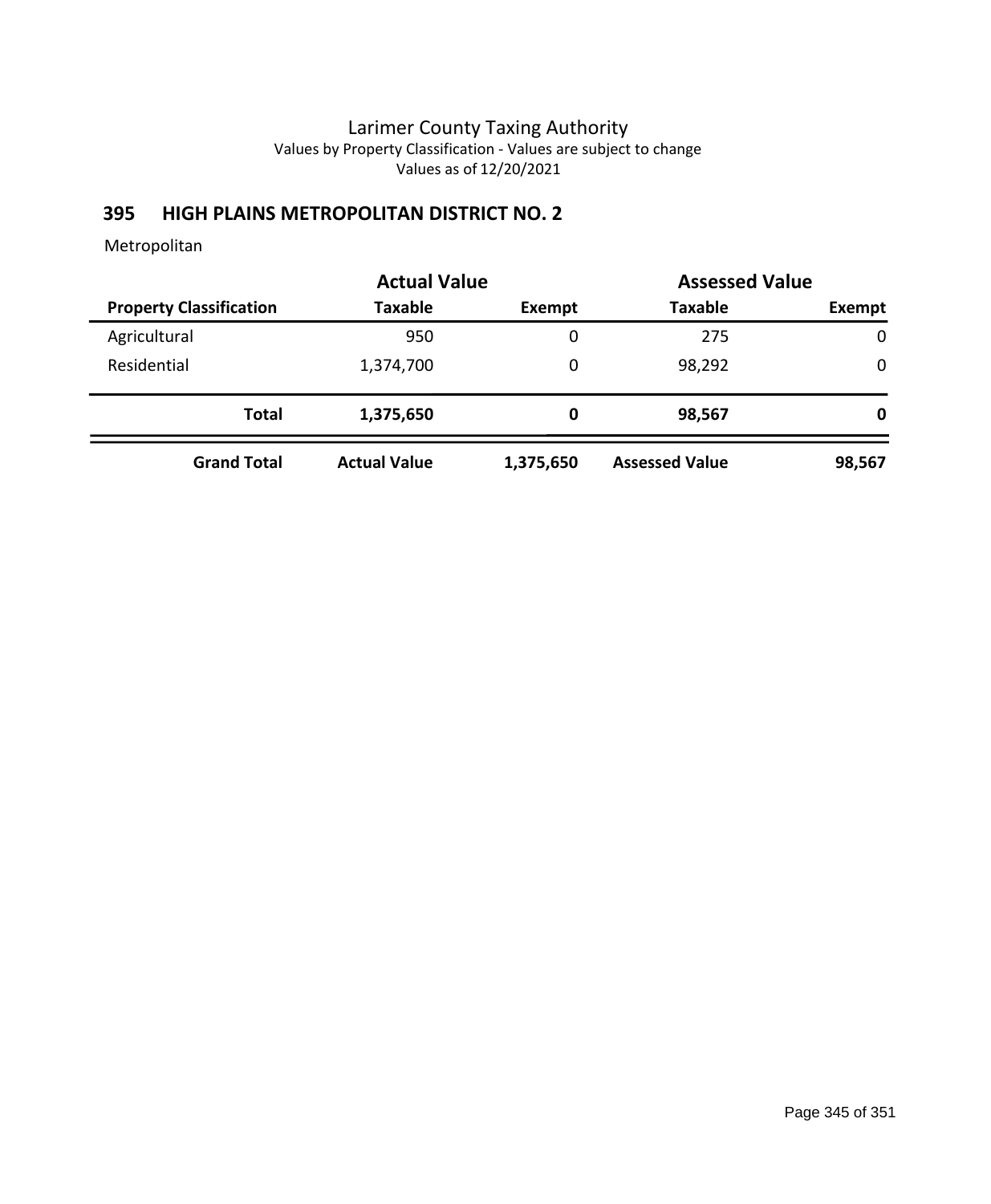## **395 HIGH PLAINS METROPOLITAN DISTRICT NO. 2**

|                                | <b>Actual Value</b> |           | <b>Assessed Value</b> |             |
|--------------------------------|---------------------|-----------|-----------------------|-------------|
| <b>Property Classification</b> | <b>Taxable</b>      | Exempt    | <b>Taxable</b>        | Exempt      |
| Agricultural                   | 950                 | 0         | 275                   | $\mathbf 0$ |
| Residential                    | 1,374,700           | 0         | 98,292                | 0           |
| <b>Total</b>                   | 1,375,650           | 0         | 98,567                | 0           |
| <b>Grand Total</b>             | <b>Actual Value</b> | 1,375,650 | <b>Assessed Value</b> | 98,567      |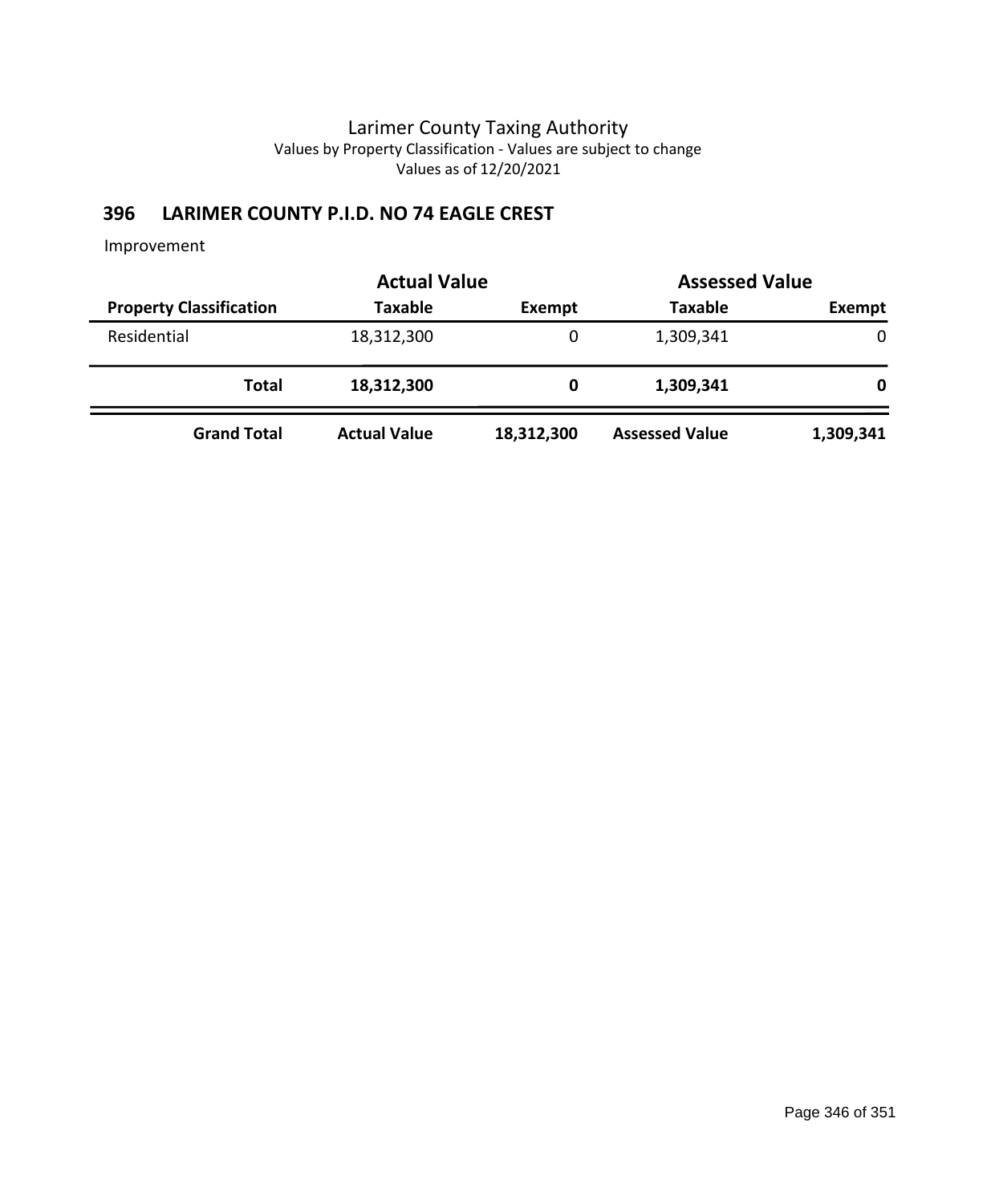# **396 LARIMER COUNTY P.I.D. NO 74 EAGLE CREST**

|                                | <b>Actual Value</b> |            | <b>Assessed Value</b> |           |
|--------------------------------|---------------------|------------|-----------------------|-----------|
| <b>Property Classification</b> | <b>Taxable</b>      | Exempt     | <b>Taxable</b>        | Exempt    |
| Residential                    | 18,312,300          | 0          | 1,309,341             | 0         |
| <b>Total</b>                   | 18,312,300          | 0          | 1,309,341             | 0         |
| <b>Grand Total</b>             | <b>Actual Value</b> | 18,312,300 | <b>Assessed Value</b> | 1,309,341 |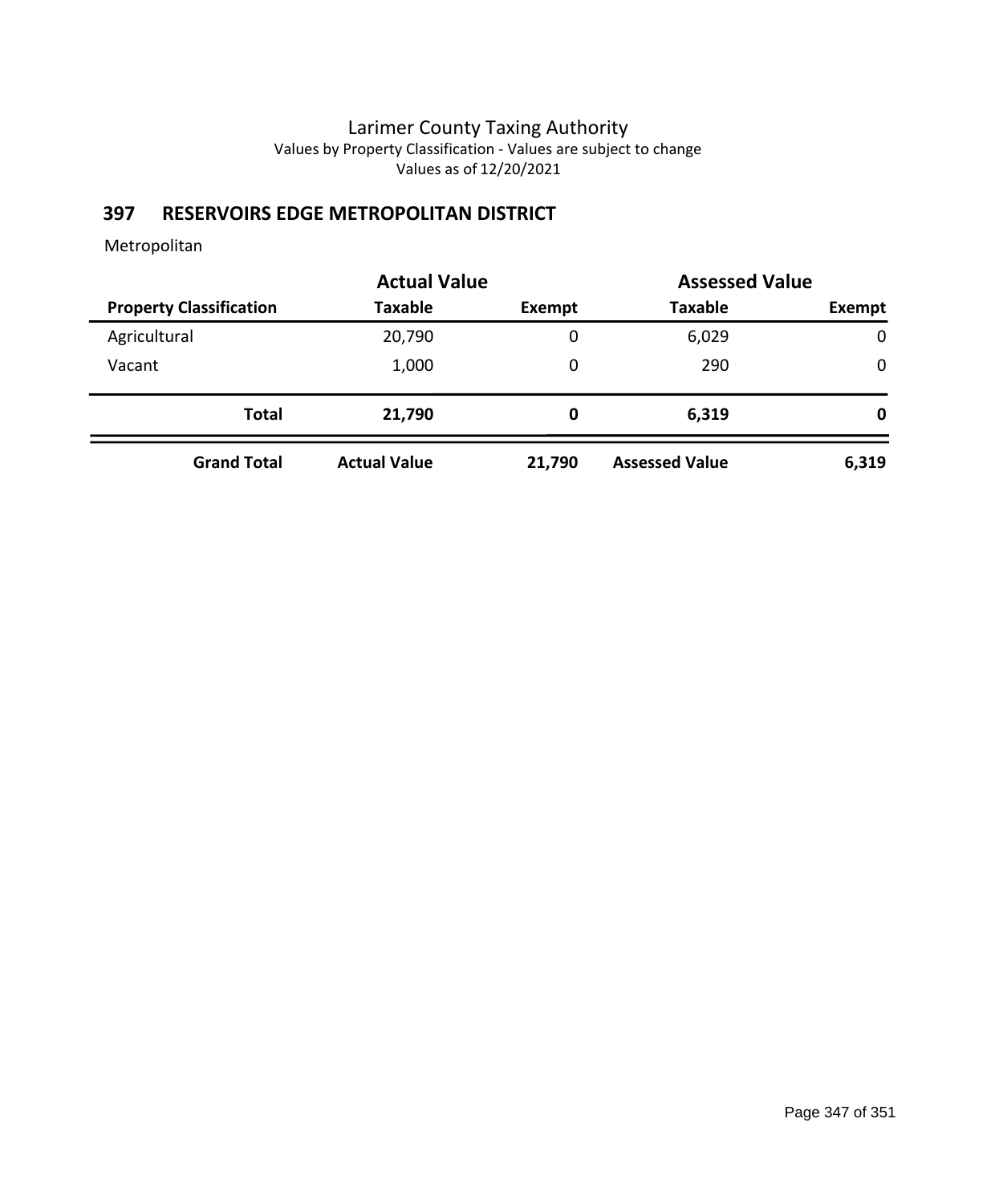# **397 RESERVOIRS EDGE METROPOLITAN DISTRICT**

|                                | <b>Actual Value</b>      |        | <b>Assessed Value</b> |             |
|--------------------------------|--------------------------|--------|-----------------------|-------------|
| <b>Property Classification</b> | <b>Taxable</b><br>Exempt |        | <b>Taxable</b>        | Exempt      |
| Agricultural                   | 20,790                   | 0      | 6,029                 | $\mathbf 0$ |
| Vacant                         | 1,000                    | 0      | 290                   | 0           |
| <b>Total</b>                   | 21,790                   | 0      | 6,319                 | 0           |
| <b>Grand Total</b>             | <b>Actual Value</b>      | 21,790 | <b>Assessed Value</b> | 6,319       |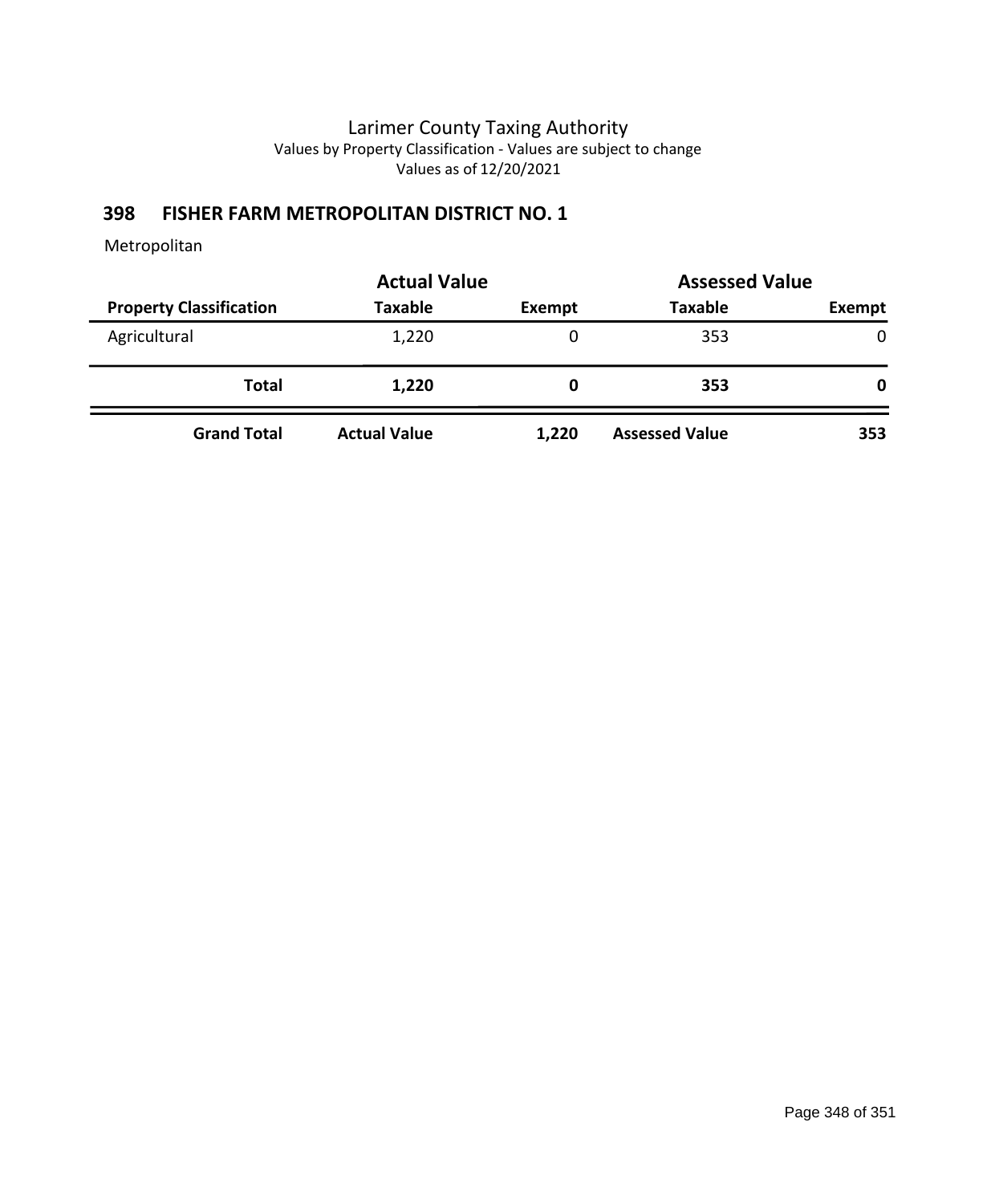## **398 FISHER FARM METROPOLITAN DISTRICT NO. 1**

|                                | <b>Actual Value</b> |        | <b>Assessed Value</b> |        |
|--------------------------------|---------------------|--------|-----------------------|--------|
| <b>Property Classification</b> | <b>Taxable</b>      | Exempt | <b>Taxable</b>        | Exempt |
| Agricultural                   | 1,220               | 0      | 353                   | 0      |
| Total                          | 1,220               | 0      | 353                   | 0      |
| <b>Grand Total</b>             | <b>Actual Value</b> | 1,220  | <b>Assessed Value</b> | 353    |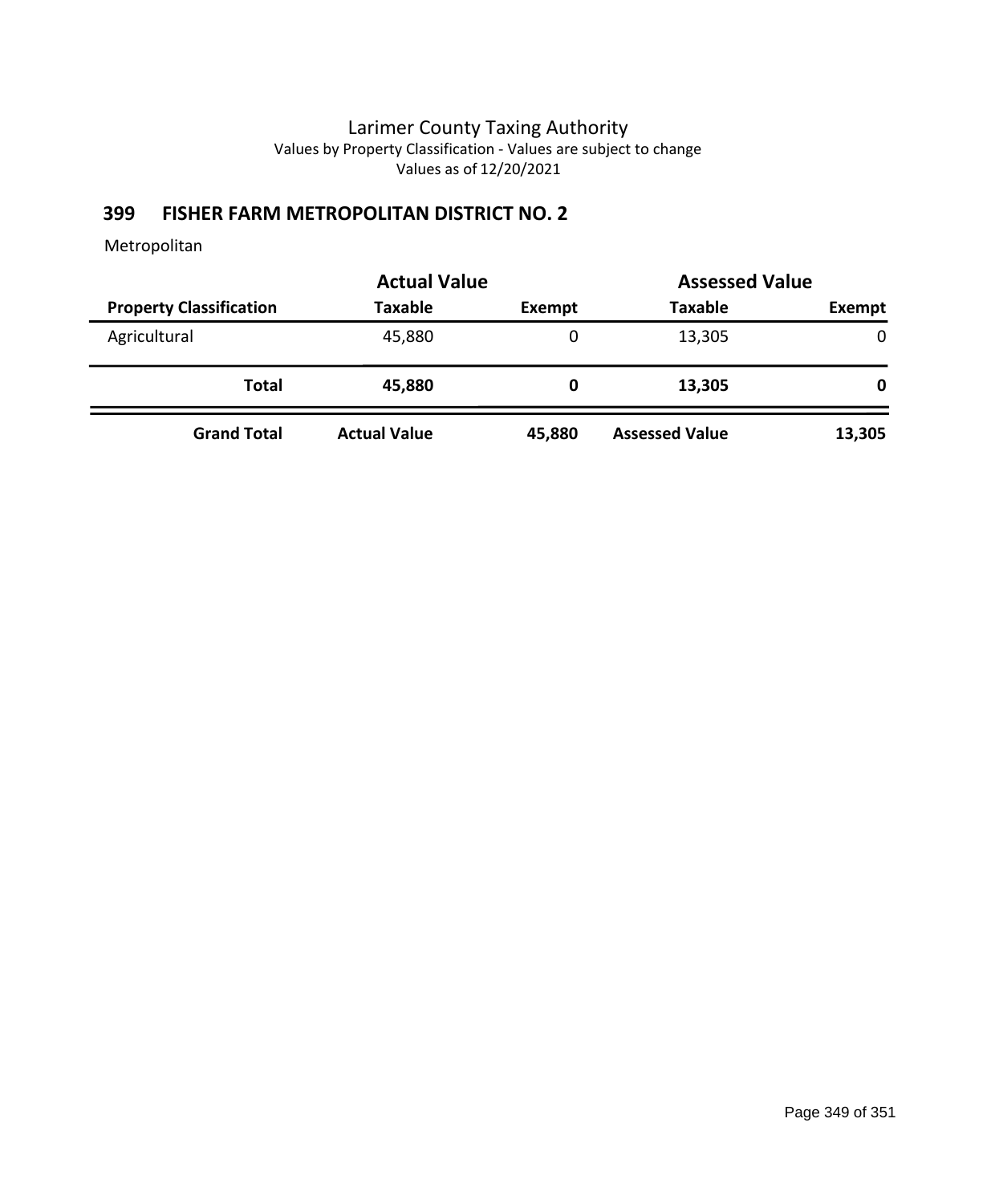# **399 FISHER FARM METROPOLITAN DISTRICT NO. 2**

|                                | <b>Actual Value</b> |        | <b>Assessed Value</b> |              |
|--------------------------------|---------------------|--------|-----------------------|--------------|
| <b>Property Classification</b> | <b>Taxable</b>      | Exempt | <b>Taxable</b>        | Exempt       |
| Agricultural                   | 45,880              | 0      | 13,305                | $\mathbf 0$  |
| Total                          | 45,880              | 0      | 13,305                | $\mathbf{0}$ |
| <b>Grand Total</b>             | <b>Actual Value</b> | 45,880 | <b>Assessed Value</b> | 13,305       |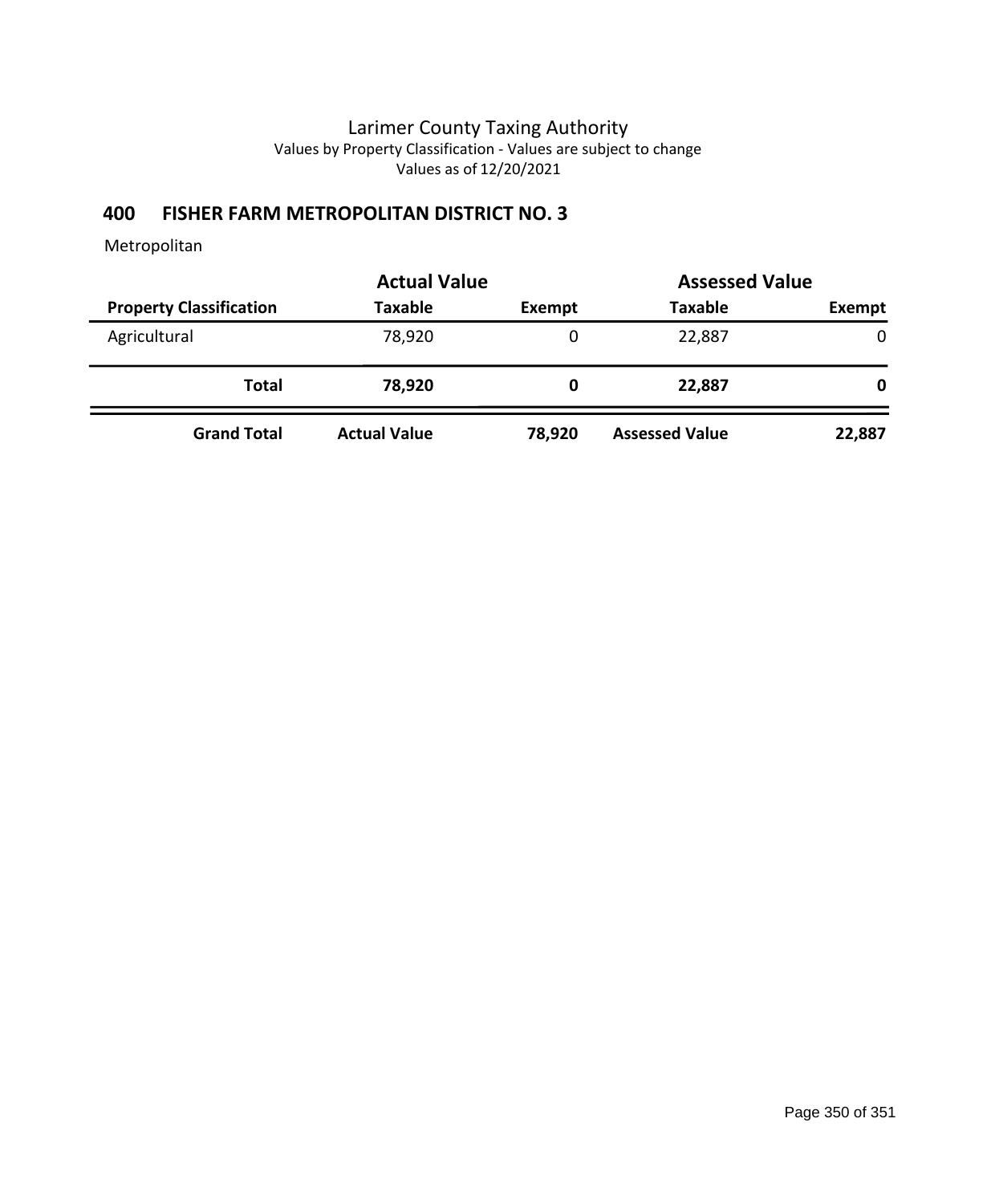## **400 FISHER FARM METROPOLITAN DISTRICT NO. 3**

|                                | <b>Actual Value</b> |        | <b>Assessed Value</b> |              |
|--------------------------------|---------------------|--------|-----------------------|--------------|
| <b>Property Classification</b> | <b>Taxable</b>      | Exempt | <b>Taxable</b>        | Exempt       |
| Agricultural                   | 78,920              | 0      | 22,887                | $\mathbf 0$  |
| Total                          | 78,920              | 0      | 22,887                | $\mathbf{0}$ |
| <b>Grand Total</b>             | <b>Actual Value</b> | 78,920 | <b>Assessed Value</b> | 22,887       |